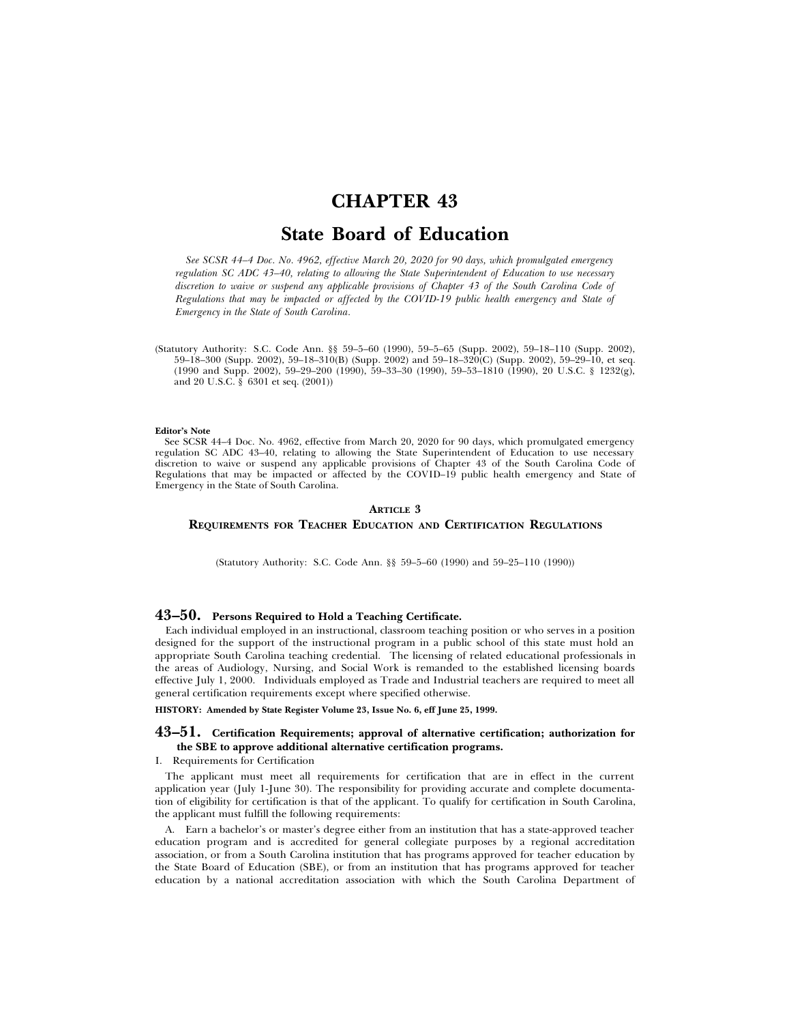# **CHAPTER 43**

# **State Board of Education**

*See SCSR 44–4 Doc. No. 4962, effective March 20, 2020 for 90 days, which promulgated emergency regulation SC ADC 43–40, relating to allowing the State Superintendent of Education to use necessary discretion to waive or suspend any applicable provisions of Chapter 43 of the South Carolina Code of Regulations that may be impacted or affected by the COVID-19 public health emergency and State of Emergency in the State of South Carolina.*

(Statutory Authority: S.C. Code Ann. §§ 59–5–60 (1990), 59–5–65 (Supp. 2002), 59–18–110 (Supp. 2002), 59–18–300 (Supp. 2002), 59–18–310(B) (Supp. 2002) and 59–18–320(C) (Supp. 2002), 59–29–10, et seq. (1990 and Supp. 2002), 59–29–200 (1990), 59–33–30 (1990), 59–53–1810 (1990), 20 U.S.C. § 1232(g), and 20 U.S.C. § 6301 et seq. (2001))

#### **Editor's Note**

See SCSR 44–4 Doc. No. 4962, effective from March 20, 2020 for 90 days, which promulgated emergency regulation SC ADC 43–40, relating to allowing the State Superintendent of Education to use necessary discretion to waive or suspend any applicable provisions of Chapter 43 of the South Carolina Code of Regulations that may be impacted or affected by the COVID–19 public health emergency and State of Emergency in the State of South Carolina.

# **ARTICLE 3 REQUIREMENTS FOR TEACHER EDUCATION AND CERTIFICATION REGULATIONS**

(Statutory Authority: S.C. Code Ann. §§ 59–5–60 (1990) and 59–25–110 (1990))

# **43–50. Persons Required to Hold a Teaching Certificate.**

Each individual employed in an instructional, classroom teaching position or who serves in a position designed for the support of the instructional program in a public school of this state must hold an appropriate South Carolina teaching credential. The licensing of related educational professionals in the areas of Audiology, Nursing, and Social Work is remanded to the established licensing boards effective July 1, 2000. Individuals employed as Trade and Industrial teachers are required to meet all general certification requirements except where specified otherwise.

**HISTORY: Amended by State Register Volume 23, Issue No. 6, eff June 25, 1999.**

### **43–51. Certification Requirements; approval of alternative certification; authorization for the SBE to approve additional alternative certification programs.**

#### I. Requirements for Certification

The applicant must meet all requirements for certification that are in effect in the current application year (July 1-June 30). The responsibility for providing accurate and complete documentation of eligibility for certification is that of the applicant. To qualify for certification in South Carolina, the applicant must fulfill the following requirements:

A. Earn a bachelor's or master's degree either from an institution that has a state-approved teacher education program and is accredited for general collegiate purposes by a regional accreditation association, or from a South Carolina institution that has programs approved for teacher education by the State Board of Education (SBE), or from an institution that has programs approved for teacher education by a national accreditation association with which the South Carolina Department of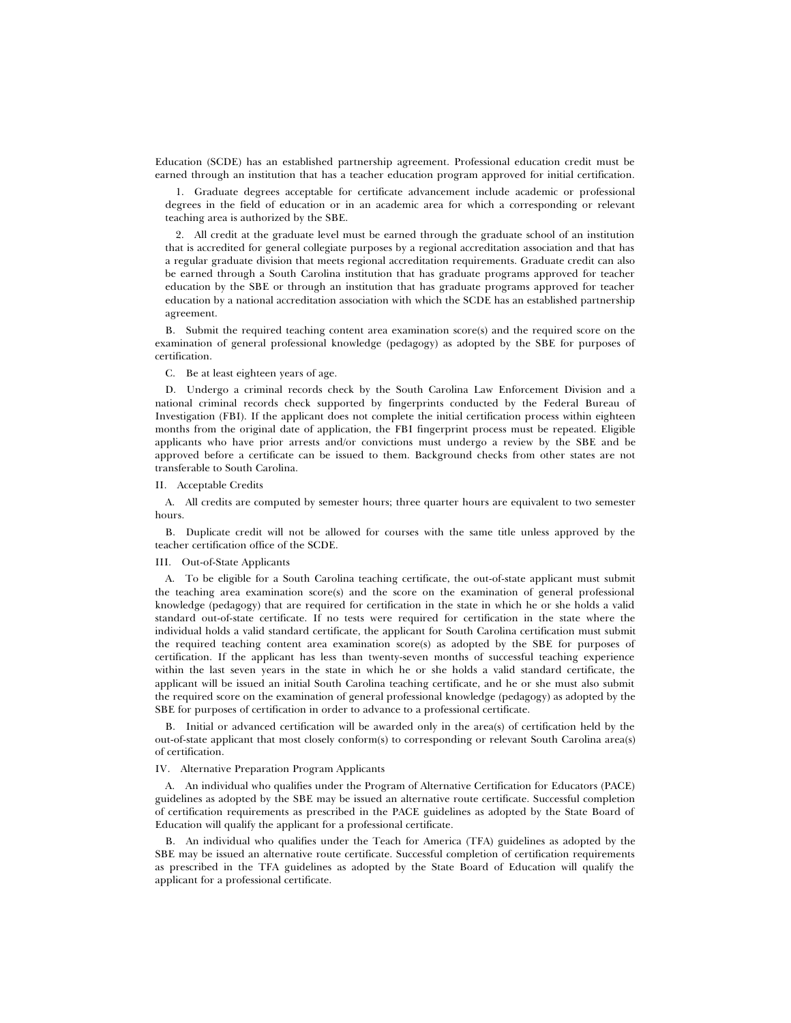Education (SCDE) has an established partnership agreement. Professional education credit must be earned through an institution that has a teacher education program approved for initial certification.

1. Graduate degrees acceptable for certificate advancement include academic or professional degrees in the field of education or in an academic area for which a corresponding or relevant teaching area is authorized by the SBE.

2. All credit at the graduate level must be earned through the graduate school of an institution that is accredited for general collegiate purposes by a regional accreditation association and that has a regular graduate division that meets regional accreditation requirements. Graduate credit can also be earned through a South Carolina institution that has graduate programs approved for teacher education by the SBE or through an institution that has graduate programs approved for teacher education by a national accreditation association with which the SCDE has an established partnership agreement.

B. Submit the required teaching content area examination score(s) and the required score on the examination of general professional knowledge (pedagogy) as adopted by the SBE for purposes of certification.

#### C. Be at least eighteen years of age.

D. Undergo a criminal records check by the South Carolina Law Enforcement Division and a national criminal records check supported by fingerprints conducted by the Federal Bureau of Investigation (FBI). If the applicant does not complete the initial certification process within eighteen months from the original date of application, the FBI fingerprint process must be repeated. Eligible applicants who have prior arrests and/or convictions must undergo a review by the SBE and be approved before a certificate can be issued to them. Background checks from other states are not transferable to South Carolina.

#### II. Acceptable Credits

A. All credits are computed by semester hours; three quarter hours are equivalent to two semester hours.

B. Duplicate credit will not be allowed for courses with the same title unless approved by the teacher certification office of the SCDE.

#### III. Out-of-State Applicants

A. To be eligible for a South Carolina teaching certificate, the out-of-state applicant must submit the teaching area examination score(s) and the score on the examination of general professional knowledge (pedagogy) that are required for certification in the state in which he or she holds a valid standard out-of-state certificate. If no tests were required for certification in the state where the individual holds a valid standard certificate, the applicant for South Carolina certification must submit the required teaching content area examination score(s) as adopted by the SBE for purposes of certification. If the applicant has less than twenty-seven months of successful teaching experience within the last seven years in the state in which he or she holds a valid standard certificate, the applicant will be issued an initial South Carolina teaching certificate, and he or she must also submit the required score on the examination of general professional knowledge (pedagogy) as adopted by the SBE for purposes of certification in order to advance to a professional certificate.

B. Initial or advanced certification will be awarded only in the area(s) of certification held by the out-of-state applicant that most closely conform(s) to corresponding or relevant South Carolina area(s) of certification.

# IV. Alternative Preparation Program Applicants

A. An individual who qualifies under the Program of Alternative Certification for Educators (PACE) guidelines as adopted by the SBE may be issued an alternative route certificate. Successful completion of certification requirements as prescribed in the PACE guidelines as adopted by the State Board of Education will qualify the applicant for a professional certificate.

B. An individual who qualifies under the Teach for America (TFA) guidelines as adopted by the SBE may be issued an alternative route certificate. Successful completion of certification requirements as prescribed in the TFA guidelines as adopted by the State Board of Education will qualify the applicant for a professional certificate.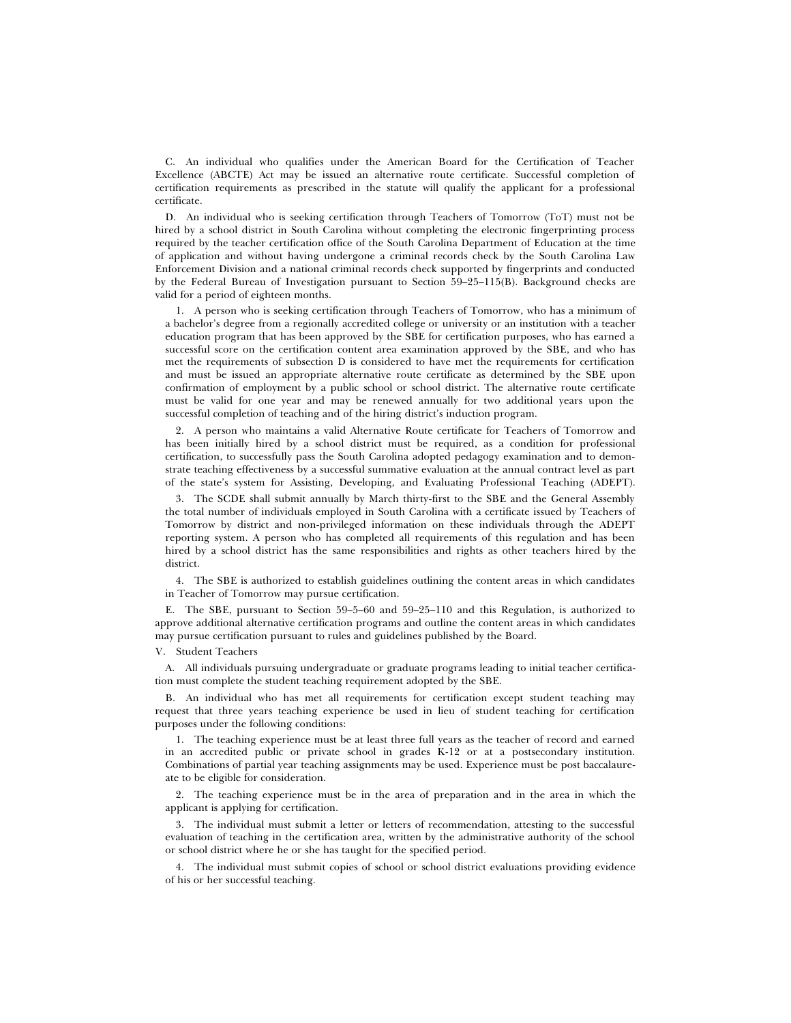C. An individual who qualifies under the American Board for the Certification of Teacher Excellence (ABCTE) Act may be issued an alternative route certificate. Successful completion of certification requirements as prescribed in the statute will qualify the applicant for a professional certificate.

D. An individual who is seeking certification through Teachers of Tomorrow (ToT) must not be hired by a school district in South Carolina without completing the electronic fingerprinting process required by the teacher certification office of the South Carolina Department of Education at the time of application and without having undergone a criminal records check by the South Carolina Law Enforcement Division and a national criminal records check supported by fingerprints and conducted by the Federal Bureau of Investigation pursuant to Section 59–25–115(B). Background checks are valid for a period of eighteen months.

1. A person who is seeking certification through Teachers of Tomorrow, who has a minimum of a bachelor's degree from a regionally accredited college or university or an institution with a teacher education program that has been approved by the SBE for certification purposes, who has earned a successful score on the certification content area examination approved by the SBE, and who has met the requirements of subsection D is considered to have met the requirements for certification and must be issued an appropriate alternative route certificate as determined by the SBE upon confirmation of employment by a public school or school district. The alternative route certificate must be valid for one year and may be renewed annually for two additional years upon the successful completion of teaching and of the hiring district's induction program.

2. A person who maintains a valid Alternative Route certificate for Teachers of Tomorrow and has been initially hired by a school district must be required, as a condition for professional certification, to successfully pass the South Carolina adopted pedagogy examination and to demonstrate teaching effectiveness by a successful summative evaluation at the annual contract level as part of the state's system for Assisting, Developing, and Evaluating Professional Teaching (ADEPT).

3. The SCDE shall submit annually by March thirty-first to the SBE and the General Assembly the total number of individuals employed in South Carolina with a certificate issued by Teachers of Tomorrow by district and non-privileged information on these individuals through the ADEPT reporting system. A person who has completed all requirements of this regulation and has been hired by a school district has the same responsibilities and rights as other teachers hired by the district.

4. The SBE is authorized to establish guidelines outlining the content areas in which candidates in Teacher of Tomorrow may pursue certification.

E. The SBE, pursuant to Section 59–5–60 and 59–25–110 and this Regulation, is authorized to approve additional alternative certification programs and outline the content areas in which candidates may pursue certification pursuant to rules and guidelines published by the Board.

V. Student Teachers

A. All individuals pursuing undergraduate or graduate programs leading to initial teacher certification must complete the student teaching requirement adopted by the SBE.

B. An individual who has met all requirements for certification except student teaching may request that three years teaching experience be used in lieu of student teaching for certification purposes under the following conditions:

1. The teaching experience must be at least three full years as the teacher of record and earned in an accredited public or private school in grades K-12 or at a postsecondary institution. Combinations of partial year teaching assignments may be used. Experience must be post baccalaureate to be eligible for consideration.

2. The teaching experience must be in the area of preparation and in the area in which the applicant is applying for certification.

3. The individual must submit a letter or letters of recommendation, attesting to the successful evaluation of teaching in the certification area, written by the administrative authority of the school or school district where he or she has taught for the specified period.

4. The individual must submit copies of school or school district evaluations providing evidence of his or her successful teaching.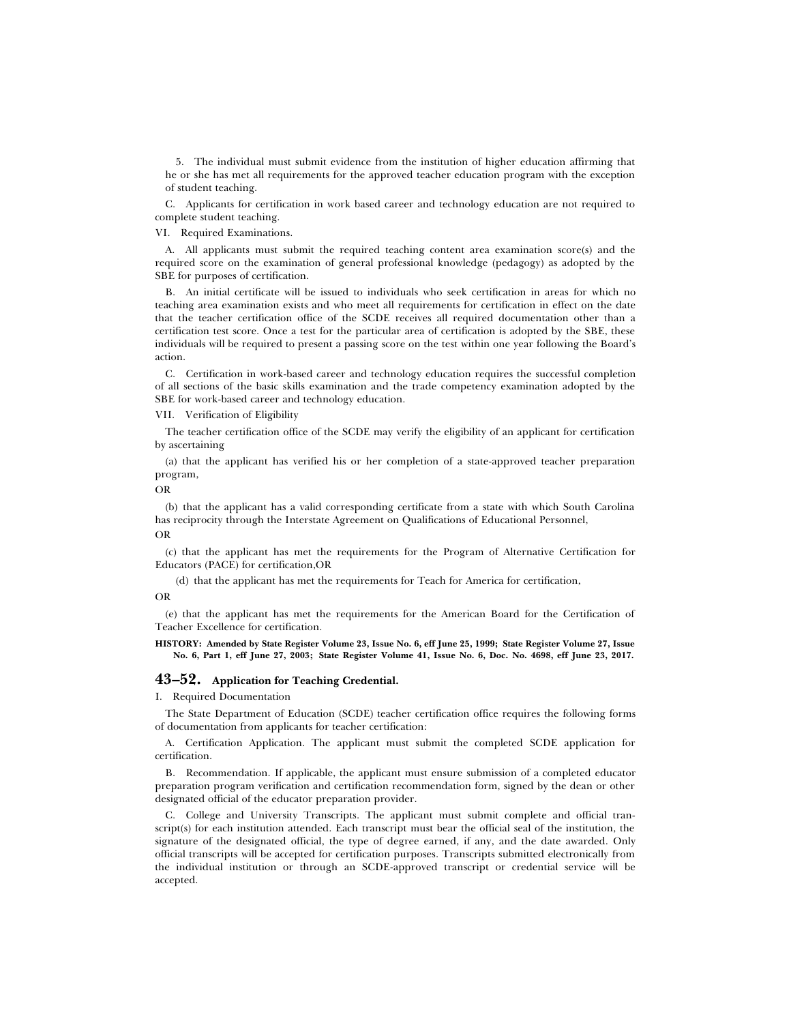5. The individual must submit evidence from the institution of higher education affirming that he or she has met all requirements for the approved teacher education program with the exception of student teaching.

C. Applicants for certification in work based career and technology education are not required to complete student teaching.

VI. Required Examinations.

A. All applicants must submit the required teaching content area examination score(s) and the required score on the examination of general professional knowledge (pedagogy) as adopted by the SBE for purposes of certification.

B. An initial certificate will be issued to individuals who seek certification in areas for which no teaching area examination exists and who meet all requirements for certification in effect on the date that the teacher certification office of the SCDE receives all required documentation other than a certification test score. Once a test for the particular area of certification is adopted by the SBE, these individuals will be required to present a passing score on the test within one year following the Board's action.

C. Certification in work-based career and technology education requires the successful completion of all sections of the basic skills examination and the trade competency examination adopted by the SBE for work-based career and technology education.

VII. Verification of Eligibility

The teacher certification office of the SCDE may verify the eligibility of an applicant for certification by ascertaining

(a) that the applicant has verified his or her completion of a state-approved teacher preparation program,

OR

(b) that the applicant has a valid corresponding certificate from a state with which South Carolina has reciprocity through the Interstate Agreement on Qualifications of Educational Personnel, OR

(c) that the applicant has met the requirements for the Program of Alternative Certification for Educators (PACE) for certification,OR

(d) that the applicant has met the requirements for Teach for America for certification,

OR

(e) that the applicant has met the requirements for the American Board for the Certification of Teacher Excellence for certification.

**HISTORY: Amended by State Register Volume 23, Issue No. 6, eff June 25, 1999; State Register Volume 27, Issue No. 6, Part 1, eff June 27, 2003; State Register Volume 41, Issue No. 6, Doc. No. 4698, eff June 23, 2017.**

# **43–52. Application for Teaching Credential.**

I. Required Documentation

The State Department of Education (SCDE) teacher certification office requires the following forms of documentation from applicants for teacher certification:

A. Certification Application. The applicant must submit the completed SCDE application for certification.

B. Recommendation. If applicable, the applicant must ensure submission of a completed educator preparation program verification and certification recommendation form, signed by the dean or other designated official of the educator preparation provider.

C. College and University Transcripts. The applicant must submit complete and official transcript(s) for each institution attended. Each transcript must bear the official seal of the institution, the signature of the designated official, the type of degree earned, if any, and the date awarded. Only official transcripts will be accepted for certification purposes. Transcripts submitted electronically from the individual institution or through an SCDE-approved transcript or credential service will be accepted.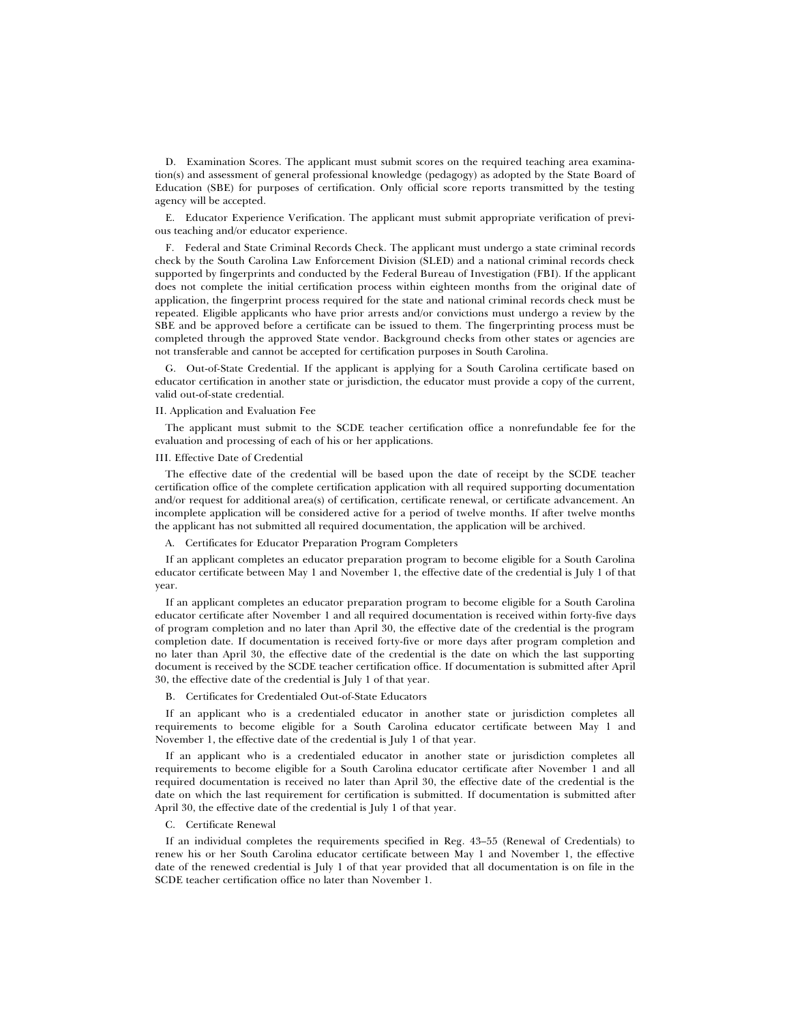D. Examination Scores. The applicant must submit scores on the required teaching area examination(s) and assessment of general professional knowledge (pedagogy) as adopted by the State Board of Education (SBE) for purposes of certification. Only official score reports transmitted by the testing agency will be accepted.

E. Educator Experience Verification. The applicant must submit appropriate verification of previous teaching and/or educator experience.

F. Federal and State Criminal Records Check. The applicant must undergo a state criminal records check by the South Carolina Law Enforcement Division (SLED) and a national criminal records check supported by fingerprints and conducted by the Federal Bureau of Investigation (FBI). If the applicant does not complete the initial certification process within eighteen months from the original date of application, the fingerprint process required for the state and national criminal records check must be repeated. Eligible applicants who have prior arrests and/or convictions must undergo a review by the SBE and be approved before a certificate can be issued to them. The fingerprinting process must be completed through the approved State vendor. Background checks from other states or agencies are not transferable and cannot be accepted for certification purposes in South Carolina.

G. Out-of-State Credential. If the applicant is applying for a South Carolina certificate based on educator certification in another state or jurisdiction, the educator must provide a copy of the current, valid out-of-state credential.

#### II. Application and Evaluation Fee

The applicant must submit to the SCDE teacher certification office a nonrefundable fee for the evaluation and processing of each of his or her applications.

#### III. Effective Date of Credential

The effective date of the credential will be based upon the date of receipt by the SCDE teacher certification office of the complete certification application with all required supporting documentation and/or request for additional area(s) of certification, certificate renewal, or certificate advancement. An incomplete application will be considered active for a period of twelve months. If after twelve months the applicant has not submitted all required documentation, the application will be archived.

A. Certificates for Educator Preparation Program Completers

If an applicant completes an educator preparation program to become eligible for a South Carolina educator certificate between May 1 and November 1, the effective date of the credential is July 1 of that year.

If an applicant completes an educator preparation program to become eligible for a South Carolina educator certificate after November 1 and all required documentation is received within forty-five days of program completion and no later than April 30, the effective date of the credential is the program completion date. If documentation is received forty-five or more days after program completion and no later than April 30, the effective date of the credential is the date on which the last supporting document is received by the SCDE teacher certification office. If documentation is submitted after April 30, the effective date of the credential is July 1 of that year.

#### B. Certificates for Credentialed Out-of-State Educators

If an applicant who is a credentialed educator in another state or jurisdiction completes all requirements to become eligible for a South Carolina educator certificate between May 1 and November 1, the effective date of the credential is July 1 of that year.

If an applicant who is a credentialed educator in another state or jurisdiction completes all requirements to become eligible for a South Carolina educator certificate after November 1 and all required documentation is received no later than April 30, the effective date of the credential is the date on which the last requirement for certification is submitted. If documentation is submitted after April 30, the effective date of the credential is July 1 of that year.

### C. Certificate Renewal

If an individual completes the requirements specified in Reg. 43–55 (Renewal of Credentials) to renew his or her South Carolina educator certificate between May 1 and November 1, the effective date of the renewed credential is July 1 of that year provided that all documentation is on file in the SCDE teacher certification office no later than November 1.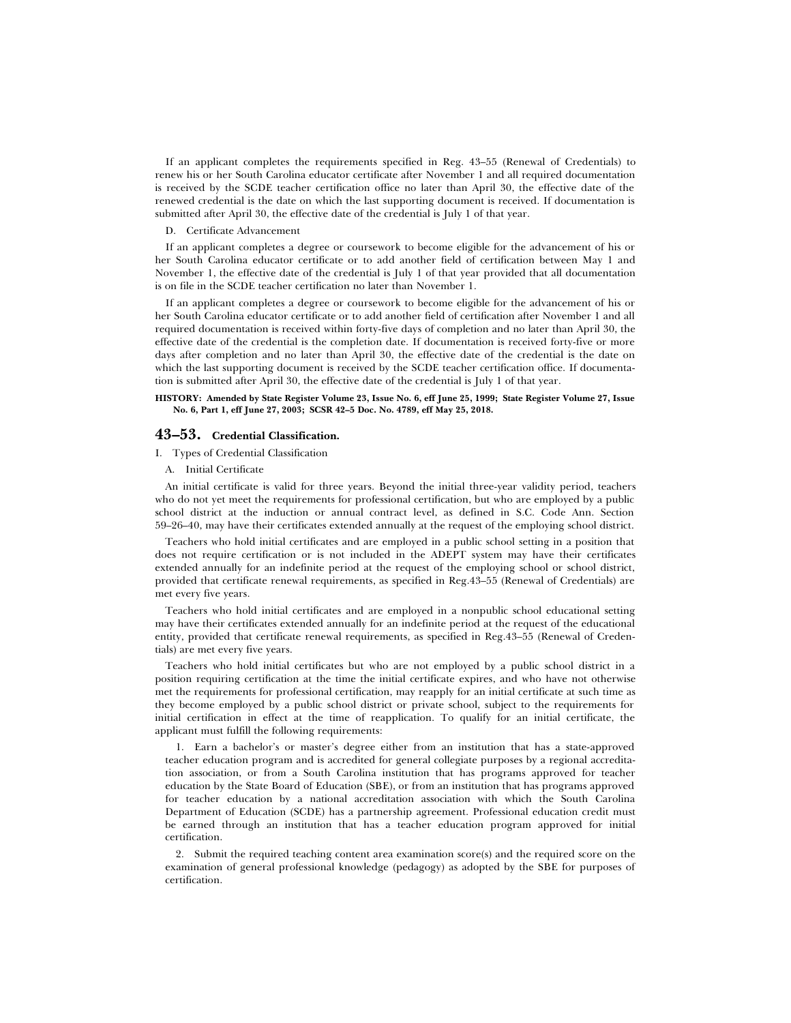If an applicant completes the requirements specified in Reg. 43–55 (Renewal of Credentials) to renew his or her South Carolina educator certificate after November 1 and all required documentation is received by the SCDE teacher certification office no later than April 30, the effective date of the renewed credential is the date on which the last supporting document is received. If documentation is submitted after April 30, the effective date of the credential is July 1 of that year.

D. Certificate Advancement

If an applicant completes a degree or coursework to become eligible for the advancement of his or her South Carolina educator certificate or to add another field of certification between May 1 and November 1, the effective date of the credential is July 1 of that year provided that all documentation is on file in the SCDE teacher certification no later than November 1.

If an applicant completes a degree or coursework to become eligible for the advancement of his or her South Carolina educator certificate or to add another field of certification after November 1 and all required documentation is received within forty-five days of completion and no later than April 30, the effective date of the credential is the completion date. If documentation is received forty-five or more days after completion and no later than April 30, the effective date of the credential is the date on which the last supporting document is received by the SCDE teacher certification office. If documentation is submitted after April 30, the effective date of the credential is July 1 of that year.

#### **HISTORY: Amended by State Register Volume 23, Issue No. 6, eff June 25, 1999; State Register Volume 27, Issue No. 6, Part 1, eff June 27, 2003; SCSR 42–5 Doc. No. 4789, eff May 25, 2018.**

### **43–53. Credential Classification.**

I. Types of Credential Classification

A. Initial Certificate

An initial certificate is valid for three years. Beyond the initial three-year validity period, teachers who do not yet meet the requirements for professional certification, but who are employed by a public school district at the induction or annual contract level, as defined in S.C. Code Ann. Section 59–26–40, may have their certificates extended annually at the request of the employing school district.

Teachers who hold initial certificates and are employed in a public school setting in a position that does not require certification or is not included in the ADEPT system may have their certificates extended annually for an indefinite period at the request of the employing school or school district, provided that certificate renewal requirements, as specified in Reg.43–55 (Renewal of Credentials) are met every five years.

Teachers who hold initial certificates and are employed in a nonpublic school educational setting may have their certificates extended annually for an indefinite period at the request of the educational entity, provided that certificate renewal requirements, as specified in Reg.43–55 (Renewal of Credentials) are met every five years.

Teachers who hold initial certificates but who are not employed by a public school district in a position requiring certification at the time the initial certificate expires, and who have not otherwise met the requirements for professional certification, may reapply for an initial certificate at such time as they become employed by a public school district or private school, subject to the requirements for initial certification in effect at the time of reapplication. To qualify for an initial certificate, the applicant must fulfill the following requirements:

1. Earn a bachelor's or master's degree either from an institution that has a state-approved teacher education program and is accredited for general collegiate purposes by a regional accreditation association, or from a South Carolina institution that has programs approved for teacher education by the State Board of Education (SBE), or from an institution that has programs approved for teacher education by a national accreditation association with which the South Carolina Department of Education (SCDE) has a partnership agreement. Professional education credit must be earned through an institution that has a teacher education program approved for initial certification.

2. Submit the required teaching content area examination score(s) and the required score on the examination of general professional knowledge (pedagogy) as adopted by the SBE for purposes of certification.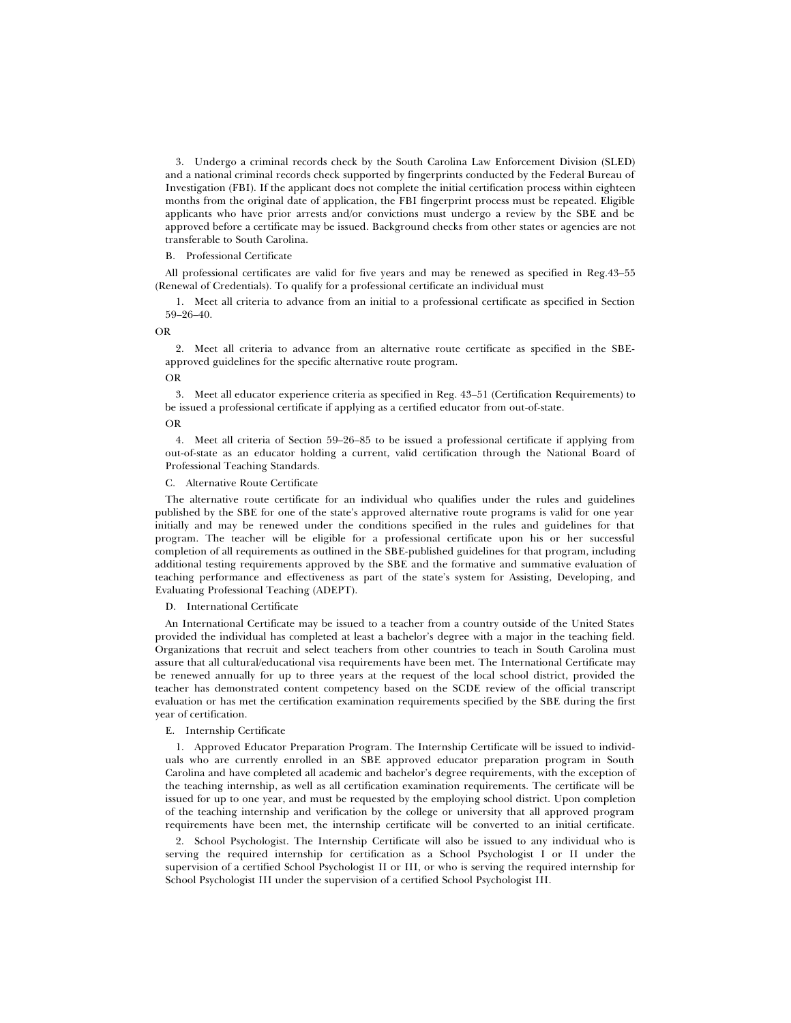3. Undergo a criminal records check by the South Carolina Law Enforcement Division (SLED) and a national criminal records check supported by fingerprints conducted by the Federal Bureau of Investigation (FBI). If the applicant does not complete the initial certification process within eighteen months from the original date of application, the FBI fingerprint process must be repeated. Eligible applicants who have prior arrests and/or convictions must undergo a review by the SBE and be approved before a certificate may be issued. Background checks from other states or agencies are not transferable to South Carolina.

### B. Professional Certificate

All professional certificates are valid for five years and may be renewed as specified in Reg.43–55 (Renewal of Credentials). To qualify for a professional certificate an individual must

1. Meet all criteria to advance from an initial to a professional certificate as specified in Section 59–26–40.

OR

2. Meet all criteria to advance from an alternative route certificate as specified in the SBEapproved guidelines for the specific alternative route program.

OR

3. Meet all educator experience criteria as specified in Reg. 43–51 (Certification Requirements) to be issued a professional certificate if applying as a certified educator from out-of-state.

OR

4. Meet all criteria of Section 59–26–85 to be issued a professional certificate if applying from out-of-state as an educator holding a current, valid certification through the National Board of Professional Teaching Standards.

C. Alternative Route Certificate

The alternative route certificate for an individual who qualifies under the rules and guidelines published by the SBE for one of the state's approved alternative route programs is valid for one year initially and may be renewed under the conditions specified in the rules and guidelines for that program. The teacher will be eligible for a professional certificate upon his or her successful completion of all requirements as outlined in the SBE-published guidelines for that program, including additional testing requirements approved by the SBE and the formative and summative evaluation of teaching performance and effectiveness as part of the state's system for Assisting, Developing, and Evaluating Professional Teaching (ADEPT).

#### International Certificate

An International Certificate may be issued to a teacher from a country outside of the United States provided the individual has completed at least a bachelor's degree with a major in the teaching field. Organizations that recruit and select teachers from other countries to teach in South Carolina must assure that all cultural/educational visa requirements have been met. The International Certificate may be renewed annually for up to three years at the request of the local school district, provided the teacher has demonstrated content competency based on the SCDE review of the official transcript evaluation or has met the certification examination requirements specified by the SBE during the first year of certification.

#### E. Internship Certificate

1. Approved Educator Preparation Program. The Internship Certificate will be issued to individuals who are currently enrolled in an SBE approved educator preparation program in South Carolina and have completed all academic and bachelor's degree requirements, with the exception of the teaching internship, as well as all certification examination requirements. The certificate will be issued for up to one year, and must be requested by the employing school district. Upon completion of the teaching internship and verification by the college or university that all approved program requirements have been met, the internship certificate will be converted to an initial certificate.

2. School Psychologist. The Internship Certificate will also be issued to any individual who is serving the required internship for certification as a School Psychologist I or II under the supervision of a certified School Psychologist II or III, or who is serving the required internship for School Psychologist III under the supervision of a certified School Psychologist III.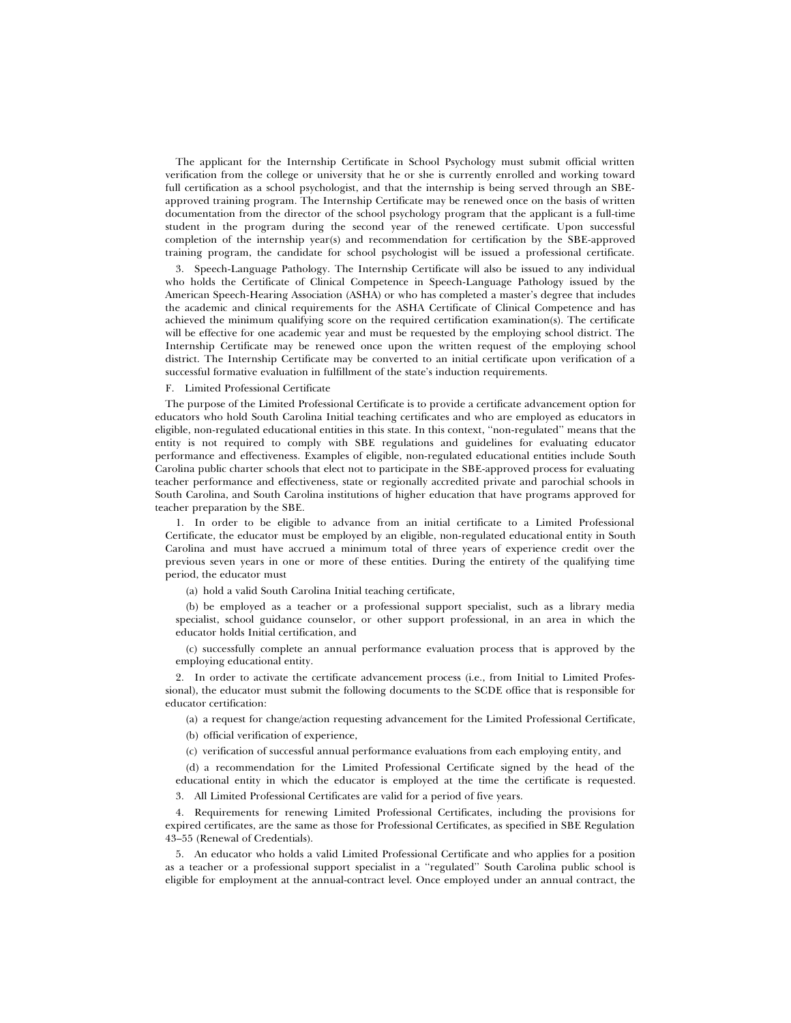The applicant for the Internship Certificate in School Psychology must submit official written verification from the college or university that he or she is currently enrolled and working toward full certification as a school psychologist, and that the internship is being served through an SBEapproved training program. The Internship Certificate may be renewed once on the basis of written documentation from the director of the school psychology program that the applicant is a full-time student in the program during the second year of the renewed certificate. Upon successful completion of the internship year(s) and recommendation for certification by the SBE-approved training program, the candidate for school psychologist will be issued a professional certificate.

3. Speech-Language Pathology. The Internship Certificate will also be issued to any individual who holds the Certificate of Clinical Competence in Speech-Language Pathology issued by the American Speech-Hearing Association (ASHA) or who has completed a master's degree that includes the academic and clinical requirements for the ASHA Certificate of Clinical Competence and has achieved the minimum qualifying score on the required certification examination(s). The certificate will be effective for one academic year and must be requested by the employing school district. The Internship Certificate may be renewed once upon the written request of the employing school district. The Internship Certificate may be converted to an initial certificate upon verification of a successful formative evaluation in fulfillment of the state's induction requirements.

#### F. Limited Professional Certificate

The purpose of the Limited Professional Certificate is to provide a certificate advancement option for educators who hold South Carolina Initial teaching certificates and who are employed as educators in eligible, non-regulated educational entities in this state. In this context, ''non-regulated'' means that the entity is not required to comply with SBE regulations and guidelines for evaluating educator performance and effectiveness. Examples of eligible, non-regulated educational entities include South Carolina public charter schools that elect not to participate in the SBE-approved process for evaluating teacher performance and effectiveness, state or regionally accredited private and parochial schools in South Carolina, and South Carolina institutions of higher education that have programs approved for teacher preparation by the SBE.

1. In order to be eligible to advance from an initial certificate to a Limited Professional Certificate, the educator must be employed by an eligible, non-regulated educational entity in South Carolina and must have accrued a minimum total of three years of experience credit over the previous seven years in one or more of these entities. During the entirety of the qualifying time period, the educator must

(a) hold a valid South Carolina Initial teaching certificate,

(b) be employed as a teacher or a professional support specialist, such as a library media specialist, school guidance counselor, or other support professional, in an area in which the educator holds Initial certification, and

(c) successfully complete an annual performance evaluation process that is approved by the employing educational entity.

2. In order to activate the certificate advancement process (i.e., from Initial to Limited Professional), the educator must submit the following documents to the SCDE office that is responsible for educator certification:

(a) a request for change/action requesting advancement for the Limited Professional Certificate,

(b) official verification of experience,

(c) verification of successful annual performance evaluations from each employing entity, and

(d) a recommendation for the Limited Professional Certificate signed by the head of the educational entity in which the educator is employed at the time the certificate is requested.

3. All Limited Professional Certificates are valid for a period of five years.

4. Requirements for renewing Limited Professional Certificates, including the provisions for expired certificates, are the same as those for Professional Certificates, as specified in SBE Regulation 43–55 (Renewal of Credentials).

5. An educator who holds a valid Limited Professional Certificate and who applies for a position as a teacher or a professional support specialist in a ''regulated'' South Carolina public school is eligible for employment at the annual-contract level. Once employed under an annual contract, the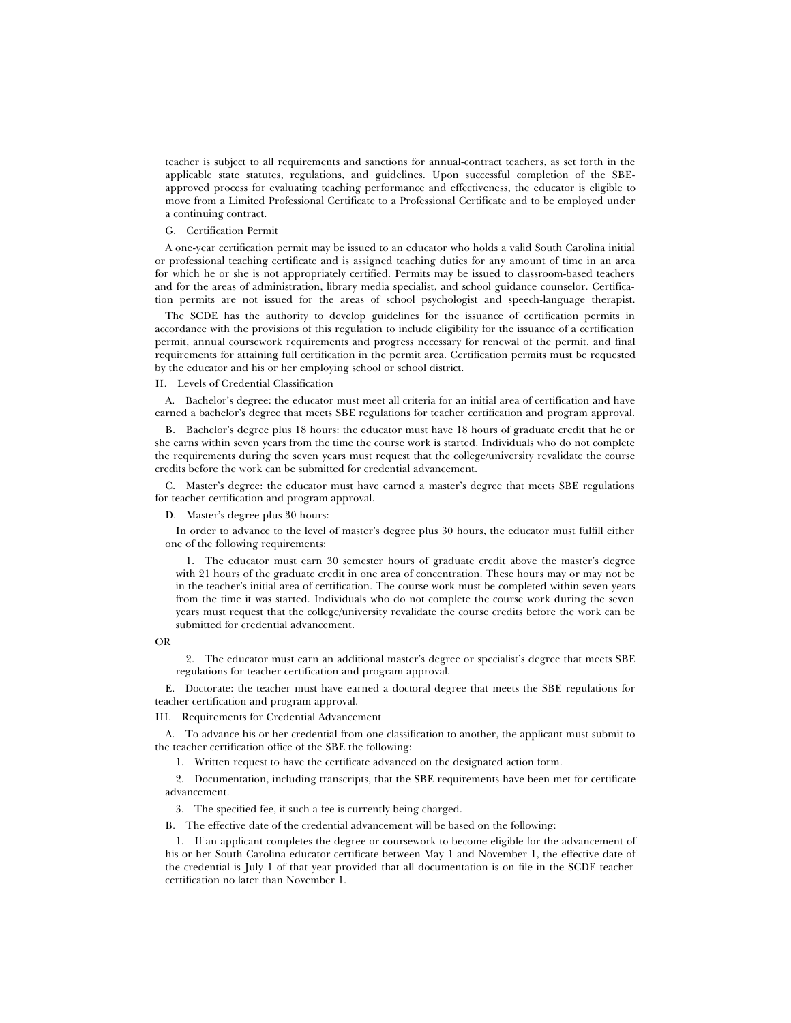teacher is subject to all requirements and sanctions for annual-contract teachers, as set forth in the applicable state statutes, regulations, and guidelines. Upon successful completion of the SBEapproved process for evaluating teaching performance and effectiveness, the educator is eligible to move from a Limited Professional Certificate to a Professional Certificate and to be employed under a continuing contract.

#### G. Certification Permit

A one-year certification permit may be issued to an educator who holds a valid South Carolina initial or professional teaching certificate and is assigned teaching duties for any amount of time in an area for which he or she is not appropriately certified. Permits may be issued to classroom-based teachers and for the areas of administration, library media specialist, and school guidance counselor. Certification permits are not issued for the areas of school psychologist and speech-language therapist.

The SCDE has the authority to develop guidelines for the issuance of certification permits in accordance with the provisions of this regulation to include eligibility for the issuance of a certification permit, annual coursework requirements and progress necessary for renewal of the permit, and final requirements for attaining full certification in the permit area. Certification permits must be requested by the educator and his or her employing school or school district.

### II. Levels of Credential Classification

A. Bachelor's degree: the educator must meet all criteria for an initial area of certification and have earned a bachelor's degree that meets SBE regulations for teacher certification and program approval.

B. Bachelor's degree plus 18 hours: the educator must have 18 hours of graduate credit that he or she earns within seven years from the time the course work is started. Individuals who do not complete the requirements during the seven years must request that the college/university revalidate the course credits before the work can be submitted for credential advancement.

C. Master's degree: the educator must have earned a master's degree that meets SBE regulations for teacher certification and program approval.

D. Master's degree plus 30 hours:

In order to advance to the level of master's degree plus 30 hours, the educator must fulfill either one of the following requirements:

1. The educator must earn 30 semester hours of graduate credit above the master's degree with 21 hours of the graduate credit in one area of concentration. These hours may or may not be in the teacher's initial area of certification. The course work must be completed within seven years from the time it was started. Individuals who do not complete the course work during the seven years must request that the college/university revalidate the course credits before the work can be submitted for credential advancement.

OR

2. The educator must earn an additional master's degree or specialist's degree that meets SBE regulations for teacher certification and program approval.

E. Doctorate: the teacher must have earned a doctoral degree that meets the SBE regulations for teacher certification and program approval.

III. Requirements for Credential Advancement

A. To advance his or her credential from one classification to another, the applicant must submit to the teacher certification office of the SBE the following:

1. Written request to have the certificate advanced on the designated action form.

2. Documentation, including transcripts, that the SBE requirements have been met for certificate advancement.

3. The specified fee, if such a fee is currently being charged.

B. The effective date of the credential advancement will be based on the following:

1. If an applicant completes the degree or coursework to become eligible for the advancement of his or her South Carolina educator certificate between May 1 and November 1, the effective date of the credential is July 1 of that year provided that all documentation is on file in the SCDE teacher certification no later than November 1.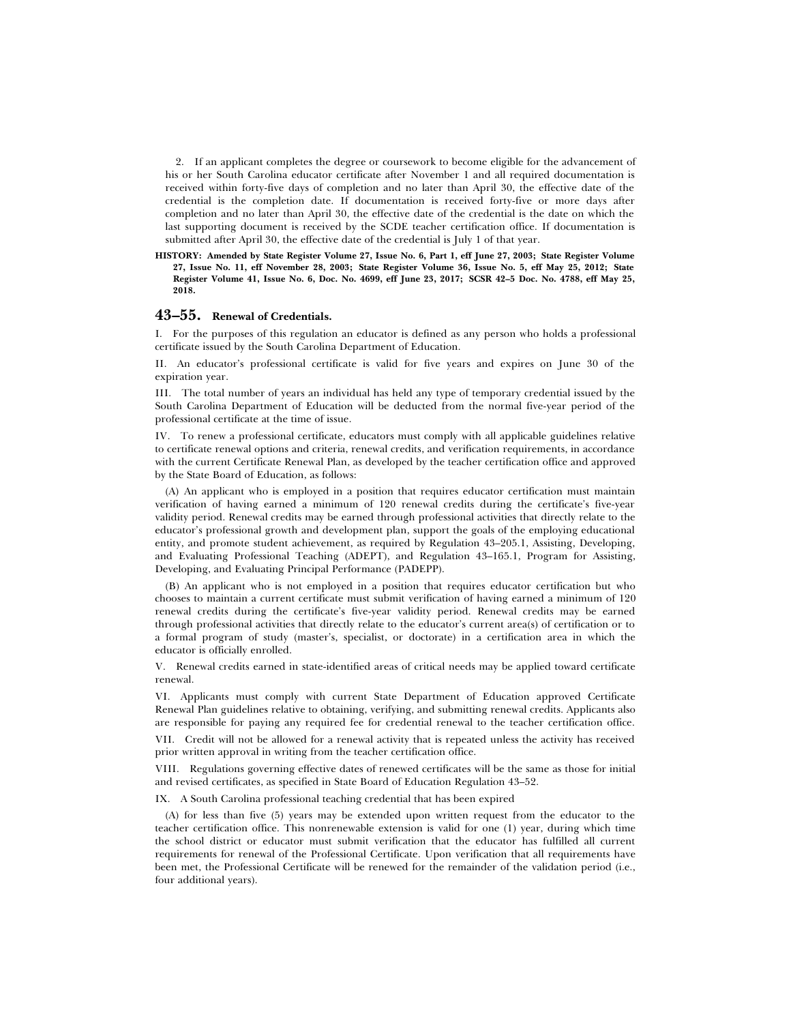2. If an applicant completes the degree or coursework to become eligible for the advancement of his or her South Carolina educator certificate after November 1 and all required documentation is received within forty-five days of completion and no later than April 30, the effective date of the credential is the completion date. If documentation is received forty-five or more days after completion and no later than April 30, the effective date of the credential is the date on which the last supporting document is received by the SCDE teacher certification office. If documentation is submitted after April 30, the effective date of the credential is July 1 of that year.

**HISTORY: Amended by State Register Volume 27, Issue No. 6, Part 1, eff June 27, 2003; State Register Volume 27, Issue No. 11, eff November 28, 2003; State Register Volume 36, Issue No. 5, eff May 25, 2012; State Register Volume 41, Issue No. 6, Doc. No. 4699, eff June 23, 2017; SCSR 42–5 Doc. No. 4788, eff May 25, 2018.**

# **43–55. Renewal of Credentials.**

I. For the purposes of this regulation an educator is defined as any person who holds a professional certificate issued by the South Carolina Department of Education.

II. An educator's professional certificate is valid for five years and expires on June 30 of the expiration year.

III. The total number of years an individual has held any type of temporary credential issued by the South Carolina Department of Education will be deducted from the normal five-year period of the professional certificate at the time of issue.

IV. To renew a professional certificate, educators must comply with all applicable guidelines relative to certificate renewal options and criteria, renewal credits, and verification requirements, in accordance with the current Certificate Renewal Plan, as developed by the teacher certification office and approved by the State Board of Education, as follows:

(A) An applicant who is employed in a position that requires educator certification must maintain verification of having earned a minimum of 120 renewal credits during the certificate's five-year validity period. Renewal credits may be earned through professional activities that directly relate to the educator's professional growth and development plan, support the goals of the employing educational entity, and promote student achievement, as required by Regulation 43–205.1, Assisting, Developing, and Evaluating Professional Teaching (ADEPT), and Regulation 43–165.1, Program for Assisting, Developing, and Evaluating Principal Performance (PADEPP).

(B) An applicant who is not employed in a position that requires educator certification but who chooses to maintain a current certificate must submit verification of having earned a minimum of 120 renewal credits during the certificate's five-year validity period. Renewal credits may be earned through professional activities that directly relate to the educator's current area(s) of certification or to a formal program of study (master's, specialist, or doctorate) in a certification area in which the educator is officially enrolled.

V. Renewal credits earned in state-identified areas of critical needs may be applied toward certificate renewal.

VI. Applicants must comply with current State Department of Education approved Certificate Renewal Plan guidelines relative to obtaining, verifying, and submitting renewal credits. Applicants also are responsible for paying any required fee for credential renewal to the teacher certification office.

VII. Credit will not be allowed for a renewal activity that is repeated unless the activity has received prior written approval in writing from the teacher certification office.

VIII. Regulations governing effective dates of renewed certificates will be the same as those for initial and revised certificates, as specified in State Board of Education Regulation 43–52.

IX. A South Carolina professional teaching credential that has been expired

(A) for less than five (5) years may be extended upon written request from the educator to the teacher certification office. This nonrenewable extension is valid for one (1) year, during which time the school district or educator must submit verification that the educator has fulfilled all current requirements for renewal of the Professional Certificate. Upon verification that all requirements have been met, the Professional Certificate will be renewed for the remainder of the validation period (i.e., four additional years).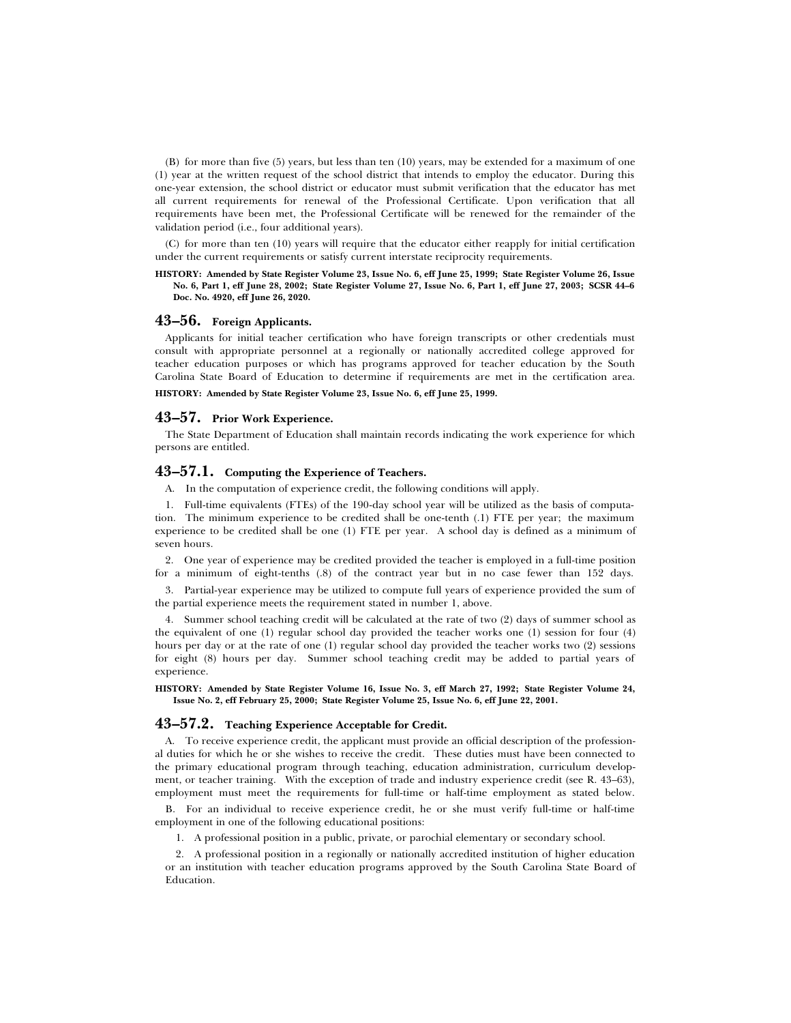(B) for more than five (5) years, but less than ten (10) years, may be extended for a maximum of one (1) year at the written request of the school district that intends to employ the educator. During this one-year extension, the school district or educator must submit verification that the educator has met all current requirements for renewal of the Professional Certificate. Upon verification that all requirements have been met, the Professional Certificate will be renewed for the remainder of the validation period (i.e., four additional years).

(C) for more than ten (10) years will require that the educator either reapply for initial certification under the current requirements or satisfy current interstate reciprocity requirements.

#### **HISTORY: Amended by State Register Volume 23, Issue No. 6, eff June 25, 1999; State Register Volume 26, Issue No. 6, Part 1, eff June 28, 2002; State Register Volume 27, Issue No. 6, Part 1, eff June 27, 2003; SCSR 44–6 Doc. No. 4920, eff June 26, 2020.**

# **43–56. Foreign Applicants.**

Applicants for initial teacher certification who have foreign transcripts or other credentials must consult with appropriate personnel at a regionally or nationally accredited college approved for teacher education purposes or which has programs approved for teacher education by the South Carolina State Board of Education to determine if requirements are met in the certification area.

**HISTORY: Amended by State Register Volume 23, Issue No. 6, eff June 25, 1999.**

### **43–57. Prior Work Experience.**

The State Department of Education shall maintain records indicating the work experience for which persons are entitled.

# **43–57.1. Computing the Experience of Teachers.**

A. In the computation of experience credit, the following conditions will apply.

1. Full-time equivalents (FTEs) of the 190-day school year will be utilized as the basis of computation. The minimum experience to be credited shall be one-tenth (.1) FTE per year; the maximum experience to be credited shall be one (1) FTE per year. A school day is defined as a minimum of seven hours.

2. One year of experience may be credited provided the teacher is employed in a full-time position for a minimum of eight-tenths (.8) of the contract year but in no case fewer than 152 days.

3. Partial-year experience may be utilized to compute full years of experience provided the sum of the partial experience meets the requirement stated in number 1, above.

4. Summer school teaching credit will be calculated at the rate of two (2) days of summer school as the equivalent of one (1) regular school day provided the teacher works one (1) session for four (4) hours per day or at the rate of one (1) regular school day provided the teacher works two (2) sessions for eight (8) hours per day. Summer school teaching credit may be added to partial years of experience.

**HISTORY: Amended by State Register Volume 16, Issue No. 3, eff March 27, 1992; State Register Volume 24, Issue No. 2, eff February 25, 2000; State Register Volume 25, Issue No. 6, eff June 22, 2001.**

# **43–57.2. Teaching Experience Acceptable for Credit.**

A. To receive experience credit, the applicant must provide an official description of the professional duties for which he or she wishes to receive the credit. These duties must have been connected to the primary educational program through teaching, education administration, curriculum development, or teacher training. With the exception of trade and industry experience credit (see R. 43–63), employment must meet the requirements for full-time or half-time employment as stated below.

B. For an individual to receive experience credit, he or she must verify full-time or half-time employment in one of the following educational positions:

1. A professional position in a public, private, or parochial elementary or secondary school.

2. A professional position in a regionally or nationally accredited institution of higher education or an institution with teacher education programs approved by the South Carolina State Board of Education.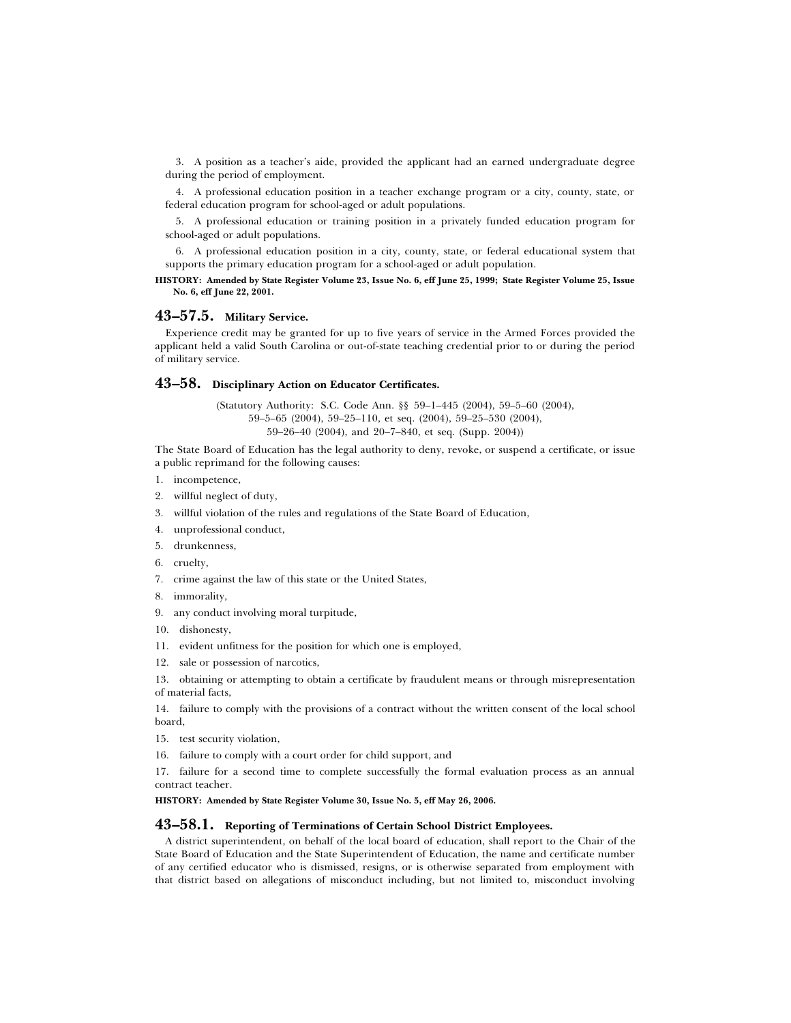3. A position as a teacher's aide, provided the applicant had an earned undergraduate degree during the period of employment.

4. A professional education position in a teacher exchange program or a city, county, state, or federal education program for school-aged or adult populations.

5. A professional education or training position in a privately funded education program for school-aged or adult populations.

6. A professional education position in a city, county, state, or federal educational system that supports the primary education program for a school-aged or adult population.

**HISTORY: Amended by State Register Volume 23, Issue No. 6, eff June 25, 1999; State Register Volume 25, Issue No. 6, eff June 22, 2001.**

# **43–57.5. Military Service.**

Experience credit may be granted for up to five years of service in the Armed Forces provided the applicant held a valid South Carolina or out-of-state teaching credential prior to or during the period of military service.

### **43–58. Disciplinary Action on Educator Certificates.**

(Statutory Authority: S.C. Code Ann. §§ 59–1–445 (2004), 59–5–60 (2004), 59–5–65 (2004), 59–25–110, et seq. (2004), 59–25–530 (2004), 59–26–40 (2004), and 20–7–840, et seq. (Supp. 2004))

The State Board of Education has the legal authority to deny, revoke, or suspend a certificate, or issue a public reprimand for the following causes:

- 1. incompetence,
- 2. willful neglect of duty,
- 3. willful violation of the rules and regulations of the State Board of Education,
- 4. unprofessional conduct,
- 5. drunkenness,
- 6. cruelty,
- 7. crime against the law of this state or the United States,
- 8. immorality,
- 9. any conduct involving moral turpitude,
- 10. dishonesty,
- 11. evident unfitness for the position for which one is employed,
- 12. sale or possession of narcotics,

13. obtaining or attempting to obtain a certificate by fraudulent means or through misrepresentation of material facts,

14. failure to comply with the provisions of a contract without the written consent of the local school board,

- 15. test security violation,
- 16. failure to comply with a court order for child support, and

17. failure for a second time to complete successfully the formal evaluation process as an annual contract teacher.

**HISTORY: Amended by State Register Volume 30, Issue No. 5, eff May 26, 2006.**

### **43–58.1. Reporting of Terminations of Certain School District Employees.**

A district superintendent, on behalf of the local board of education, shall report to the Chair of the State Board of Education and the State Superintendent of Education, the name and certificate number of any certified educator who is dismissed, resigns, or is otherwise separated from employment with that district based on allegations of misconduct including, but not limited to, misconduct involving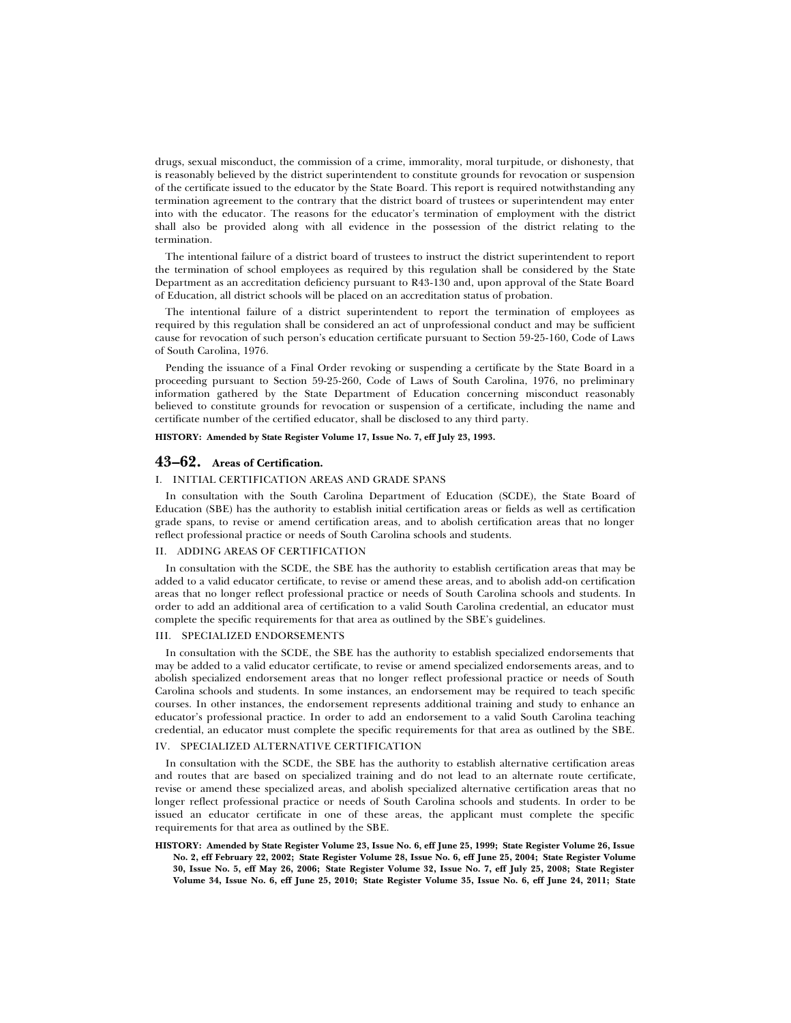drugs, sexual misconduct, the commission of a crime, immorality, moral turpitude, or dishonesty, that is reasonably believed by the district superintendent to constitute grounds for revocation or suspension of the certificate issued to the educator by the State Board. This report is required notwithstanding any termination agreement to the contrary that the district board of trustees or superintendent may enter into with the educator. The reasons for the educator's termination of employment with the district shall also be provided along with all evidence in the possession of the district relating to the termination.

The intentional failure of a district board of trustees to instruct the district superintendent to report the termination of school employees as required by this regulation shall be considered by the State Department as an accreditation deficiency pursuant to R43-130 and, upon approval of the State Board of Education, all district schools will be placed on an accreditation status of probation.

The intentional failure of a district superintendent to report the termination of employees as required by this regulation shall be considered an act of unprofessional conduct and may be sufficient cause for revocation of such person's education certificate pursuant to Section 59-25-160, Code of Laws of South Carolina, 1976.

Pending the issuance of a Final Order revoking or suspending a certificate by the State Board in a proceeding pursuant to Section 59-25-260, Code of Laws of South Carolina, 1976, no preliminary information gathered by the State Department of Education concerning misconduct reasonably believed to constitute grounds for revocation or suspension of a certificate, including the name and certificate number of the certified educator, shall be disclosed to any third party.

**HISTORY: Amended by State Register Volume 17, Issue No. 7, eff July 23, 1993.**

### **43–62. Areas of Certification.**

#### I. INITIAL CERTIFICATION AREAS AND GRADE SPANS

In consultation with the South Carolina Department of Education (SCDE), the State Board of Education (SBE) has the authority to establish initial certification areas or fields as well as certification grade spans, to revise or amend certification areas, and to abolish certification areas that no longer reflect professional practice or needs of South Carolina schools and students.

#### II. ADDING AREAS OF CERTIFICATION

In consultation with the SCDE, the SBE has the authority to establish certification areas that may be added to a valid educator certificate, to revise or amend these areas, and to abolish add-on certification areas that no longer reflect professional practice or needs of South Carolina schools and students. In order to add an additional area of certification to a valid South Carolina credential, an educator must complete the specific requirements for that area as outlined by the SBE's guidelines.

#### III. SPECIALIZED ENDORSEMENTS

In consultation with the SCDE, the SBE has the authority to establish specialized endorsements that may be added to a valid educator certificate, to revise or amend specialized endorsements areas, and to abolish specialized endorsement areas that no longer reflect professional practice or needs of South Carolina schools and students. In some instances, an endorsement may be required to teach specific courses. In other instances, the endorsement represents additional training and study to enhance an educator's professional practice. In order to add an endorsement to a valid South Carolina teaching credential, an educator must complete the specific requirements for that area as outlined by the SBE.

### IV. SPECIALIZED ALTERNATIVE CERTIFICATION

In consultation with the SCDE, the SBE has the authority to establish alternative certification areas and routes that are based on specialized training and do not lead to an alternate route certificate, revise or amend these specialized areas, and abolish specialized alternative certification areas that no longer reflect professional practice or needs of South Carolina schools and students. In order to be issued an educator certificate in one of these areas, the applicant must complete the specific requirements for that area as outlined by the SBE.

**HISTORY: Amended by State Register Volume 23, Issue No. 6, eff June 25, 1999; State Register Volume 26, Issue No. 2, eff February 22, 2002; State Register Volume 28, Issue No. 6, eff June 25, 2004; State Register Volume 30, Issue No. 5, eff May 26, 2006; State Register Volume 32, Issue No. 7, eff July 25, 2008; State Register Volume 34, Issue No. 6, eff June 25, 2010; State Register Volume 35, Issue No. 6, eff June 24, 2011; State**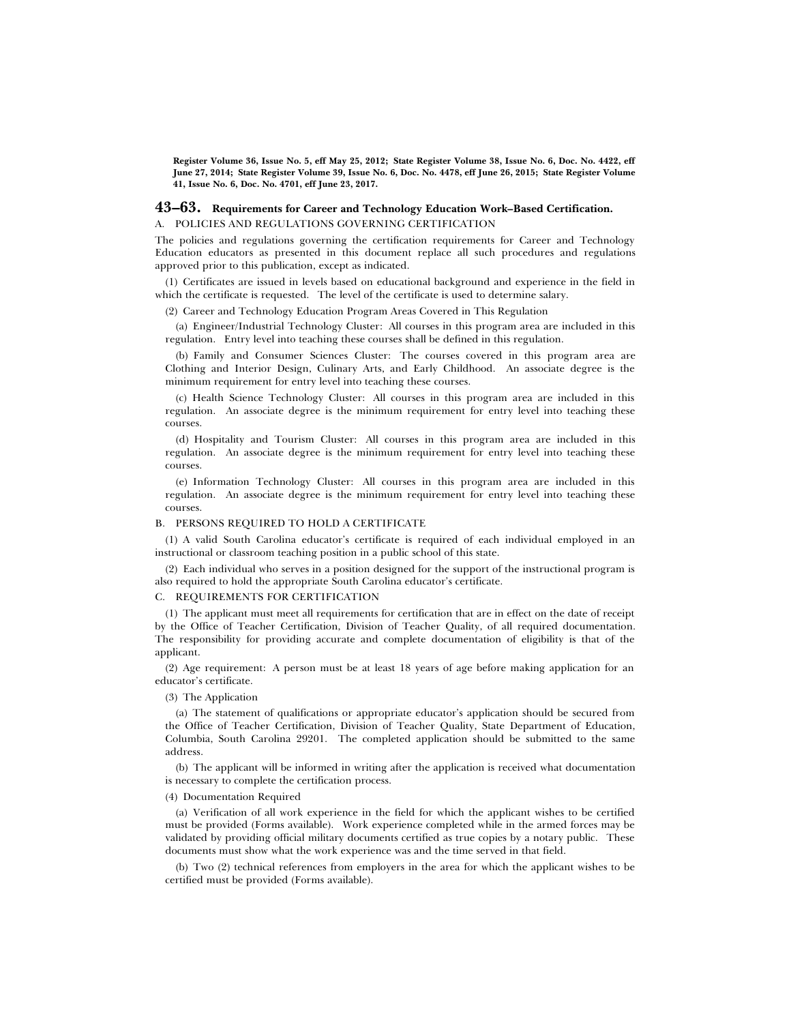**Register Volume 36, Issue No. 5, eff May 25, 2012; State Register Volume 38, Issue No. 6, Doc. No. 4422, eff June 27, 2014; State Register Volume 39, Issue No. 6, Doc. No. 4478, eff June 26, 2015; State Register Volume 41, Issue No. 6, Doc. No. 4701, eff June 23, 2017.**

### **43–63. Requirements for Career and Technology Education Work–Based Certification.**

#### A. POLICIES AND REGULATIONS GOVERNING CERTIFICATION

The policies and regulations governing the certification requirements for Career and Technology Education educators as presented in this document replace all such procedures and regulations approved prior to this publication, except as indicated.

(1) Certificates are issued in levels based on educational background and experience in the field in which the certificate is requested. The level of the certificate is used to determine salary.

(2) Career and Technology Education Program Areas Covered in This Regulation

(a) Engineer/Industrial Technology Cluster: All courses in this program area are included in this regulation. Entry level into teaching these courses shall be defined in this regulation.

(b) Family and Consumer Sciences Cluster: The courses covered in this program area are Clothing and Interior Design, Culinary Arts, and Early Childhood. An associate degree is the minimum requirement for entry level into teaching these courses.

(c) Health Science Technology Cluster: All courses in this program area are included in this regulation. An associate degree is the minimum requirement for entry level into teaching these courses.

(d) Hospitality and Tourism Cluster: All courses in this program area are included in this regulation. An associate degree is the minimum requirement for entry level into teaching these courses.

(e) Information Technology Cluster: All courses in this program area are included in this regulation. An associate degree is the minimum requirement for entry level into teaching these courses.

#### B. PERSONS REQUIRED TO HOLD A CERTIFICATE

(1) A valid South Carolina educator's certificate is required of each individual employed in an instructional or classroom teaching position in a public school of this state.

(2) Each individual who serves in a position designed for the support of the instructional program is also required to hold the appropriate South Carolina educator's certificate.

#### C. REQUIREMENTS FOR CERTIFICATION

(1) The applicant must meet all requirements for certification that are in effect on the date of receipt by the Office of Teacher Certification, Division of Teacher Quality, of all required documentation. The responsibility for providing accurate and complete documentation of eligibility is that of the applicant.

(2) Age requirement: A person must be at least 18 years of age before making application for an educator's certificate.

#### (3) The Application

(a) The statement of qualifications or appropriate educator's application should be secured from the Office of Teacher Certification, Division of Teacher Quality, State Department of Education, Columbia, South Carolina 29201. The completed application should be submitted to the same address.

(b) The applicant will be informed in writing after the application is received what documentation is necessary to complete the certification process.

#### (4) Documentation Required

(a) Verification of all work experience in the field for which the applicant wishes to be certified must be provided (Forms available). Work experience completed while in the armed forces may be validated by providing official military documents certified as true copies by a notary public. These documents must show what the work experience was and the time served in that field.

(b) Two (2) technical references from employers in the area for which the applicant wishes to be certified must be provided (Forms available).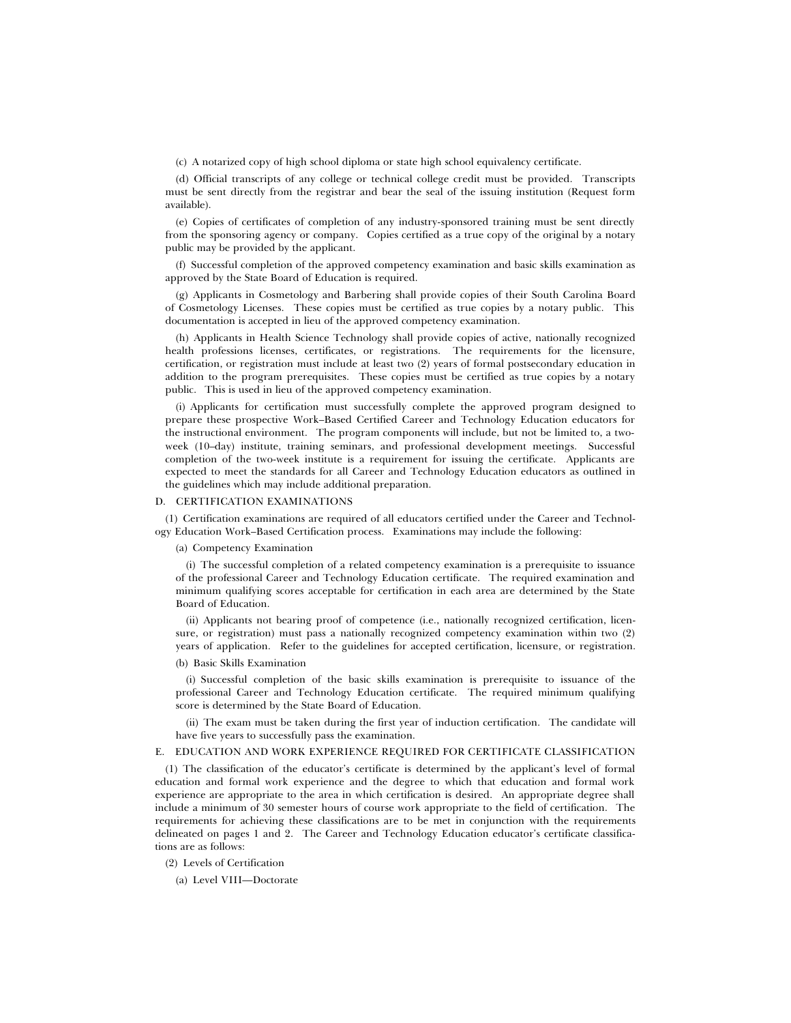(c) A notarized copy of high school diploma or state high school equivalency certificate.

(d) Official transcripts of any college or technical college credit must be provided. Transcripts must be sent directly from the registrar and bear the seal of the issuing institution (Request form available).

(e) Copies of certificates of completion of any industry-sponsored training must be sent directly from the sponsoring agency or company. Copies certified as a true copy of the original by a notary public may be provided by the applicant.

(f) Successful completion of the approved competency examination and basic skills examination as approved by the State Board of Education is required.

(g) Applicants in Cosmetology and Barbering shall provide copies of their South Carolina Board of Cosmetology Licenses. These copies must be certified as true copies by a notary public. This documentation is accepted in lieu of the approved competency examination.

(h) Applicants in Health Science Technology shall provide copies of active, nationally recognized health professions licenses, certificates, or registrations. The requirements for the licensure, certification, or registration must include at least two (2) years of formal postsecondary education in addition to the program prerequisites. These copies must be certified as true copies by a notary public. This is used in lieu of the approved competency examination.

(i) Applicants for certification must successfully complete the approved program designed to prepare these prospective Work–Based Certified Career and Technology Education educators for the instructional environment. The program components will include, but not be limited to, a twoweek (10–day) institute, training seminars, and professional development meetings. Successful completion of the two-week institute is a requirement for issuing the certificate. Applicants are expected to meet the standards for all Career and Technology Education educators as outlined in the guidelines which may include additional preparation.

#### D. CERTIFICATION EXAMINATIONS

(1) Certification examinations are required of all educators certified under the Career and Technology Education Work–Based Certification process. Examinations may include the following:

#### (a) Competency Examination

(i) The successful completion of a related competency examination is a prerequisite to issuance of the professional Career and Technology Education certificate. The required examination and minimum qualifying scores acceptable for certification in each area are determined by the State Board of Education.

(ii) Applicants not bearing proof of competence (i.e., nationally recognized certification, licensure, or registration) must pass a nationally recognized competency examination within two (2) years of application. Refer to the guidelines for accepted certification, licensure, or registration.

# (b) Basic Skills Examination

(i) Successful completion of the basic skills examination is prerequisite to issuance of the professional Career and Technology Education certificate. The required minimum qualifying score is determined by the State Board of Education.

(ii) The exam must be taken during the first year of induction certification. The candidate will have five years to successfully pass the examination.

### E. EDUCATION AND WORK EXPERIENCE REQUIRED FOR CERTIFICATE CLASSIFICATION

(1) The classification of the educator's certificate is determined by the applicant's level of formal education and formal work experience and the degree to which that education and formal work experience are appropriate to the area in which certification is desired. An appropriate degree shall include a minimum of 30 semester hours of course work appropriate to the field of certification. The requirements for achieving these classifications are to be met in conjunction with the requirements delineated on pages 1 and 2. The Career and Technology Education educator's certificate classifications are as follows:

(2) Levels of Certification

(a) Level VIII—Doctorate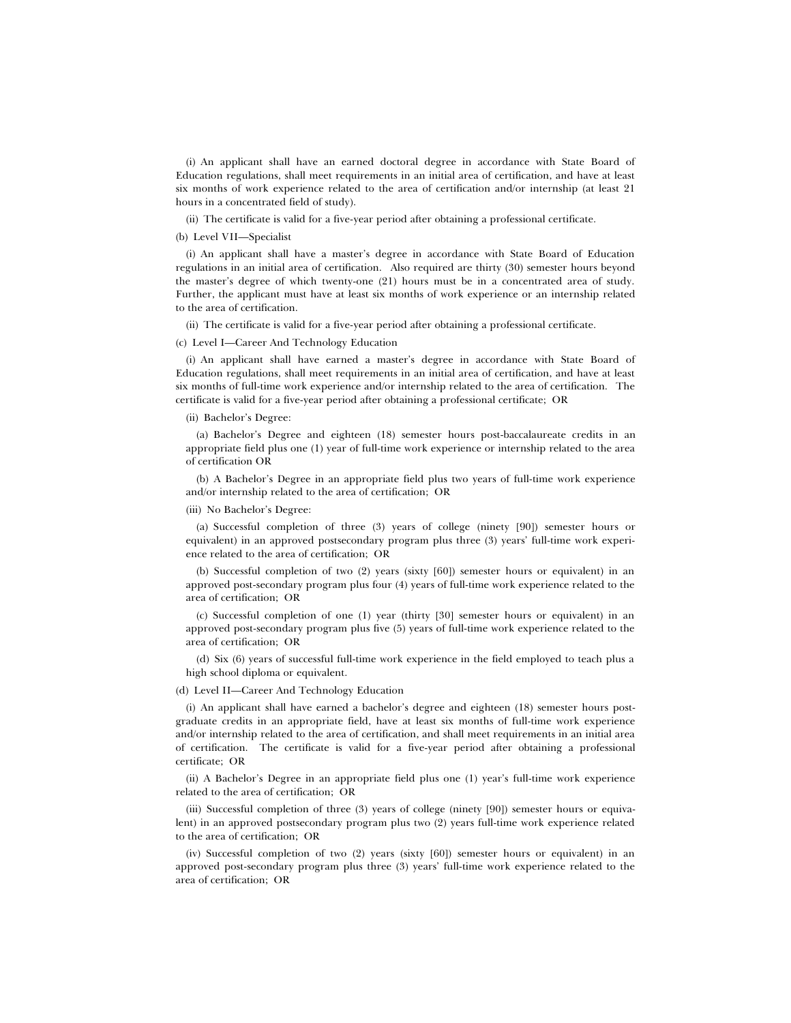(i) An applicant shall have an earned doctoral degree in accordance with State Board of Education regulations, shall meet requirements in an initial area of certification, and have at least six months of work experience related to the area of certification and/or internship (at least 21 hours in a concentrated field of study).

(ii) The certificate is valid for a five-year period after obtaining a professional certificate.

### (b) Level VII—Specialist

(i) An applicant shall have a master's degree in accordance with State Board of Education regulations in an initial area of certification. Also required are thirty (30) semester hours beyond the master's degree of which twenty-one (21) hours must be in a concentrated area of study. Further, the applicant must have at least six months of work experience or an internship related to the area of certification.

(ii) The certificate is valid for a five-year period after obtaining a professional certificate.

#### (c) Level I—Career And Technology Education

(i) An applicant shall have earned a master's degree in accordance with State Board of Education regulations, shall meet requirements in an initial area of certification, and have at least six months of full-time work experience and/or internship related to the area of certification. The certificate is valid for a five-year period after obtaining a professional certificate; OR

(ii) Bachelor's Degree:

(a) Bachelor's Degree and eighteen (18) semester hours post-baccalaureate credits in an appropriate field plus one (1) year of full-time work experience or internship related to the area of certification OR

(b) A Bachelor's Degree in an appropriate field plus two years of full-time work experience and/or internship related to the area of certification; OR

(iii) No Bachelor's Degree:

(a) Successful completion of three (3) years of college (ninety [90]) semester hours or equivalent) in an approved postsecondary program plus three (3) years' full-time work experience related to the area of certification; OR

(b) Successful completion of two (2) years (sixty [60]) semester hours or equivalent) in an approved post-secondary program plus four (4) years of full-time work experience related to the area of certification; OR

(c) Successful completion of one (1) year (thirty [30] semester hours or equivalent) in an approved post-secondary program plus five (5) years of full-time work experience related to the area of certification; OR

(d) Six (6) years of successful full-time work experience in the field employed to teach plus a high school diploma or equivalent.

#### (d) Level II—Career And Technology Education

(i) An applicant shall have earned a bachelor's degree and eighteen (18) semester hours postgraduate credits in an appropriate field, have at least six months of full-time work experience and/or internship related to the area of certification, and shall meet requirements in an initial area of certification. The certificate is valid for a five-year period after obtaining a professional certificate; OR

(ii) A Bachelor's Degree in an appropriate field plus one (1) year's full-time work experience related to the area of certification; OR

(iii) Successful completion of three (3) years of college (ninety [90]) semester hours or equivalent) in an approved postsecondary program plus two (2) years full-time work experience related to the area of certification; OR

(iv) Successful completion of two (2) years (sixty [60]) semester hours or equivalent) in an approved post-secondary program plus three (3) years' full-time work experience related to the area of certification; OR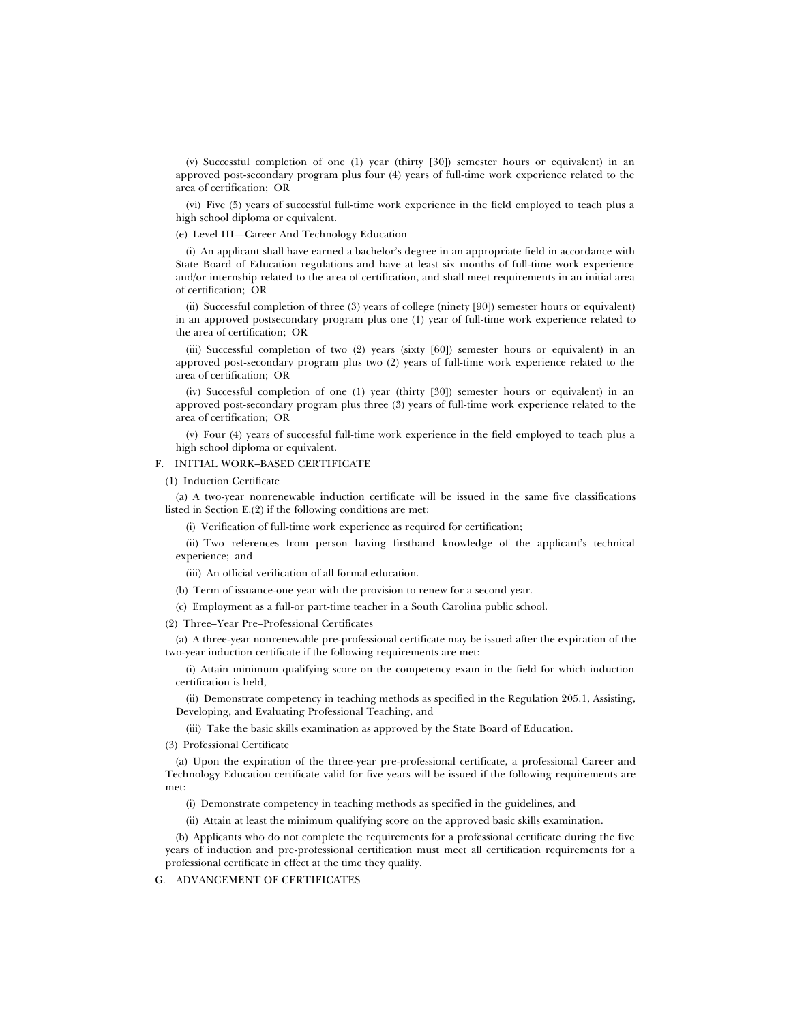(v) Successful completion of one (1) year (thirty [30]) semester hours or equivalent) in an approved post-secondary program plus four (4) years of full-time work experience related to the area of certification; OR

(vi) Five (5) years of successful full-time work experience in the field employed to teach plus a high school diploma or equivalent.

(e) Level III—Career And Technology Education

(i) An applicant shall have earned a bachelor's degree in an appropriate field in accordance with State Board of Education regulations and have at least six months of full-time work experience and/or internship related to the area of certification, and shall meet requirements in an initial area of certification; OR

(ii) Successful completion of three (3) years of college (ninety [90]) semester hours or equivalent) in an approved postsecondary program plus one (1) year of full-time work experience related to the area of certification; OR

(iii) Successful completion of two (2) years (sixty [60]) semester hours or equivalent) in an approved post-secondary program plus two (2) years of full-time work experience related to the area of certification; OR

(iv) Successful completion of one (1) year (thirty [30]) semester hours or equivalent) in an approved post-secondary program plus three (3) years of full-time work experience related to the area of certification; OR

(v) Four (4) years of successful full-time work experience in the field employed to teach plus a high school diploma or equivalent.

### F. INITIAL WORK–BASED CERTIFICATE

(1) Induction Certificate

(a) A two-year nonrenewable induction certificate will be issued in the same five classifications listed in Section E.(2) if the following conditions are met:

(i) Verification of full-time work experience as required for certification;

(ii) Two references from person having firsthand knowledge of the applicant's technical experience; and

(iii) An official verification of all formal education.

(b) Term of issuance-one year with the provision to renew for a second year.

(c) Employment as a full-or part-time teacher in a South Carolina public school.

(2) Three–Year Pre–Professional Certificates

(a) A three-year nonrenewable pre-professional certificate may be issued after the expiration of the two-year induction certificate if the following requirements are met:

(i) Attain minimum qualifying score on the competency exam in the field for which induction certification is held,

(ii) Demonstrate competency in teaching methods as specified in the Regulation 205.1, Assisting, Developing, and Evaluating Professional Teaching, and

(iii) Take the basic skills examination as approved by the State Board of Education.

(3) Professional Certificate

(a) Upon the expiration of the three-year pre-professional certificate, a professional Career and Technology Education certificate valid for five years will be issued if the following requirements are met:

(i) Demonstrate competency in teaching methods as specified in the guidelines, and

(ii) Attain at least the minimum qualifying score on the approved basic skills examination.

(b) Applicants who do not complete the requirements for a professional certificate during the five years of induction and pre-professional certification must meet all certification requirements for a professional certificate in effect at the time they qualify.

G. ADVANCEMENT OF CERTIFICATES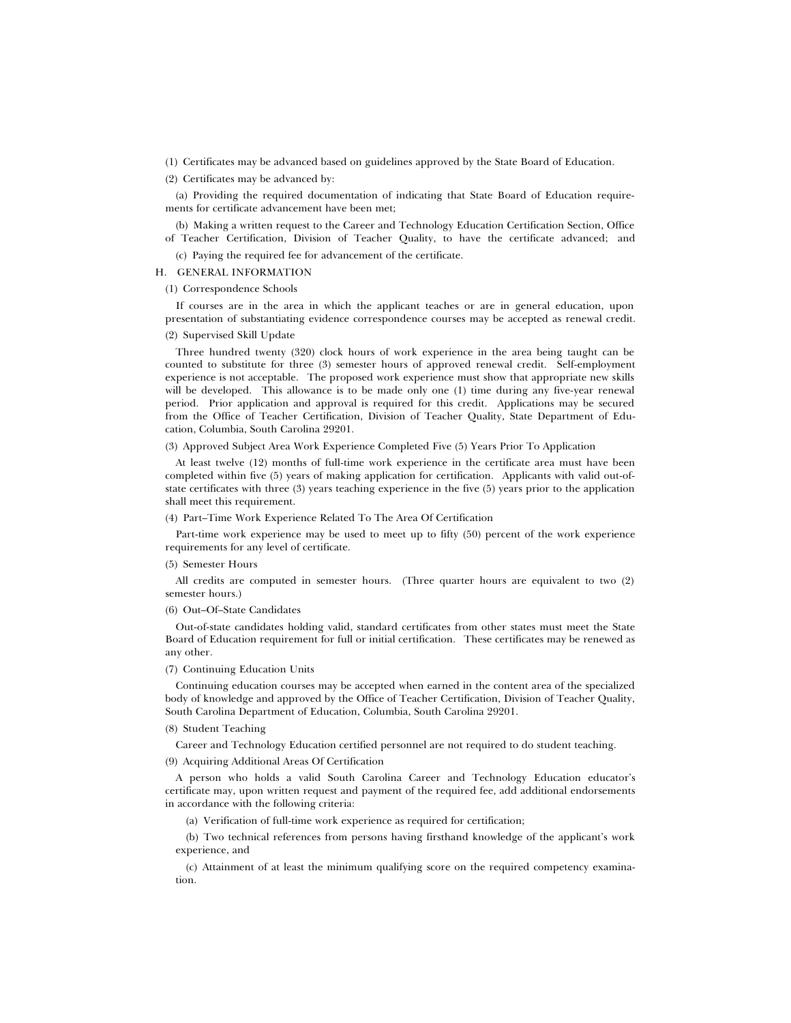- (1) Certificates may be advanced based on guidelines approved by the State Board of Education.
- (2) Certificates may be advanced by:

(a) Providing the required documentation of indicating that State Board of Education requirements for certificate advancement have been met;

(b) Making a written request to the Career and Technology Education Certification Section, Office of Teacher Certification, Division of Teacher Quality, to have the certificate advanced; and

(c) Paying the required fee for advancement of the certificate.

#### H. GENERAL INFORMATION

(1) Correspondence Schools

If courses are in the area in which the applicant teaches or are in general education, upon presentation of substantiating evidence correspondence courses may be accepted as renewal credit.

### (2) Supervised Skill Update

Three hundred twenty (320) clock hours of work experience in the area being taught can be counted to substitute for three (3) semester hours of approved renewal credit. Self-employment experience is not acceptable. The proposed work experience must show that appropriate new skills will be developed. This allowance is to be made only one (1) time during any five-year renewal period. Prior application and approval is required for this credit. Applications may be secured from the Office of Teacher Certification, Division of Teacher Quality, State Department of Education, Columbia, South Carolina 29201.

(3) Approved Subject Area Work Experience Completed Five (5) Years Prior To Application

At least twelve (12) months of full-time work experience in the certificate area must have been completed within five (5) years of making application for certification. Applicants with valid out-ofstate certificates with three (3) years teaching experience in the five (5) years prior to the application shall meet this requirement.

#### (4) Part–Time Work Experience Related To The Area Of Certification

Part-time work experience may be used to meet up to fifty (50) percent of the work experience requirements for any level of certificate.

#### (5) Semester Hours

All credits are computed in semester hours. (Three quarter hours are equivalent to two (2) semester hours.)

#### (6) Out–Of–State Candidates

Out-of-state candidates holding valid, standard certificates from other states must meet the State Board of Education requirement for full or initial certification. These certificates may be renewed as any other.

### (7) Continuing Education Units

Continuing education courses may be accepted when earned in the content area of the specialized body of knowledge and approved by the Office of Teacher Certification, Division of Teacher Quality, South Carolina Department of Education, Columbia, South Carolina 29201.

#### (8) Student Teaching

Career and Technology Education certified personnel are not required to do student teaching.

### (9) Acquiring Additional Areas Of Certification

A person who holds a valid South Carolina Career and Technology Education educator's certificate may, upon written request and payment of the required fee, add additional endorsements in accordance with the following criteria:

(a) Verification of full-time work experience as required for certification;

(b) Two technical references from persons having firsthand knowledge of the applicant's work experience, and

(c) Attainment of at least the minimum qualifying score on the required competency examination.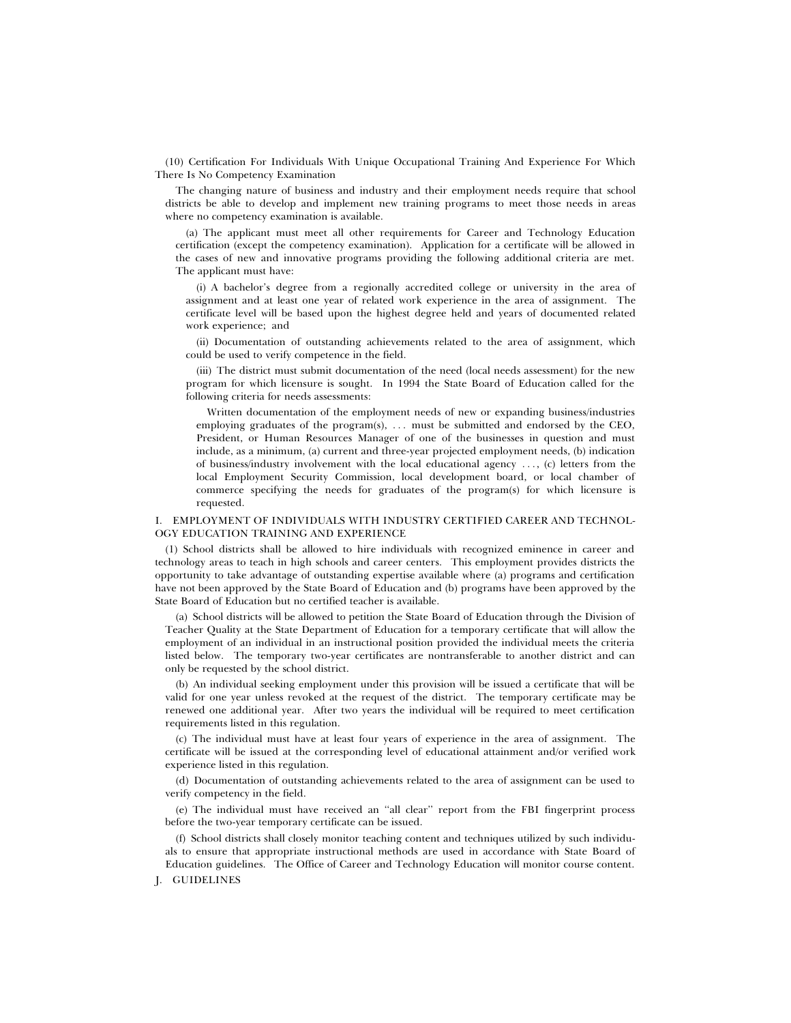(10) Certification For Individuals With Unique Occupational Training And Experience For Which There Is No Competency Examination

The changing nature of business and industry and their employment needs require that school districts be able to develop and implement new training programs to meet those needs in areas where no competency examination is available.

(a) The applicant must meet all other requirements for Career and Technology Education certification (except the competency examination). Application for a certificate will be allowed in the cases of new and innovative programs providing the following additional criteria are met. The applicant must have:

(i) A bachelor's degree from a regionally accredited college or university in the area of assignment and at least one year of related work experience in the area of assignment. The certificate level will be based upon the highest degree held and years of documented related work experience; and

(ii) Documentation of outstanding achievements related to the area of assignment, which could be used to verify competence in the field.

(iii) The district must submit documentation of the need (local needs assessment) for the new program for which licensure is sought. In 1994 the State Board of Education called for the following criteria for needs assessments:

Written documentation of the employment needs of new or expanding business/industries employing graduates of the program $(s)$ , ... must be submitted and endorsed by the CEO, President, or Human Resources Manager of one of the businesses in question and must include, as a minimum, (a) current and three-year projected employment needs, (b) indication of business/industry involvement with the local educational agency  $\dots$ , (c) letters from the local Employment Security Commission, local development board, or local chamber of commerce specifying the needs for graduates of the program(s) for which licensure is requested.

### I. EMPLOYMENT OF INDIVIDUALS WITH INDUSTRY CERTIFIED CAREER AND TECHNOL-OGY EDUCATION TRAINING AND EXPERIENCE

(1) School districts shall be allowed to hire individuals with recognized eminence in career and technology areas to teach in high schools and career centers. This employment provides districts the opportunity to take advantage of outstanding expertise available where (a) programs and certification have not been approved by the State Board of Education and (b) programs have been approved by the State Board of Education but no certified teacher is available.

(a) School districts will be allowed to petition the State Board of Education through the Division of Teacher Quality at the State Department of Education for a temporary certificate that will allow the employment of an individual in an instructional position provided the individual meets the criteria listed below. The temporary two-year certificates are nontransferable to another district and can only be requested by the school district.

(b) An individual seeking employment under this provision will be issued a certificate that will be valid for one year unless revoked at the request of the district. The temporary certificate may be renewed one additional year. After two years the individual will be required to meet certification requirements listed in this regulation.

(c) The individual must have at least four years of experience in the area of assignment. The certificate will be issued at the corresponding level of educational attainment and/or verified work experience listed in this regulation.

(d) Documentation of outstanding achievements related to the area of assignment can be used to verify competency in the field.

(e) The individual must have received an ''all clear'' report from the FBI fingerprint process before the two-year temporary certificate can be issued.

(f) School districts shall closely monitor teaching content and techniques utilized by such individuals to ensure that appropriate instructional methods are used in accordance with State Board of Education guidelines. The Office of Career and Technology Education will monitor course content.

### J. GUIDELINES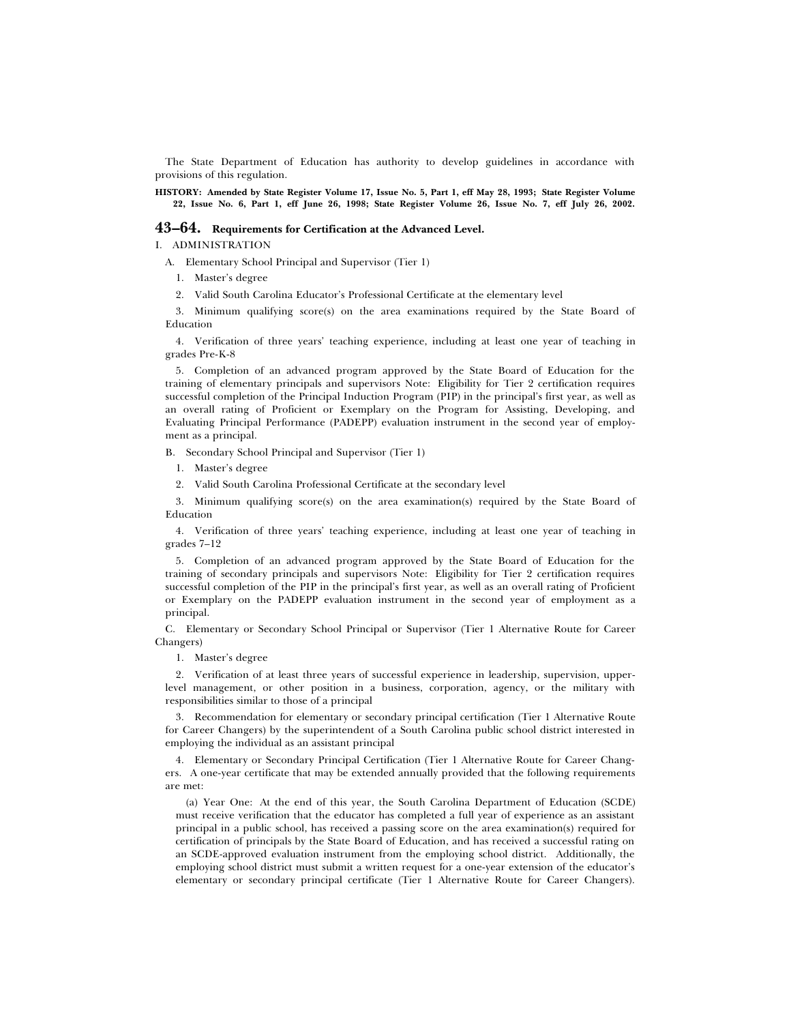The State Department of Education has authority to develop guidelines in accordance with provisions of this regulation.

**HISTORY: Amended by State Register Volume 17, Issue No. 5, Part 1, eff May 28, 1993; State Register Volume 22, Issue No. 6, Part 1, eff June 26, 1998; State Register Volume 26, Issue No. 7, eff July 26, 2002.**

### **43–64. Requirements for Certification at the Advanced Level.**

I. ADMINISTRATION

A. Elementary School Principal and Supervisor (Tier 1)

1. Master's degree

2. Valid South Carolina Educator's Professional Certificate at the elementary level

3. Minimum qualifying score(s) on the area examinations required by the State Board of Education

4. Verification of three years' teaching experience, including at least one year of teaching in grades Pre-K-8

5. Completion of an advanced program approved by the State Board of Education for the training of elementary principals and supervisors Note: Eligibility for Tier 2 certification requires successful completion of the Principal Induction Program (PIP) in the principal's first year, as well as an overall rating of Proficient or Exemplary on the Program for Assisting, Developing, and Evaluating Principal Performance (PADEPP) evaluation instrument in the second year of employment as a principal.

B. Secondary School Principal and Supervisor (Tier 1)

- 1. Master's degree
- 2. Valid South Carolina Professional Certificate at the secondary level

3. Minimum qualifying score(s) on the area examination(s) required by the State Board of Education

4. Verification of three years' teaching experience, including at least one year of teaching in grades 7–12

5. Completion of an advanced program approved by the State Board of Education for the training of secondary principals and supervisors Note: Eligibility for Tier 2 certification requires successful completion of the PIP in the principal's first year, as well as an overall rating of Proficient or Exemplary on the PADEPP evaluation instrument in the second year of employment as a principal.

C. Elementary or Secondary School Principal or Supervisor (Tier 1 Alternative Route for Career Changers)

1. Master's degree

2. Verification of at least three years of successful experience in leadership, supervision, upperlevel management, or other position in a business, corporation, agency, or the military with responsibilities similar to those of a principal

3. Recommendation for elementary or secondary principal certification (Tier 1 Alternative Route for Career Changers) by the superintendent of a South Carolina public school district interested in employing the individual as an assistant principal

4. Elementary or Secondary Principal Certification (Tier 1 Alternative Route for Career Changers. A one-year certificate that may be extended annually provided that the following requirements are met:

(a) Year One: At the end of this year, the South Carolina Department of Education (SCDE) must receive verification that the educator has completed a full year of experience as an assistant principal in a public school, has received a passing score on the area examination(s) required for certification of principals by the State Board of Education, and has received a successful rating on an SCDE-approved evaluation instrument from the employing school district. Additionally, the employing school district must submit a written request for a one-year extension of the educator's elementary or secondary principal certificate (Tier 1 Alternative Route for Career Changers).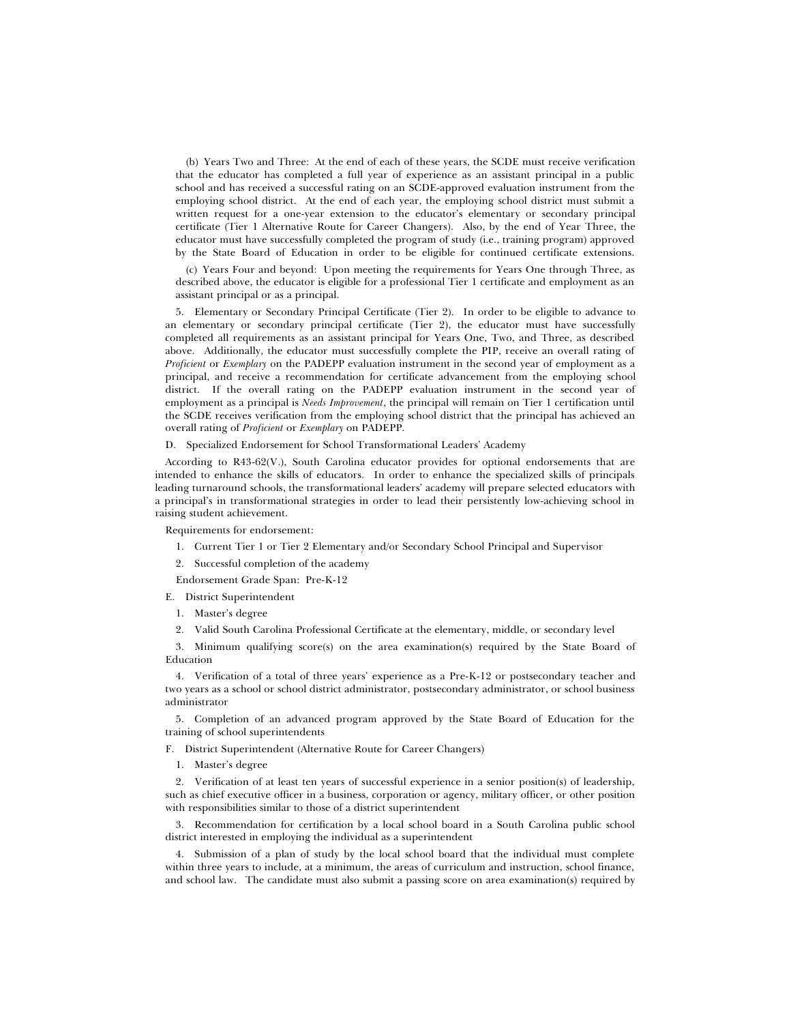(b) Years Two and Three: At the end of each of these years, the SCDE must receive verification that the educator has completed a full year of experience as an assistant principal in a public school and has received a successful rating on an SCDE-approved evaluation instrument from the employing school district. At the end of each year, the employing school district must submit a written request for a one-year extension to the educator's elementary or secondary principal certificate (Tier 1 Alternative Route for Career Changers). Also, by the end of Year Three, the educator must have successfully completed the program of study (i.e., training program) approved by the State Board of Education in order to be eligible for continued certificate extensions.

(c) Years Four and beyond: Upon meeting the requirements for Years One through Three, as described above, the educator is eligible for a professional Tier 1 certificate and employment as an assistant principal or as a principal.

5. Elementary or Secondary Principal Certificate (Tier 2). In order to be eligible to advance to an elementary or secondary principal certificate (Tier 2), the educator must have successfully completed all requirements as an assistant principal for Years One, Two, and Three, as described above. Additionally, the educator must successfully complete the PIP, receive an overall rating of *Proficient* or *Exemplary* on the PADEPP evaluation instrument in the second year of employment as a principal, and receive a recommendation for certificate advancement from the employing school district. If the overall rating on the PADEPP evaluation instrument in the second year of employment as a principal is *Needs Improvement*, the principal will remain on Tier 1 certification until the SCDE receives verification from the employing school district that the principal has achieved an overall rating of *Proficient* or *Exemplary* on PADEPP.

D. Specialized Endorsement for School Transformational Leaders' Academy

According to R43-62(V.), South Carolina educator provides for optional endorsements that are intended to enhance the skills of educators. In order to enhance the specialized skills of principals leading turnaround schools, the transformational leaders' academy will prepare selected educators with a principal's in transformational strategies in order to lead their persistently low-achieving school in raising student achievement.

Requirements for endorsement:

- 1. Current Tier 1 or Tier 2 Elementary and/or Secondary School Principal and Supervisor
- 2. Successful completion of the academy

Endorsement Grade Span: Pre-K-12

E. District Superintendent

- 1. Master's degree
- 2. Valid South Carolina Professional Certificate at the elementary, middle, or secondary level

3. Minimum qualifying score(s) on the area examination(s) required by the State Board of Education

4. Verification of a total of three years' experience as a Pre-K-12 or postsecondary teacher and two years as a school or school district administrator, postsecondary administrator, or school business administrator

5. Completion of an advanced program approved by the State Board of Education for the training of school superintendents

F. District Superintendent (Alternative Route for Career Changers)

1. Master's degree

2. Verification of at least ten years of successful experience in a senior position(s) of leadership, such as chief executive officer in a business, corporation or agency, military officer, or other position with responsibilities similar to those of a district superintendent

3. Recommendation for certification by a local school board in a South Carolina public school district interested in employing the individual as a superintendent

4. Submission of a plan of study by the local school board that the individual must complete within three years to include, at a minimum, the areas of curriculum and instruction, school finance, and school law. The candidate must also submit a passing score on area examination(s) required by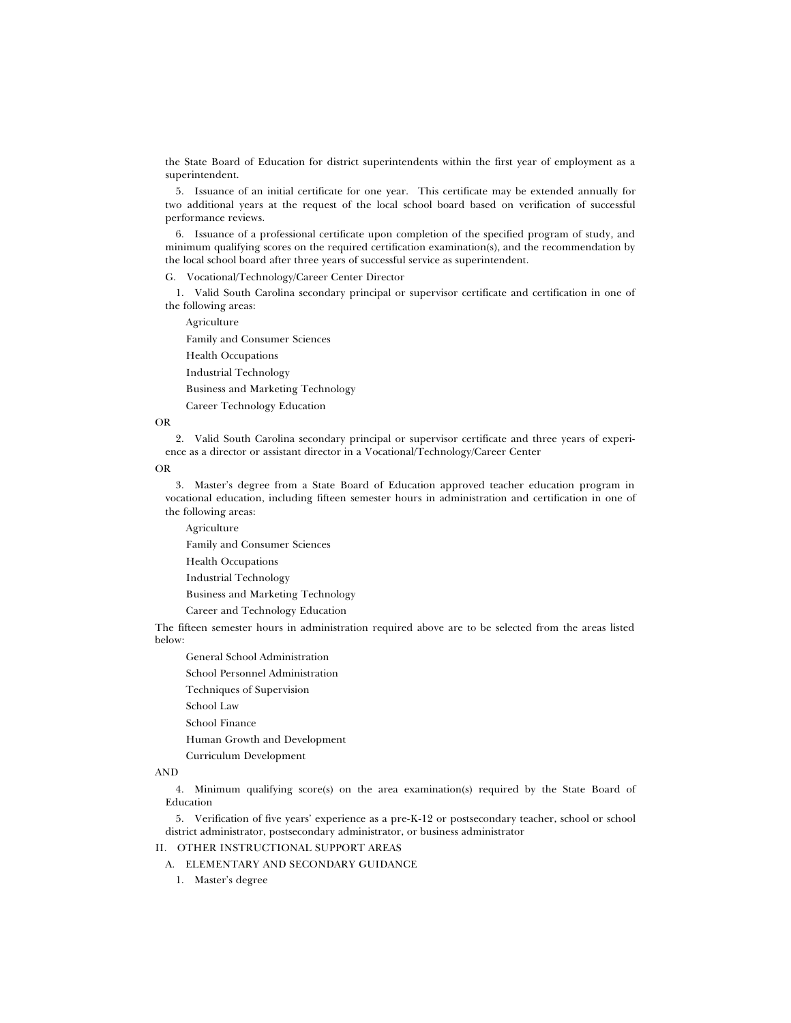the State Board of Education for district superintendents within the first year of employment as a superintendent.

5. Issuance of an initial certificate for one year. This certificate may be extended annually for two additional years at the request of the local school board based on verification of successful performance reviews.

6. Issuance of a professional certificate upon completion of the specified program of study, and minimum qualifying scores on the required certification examination(s), and the recommendation by the local school board after three years of successful service as superintendent.

G. Vocational/Technology/Career Center Director

1. Valid South Carolina secondary principal or supervisor certificate and certification in one of the following areas:

Agriculture

Family and Consumer Sciences

Health Occupations

Industrial Technology

Business and Marketing Technology

Career Technology Education

### OR

2. Valid South Carolina secondary principal or supervisor certificate and three years of experience as a director or assistant director in a Vocational/Technology/Career Center

OR

3. Master's degree from a State Board of Education approved teacher education program in vocational education, including fifteen semester hours in administration and certification in one of the following areas:

Agriculture

Family and Consumer Sciences

Health Occupations

Industrial Technology

Business and Marketing Technology

Career and Technology Education

The fifteen semester hours in administration required above are to be selected from the areas listed below:

General School Administration

School Personnel Administration

Techniques of Supervision

School Law

School Finance

Human Growth and Development

Curriculum Development

# AND

4. Minimum qualifying score(s) on the area examination(s) required by the State Board of Education

5. Verification of five years' experience as a pre-K-12 or postsecondary teacher, school or school district administrator, postsecondary administrator, or business administrator

## II. OTHER INSTRUCTIONAL SUPPORT AREAS

A. ELEMENTARY AND SECONDARY GUIDANCE

1. Master's degree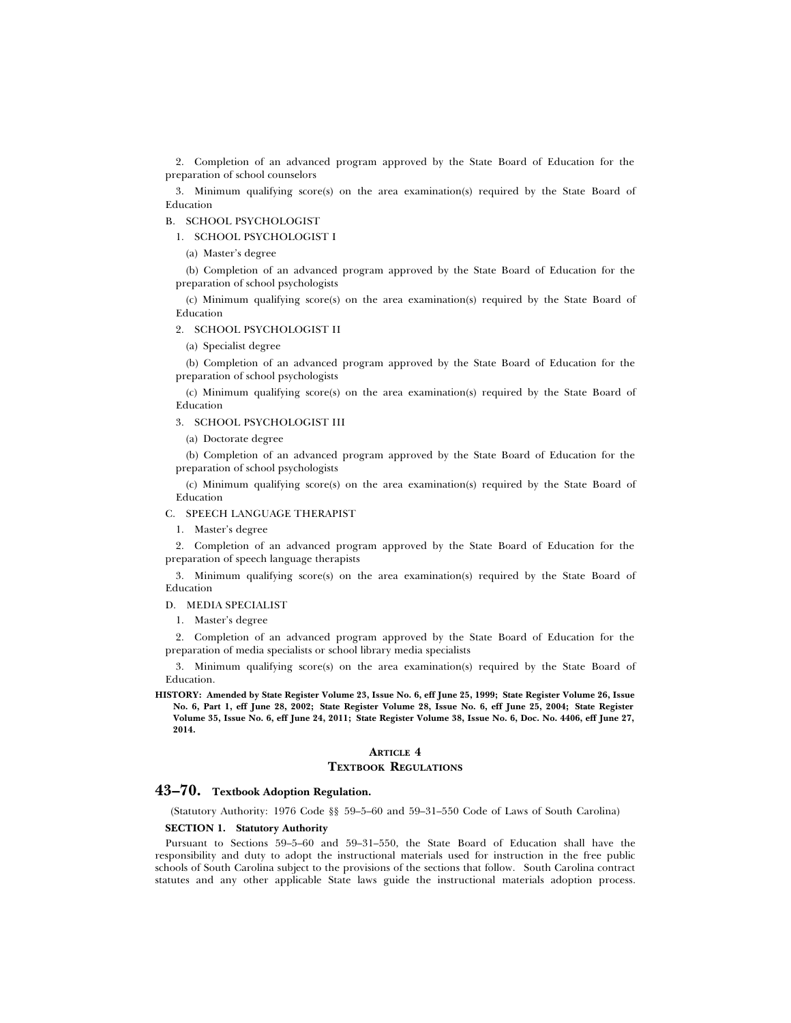2. Completion of an advanced program approved by the State Board of Education for the preparation of school counselors

3. Minimum qualifying score(s) on the area examination(s) required by the State Board of Education

### B. SCHOOL PSYCHOLOGIST

1. SCHOOL PSYCHOLOGIST I

(a) Master's degree

(b) Completion of an advanced program approved by the State Board of Education for the preparation of school psychologists

(c) Minimum qualifying score(s) on the area examination(s) required by the State Board of Education

#### 2. SCHOOL PSYCHOLOGIST II

(a) Specialist degree

(b) Completion of an advanced program approved by the State Board of Education for the preparation of school psychologists

(c) Minimum qualifying score(s) on the area examination(s) required by the State Board of Education

3. SCHOOL PSYCHOLOGIST III

(a) Doctorate degree

(b) Completion of an advanced program approved by the State Board of Education for the preparation of school psychologists

(c) Minimum qualifying score(s) on the area examination(s) required by the State Board of Education

### C. SPEECH LANGUAGE THERAPIST

1. Master's degree

2. Completion of an advanced program approved by the State Board of Education for the preparation of speech language therapists

3. Minimum qualifying score(s) on the area examination(s) required by the State Board of Education

D. MEDIA SPECIALIST

1. Master's degree

2. Completion of an advanced program approved by the State Board of Education for the preparation of media specialists or school library media specialists

3. Minimum qualifying score(s) on the area examination(s) required by the State Board of Education.

**HISTORY: Amended by State Register Volume 23, Issue No. 6, eff June 25, 1999; State Register Volume 26, Issue No. 6, Part 1, eff June 28, 2002; State Register Volume 28, Issue No. 6, eff June 25, 2004; State Register Volume 35, Issue No. 6, eff June 24, 2011; State Register Volume 38, Issue No. 6, Doc. No. 4406, eff June 27, 2014.**

# **ARTICLE 4**

### **TEXTBOOK REGULATIONS**

### **43–70. Textbook Adoption Regulation.**

(Statutory Authority: 1976 Code §§ 59–5–60 and 59–31–550 Code of Laws of South Carolina)

### **SECTION 1. Statutory Authority**

Pursuant to Sections 59–5–60 and 59–31–550, the State Board of Education shall have the responsibility and duty to adopt the instructional materials used for instruction in the free public schools of South Carolina subject to the provisions of the sections that follow. South Carolina contract statutes and any other applicable State laws guide the instructional materials adoption process.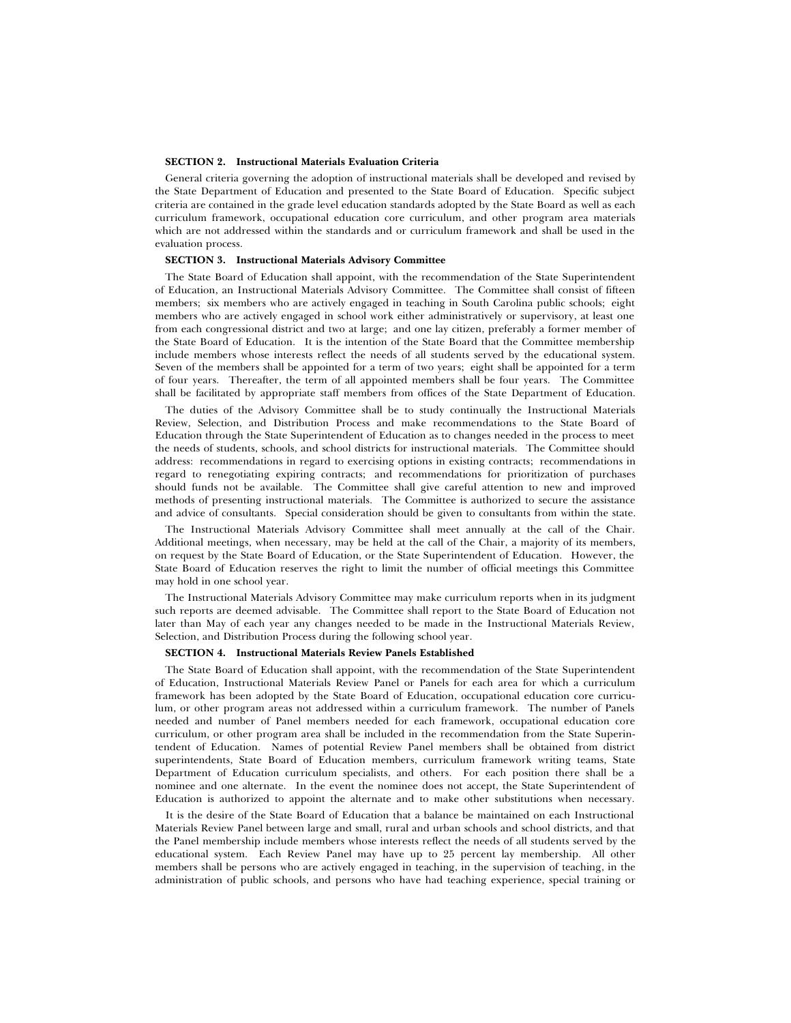#### **SECTION 2. Instructional Materials Evaluation Criteria**

General criteria governing the adoption of instructional materials shall be developed and revised by the State Department of Education and presented to the State Board of Education. Specific subject criteria are contained in the grade level education standards adopted by the State Board as well as each curriculum framework, occupational education core curriculum, and other program area materials which are not addressed within the standards and or curriculum framework and shall be used in the evaluation process.

#### **SECTION 3. Instructional Materials Advisory Committee**

The State Board of Education shall appoint, with the recommendation of the State Superintendent of Education, an Instructional Materials Advisory Committee. The Committee shall consist of fifteen members; six members who are actively engaged in teaching in South Carolina public schools; eight members who are actively engaged in school work either administratively or supervisory, at least one from each congressional district and two at large; and one lay citizen, preferably a former member of the State Board of Education. It is the intention of the State Board that the Committee membership include members whose interests reflect the needs of all students served by the educational system. Seven of the members shall be appointed for a term of two years; eight shall be appointed for a term of four years. Thereafter, the term of all appointed members shall be four years. The Committee shall be facilitated by appropriate staff members from offices of the State Department of Education.

The duties of the Advisory Committee shall be to study continually the Instructional Materials Review, Selection, and Distribution Process and make recommendations to the State Board of Education through the State Superintendent of Education as to changes needed in the process to meet the needs of students, schools, and school districts for instructional materials. The Committee should address: recommendations in regard to exercising options in existing contracts; recommendations in regard to renegotiating expiring contracts; and recommendations for prioritization of purchases should funds not be available. The Committee shall give careful attention to new and improved methods of presenting instructional materials. The Committee is authorized to secure the assistance and advice of consultants. Special consideration should be given to consultants from within the state.

The Instructional Materials Advisory Committee shall meet annually at the call of the Chair. Additional meetings, when necessary, may be held at the call of the Chair, a majority of its members, on request by the State Board of Education, or the State Superintendent of Education. However, the State Board of Education reserves the right to limit the number of official meetings this Committee may hold in one school year.

The Instructional Materials Advisory Committee may make curriculum reports when in its judgment such reports are deemed advisable. The Committee shall report to the State Board of Education not later than May of each year any changes needed to be made in the Instructional Materials Review, Selection, and Distribution Process during the following school year.

#### **SECTION 4. Instructional Materials Review Panels Established**

The State Board of Education shall appoint, with the recommendation of the State Superintendent of Education, Instructional Materials Review Panel or Panels for each area for which a curriculum framework has been adopted by the State Board of Education, occupational education core curriculum, or other program areas not addressed within a curriculum framework. The number of Panels needed and number of Panel members needed for each framework, occupational education core curriculum, or other program area shall be included in the recommendation from the State Superintendent of Education. Names of potential Review Panel members shall be obtained from district superintendents, State Board of Education members, curriculum framework writing teams, State Department of Education curriculum specialists, and others. For each position there shall be a nominee and one alternate. In the event the nominee does not accept, the State Superintendent of Education is authorized to appoint the alternate and to make other substitutions when necessary.

It is the desire of the State Board of Education that a balance be maintained on each Instructional Materials Review Panel between large and small, rural and urban schools and school districts, and that the Panel membership include members whose interests reflect the needs of all students served by the educational system. Each Review Panel may have up to 25 percent lay membership. All other members shall be persons who are actively engaged in teaching, in the supervision of teaching, in the administration of public schools, and persons who have had teaching experience, special training or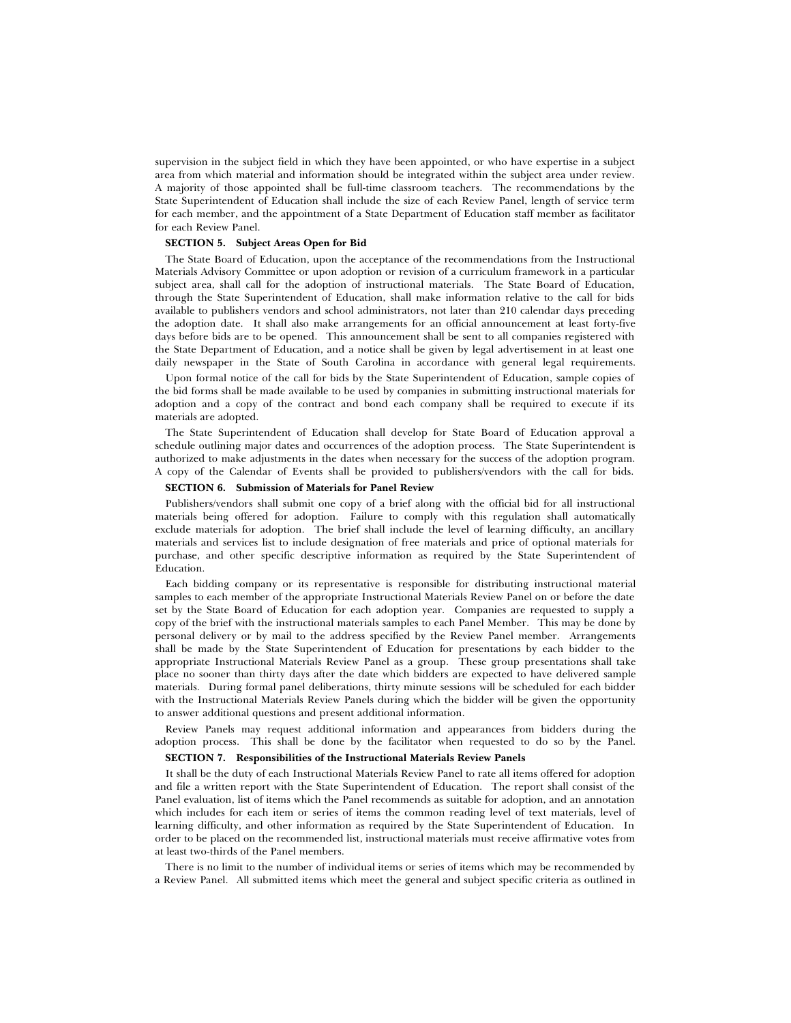supervision in the subject field in which they have been appointed, or who have expertise in a subject area from which material and information should be integrated within the subject area under review. A majority of those appointed shall be full-time classroom teachers. The recommendations by the State Superintendent of Education shall include the size of each Review Panel, length of service term for each member, and the appointment of a State Department of Education staff member as facilitator for each Review Panel.

#### **SECTION 5. Subject Areas Open for Bid**

The State Board of Education, upon the acceptance of the recommendations from the Instructional Materials Advisory Committee or upon adoption or revision of a curriculum framework in a particular subject area, shall call for the adoption of instructional materials. The State Board of Education, through the State Superintendent of Education, shall make information relative to the call for bids available to publishers vendors and school administrators, not later than 210 calendar days preceding the adoption date. It shall also make arrangements for an official announcement at least forty-five days before bids are to be opened. This announcement shall be sent to all companies registered with the State Department of Education, and a notice shall be given by legal advertisement in at least one daily newspaper in the State of South Carolina in accordance with general legal requirements.

Upon formal notice of the call for bids by the State Superintendent of Education, sample copies of the bid forms shall be made available to be used by companies in submitting instructional materials for adoption and a copy of the contract and bond each company shall be required to execute if its materials are adopted.

The State Superintendent of Education shall develop for State Board of Education approval a schedule outlining major dates and occurrences of the adoption process. The State Superintendent is authorized to make adjustments in the dates when necessary for the success of the adoption program. A copy of the Calendar of Events shall be provided to publishers/vendors with the call for bids.

#### **SECTION 6. Submission of Materials for Panel Review**

Publishers/vendors shall submit one copy of a brief along with the official bid for all instructional materials being offered for adoption. Failure to comply with this regulation shall automatically exclude materials for adoption. The brief shall include the level of learning difficulty, an ancillary materials and services list to include designation of free materials and price of optional materials for purchase, and other specific descriptive information as required by the State Superintendent of Education.

Each bidding company or its representative is responsible for distributing instructional material samples to each member of the appropriate Instructional Materials Review Panel on or before the date set by the State Board of Education for each adoption year. Companies are requested to supply a copy of the brief with the instructional materials samples to each Panel Member. This may be done by personal delivery or by mail to the address specified by the Review Panel member. Arrangements shall be made by the State Superintendent of Education for presentations by each bidder to the appropriate Instructional Materials Review Panel as a group. These group presentations shall take place no sooner than thirty days after the date which bidders are expected to have delivered sample materials. During formal panel deliberations, thirty minute sessions will be scheduled for each bidder with the Instructional Materials Review Panels during which the bidder will be given the opportunity to answer additional questions and present additional information.

Review Panels may request additional information and appearances from bidders during the adoption process. This shall be done by the facilitator when requested to do so by the Panel.

### **SECTION 7. Responsibilities of the Instructional Materials Review Panels**

It shall be the duty of each Instructional Materials Review Panel to rate all items offered for adoption and file a written report with the State Superintendent of Education. The report shall consist of the Panel evaluation, list of items which the Panel recommends as suitable for adoption, and an annotation which includes for each item or series of items the common reading level of text materials, level of learning difficulty, and other information as required by the State Superintendent of Education. In order to be placed on the recommended list, instructional materials must receive affirmative votes from at least two-thirds of the Panel members.

There is no limit to the number of individual items or series of items which may be recommended by a Review Panel. All submitted items which meet the general and subject specific criteria as outlined in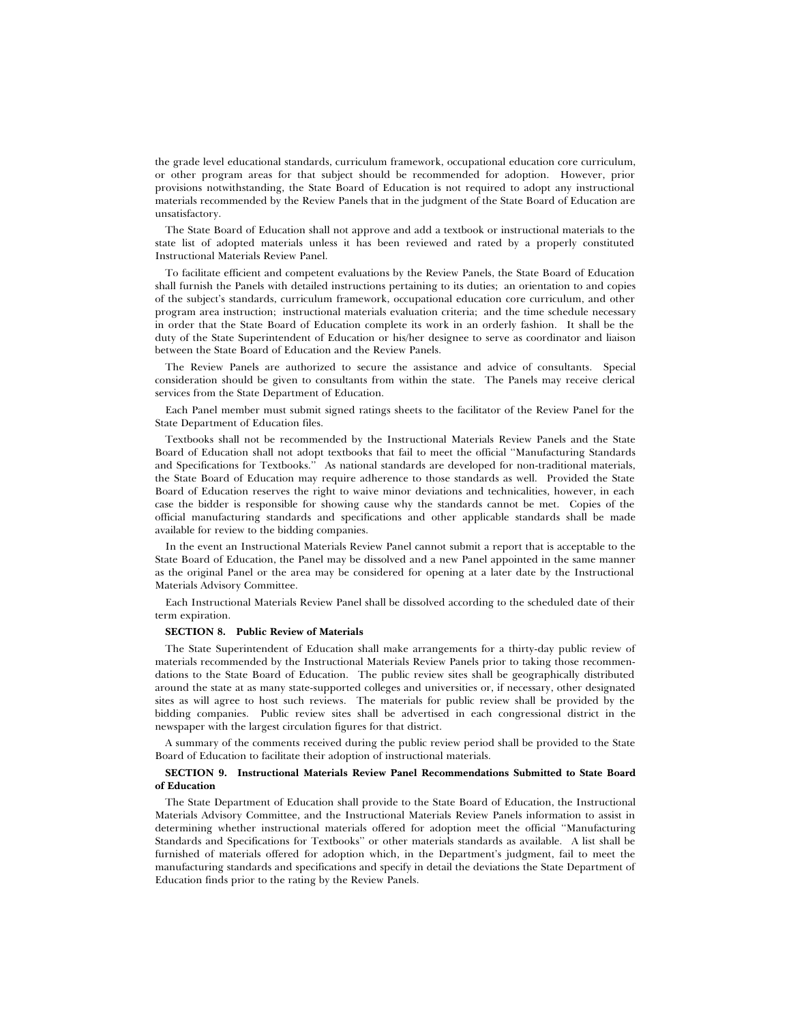the grade level educational standards, curriculum framework, occupational education core curriculum, or other program areas for that subject should be recommended for adoption. However, prior provisions notwithstanding, the State Board of Education is not required to adopt any instructional materials recommended by the Review Panels that in the judgment of the State Board of Education are unsatisfactory.

The State Board of Education shall not approve and add a textbook or instructional materials to the state list of adopted materials unless it has been reviewed and rated by a properly constituted Instructional Materials Review Panel.

To facilitate efficient and competent evaluations by the Review Panels, the State Board of Education shall furnish the Panels with detailed instructions pertaining to its duties; an orientation to and copies of the subject's standards, curriculum framework, occupational education core curriculum, and other program area instruction; instructional materials evaluation criteria; and the time schedule necessary in order that the State Board of Education complete its work in an orderly fashion. It shall be the duty of the State Superintendent of Education or his/her designee to serve as coordinator and liaison between the State Board of Education and the Review Panels.

The Review Panels are authorized to secure the assistance and advice of consultants. Special consideration should be given to consultants from within the state. The Panels may receive clerical services from the State Department of Education.

Each Panel member must submit signed ratings sheets to the facilitator of the Review Panel for the State Department of Education files.

Textbooks shall not be recommended by the Instructional Materials Review Panels and the State Board of Education shall not adopt textbooks that fail to meet the official ''Manufacturing Standards and Specifications for Textbooks.'' As national standards are developed for non-traditional materials, the State Board of Education may require adherence to those standards as well. Provided the State Board of Education reserves the right to waive minor deviations and technicalities, however, in each case the bidder is responsible for showing cause why the standards cannot be met. Copies of the official manufacturing standards and specifications and other applicable standards shall be made available for review to the bidding companies.

In the event an Instructional Materials Review Panel cannot submit a report that is acceptable to the State Board of Education, the Panel may be dissolved and a new Panel appointed in the same manner as the original Panel or the area may be considered for opening at a later date by the Instructional Materials Advisory Committee.

Each Instructional Materials Review Panel shall be dissolved according to the scheduled date of their term expiration.

#### **SECTION 8. Public Review of Materials**

The State Superintendent of Education shall make arrangements for a thirty-day public review of materials recommended by the Instructional Materials Review Panels prior to taking those recommendations to the State Board of Education. The public review sites shall be geographically distributed around the state at as many state-supported colleges and universities or, if necessary, other designated sites as will agree to host such reviews. The materials for public review shall be provided by the bidding companies. Public review sites shall be advertised in each congressional district in the newspaper with the largest circulation figures for that district.

A summary of the comments received during the public review period shall be provided to the State Board of Education to facilitate their adoption of instructional materials.

### **SECTION 9. Instructional Materials Review Panel Recommendations Submitted to State Board of Education**

The State Department of Education shall provide to the State Board of Education, the Instructional Materials Advisory Committee, and the Instructional Materials Review Panels information to assist in determining whether instructional materials offered for adoption meet the official ''Manufacturing Standards and Specifications for Textbooks'' or other materials standards as available. A list shall be furnished of materials offered for adoption which, in the Department's judgment, fail to meet the manufacturing standards and specifications and specify in detail the deviations the State Department of Education finds prior to the rating by the Review Panels.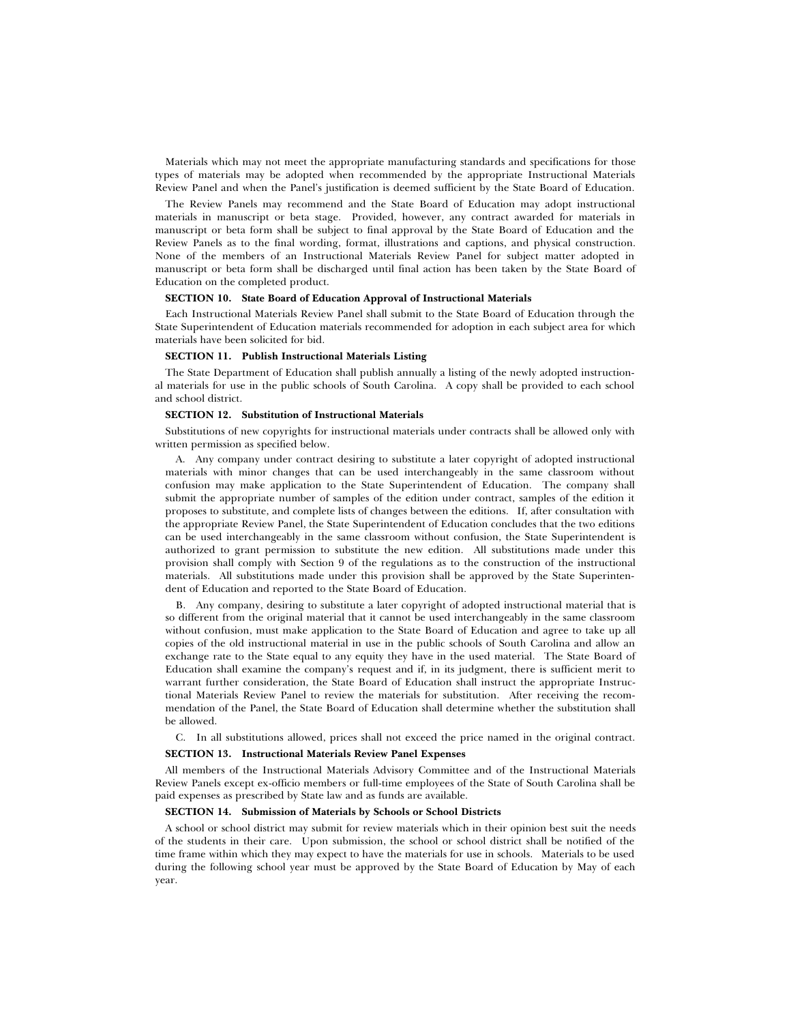Materials which may not meet the appropriate manufacturing standards and specifications for those types of materials may be adopted when recommended by the appropriate Instructional Materials Review Panel and when the Panel's justification is deemed sufficient by the State Board of Education.

The Review Panels may recommend and the State Board of Education may adopt instructional materials in manuscript or beta stage. Provided, however, any contract awarded for materials in manuscript or beta form shall be subject to final approval by the State Board of Education and the Review Panels as to the final wording, format, illustrations and captions, and physical construction. None of the members of an Instructional Materials Review Panel for subject matter adopted in manuscript or beta form shall be discharged until final action has been taken by the State Board of Education on the completed product.

### **SECTION 10. State Board of Education Approval of Instructional Materials**

Each Instructional Materials Review Panel shall submit to the State Board of Education through the State Superintendent of Education materials recommended for adoption in each subject area for which materials have been solicited for bid.

# **SECTION 11. Publish Instructional Materials Listing**

The State Department of Education shall publish annually a listing of the newly adopted instructional materials for use in the public schools of South Carolina. A copy shall be provided to each school and school district.

#### **SECTION 12. Substitution of Instructional Materials**

Substitutions of new copyrights for instructional materials under contracts shall be allowed only with written permission as specified below.

A. Any company under contract desiring to substitute a later copyright of adopted instructional materials with minor changes that can be used interchangeably in the same classroom without confusion may make application to the State Superintendent of Education. The company shall submit the appropriate number of samples of the edition under contract, samples of the edition it proposes to substitute, and complete lists of changes between the editions. If, after consultation with the appropriate Review Panel, the State Superintendent of Education concludes that the two editions can be used interchangeably in the same classroom without confusion, the State Superintendent is authorized to grant permission to substitute the new edition. All substitutions made under this provision shall comply with Section 9 of the regulations as to the construction of the instructional materials. All substitutions made under this provision shall be approved by the State Superintendent of Education and reported to the State Board of Education.

B. Any company, desiring to substitute a later copyright of adopted instructional material that is so different from the original material that it cannot be used interchangeably in the same classroom without confusion, must make application to the State Board of Education and agree to take up all copies of the old instructional material in use in the public schools of South Carolina and allow an exchange rate to the State equal to any equity they have in the used material. The State Board of Education shall examine the company's request and if, in its judgment, there is sufficient merit to warrant further consideration, the State Board of Education shall instruct the appropriate Instructional Materials Review Panel to review the materials for substitution. After receiving the recommendation of the Panel, the State Board of Education shall determine whether the substitution shall be allowed.

C. In all substitutions allowed, prices shall not exceed the price named in the original contract.

#### **SECTION 13. Instructional Materials Review Panel Expenses**

All members of the Instructional Materials Advisory Committee and of the Instructional Materials Review Panels except ex-officio members or full-time employees of the State of South Carolina shall be paid expenses as prescribed by State law and as funds are available.

### **SECTION 14. Submission of Materials by Schools or School Districts**

A school or school district may submit for review materials which in their opinion best suit the needs of the students in their care. Upon submission, the school or school district shall be notified of the time frame within which they may expect to have the materials for use in schools. Materials to be used during the following school year must be approved by the State Board of Education by May of each year.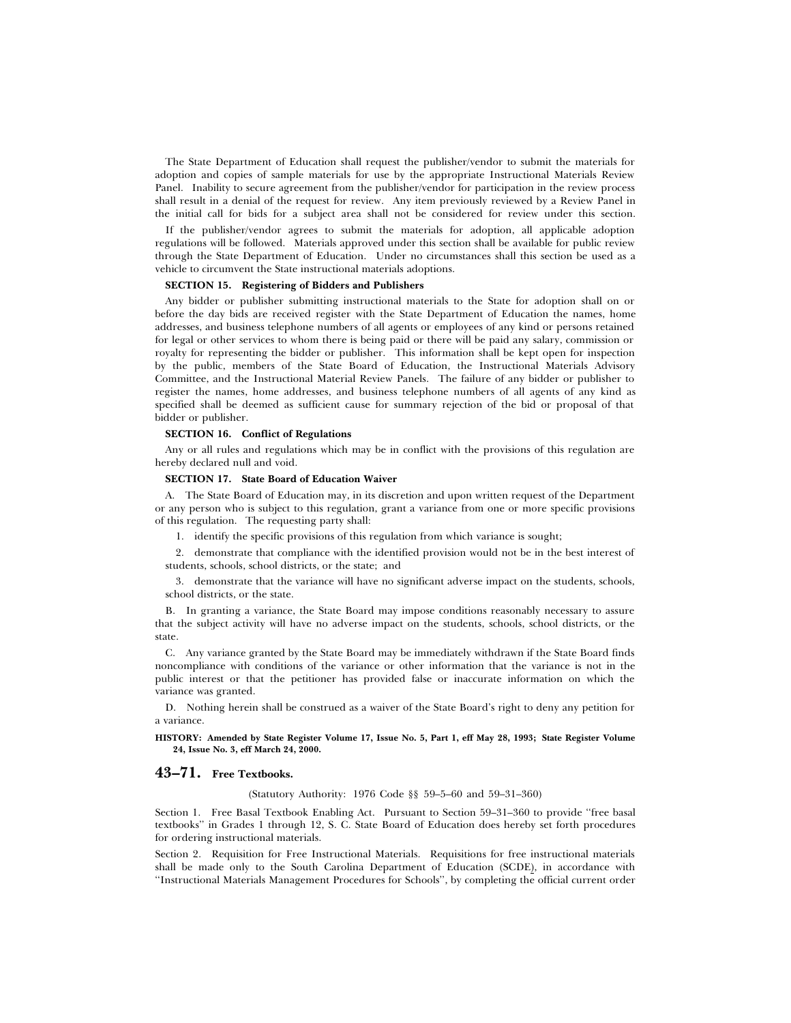The State Department of Education shall request the publisher/vendor to submit the materials for adoption and copies of sample materials for use by the appropriate Instructional Materials Review Panel. Inability to secure agreement from the publisher/vendor for participation in the review process shall result in a denial of the request for review. Any item previously reviewed by a Review Panel in the initial call for bids for a subject area shall not be considered for review under this section.

If the publisher/vendor agrees to submit the materials for adoption, all applicable adoption regulations will be followed. Materials approved under this section shall be available for public review through the State Department of Education. Under no circumstances shall this section be used as a vehicle to circumvent the State instructional materials adoptions.

#### **SECTION 15. Registering of Bidders and Publishers**

Any bidder or publisher submitting instructional materials to the State for adoption shall on or before the day bids are received register with the State Department of Education the names, home addresses, and business telephone numbers of all agents or employees of any kind or persons retained for legal or other services to whom there is being paid or there will be paid any salary, commission or royalty for representing the bidder or publisher. This information shall be kept open for inspection by the public, members of the State Board of Education, the Instructional Materials Advisory Committee, and the Instructional Material Review Panels. The failure of any bidder or publisher to register the names, home addresses, and business telephone numbers of all agents of any kind as specified shall be deemed as sufficient cause for summary rejection of the bid or proposal of that bidder or publisher.

# **SECTION 16. Conflict of Regulations**

Any or all rules and regulations which may be in conflict with the provisions of this regulation are hereby declared null and void.

#### **SECTION 17. State Board of Education Waiver**

A. The State Board of Education may, in its discretion and upon written request of the Department or any person who is subject to this regulation, grant a variance from one or more specific provisions of this regulation. The requesting party shall:

1. identify the specific provisions of this regulation from which variance is sought;

2. demonstrate that compliance with the identified provision would not be in the best interest of students, schools, school districts, or the state; and

3. demonstrate that the variance will have no significant adverse impact on the students, schools, school districts, or the state.

B. In granting a variance, the State Board may impose conditions reasonably necessary to assure that the subject activity will have no adverse impact on the students, schools, school districts, or the state.

C. Any variance granted by the State Board may be immediately withdrawn if the State Board finds noncompliance with conditions of the variance or other information that the variance is not in the public interest or that the petitioner has provided false or inaccurate information on which the variance was granted.

D. Nothing herein shall be construed as a waiver of the State Board's right to deny any petition for a variance.

**HISTORY: Amended by State Register Volume 17, Issue No. 5, Part 1, eff May 28, 1993; State Register Volume 24, Issue No. 3, eff March 24, 2000.**

### **43–71. Free Textbooks.**

(Statutory Authority: 1976 Code §§ 59–5–60 and 59–31–360)

Section 1. Free Basal Textbook Enabling Act. Pursuant to Section 59–31–360 to provide ''free basal textbooks'' in Grades 1 through 12, S. C. State Board of Education does hereby set forth procedures for ordering instructional materials.

Section 2. Requisition for Free Instructional Materials. Requisitions for free instructional materials shall be made only to the South Carolina Department of Education (SCDE), in accordance with ''Instructional Materials Management Procedures for Schools'', by completing the official current order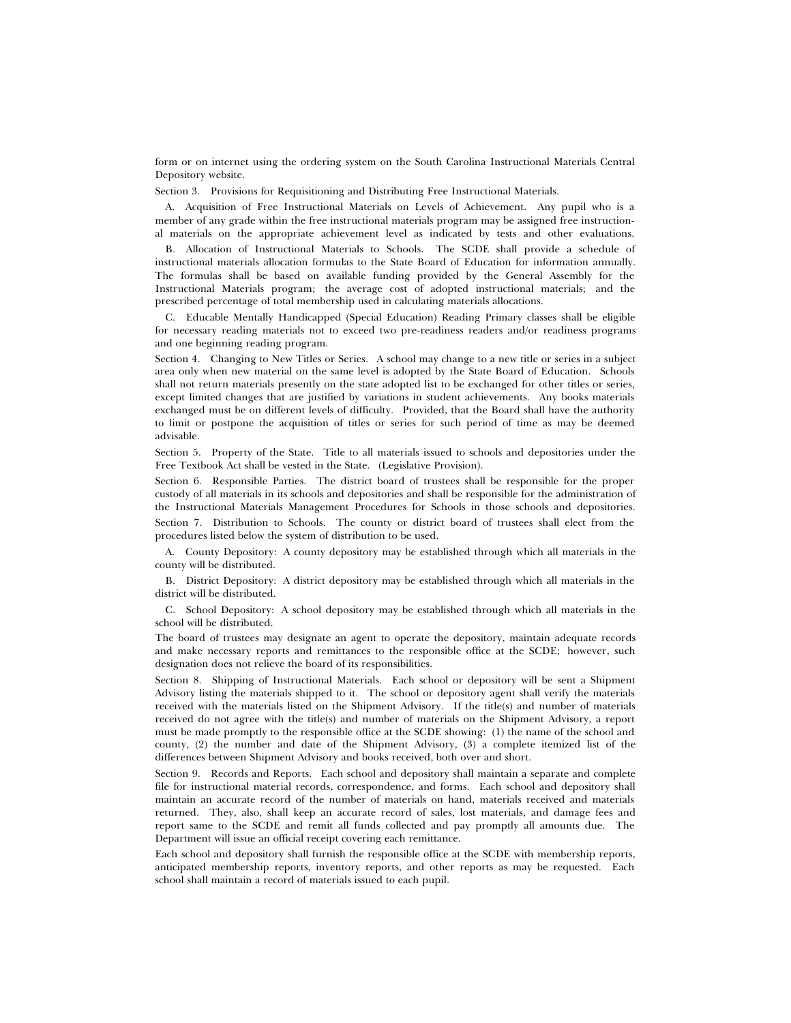form or on internet using the ordering system on the South Carolina Instructional Materials Central Depository website.

Section 3. Provisions for Requisitioning and Distributing Free Instructional Materials.

A. Acquisition of Free Instructional Materials on Levels of Achievement. Any pupil who is a member of any grade within the free instructional materials program may be assigned free instructional materials on the appropriate achievement level as indicated by tests and other evaluations.

B. Allocation of Instructional Materials to Schools. The SCDE shall provide a schedule of instructional materials allocation formulas to the State Board of Education for information annually. The formulas shall be based on available funding provided by the General Assembly for the Instructional Materials program; the average cost of adopted instructional materials; and the prescribed percentage of total membership used in calculating materials allocations.

C. Educable Mentally Handicapped (Special Education) Reading Primary classes shall be eligible for necessary reading materials not to exceed two pre-readiness readers and/or readiness programs and one beginning reading program.

Section 4. Changing to New Titles or Series. A school may change to a new title or series in a subject area only when new material on the same level is adopted by the State Board of Education. Schools shall not return materials presently on the state adopted list to be exchanged for other titles or series, except limited changes that are justified by variations in student achievements. Any books materials exchanged must be on different levels of difficulty. Provided, that the Board shall have the authority to limit or postpone the acquisition of titles or series for such period of time as may be deemed advisable.

Section 5. Property of the State. Title to all materials issued to schools and depositories under the Free Textbook Act shall be vested in the State. (Legislative Provision).

Section 6. Responsible Parties. The district board of trustees shall be responsible for the proper custody of all materials in its schools and depositories and shall be responsible for the administration of the Instructional Materials Management Procedures for Schools in those schools and depositories. Section 7. Distribution to Schools. The county or district board of trustees shall elect from the procedures listed below the system of distribution to be used.

A. County Depository: A county depository may be established through which all materials in the county will be distributed.

B. District Depository: A district depository may be established through which all materials in the district will be distributed.

C. School Depository: A school depository may be established through which all materials in the school will be distributed.

The board of trustees may designate an agent to operate the depository, maintain adequate records and make necessary reports and remittances to the responsible office at the SCDE; however, such designation does not relieve the board of its responsibilities.

Section 8. Shipping of Instructional Materials. Each school or depository will be sent a Shipment Advisory listing the materials shipped to it. The school or depository agent shall verify the materials received with the materials listed on the Shipment Advisory. If the title(s) and number of materials received do not agree with the title(s) and number of materials on the Shipment Advisory, a report must be made promptly to the responsible office at the SCDE showing: (1) the name of the school and county, (2) the number and date of the Shipment Advisory, (3) a complete itemized list of the differences between Shipment Advisory and books received, both over and short.

Section 9. Records and Reports. Each school and depository shall maintain a separate and complete file for instructional material records, correspondence, and forms. Each school and depository shall maintain an accurate record of the number of materials on hand, materials received and materials returned. They, also, shall keep an accurate record of sales, lost materials, and damage fees and report same to the SCDE and remit all funds collected and pay promptly all amounts due. The Department will issue an official receipt covering each remittance.

Each school and depository shall furnish the responsible office at the SCDE with membership reports, anticipated membership reports, inventory reports, and other reports as may be requested. Each school shall maintain a record of materials issued to each pupil.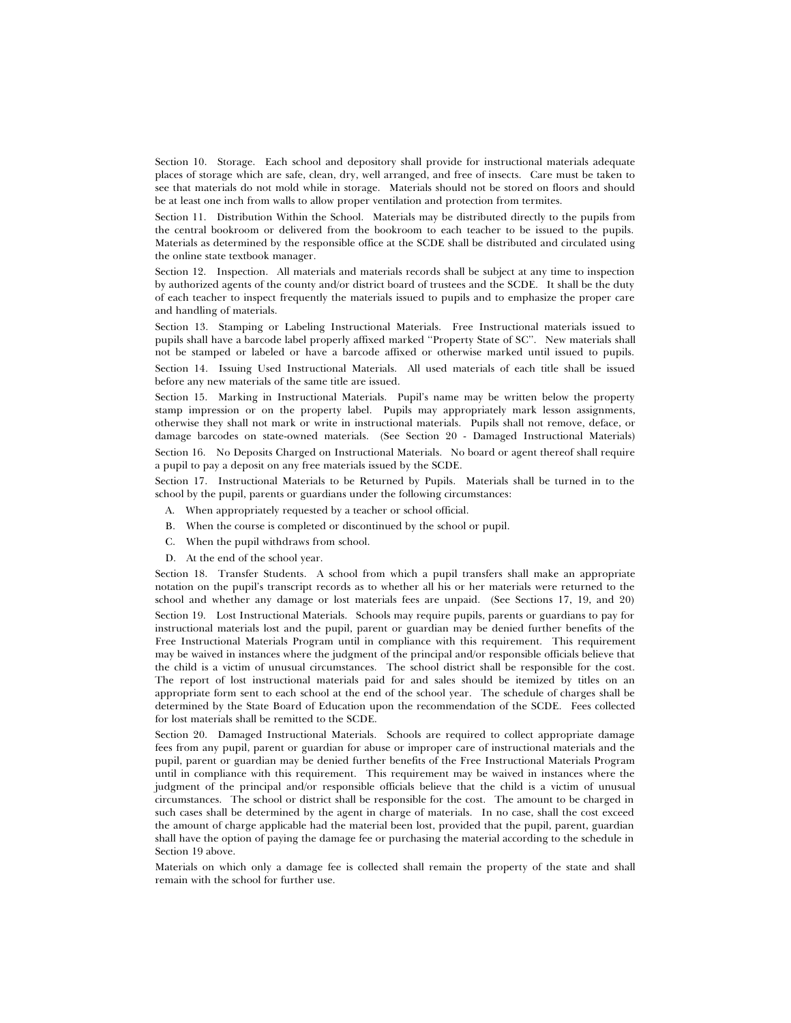Section 10. Storage. Each school and depository shall provide for instructional materials adequate places of storage which are safe, clean, dry, well arranged, and free of insects. Care must be taken to see that materials do not mold while in storage. Materials should not be stored on floors and should be at least one inch from walls to allow proper ventilation and protection from termites.

Section 11. Distribution Within the School. Materials may be distributed directly to the pupils from the central bookroom or delivered from the bookroom to each teacher to be issued to the pupils. Materials as determined by the responsible office at the SCDE shall be distributed and circulated using the online state textbook manager.

Section 12. Inspection. All materials and materials records shall be subject at any time to inspection by authorized agents of the county and/or district board of trustees and the SCDE. It shall be the duty of each teacher to inspect frequently the materials issued to pupils and to emphasize the proper care and handling of materials.

Section 13. Stamping or Labeling Instructional Materials. Free Instructional materials issued to pupils shall have a barcode label properly affixed marked ''Property State of SC''. New materials shall not be stamped or labeled or have a barcode affixed or otherwise marked until issued to pupils.

Section 14. Issuing Used Instructional Materials. All used materials of each title shall be issued before any new materials of the same title are issued.

Section 15. Marking in Instructional Materials. Pupil's name may be written below the property stamp impression or on the property label. Pupils may appropriately mark lesson assignments, otherwise they shall not mark or write in instructional materials. Pupils shall not remove, deface, or damage barcodes on state-owned materials. (See Section 20 - Damaged Instructional Materials) Section 16. No Deposits Charged on Instructional Materials. No board or agent thereof shall require a pupil to pay a deposit on any free materials issued by the SCDE.

Section 17. Instructional Materials to be Returned by Pupils. Materials shall be turned in to the school by the pupil, parents or guardians under the following circumstances:

- A. When appropriately requested by a teacher or school official.
- B. When the course is completed or discontinued by the school or pupil.
- C. When the pupil withdraws from school.
- D. At the end of the school year.

Section 18. Transfer Students. A school from which a pupil transfers shall make an appropriate notation on the pupil's transcript records as to whether all his or her materials were returned to the school and whether any damage or lost materials fees are unpaid. (See Sections 17, 19, and 20) Section 19. Lost Instructional Materials. Schools may require pupils, parents or guardians to pay for instructional materials lost and the pupil, parent or guardian may be denied further benefits of the Free Instructional Materials Program until in compliance with this requirement. This requirement may be waived in instances where the judgment of the principal and/or responsible officials believe that the child is a victim of unusual circumstances. The school district shall be responsible for the cost. The report of lost instructional materials paid for and sales should be itemized by titles on an appropriate form sent to each school at the end of the school year. The schedule of charges shall be determined by the State Board of Education upon the recommendation of the SCDE. Fees collected for lost materials shall be remitted to the SCDE.

Section 20. Damaged Instructional Materials. Schools are required to collect appropriate damage fees from any pupil, parent or guardian for abuse or improper care of instructional materials and the pupil, parent or guardian may be denied further benefits of the Free Instructional Materials Program until in compliance with this requirement. This requirement may be waived in instances where the judgment of the principal and/or responsible officials believe that the child is a victim of unusual circumstances. The school or district shall be responsible for the cost. The amount to be charged in such cases shall be determined by the agent in charge of materials. In no case, shall the cost exceed the amount of charge applicable had the material been lost, provided that the pupil, parent, guardian shall have the option of paying the damage fee or purchasing the material according to the schedule in Section 19 above.

Materials on which only a damage fee is collected shall remain the property of the state and shall remain with the school for further use.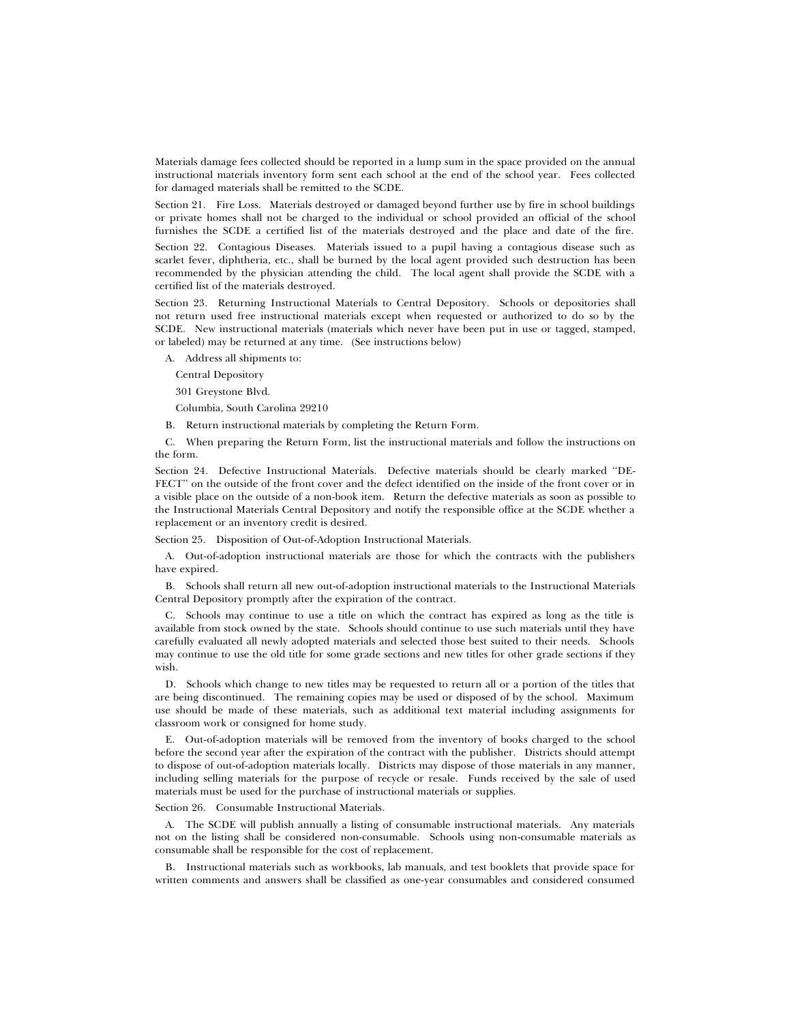Materials damage fees collected should be reported in a lump sum in the space provided on the annual instructional materials inventory form sent each school at the end of the school year. Fees collected for damaged materials shall be remitted to the SCDE.

Section 21. Fire Loss. Materials destroyed or damaged beyond further use by fire in school buildings or private homes shall not be charged to the individual or school provided an official of the school furnishes the SCDE a certified list of the materials destroyed and the place and date of the fire.

Section 22. Contagious Diseases. Materials issued to a pupil having a contagious disease such as scarlet fever, diphtheria, etc., shall be burned by the local agent provided such destruction has been recommended by the physician attending the child. The local agent shall provide the SCDE with a certified list of the materials destroyed.

Section 23. Returning Instructional Materials to Central Depository. Schools or depositories shall not return used free instructional materials except when requested or authorized to do so by the SCDE. New instructional materials (materials which never have been put in use or tagged, stamped, or labeled) may be returned at any time. (See instructions below)

A. Address all shipments to:

Central Depository

301 Greystone Blvd.

Columbia, South Carolina 29210

B. Return instructional materials by completing the Return Form.

C. When preparing the Return Form, list the instructional materials and follow the instructions on the form.

Section 24. Defective Instructional Materials. Defective materials should be clearly marked ''DE-FECT'' on the outside of the front cover and the defect identified on the inside of the front cover or in a visible place on the outside of a non-book item. Return the defective materials as soon as possible to the Instructional Materials Central Depository and notify the responsible office at the SCDE whether a replacement or an inventory credit is desired.

Section 25. Disposition of Out-of-Adoption Instructional Materials.

A. Out-of-adoption instructional materials are those for which the contracts with the publishers have expired.

B. Schools shall return all new out-of-adoption instructional materials to the Instructional Materials Central Depository promptly after the expiration of the contract.

C. Schools may continue to use a title on which the contract has expired as long as the title is available from stock owned by the state. Schools should continue to use such materials until they have carefully evaluated all newly adopted materials and selected those best suited to their needs. Schools may continue to use the old title for some grade sections and new titles for other grade sections if they wish.

D. Schools which change to new titles may be requested to return all or a portion of the titles that are being discontinued. The remaining copies may be used or disposed of by the school. Maximum use should be made of these materials, such as additional text material including assignments for classroom work or consigned for home study.

E. Out-of-adoption materials will be removed from the inventory of books charged to the school before the second year after the expiration of the contract with the publisher. Districts should attempt to dispose of out-of-adoption materials locally. Districts may dispose of those materials in any manner, including selling materials for the purpose of recycle or resale. Funds received by the sale of used materials must be used for the purchase of instructional materials or supplies.

Section 26. Consumable Instructional Materials.

A. The SCDE will publish annually a listing of consumable instructional materials. Any materials not on the listing shall be considered non-consumable. Schools using non-consumable materials as consumable shall be responsible for the cost of replacement.

B. Instructional materials such as workbooks, lab manuals, and test booklets that provide space for written comments and answers shall be classified as one-year consumables and considered consumed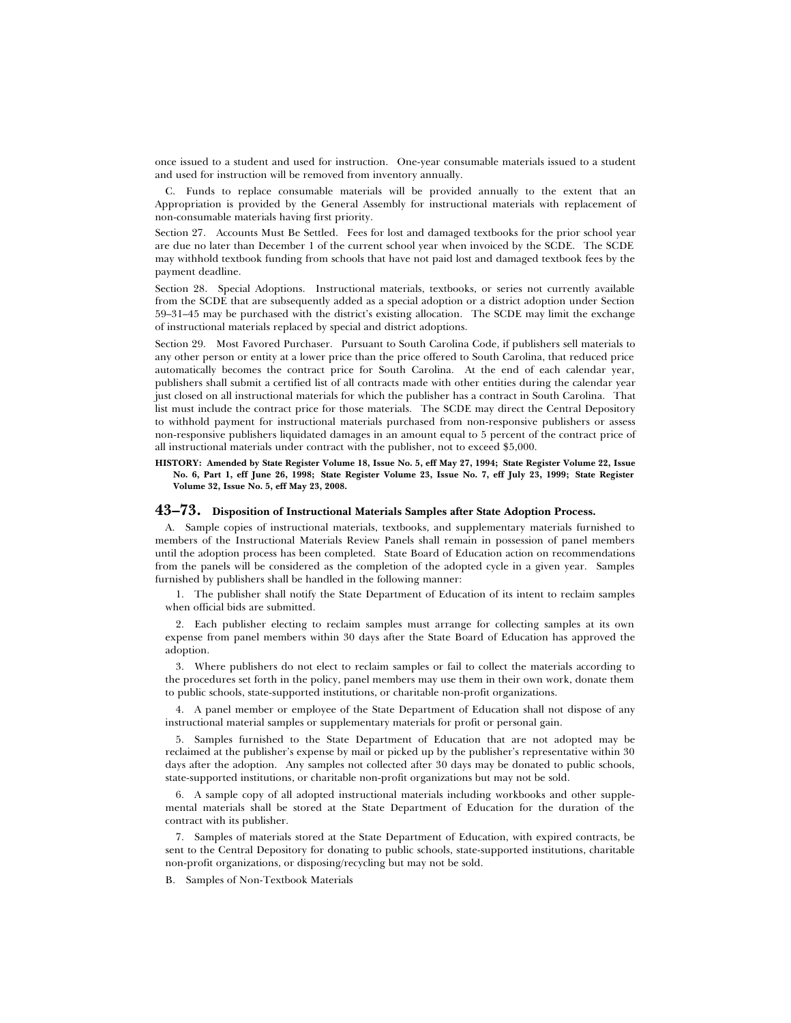once issued to a student and used for instruction. One-year consumable materials issued to a student and used for instruction will be removed from inventory annually.

C. Funds to replace consumable materials will be provided annually to the extent that an Appropriation is provided by the General Assembly for instructional materials with replacement of non-consumable materials having first priority.

Section 27. Accounts Must Be Settled. Fees for lost and damaged textbooks for the prior school year are due no later than December 1 of the current school year when invoiced by the SCDE. The SCDE may withhold textbook funding from schools that have not paid lost and damaged textbook fees by the payment deadline.

Section 28. Special Adoptions. Instructional materials, textbooks, or series not currently available from the SCDE that are subsequently added as a special adoption or a district adoption under Section 59–31–45 may be purchased with the district's existing allocation. The SCDE may limit the exchange of instructional materials replaced by special and district adoptions.

Section 29. Most Favored Purchaser. Pursuant to South Carolina Code, if publishers sell materials to any other person or entity at a lower price than the price offered to South Carolina, that reduced price automatically becomes the contract price for South Carolina. At the end of each calendar year, publishers shall submit a certified list of all contracts made with other entities during the calendar year just closed on all instructional materials for which the publisher has a contract in South Carolina. That list must include the contract price for those materials. The SCDE may direct the Central Depository to withhold payment for instructional materials purchased from non-responsive publishers or assess non-responsive publishers liquidated damages in an amount equal to 5 percent of the contract price of all instructional materials under contract with the publisher, not to exceed \$5,000.

#### **HISTORY: Amended by State Register Volume 18, Issue No. 5, eff May 27, 1994; State Register Volume 22, Issue No. 6, Part 1, eff June 26, 1998; State Register Volume 23, Issue No. 7, eff July 23, 1999; State Register Volume 32, Issue No. 5, eff May 23, 2008.**

### **43–73. Disposition of Instructional Materials Samples after State Adoption Process.**

A. Sample copies of instructional materials, textbooks, and supplementary materials furnished to members of the Instructional Materials Review Panels shall remain in possession of panel members until the adoption process has been completed. State Board of Education action on recommendations from the panels will be considered as the completion of the adopted cycle in a given year. Samples furnished by publishers shall be handled in the following manner:

1. The publisher shall notify the State Department of Education of its intent to reclaim samples when official bids are submitted.

2. Each publisher electing to reclaim samples must arrange for collecting samples at its own expense from panel members within 30 days after the State Board of Education has approved the adoption.

3. Where publishers do not elect to reclaim samples or fail to collect the materials according to the procedures set forth in the policy, panel members may use them in their own work, donate them to public schools, state-supported institutions, or charitable non-profit organizations.

4. A panel member or employee of the State Department of Education shall not dispose of any instructional material samples or supplementary materials for profit or personal gain.

5. Samples furnished to the State Department of Education that are not adopted may be reclaimed at the publisher's expense by mail or picked up by the publisher's representative within 30 days after the adoption. Any samples not collected after 30 days may be donated to public schools, state-supported institutions, or charitable non-profit organizations but may not be sold.

6. A sample copy of all adopted instructional materials including workbooks and other supplemental materials shall be stored at the State Department of Education for the duration of the contract with its publisher.

7. Samples of materials stored at the State Department of Education, with expired contracts, be sent to the Central Depository for donating to public schools, state-supported institutions, charitable non-profit organizations, or disposing/recycling but may not be sold.

B. Samples of Non-Textbook Materials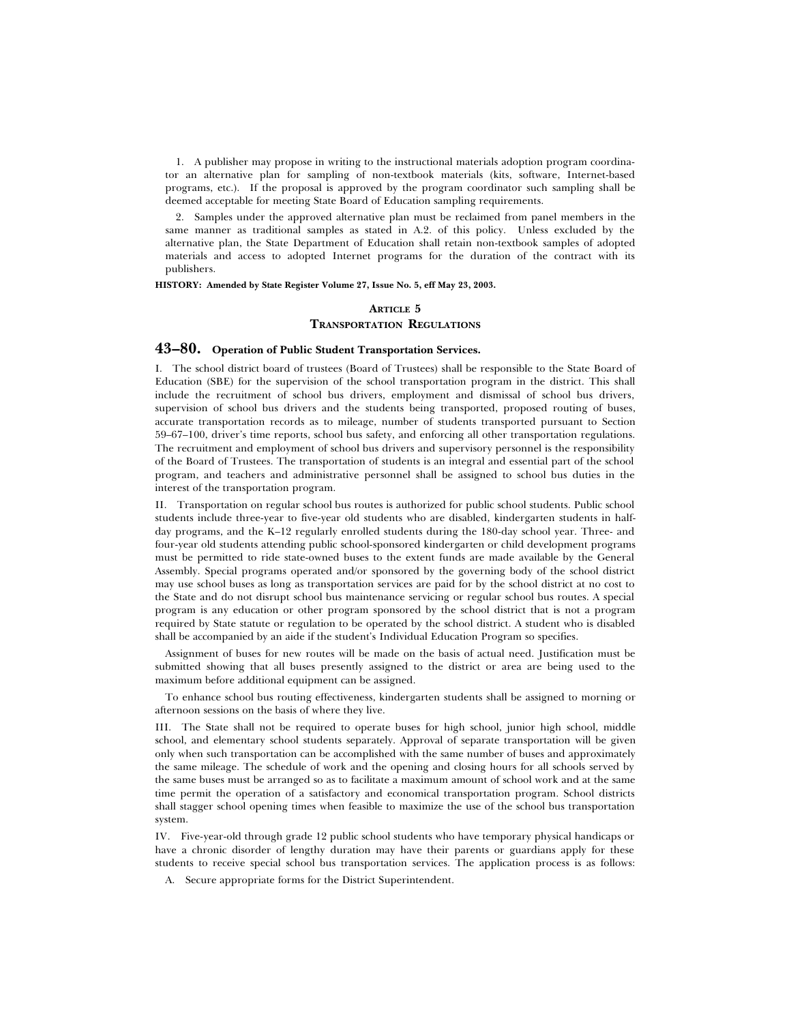1. A publisher may propose in writing to the instructional materials adoption program coordinator an alternative plan for sampling of non-textbook materials (kits, software, Internet-based programs, etc.). If the proposal is approved by the program coordinator such sampling shall be deemed acceptable for meeting State Board of Education sampling requirements.

2. Samples under the approved alternative plan must be reclaimed from panel members in the same manner as traditional samples as stated in A.2. of this policy. Unless excluded by the alternative plan, the State Department of Education shall retain non-textbook samples of adopted materials and access to adopted Internet programs for the duration of the contract with its publishers.

**HISTORY: Amended by State Register Volume 27, Issue No. 5, eff May 23, 2003.**

### **ARTICLE 5 TRANSPORTATION REGULATIONS**

# **43–80. Operation of Public Student Transportation Services.**

I. The school district board of trustees (Board of Trustees) shall be responsible to the State Board of Education (SBE) for the supervision of the school transportation program in the district. This shall include the recruitment of school bus drivers, employment and dismissal of school bus drivers, supervision of school bus drivers and the students being transported, proposed routing of buses, accurate transportation records as to mileage, number of students transported pursuant to Section 59–67–100, driver's time reports, school bus safety, and enforcing all other transportation regulations. The recruitment and employment of school bus drivers and supervisory personnel is the responsibility of the Board of Trustees. The transportation of students is an integral and essential part of the school program, and teachers and administrative personnel shall be assigned to school bus duties in the interest of the transportation program.

II. Transportation on regular school bus routes is authorized for public school students. Public school students include three-year to five-year old students who are disabled, kindergarten students in halfday programs, and the K–12 regularly enrolled students during the 180-day school year. Three- and four-year old students attending public school-sponsored kindergarten or child development programs must be permitted to ride state-owned buses to the extent funds are made available by the General Assembly. Special programs operated and/or sponsored by the governing body of the school district may use school buses as long as transportation services are paid for by the school district at no cost to the State and do not disrupt school bus maintenance servicing or regular school bus routes. A special program is any education or other program sponsored by the school district that is not a program required by State statute or regulation to be operated by the school district. A student who is disabled shall be accompanied by an aide if the student's Individual Education Program so specifies.

Assignment of buses for new routes will be made on the basis of actual need. Justification must be submitted showing that all buses presently assigned to the district or area are being used to the maximum before additional equipment can be assigned.

To enhance school bus routing effectiveness, kindergarten students shall be assigned to morning or afternoon sessions on the basis of where they live.

III. The State shall not be required to operate buses for high school, junior high school, middle school, and elementary school students separately. Approval of separate transportation will be given only when such transportation can be accomplished with the same number of buses and approximately the same mileage. The schedule of work and the opening and closing hours for all schools served by the same buses must be arranged so as to facilitate a maximum amount of school work and at the same time permit the operation of a satisfactory and economical transportation program. School districts shall stagger school opening times when feasible to maximize the use of the school bus transportation system.

IV. Five-year-old through grade 12 public school students who have temporary physical handicaps or have a chronic disorder of lengthy duration may have their parents or guardians apply for these students to receive special school bus transportation services. The application process is as follows:

A. Secure appropriate forms for the District Superintendent.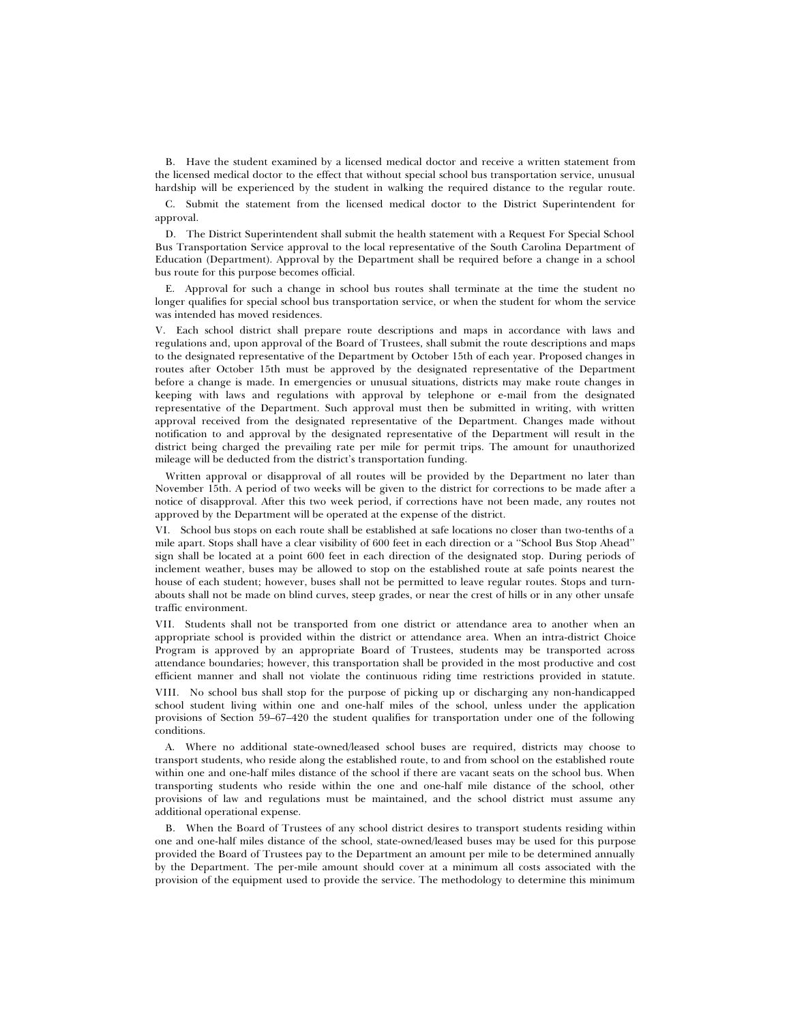B. Have the student examined by a licensed medical doctor and receive a written statement from the licensed medical doctor to the effect that without special school bus transportation service, unusual hardship will be experienced by the student in walking the required distance to the regular route.

C. Submit the statement from the licensed medical doctor to the District Superintendent for approval.

D. The District Superintendent shall submit the health statement with a Request For Special School Bus Transportation Service approval to the local representative of the South Carolina Department of Education (Department). Approval by the Department shall be required before a change in a school bus route for this purpose becomes official.

E. Approval for such a change in school bus routes shall terminate at the time the student no longer qualifies for special school bus transportation service, or when the student for whom the service was intended has moved residences.

V. Each school district shall prepare route descriptions and maps in accordance with laws and regulations and, upon approval of the Board of Trustees, shall submit the route descriptions and maps to the designated representative of the Department by October 15th of each year. Proposed changes in routes after October 15th must be approved by the designated representative of the Department before a change is made. In emergencies or unusual situations, districts may make route changes in keeping with laws and regulations with approval by telephone or e-mail from the designated representative of the Department. Such approval must then be submitted in writing, with written approval received from the designated representative of the Department. Changes made without notification to and approval by the designated representative of the Department will result in the district being charged the prevailing rate per mile for permit trips. The amount for unauthorized mileage will be deducted from the district's transportation funding.

Written approval or disapproval of all routes will be provided by the Department no later than November 15th. A period of two weeks will be given to the district for corrections to be made after a notice of disapproval. After this two week period, if corrections have not been made, any routes not approved by the Department will be operated at the expense of the district.

VI. School bus stops on each route shall be established at safe locations no closer than two-tenths of a mile apart. Stops shall have a clear visibility of 600 feet in each direction or a ''School Bus Stop Ahead'' sign shall be located at a point 600 feet in each direction of the designated stop. During periods of inclement weather, buses may be allowed to stop on the established route at safe points nearest the house of each student; however, buses shall not be permitted to leave regular routes. Stops and turnabouts shall not be made on blind curves, steep grades, or near the crest of hills or in any other unsafe traffic environment.

VII. Students shall not be transported from one district or attendance area to another when an appropriate school is provided within the district or attendance area. When an intra-district Choice Program is approved by an appropriate Board of Trustees, students may be transported across attendance boundaries; however, this transportation shall be provided in the most productive and cost efficient manner and shall not violate the continuous riding time restrictions provided in statute.

VIII. No school bus shall stop for the purpose of picking up or discharging any non-handicapped school student living within one and one-half miles of the school, unless under the application provisions of Section 59–67–420 the student qualifies for transportation under one of the following conditions.

A. Where no additional state-owned/leased school buses are required, districts may choose to transport students, who reside along the established route, to and from school on the established route within one and one-half miles distance of the school if there are vacant seats on the school bus. When transporting students who reside within the one and one-half mile distance of the school, other provisions of law and regulations must be maintained, and the school district must assume any additional operational expense.

B. When the Board of Trustees of any school district desires to transport students residing within one and one-half miles distance of the school, state-owned/leased buses may be used for this purpose provided the Board of Trustees pay to the Department an amount per mile to be determined annually by the Department. The per-mile amount should cover at a minimum all costs associated with the provision of the equipment used to provide the service. The methodology to determine this minimum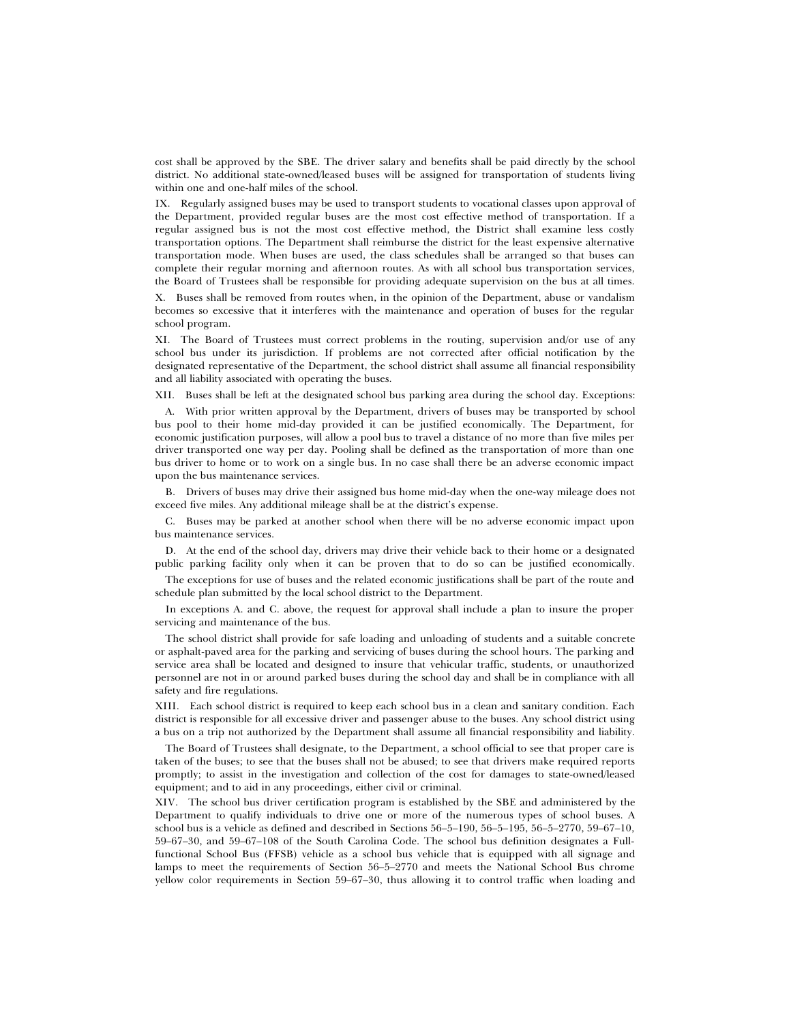cost shall be approved by the SBE. The driver salary and benefits shall be paid directly by the school district. No additional state-owned/leased buses will be assigned for transportation of students living within one and one-half miles of the school.

IX. Regularly assigned buses may be used to transport students to vocational classes upon approval of the Department, provided regular buses are the most cost effective method of transportation. If a regular assigned bus is not the most cost effective method, the District shall examine less costly transportation options. The Department shall reimburse the district for the least expensive alternative transportation mode. When buses are used, the class schedules shall be arranged so that buses can complete their regular morning and afternoon routes. As with all school bus transportation services, the Board of Trustees shall be responsible for providing adequate supervision on the bus at all times.

X. Buses shall be removed from routes when, in the opinion of the Department, abuse or vandalism becomes so excessive that it interferes with the maintenance and operation of buses for the regular school program.

XI. The Board of Trustees must correct problems in the routing, supervision and/or use of any school bus under its jurisdiction. If problems are not corrected after official notification by the designated representative of the Department, the school district shall assume all financial responsibility and all liability associated with operating the buses.

XII. Buses shall be left at the designated school bus parking area during the school day. Exceptions:

A. With prior written approval by the Department, drivers of buses may be transported by school bus pool to their home mid-day provided it can be justified economically. The Department, for economic justification purposes, will allow a pool bus to travel a distance of no more than five miles per driver transported one way per day. Pooling shall be defined as the transportation of more than one bus driver to home or to work on a single bus. In no case shall there be an adverse economic impact upon the bus maintenance services.

B. Drivers of buses may drive their assigned bus home mid-day when the one-way mileage does not exceed five miles. Any additional mileage shall be at the district's expense.

C. Buses may be parked at another school when there will be no adverse economic impact upon bus maintenance services.

D. At the end of the school day, drivers may drive their vehicle back to their home or a designated public parking facility only when it can be proven that to do so can be justified economically.

The exceptions for use of buses and the related economic justifications shall be part of the route and schedule plan submitted by the local school district to the Department.

In exceptions A. and C. above, the request for approval shall include a plan to insure the proper servicing and maintenance of the bus.

The school district shall provide for safe loading and unloading of students and a suitable concrete or asphalt-paved area for the parking and servicing of buses during the school hours. The parking and service area shall be located and designed to insure that vehicular traffic, students, or unauthorized personnel are not in or around parked buses during the school day and shall be in compliance with all safety and fire regulations.

XIII. Each school district is required to keep each school bus in a clean and sanitary condition. Each district is responsible for all excessive driver and passenger abuse to the buses. Any school district using a bus on a trip not authorized by the Department shall assume all financial responsibility and liability.

The Board of Trustees shall designate, to the Department, a school official to see that proper care is taken of the buses; to see that the buses shall not be abused; to see that drivers make required reports promptly; to assist in the investigation and collection of the cost for damages to state-owned/leased equipment; and to aid in any proceedings, either civil or criminal.

XIV. The school bus driver certification program is established by the SBE and administered by the Department to qualify individuals to drive one or more of the numerous types of school buses. A school bus is a vehicle as defined and described in Sections 56–5–190, 56–5–195, 56–5–2770, 59–67–10, 59–67–30, and 59–67–108 of the South Carolina Code. The school bus definition designates a Fullfunctional School Bus (FFSB) vehicle as a school bus vehicle that is equipped with all signage and lamps to meet the requirements of Section 56–5–2770 and meets the National School Bus chrome yellow color requirements in Section 59–67–30, thus allowing it to control traffic when loading and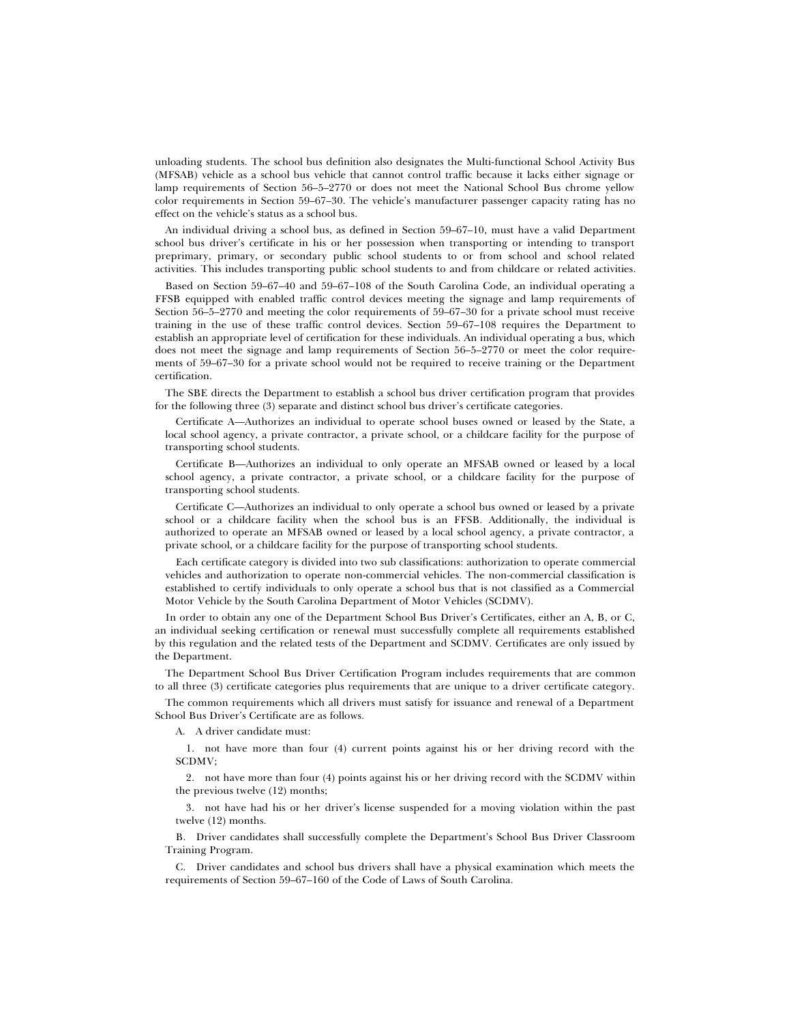unloading students. The school bus definition also designates the Multi-functional School Activity Bus (MFSAB) vehicle as a school bus vehicle that cannot control traffic because it lacks either signage or lamp requirements of Section 56–5–2770 or does not meet the National School Bus chrome yellow color requirements in Section 59–67–30. The vehicle's manufacturer passenger capacity rating has no effect on the vehicle's status as a school bus.

An individual driving a school bus, as defined in Section 59–67–10, must have a valid Department school bus driver's certificate in his or her possession when transporting or intending to transport preprimary, primary, or secondary public school students to or from school and school related activities. This includes transporting public school students to and from childcare or related activities.

Based on Section 59–67–40 and 59–67–108 of the South Carolina Code, an individual operating a FFSB equipped with enabled traffic control devices meeting the signage and lamp requirements of Section 56–5–2770 and meeting the color requirements of 59–67–30 for a private school must receive training in the use of these traffic control devices. Section 59–67–108 requires the Department to establish an appropriate level of certification for these individuals. An individual operating a bus, which does not meet the signage and lamp requirements of Section 56–5–2770 or meet the color requirements of 59–67–30 for a private school would not be required to receive training or the Department certification.

The SBE directs the Department to establish a school bus driver certification program that provides for the following three (3) separate and distinct school bus driver's certificate categories.

Certificate A—Authorizes an individual to operate school buses owned or leased by the State, a local school agency, a private contractor, a private school, or a childcare facility for the purpose of transporting school students.

Certificate B—Authorizes an individual to only operate an MFSAB owned or leased by a local school agency, a private contractor, a private school, or a childcare facility for the purpose of transporting school students.

Certificate C—Authorizes an individual to only operate a school bus owned or leased by a private school or a childcare facility when the school bus is an FFSB. Additionally, the individual is authorized to operate an MFSAB owned or leased by a local school agency, a private contractor, a private school, or a childcare facility for the purpose of transporting school students.

Each certificate category is divided into two sub classifications: authorization to operate commercial vehicles and authorization to operate non-commercial vehicles. The non-commercial classification is established to certify individuals to only operate a school bus that is not classified as a Commercial Motor Vehicle by the South Carolina Department of Motor Vehicles (SCDMV).

In order to obtain any one of the Department School Bus Driver's Certificates, either an A, B, or C, an individual seeking certification or renewal must successfully complete all requirements established by this regulation and the related tests of the Department and SCDMV. Certificates are only issued by the Department.

The Department School Bus Driver Certification Program includes requirements that are common to all three (3) certificate categories plus requirements that are unique to a driver certificate category.

The common requirements which all drivers must satisfy for issuance and renewal of a Department School Bus Driver's Certificate are as follows.

A. A driver candidate must:

1. not have more than four (4) current points against his or her driving record with the SCDMV;

2. not have more than four (4) points against his or her driving record with the SCDMV within the previous twelve (12) months;

3. not have had his or her driver's license suspended for a moving violation within the past twelve (12) months.

B. Driver candidates shall successfully complete the Department's School Bus Driver Classroom Training Program.

C. Driver candidates and school bus drivers shall have a physical examination which meets the requirements of Section 59–67–160 of the Code of Laws of South Carolina.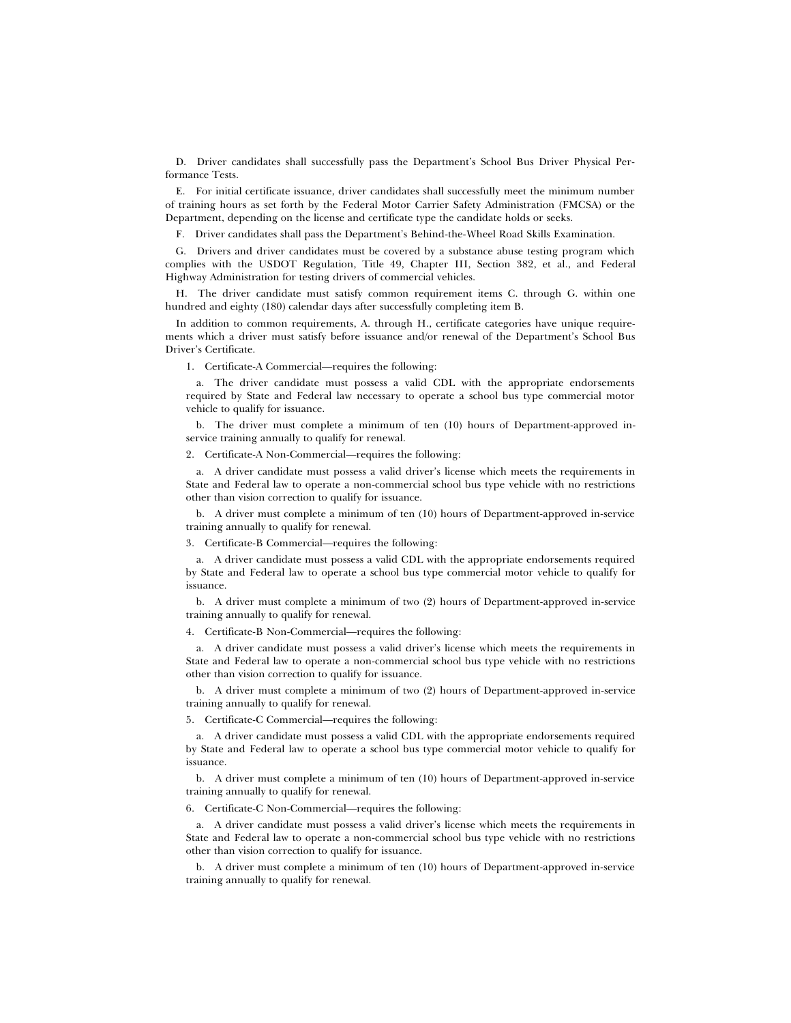D. Driver candidates shall successfully pass the Department's School Bus Driver Physical Performance Tests.

E. For initial certificate issuance, driver candidates shall successfully meet the minimum number of training hours as set forth by the Federal Motor Carrier Safety Administration (FMCSA) or the Department, depending on the license and certificate type the candidate holds or seeks.

F. Driver candidates shall pass the Department's Behind-the-Wheel Road Skills Examination.

G. Drivers and driver candidates must be covered by a substance abuse testing program which complies with the USDOT Regulation, Title 49, Chapter III, Section 382, et al., and Federal Highway Administration for testing drivers of commercial vehicles.

H. The driver candidate must satisfy common requirement items C. through G. within one hundred and eighty (180) calendar days after successfully completing item B.

In addition to common requirements, A. through H., certificate categories have unique requirements which a driver must satisfy before issuance and/or renewal of the Department's School Bus Driver's Certificate.

1. Certificate-A Commercial—requires the following:

a. The driver candidate must possess a valid CDL with the appropriate endorsements required by State and Federal law necessary to operate a school bus type commercial motor vehicle to qualify for issuance.

b. The driver must complete a minimum of ten (10) hours of Department-approved inservice training annually to qualify for renewal.

2. Certificate-A Non-Commercial—requires the following:

a. A driver candidate must possess a valid driver's license which meets the requirements in State and Federal law to operate a non-commercial school bus type vehicle with no restrictions other than vision correction to qualify for issuance.

b. A driver must complete a minimum of ten (10) hours of Department-approved in-service training annually to qualify for renewal.

3. Certificate-B Commercial—requires the following:

a. A driver candidate must possess a valid CDL with the appropriate endorsements required by State and Federal law to operate a school bus type commercial motor vehicle to qualify for issuance.

b. A driver must complete a minimum of two (2) hours of Department-approved in-service training annually to qualify for renewal.

4. Certificate-B Non-Commercial—requires the following:

a. A driver candidate must possess a valid driver's license which meets the requirements in State and Federal law to operate a non-commercial school bus type vehicle with no restrictions other than vision correction to qualify for issuance.

b. A driver must complete a minimum of two (2) hours of Department-approved in-service training annually to qualify for renewal.

5. Certificate-C Commercial—requires the following:

a. A driver candidate must possess a valid CDL with the appropriate endorsements required by State and Federal law to operate a school bus type commercial motor vehicle to qualify for issuance.

b. A driver must complete a minimum of ten (10) hours of Department-approved in-service training annually to qualify for renewal.

6. Certificate-C Non-Commercial—requires the following:

a. A driver candidate must possess a valid driver's license which meets the requirements in State and Federal law to operate a non-commercial school bus type vehicle with no restrictions other than vision correction to qualify for issuance.

b. A driver must complete a minimum of ten (10) hours of Department-approved in-service training annually to qualify for renewal.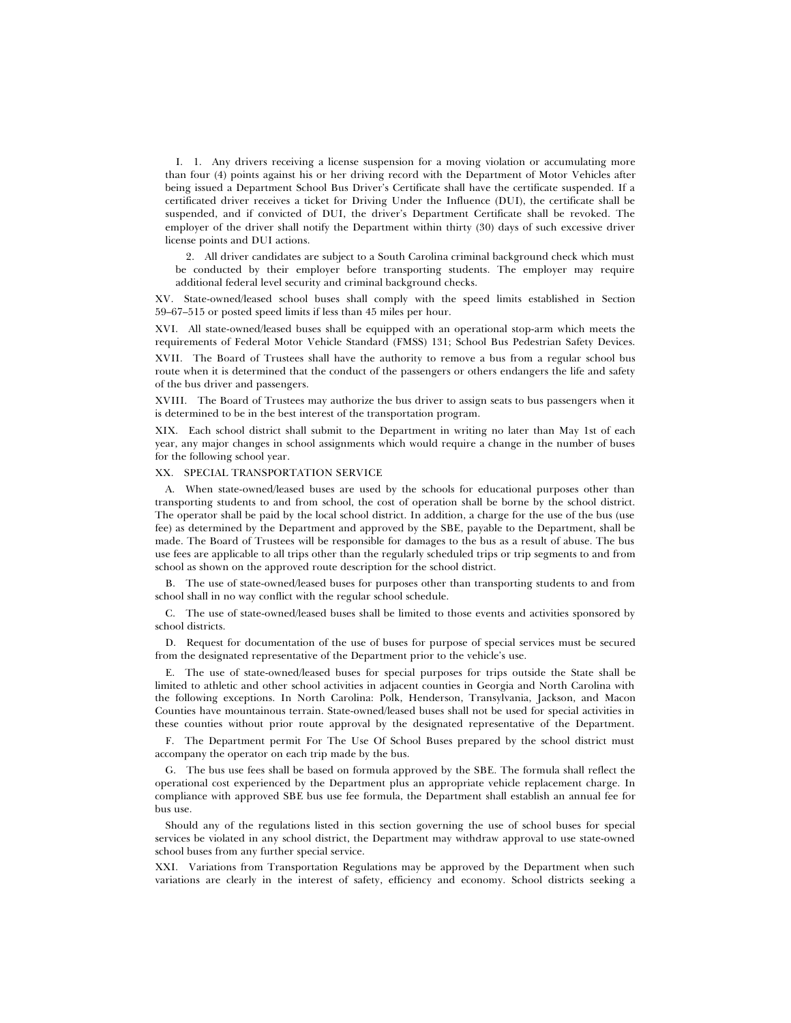I. 1. Any drivers receiving a license suspension for a moving violation or accumulating more than four (4) points against his or her driving record with the Department of Motor Vehicles after being issued a Department School Bus Driver's Certificate shall have the certificate suspended. If a certificated driver receives a ticket for Driving Under the Influence (DUI), the certificate shall be suspended, and if convicted of DUI, the driver's Department Certificate shall be revoked. The employer of the driver shall notify the Department within thirty (30) days of such excessive driver license points and DUI actions.

2. All driver candidates are subject to a South Carolina criminal background check which must be conducted by their employer before transporting students. The employer may require additional federal level security and criminal background checks.

XV. State-owned/leased school buses shall comply with the speed limits established in Section 59–67–515 or posted speed limits if less than 45 miles per hour.

XVI. All state-owned/leased buses shall be equipped with an operational stop-arm which meets the requirements of Federal Motor Vehicle Standard (FMSS) 131; School Bus Pedestrian Safety Devices.

XVII. The Board of Trustees shall have the authority to remove a bus from a regular school bus route when it is determined that the conduct of the passengers or others endangers the life and safety of the bus driver and passengers.

XVIII. The Board of Trustees may authorize the bus driver to assign seats to bus passengers when it is determined to be in the best interest of the transportation program.

XIX. Each school district shall submit to the Department in writing no later than May 1st of each year, any major changes in school assignments which would require a change in the number of buses for the following school year.

#### XX. SPECIAL TRANSPORTATION SERVICE

A. When state-owned/leased buses are used by the schools for educational purposes other than transporting students to and from school, the cost of operation shall be borne by the school district. The operator shall be paid by the local school district. In addition, a charge for the use of the bus (use fee) as determined by the Department and approved by the SBE, payable to the Department, shall be made. The Board of Trustees will be responsible for damages to the bus as a result of abuse. The bus use fees are applicable to all trips other than the regularly scheduled trips or trip segments to and from school as shown on the approved route description for the school district.

B. The use of state-owned/leased buses for purposes other than transporting students to and from school shall in no way conflict with the regular school schedule.

C. The use of state-owned/leased buses shall be limited to those events and activities sponsored by school districts.

D. Request for documentation of the use of buses for purpose of special services must be secured from the designated representative of the Department prior to the vehicle's use.

E. The use of state-owned/leased buses for special purposes for trips outside the State shall be limited to athletic and other school activities in adjacent counties in Georgia and North Carolina with the following exceptions. In North Carolina: Polk, Henderson, Transylvania, Jackson, and Macon Counties have mountainous terrain. State-owned/leased buses shall not be used for special activities in these counties without prior route approval by the designated representative of the Department.

F. The Department permit For The Use Of School Buses prepared by the school district must accompany the operator on each trip made by the bus.

G. The bus use fees shall be based on formula approved by the SBE. The formula shall reflect the operational cost experienced by the Department plus an appropriate vehicle replacement charge. In compliance with approved SBE bus use fee formula, the Department shall establish an annual fee for bus use.

Should any of the regulations listed in this section governing the use of school buses for special services be violated in any school district, the Department may withdraw approval to use state-owned school buses from any further special service.

XXI. Variations from Transportation Regulations may be approved by the Department when such variations are clearly in the interest of safety, efficiency and economy. School districts seeking a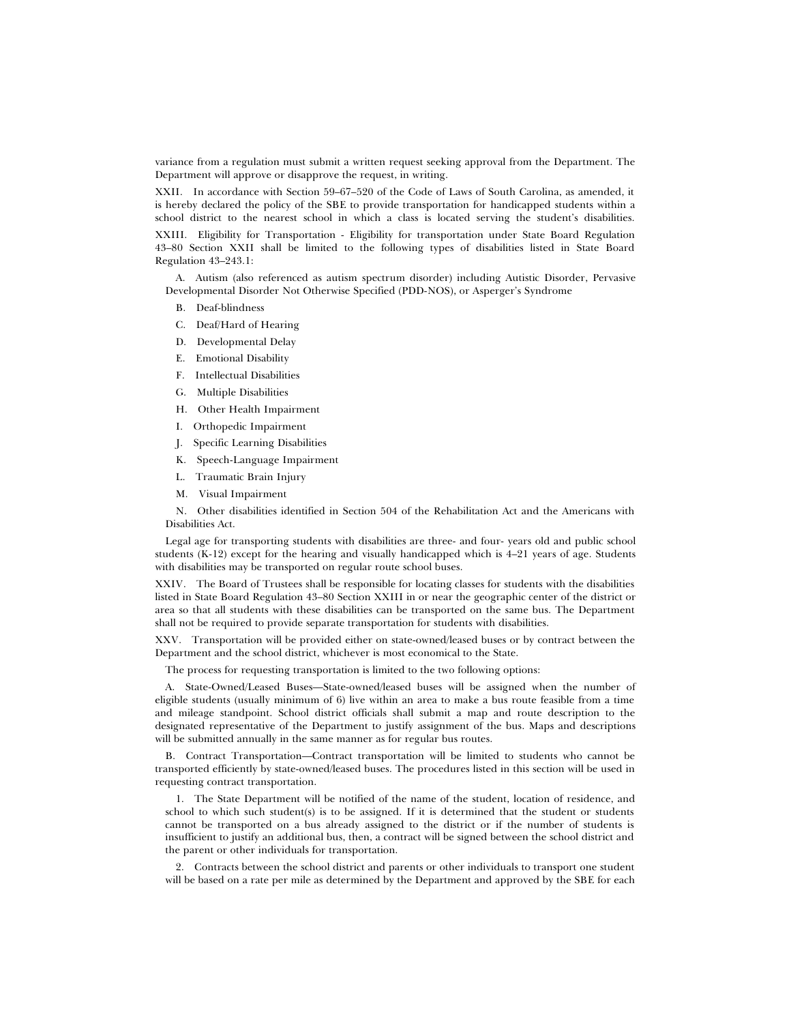variance from a regulation must submit a written request seeking approval from the Department. The Department will approve or disapprove the request, in writing.

XXII. In accordance with Section 59–67–520 of the Code of Laws of South Carolina, as amended, it is hereby declared the policy of the SBE to provide transportation for handicapped students within a school district to the nearest school in which a class is located serving the student's disabilities. XXIII. Eligibility for Transportation - Eligibility for transportation under State Board Regulation 43–80 Section XXII shall be limited to the following types of disabilities listed in State Board Regulation 43–243.1:

A. Autism (also referenced as autism spectrum disorder) including Autistic Disorder, Pervasive Developmental Disorder Not Otherwise Specified (PDD-NOS), or Asperger's Syndrome

- B. Deaf-blindness
- C. Deaf/Hard of Hearing
- D. Developmental Delay
- E. Emotional Disability
- F. Intellectual Disabilities
- G. Multiple Disabilities
- H. Other Health Impairment
- I. Orthopedic Impairment
- J. Specific Learning Disabilities
- K. Speech-Language Impairment
- L. Traumatic Brain Injury
- M. Visual Impairment

N. Other disabilities identified in Section 504 of the Rehabilitation Act and the Americans with Disabilities Act.

Legal age for transporting students with disabilities are three- and four- years old and public school students (K-12) except for the hearing and visually handicapped which is 4–21 years of age. Students with disabilities may be transported on regular route school buses.

XXIV. The Board of Trustees shall be responsible for locating classes for students with the disabilities listed in State Board Regulation 43–80 Section XXIII in or near the geographic center of the district or area so that all students with these disabilities can be transported on the same bus. The Department shall not be required to provide separate transportation for students with disabilities.

XXV. Transportation will be provided either on state-owned/leased buses or by contract between the Department and the school district, whichever is most economical to the State.

The process for requesting transportation is limited to the two following options:

A. State-Owned/Leased Buses—State-owned/leased buses will be assigned when the number of eligible students (usually minimum of 6) live within an area to make a bus route feasible from a time and mileage standpoint. School district officials shall submit a map and route description to the designated representative of the Department to justify assignment of the bus. Maps and descriptions will be submitted annually in the same manner as for regular bus routes.

B. Contract Transportation—Contract transportation will be limited to students who cannot be transported efficiently by state-owned/leased buses. The procedures listed in this section will be used in requesting contract transportation.

1. The State Department will be notified of the name of the student, location of residence, and school to which such student(s) is to be assigned. If it is determined that the student or students cannot be transported on a bus already assigned to the district or if the number of students is insufficient to justify an additional bus, then, a contract will be signed between the school district and the parent or other individuals for transportation.

2. Contracts between the school district and parents or other individuals to transport one student will be based on a rate per mile as determined by the Department and approved by the SBE for each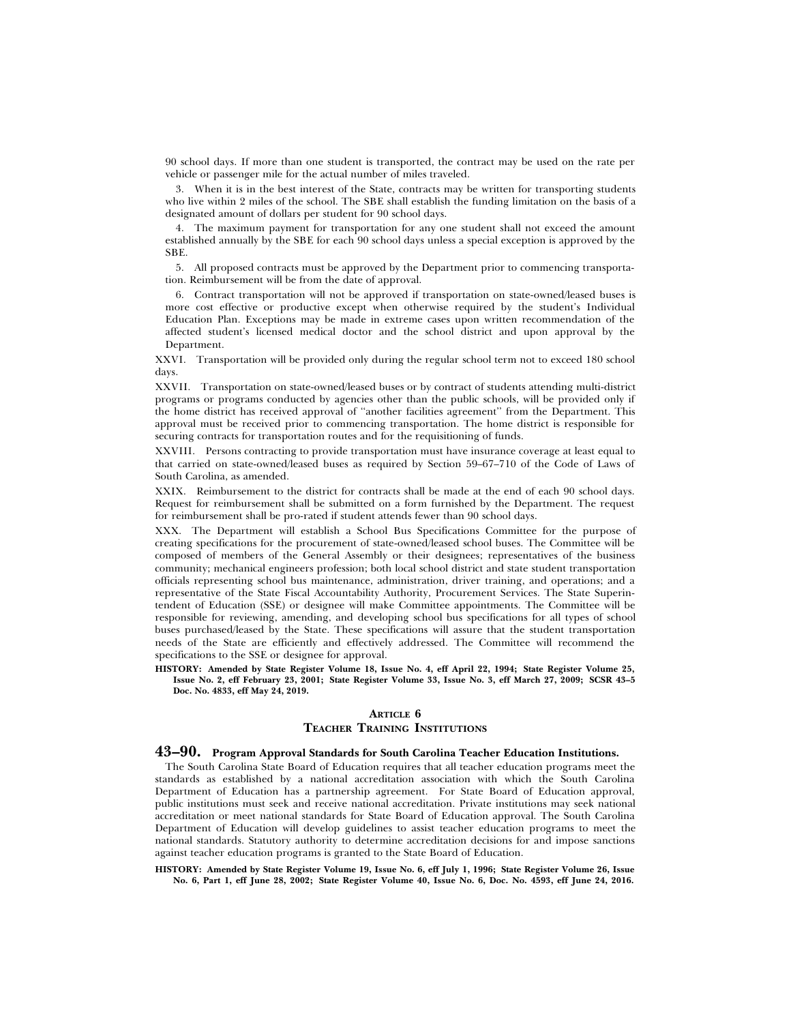90 school days. If more than one student is transported, the contract may be used on the rate per vehicle or passenger mile for the actual number of miles traveled.

3. When it is in the best interest of the State, contracts may be written for transporting students who live within 2 miles of the school. The SBE shall establish the funding limitation on the basis of a designated amount of dollars per student for 90 school days.

4. The maximum payment for transportation for any one student shall not exceed the amount established annually by the SBE for each 90 school days unless a special exception is approved by the SBE.

5. All proposed contracts must be approved by the Department prior to commencing transportation. Reimbursement will be from the date of approval.

6. Contract transportation will not be approved if transportation on state-owned/leased buses is more cost effective or productive except when otherwise required by the student's Individual Education Plan. Exceptions may be made in extreme cases upon written recommendation of the affected student's licensed medical doctor and the school district and upon approval by the Department.

XXVI. Transportation will be provided only during the regular school term not to exceed 180 school days.

XXVII. Transportation on state-owned/leased buses or by contract of students attending multi-district programs or programs conducted by agencies other than the public schools, will be provided only if the home district has received approval of ''another facilities agreement'' from the Department. This approval must be received prior to commencing transportation. The home district is responsible for securing contracts for transportation routes and for the requisitioning of funds.

XXVIII. Persons contracting to provide transportation must have insurance coverage at least equal to that carried on state-owned/leased buses as required by Section 59–67–710 of the Code of Laws of South Carolina, as amended.

XXIX. Reimbursement to the district for contracts shall be made at the end of each 90 school days. Request for reimbursement shall be submitted on a form furnished by the Department. The request for reimbursement shall be pro-rated if student attends fewer than 90 school days.

XXX. The Department will establish a School Bus Specifications Committee for the purpose of creating specifications for the procurement of state-owned/leased school buses. The Committee will be composed of members of the General Assembly or their designees; representatives of the business community; mechanical engineers profession; both local school district and state student transportation officials representing school bus maintenance, administration, driver training, and operations; and a representative of the State Fiscal Accountability Authority, Procurement Services. The State Superintendent of Education (SSE) or designee will make Committee appointments. The Committee will be responsible for reviewing, amending, and developing school bus specifications for all types of school buses purchased/leased by the State. These specifications will assure that the student transportation needs of the State are efficiently and effectively addressed. The Committee will recommend the specifications to the SSE or designee for approval.

**HISTORY: Amended by State Register Volume 18, Issue No. 4, eff April 22, 1994; State Register Volume 25, Issue No. 2, eff February 23, 2001; State Register Volume 33, Issue No. 3, eff March 27, 2009; SCSR 43–5 Doc. No. 4833, eff May 24, 2019.**

### **ARTICLE 6**

#### **TEACHER TRAINING INSTITUTIONS**

# **43–90. Program Approval Standards for South Carolina Teacher Education Institutions.**

The South Carolina State Board of Education requires that all teacher education programs meet the standards as established by a national accreditation association with which the South Carolina Department of Education has a partnership agreement. For State Board of Education approval, public institutions must seek and receive national accreditation. Private institutions may seek national accreditation or meet national standards for State Board of Education approval. The South Carolina Department of Education will develop guidelines to assist teacher education programs to meet the national standards. Statutory authority to determine accreditation decisions for and impose sanctions against teacher education programs is granted to the State Board of Education.

**HISTORY: Amended by State Register Volume 19, Issue No. 6, eff July 1, 1996; State Register Volume 26, Issue No. 6, Part 1, eff June 28, 2002; State Register Volume 40, Issue No. 6, Doc. No. 4593, eff June 24, 2016.**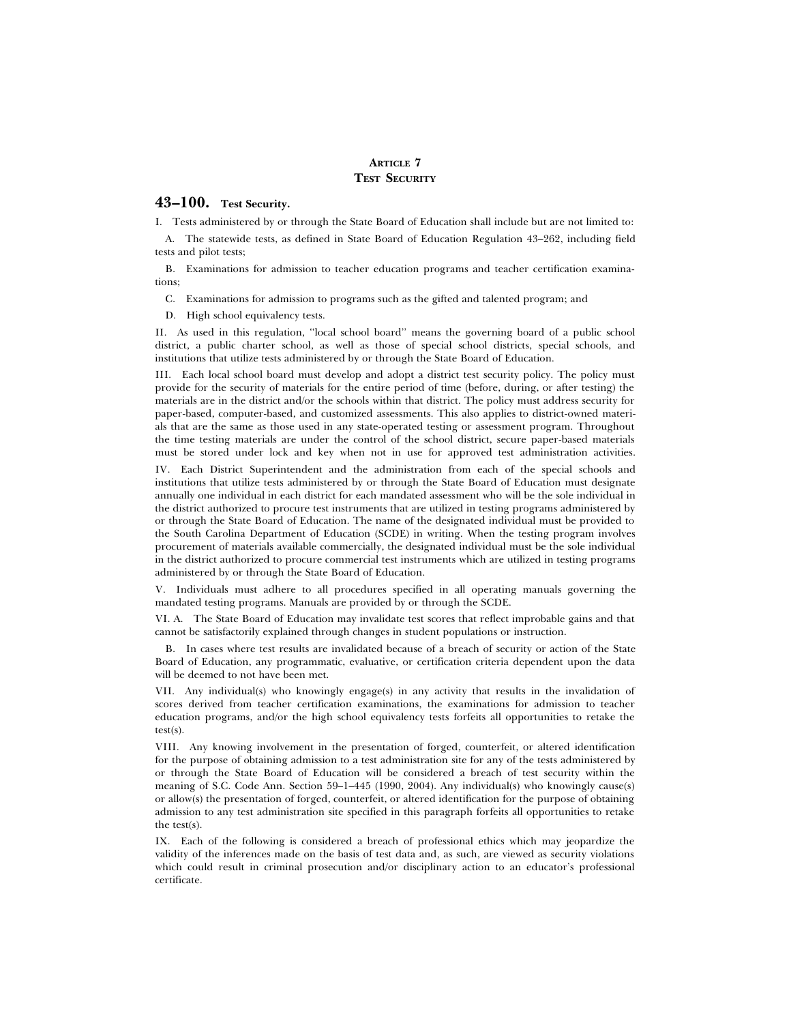# **ARTICLE 7 TEST SECURITY**

# **43–100. Test Security.**

I. Tests administered by or through the State Board of Education shall include but are not limited to:

A. The statewide tests, as defined in State Board of Education Regulation 43–262, including field tests and pilot tests;

B. Examinations for admission to teacher education programs and teacher certification examinations;

C. Examinations for admission to programs such as the gifted and talented program; and

D. High school equivalency tests.

II. As used in this regulation, ''local school board'' means the governing board of a public school district, a public charter school, as well as those of special school districts, special schools, and institutions that utilize tests administered by or through the State Board of Education.

III. Each local school board must develop and adopt a district test security policy. The policy must provide for the security of materials for the entire period of time (before, during, or after testing) the materials are in the district and/or the schools within that district. The policy must address security for paper-based, computer-based, and customized assessments. This also applies to district-owned materials that are the same as those used in any state-operated testing or assessment program. Throughout the time testing materials are under the control of the school district, secure paper-based materials must be stored under lock and key when not in use for approved test administration activities.

IV. Each District Superintendent and the administration from each of the special schools and institutions that utilize tests administered by or through the State Board of Education must designate annually one individual in each district for each mandated assessment who will be the sole individual in the district authorized to procure test instruments that are utilized in testing programs administered by or through the State Board of Education. The name of the designated individual must be provided to the South Carolina Department of Education (SCDE) in writing. When the testing program involves procurement of materials available commercially, the designated individual must be the sole individual in the district authorized to procure commercial test instruments which are utilized in testing programs administered by or through the State Board of Education.

V. Individuals must adhere to all procedures specified in all operating manuals governing the mandated testing programs. Manuals are provided by or through the SCDE.

VI. A. The State Board of Education may invalidate test scores that reflect improbable gains and that cannot be satisfactorily explained through changes in student populations or instruction.

B. In cases where test results are invalidated because of a breach of security or action of the State Board of Education, any programmatic, evaluative, or certification criteria dependent upon the data will be deemed to not have been met.

VII. Any individual(s) who knowingly engage(s) in any activity that results in the invalidation of scores derived from teacher certification examinations, the examinations for admission to teacher education programs, and/or the high school equivalency tests forfeits all opportunities to retake the test(s).

VIII. Any knowing involvement in the presentation of forged, counterfeit, or altered identification for the purpose of obtaining admission to a test administration site for any of the tests administered by or through the State Board of Education will be considered a breach of test security within the meaning of S.C. Code Ann. Section 59–1–445 (1990, 2004). Any individual(s) who knowingly cause(s) or allow(s) the presentation of forged, counterfeit, or altered identification for the purpose of obtaining admission to any test administration site specified in this paragraph forfeits all opportunities to retake the test(s).

IX. Each of the following is considered a breach of professional ethics which may jeopardize the validity of the inferences made on the basis of test data and, as such, are viewed as security violations which could result in criminal prosecution and/or disciplinary action to an educator's professional certificate.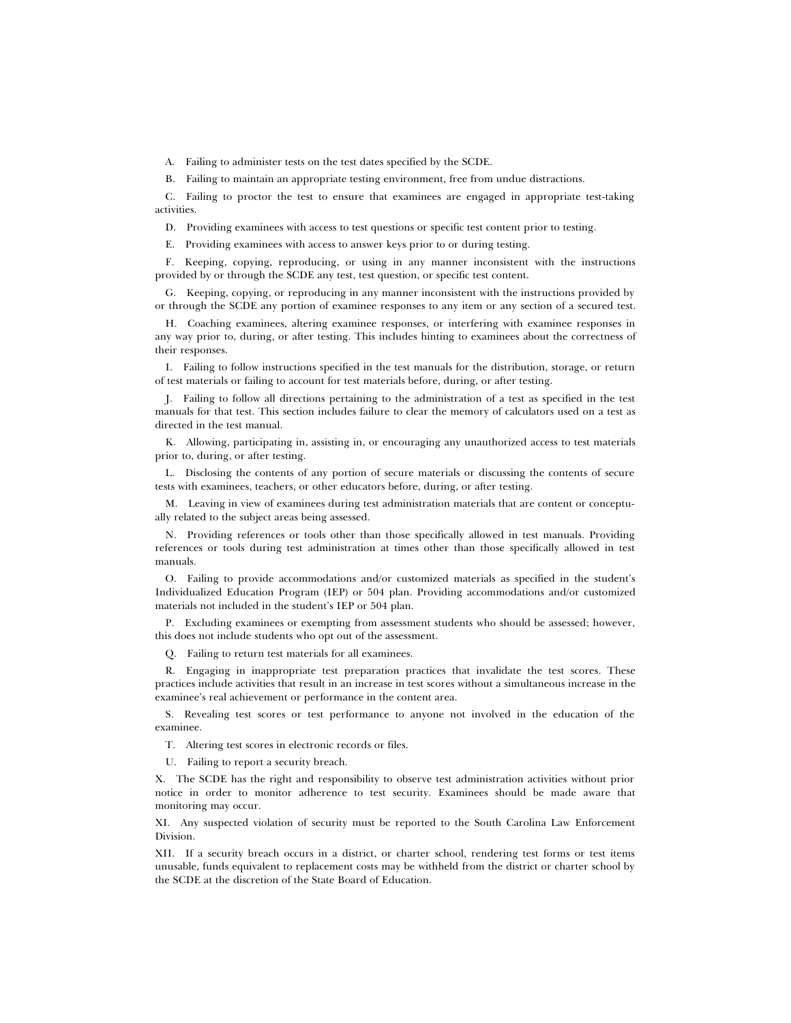A. Failing to administer tests on the test dates specified by the SCDE.

B. Failing to maintain an appropriate testing environment, free from undue distractions.

C. Failing to proctor the test to ensure that examinees are engaged in appropriate test-taking activities.

D. Providing examinees with access to test questions or specific test content prior to testing.

E. Providing examinees with access to answer keys prior to or during testing.

F. Keeping, copying, reproducing, or using in any manner inconsistent with the instructions provided by or through the SCDE any test, test question, or specific test content.

G. Keeping, copying, or reproducing in any manner inconsistent with the instructions provided by or through the SCDE any portion of examinee responses to any item or any section of a secured test.

H. Coaching examinees, altering examinee responses, or interfering with examinee responses in any way prior to, during, or after testing. This includes hinting to examinees about the correctness of their responses.

I. Failing to follow instructions specified in the test manuals for the distribution, storage, or return of test materials or failing to account for test materials before, during, or after testing.

J. Failing to follow all directions pertaining to the administration of a test as specified in the test manuals for that test. This section includes failure to clear the memory of calculators used on a test as directed in the test manual.

K. Allowing, participating in, assisting in, or encouraging any unauthorized access to test materials prior to, during, or after testing.

L. Disclosing the contents of any portion of secure materials or discussing the contents of secure tests with examinees, teachers, or other educators before, during, or after testing.

M. Leaving in view of examinees during test administration materials that are content or conceptually related to the subject areas being assessed.

N. Providing references or tools other than those specifically allowed in test manuals. Providing references or tools during test administration at times other than those specifically allowed in test manuals.

O. Failing to provide accommodations and/or customized materials as specified in the student's Individualized Education Program (IEP) or 504 plan. Providing accommodations and/or customized materials not included in the student's IEP or 504 plan.

P. Excluding examinees or exempting from assessment students who should be assessed; however, this does not include students who opt out of the assessment.

Q. Failing to return test materials for all examinees.

R. Engaging in inappropriate test preparation practices that invalidate the test scores. These practices include activities that result in an increase in test scores without a simultaneous increase in the examinee's real achievement or performance in the content area.

S. Revealing test scores or test performance to anyone not involved in the education of the examinee.

T. Altering test scores in electronic records or files.

U. Failing to report a security breach.

X. The SCDE has the right and responsibility to observe test administration activities without prior notice in order to monitor adherence to test security. Examinees should be made aware that monitoring may occur.

XI. Any suspected violation of security must be reported to the South Carolina Law Enforcement Division.

XII. If a security breach occurs in a district, or charter school, rendering test forms or test items unusable, funds equivalent to replacement costs may be withheld from the district or charter school by the SCDE at the discretion of the State Board of Education.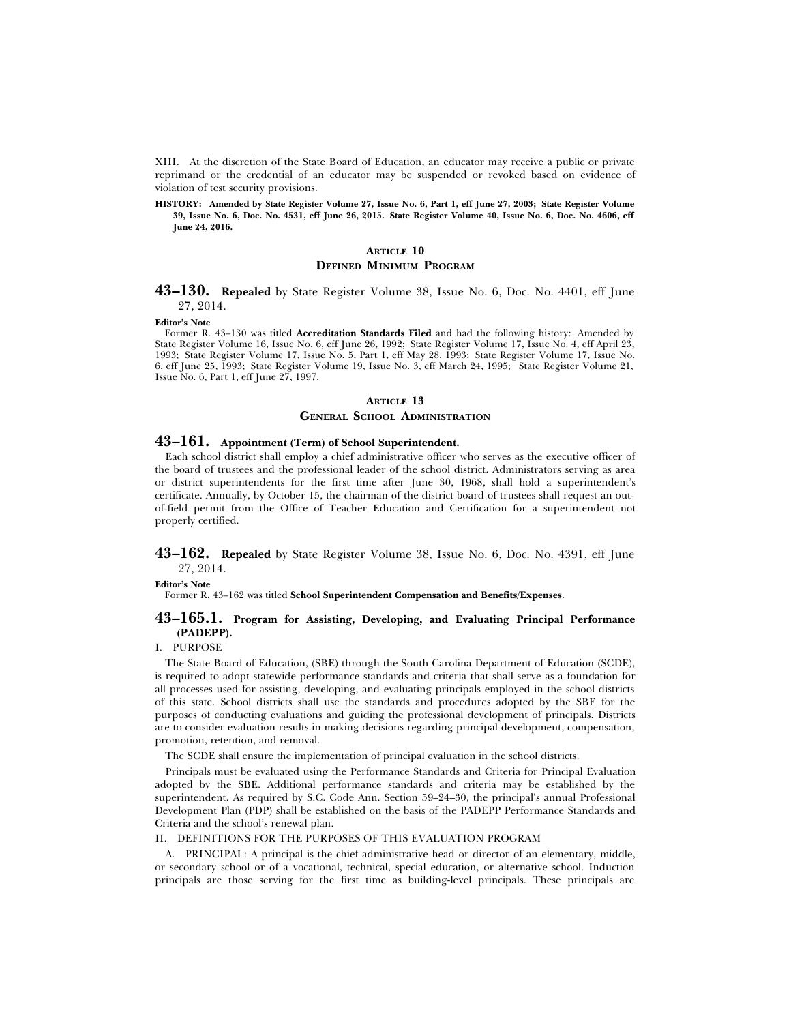XIII. At the discretion of the State Board of Education, an educator may receive a public or private reprimand or the credential of an educator may be suspended or revoked based on evidence of violation of test security provisions.

**HISTORY: Amended by State Register Volume 27, Issue No. 6, Part 1, eff June 27, 2003; State Register Volume 39, Issue No. 6, Doc. No. 4531, eff June 26, 2015. State Register Volume 40, Issue No. 6, Doc. No. 4606, eff June 24, 2016.**

### **ARTICLE 10 DEFINED MINIMUM PROGRAM**

# **43–130. Repealed** by State Register Volume 38, Issue No. 6, Doc. No. 4401, eff June 27, 2014.

#### **Editor's Note**

Former R. 43–130 was titled **Accreditation Standards Filed** and had the following history: Amended by State Register Volume 16, Issue No. 6, eff June 26, 1992; State Register Volume 17, Issue No. 4, eff April 23, 1993; State Register Volume 17, Issue No. 5, Part 1, eff May 28, 1993; State Register Volume 17, Issue No. 6, eff June 25, 1993; State Register Volume 19, Issue No. 3, eff March 24, 1995; State Register Volume 21, Issue No. 6, Part 1, eff June 27, 1997.

# **ARTICLE 13 GENERAL SCHOOL ADMINISTRATION**

### **43–161. Appointment (Term) of School Superintendent.**

Each school district shall employ a chief administrative officer who serves as the executive officer of the board of trustees and the professional leader of the school district. Administrators serving as area or district superintendents for the first time after June 30, 1968, shall hold a superintendent's certificate. Annually, by October 15, the chairman of the district board of trustees shall request an outof-field permit from the Office of Teacher Education and Certification for a superintendent not properly certified.

**43–162. Repealed** by State Register Volume 38, Issue No. 6, Doc. No. 4391, eff June 27, 2014.

**Editor's Note**

Former R. 43–162 was titled **School Superintendent Compensation and Benefits/Expenses**.

# **43–165.1. Program for Assisting, Developing, and Evaluating Principal Performance (PADEPP).**

I. PURPOSE

The State Board of Education, (SBE) through the South Carolina Department of Education (SCDE), is required to adopt statewide performance standards and criteria that shall serve as a foundation for all processes used for assisting, developing, and evaluating principals employed in the school districts of this state. School districts shall use the standards and procedures adopted by the SBE for the purposes of conducting evaluations and guiding the professional development of principals. Districts are to consider evaluation results in making decisions regarding principal development, compensation, promotion, retention, and removal.

The SCDE shall ensure the implementation of principal evaluation in the school districts.

Principals must be evaluated using the Performance Standards and Criteria for Principal Evaluation adopted by the SBE. Additional performance standards and criteria may be established by the superintendent. As required by S.C. Code Ann. Section 59–24–30, the principal's annual Professional Development Plan (PDP) shall be established on the basis of the PADEPP Performance Standards and Criteria and the school's renewal plan.

#### II. DEFINITIONS FOR THE PURPOSES OF THIS EVALUATION PROGRAM

A. PRINCIPAL: A principal is the chief administrative head or director of an elementary, middle, or secondary school or of a vocational, technical, special education, or alternative school. Induction principals are those serving for the first time as building-level principals. These principals are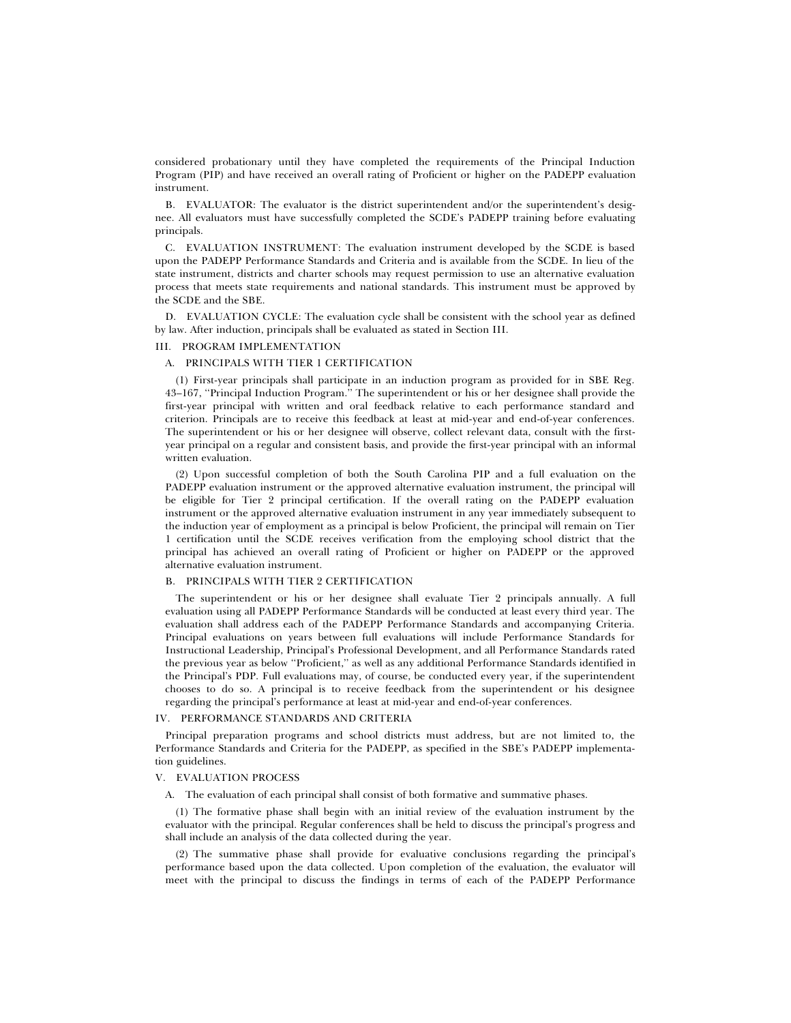considered probationary until they have completed the requirements of the Principal Induction Program (PIP) and have received an overall rating of Proficient or higher on the PADEPP evaluation instrument.

B. EVALUATOR: The evaluator is the district superintendent and/or the superintendent's designee. All evaluators must have successfully completed the SCDE's PADEPP training before evaluating principals.

C. EVALUATION INSTRUMENT: The evaluation instrument developed by the SCDE is based upon the PADEPP Performance Standards and Criteria and is available from the SCDE. In lieu of the state instrument, districts and charter schools may request permission to use an alternative evaluation process that meets state requirements and national standards. This instrument must be approved by the SCDE and the SBE.

D. EVALUATION CYCLE: The evaluation cycle shall be consistent with the school year as defined by law. After induction, principals shall be evaluated as stated in Section III.

#### III. PROGRAM IMPLEMENTATION

#### A. PRINCIPALS WITH TIER 1 CERTIFICATION

(1) First-year principals shall participate in an induction program as provided for in SBE Reg. 43–167, ''Principal Induction Program.'' The superintendent or his or her designee shall provide the first-year principal with written and oral feedback relative to each performance standard and criterion. Principals are to receive this feedback at least at mid-year and end-of-year conferences. The superintendent or his or her designee will observe, collect relevant data, consult with the firstyear principal on a regular and consistent basis, and provide the first-year principal with an informal written evaluation.

(2) Upon successful completion of both the South Carolina PIP and a full evaluation on the PADEPP evaluation instrument or the approved alternative evaluation instrument, the principal will be eligible for Tier 2 principal certification. If the overall rating on the PADEPP evaluation instrument or the approved alternative evaluation instrument in any year immediately subsequent to the induction year of employment as a principal is below Proficient, the principal will remain on Tier 1 certification until the SCDE receives verification from the employing school district that the principal has achieved an overall rating of Proficient or higher on PADEPP or the approved alternative evaluation instrument.

#### B. PRINCIPALS WITH TIER 2 CERTIFICATION

The superintendent or his or her designee shall evaluate Tier 2 principals annually. A full evaluation using all PADEPP Performance Standards will be conducted at least every third year. The evaluation shall address each of the PADEPP Performance Standards and accompanying Criteria. Principal evaluations on years between full evaluations will include Performance Standards for Instructional Leadership, Principal's Professional Development, and all Performance Standards rated the previous year as below ''Proficient,'' as well as any additional Performance Standards identified in the Principal's PDP. Full evaluations may, of course, be conducted every year, if the superintendent chooses to do so. A principal is to receive feedback from the superintendent or his designee regarding the principal's performance at least at mid-year and end-of-year conferences.

#### IV. PERFORMANCE STANDARDS AND CRITERIA

Principal preparation programs and school districts must address, but are not limited to, the Performance Standards and Criteria for the PADEPP, as specified in the SBE's PADEPP implementation guidelines.

### V. EVALUATION PROCESS

A. The evaluation of each principal shall consist of both formative and summative phases.

(1) The formative phase shall begin with an initial review of the evaluation instrument by the evaluator with the principal. Regular conferences shall be held to discuss the principal's progress and shall include an analysis of the data collected during the year.

(2) The summative phase shall provide for evaluative conclusions regarding the principal's performance based upon the data collected. Upon completion of the evaluation, the evaluator will meet with the principal to discuss the findings in terms of each of the PADEPP Performance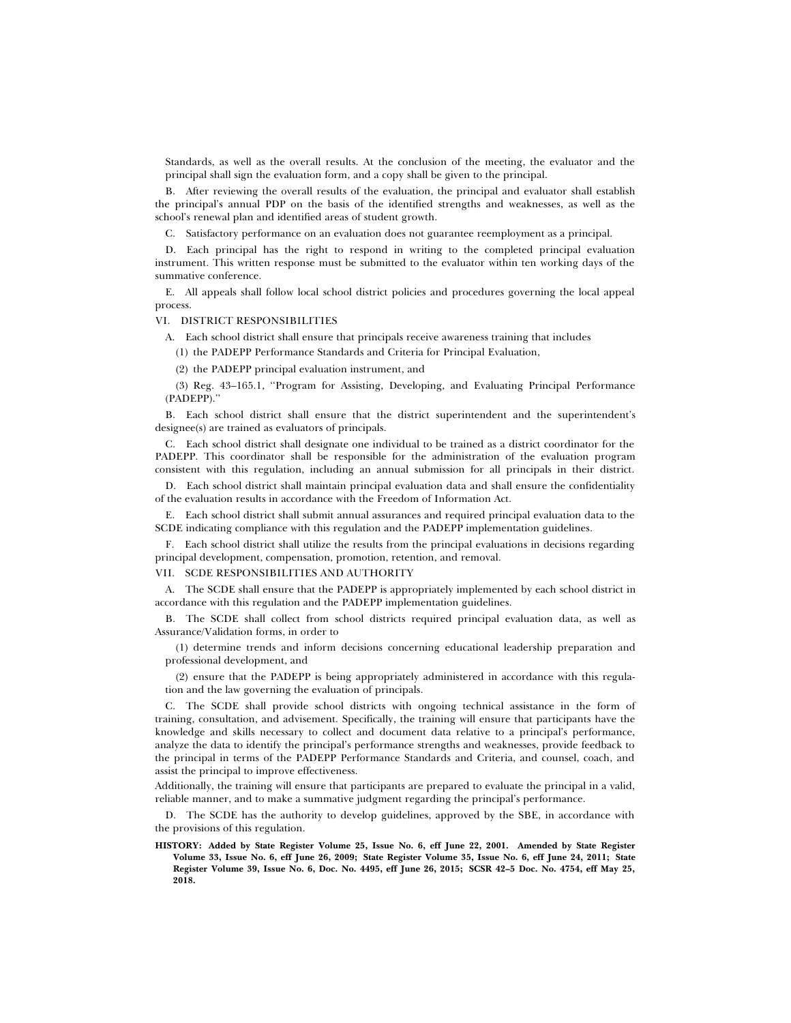Standards, as well as the overall results. At the conclusion of the meeting, the evaluator and the principal shall sign the evaluation form, and a copy shall be given to the principal.

B. After reviewing the overall results of the evaluation, the principal and evaluator shall establish the principal's annual PDP on the basis of the identified strengths and weaknesses, as well as the school's renewal plan and identified areas of student growth.

C. Satisfactory performance on an evaluation does not guarantee reemployment as a principal.

D. Each principal has the right to respond in writing to the completed principal evaluation instrument. This written response must be submitted to the evaluator within ten working days of the summative conference.

E. All appeals shall follow local school district policies and procedures governing the local appeal process.

#### VI. DISTRICT RESPONSIBILITIES

A. Each school district shall ensure that principals receive awareness training that includes

(1) the PADEPP Performance Standards and Criteria for Principal Evaluation,

(2) the PADEPP principal evaluation instrument, and

(3) Reg. 43–165.1, ''Program for Assisting, Developing, and Evaluating Principal Performance (PADEPP).''

B. Each school district shall ensure that the district superintendent and the superintendent's designee(s) are trained as evaluators of principals.

C. Each school district shall designate one individual to be trained as a district coordinator for the PADEPP. This coordinator shall be responsible for the administration of the evaluation program consistent with this regulation, including an annual submission for all principals in their district.

D. Each school district shall maintain principal evaluation data and shall ensure the confidentiality of the evaluation results in accordance with the Freedom of Information Act.

E. Each school district shall submit annual assurances and required principal evaluation data to the SCDE indicating compliance with this regulation and the PADEPP implementation guidelines.

F. Each school district shall utilize the results from the principal evaluations in decisions regarding principal development, compensation, promotion, retention, and removal.

VII. SCDE RESPONSIBILITIES AND AUTHORITY

A. The SCDE shall ensure that the PADEPP is appropriately implemented by each school district in accordance with this regulation and the PADEPP implementation guidelines.

B. The SCDE shall collect from school districts required principal evaluation data, as well as Assurance/Validation forms, in order to

(1) determine trends and inform decisions concerning educational leadership preparation and professional development, and

(2) ensure that the PADEPP is being appropriately administered in accordance with this regulation and the law governing the evaluation of principals.

C. The SCDE shall provide school districts with ongoing technical assistance in the form of training, consultation, and advisement. Specifically, the training will ensure that participants have the knowledge and skills necessary to collect and document data relative to a principal's performance, analyze the data to identify the principal's performance strengths and weaknesses, provide feedback to the principal in terms of the PADEPP Performance Standards and Criteria, and counsel, coach, and assist the principal to improve effectiveness.

Additionally, the training will ensure that participants are prepared to evaluate the principal in a valid, reliable manner, and to make a summative judgment regarding the principal's performance.

D. The SCDE has the authority to develop guidelines, approved by the SBE, in accordance with the provisions of this regulation.

**HISTORY: Added by State Register Volume 25, Issue No. 6, eff June 22, 2001. Amended by State Register Volume 33, Issue No. 6, eff June 26, 2009; State Register Volume 35, Issue No. 6, eff June 24, 2011; State Register Volume 39, Issue No. 6, Doc. No. 4495, eff June 26, 2015; SCSR 42–5 Doc. No. 4754, eff May 25, 2018.**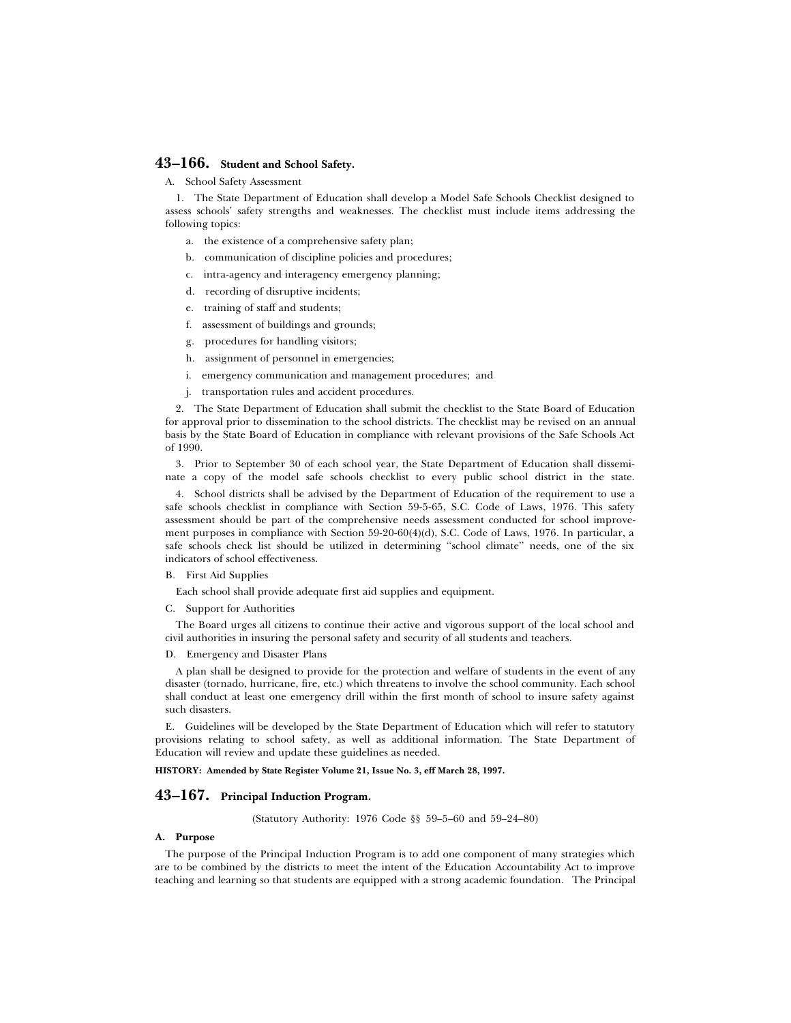# **43–166. Student and School Safety.**

A. School Safety Assessment

1. The State Department of Education shall develop a Model Safe Schools Checklist designed to assess schools' safety strengths and weaknesses. The checklist must include items addressing the following topics:

- a. the existence of a comprehensive safety plan;
- b. communication of discipline policies and procedures;
- c. intra-agency and interagency emergency planning;
- d. recording of disruptive incidents;
- e. training of staff and students;
- f. assessment of buildings and grounds;
- g. procedures for handling visitors;
- h. assignment of personnel in emergencies;
- i. emergency communication and management procedures; and
- j. transportation rules and accident procedures.

2. The State Department of Education shall submit the checklist to the State Board of Education for approval prior to dissemination to the school districts. The checklist may be revised on an annual basis by the State Board of Education in compliance with relevant provisions of the Safe Schools Act of 1990.

3. Prior to September 30 of each school year, the State Department of Education shall disseminate a copy of the model safe schools checklist to every public school district in the state.

4. School districts shall be advised by the Department of Education of the requirement to use a safe schools checklist in compliance with Section 59-5-65, S.C. Code of Laws, 1976. This safety assessment should be part of the comprehensive needs assessment conducted for school improvement purposes in compliance with Section 59-20-60(4)(d), S.C. Code of Laws, 1976. In particular, a safe schools check list should be utilized in determining "school climate" needs, one of the six indicators of school effectiveness.

# B. First Aid Supplies

Each school shall provide adequate first aid supplies and equipment.

C. Support for Authorities

The Board urges all citizens to continue their active and vigorous support of the local school and civil authorities in insuring the personal safety and security of all students and teachers.

D. Emergency and Disaster Plans

A plan shall be designed to provide for the protection and welfare of students in the event of any disaster (tornado, hurricane, fire, etc.) which threatens to involve the school community. Each school shall conduct at least one emergency drill within the first month of school to insure safety against such disasters.

E. Guidelines will be developed by the State Department of Education which will refer to statutory provisions relating to school safety, as well as additional information. The State Department of Education will review and update these guidelines as needed.

**HISTORY: Amended by State Register Volume 21, Issue No. 3, eff March 28, 1997.**

# **43–167. Principal Induction Program.**

(Statutory Authority: 1976 Code §§ 59–5–60 and 59–24–80)

#### **A. Purpose**

The purpose of the Principal Induction Program is to add one component of many strategies which are to be combined by the districts to meet the intent of the Education Accountability Act to improve teaching and learning so that students are equipped with a strong academic foundation. The Principal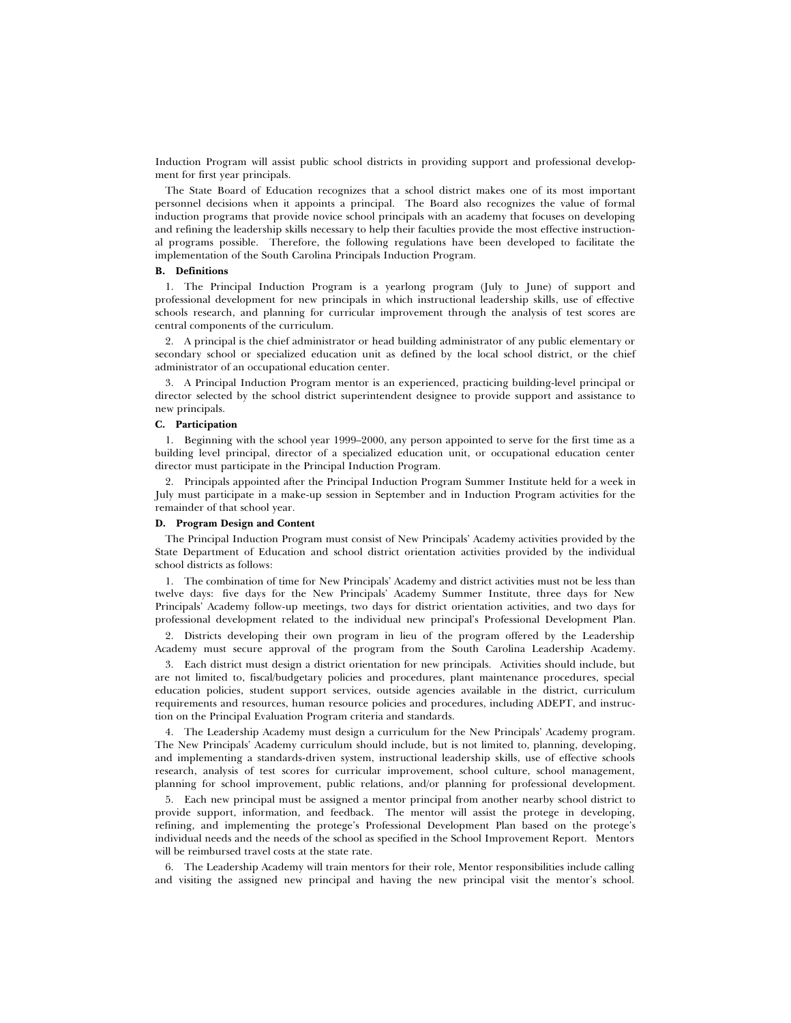Induction Program will assist public school districts in providing support and professional development for first year principals.

The State Board of Education recognizes that a school district makes one of its most important personnel decisions when it appoints a principal. The Board also recognizes the value of formal induction programs that provide novice school principals with an academy that focuses on developing and refining the leadership skills necessary to help their faculties provide the most effective instructional programs possible. Therefore, the following regulations have been developed to facilitate the implementation of the South Carolina Principals Induction Program.

# **B. Definitions**

1. The Principal Induction Program is a yearlong program (July to June) of support and professional development for new principals in which instructional leadership skills, use of effective schools research, and planning for curricular improvement through the analysis of test scores are central components of the curriculum.

2. A principal is the chief administrator or head building administrator of any public elementary or secondary school or specialized education unit as defined by the local school district, or the chief administrator of an occupational education center.

3. A Principal Induction Program mentor is an experienced, practicing building-level principal or director selected by the school district superintendent designee to provide support and assistance to new principals.

# **C. Participation**

1. Beginning with the school year 1999–2000, any person appointed to serve for the first time as a building level principal, director of a specialized education unit, or occupational education center director must participate in the Principal Induction Program.

2. Principals appointed after the Principal Induction Program Summer Institute held for a week in July must participate in a make-up session in September and in Induction Program activities for the remainder of that school year.

### **D. Program Design and Content**

The Principal Induction Program must consist of New Principals' Academy activities provided by the State Department of Education and school district orientation activities provided by the individual school districts as follows:

1. The combination of time for New Principals' Academy and district activities must not be less than twelve days: five days for the New Principals' Academy Summer Institute, three days for New Principals' Academy follow-up meetings, two days for district orientation activities, and two days for professional development related to the individual new principal's Professional Development Plan.

2. Districts developing their own program in lieu of the program offered by the Leadership Academy must secure approval of the program from the South Carolina Leadership Academy.

3. Each district must design a district orientation for new principals. Activities should include, but are not limited to, fiscal/budgetary policies and procedures, plant maintenance procedures, special education policies, student support services, outside agencies available in the district, curriculum requirements and resources, human resource policies and procedures, including ADEPT, and instruction on the Principal Evaluation Program criteria and standards.

4. The Leadership Academy must design a curriculum for the New Principals' Academy program. The New Principals' Academy curriculum should include, but is not limited to, planning, developing, and implementing a standards-driven system, instructional leadership skills, use of effective schools research, analysis of test scores for curricular improvement, school culture, school management, planning for school improvement, public relations, and/or planning for professional development.

5. Each new principal must be assigned a mentor principal from another nearby school district to provide support, information, and feedback. The mentor will assist the protege in developing, refining, and implementing the protege's Professional Development Plan based on the protege's individual needs and the needs of the school as specified in the School Improvement Report. Mentors will be reimbursed travel costs at the state rate.

6. The Leadership Academy will train mentors for their role, Mentor responsibilities include calling and visiting the assigned new principal and having the new principal visit the mentor's school.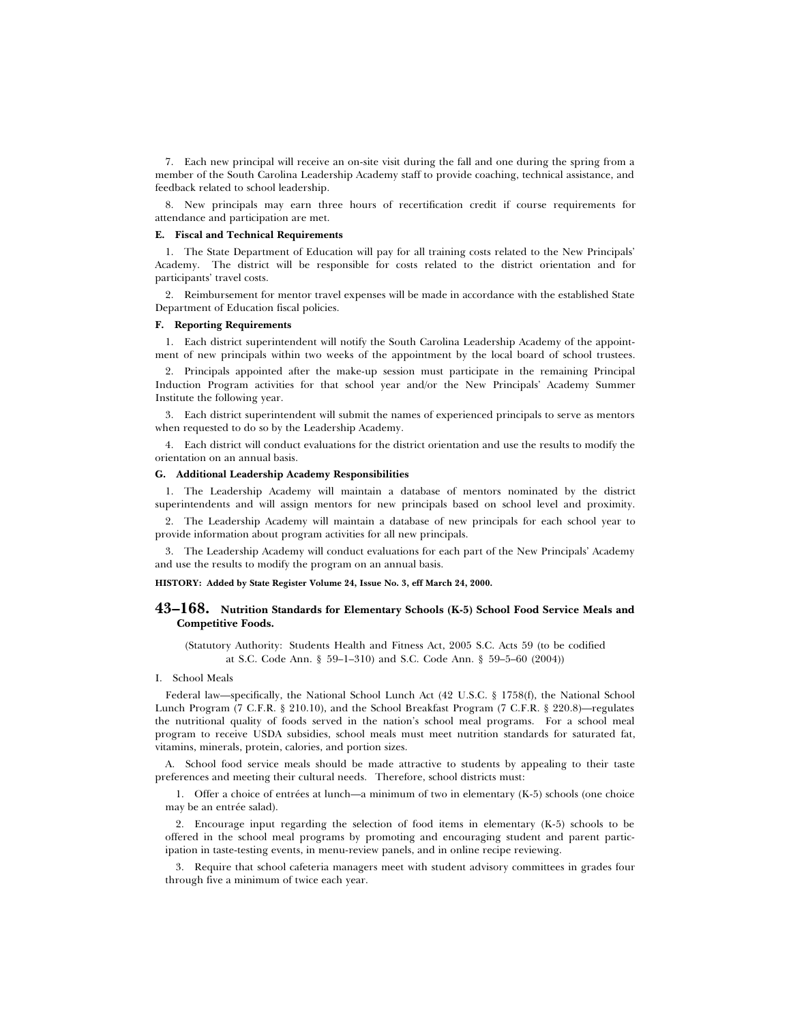7. Each new principal will receive an on-site visit during the fall and one during the spring from a member of the South Carolina Leadership Academy staff to provide coaching, technical assistance, and feedback related to school leadership.

8. New principals may earn three hours of recertification credit if course requirements for attendance and participation are met.

#### **E. Fiscal and Technical Requirements**

1. The State Department of Education will pay for all training costs related to the New Principals' Academy. The district will be responsible for costs related to the district orientation and for participants' travel costs.

2. Reimbursement for mentor travel expenses will be made in accordance with the established State Department of Education fiscal policies.

#### **F. Reporting Requirements**

1. Each district superintendent will notify the South Carolina Leadership Academy of the appointment of new principals within two weeks of the appointment by the local board of school trustees.

2. Principals appointed after the make-up session must participate in the remaining Principal Induction Program activities for that school year and/or the New Principals' Academy Summer Institute the following year.

3. Each district superintendent will submit the names of experienced principals to serve as mentors when requested to do so by the Leadership Academy.

4. Each district will conduct evaluations for the district orientation and use the results to modify the orientation on an annual basis.

#### **G. Additional Leadership Academy Responsibilities**

1. The Leadership Academy will maintain a database of mentors nominated by the district superintendents and will assign mentors for new principals based on school level and proximity.

2. The Leadership Academy will maintain a database of new principals for each school year to provide information about program activities for all new principals.

3. The Leadership Academy will conduct evaluations for each part of the New Principals' Academy and use the results to modify the program on an annual basis.

#### **HISTORY: Added by State Register Volume 24, Issue No. 3, eff March 24, 2000.**

# **43–168. Nutrition Standards for Elementary Schools (K-5) School Food Service Meals and Competitive Foods.**

(Statutory Authority: Students Health and Fitness Act, 2005 S.C. Acts 59 (to be codified at S.C. Code Ann. § 59–1–310) and S.C. Code Ann. § 59–5–60 (2004))

#### I. School Meals

Federal law—specifically, the National School Lunch Act (42 U.S.C. § 1758(f), the National School Lunch Program (7 C.F.R. § 210.10), and the School Breakfast Program (7 C.F.R. § 220.8)—regulates the nutritional quality of foods served in the nation's school meal programs. For a school meal program to receive USDA subsidies, school meals must meet nutrition standards for saturated fat, vitamins, minerals, protein, calories, and portion sizes.

A. School food service meals should be made attractive to students by appealing to their taste preferences and meeting their cultural needs. Therefore, school districts must:

1. Offer a choice of entrées at lunch—a minimum of two in elementary  $(K-5)$  schools (one choice may be an entrée salad).

2. Encourage input regarding the selection of food items in elementary (K-5) schools to be offered in the school meal programs by promoting and encouraging student and parent participation in taste-testing events, in menu-review panels, and in online recipe reviewing.

3. Require that school cafeteria managers meet with student advisory committees in grades four through five a minimum of twice each year.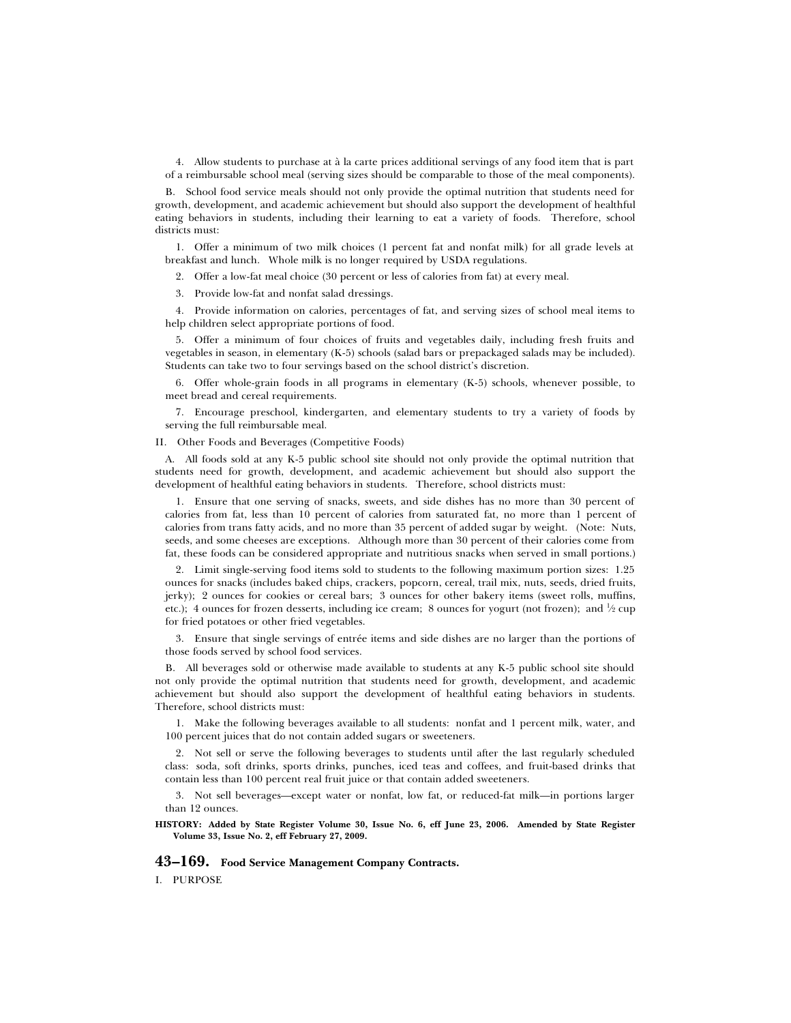4. Allow students to purchase at à la carte prices additional servings of any food item that is part of a reimbursable school meal (serving sizes should be comparable to those of the meal components).

B. School food service meals should not only provide the optimal nutrition that students need for growth, development, and academic achievement but should also support the development of healthful eating behaviors in students, including their learning to eat a variety of foods. Therefore, school districts must:

1. Offer a minimum of two milk choices (1 percent fat and nonfat milk) for all grade levels at breakfast and lunch. Whole milk is no longer required by USDA regulations.

2. Offer a low-fat meal choice (30 percent or less of calories from fat) at every meal.

3. Provide low-fat and nonfat salad dressings.

4. Provide information on calories, percentages of fat, and serving sizes of school meal items to help children select appropriate portions of food.

5. Offer a minimum of four choices of fruits and vegetables daily, including fresh fruits and vegetables in season, in elementary (K-5) schools (salad bars or prepackaged salads may be included). Students can take two to four servings based on the school district's discretion.

6. Offer whole-grain foods in all programs in elementary (K-5) schools, whenever possible, to meet bread and cereal requirements.

7. Encourage preschool, kindergarten, and elementary students to try a variety of foods by serving the full reimbursable meal.

II. Other Foods and Beverages (Competitive Foods)

A. All foods sold at any K-5 public school site should not only provide the optimal nutrition that students need for growth, development, and academic achievement but should also support the development of healthful eating behaviors in students. Therefore, school districts must:

1. Ensure that one serving of snacks, sweets, and side dishes has no more than 30 percent of calories from fat, less than 10 percent of calories from saturated fat, no more than 1 percent of calories from trans fatty acids, and no more than 35 percent of added sugar by weight. (Note: Nuts, seeds, and some cheeses are exceptions. Although more than 30 percent of their calories come from fat, these foods can be considered appropriate and nutritious snacks when served in small portions.)

2. Limit single-serving food items sold to students to the following maximum portion sizes: 1.25 ounces for snacks (includes baked chips, crackers, popcorn, cereal, trail mix, nuts, seeds, dried fruits, jerky); 2 ounces for cookies or cereal bars; 3 ounces for other bakery items (sweet rolls, muffins, etc.); 4 ounces for frozen desserts, including ice cream; 8 ounces for yogurt (not frozen); and  $\frac{1}{2}$  cup for fried potatoes or other fried vegetables.

3. Ensure that single servings of entrée items and side dishes are no larger than the portions of those foods served by school food services.

B. All beverages sold or otherwise made available to students at any K-5 public school site should not only provide the optimal nutrition that students need for growth, development, and academic achievement but should also support the development of healthful eating behaviors in students. Therefore, school districts must:

1. Make the following beverages available to all students: nonfat and 1 percent milk, water, and 100 percent juices that do not contain added sugars or sweeteners.

2. Not sell or serve the following beverages to students until after the last regularly scheduled class: soda, soft drinks, sports drinks, punches, iced teas and coffees, and fruit-based drinks that contain less than 100 percent real fruit juice or that contain added sweeteners.

3. Not sell beverages—except water or nonfat, low fat, or reduced-fat milk—in portions larger than 12 ounces.

**HISTORY: Added by State Register Volume 30, Issue No. 6, eff June 23, 2006. Amended by State Register Volume 33, Issue No. 2, eff February 27, 2009.**

### **43–169. Food Service Management Company Contracts.**

I. PURPOSE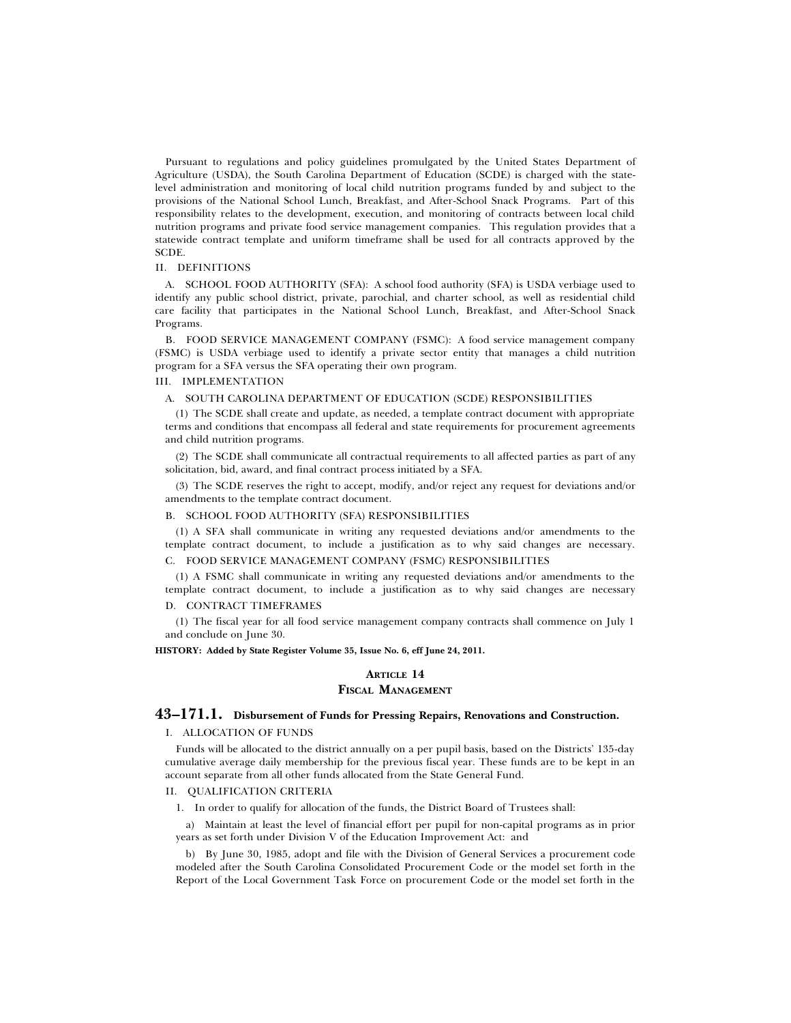Pursuant to regulations and policy guidelines promulgated by the United States Department of Agriculture (USDA), the South Carolina Department of Education (SCDE) is charged with the statelevel administration and monitoring of local child nutrition programs funded by and subject to the provisions of the National School Lunch, Breakfast, and After-School Snack Programs. Part of this responsibility relates to the development, execution, and monitoring of contracts between local child nutrition programs and private food service management companies. This regulation provides that a statewide contract template and uniform timeframe shall be used for all contracts approved by the SCDE.

# II. DEFINITIONS

A. SCHOOL FOOD AUTHORITY (SFA): A school food authority (SFA) is USDA verbiage used to identify any public school district, private, parochial, and charter school, as well as residential child care facility that participates in the National School Lunch, Breakfast, and After-School Snack Programs.

B. FOOD SERVICE MANAGEMENT COMPANY (FSMC): A food service management company (FSMC) is USDA verbiage used to identify a private sector entity that manages a child nutrition program for a SFA versus the SFA operating their own program.

# III. IMPLEMENTATION

### A. SOUTH CAROLINA DEPARTMENT OF EDUCATION (SCDE) RESPONSIBILITIES

(1) The SCDE shall create and update, as needed, a template contract document with appropriate terms and conditions that encompass all federal and state requirements for procurement agreements and child nutrition programs.

(2) The SCDE shall communicate all contractual requirements to all affected parties as part of any solicitation, bid, award, and final contract process initiated by a SFA.

(3) The SCDE reserves the right to accept, modify, and/or reject any request for deviations and/or amendments to the template contract document.

### B. SCHOOL FOOD AUTHORITY (SFA) RESPONSIBILITIES

(1) A SFA shall communicate in writing any requested deviations and/or amendments to the template contract document, to include a justification as to why said changes are necessary.

# C. FOOD SERVICE MANAGEMENT COMPANY (FSMC) RESPONSIBILITIES

(1) A FSMC shall communicate in writing any requested deviations and/or amendments to the template contract document, to include a justification as to why said changes are necessary

### D. CONTRACT TIMEFRAMES

(1) The fiscal year for all food service management company contracts shall commence on July 1 and conclude on June 30.

#### **HISTORY: Added by State Register Volume 35, Issue No. 6, eff June 24, 2011.**

# **ARTICLE 14 FISCAL MANAGEMENT**

# **43–171.1. Disbursement of Funds for Pressing Repairs, Renovations and Construction.**

#### I. ALLOCATION OF FUNDS

Funds will be allocated to the district annually on a per pupil basis, based on the Districts' 135-day cumulative average daily membership for the previous fiscal year. These funds are to be kept in an account separate from all other funds allocated from the State General Fund.

#### II. QUALIFICATION CRITERIA

1. In order to qualify for allocation of the funds, the District Board of Trustees shall:

a) Maintain at least the level of financial effort per pupil for non-capital programs as in prior years as set forth under Division V of the Education Improvement Act: and

b) By June 30, 1985, adopt and file with the Division of General Services a procurement code modeled after the South Carolina Consolidated Procurement Code or the model set forth in the Report of the Local Government Task Force on procurement Code or the model set forth in the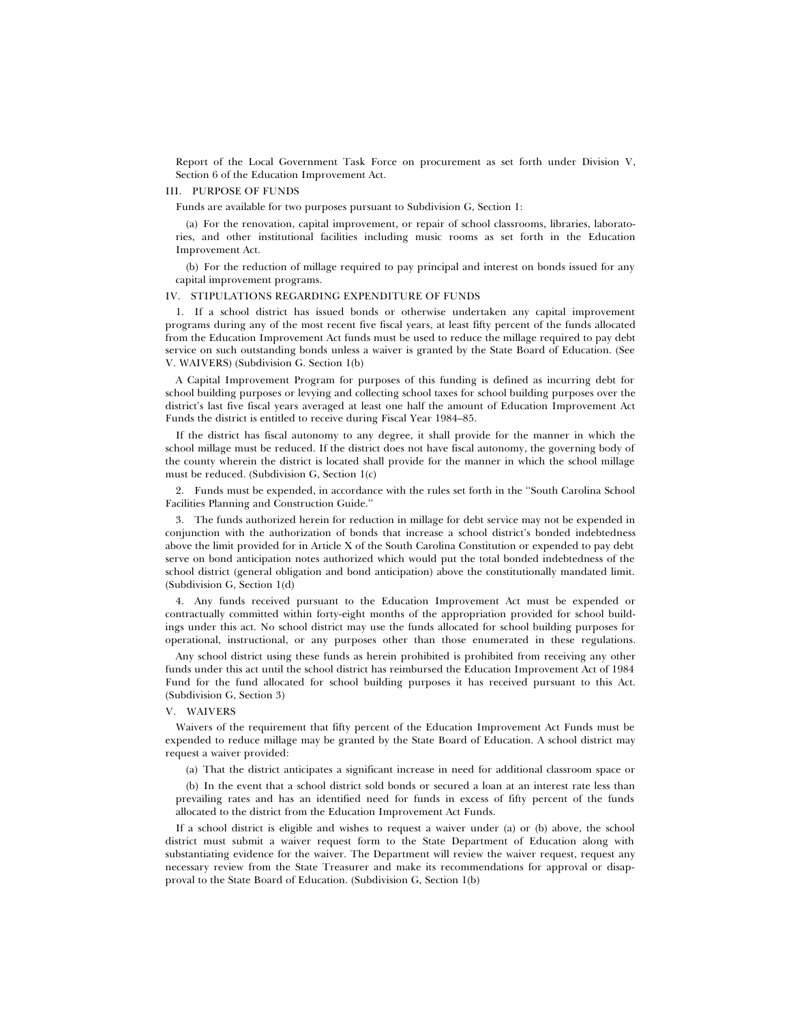Report of the Local Government Task Force on procurement as set forth under Division V, Section 6 of the Education Improvement Act.

# III. PURPOSE OF FUNDS

Funds are available for two purposes pursuant to Subdivision G, Section 1:

(a) For the renovation, capital improvement, or repair of school classrooms, libraries, laboratories, and other institutional facilities including music rooms as set forth in the Education Improvement Act.

(b) For the reduction of millage required to pay principal and interest on bonds issued for any capital improvement programs.

### IV. STIPULATIONS REGARDING EXPENDITURE OF FUNDS

1. If a school district has issued bonds or otherwise undertaken any capital improvement programs during any of the most recent five fiscal years, at least fifty percent of the funds allocated from the Education Improvement Act funds must be used to reduce the millage required to pay debt service on such outstanding bonds unless a waiver is granted by the State Board of Education. (See V. WAIVERS) (Subdivision G. Section 1(b)

A Capital Improvement Program for purposes of this funding is defined as incurring debt for school building purposes or levying and collecting school taxes for school building purposes over the district's last five fiscal years averaged at least one half the amount of Education Improvement Act Funds the district is entitled to receive during Fiscal Year 1984–85.

If the district has fiscal autonomy to any degree, it shall provide for the manner in which the school millage must be reduced. If the district does not have fiscal autonomy, the governing body of the county wherein the district is located shall provide for the manner in which the school millage must be reduced. (Subdivision G, Section 1(c)

2. Funds must be expended, in accordance with the rules set forth in the ''South Carolina School Facilities Planning and Construction Guide.''

3. The funds authorized herein for reduction in millage for debt service may not be expended in conjunction with the authorization of bonds that increase a school district's bonded indebtedness above the limit provided for in Article X of the South Carolina Constitution or expended to pay debt serve on bond anticipation notes authorized which would put the total bonded indebtedness of the school district (general obligation and bond anticipation) above the constitutionally mandated limit. (Subdivision G, Section 1(d)

4. Any funds received pursuant to the Education Improvement Act must be expended or contractually committed within forty-eight months of the appropriation provided for school buildings under this act. No school district may use the funds allocated for school building purposes for operational, instructional, or any purposes other than those enumerated in these regulations.

Any school district using these funds as herein prohibited is prohibited from receiving any other funds under this act until the school district has reimbursed the Education Improvement Act of 1984 Fund for the fund allocated for school building purposes it has received pursuant to this Act. (Subdivision G, Section 3)

#### V. WAIVERS

Waivers of the requirement that fifty percent of the Education Improvement Act Funds must be expended to reduce millage may be granted by the State Board of Education. A school district may request a waiver provided:

(a) That the district anticipates a significant increase in need for additional classroom space or

(b) In the event that a school district sold bonds or secured a loan at an interest rate less than prevailing rates and has an identified need for funds in excess of fifty percent of the funds allocated to the district from the Education Improvement Act Funds.

If a school district is eligible and wishes to request a waiver under (a) or (b) above, the school district must submit a waiver request form to the State Department of Education along with substantiating evidence for the waiver. The Department will review the waiver request, request any necessary review from the State Treasurer and make its recommendations for approval or disapproval to the State Board of Education. (Subdivision G, Section 1(b)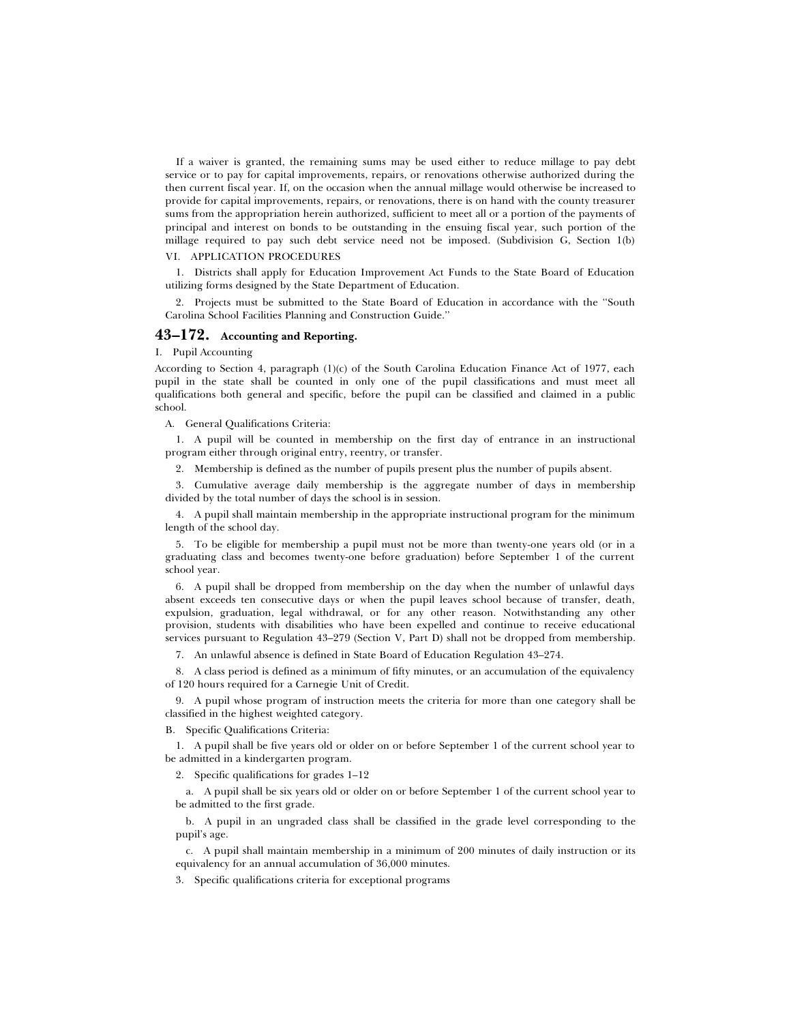If a waiver is granted, the remaining sums may be used either to reduce millage to pay debt service or to pay for capital improvements, repairs, or renovations otherwise authorized during the then current fiscal year. If, on the occasion when the annual millage would otherwise be increased to provide for capital improvements, repairs, or renovations, there is on hand with the county treasurer sums from the appropriation herein authorized, sufficient to meet all or a portion of the payments of principal and interest on bonds to be outstanding in the ensuing fiscal year, such portion of the millage required to pay such debt service need not be imposed. (Subdivision G, Section 1(b)

# VI. APPLICATION PROCEDURES

1. Districts shall apply for Education Improvement Act Funds to the State Board of Education utilizing forms designed by the State Department of Education.

2. Projects must be submitted to the State Board of Education in accordance with the ''South Carolina School Facilities Planning and Construction Guide.''

# **43–172. Accounting and Reporting.**

# I. Pupil Accounting

According to Section 4, paragraph (1)(c) of the South Carolina Education Finance Act of 1977, each pupil in the state shall be counted in only one of the pupil classifications and must meet all qualifications both general and specific, before the pupil can be classified and claimed in a public school.

A. General Qualifications Criteria:

1. A pupil will be counted in membership on the first day of entrance in an instructional program either through original entry, reentry, or transfer.

2. Membership is defined as the number of pupils present plus the number of pupils absent.

3. Cumulative average daily membership is the aggregate number of days in membership divided by the total number of days the school is in session.

4. A pupil shall maintain membership in the appropriate instructional program for the minimum length of the school day.

5. To be eligible for membership a pupil must not be more than twenty-one years old (or in a graduating class and becomes twenty-one before graduation) before September 1 of the current school year.

6. A pupil shall be dropped from membership on the day when the number of unlawful days absent exceeds ten consecutive days or when the pupil leaves school because of transfer, death, expulsion, graduation, legal withdrawal, or for any other reason. Notwithstanding any other provision, students with disabilities who have been expelled and continue to receive educational services pursuant to Regulation 43–279 (Section V, Part D) shall not be dropped from membership.

7. An unlawful absence is defined in State Board of Education Regulation 43–274.

8. A class period is defined as a minimum of fifty minutes, or an accumulation of the equivalency of 120 hours required for a Carnegie Unit of Credit.

9. A pupil whose program of instruction meets the criteria for more than one category shall be classified in the highest weighted category.

B. Specific Qualifications Criteria:

1. A pupil shall be five years old or older on or before September 1 of the current school year to be admitted in a kindergarten program.

2. Specific qualifications for grades 1–12

a. A pupil shall be six years old or older on or before September 1 of the current school year to be admitted to the first grade.

b. A pupil in an ungraded class shall be classified in the grade level corresponding to the pupil's age.

c. A pupil shall maintain membership in a minimum of 200 minutes of daily instruction or its equivalency for an annual accumulation of 36,000 minutes.

3. Specific qualifications criteria for exceptional programs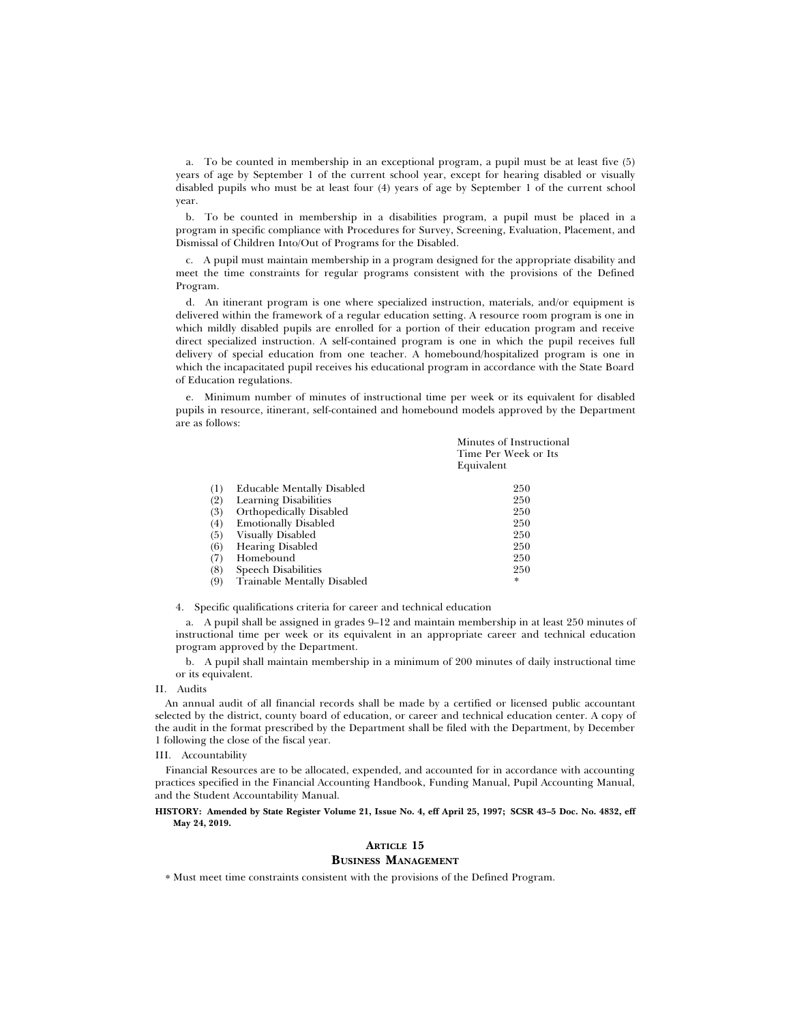a. To be counted in membership in an exceptional program, a pupil must be at least five (5) years of age by September 1 of the current school year, except for hearing disabled or visually disabled pupils who must be at least four (4) years of age by September 1 of the current school year.

b. To be counted in membership in a disabilities program, a pupil must be placed in a program in specific compliance with Procedures for Survey, Screening, Evaluation, Placement, and Dismissal of Children Into/Out of Programs for the Disabled.

c. A pupil must maintain membership in a program designed for the appropriate disability and meet the time constraints for regular programs consistent with the provisions of the Defined Program.

d. An itinerant program is one where specialized instruction, materials, and/or equipment is delivered within the framework of a regular education setting. A resource room program is one in which mildly disabled pupils are enrolled for a portion of their education program and receive direct specialized instruction. A self-contained program is one in which the pupil receives full delivery of special education from one teacher. A homebound/hospitalized program is one in which the incapacitated pupil receives his educational program in accordance with the State Board of Education regulations.

e. Minimum number of minutes of instructional time per week or its equivalent for disabled pupils in resource, itinerant, self-contained and homebound models approved by the Department are as follows:

|                  |                              | Minutes of Instructional<br>Time Per Week or Its<br>Equivalent |
|------------------|------------------------------|----------------------------------------------------------------|
| $\left(1\right)$ | Educable Mentally Disabled   | 250                                                            |
| (2)              | <b>Learning Disabilities</b> | 250                                                            |
| (3)              | Orthopedically Disabled      | 250                                                            |
| (4)              | <b>Emotionally Disabled</b>  | 250                                                            |
| (5)              | Visually Disabled            | 250                                                            |
| (6)              | <b>Hearing Disabled</b>      | 250                                                            |
| (7)              | Homebound                    | 250                                                            |
| (8)              | <b>Speech Disabilities</b>   | 250                                                            |
| (9)              | Trainable Mentally Disabled  | *                                                              |
|                  |                              |                                                                |

4. Specific qualifications criteria for career and technical education

a. A pupil shall be assigned in grades 9–12 and maintain membership in at least 250 minutes of instructional time per week or its equivalent in an appropriate career and technical education program approved by the Department.

b. A pupil shall maintain membership in a minimum of 200 minutes of daily instructional time or its equivalent.

# II. Audits

An annual audit of all financial records shall be made by a certified or licensed public accountant selected by the district, county board of education, or career and technical education center. A copy of the audit in the format prescribed by the Department shall be filed with the Department, by December 1 following the close of the fiscal year.

#### III. Accountability

Financial Resources are to be allocated, expended, and accounted for in accordance with accounting practices specified in the Financial Accounting Handbook, Funding Manual, Pupil Accounting Manual, and the Student Accountability Manual.

### **HISTORY: Amended by State Register Volume 21, Issue No. 4, eff April 25, 1997; SCSR 43–5 Doc. No. 4832, eff May 24, 2019.**

# **ARTICLE 15 BUSINESS MANAGEMENT**

\* Must meet time constraints consistent with the provisions of the Defined Program.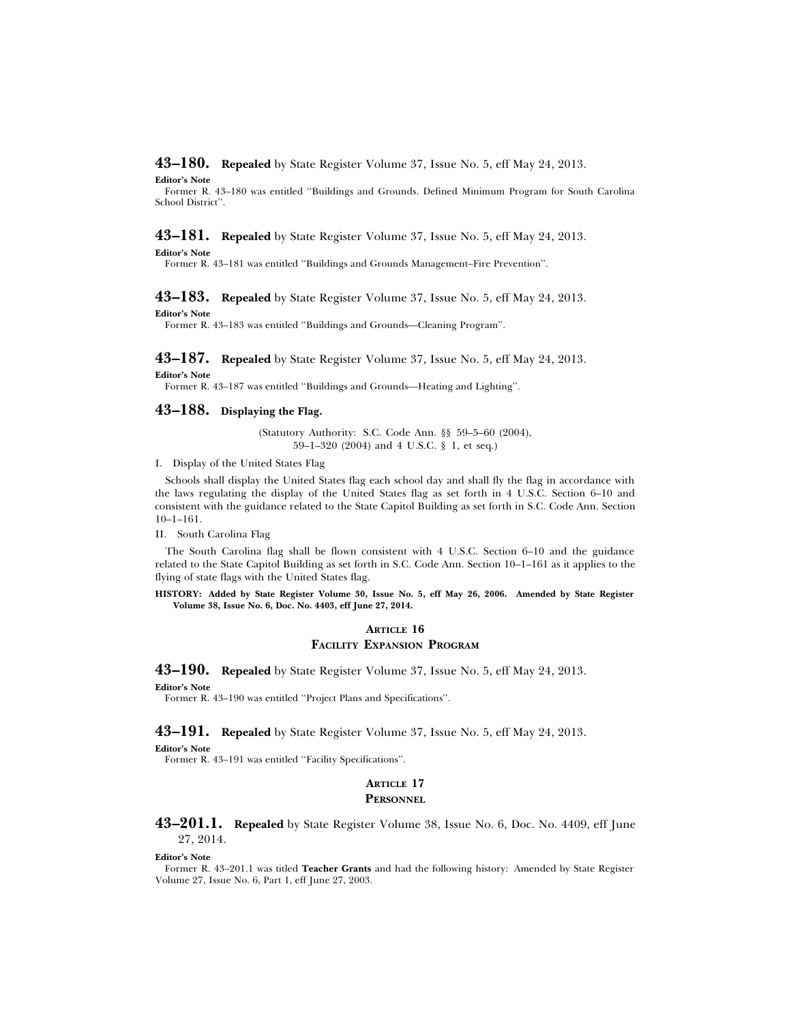**43–180. Repealed** by State Register Volume 37, Issue No. 5, eff May 24, 2013.

**Editor's Note**

Former R. 43–180 was entitled ''Buildings and Grounds. Defined Minimum Program for South Carolina School District''.

# **43–181. Repealed** by State Register Volume 37, Issue No. 5, eff May 24, 2013.

**Editor's Note**

Former R. 43–181 was entitled ''Buildings and Grounds Management–Fire Prevention''.

# **43–183. Repealed** by State Register Volume 37, Issue No. 5, eff May 24, 2013.

**Editor's Note**

Former R. 43–183 was entitled ''Buildings and Grounds—Cleaning Program''.

**43–187. Repealed** by State Register Volume 37, Issue No. 5, eff May 24, 2013. **Editor's Note**

Former R. 43–187 was entitled ''Buildings and Grounds—Heating and Lighting''.

# **43–188. Displaying the Flag.**

(Statutory Authority: S.C. Code Ann. §§ 59–5–60 (2004), 59–1–320 (2004) and 4 U.S.C. § 1, et seq.)

I. Display of the United States Flag

Schools shall display the United States flag each school day and shall fly the flag in accordance with the laws regulating the display of the United States flag as set forth in 4 U.S.C. Section 6–10 and consistent with the guidance related to the State Capitol Building as set forth in S.C. Code Ann. Section 10–1–161.

II. South Carolina Flag

The South Carolina flag shall be flown consistent with 4 U.S.C. Section 6–10 and the guidance related to the State Capitol Building as set forth in S.C. Code Ann. Section 10–1–161 as it applies to the flying of state flags with the United States flag.

**HISTORY: Added by State Register Volume 30, Issue No. 5, eff May 26, 2006. Amended by State Register Volume 38, Issue No. 6, Doc. No. 4403, eff June 27, 2014.**

# **ARTICLE 16 FACILITY EXPANSION PROGRAM**

**43–190. Repealed** by State Register Volume 37, Issue No. 5, eff May 24, 2013. **Editor's Note**

Former R. 43–190 was entitled ''Project Plans and Specifications''.

**43–191. Repealed** by State Register Volume 37, Issue No. 5, eff May 24, 2013.

**Editor's Note**

Former R. 43-191 was entitled "Facility Specifications".

# **ARTICLE 17 PERSONNEL**

**43–201.1. Repealed** by State Register Volume 38, Issue No. 6, Doc. No. 4409, eff June 27, 2014.

#### **Editor's Note**

Former R. 43–201.1 was titled **Teacher Grants** and had the following history: Amended by State Register Volume 27, Issue No. 6, Part 1, eff June 27, 2003.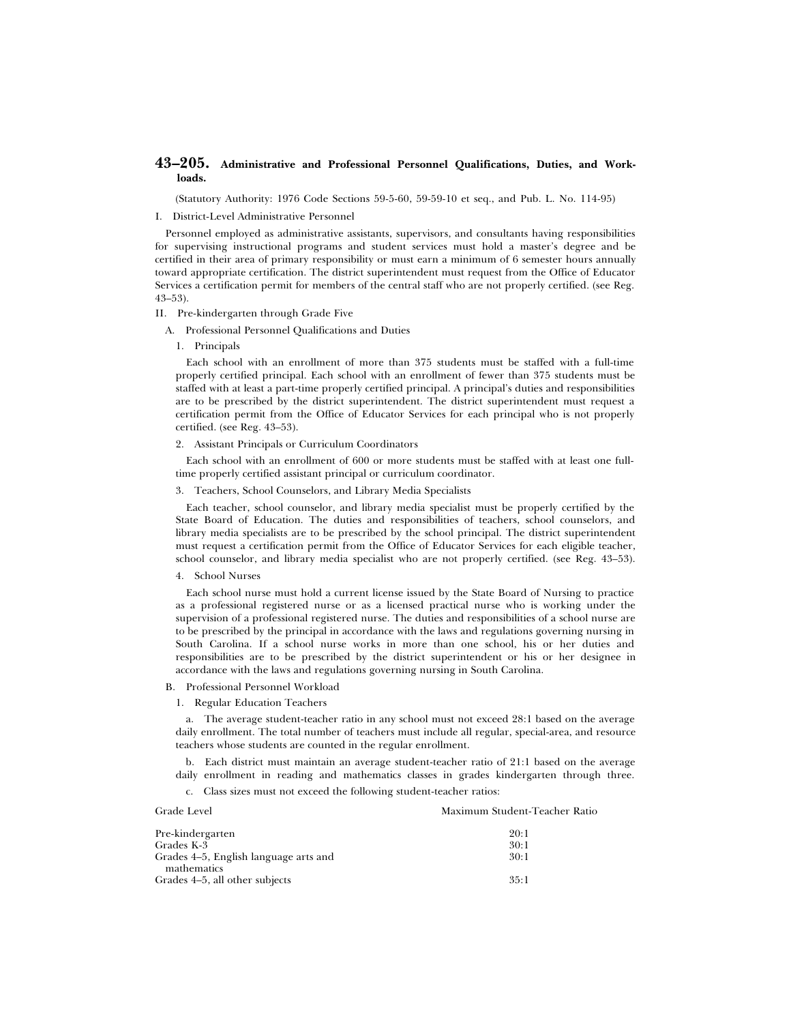# **43–205. Administrative and Professional Personnel Qualifications, Duties, and Workloads.**

(Statutory Authority: 1976 Code Sections 59-5-60, 59-59-10 et seq., and Pub. L. No. 114-95)

# I. District-Level Administrative Personnel

Personnel employed as administrative assistants, supervisors, and consultants having responsibilities for supervising instructional programs and student services must hold a master's degree and be certified in their area of primary responsibility or must earn a minimum of 6 semester hours annually toward appropriate certification. The district superintendent must request from the Office of Educator Services a certification permit for members of the central staff who are not properly certified. (see Reg. 43–53).

### II. Pre-kindergarten through Grade Five

- A. Professional Personnel Qualifications and Duties
	- 1. Principals

Each school with an enrollment of more than 375 students must be staffed with a full-time properly certified principal. Each school with an enrollment of fewer than 375 students must be staffed with at least a part-time properly certified principal. A principal's duties and responsibilities are to be prescribed by the district superintendent. The district superintendent must request a certification permit from the Office of Educator Services for each principal who is not properly certified. (see Reg. 43–53).

2. Assistant Principals or Curriculum Coordinators

Each school with an enrollment of 600 or more students must be staffed with at least one fulltime properly certified assistant principal or curriculum coordinator.

3. Teachers, School Counselors, and Library Media Specialists

Each teacher, school counselor, and library media specialist must be properly certified by the State Board of Education. The duties and responsibilities of teachers, school counselors, and library media specialists are to be prescribed by the school principal. The district superintendent must request a certification permit from the Office of Educator Services for each eligible teacher, school counselor, and library media specialist who are not properly certified. (see Reg. 43–53).

# 4. School Nurses

Each school nurse must hold a current license issued by the State Board of Nursing to practice as a professional registered nurse or as a licensed practical nurse who is working under the supervision of a professional registered nurse. The duties and responsibilities of a school nurse are to be prescribed by the principal in accordance with the laws and regulations governing nursing in South Carolina. If a school nurse works in more than one school, his or her duties and responsibilities are to be prescribed by the district superintendent or his or her designee in accordance with the laws and regulations governing nursing in South Carolina.

# B. Professional Personnel Workload

1. Regular Education Teachers

a. The average student-teacher ratio in any school must not exceed 28:1 based on the average daily enrollment. The total number of teachers must include all regular, special-area, and resource teachers whose students are counted in the regular enrollment.

b. Each district must maintain an average student-teacher ratio of 21:1 based on the average daily enrollment in reading and mathematics classes in grades kindergarten through three.

c. Class sizes must not exceed the following student-teacher ratios:

Grades 4–5, all other subjects 35:1

| Grade Level                           | Maximum Student-Teacher Ratio |
|---------------------------------------|-------------------------------|
| Pre-kindergarten                      | 20:1                          |
| Grades K-3                            | 30:1                          |
| Grades 4–5, English language arts and | 30:1                          |
| mathematics                           |                               |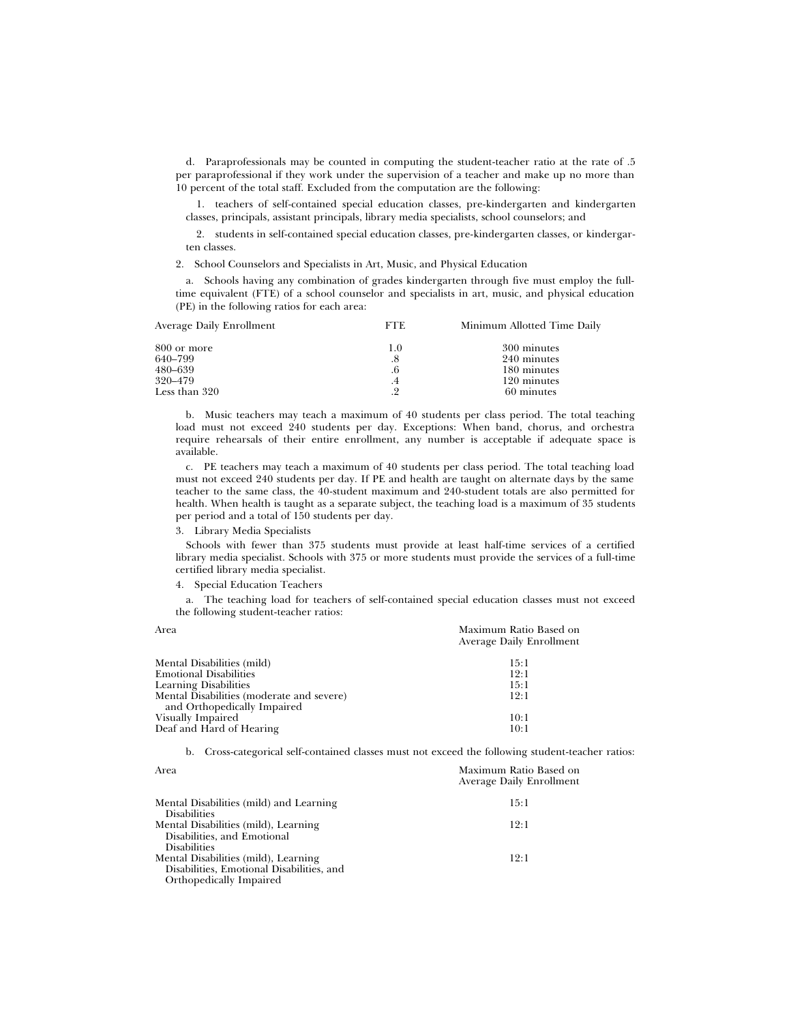d. Paraprofessionals may be counted in computing the student-teacher ratio at the rate of .5 per paraprofessional if they work under the supervision of a teacher and make up no more than 10 percent of the total staff. Excluded from the computation are the following:

1. teachers of self-contained special education classes, pre-kindergarten and kindergarten classes, principals, assistant principals, library media specialists, school counselors; and

2. students in self-contained special education classes, pre-kindergarten classes, or kindergarten classes.

2. School Counselors and Specialists in Art, Music, and Physical Education

a. Schools having any combination of grades kindergarten through five must employ the fulltime equivalent (FTE) of a school counselor and specialists in art, music, and physical education (PE) in the following ratios for each area:

| Average Daily Enrollment | <b>FTE</b> | Minimum Allotted Time Daily |
|--------------------------|------------|-----------------------------|
| 800 or more              | 1.0        | 300 minutes                 |
| 640–799                  | .8         | 240 minutes                 |
| 480–639                  | .6         | 180 minutes                 |
| 320–479                  | $\cdot$ 4  | 120 minutes                 |
| Less than 320            | 9<br>. 4   | 60 minutes                  |
|                          |            |                             |

b. Music teachers may teach a maximum of 40 students per class period. The total teaching load must not exceed 240 students per day. Exceptions: When band, chorus, and orchestra require rehearsals of their entire enrollment, any number is acceptable if adequate space is available.

c. PE teachers may teach a maximum of 40 students per class period. The total teaching load must not exceed 240 students per day. If PE and health are taught on alternate days by the same teacher to the same class, the 40-student maximum and 240-student totals are also permitted for health. When health is taught as a separate subject, the teaching load is a maximum of 35 students per period and a total of 150 students per day.

3. Library Media Specialists

Schools with fewer than 375 students must provide at least half-time services of a certified library media specialist. Schools with 375 or more students must provide the services of a full-time certified library media specialist.

4. Special Education Teachers

a. The teaching load for teachers of self-contained special education classes must not exceed the following student-teacher ratios:

| Area                                                                     | Maximum Ratio Based on<br><b>Average Daily Enrollment</b> |
|--------------------------------------------------------------------------|-----------------------------------------------------------|
| Mental Disabilities (mild)                                               | 15:1                                                      |
| <b>Emotional Disabilities</b>                                            | 12:1                                                      |
| <b>Learning Disabilities</b>                                             | 15:1                                                      |
| Mental Disabilities (moderate and severe)<br>and Orthopedically Impaired | 12:1                                                      |
| Visually Impaired                                                        | 10:1                                                      |
| Deaf and Hard of Hearing                                                 | 10:1                                                      |

b. Cross-categorical self-contained classes must not exceed the following student-teacher ratios:

| Area                                      | Maximum Ratio Based on<br><b>Average Daily Enrollment</b> |
|-------------------------------------------|-----------------------------------------------------------|
| Mental Disabilities (mild) and Learning   | 15:1                                                      |
| Disabilities                              |                                                           |
| Mental Disabilities (mild), Learning      | 12:1                                                      |
| Disabilities, and Emotional               |                                                           |
| <b>Disabilities</b>                       |                                                           |
| Mental Disabilities (mild), Learning      | 12:1                                                      |
| Disabilities, Emotional Disabilities, and |                                                           |
| Orthopedically Impaired                   |                                                           |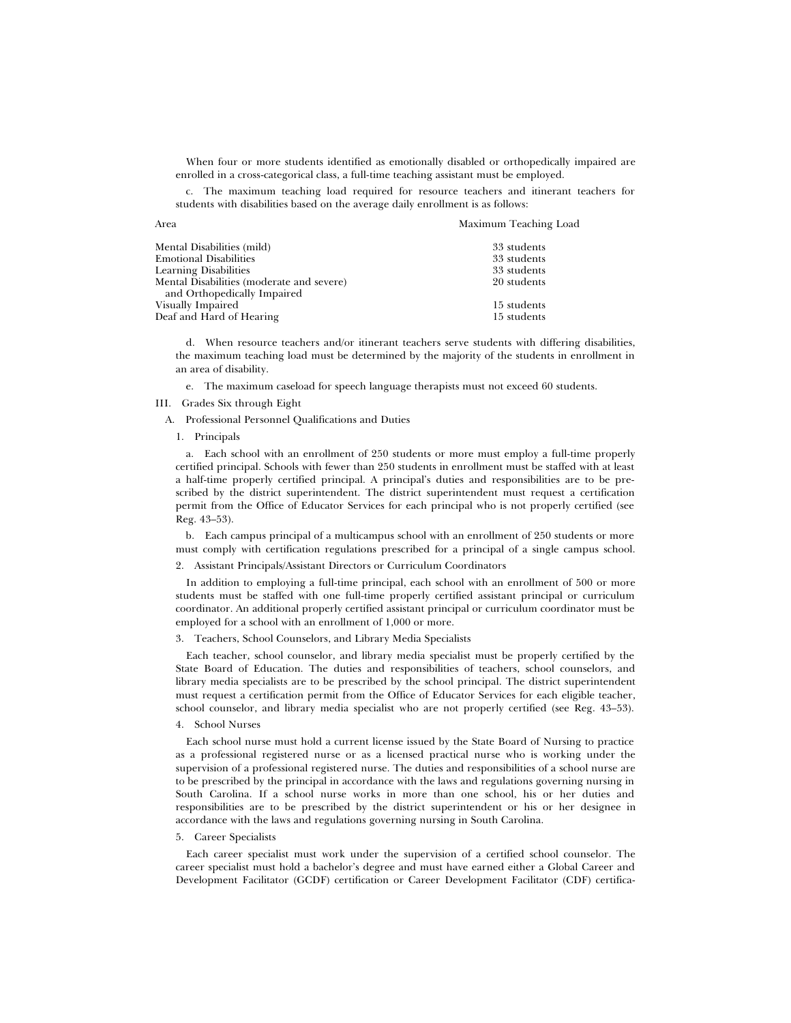When four or more students identified as emotionally disabled or orthopedically impaired are enrolled in a cross-categorical class, a full-time teaching assistant must be employed.

c. The maximum teaching load required for resource teachers and itinerant teachers for students with disabilities based on the average daily enrollment is as follows:

Area Maximum Teaching Load

| Mental Disabilities (mild)                | 33 students |
|-------------------------------------------|-------------|
| <b>Emotional Disabilities</b>             | 33 students |
| <b>Learning Disabilities</b>              | 33 students |
| Mental Disabilities (moderate and severe) | 20 students |
| and Orthopedically Impaired               |             |
| Visually Impaired                         | 15 students |
| Deaf and Hard of Hearing                  | 15 students |

d. When resource teachers and/or itinerant teachers serve students with differing disabilities, the maximum teaching load must be determined by the majority of the students in enrollment in an area of disability.

e. The maximum caseload for speech language therapists must not exceed 60 students.

### III. Grades Six through Eight

A. Professional Personnel Qualifications and Duties

#### 1. Principals

a. Each school with an enrollment of 250 students or more must employ a full-time properly certified principal. Schools with fewer than 250 students in enrollment must be staffed with at least a half-time properly certified principal. A principal's duties and responsibilities are to be prescribed by the district superintendent. The district superintendent must request a certification permit from the Office of Educator Services for each principal who is not properly certified (see Reg. 43–53).

b. Each campus principal of a multicampus school with an enrollment of 250 students or more must comply with certification regulations prescribed for a principal of a single campus school.

### 2. Assistant Principals/Assistant Directors or Curriculum Coordinators

In addition to employing a full-time principal, each school with an enrollment of 500 or more students must be staffed with one full-time properly certified assistant principal or curriculum coordinator. An additional properly certified assistant principal or curriculum coordinator must be employed for a school with an enrollment of 1,000 or more.

# 3. Teachers, School Counselors, and Library Media Specialists

Each teacher, school counselor, and library media specialist must be properly certified by the State Board of Education. The duties and responsibilities of teachers, school counselors, and library media specialists are to be prescribed by the school principal. The district superintendent must request a certification permit from the Office of Educator Services for each eligible teacher, school counselor, and library media specialist who are not properly certified (see Reg. 43–53).

# 4. School Nurses

Each school nurse must hold a current license issued by the State Board of Nursing to practice as a professional registered nurse or as a licensed practical nurse who is working under the supervision of a professional registered nurse. The duties and responsibilities of a school nurse are to be prescribed by the principal in accordance with the laws and regulations governing nursing in South Carolina. If a school nurse works in more than one school, his or her duties and responsibilities are to be prescribed by the district superintendent or his or her designee in accordance with the laws and regulations governing nursing in South Carolina.

#### 5. Career Specialists

Each career specialist must work under the supervision of a certified school counselor. The career specialist must hold a bachelor's degree and must have earned either a Global Career and Development Facilitator (GCDF) certification or Career Development Facilitator (CDF) certifica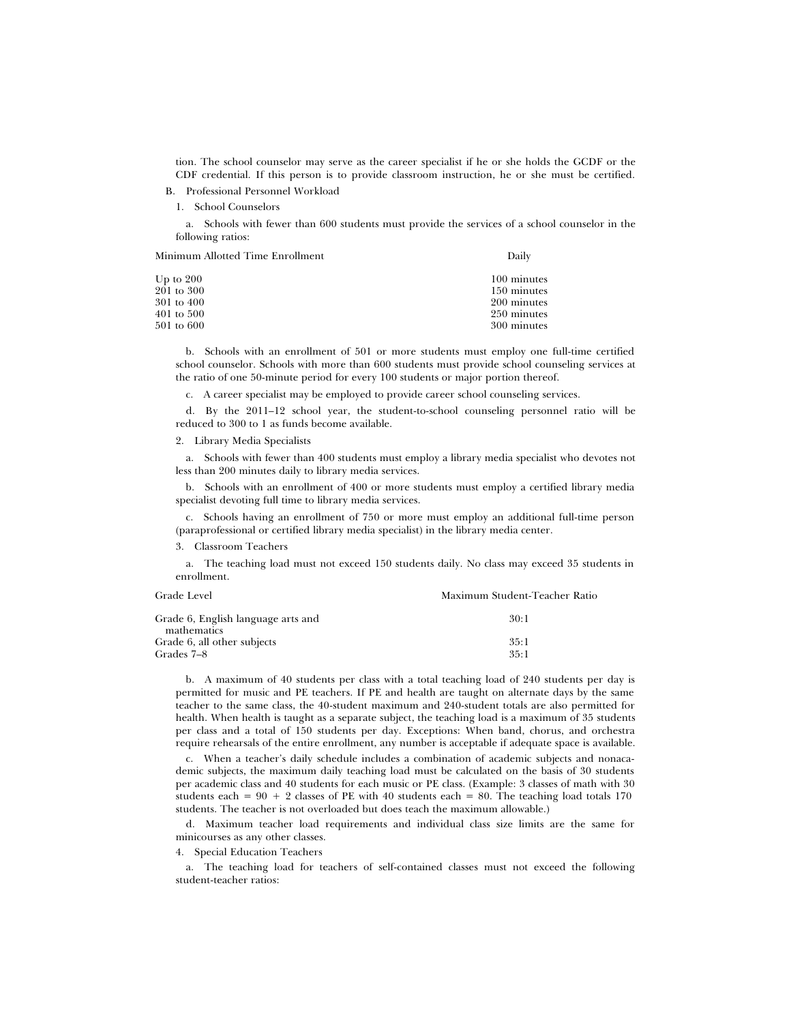tion. The school counselor may serve as the career specialist if he or she holds the GCDF or the CDF credential. If this person is to provide classroom instruction, he or she must be certified.

B. Professional Personnel Workload

1. School Counselors

a. Schools with fewer than 600 students must provide the services of a school counselor in the following ratios:

Minimum Allotted Time Enrollment Daily

| Up to $200$ | 100 minutes |
|-------------|-------------|
| 201 to 300  | 150 minutes |
| 301 to 400  | 200 minutes |
| 401 to 500  | 250 minutes |
| 501 to 600  | 300 minutes |
|             |             |

b. Schools with an enrollment of 501 or more students must employ one full-time certified school counselor. Schools with more than 600 students must provide school counseling services at the ratio of one 50-minute period for every 100 students or major portion thereof.

c. A career specialist may be employed to provide career school counseling services.

d. By the 2011–12 school year, the student-to-school counseling personnel ratio will be reduced to 300 to 1 as funds become available.

2. Library Media Specialists

a. Schools with fewer than 400 students must employ a library media specialist who devotes not less than 200 minutes daily to library media services.

b. Schools with an enrollment of 400 or more students must employ a certified library media specialist devoting full time to library media services.

c. Schools having an enrollment of 750 or more must employ an additional full-time person (paraprofessional or certified library media specialist) in the library media center.

3. Classroom Teachers

a. The teaching load must not exceed 150 students daily. No class may exceed 35 students in enrollment.

| Grade Level                                       | Maximum Student-Teacher Ratio |
|---------------------------------------------------|-------------------------------|
| Grade 6, English language arts and<br>mathematics | 30:1                          |
| Grade 6, all other subjects                       | 35:1                          |
| Grades 7–8                                        | 35:1                          |

b. A maximum of 40 students per class with a total teaching load of 240 students per day is permitted for music and PE teachers. If PE and health are taught on alternate days by the same teacher to the same class, the 40-student maximum and 240-student totals are also permitted for health. When health is taught as a separate subject, the teaching load is a maximum of 35 students per class and a total of 150 students per day. Exceptions: When band, chorus, and orchestra require rehearsals of the entire enrollment, any number is acceptable if adequate space is available.

c. When a teacher's daily schedule includes a combination of academic subjects and nonacademic subjects, the maximum daily teaching load must be calculated on the basis of 30 students per academic class and 40 students for each music or PE class. (Example: 3 classes of math with 30 students each =  $90 + 2$  classes of PE with 40 students each = 80. The teaching load totals 170 students. The teacher is not overloaded but does teach the maximum allowable.)

d. Maximum teacher load requirements and individual class size limits are the same for minicourses as any other classes.

# 4. Special Education Teachers

a. The teaching load for teachers of self-contained classes must not exceed the following student-teacher ratios: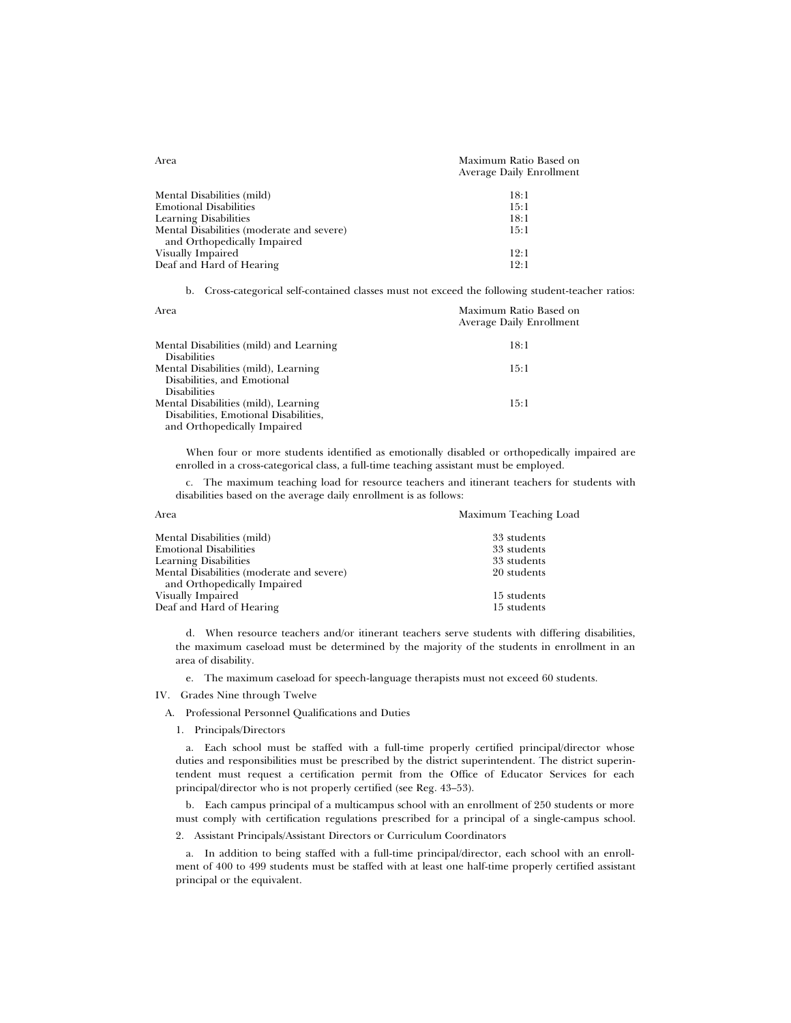| Area                                      | Maximum Ratio Based on<br><b>Average Daily Enrollment</b> |
|-------------------------------------------|-----------------------------------------------------------|
| Mental Disabilities (mild)                | 18:1                                                      |
| <b>Emotional Disabilities</b>             | 15:1                                                      |
| <b>Learning Disabilities</b>              | 18:1                                                      |
| Mental Disabilities (moderate and severe) | 15:1                                                      |
| and Orthopedically Impaired               |                                                           |
| Visually Impaired                         | 12:1                                                      |
| Deaf and Hard of Hearing                  | 12:1                                                      |
|                                           |                                                           |

b. Cross-categorical self-contained classes must not exceed the following student-teacher ratios:

| Area                                    | Maximum Ratio Based on<br><b>Average Daily Enrollment</b> |
|-----------------------------------------|-----------------------------------------------------------|
| Mental Disabilities (mild) and Learning | 18:1                                                      |
| <b>Disabilities</b>                     |                                                           |
| Mental Disabilities (mild), Learning    | 15:1                                                      |
| Disabilities, and Emotional             |                                                           |
| <b>Disabilities</b>                     |                                                           |
| Mental Disabilities (mild), Learning    | 15:1                                                      |
| Disabilities, Emotional Disabilities,   |                                                           |
| and Orthopedically Impaired             |                                                           |

When four or more students identified as emotionally disabled or orthopedically impaired are enrolled in a cross-categorical class, a full-time teaching assistant must be employed.

c. The maximum teaching load for resource teachers and itinerant teachers for students with disabilities based on the average daily enrollment is as follows:

| Area                                      | Maximum Teaching Load |  |
|-------------------------------------------|-----------------------|--|
| Mental Disabilities (mild)                | 33 students           |  |
| <b>Emotional Disabilities</b>             | 33 students           |  |
| <b>Learning Disabilities</b>              | 33 students           |  |
| Mental Disabilities (moderate and severe) | 20 students           |  |
| and Orthopedically Impaired               |                       |  |
| Visually Impaired                         | 15 students           |  |
| Deaf and Hard of Hearing                  | 15 students           |  |

d. When resource teachers and/or itinerant teachers serve students with differing disabilities, the maximum caseload must be determined by the majority of the students in enrollment in an area of disability.

e. The maximum caseload for speech-language therapists must not exceed 60 students.

IV. Grades Nine through Twelve

A. Professional Personnel Qualifications and Duties

1. Principals/Directors

a. Each school must be staffed with a full-time properly certified principal/director whose duties and responsibilities must be prescribed by the district superintendent. The district superintendent must request a certification permit from the Office of Educator Services for each principal/director who is not properly certified (see Reg. 43–53).

b. Each campus principal of a multicampus school with an enrollment of 250 students or more must comply with certification regulations prescribed for a principal of a single-campus school.

2. Assistant Principals/Assistant Directors or Curriculum Coordinators

a. In addition to being staffed with a full-time principal/director, each school with an enrollment of 400 to 499 students must be staffed with at least one half-time properly certified assistant principal or the equivalent.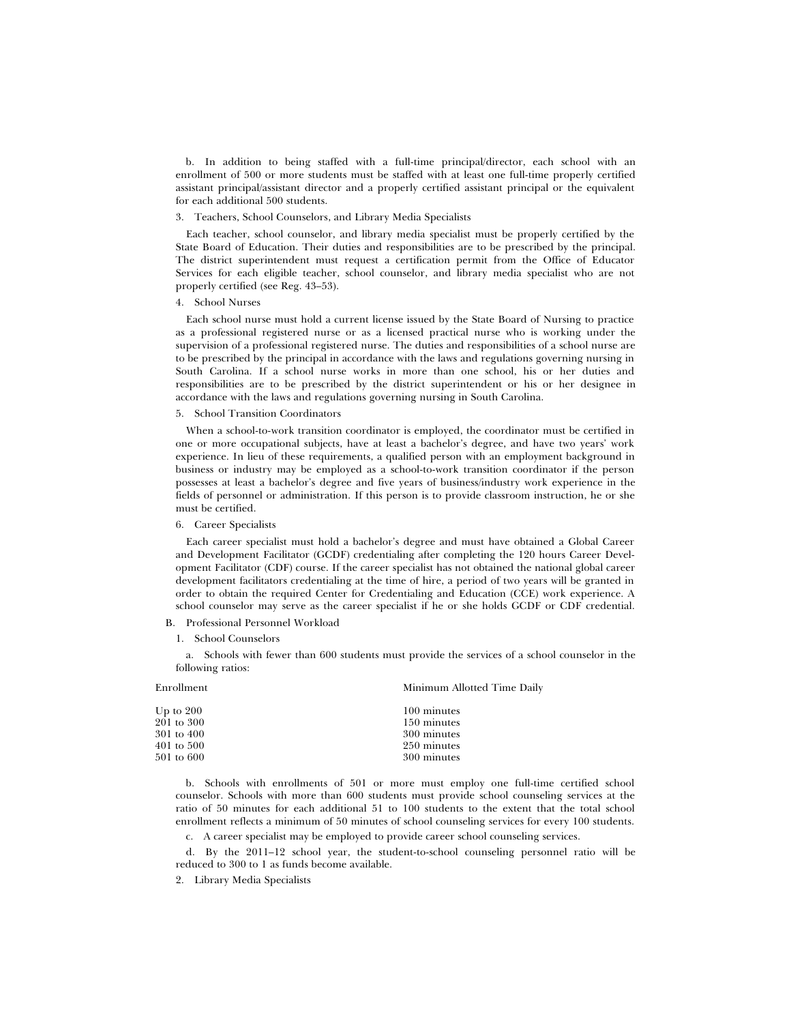b. In addition to being staffed with a full-time principal/director, each school with an enrollment of 500 or more students must be staffed with at least one full-time properly certified assistant principal/assistant director and a properly certified assistant principal or the equivalent for each additional 500 students.

#### 3. Teachers, School Counselors, and Library Media Specialists

Each teacher, school counselor, and library media specialist must be properly certified by the State Board of Education. Their duties and responsibilities are to be prescribed by the principal. The district superintendent must request a certification permit from the Office of Educator Services for each eligible teacher, school counselor, and library media specialist who are not properly certified (see Reg. 43–53).

#### 4. School Nurses

Each school nurse must hold a current license issued by the State Board of Nursing to practice as a professional registered nurse or as a licensed practical nurse who is working under the supervision of a professional registered nurse. The duties and responsibilities of a school nurse are to be prescribed by the principal in accordance with the laws and regulations governing nursing in South Carolina. If a school nurse works in more than one school, his or her duties and responsibilities are to be prescribed by the district superintendent or his or her designee in accordance with the laws and regulations governing nursing in South Carolina.

#### 5. School Transition Coordinators

When a school-to-work transition coordinator is employed, the coordinator must be certified in one or more occupational subjects, have at least a bachelor's degree, and have two years' work experience. In lieu of these requirements, a qualified person with an employment background in business or industry may be employed as a school-to-work transition coordinator if the person possesses at least a bachelor's degree and five years of business/industry work experience in the fields of personnel or administration. If this person is to provide classroom instruction, he or she must be certified.

### 6. Career Specialists

Each career specialist must hold a bachelor's degree and must have obtained a Global Career and Development Facilitator (GCDF) credentialing after completing the 120 hours Career Development Facilitator (CDF) course. If the career specialist has not obtained the national global career development facilitators credentialing at the time of hire, a period of two years will be granted in order to obtain the required Center for Credentialing and Education (CCE) work experience. A school counselor may serve as the career specialist if he or she holds GCDF or CDF credential.

- B. Professional Personnel Workload
	- 1. School Counselors

a. Schools with fewer than 600 students must provide the services of a school counselor in the following ratios:

| Enrollment            | Minimum Allotted Time Daily |  |
|-----------------------|-----------------------------|--|
| Up to $200$           | 100 minutes                 |  |
| 201 to 300            | 150 minutes                 |  |
| 301 to 400            | 300 minutes                 |  |
| $401$ to $500$        | 250 minutes                 |  |
| $501 \text{ to } 600$ | 300 minutes                 |  |

b. Schools with enrollments of 501 or more must employ one full-time certified school counselor. Schools with more than 600 students must provide school counseling services at the ratio of 50 minutes for each additional 51 to 100 students to the extent that the total school enrollment reflects a minimum of 50 minutes of school counseling services for every 100 students.

c. A career specialist may be employed to provide career school counseling services.

d. By the 2011–12 school year, the student-to-school counseling personnel ratio will be reduced to 300 to 1 as funds become available.

2. Library Media Specialists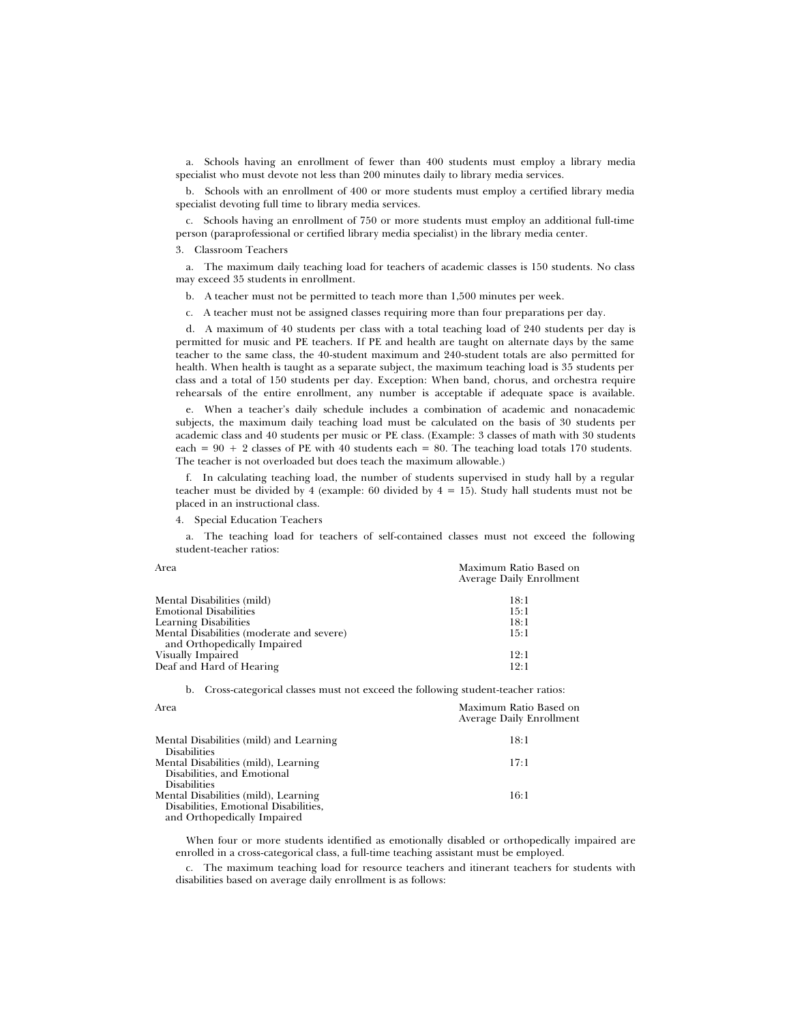a. Schools having an enrollment of fewer than 400 students must employ a library media specialist who must devote not less than 200 minutes daily to library media services.

b. Schools with an enrollment of 400 or more students must employ a certified library media specialist devoting full time to library media services.

c. Schools having an enrollment of 750 or more students must employ an additional full-time person (paraprofessional or certified library media specialist) in the library media center.

3. Classroom Teachers

a. The maximum daily teaching load for teachers of academic classes is 150 students. No class may exceed 35 students in enrollment.

b. A teacher must not be permitted to teach more than 1,500 minutes per week.

c. A teacher must not be assigned classes requiring more than four preparations per day.

d. A maximum of 40 students per class with a total teaching load of 240 students per day is permitted for music and PE teachers. If PE and health are taught on alternate days by the same teacher to the same class, the 40-student maximum and 240-student totals are also permitted for health. When health is taught as a separate subject, the maximum teaching load is 35 students per class and a total of 150 students per day. Exception: When band, chorus, and orchestra require rehearsals of the entire enrollment, any number is acceptable if adequate space is available.

e. When a teacher's daily schedule includes a combination of academic and nonacademic subjects, the maximum daily teaching load must be calculated on the basis of 30 students per academic class and 40 students per music or PE class. (Example: 3 classes of math with 30 students each =  $90 + 2$  classes of PE with 40 students each = 80. The teaching load totals 170 students. The teacher is not overloaded but does teach the maximum allowable.)

f. In calculating teaching load, the number of students supervised in study hall by a regular teacher must be divided by 4 (example: 60 divided by  $4 = 15$ ). Study hall students must not be placed in an instructional class.

4. Special Education Teachers

a. The teaching load for teachers of self-contained classes must not exceed the following student-teacher ratios:

| Maximum Ratio Based on<br><b>Average Daily Enrollment</b> |
|-----------------------------------------------------------|
| 18:1                                                      |
| 15:1                                                      |
| 18:1                                                      |
| 15:1                                                      |
|                                                           |
| 12:1                                                      |
| 12:1                                                      |
|                                                           |

b. Cross-categorical classes must not exceed the following student-teacher ratios:

| Area                                    | Maximum Ratio Based on<br><b>Average Daily Enrollment</b> |
|-----------------------------------------|-----------------------------------------------------------|
| Mental Disabilities (mild) and Learning | 18:1                                                      |
| Disabilities                            |                                                           |
| Mental Disabilities (mild), Learning    | 17:1                                                      |
| Disabilities, and Emotional             |                                                           |
| <b>Disabilities</b>                     |                                                           |
| Mental Disabilities (mild), Learning    | 16:1                                                      |
| Disabilities, Emotional Disabilities,   |                                                           |
| and Orthopedically Impaired             |                                                           |

When four or more students identified as emotionally disabled or orthopedically impaired are enrolled in a cross-categorical class, a full-time teaching assistant must be employed.

c. The maximum teaching load for resource teachers and itinerant teachers for students with disabilities based on average daily enrollment is as follows: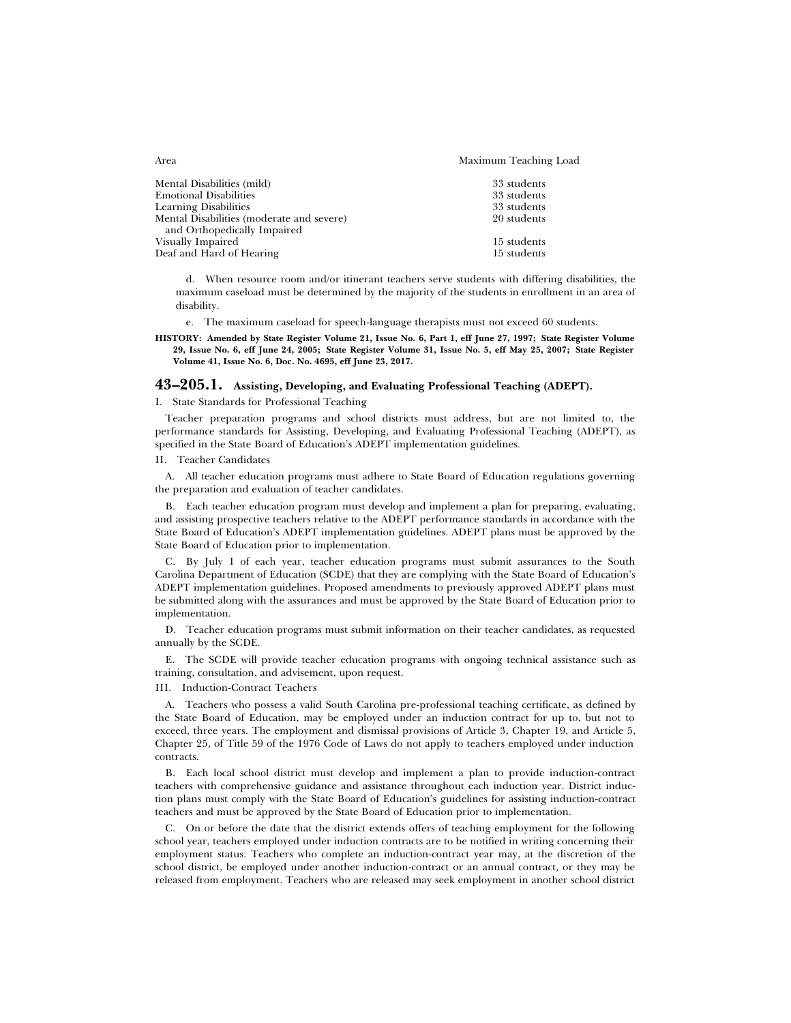| Mental Disabilities (mild)                                                   | 33 students                |
|------------------------------------------------------------------------------|----------------------------|
| <b>Emotional Disabilities</b>                                                | 33 students                |
| <b>Learning Disabilities</b>                                                 | 33 students                |
| Mental Disabilities (moderate and severe)                                    | 20 students                |
| and Orthopedically Impaired<br>Visually Impaired<br>Deaf and Hard of Hearing | 15 students<br>15 students |

d. When resource room and/or itinerant teachers serve students with differing disabilities, the maximum caseload must be determined by the majority of the students in enrollment in an area of disability.

e. The maximum caseload for speech-language therapists must not exceed 60 students.

**HISTORY: Amended by State Register Volume 21, Issue No. 6, Part 1, eff June 27, 1997; State Register Volume 29, Issue No. 6, eff June 24, 2005; State Register Volume 31, Issue No. 5, eff May 25, 2007; State Register Volume 41, Issue No. 6, Doc. No. 4695, eff June 23, 2017.**

# **43–205.1. Assisting, Developing, and Evaluating Professional Teaching (ADEPT).**

### I. State Standards for Professional Teaching

Teacher preparation programs and school districts must address, but are not limited to, the performance standards for Assisting, Developing, and Evaluating Professional Teaching (ADEPT), as specified in the State Board of Education's ADEPT implementation guidelines.

II. Teacher Candidates

A. All teacher education programs must adhere to State Board of Education regulations governing the preparation and evaluation of teacher candidates.

B. Each teacher education program must develop and implement a plan for preparing, evaluating, and assisting prospective teachers relative to the ADEPT performance standards in accordance with the State Board of Education's ADEPT implementation guidelines. ADEPT plans must be approved by the State Board of Education prior to implementation.

C. By July 1 of each year, teacher education programs must submit assurances to the South Carolina Department of Education (SCDE) that they are complying with the State Board of Education's ADEPT implementation guidelines. Proposed amendments to previously approved ADEPT plans must be submitted along with the assurances and must be approved by the State Board of Education prior to implementation.

D. Teacher education programs must submit information on their teacher candidates, as requested annually by the SCDE.

E. The SCDE will provide teacher education programs with ongoing technical assistance such as training, consultation, and advisement, upon request.

III. Induction-Contract Teachers

A. Teachers who possess a valid South Carolina pre-professional teaching certificate, as defined by the State Board of Education, may be employed under an induction contract for up to, but not to exceed, three years. The employment and dismissal provisions of Article 3, Chapter 19, and Article 5, Chapter 25, of Title 59 of the 1976 Code of Laws do not apply to teachers employed under induction contracts.

B. Each local school district must develop and implement a plan to provide induction-contract teachers with comprehensive guidance and assistance throughout each induction year. District induction plans must comply with the State Board of Education's guidelines for assisting induction-contract teachers and must be approved by the State Board of Education prior to implementation.

C. On or before the date that the district extends offers of teaching employment for the following school year, teachers employed under induction contracts are to be notified in writing concerning their employment status. Teachers who complete an induction-contract year may, at the discretion of the school district, be employed under another induction-contract or an annual contract, or they may be released from employment. Teachers who are released may seek employment in another school district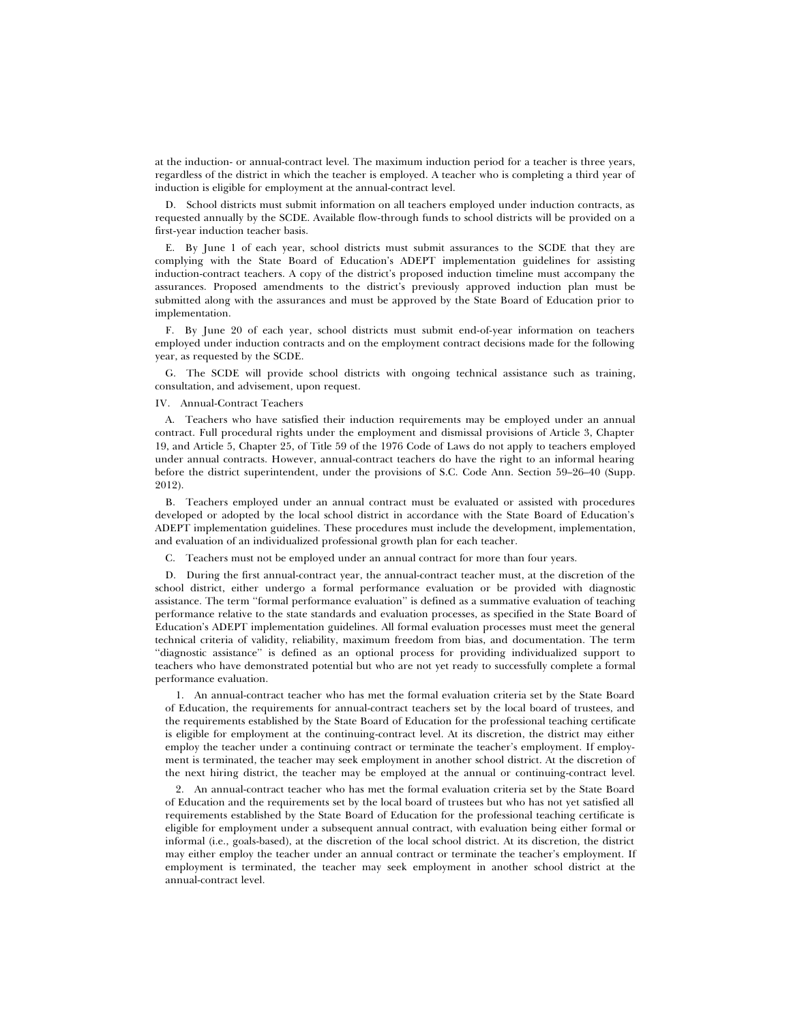at the induction- or annual-contract level. The maximum induction period for a teacher is three years, regardless of the district in which the teacher is employed. A teacher who is completing a third year of induction is eligible for employment at the annual-contract level.

D. School districts must submit information on all teachers employed under induction contracts, as requested annually by the SCDE. Available flow-through funds to school districts will be provided on a first-year induction teacher basis.

E. By June 1 of each year, school districts must submit assurances to the SCDE that they are complying with the State Board of Education's ADEPT implementation guidelines for assisting induction-contract teachers. A copy of the district's proposed induction timeline must accompany the assurances. Proposed amendments to the district's previously approved induction plan must be submitted along with the assurances and must be approved by the State Board of Education prior to implementation.

F. By June 20 of each year, school districts must submit end-of-year information on teachers employed under induction contracts and on the employment contract decisions made for the following year, as requested by the SCDE.

G. The SCDE will provide school districts with ongoing technical assistance such as training, consultation, and advisement, upon request.

IV. Annual-Contract Teachers

A. Teachers who have satisfied their induction requirements may be employed under an annual contract. Full procedural rights under the employment and dismissal provisions of Article 3, Chapter 19, and Article 5, Chapter 25, of Title 59 of the 1976 Code of Laws do not apply to teachers employed under annual contracts. However, annual-contract teachers do have the right to an informal hearing before the district superintendent, under the provisions of S.C. Code Ann. Section 59–26–40 (Supp. 2012).

B. Teachers employed under an annual contract must be evaluated or assisted with procedures developed or adopted by the local school district in accordance with the State Board of Education's ADEPT implementation guidelines. These procedures must include the development, implementation, and evaluation of an individualized professional growth plan for each teacher.

C. Teachers must not be employed under an annual contract for more than four years.

D. During the first annual-contract year, the annual-contract teacher must, at the discretion of the school district, either undergo a formal performance evaluation or be provided with diagnostic assistance. The term ''formal performance evaluation'' is defined as a summative evaluation of teaching performance relative to the state standards and evaluation processes, as specified in the State Board of Education's ADEPT implementation guidelines. All formal evaluation processes must meet the general technical criteria of validity, reliability, maximum freedom from bias, and documentation. The term ''diagnostic assistance'' is defined as an optional process for providing individualized support to teachers who have demonstrated potential but who are not yet ready to successfully complete a formal performance evaluation.

1. An annual-contract teacher who has met the formal evaluation criteria set by the State Board of Education, the requirements for annual-contract teachers set by the local board of trustees, and the requirements established by the State Board of Education for the professional teaching certificate is eligible for employment at the continuing-contract level. At its discretion, the district may either employ the teacher under a continuing contract or terminate the teacher's employment. If employment is terminated, the teacher may seek employment in another school district. At the discretion of the next hiring district, the teacher may be employed at the annual or continuing-contract level.

2. An annual-contract teacher who has met the formal evaluation criteria set by the State Board of Education and the requirements set by the local board of trustees but who has not yet satisfied all requirements established by the State Board of Education for the professional teaching certificate is eligible for employment under a subsequent annual contract, with evaluation being either formal or informal (i.e., goals-based), at the discretion of the local school district. At its discretion, the district may either employ the teacher under an annual contract or terminate the teacher's employment. If employment is terminated, the teacher may seek employment in another school district at the annual-contract level.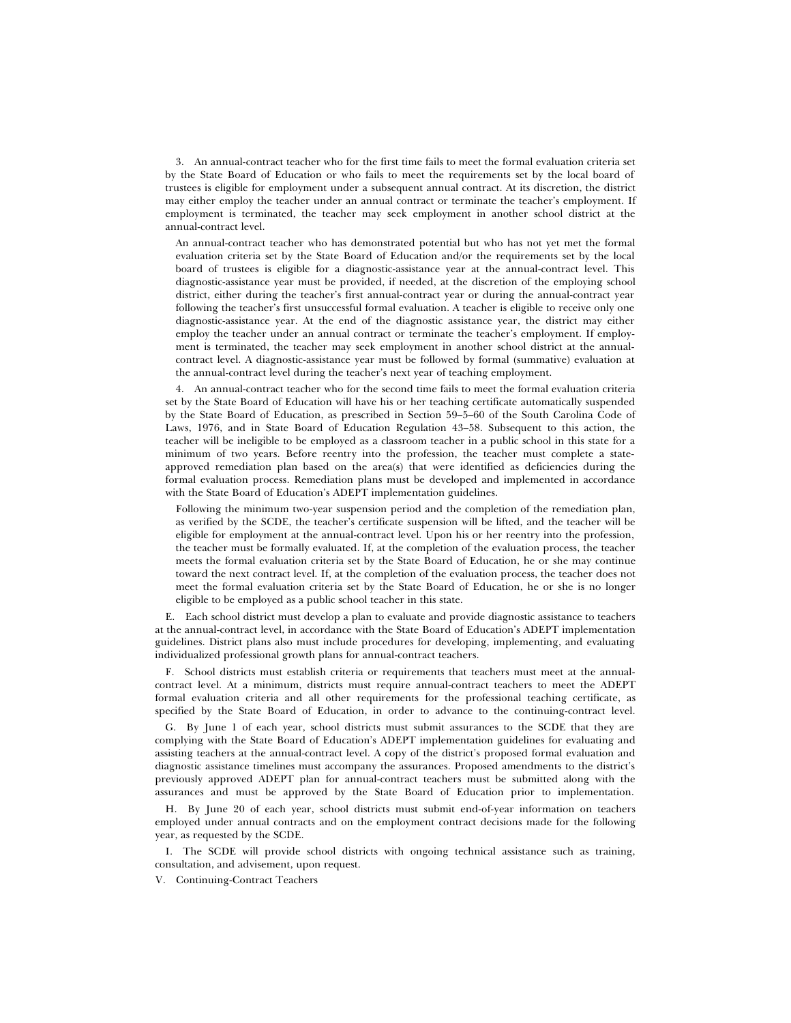3. An annual-contract teacher who for the first time fails to meet the formal evaluation criteria set by the State Board of Education or who fails to meet the requirements set by the local board of trustees is eligible for employment under a subsequent annual contract. At its discretion, the district may either employ the teacher under an annual contract or terminate the teacher's employment. If employment is terminated, the teacher may seek employment in another school district at the annual-contract level.

An annual-contract teacher who has demonstrated potential but who has not yet met the formal evaluation criteria set by the State Board of Education and/or the requirements set by the local board of trustees is eligible for a diagnostic-assistance year at the annual-contract level. This diagnostic-assistance year must be provided, if needed, at the discretion of the employing school district, either during the teacher's first annual-contract year or during the annual-contract year following the teacher's first unsuccessful formal evaluation. A teacher is eligible to receive only one diagnostic-assistance year. At the end of the diagnostic assistance year, the district may either employ the teacher under an annual contract or terminate the teacher's employment. If employment is terminated, the teacher may seek employment in another school district at the annualcontract level. A diagnostic-assistance year must be followed by formal (summative) evaluation at the annual-contract level during the teacher's next year of teaching employment.

4. An annual-contract teacher who for the second time fails to meet the formal evaluation criteria set by the State Board of Education will have his or her teaching certificate automatically suspended by the State Board of Education, as prescribed in Section 59–5–60 of the South Carolina Code of Laws, 1976, and in State Board of Education Regulation 43–58. Subsequent to this action, the teacher will be ineligible to be employed as a classroom teacher in a public school in this state for a minimum of two years. Before reentry into the profession, the teacher must complete a stateapproved remediation plan based on the area(s) that were identified as deficiencies during the formal evaluation process. Remediation plans must be developed and implemented in accordance with the State Board of Education's ADEPT implementation guidelines.

Following the minimum two-year suspension period and the completion of the remediation plan, as verified by the SCDE, the teacher's certificate suspension will be lifted, and the teacher will be eligible for employment at the annual-contract level. Upon his or her reentry into the profession, the teacher must be formally evaluated. If, at the completion of the evaluation process, the teacher meets the formal evaluation criteria set by the State Board of Education, he or she may continue toward the next contract level. If, at the completion of the evaluation process, the teacher does not meet the formal evaluation criteria set by the State Board of Education, he or she is no longer eligible to be employed as a public school teacher in this state.

E. Each school district must develop a plan to evaluate and provide diagnostic assistance to teachers at the annual-contract level, in accordance with the State Board of Education's ADEPT implementation guidelines. District plans also must include procedures for developing, implementing, and evaluating individualized professional growth plans for annual-contract teachers.

F. School districts must establish criteria or requirements that teachers must meet at the annualcontract level. At a minimum, districts must require annual-contract teachers to meet the ADEPT formal evaluation criteria and all other requirements for the professional teaching certificate, as specified by the State Board of Education, in order to advance to the continuing-contract level.

G. By June 1 of each year, school districts must submit assurances to the SCDE that they are complying with the State Board of Education's ADEPT implementation guidelines for evaluating and assisting teachers at the annual-contract level. A copy of the district's proposed formal evaluation and diagnostic assistance timelines must accompany the assurances. Proposed amendments to the district's previously approved ADEPT plan for annual-contract teachers must be submitted along with the assurances and must be approved by the State Board of Education prior to implementation.

H. By June 20 of each year, school districts must submit end-of-year information on teachers employed under annual contracts and on the employment contract decisions made for the following year, as requested by the SCDE.

I. The SCDE will provide school districts with ongoing technical assistance such as training, consultation, and advisement, upon request.

V. Continuing-Contract Teachers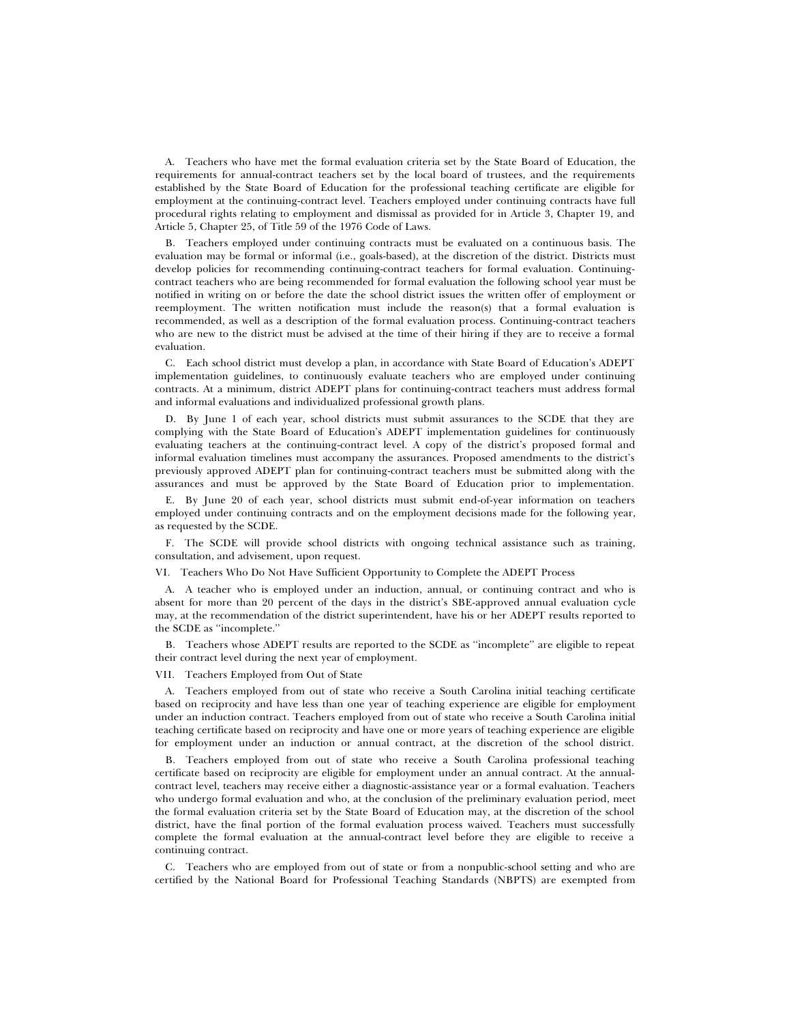A. Teachers who have met the formal evaluation criteria set by the State Board of Education, the requirements for annual-contract teachers set by the local board of trustees, and the requirements established by the State Board of Education for the professional teaching certificate are eligible for employment at the continuing-contract level. Teachers employed under continuing contracts have full procedural rights relating to employment and dismissal as provided for in Article 3, Chapter 19, and Article 5, Chapter 25, of Title 59 of the 1976 Code of Laws.

B. Teachers employed under continuing contracts must be evaluated on a continuous basis. The evaluation may be formal or informal (i.e., goals-based), at the discretion of the district. Districts must develop policies for recommending continuing-contract teachers for formal evaluation. Continuingcontract teachers who are being recommended for formal evaluation the following school year must be notified in writing on or before the date the school district issues the written offer of employment or reemployment. The written notification must include the reason(s) that a formal evaluation is recommended, as well as a description of the formal evaluation process. Continuing-contract teachers who are new to the district must be advised at the time of their hiring if they are to receive a formal evaluation.

C. Each school district must develop a plan, in accordance with State Board of Education's ADEPT implementation guidelines, to continuously evaluate teachers who are employed under continuing contracts. At a minimum, district ADEPT plans for continuing-contract teachers must address formal and informal evaluations and individualized professional growth plans.

D. By June 1 of each year, school districts must submit assurances to the SCDE that they are complying with the State Board of Education's ADEPT implementation guidelines for continuously evaluating teachers at the continuing-contract level. A copy of the district's proposed formal and informal evaluation timelines must accompany the assurances. Proposed amendments to the district's previously approved ADEPT plan for continuing-contract teachers must be submitted along with the assurances and must be approved by the State Board of Education prior to implementation.

E. By June 20 of each year, school districts must submit end-of-year information on teachers employed under continuing contracts and on the employment decisions made for the following year, as requested by the SCDE.

F. The SCDE will provide school districts with ongoing technical assistance such as training, consultation, and advisement, upon request.

VI. Teachers Who Do Not Have Sufficient Opportunity to Complete the ADEPT Process

A. A teacher who is employed under an induction, annual, or continuing contract and who is absent for more than 20 percent of the days in the district's SBE-approved annual evaluation cycle may, at the recommendation of the district superintendent, have his or her ADEPT results reported to the SCDE as ''incomplete.''

B. Teachers whose ADEPT results are reported to the SCDE as ''incomplete'' are eligible to repeat their contract level during the next year of employment.

VII. Teachers Employed from Out of State

A. Teachers employed from out of state who receive a South Carolina initial teaching certificate based on reciprocity and have less than one year of teaching experience are eligible for employment under an induction contract. Teachers employed from out of state who receive a South Carolina initial teaching certificate based on reciprocity and have one or more years of teaching experience are eligible for employment under an induction or annual contract, at the discretion of the school district.

B. Teachers employed from out of state who receive a South Carolina professional teaching certificate based on reciprocity are eligible for employment under an annual contract. At the annualcontract level, teachers may receive either a diagnostic-assistance year or a formal evaluation. Teachers who undergo formal evaluation and who, at the conclusion of the preliminary evaluation period, meet the formal evaluation criteria set by the State Board of Education may, at the discretion of the school district, have the final portion of the formal evaluation process waived. Teachers must successfully complete the formal evaluation at the annual-contract level before they are eligible to receive a continuing contract.

C. Teachers who are employed from out of state or from a nonpublic-school setting and who are certified by the National Board for Professional Teaching Standards (NBPTS) are exempted from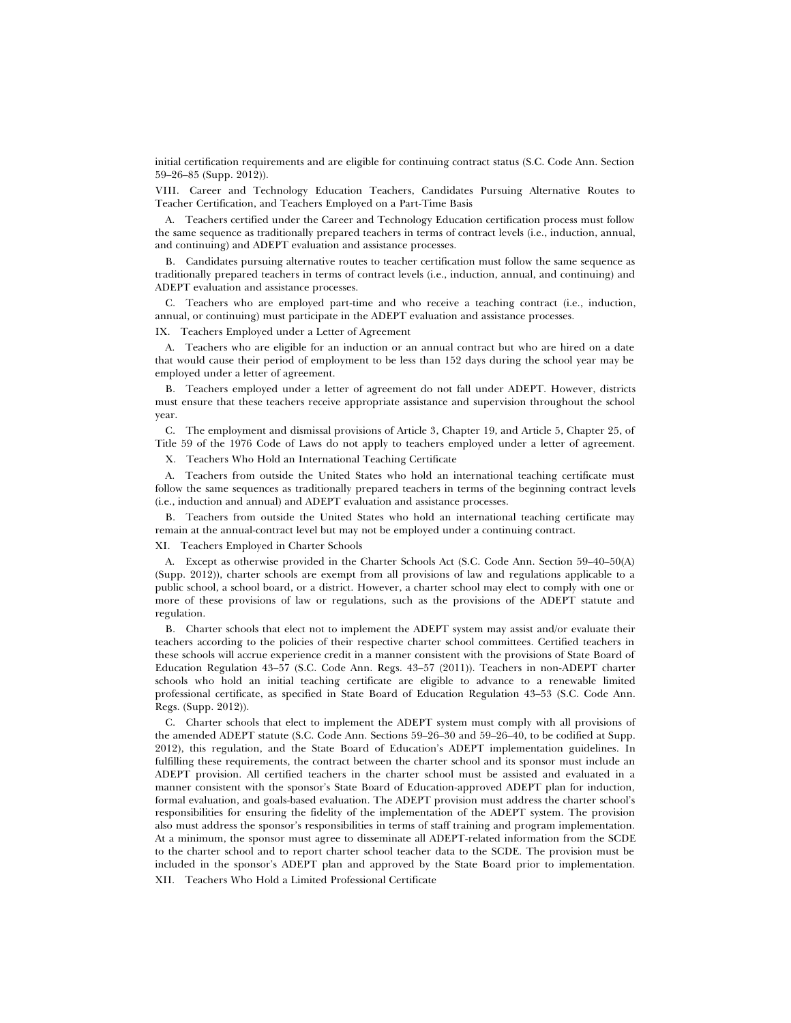initial certification requirements and are eligible for continuing contract status (S.C. Code Ann. Section 59–26–85 (Supp. 2012)).

VIII. Career and Technology Education Teachers, Candidates Pursuing Alternative Routes to Teacher Certification, and Teachers Employed on a Part-Time Basis

A. Teachers certified under the Career and Technology Education certification process must follow the same sequence as traditionally prepared teachers in terms of contract levels (i.e., induction, annual, and continuing) and ADEPT evaluation and assistance processes.

B. Candidates pursuing alternative routes to teacher certification must follow the same sequence as traditionally prepared teachers in terms of contract levels (i.e., induction, annual, and continuing) and ADEPT evaluation and assistance processes.

C. Teachers who are employed part-time and who receive a teaching contract (i.e., induction, annual, or continuing) must participate in the ADEPT evaluation and assistance processes.

IX. Teachers Employed under a Letter of Agreement

A. Teachers who are eligible for an induction or an annual contract but who are hired on a date that would cause their period of employment to be less than 152 days during the school year may be employed under a letter of agreement.

B. Teachers employed under a letter of agreement do not fall under ADEPT. However, districts must ensure that these teachers receive appropriate assistance and supervision throughout the school year.

C. The employment and dismissal provisions of Article 3, Chapter 19, and Article 5, Chapter 25, of Title 59 of the 1976 Code of Laws do not apply to teachers employed under a letter of agreement.

X. Teachers Who Hold an International Teaching Certificate

A. Teachers from outside the United States who hold an international teaching certificate must follow the same sequences as traditionally prepared teachers in terms of the beginning contract levels (i.e., induction and annual) and ADEPT evaluation and assistance processes.

B. Teachers from outside the United States who hold an international teaching certificate may remain at the annual-contract level but may not be employed under a continuing contract.

XI. Teachers Employed in Charter Schools

A. Except as otherwise provided in the Charter Schools Act (S.C. Code Ann. Section 59–40–50(A) (Supp. 2012)), charter schools are exempt from all provisions of law and regulations applicable to a public school, a school board, or a district. However, a charter school may elect to comply with one or more of these provisions of law or regulations, such as the provisions of the ADEPT statute and regulation.

B. Charter schools that elect not to implement the ADEPT system may assist and/or evaluate their teachers according to the policies of their respective charter school committees. Certified teachers in these schools will accrue experience credit in a manner consistent with the provisions of State Board of Education Regulation 43–57 (S.C. Code Ann. Regs. 43–57 (2011)). Teachers in non-ADEPT charter schools who hold an initial teaching certificate are eligible to advance to a renewable limited professional certificate, as specified in State Board of Education Regulation 43–53 (S.C. Code Ann. Regs. (Supp. 2012)).

C. Charter schools that elect to implement the ADEPT system must comply with all provisions of the amended ADEPT statute (S.C. Code Ann. Sections 59–26–30 and 59–26–40, to be codified at Supp. 2012), this regulation, and the State Board of Education's ADEPT implementation guidelines. In fulfilling these requirements, the contract between the charter school and its sponsor must include an ADEPT provision. All certified teachers in the charter school must be assisted and evaluated in a manner consistent with the sponsor's State Board of Education-approved ADEPT plan for induction, formal evaluation, and goals-based evaluation. The ADEPT provision must address the charter school's responsibilities for ensuring the fidelity of the implementation of the ADEPT system. The provision also must address the sponsor's responsibilities in terms of staff training and program implementation. At a minimum, the sponsor must agree to disseminate all ADEPT-related information from the SCDE to the charter school and to report charter school teacher data to the SCDE. The provision must be included in the sponsor's ADEPT plan and approved by the State Board prior to implementation. XII. Teachers Who Hold a Limited Professional Certificate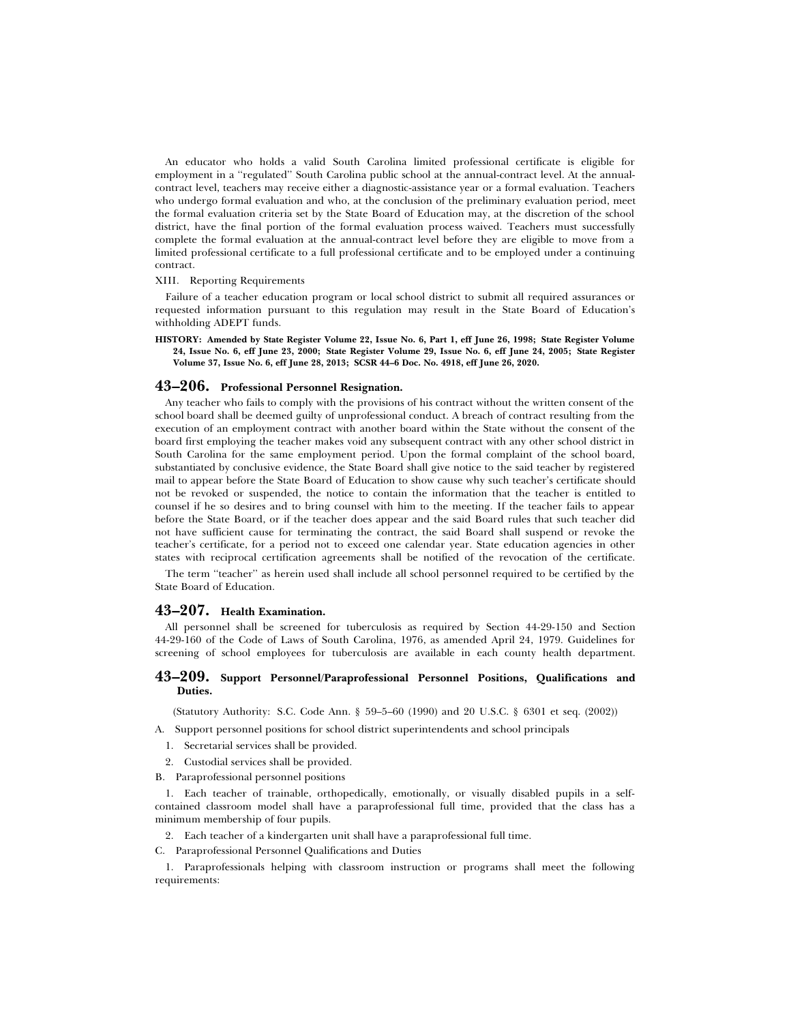An educator who holds a valid South Carolina limited professional certificate is eligible for employment in a ''regulated'' South Carolina public school at the annual-contract level. At the annualcontract level, teachers may receive either a diagnostic-assistance year or a formal evaluation. Teachers who undergo formal evaluation and who, at the conclusion of the preliminary evaluation period, meet the formal evaluation criteria set by the State Board of Education may, at the discretion of the school district, have the final portion of the formal evaluation process waived. Teachers must successfully complete the formal evaluation at the annual-contract level before they are eligible to move from a limited professional certificate to a full professional certificate and to be employed under a continuing contract.

#### XIII. Reporting Requirements

Failure of a teacher education program or local school district to submit all required assurances or requested information pursuant to this regulation may result in the State Board of Education's withholding ADEPT funds.

**HISTORY: Amended by State Register Volume 22, Issue No. 6, Part 1, eff June 26, 1998; State Register Volume 24, Issue No. 6, eff June 23, 2000; State Register Volume 29, Issue No. 6, eff June 24, 2005; State Register Volume 37, Issue No. 6, eff June 28, 2013; SCSR 44–6 Doc. No. 4918, eff June 26, 2020.**

# **43–206. Professional Personnel Resignation.**

Any teacher who fails to comply with the provisions of his contract without the written consent of the school board shall be deemed guilty of unprofessional conduct. A breach of contract resulting from the execution of an employment contract with another board within the State without the consent of the board first employing the teacher makes void any subsequent contract with any other school district in South Carolina for the same employment period. Upon the formal complaint of the school board, substantiated by conclusive evidence, the State Board shall give notice to the said teacher by registered mail to appear before the State Board of Education to show cause why such teacher's certificate should not be revoked or suspended, the notice to contain the information that the teacher is entitled to counsel if he so desires and to bring counsel with him to the meeting. If the teacher fails to appear before the State Board, or if the teacher does appear and the said Board rules that such teacher did not have sufficient cause for terminating the contract, the said Board shall suspend or revoke the teacher's certificate, for a period not to exceed one calendar year. State education agencies in other states with reciprocal certification agreements shall be notified of the revocation of the certificate.

The term ''teacher'' as herein used shall include all school personnel required to be certified by the State Board of Education.

# **43–207. Health Examination.**

All personnel shall be screened for tuberculosis as required by Section 44-29-150 and Section 44-29-160 of the Code of Laws of South Carolina, 1976, as amended April 24, 1979. Guidelines for screening of school employees for tuberculosis are available in each county health department.

# **43–209. Support Personnel/Paraprofessional Personnel Positions, Qualifications and Duties.**

(Statutory Authority: S.C. Code Ann. § 59–5–60 (1990) and 20 U.S.C. § 6301 et seq. (2002))

A. Support personnel positions for school district superintendents and school principals

- 1. Secretarial services shall be provided.
- 2. Custodial services shall be provided.
- B. Paraprofessional personnel positions

1. Each teacher of trainable, orthopedically, emotionally, or visually disabled pupils in a selfcontained classroom model shall have a paraprofessional full time, provided that the class has a minimum membership of four pupils.

- 2. Each teacher of a kindergarten unit shall have a paraprofessional full time.
- C. Paraprofessional Personnel Qualifications and Duties

1. Paraprofessionals helping with classroom instruction or programs shall meet the following requirements: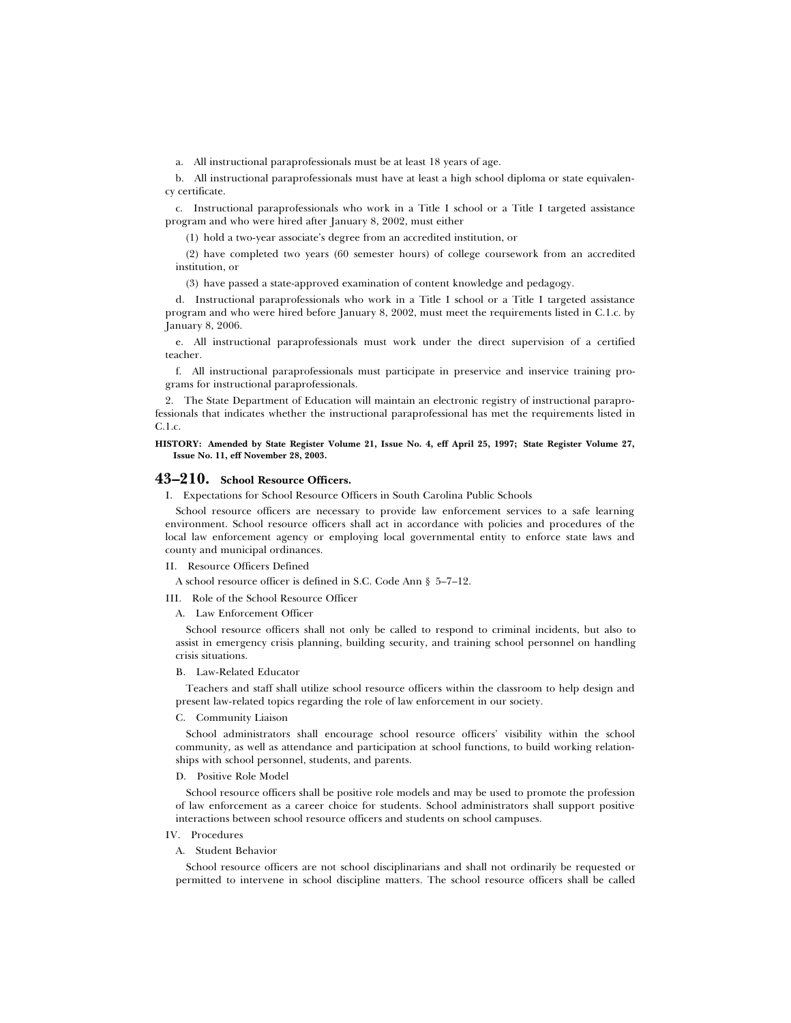a. All instructional paraprofessionals must be at least 18 years of age.

b. All instructional paraprofessionals must have at least a high school diploma or state equivalency certificate.

c. Instructional paraprofessionals who work in a Title I school or a Title I targeted assistance program and who were hired after January 8, 2002, must either

(1) hold a two-year associate's degree from an accredited institution, or

(2) have completed two years (60 semester hours) of college coursework from an accredited institution, or

(3) have passed a state-approved examination of content knowledge and pedagogy.

d. Instructional paraprofessionals who work in a Title I school or a Title I targeted assistance program and who were hired before January 8, 2002, must meet the requirements listed in C.1.c. by January 8, 2006.

e. All instructional paraprofessionals must work under the direct supervision of a certified teacher.

f. All instructional paraprofessionals must participate in preservice and inservice training programs for instructional paraprofessionals.

2. The State Department of Education will maintain an electronic registry of instructional paraprofessionals that indicates whether the instructional paraprofessional has met the requirements listed in C.1.c.

**HISTORY: Amended by State Register Volume 21, Issue No. 4, eff April 25, 1997; State Register Volume 27, Issue No. 11, eff November 28, 2003.**

# **43–210. School Resource Officers.**

I. Expectations for School Resource Officers in South Carolina Public Schools

School resource officers are necessary to provide law enforcement services to a safe learning environment. School resource officers shall act in accordance with policies and procedures of the local law enforcement agency or employing local governmental entity to enforce state laws and county and municipal ordinances.

II. Resource Officers Defined

A school resource officer is defined in S.C. Code Ann § 5–7–12.

III. Role of the School Resource Officer

A. Law Enforcement Officer

School resource officers shall not only be called to respond to criminal incidents, but also to assist in emergency crisis planning, building security, and training school personnel on handling crisis situations.

B. Law-Related Educator

Teachers and staff shall utilize school resource officers within the classroom to help design and present law-related topics regarding the role of law enforcement in our society.

C. Community Liaison

School administrators shall encourage school resource officers' visibility within the school community, as well as attendance and participation at school functions, to build working relationships with school personnel, students, and parents.

D. Positive Role Model

School resource officers shall be positive role models and may be used to promote the profession of law enforcement as a career choice for students. School administrators shall support positive interactions between school resource officers and students on school campuses.

#### IV. Procedures

# A. Student Behavior

School resource officers are not school disciplinarians and shall not ordinarily be requested or permitted to intervene in school discipline matters. The school resource officers shall be called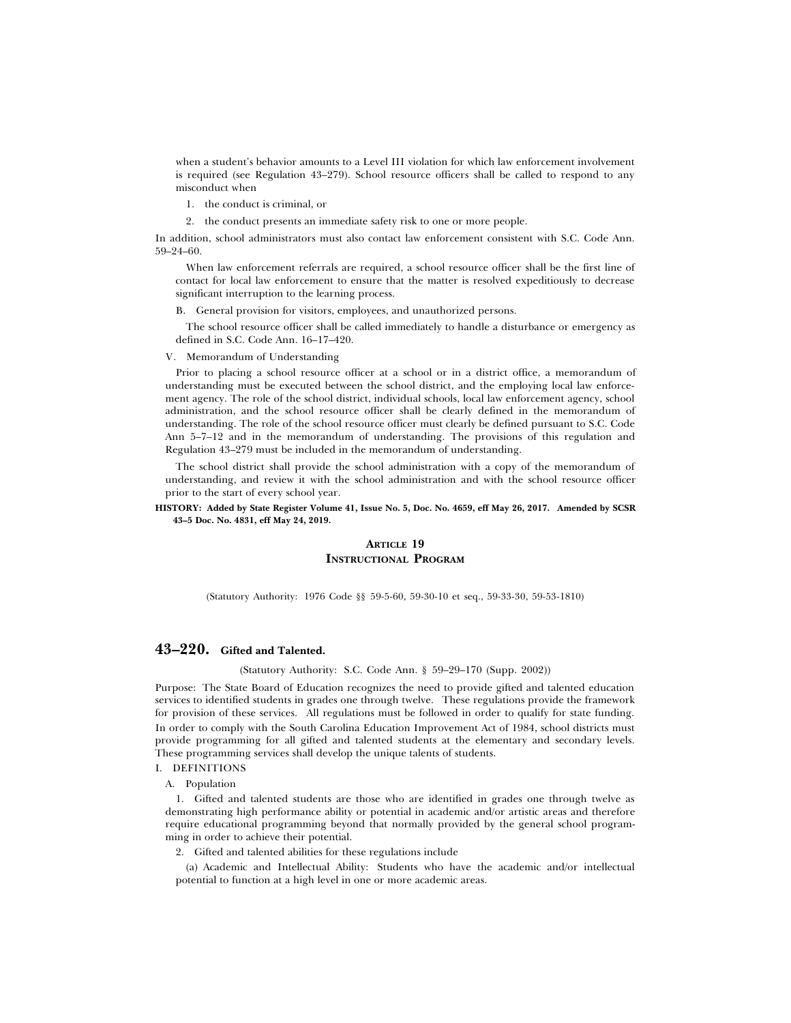when a student's behavior amounts to a Level III violation for which law enforcement involvement is required (see Regulation 43–279). School resource officers shall be called to respond to any misconduct when

- 1. the conduct is criminal, or
- 2. the conduct presents an immediate safety risk to one or more people.

In addition, school administrators must also contact law enforcement consistent with S.C. Code Ann. 59–24–60.

When law enforcement referrals are required, a school resource officer shall be the first line of contact for local law enforcement to ensure that the matter is resolved expeditiously to decrease significant interruption to the learning process.

B. General provision for visitors, employees, and unauthorized persons.

The school resource officer shall be called immediately to handle a disturbance or emergency as defined in S.C. Code Ann. 16–17–420.

V. Memorandum of Understanding

Prior to placing a school resource officer at a school or in a district office, a memorandum of understanding must be executed between the school district, and the employing local law enforcement agency. The role of the school district, individual schools, local law enforcement agency, school administration, and the school resource officer shall be clearly defined in the memorandum of understanding. The role of the school resource officer must clearly be defined pursuant to S.C. Code Ann 5–7–12 and in the memorandum of understanding. The provisions of this regulation and Regulation 43–279 must be included in the memorandum of understanding.

The school district shall provide the school administration with a copy of the memorandum of understanding, and review it with the school administration and with the school resource officer prior to the start of every school year.

### **HISTORY: Added by State Register Volume 41, Issue No. 5, Doc. No. 4659, eff May 26, 2017. Amended by SCSR 43–5 Doc. No. 4831, eff May 24, 2019.**

# **ARTICLE 19 INSTRUCTIONAL PROGRAM**

(Statutory Authority: 1976 Code §§ 59-5-60, 59-30-10 et seq., 59-33-30, 59-53-1810)

# **43–220. Gifted and Talented.**

(Statutory Authority: S.C. Code Ann. § 59–29–170 (Supp. 2002))

Purpose: The State Board of Education recognizes the need to provide gifted and talented education services to identified students in grades one through twelve. These regulations provide the framework for provision of these services. All regulations must be followed in order to qualify for state funding. In order to comply with the South Carolina Education Improvement Act of 1984, school districts must provide programming for all gifted and talented students at the elementary and secondary levels. These programming services shall develop the unique talents of students.

I. DEFINITIONS

A. Population

1. Gifted and talented students are those who are identified in grades one through twelve as demonstrating high performance ability or potential in academic and/or artistic areas and therefore require educational programming beyond that normally provided by the general school programming in order to achieve their potential.

2. Gifted and talented abilities for these regulations include

(a) Academic and Intellectual Ability: Students who have the academic and/or intellectual potential to function at a high level in one or more academic areas.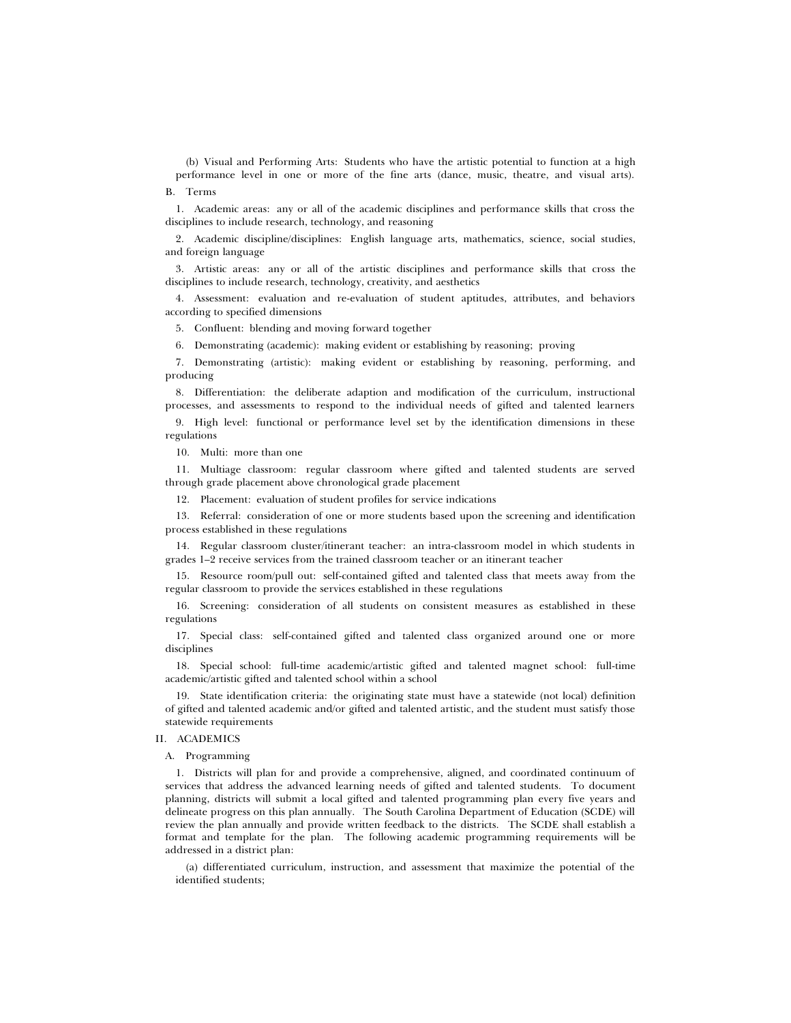(b) Visual and Performing Arts: Students who have the artistic potential to function at a high performance level in one or more of the fine arts (dance, music, theatre, and visual arts).

B. Terms

1. Academic areas: any or all of the academic disciplines and performance skills that cross the disciplines to include research, technology, and reasoning

2. Academic discipline/disciplines: English language arts, mathematics, science, social studies, and foreign language

3. Artistic areas: any or all of the artistic disciplines and performance skills that cross the disciplines to include research, technology, creativity, and aesthetics

4. Assessment: evaluation and re-evaluation of student aptitudes, attributes, and behaviors according to specified dimensions

5. Confluent: blending and moving forward together

6. Demonstrating (academic): making evident or establishing by reasoning; proving

7. Demonstrating (artistic): making evident or establishing by reasoning, performing, and producing

8. Differentiation: the deliberate adaption and modification of the curriculum, instructional processes, and assessments to respond to the individual needs of gifted and talented learners

9. High level: functional or performance level set by the identification dimensions in these regulations

10. Multi: more than one

11. Multiage classroom: regular classroom where gifted and talented students are served through grade placement above chronological grade placement

12. Placement: evaluation of student profiles for service indications

13. Referral: consideration of one or more students based upon the screening and identification process established in these regulations

14. Regular classroom cluster/itinerant teacher: an intra-classroom model in which students in grades 1–2 receive services from the trained classroom teacher or an itinerant teacher

15. Resource room/pull out: self-contained gifted and talented class that meets away from the regular classroom to provide the services established in these regulations

16. Screening: consideration of all students on consistent measures as established in these regulations

17. Special class: self-contained gifted and talented class organized around one or more disciplines

18. Special school: full-time academic/artistic gifted and talented magnet school: full-time academic/artistic gifted and talented school within a school

19. State identification criteria: the originating state must have a statewide (not local) definition of gifted and talented academic and/or gifted and talented artistic, and the student must satisfy those statewide requirements

# II. ACADEMICS

#### A. Programming

1. Districts will plan for and provide a comprehensive, aligned, and coordinated continuum of services that address the advanced learning needs of gifted and talented students. To document planning, districts will submit a local gifted and talented programming plan every five years and delineate progress on this plan annually. The South Carolina Department of Education (SCDE) will review the plan annually and provide written feedback to the districts. The SCDE shall establish a format and template for the plan. The following academic programming requirements will be addressed in a district plan:

(a) differentiated curriculum, instruction, and assessment that maximize the potential of the identified students;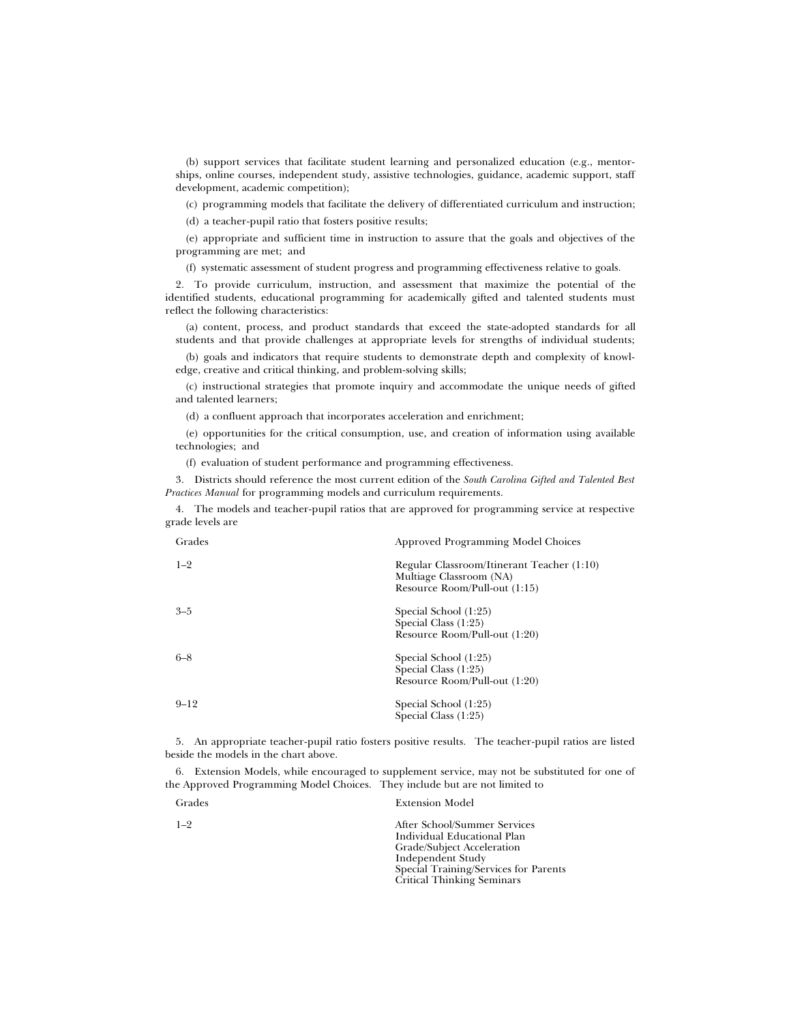(b) support services that facilitate student learning and personalized education (e.g., mentorships, online courses, independent study, assistive technologies, guidance, academic support, staff development, academic competition);

(c) programming models that facilitate the delivery of differentiated curriculum and instruction;

(d) a teacher-pupil ratio that fosters positive results;

(e) appropriate and sufficient time in instruction to assure that the goals and objectives of the programming are met; and

(f) systematic assessment of student progress and programming effectiveness relative to goals.

2. To provide curriculum, instruction, and assessment that maximize the potential of the identified students, educational programming for academically gifted and talented students must reflect the following characteristics:

(a) content, process, and product standards that exceed the state-adopted standards for all students and that provide challenges at appropriate levels for strengths of individual students;

(b) goals and indicators that require students to demonstrate depth and complexity of knowledge, creative and critical thinking, and problem-solving skills;

(c) instructional strategies that promote inquiry and accommodate the unique needs of gifted and talented learners;

(d) a confluent approach that incorporates acceleration and enrichment;

(e) opportunities for the critical consumption, use, and creation of information using available technologies; and

(f) evaluation of student performance and programming effectiveness.

3. Districts should reference the most current edition of the *South Carolina Gifted and Talented Best Practices Manual* for programming models and curriculum requirements.

4. The models and teacher-pupil ratios that are approved for programming service at respective grade levels are

| Grades   | <b>Approved Programming Model Choices</b>                                                              |
|----------|--------------------------------------------------------------------------------------------------------|
| $1 - 2$  | Regular Classroom/Itinerant Teacher (1:10)<br>Multiage Classroom (NA)<br>Resource Room/Pull-out (1:15) |
| $3 - 5$  | Special School (1:25)<br>Special Class $(1:25)$<br>Resource Room/Pull-out (1:20)                       |
| $6 - 8$  | Special School (1:25)<br>Special Class $(1:25)$<br>Resource Room/Pull-out (1:20)                       |
| $9 - 12$ | Special School (1:25)<br>Special Class (1:25)                                                          |

5. An appropriate teacher-pupil ratio fosters positive results. The teacher-pupil ratios are listed beside the models in the chart above.

6. Extension Models, while encouraged to supplement service, may not be substituted for one of the Approved Programming Model Choices. They include but are not limited to

| Grades  | <b>Extension Model</b>                                                                                                                                                                       |
|---------|----------------------------------------------------------------------------------------------------------------------------------------------------------------------------------------------|
| $1 - 2$ | After School/Summer Services<br>Individual Educational Plan<br>Grade/Subject Acceleration<br>Independent Study<br>Special Training/Services for Parents<br><b>Critical Thinking Seminars</b> |
|         |                                                                                                                                                                                              |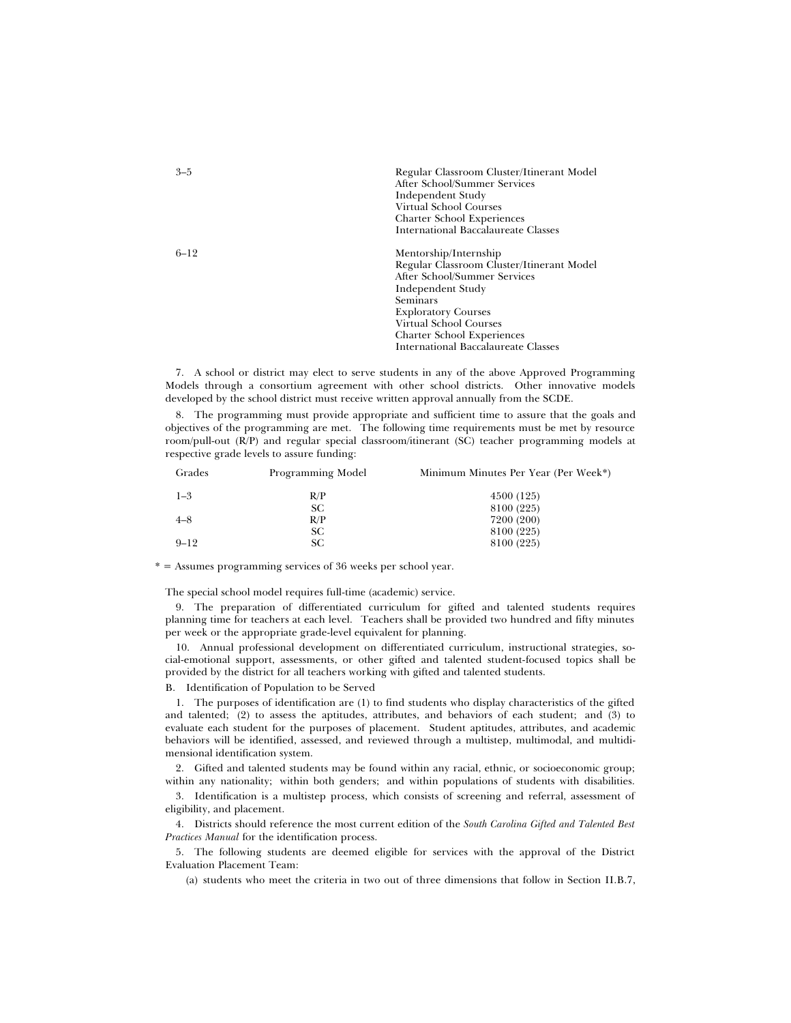| $3 - 5$  | Regular Classroom Cluster/Itinerant Model<br>After School/Summer Services<br>Independent Study<br>Virtual School Courses<br><b>Charter School Experiences</b><br><b>International Baccalaureate Classes</b> |
|----------|-------------------------------------------------------------------------------------------------------------------------------------------------------------------------------------------------------------|
| $6 - 12$ | Mentorship/Internship<br>Regular Classroom Cluster/Itinerant Model<br>After School/Summer Services<br>Independent Study<br>Seminars<br><b>Exploratory Courses</b>                                           |

Virtual School Courses Charter School Experiences International Baccalaureate Classes

7. A school or district may elect to serve students in any of the above Approved Programming Models through a consortium agreement with other school districts. Other innovative models developed by the school district must receive written approval annually from the SCDE.

8. The programming must provide appropriate and sufficient time to assure that the goals and objectives of the programming are met. The following time requirements must be met by resource room/pull-out (R/P) and regular special classroom/itinerant (SC) teacher programming models at respective grade levels to assure funding:

| Grades   | Programming Model | Minimum Minutes Per Year (Per Week*) |
|----------|-------------------|--------------------------------------|
| $1 - 3$  | R/P               | 4500 (125)                           |
|          | SС                | 8100 (225)                           |
| $4 - 8$  | R/P               | 7200 (200)                           |
|          | SС                | 8100 (225)                           |
| $9 - 12$ | SС                | 8100 (225)                           |

\* = Assumes programming services of 36 weeks per school year.

The special school model requires full-time (academic) service.

9. The preparation of differentiated curriculum for gifted and talented students requires planning time for teachers at each level. Teachers shall be provided two hundred and fifty minutes per week or the appropriate grade-level equivalent for planning.

10. Annual professional development on differentiated curriculum, instructional strategies, social-emotional support, assessments, or other gifted and talented student-focused topics shall be provided by the district for all teachers working with gifted and talented students.

B. Identification of Population to be Served

1. The purposes of identification are (1) to find students who display characteristics of the gifted and talented; (2) to assess the aptitudes, attributes, and behaviors of each student; and (3) to evaluate each student for the purposes of placement. Student aptitudes, attributes, and academic behaviors will be identified, assessed, and reviewed through a multistep, multimodal, and multidimensional identification system.

2. Gifted and talented students may be found within any racial, ethnic, or socioeconomic group; within any nationality; within both genders; and within populations of students with disabilities.

3. Identification is a multistep process, which consists of screening and referral, assessment of eligibility, and placement.

4. Districts should reference the most current edition of the *South Carolina Gifted and Talented Best Practices Manual* for the identification process.

5. The following students are deemed eligible for services with the approval of the District Evaluation Placement Team:

(a) students who meet the criteria in two out of three dimensions that follow in Section II.B.7,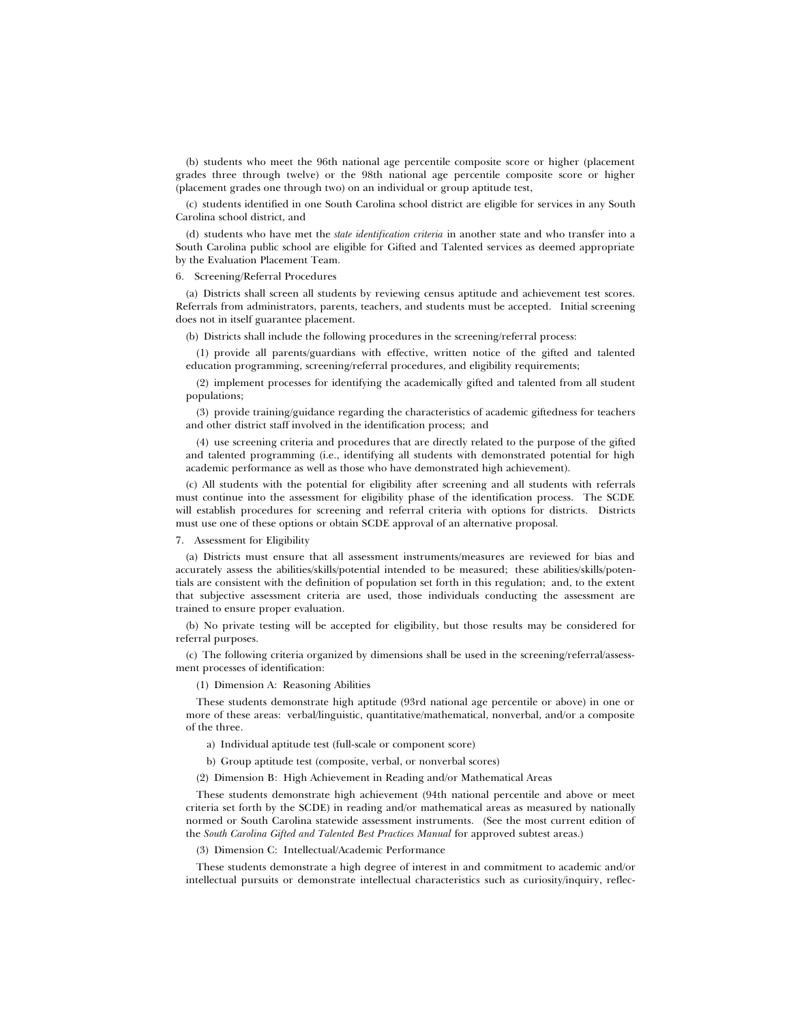(b) students who meet the 96th national age percentile composite score or higher (placement grades three through twelve) or the 98th national age percentile composite score or higher (placement grades one through two) on an individual or group aptitude test,

(c) students identified in one South Carolina school district are eligible for services in any South Carolina school district, and

(d) students who have met the *state identification criteria* in another state and who transfer into a South Carolina public school are eligible for Gifted and Talented services as deemed appropriate by the Evaluation Placement Team.

### 6. Screening/Referral Procedures

(a) Districts shall screen all students by reviewing census aptitude and achievement test scores. Referrals from administrators, parents, teachers, and students must be accepted. Initial screening does not in itself guarantee placement.

(b) Districts shall include the following procedures in the screening/referral process:

(1) provide all parents/guardians with effective, written notice of the gifted and talented education programming, screening/referral procedures, and eligibility requirements;

(2) implement processes for identifying the academically gifted and talented from all student populations;

(3) provide training/guidance regarding the characteristics of academic giftedness for teachers and other district staff involved in the identification process; and

(4) use screening criteria and procedures that are directly related to the purpose of the gifted and talented programming (i.e., identifying all students with demonstrated potential for high academic performance as well as those who have demonstrated high achievement).

(c) All students with the potential for eligibility after screening and all students with referrals must continue into the assessment for eligibility phase of the identification process. The SCDE will establish procedures for screening and referral criteria with options for districts. Districts must use one of these options or obtain SCDE approval of an alternative proposal.

### 7. Assessment for Eligibility

(a) Districts must ensure that all assessment instruments/measures are reviewed for bias and accurately assess the abilities/skills/potential intended to be measured; these abilities/skills/potentials are consistent with the definition of population set forth in this regulation; and, to the extent that subjective assessment criteria are used, those individuals conducting the assessment are trained to ensure proper evaluation.

(b) No private testing will be accepted for eligibility, but those results may be considered for referral purposes.

(c) The following criteria organized by dimensions shall be used in the screening/referral/assessment processes of identification:

(1) Dimension A: Reasoning Abilities

These students demonstrate high aptitude (93rd national age percentile or above) in one or more of these areas: verbal/linguistic, quantitative/mathematical, nonverbal, and/or a composite of the three.

a) Individual aptitude test (full-scale or component score)

b) Group aptitude test (composite, verbal, or nonverbal scores)

(2) Dimension B: High Achievement in Reading and/or Mathematical Areas

These students demonstrate high achievement (94th national percentile and above or meet criteria set forth by the SCDE) in reading and/or mathematical areas as measured by nationally normed or South Carolina statewide assessment instruments. (See the most current edition of the *South Carolina Gifted and Talented Best Practices Manual* for approved subtest areas.)

(3) Dimension C: Intellectual/Academic Performance

These students demonstrate a high degree of interest in and commitment to academic and/or intellectual pursuits or demonstrate intellectual characteristics such as curiosity/inquiry, reflec-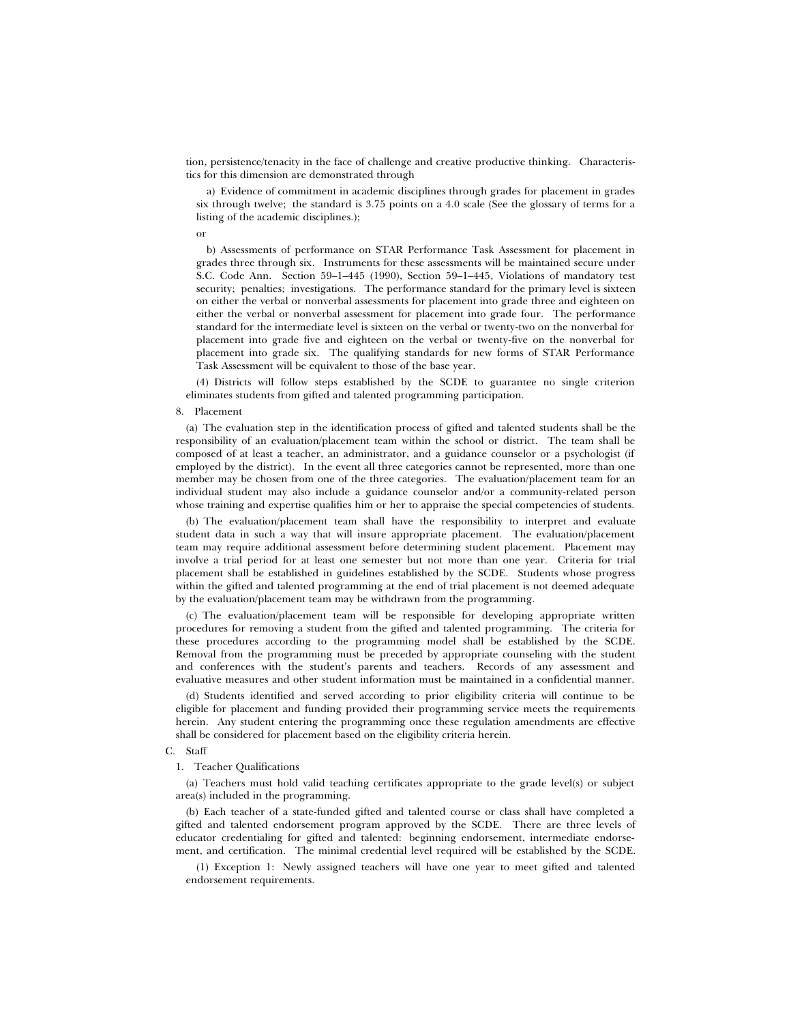tion, persistence/tenacity in the face of challenge and creative productive thinking. Characteristics for this dimension are demonstrated through

a) Evidence of commitment in academic disciplines through grades for placement in grades six through twelve; the standard is 3.75 points on a 4.0 scale (See the glossary of terms for a listing of the academic disciplines.);

or

b) Assessments of performance on STAR Performance Task Assessment for placement in grades three through six. Instruments for these assessments will be maintained secure under S.C. Code Ann. Section 59–1–445 (1990), Section 59–1–445, Violations of mandatory test security; penalties; investigations. The performance standard for the primary level is sixteen on either the verbal or nonverbal assessments for placement into grade three and eighteen on either the verbal or nonverbal assessment for placement into grade four. The performance standard for the intermediate level is sixteen on the verbal or twenty-two on the nonverbal for placement into grade five and eighteen on the verbal or twenty-five on the nonverbal for placement into grade six. The qualifying standards for new forms of STAR Performance Task Assessment will be equivalent to those of the base year.

(4) Districts will follow steps established by the SCDE to guarantee no single criterion eliminates students from gifted and talented programming participation.

#### 8. Placement

(a) The evaluation step in the identification process of gifted and talented students shall be the responsibility of an evaluation/placement team within the school or district. The team shall be composed of at least a teacher, an administrator, and a guidance counselor or a psychologist (if employed by the district). In the event all three categories cannot be represented, more than one member may be chosen from one of the three categories. The evaluation/placement team for an individual student may also include a guidance counselor and/or a community-related person whose training and expertise qualifies him or her to appraise the special competencies of students.

(b) The evaluation/placement team shall have the responsibility to interpret and evaluate student data in such a way that will insure appropriate placement. The evaluation/placement team may require additional assessment before determining student placement. Placement may involve a trial period for at least one semester but not more than one year. Criteria for trial placement shall be established in guidelines established by the SCDE. Students whose progress within the gifted and talented programming at the end of trial placement is not deemed adequate by the evaluation/placement team may be withdrawn from the programming.

(c) The evaluation/placement team will be responsible for developing appropriate written procedures for removing a student from the gifted and talented programming. The criteria for these procedures according to the programming model shall be established by the SCDE. Removal from the programming must be preceded by appropriate counseling with the student and conferences with the student's parents and teachers. Records of any assessment and evaluative measures and other student information must be maintained in a confidential manner.

(d) Students identified and served according to prior eligibility criteria will continue to be eligible for placement and funding provided their programming service meets the requirements herein. Any student entering the programming once these regulation amendments are effective shall be considered for placement based on the eligibility criteria herein.

### C. Staff

1. Teacher Qualifications

(a) Teachers must hold valid teaching certificates appropriate to the grade level(s) or subject area(s) included in the programming.

(b) Each teacher of a state-funded gifted and talented course or class shall have completed a gifted and talented endorsement program approved by the SCDE. There are three levels of educator credentialing for gifted and talented: beginning endorsement, intermediate endorsement, and certification. The minimal credential level required will be established by the SCDE.

(1) Exception 1: Newly assigned teachers will have one year to meet gifted and talented endorsement requirements.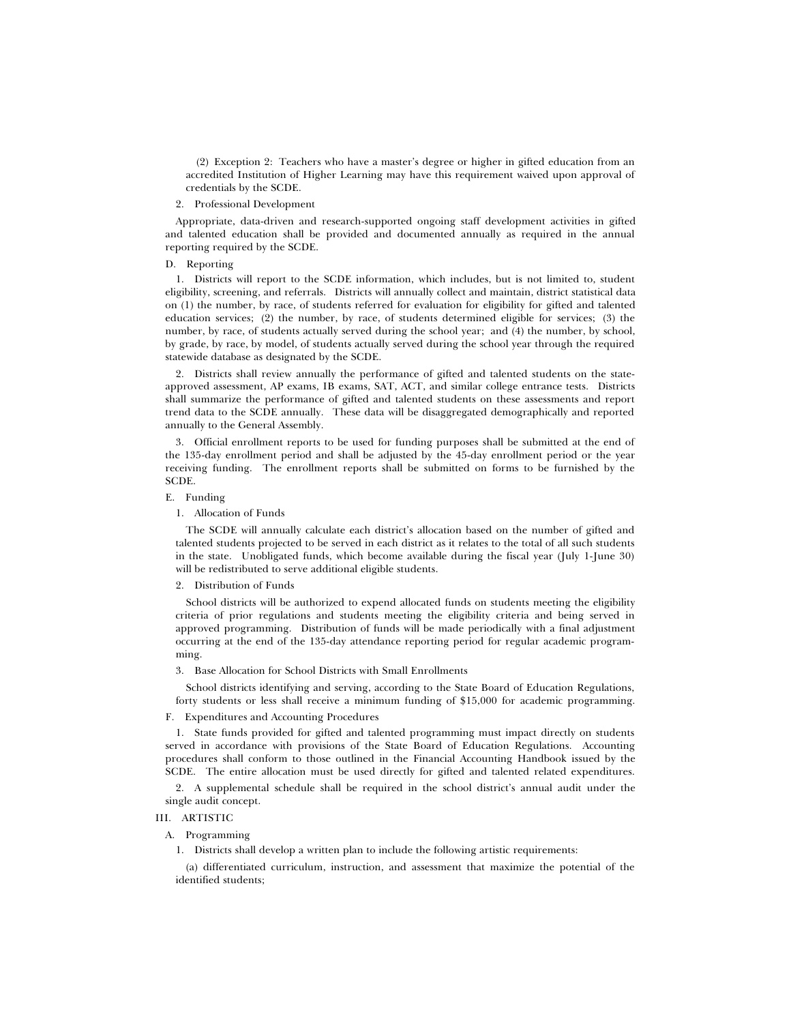(2) Exception 2: Teachers who have a master's degree or higher in gifted education from an accredited Institution of Higher Learning may have this requirement waived upon approval of credentials by the SCDE.

### 2. Professional Development

Appropriate, data-driven and research-supported ongoing staff development activities in gifted and talented education shall be provided and documented annually as required in the annual reporting required by the SCDE.

# D. Reporting

1. Districts will report to the SCDE information, which includes, but is not limited to, student eligibility, screening, and referrals. Districts will annually collect and maintain, district statistical data on (1) the number, by race, of students referred for evaluation for eligibility for gifted and talented education services; (2) the number, by race, of students determined eligible for services; (3) the number, by race, of students actually served during the school year; and (4) the number, by school, by grade, by race, by model, of students actually served during the school year through the required statewide database as designated by the SCDE.

2. Districts shall review annually the performance of gifted and talented students on the stateapproved assessment, AP exams, IB exams, SAT, ACT, and similar college entrance tests. Districts shall summarize the performance of gifted and talented students on these assessments and report trend data to the SCDE annually. These data will be disaggregated demographically and reported annually to the General Assembly.

3. Official enrollment reports to be used for funding purposes shall be submitted at the end of the 135-day enrollment period and shall be adjusted by the 45-day enrollment period or the year receiving funding. The enrollment reports shall be submitted on forms to be furnished by the SCDE.

### E. Funding

# 1. Allocation of Funds

The SCDE will annually calculate each district's allocation based on the number of gifted and talented students projected to be served in each district as it relates to the total of all such students in the state. Unobligated funds, which become available during the fiscal year (July 1-June 30) will be redistributed to serve additional eligible students.

#### 2. Distribution of Funds

School districts will be authorized to expend allocated funds on students meeting the eligibility criteria of prior regulations and students meeting the eligibility criteria and being served in approved programming. Distribution of funds will be made periodically with a final adjustment occurring at the end of the 135-day attendance reporting period for regular academic programming.

#### 3. Base Allocation for School Districts with Small Enrollments

School districts identifying and serving, according to the State Board of Education Regulations, forty students or less shall receive a minimum funding of \$15,000 for academic programming.

### F. Expenditures and Accounting Procedures

1. State funds provided for gifted and talented programming must impact directly on students served in accordance with provisions of the State Board of Education Regulations. Accounting procedures shall conform to those outlined in the Financial Accounting Handbook issued by the SCDE. The entire allocation must be used directly for gifted and talented related expenditures.

2. A supplemental schedule shall be required in the school district's annual audit under the single audit concept.

### III. ARTISTIC

### A. Programming

1. Districts shall develop a written plan to include the following artistic requirements:

(a) differentiated curriculum, instruction, and assessment that maximize the potential of the identified students;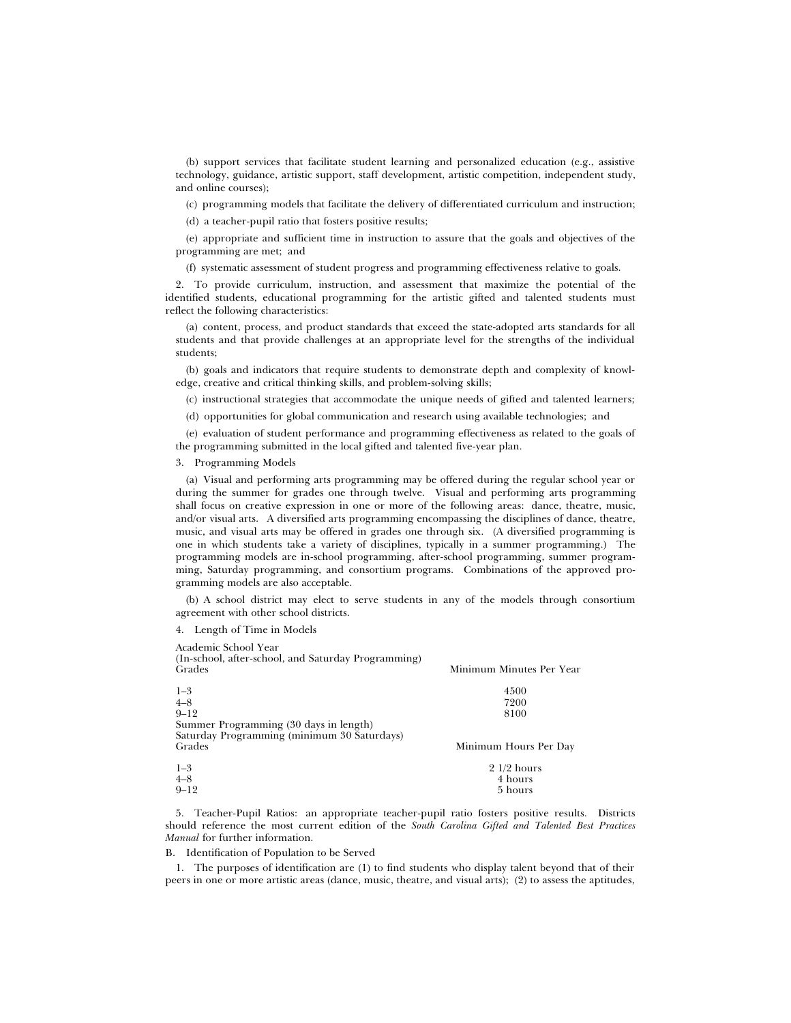(b) support services that facilitate student learning and personalized education (e.g., assistive technology, guidance, artistic support, staff development, artistic competition, independent study, and online courses);

(c) programming models that facilitate the delivery of differentiated curriculum and instruction;

(d) a teacher-pupil ratio that fosters positive results;

(e) appropriate and sufficient time in instruction to assure that the goals and objectives of the programming are met; and

(f) systematic assessment of student progress and programming effectiveness relative to goals.

2. To provide curriculum, instruction, and assessment that maximize the potential of the identified students, educational programming for the artistic gifted and talented students must reflect the following characteristics:

(a) content, process, and product standards that exceed the state-adopted arts standards for all students and that provide challenges at an appropriate level for the strengths of the individual students;

(b) goals and indicators that require students to demonstrate depth and complexity of knowledge, creative and critical thinking skills, and problem-solving skills;

(c) instructional strategies that accommodate the unique needs of gifted and talented learners;

(d) opportunities for global communication and research using available technologies; and

(e) evaluation of student performance and programming effectiveness as related to the goals of the programming submitted in the local gifted and talented five-year plan.

3. Programming Models

(a) Visual and performing arts programming may be offered during the regular school year or during the summer for grades one through twelve. Visual and performing arts programming shall focus on creative expression in one or more of the following areas: dance, theatre, music, and/or visual arts. A diversified arts programming encompassing the disciplines of dance, theatre, music, and visual arts may be offered in grades one through six. (A diversified programming is one in which students take a variety of disciplines, typically in a summer programming.) The programming models are in-school programming, after-school programming, summer programming, Saturday programming, and consortium programs. Combinations of the approved programming models are also acceptable.

(b) A school district may elect to serve students in any of the models through consortium agreement with other school districts.

4. Length of Time in Models

| Academic School Year                                          |                          |
|---------------------------------------------------------------|--------------------------|
| (In-school, after-school, and Saturday Programming)<br>Grades | Minimum Minutes Per Year |
| $1 - 3$                                                       | 4500                     |
| $4 - 8$                                                       | 7200                     |
| $9 - 12$                                                      | 8100                     |
| Summer Programming (30 days in length)                        |                          |
| Saturday Programming (minimum 30 Saturdays)                   |                          |
| Grades                                                        | Minimum Hours Per Day    |
| $1 - 3$                                                       | $21/2$ hours             |
| $4 - 8$                                                       | 4 hours                  |
| $9 - 12$                                                      | 5 hours                  |

5. Teacher-Pupil Ratios: an appropriate teacher-pupil ratio fosters positive results. Districts should reference the most current edition of the *South Carolina Gifted and Talented Best Practices Manual* for further information.

B. Identification of Population to be Served

1. The purposes of identification are (1) to find students who display talent beyond that of their peers in one or more artistic areas (dance, music, theatre, and visual arts); (2) to assess the aptitudes,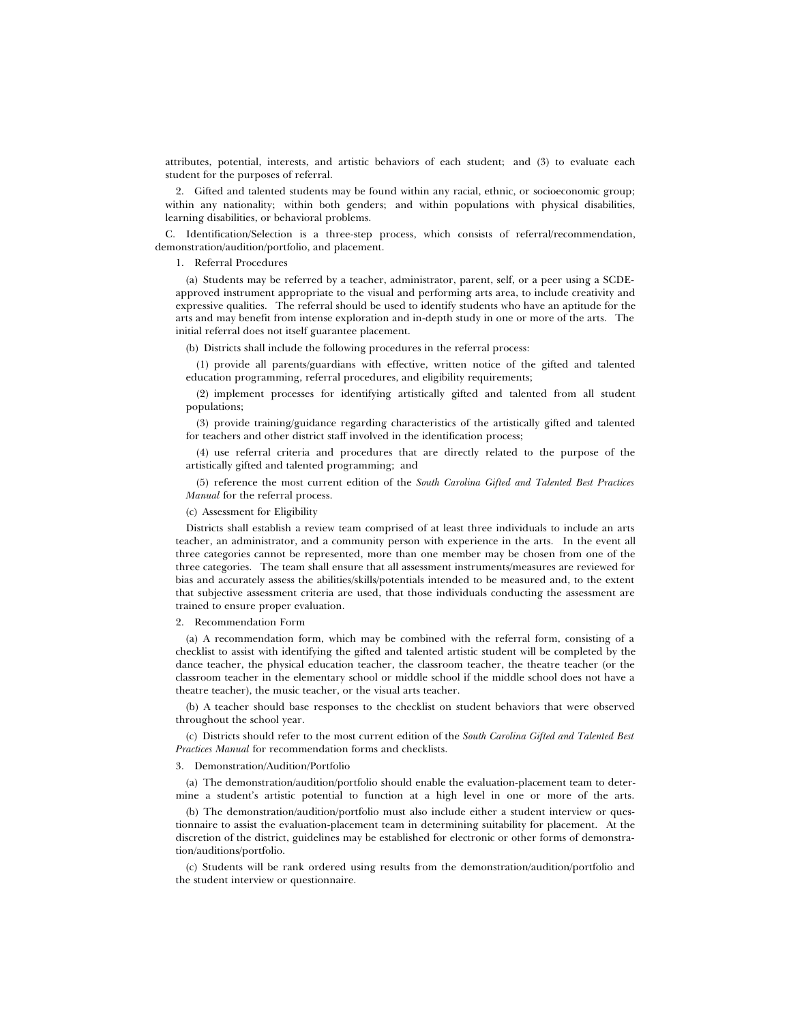attributes, potential, interests, and artistic behaviors of each student; and (3) to evaluate each student for the purposes of referral.

2. Gifted and talented students may be found within any racial, ethnic, or socioeconomic group; within any nationality; within both genders; and within populations with physical disabilities, learning disabilities, or behavioral problems.

C. Identification/Selection is a three-step process, which consists of referral/recommendation, demonstration/audition/portfolio, and placement.

### 1. Referral Procedures

(a) Students may be referred by a teacher, administrator, parent, self, or a peer using a SCDEapproved instrument appropriate to the visual and performing arts area, to include creativity and expressive qualities. The referral should be used to identify students who have an aptitude for the arts and may benefit from intense exploration and in-depth study in one or more of the arts. The initial referral does not itself guarantee placement.

(b) Districts shall include the following procedures in the referral process:

(1) provide all parents/guardians with effective, written notice of the gifted and talented education programming, referral procedures, and eligibility requirements;

(2) implement processes for identifying artistically gifted and talented from all student populations;

(3) provide training/guidance regarding characteristics of the artistically gifted and talented for teachers and other district staff involved in the identification process;

(4) use referral criteria and procedures that are directly related to the purpose of the artistically gifted and talented programming; and

(5) reference the most current edition of the *South Carolina Gifted and Talented Best Practices Manual* for the referral process.

(c) Assessment for Eligibility

Districts shall establish a review team comprised of at least three individuals to include an arts teacher, an administrator, and a community person with experience in the arts. In the event all three categories cannot be represented, more than one member may be chosen from one of the three categories. The team shall ensure that all assessment instruments/measures are reviewed for bias and accurately assess the abilities/skills/potentials intended to be measured and, to the extent that subjective assessment criteria are used, that those individuals conducting the assessment are trained to ensure proper evaluation.

#### 2. Recommendation Form

(a) A recommendation form, which may be combined with the referral form, consisting of a checklist to assist with identifying the gifted and talented artistic student will be completed by the dance teacher, the physical education teacher, the classroom teacher, the theatre teacher (or the classroom teacher in the elementary school or middle school if the middle school does not have a theatre teacher), the music teacher, or the visual arts teacher.

(b) A teacher should base responses to the checklist on student behaviors that were observed throughout the school year.

(c) Districts should refer to the most current edition of the *South Carolina Gifted and Talented Best Practices Manual* for recommendation forms and checklists.

#### 3. Demonstration/Audition/Portfolio

(a) The demonstration/audition/portfolio should enable the evaluation-placement team to determine a student's artistic potential to function at a high level in one or more of the arts.

(b) The demonstration/audition/portfolio must also include either a student interview or questionnaire to assist the evaluation-placement team in determining suitability for placement. At the discretion of the district, guidelines may be established for electronic or other forms of demonstration/auditions/portfolio.

(c) Students will be rank ordered using results from the demonstration/audition/portfolio and the student interview or questionnaire.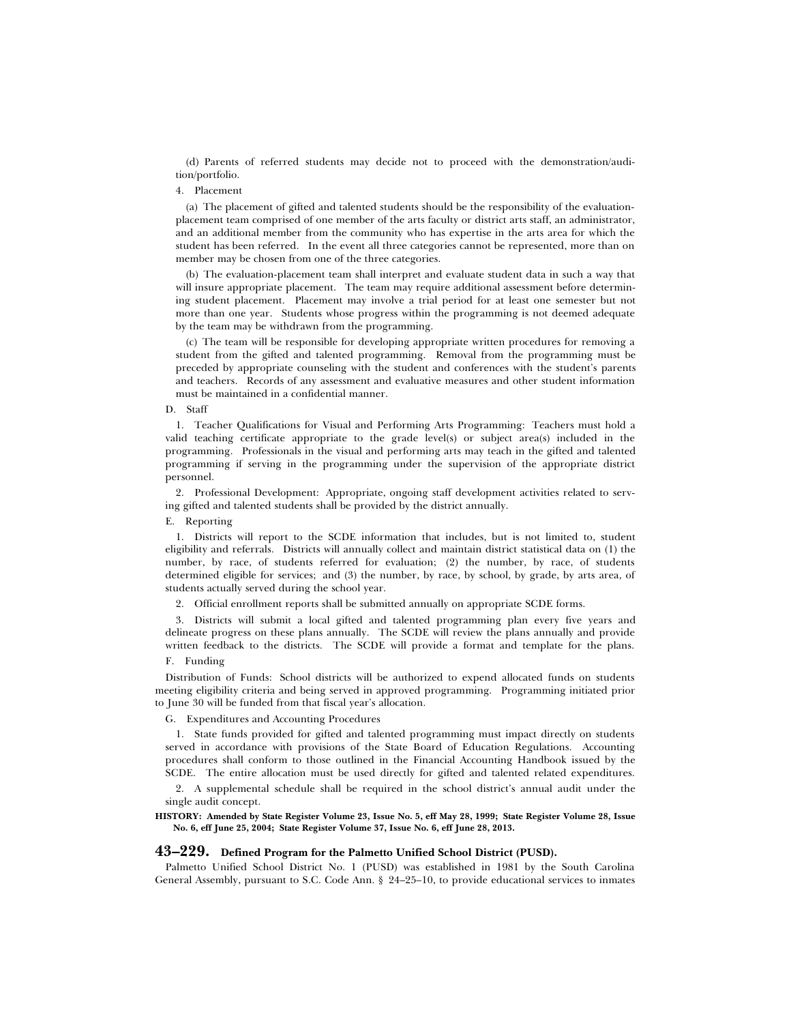(d) Parents of referred students may decide not to proceed with the demonstration/audition/portfolio.

### 4. Placement

(a) The placement of gifted and talented students should be the responsibility of the evaluationplacement team comprised of one member of the arts faculty or district arts staff, an administrator, and an additional member from the community who has expertise in the arts area for which the student has been referred. In the event all three categories cannot be represented, more than on member may be chosen from one of the three categories.

(b) The evaluation-placement team shall interpret and evaluate student data in such a way that will insure appropriate placement. The team may require additional assessment before determining student placement. Placement may involve a trial period for at least one semester but not more than one year. Students whose progress within the programming is not deemed adequate by the team may be withdrawn from the programming.

(c) The team will be responsible for developing appropriate written procedures for removing a student from the gifted and talented programming. Removal from the programming must be preceded by appropriate counseling with the student and conferences with the student's parents and teachers. Records of any assessment and evaluative measures and other student information must be maintained in a confidential manner.

### D. Staff

1. Teacher Qualifications for Visual and Performing Arts Programming: Teachers must hold a valid teaching certificate appropriate to the grade level(s) or subject area(s) included in the programming. Professionals in the visual and performing arts may teach in the gifted and talented programming if serving in the programming under the supervision of the appropriate district personnel.

2. Professional Development: Appropriate, ongoing staff development activities related to serving gifted and talented students shall be provided by the district annually.

### E. Reporting

1. Districts will report to the SCDE information that includes, but is not limited to, student eligibility and referrals. Districts will annually collect and maintain district statistical data on (1) the number, by race, of students referred for evaluation; (2) the number, by race, of students determined eligible for services; and (3) the number, by race, by school, by grade, by arts area, of students actually served during the school year.

2. Official enrollment reports shall be submitted annually on appropriate SCDE forms.

3. Districts will submit a local gifted and talented programming plan every five years and delineate progress on these plans annually. The SCDE will review the plans annually and provide written feedback to the districts. The SCDE will provide a format and template for the plans.

# F. Funding

Distribution of Funds: School districts will be authorized to expend allocated funds on students meeting eligibility criteria and being served in approved programming. Programming initiated prior to June 30 will be funded from that fiscal year's allocation.

### G. Expenditures and Accounting Procedures

1. State funds provided for gifted and talented programming must impact directly on students served in accordance with provisions of the State Board of Education Regulations. Accounting procedures shall conform to those outlined in the Financial Accounting Handbook issued by the SCDE. The entire allocation must be used directly for gifted and talented related expenditures.

2. A supplemental schedule shall be required in the school district's annual audit under the single audit concept.

### **HISTORY: Amended by State Register Volume 23, Issue No. 5, eff May 28, 1999; State Register Volume 28, Issue No. 6, eff June 25, 2004; State Register Volume 37, Issue No. 6, eff June 28, 2013.**

# **43–229. Defined Program for the Palmetto Unified School District (PUSD).**

Palmetto Unified School District No. 1 (PUSD) was established in 1981 by the South Carolina General Assembly, pursuant to S.C. Code Ann. § 24–25–10, to provide educational services to inmates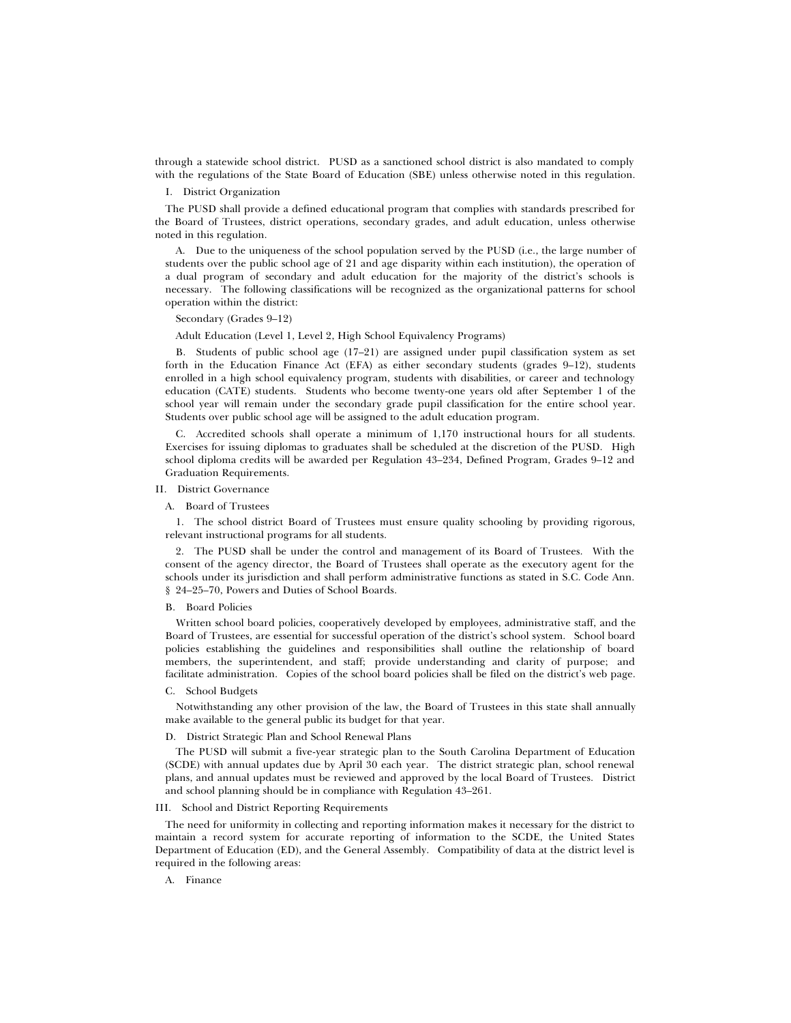through a statewide school district. PUSD as a sanctioned school district is also mandated to comply with the regulations of the State Board of Education (SBE) unless otherwise noted in this regulation.

# I. District Organization

The PUSD shall provide a defined educational program that complies with standards prescribed for the Board of Trustees, district operations, secondary grades, and adult education, unless otherwise noted in this regulation.

A. Due to the uniqueness of the school population served by the PUSD (i.e., the large number of students over the public school age of 21 and age disparity within each institution), the operation of a dual program of secondary and adult education for the majority of the district's schools is necessary. The following classifications will be recognized as the organizational patterns for school operation within the district:

### Secondary (Grades 9–12)

Adult Education (Level 1, Level 2, High School Equivalency Programs)

B. Students of public school age (17–21) are assigned under pupil classification system as set forth in the Education Finance Act (EFA) as either secondary students (grades 9–12), students enrolled in a high school equivalency program, students with disabilities, or career and technology education (CATE) students. Students who become twenty-one years old after September 1 of the school year will remain under the secondary grade pupil classification for the entire school year. Students over public school age will be assigned to the adult education program.

C. Accredited schools shall operate a minimum of 1,170 instructional hours for all students. Exercises for issuing diplomas to graduates shall be scheduled at the discretion of the PUSD. High school diploma credits will be awarded per Regulation 43–234, Defined Program, Grades 9–12 and Graduation Requirements.

# II. District Governance

### A. Board of Trustees

1. The school district Board of Trustees must ensure quality schooling by providing rigorous, relevant instructional programs for all students.

2. The PUSD shall be under the control and management of its Board of Trustees. With the consent of the agency director, the Board of Trustees shall operate as the executory agent for the schools under its jurisdiction and shall perform administrative functions as stated in S.C. Code Ann. § 24–25–70, Powers and Duties of School Boards.

### B. Board Policies

Written school board policies, cooperatively developed by employees, administrative staff, and the Board of Trustees, are essential for successful operation of the district's school system. School board policies establishing the guidelines and responsibilities shall outline the relationship of board members, the superintendent, and staff; provide understanding and clarity of purpose; and facilitate administration. Copies of the school board policies shall be filed on the district's web page.

### C. School Budgets

Notwithstanding any other provision of the law, the Board of Trustees in this state shall annually make available to the general public its budget for that year.

#### D. District Strategic Plan and School Renewal Plans

The PUSD will submit a five-year strategic plan to the South Carolina Department of Education (SCDE) with annual updates due by April 30 each year. The district strategic plan, school renewal plans, and annual updates must be reviewed and approved by the local Board of Trustees. District and school planning should be in compliance with Regulation 43–261.

### III. School and District Reporting Requirements

The need for uniformity in collecting and reporting information makes it necessary for the district to maintain a record system for accurate reporting of information to the SCDE, the United States Department of Education (ED), and the General Assembly. Compatibility of data at the district level is required in the following areas:

A. Finance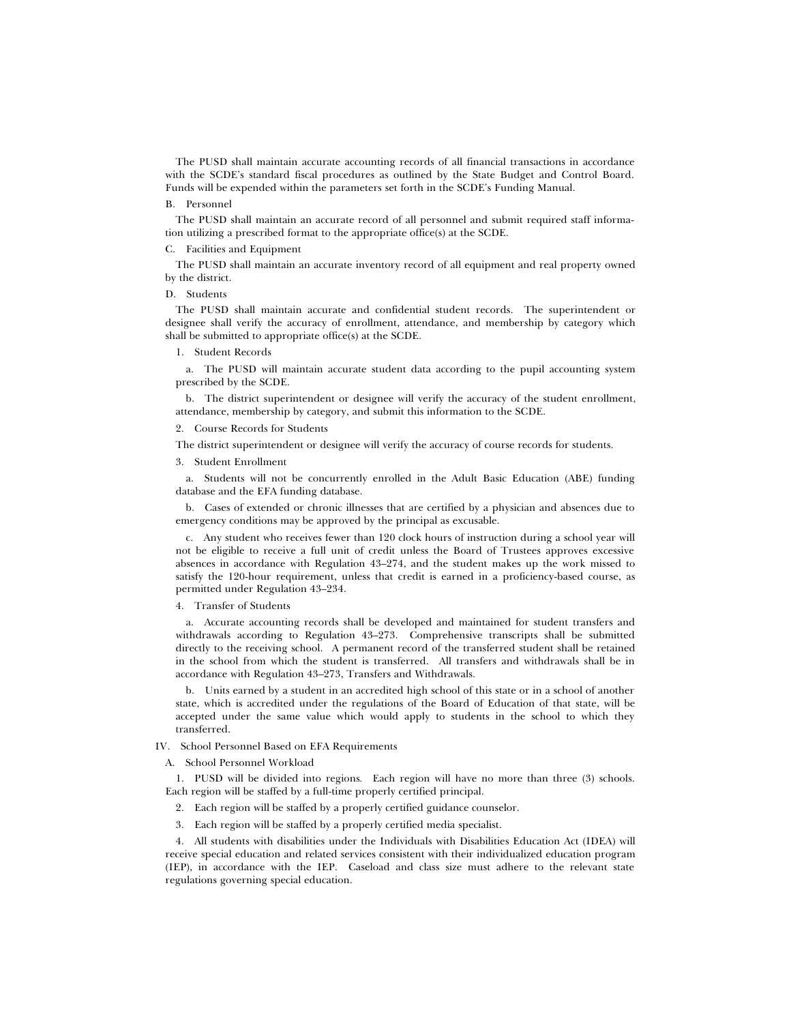The PUSD shall maintain accurate accounting records of all financial transactions in accordance with the SCDE's standard fiscal procedures as outlined by the State Budget and Control Board. Funds will be expended within the parameters set forth in the SCDE's Funding Manual.

### B. Personnel

The PUSD shall maintain an accurate record of all personnel and submit required staff information utilizing a prescribed format to the appropriate office(s) at the SCDE.

### C. Facilities and Equipment

The PUSD shall maintain an accurate inventory record of all equipment and real property owned by the district.

#### D. Students

The PUSD shall maintain accurate and confidential student records. The superintendent or designee shall verify the accuracy of enrollment, attendance, and membership by category which shall be submitted to appropriate office(s) at the SCDE.

### 1. Student Records

a. The PUSD will maintain accurate student data according to the pupil accounting system prescribed by the SCDE.

b. The district superintendent or designee will verify the accuracy of the student enrollment, attendance, membership by category, and submit this information to the SCDE.

## 2. Course Records for Students

The district superintendent or designee will verify the accuracy of course records for students.

3. Student Enrollment

a. Students will not be concurrently enrolled in the Adult Basic Education (ABE) funding database and the EFA funding database.

b. Cases of extended or chronic illnesses that are certified by a physician and absences due to emergency conditions may be approved by the principal as excusable.

c. Any student who receives fewer than 120 clock hours of instruction during a school year will not be eligible to receive a full unit of credit unless the Board of Trustees approves excessive absences in accordance with Regulation 43–274, and the student makes up the work missed to satisfy the 120-hour requirement, unless that credit is earned in a proficiency-based course, as permitted under Regulation 43–234.

4. Transfer of Students

a. Accurate accounting records shall be developed and maintained for student transfers and withdrawals according to Regulation 43–273. Comprehensive transcripts shall be submitted directly to the receiving school. A permanent record of the transferred student shall be retained in the school from which the student is transferred. All transfers and withdrawals shall be in accordance with Regulation 43–273, Transfers and Withdrawals.

b. Units earned by a student in an accredited high school of this state or in a school of another state, which is accredited under the regulations of the Board of Education of that state, will be accepted under the same value which would apply to students in the school to which they transferred.

IV. School Personnel Based on EFA Requirements

### A. School Personnel Workload

1. PUSD will be divided into regions*.* Each region will have no more than three (3) schools. Each region will be staffed by a full-time properly certified principal.

- 2. Each region will be staffed by a properly certified guidance counselor.
- 3. Each region will be staffed by a properly certified media specialist.

4. All students with disabilities under the Individuals with Disabilities Education Act (IDEA) will receive special education and related services consistent with their individualized education program (IEP), in accordance with the IEP. Caseload and class size must adhere to the relevant state regulations governing special education.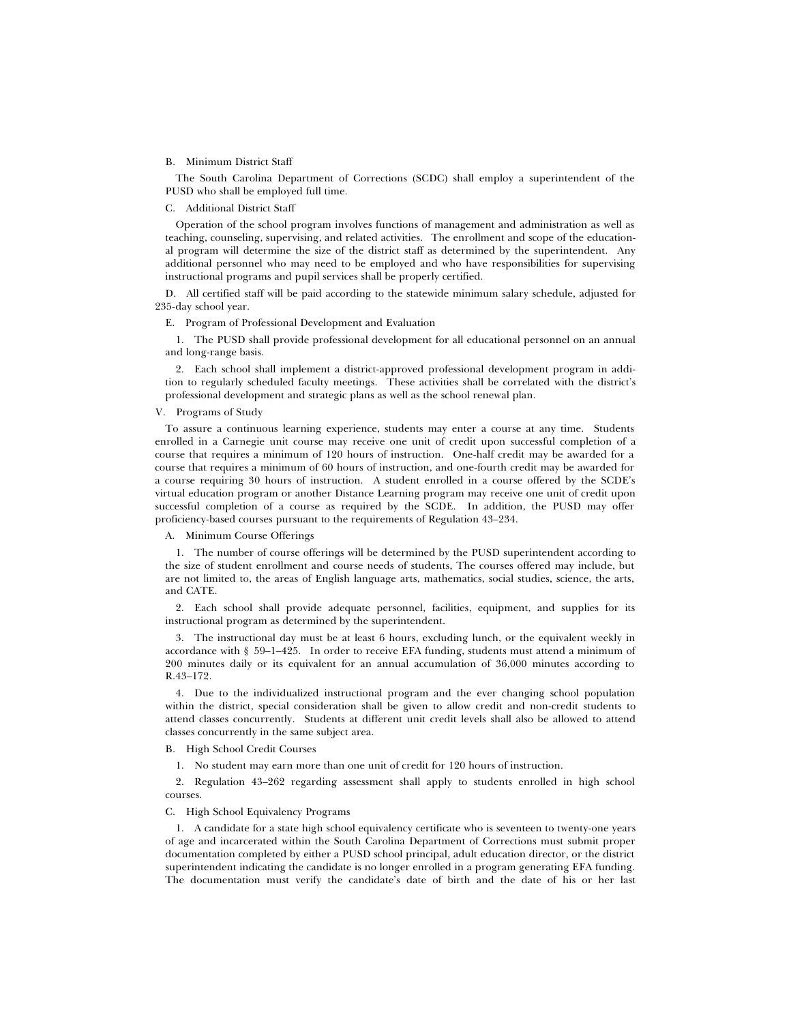#### B. Minimum District Staff

The South Carolina Department of Corrections (SCDC) shall employ a superintendent of the PUSD who shall be employed full time.

### C. Additional District Staff

Operation of the school program involves functions of management and administration as well as teaching, counseling, supervising, and related activities. The enrollment and scope of the educational program will determine the size of the district staff as determined by the superintendent. Any additional personnel who may need to be employed and who have responsibilities for supervising instructional programs and pupil services shall be properly certified.

D. All certified staff will be paid according to the statewide minimum salary schedule, adjusted for 235-day school year.

E. Program of Professional Development and Evaluation

1. The PUSD shall provide professional development for all educational personnel on an annual and long-range basis.

2. Each school shall implement a district-approved professional development program in addition to regularly scheduled faculty meetings. These activities shall be correlated with the district's professional development and strategic plans as well as the school renewal plan.

### V. Programs of Study

To assure a continuous learning experience, students may enter a course at any time. Students enrolled in a Carnegie unit course may receive one unit of credit upon successful completion of a course that requires a minimum of 120 hours of instruction. One-half credit may be awarded for a course that requires a minimum of 60 hours of instruction, and one-fourth credit may be awarded for a course requiring 30 hours of instruction. A student enrolled in a course offered by the SCDE's virtual education program or another Distance Learning program may receive one unit of credit upon successful completion of a course as required by the SCDE. In addition, the PUSD may offer proficiency-based courses pursuant to the requirements of Regulation 43–234.

### A. Minimum Course Offerings

1. The number of course offerings will be determined by the PUSD superintendent according to the size of student enrollment and course needs of students, The courses offered may include, but are not limited to, the areas of English language arts, mathematics, social studies, science, the arts, and CATE.

2. Each school shall provide adequate personnel, facilities, equipment, and supplies for its instructional program as determined by the superintendent.

3. The instructional day must be at least 6 hours, excluding lunch, or the equivalent weekly in accordance with § 59–1–425. In order to receive EFA funding, students must attend a minimum of 200 minutes daily or its equivalent for an annual accumulation of 36,000 minutes according to R.43–172.

4. Due to the individualized instructional program and the ever changing school population within the district, special consideration shall be given to allow credit and non-credit students to attend classes concurrently. Students at different unit credit levels shall also be allowed to attend classes concurrently in the same subject area.

B. High School Credit Courses

1. No student may earn more than one unit of credit for 120 hours of instruction.

2. Regulation 43–262 regarding assessment shall apply to students enrolled in high school courses.

### C. High School Equivalency Programs

1. A candidate for a state high school equivalency certificate who is seventeen to twenty-one years of age and incarcerated within the South Carolina Department of Corrections must submit proper documentation completed by either a PUSD school principal, adult education director, or the district superintendent indicating the candidate is no longer enrolled in a program generating EFA funding. The documentation must verify the candidate's date of birth and the date of his or her last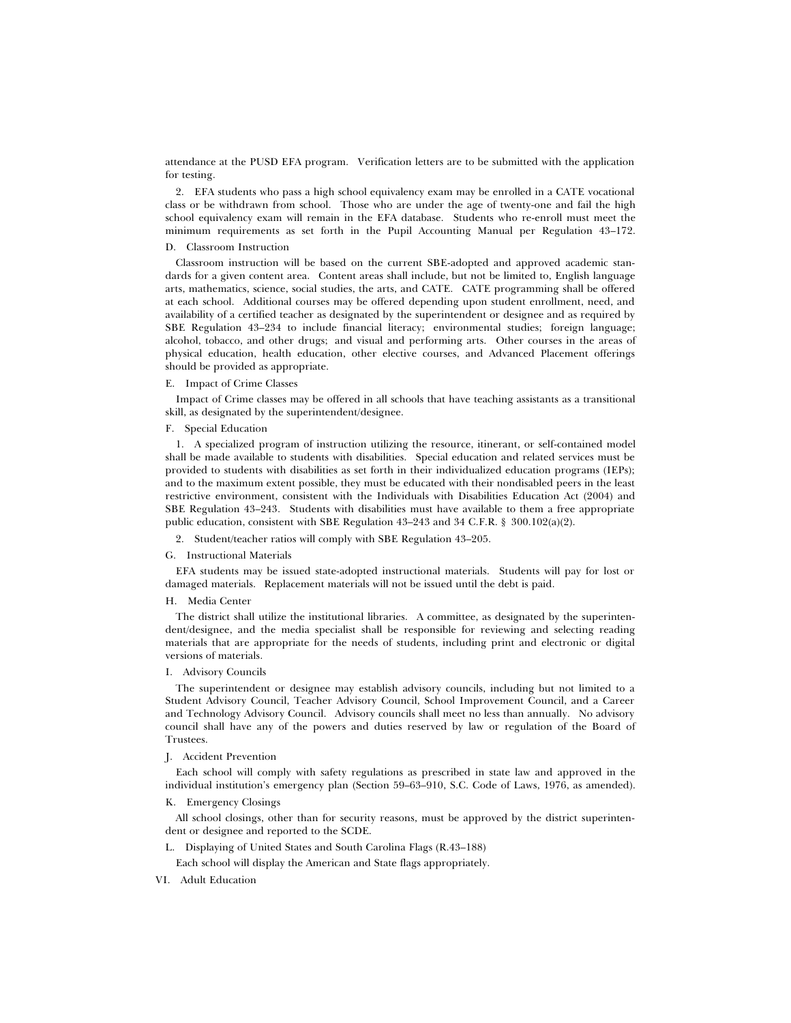attendance at the PUSD EFA program. Verification letters are to be submitted with the application for testing.

2. EFA students who pass a high school equivalency exam may be enrolled in a CATE vocational class or be withdrawn from school. Those who are under the age of twenty-one and fail the high school equivalency exam will remain in the EFA database. Students who re-enroll must meet the minimum requirements as set forth in the Pupil Accounting Manual per Regulation 43–172.

### D. Classroom Instruction

Classroom instruction will be based on the current SBE-adopted and approved academic standards for a given content area. Content areas shall include, but not be limited to, English language arts, mathematics, science, social studies, the arts, and CATE. CATE programming shall be offered at each school. Additional courses may be offered depending upon student enrollment, need, and availability of a certified teacher as designated by the superintendent or designee and as required by SBE Regulation 43–234 to include financial literacy; environmental studies; foreign language; alcohol, tobacco, and other drugs; and visual and performing arts. Other courses in the areas of physical education, health education, other elective courses, and Advanced Placement offerings should be provided as appropriate.

## E. Impact of Crime Classes

Impact of Crime classes may be offered in all schools that have teaching assistants as a transitional skill, as designated by the superintendent/designee.

### F. Special Education

1. A specialized program of instruction utilizing the resource, itinerant, or self-contained model shall be made available to students with disabilities. Special education and related services must be provided to students with disabilities as set forth in their individualized education programs (IEPs); and to the maximum extent possible, they must be educated with their nondisabled peers in the least restrictive environment, consistent with the Individuals with Disabilities Education Act (2004) and SBE Regulation 43–243. Students with disabilities must have available to them a free appropriate public education, consistent with SBE Regulation 43–243 and 34 C.F.R. § 300.102(a)(2).

2. Student/teacher ratios will comply with SBE Regulation 43–205.

### G. Instructional Materials

EFA students may be issued state-adopted instructional materials. Students will pay for lost or damaged materials. Replacement materials will not be issued until the debt is paid.

### H. Media Center

The district shall utilize the institutional libraries. A committee, as designated by the superintendent/designee, and the media specialist shall be responsible for reviewing and selecting reading materials that are appropriate for the needs of students, including print and electronic or digital versions of materials.

### I. Advisory Councils

The superintendent or designee may establish advisory councils, including but not limited to a Student Advisory Council, Teacher Advisory Council, School Improvement Council, and a Career and Technology Advisory Council. Advisory councils shall meet no less than annually. No advisory council shall have any of the powers and duties reserved by law or regulation of the Board of Trustees.

### J. Accident Prevention

Each school will comply with safety regulations as prescribed in state law and approved in the individual institution's emergency plan (Section 59–63–910, S.C. Code of Laws, 1976, as amended).

K. Emergency Closings

All school closings, other than for security reasons, must be approved by the district superintendent or designee and reported to the SCDE.

L. Displaying of United States and South Carolina Flags (R.43–188)

Each school will display the American and State flags appropriately.

VI. Adult Education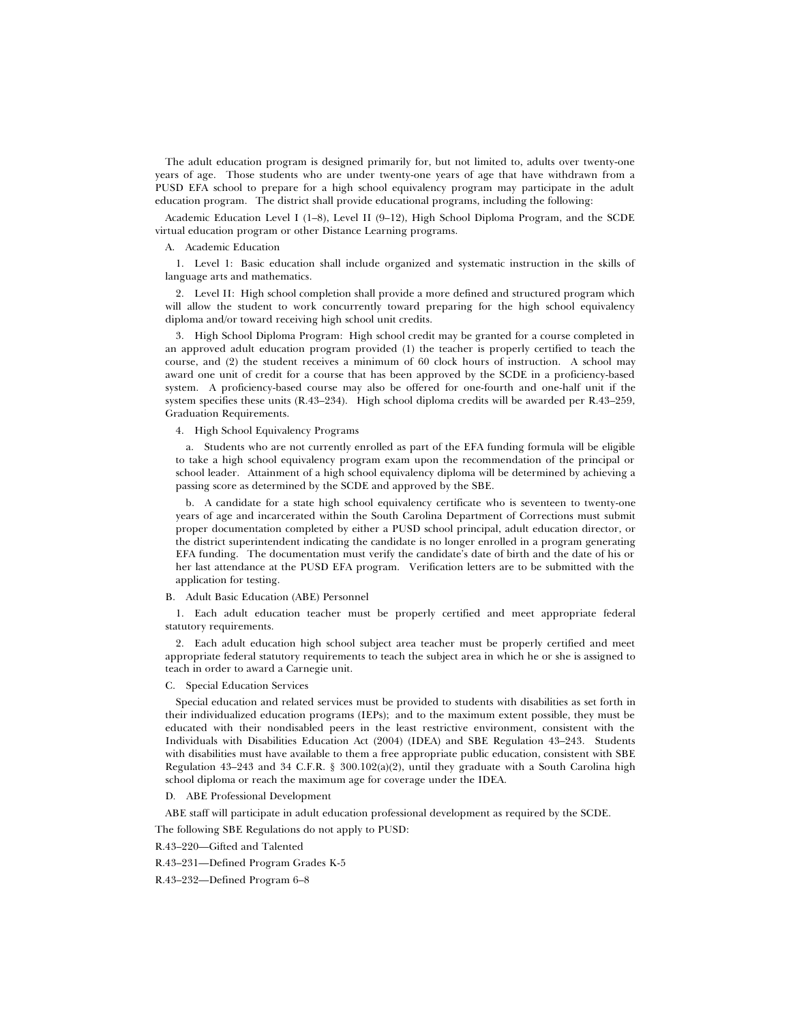The adult education program is designed primarily for, but not limited to, adults over twenty-one years of age. Those students who are under twenty-one years of age that have withdrawn from a PUSD EFA school to prepare for a high school equivalency program may participate in the adult education program. The district shall provide educational programs, including the following:

Academic Education Level I (1–8), Level II (9–12), High School Diploma Program, and the SCDE virtual education program or other Distance Learning programs.

#### A. Academic Education

1. Level 1: Basic education shall include organized and systematic instruction in the skills of language arts and mathematics.

2. Level II: High school completion shall provide a more defined and structured program which will allow the student to work concurrently toward preparing for the high school equivalency diploma and/or toward receiving high school unit credits.

3. High School Diploma Program: High school credit may be granted for a course completed in an approved adult education program provided (1) the teacher is properly certified to teach the course, and (2) the student receives a minimum of 60 clock hours of instruction. A school may award one unit of credit for a course that has been approved by the SCDE in a proficiency-based system. A proficiency-based course may also be offered for one-fourth and one-half unit if the system specifies these units (R.43–234). High school diploma credits will be awarded per R.43–259, Graduation Requirements.

# 4. High School Equivalency Programs

a. Students who are not currently enrolled as part of the EFA funding formula will be eligible to take a high school equivalency program exam upon the recommendation of the principal or school leader. Attainment of a high school equivalency diploma will be determined by achieving a passing score as determined by the SCDE and approved by the SBE.

b. A candidate for a state high school equivalency certificate who is seventeen to twenty-one years of age and incarcerated within the South Carolina Department of Corrections must submit proper documentation completed by either a PUSD school principal, adult education director, or the district superintendent indicating the candidate is no longer enrolled in a program generating EFA funding. The documentation must verify the candidate's date of birth and the date of his or her last attendance at the PUSD EFA program. Verification letters are to be submitted with the application for testing.

### B. Adult Basic Education (ABE) Personnel

1. Each adult education teacher must be properly certified and meet appropriate federal statutory requirements.

2. Each adult education high school subject area teacher must be properly certified and meet appropriate federal statutory requirements to teach the subject area in which he or she is assigned to teach in order to award a Carnegie unit.

#### C. Special Education Services

Special education and related services must be provided to students with disabilities as set forth in their individualized education programs (IEPs); and to the maximum extent possible, they must be educated with their nondisabled peers in the least restrictive environment, consistent with the Individuals with Disabilities Education Act (2004) (IDEA) and SBE Regulation 43–243. Students with disabilities must have available to them a free appropriate public education, consistent with SBE Regulation 43–243 and 34 C.F.R. § 300.102(a)(2), until they graduate with a South Carolina high school diploma or reach the maximum age for coverage under the IDEA.

### D*.* ABE Professional Development

ABE staff will participate in adult education professional development as required by the SCDE.

The following SBE Regulations do not apply to PUSD:

R.43–220—Gifted and Talented

#### R.43–231—Defined Program Grades K-5

R.43–232—Defined Program 6–8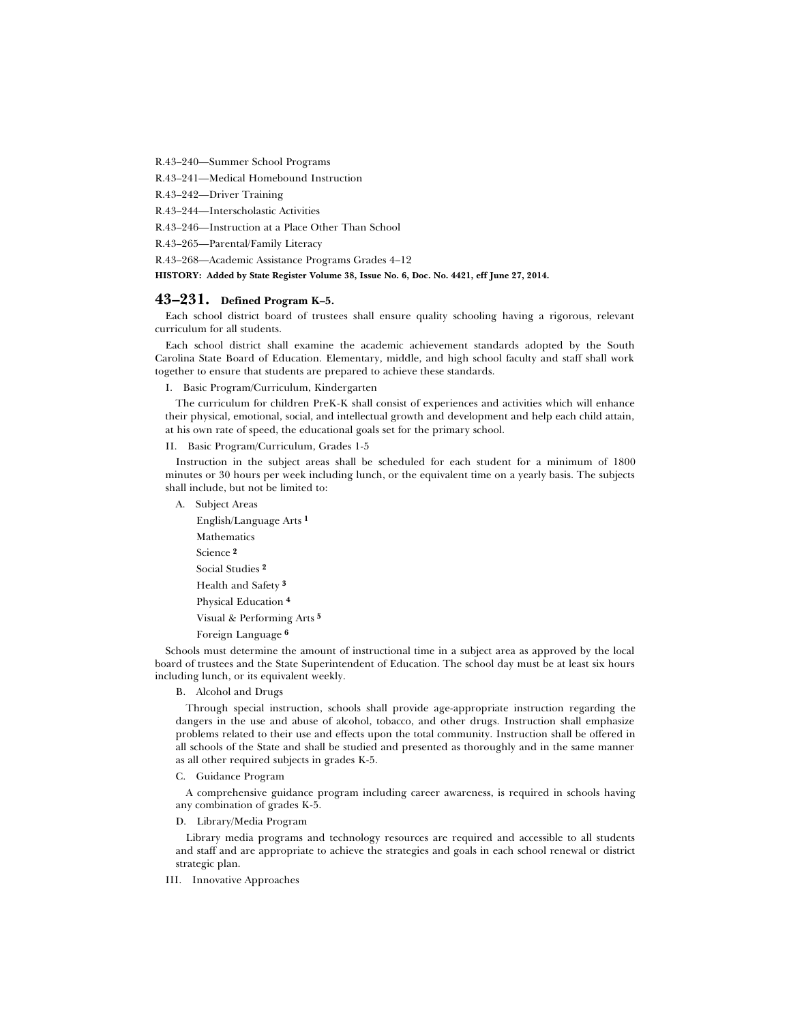R.43–240—Summer School Programs

R.43–241—Medical Homebound Instruction

R.43–242—Driver Training

R.43–244—Interscholastic Activities

R.43–246—Instruction at a Place Other Than School

R.43–265—Parental/Family Literacy

R.43–268—Academic Assistance Programs Grades 4–12

**HISTORY: Added by State Register Volume 38, Issue No. 6, Doc. No. 4421, eff June 27, 2014.**

# **43–231. Defined Program K–5.**

Each school district board of trustees shall ensure quality schooling having a rigorous, relevant curriculum for all students.

Each school district shall examine the academic achievement standards adopted by the South Carolina State Board of Education. Elementary, middle, and high school faculty and staff shall work together to ensure that students are prepared to achieve these standards.

I. Basic Program/Curriculum, Kindergarten

The curriculum for children PreK-K shall consist of experiences and activities which will enhance their physical, emotional, social, and intellectual growth and development and help each child attain, at his own rate of speed, the educational goals set for the primary school.

II. Basic Program/Curriculum, Grades 1-5

Instruction in the subject areas shall be scheduled for each student for a minimum of 1800 minutes or 30 hours per week including lunch, or the equivalent time on a yearly basis. The subjects shall include, but not be limited to:

A. Subject Areas

English/Language Arts **1** Mathematics Science **2** Social Studies **2** Health and Safety **3** Physical Education **4** Visual & Performing Arts **5** Foreign Language **6**

Schools must determine the amount of instructional time in a subject area as approved by the local board of trustees and the State Superintendent of Education. The school day must be at least six hours including lunch, or its equivalent weekly.

B. Alcohol and Drugs

Through special instruction, schools shall provide age-appropriate instruction regarding the dangers in the use and abuse of alcohol, tobacco, and other drugs. Instruction shall emphasize problems related to their use and effects upon the total community. Instruction shall be offered in all schools of the State and shall be studied and presented as thoroughly and in the same manner as all other required subjects in grades K-5.

C. Guidance Program

A comprehensive guidance program including career awareness, is required in schools having any combination of grades K-5.

D. Library/Media Program

Library media programs and technology resources are required and accessible to all students and staff and are appropriate to achieve the strategies and goals in each school renewal or district strategic plan.

III. Innovative Approaches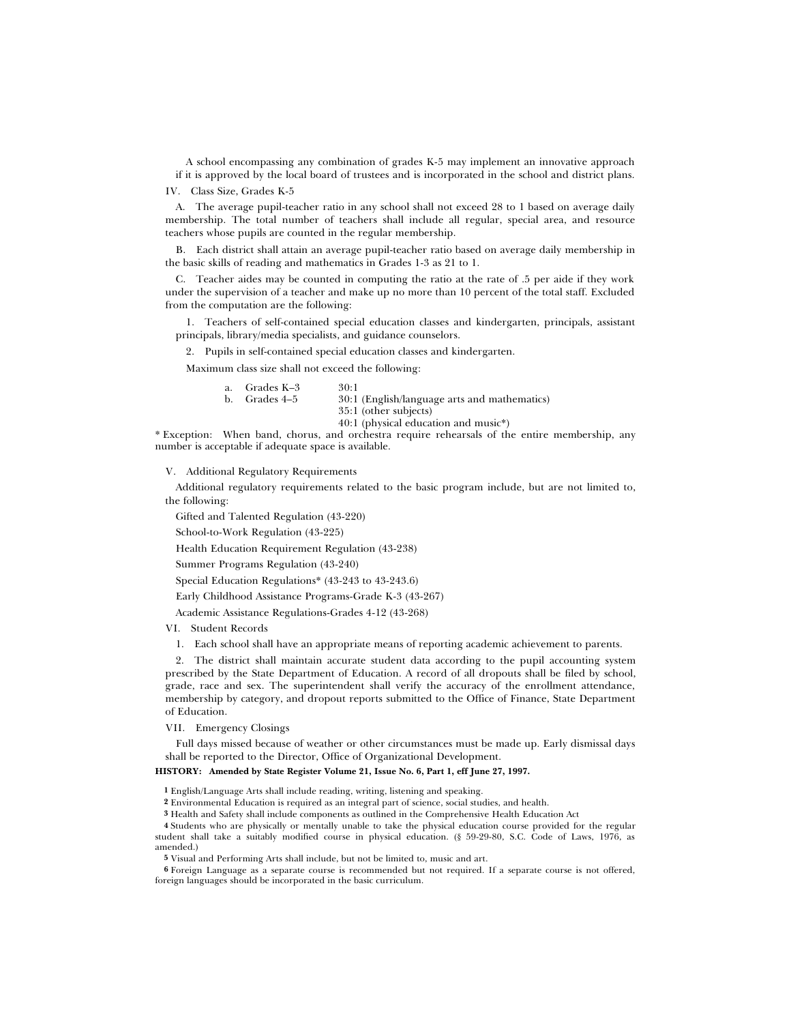A school encompassing any combination of grades K-5 may implement an innovative approach if it is approved by the local board of trustees and is incorporated in the school and district plans.

IV. Class Size, Grades K-5

A. The average pupil-teacher ratio in any school shall not exceed 28 to 1 based on average daily membership. The total number of teachers shall include all regular, special area, and resource teachers whose pupils are counted in the regular membership.

B. Each district shall attain an average pupil-teacher ratio based on average daily membership in the basic skills of reading and mathematics in Grades 1-3 as 21 to 1.

C. Teacher aides may be counted in computing the ratio at the rate of .5 per aide if they work under the supervision of a teacher and make up no more than 10 percent of the total staff. Excluded from the computation are the following:

1. Teachers of self-contained special education classes and kindergarten, principals, assistant principals, library/media specialists, and guidance counselors.

2. Pupils in self-contained special education classes and kindergarten.

Maximum class size shall not exceed the following:

| a. | Grades K–3    | 30:1                                         |
|----|---------------|----------------------------------------------|
|    | b. Grades 4–5 | 30:1 (English/language arts and mathematics) |
|    |               | 35:1 (other subjects)                        |
|    |               | 40:1 (physical education and music*)         |

\* Exception: When band, chorus, and orchestra require rehearsals of the entire membership, any number is acceptable if adequate space is available.

V. Additional Regulatory Requirements

Additional regulatory requirements related to the basic program include, but are not limited to, the following:

Gifted and Talented Regulation (43-220)

School-to-Work Regulation (43-225)

Health Education Requirement Regulation (43-238)

Summer Programs Regulation (43-240)

Special Education Regulations\* (43-243 to 43-243.6)

Early Childhood Assistance Programs-Grade K-3 (43-267)

Academic Assistance Regulations-Grades 4-12 (43-268)

VI. Student Records

1. Each school shall have an appropriate means of reporting academic achievement to parents.

2. The district shall maintain accurate student data according to the pupil accounting system prescribed by the State Department of Education. A record of all dropouts shall be filed by school, grade, race and sex. The superintendent shall verify the accuracy of the enrollment attendance, membership by category, and dropout reports submitted to the Office of Finance, State Department of Education.

VII. Emergency Closings

Full days missed because of weather or other circumstances must be made up. Early dismissal days shall be reported to the Director, Office of Organizational Development.

### **HISTORY: Amended by State Register Volume 21, Issue No. 6, Part 1, eff June 27, 1997.**

**1** English/Language Arts shall include reading, writing, listening and speaking.

**2** Environmental Education is required as an integral part of science, social studies, and health.

**3** Health and Safety shall include components as outlined in the Comprehensive Health Education Act

**4** Students who are physically or mentally unable to take the physical education course provided for the regular student shall take a suitably modified course in physical education. (§ 59-29-80, S.C. Code of Laws, 1976, as amended.)

**5** Visual and Performing Arts shall include, but not be limited to, music and art.

**6** Foreign Language as a separate course is recommended but not required. If a separate course is not offered, foreign languages should be incorporated in the basic curriculum.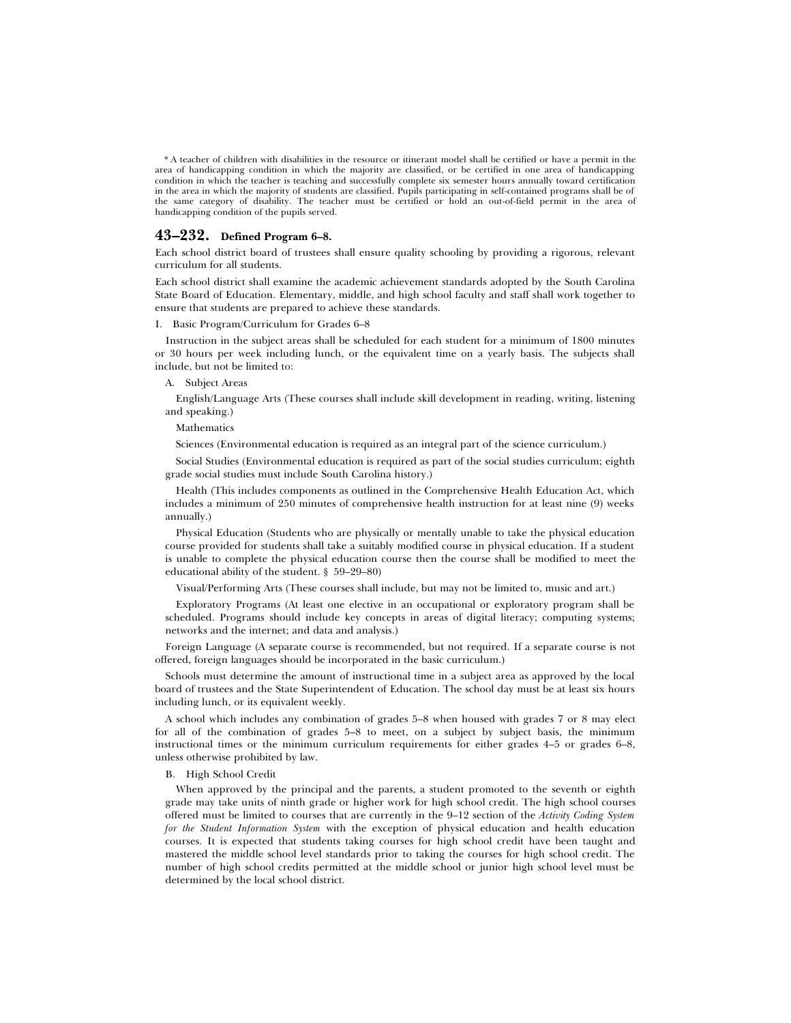\* A teacher of children with disabilities in the resource or itinerant model shall be certified or have a permit in the area of handicapping condition in which the majority are classified, or be certified in one area of handicapping condition in which the teacher is teaching and successfully complete six semester hours annually toward certification in the area in which the majority of students are classified. Pupils participating in self-contained programs shall be of the same category of disability. The teacher must be certified or hold an out-of-field permit in the area of handicapping condition of the pupils served.

# **43–232. Defined Program 6–8.**

Each school district board of trustees shall ensure quality schooling by providing a rigorous, relevant curriculum for all students.

Each school district shall examine the academic achievement standards adopted by the South Carolina State Board of Education. Elementary, middle, and high school faculty and staff shall work together to ensure that students are prepared to achieve these standards.

#### I. Basic Program/Curriculum for Grades 6–8

Instruction in the subject areas shall be scheduled for each student for a minimum of 1800 minutes or 30 hours per week including lunch, or the equivalent time on a yearly basis. The subjects shall include, but not be limited to:

### A. Subject Areas

English/Language Arts (These courses shall include skill development in reading, writing, listening and speaking.)

# Mathematics

Sciences (Environmental education is required as an integral part of the science curriculum.)

Social Studies (Environmental education is required as part of the social studies curriculum; eighth grade social studies must include South Carolina history.)

Health (This includes components as outlined in the Comprehensive Health Education Act, which includes a minimum of 250 minutes of comprehensive health instruction for at least nine (9) weeks annually.)

Physical Education (Students who are physically or mentally unable to take the physical education course provided for students shall take a suitably modified course in physical education. If a student is unable to complete the physical education course then the course shall be modified to meet the educational ability of the student. § 59–29–80)

Visual/Performing Arts (These courses shall include, but may not be limited to, music and art.)

Exploratory Programs (At least one elective in an occupational or exploratory program shall be scheduled. Programs should include key concepts in areas of digital literacy; computing systems; networks and the internet; and data and analysis.)

Foreign Language (A separate course is recommended, but not required. If a separate course is not offered, foreign languages should be incorporated in the basic curriculum.)

Schools must determine the amount of instructional time in a subject area as approved by the local board of trustees and the State Superintendent of Education. The school day must be at least six hours including lunch, or its equivalent weekly.

A school which includes any combination of grades 5–8 when housed with grades 7 or 8 may elect for all of the combination of grades 5–8 to meet, on a subject by subject basis, the minimum instructional times or the minimum curriculum requirements for either grades 4–5 or grades 6–8, unless otherwise prohibited by law.

#### B. High School Credit

When approved by the principal and the parents, a student promoted to the seventh or eighth grade may take units of ninth grade or higher work for high school credit. The high school courses offered must be limited to courses that are currently in the 9–12 section of the *Activity Coding System for the Student Information System* with the exception of physical education and health education courses. It is expected that students taking courses for high school credit have been taught and mastered the middle school level standards prior to taking the courses for high school credit. The number of high school credits permitted at the middle school or junior high school level must be determined by the local school district.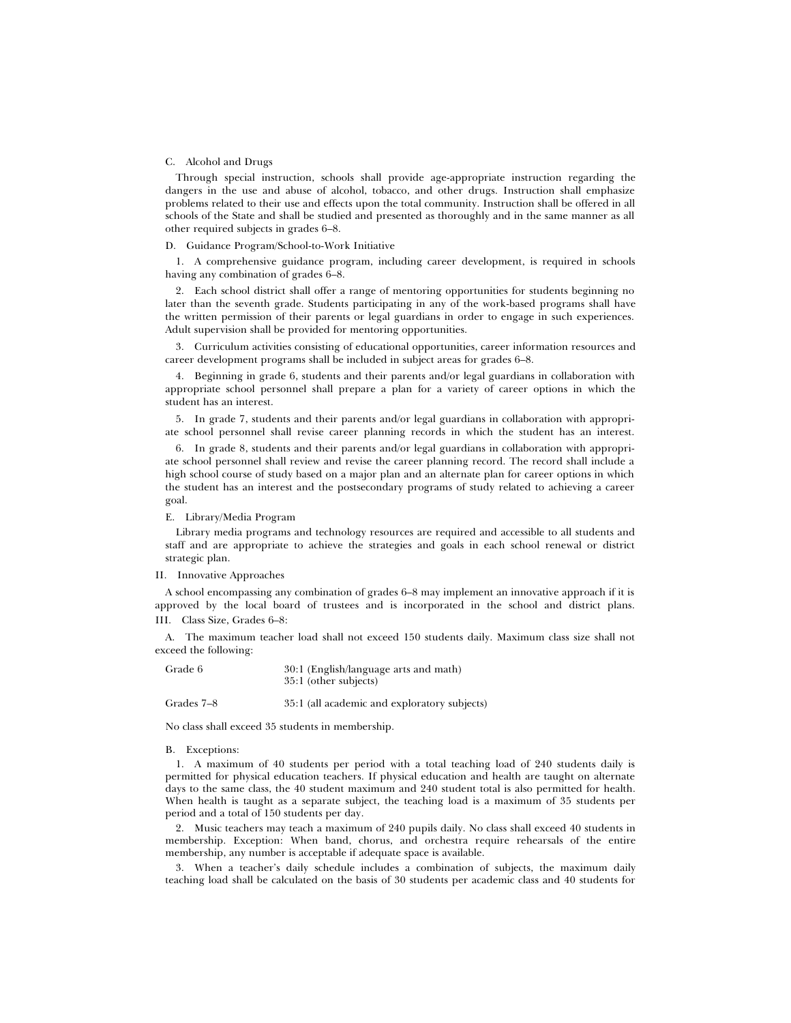### C. Alcohol and Drugs

Through special instruction, schools shall provide age-appropriate instruction regarding the dangers in the use and abuse of alcohol, tobacco, and other drugs. Instruction shall emphasize problems related to their use and effects upon the total community. Instruction shall be offered in all schools of the State and shall be studied and presented as thoroughly and in the same manner as all other required subjects in grades 6–8.

#### D. Guidance Program/School-to-Work Initiative

1. A comprehensive guidance program, including career development, is required in schools having any combination of grades 6–8.

2. Each school district shall offer a range of mentoring opportunities for students beginning no later than the seventh grade. Students participating in any of the work-based programs shall have the written permission of their parents or legal guardians in order to engage in such experiences. Adult supervision shall be provided for mentoring opportunities.

3. Curriculum activities consisting of educational opportunities, career information resources and career development programs shall be included in subject areas for grades 6–8.

4. Beginning in grade 6, students and their parents and/or legal guardians in collaboration with appropriate school personnel shall prepare a plan for a variety of career options in which the student has an interest.

5. In grade 7, students and their parents and/or legal guardians in collaboration with appropriate school personnel shall revise career planning records in which the student has an interest.

6. In grade 8, students and their parents and/or legal guardians in collaboration with appropriate school personnel shall review and revise the career planning record. The record shall include a high school course of study based on a major plan and an alternate plan for career options in which the student has an interest and the postsecondary programs of study related to achieving a career goal.

E. Library/Media Program

Library media programs and technology resources are required and accessible to all students and staff and are appropriate to achieve the strategies and goals in each school renewal or district strategic plan.

#### II. Innovative Approaches

A school encompassing any combination of grades 6–8 may implement an innovative approach if it is approved by the local board of trustees and is incorporated in the school and district plans. III. Class Size, Grades 6–8:

A. The maximum teacher load shall not exceed 150 students daily. Maximum class size shall not exceed the following:

| Grade 6 | 30:1 (English/language arts and math) |
|---------|---------------------------------------|
|         | 35:1 (other subjects)                 |

# Grades 7–8 35:1 (all academic and exploratory subjects)

No class shall exceed 35 students in membership.

#### B. Exceptions:

1. A maximum of 40 students per period with a total teaching load of 240 students daily is permitted for physical education teachers. If physical education and health are taught on alternate days to the same class, the 40 student maximum and 240 student total is also permitted for health. When health is taught as a separate subject, the teaching load is a maximum of 35 students per period and a total of 150 students per day.

2. Music teachers may teach a maximum of 240 pupils daily. No class shall exceed 40 students in membership. Exception: When band, chorus, and orchestra require rehearsals of the entire membership, any number is acceptable if adequate space is available.

3. When a teacher's daily schedule includes a combination of subjects, the maximum daily teaching load shall be calculated on the basis of 30 students per academic class and 40 students for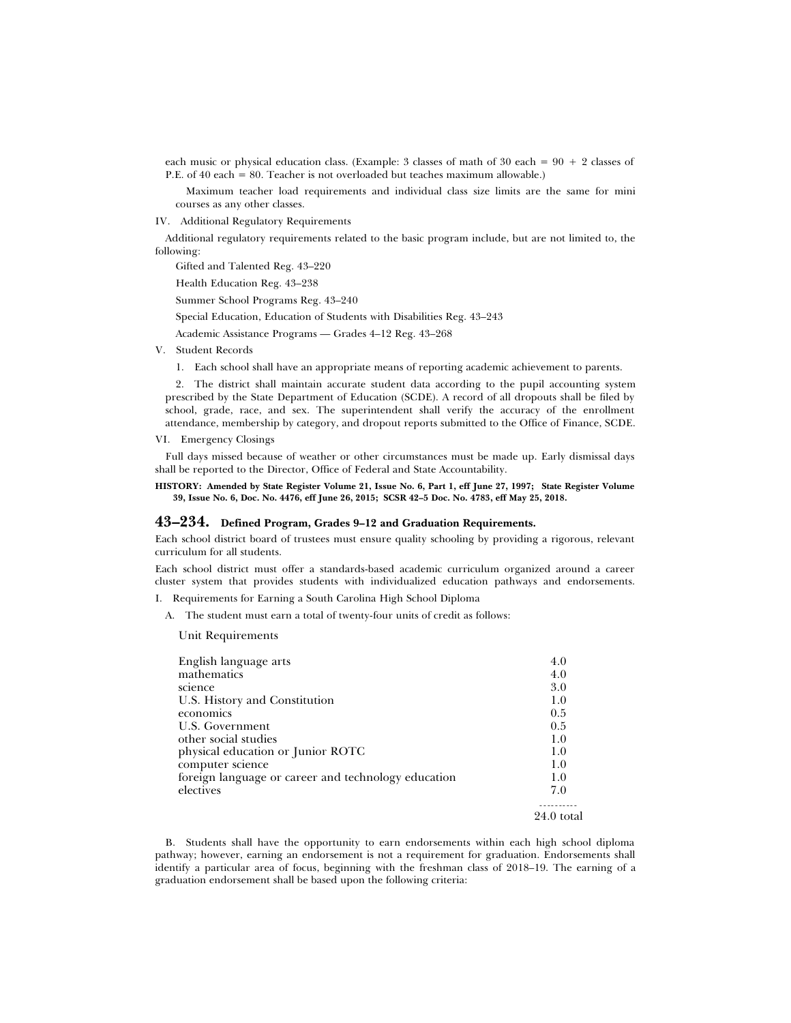each music or physical education class. (Example: 3 classes of math of 30 each =  $90 + 2$  classes of P.E. of 40 each = 80. Teacher is not overloaded but teaches maximum allowable.)

Maximum teacher load requirements and individual class size limits are the same for mini courses as any other classes.

IV. Additional Regulatory Requirements

Additional regulatory requirements related to the basic program include, but are not limited to, the following:

Gifted and Talented Reg. 43–220

Health Education Reg. 43–238

Summer School Programs Reg. 43–240

Special Education, Education of Students with Disabilities Reg. 43–243

Academic Assistance Programs — Grades 4–12 Reg. 43–268

V. Student Records

1. Each school shall have an appropriate means of reporting academic achievement to parents.

2. The district shall maintain accurate student data according to the pupil accounting system prescribed by the State Department of Education (SCDE). A record of all dropouts shall be filed by school, grade, race, and sex. The superintendent shall verify the accuracy of the enrollment attendance, membership by category, and dropout reports submitted to the Office of Finance, SCDE.

VI. Emergency Closings

Full days missed because of weather or other circumstances must be made up. Early dismissal days shall be reported to the Director, Office of Federal and State Accountability.

### **HISTORY: Amended by State Register Volume 21, Issue No. 6, Part 1, eff June 27, 1997; State Register Volume 39, Issue No. 6, Doc. No. 4476, eff June 26, 2015; SCSR 42–5 Doc. No. 4783, eff May 25, 2018.**

# **43–234. Defined Program, Grades 9–12 and Graduation Requirements.**

Each school district board of trustees must ensure quality schooling by providing a rigorous, relevant curriculum for all students.

Each school district must offer a standards-based academic curriculum organized around a career cluster system that provides students with individualized education pathways and endorsements.

I. Requirements for Earning a South Carolina High School Diploma

A. The student must earn a total of twenty-four units of credit as follows:

Unit Requirements

| English language arts                               | 4.0          |
|-----------------------------------------------------|--------------|
| mathematics                                         | 4.0          |
| science                                             | 3.0          |
| U.S. History and Constitution                       | 1.0          |
| economics                                           | 0.5          |
| U.S. Government                                     | 0.5          |
| other social studies                                | 1.0          |
| physical education or Junior ROTC                   | 1.0          |
| computer science                                    | 1.0          |
| foreign language or career and technology education | 1.0          |
| electives                                           | 7.0          |
|                                                     | $24.0$ total |

B. Students shall have the opportunity to earn endorsements within each high school diploma pathway; however, earning an endorsement is not a requirement for graduation. Endorsements shall identify a particular area of focus, beginning with the freshman class of 2018–19. The earning of a graduation endorsement shall be based upon the following criteria: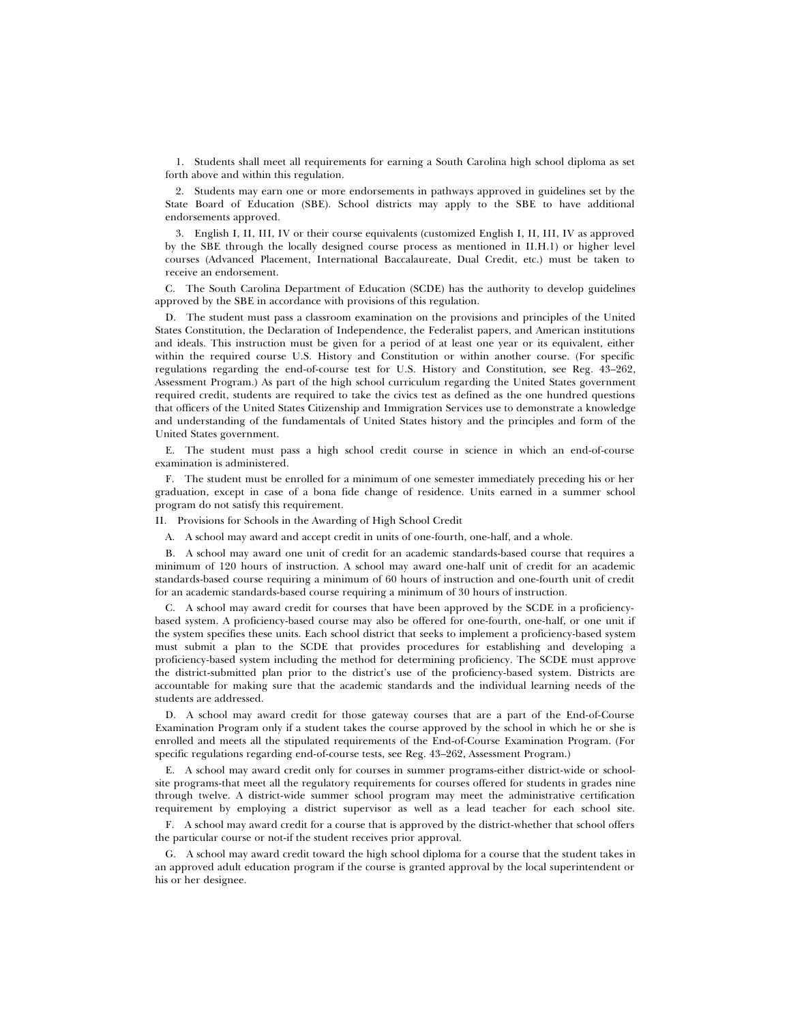1. Students shall meet all requirements for earning a South Carolina high school diploma as set forth above and within this regulation.

2. Students may earn one or more endorsements in pathways approved in guidelines set by the State Board of Education (SBE). School districts may apply to the SBE to have additional endorsements approved.

3. English I, II, III, IV or their course equivalents (customized English I, II, III, IV as approved by the SBE through the locally designed course process as mentioned in II.H.1) or higher level courses (Advanced Placement, International Baccalaureate, Dual Credit, etc.) must be taken to receive an endorsement.

C. The South Carolina Department of Education (SCDE) has the authority to develop guidelines approved by the SBE in accordance with provisions of this regulation.

D. The student must pass a classroom examination on the provisions and principles of the United States Constitution, the Declaration of Independence, the Federalist papers, and American institutions and ideals. This instruction must be given for a period of at least one year or its equivalent, either within the required course U.S. History and Constitution or within another course. (For specific regulations regarding the end-of-course test for U.S. History and Constitution, see Reg. 43–262, Assessment Program.) As part of the high school curriculum regarding the United States government required credit, students are required to take the civics test as defined as the one hundred questions that officers of the United States Citizenship and Immigration Services use to demonstrate a knowledge and understanding of the fundamentals of United States history and the principles and form of the United States government.

E. The student must pass a high school credit course in science in which an end-of-course examination is administered.

F. The student must be enrolled for a minimum of one semester immediately preceding his or her graduation, except in case of a bona fide change of residence. Units earned in a summer school program do not satisfy this requirement.

II. Provisions for Schools in the Awarding of High School Credit

A. A school may award and accept credit in units of one-fourth, one-half, and a whole.

B. A school may award one unit of credit for an academic standards-based course that requires a minimum of 120 hours of instruction. A school may award one-half unit of credit for an academic standards-based course requiring a minimum of 60 hours of instruction and one-fourth unit of credit for an academic standards-based course requiring a minimum of 30 hours of instruction.

C. A school may award credit for courses that have been approved by the SCDE in a proficiencybased system. A proficiency-based course may also be offered for one-fourth, one-half, or one unit if the system specifies these units. Each school district that seeks to implement a proficiency-based system must submit a plan to the SCDE that provides procedures for establishing and developing a proficiency-based system including the method for determining proficiency. The SCDE must approve the district-submitted plan prior to the district's use of the proficiency-based system. Districts are accountable for making sure that the academic standards and the individual learning needs of the students are addressed.

D. A school may award credit for those gateway courses that are a part of the End-of-Course Examination Program only if a student takes the course approved by the school in which he or she is enrolled and meets all the stipulated requirements of the End-of-Course Examination Program. (For specific regulations regarding end-of-course tests, see Reg. 43–262, Assessment Program.)

E. A school may award credit only for courses in summer programs-either district-wide or schoolsite programs-that meet all the regulatory requirements for courses offered for students in grades nine through twelve. A district-wide summer school program may meet the administrative certification requirement by employing a district supervisor as well as a lead teacher for each school site.

F. A school may award credit for a course that is approved by the district-whether that school offers the particular course or not-if the student receives prior approval.

G. A school may award credit toward the high school diploma for a course that the student takes in an approved adult education program if the course is granted approval by the local superintendent or his or her designee.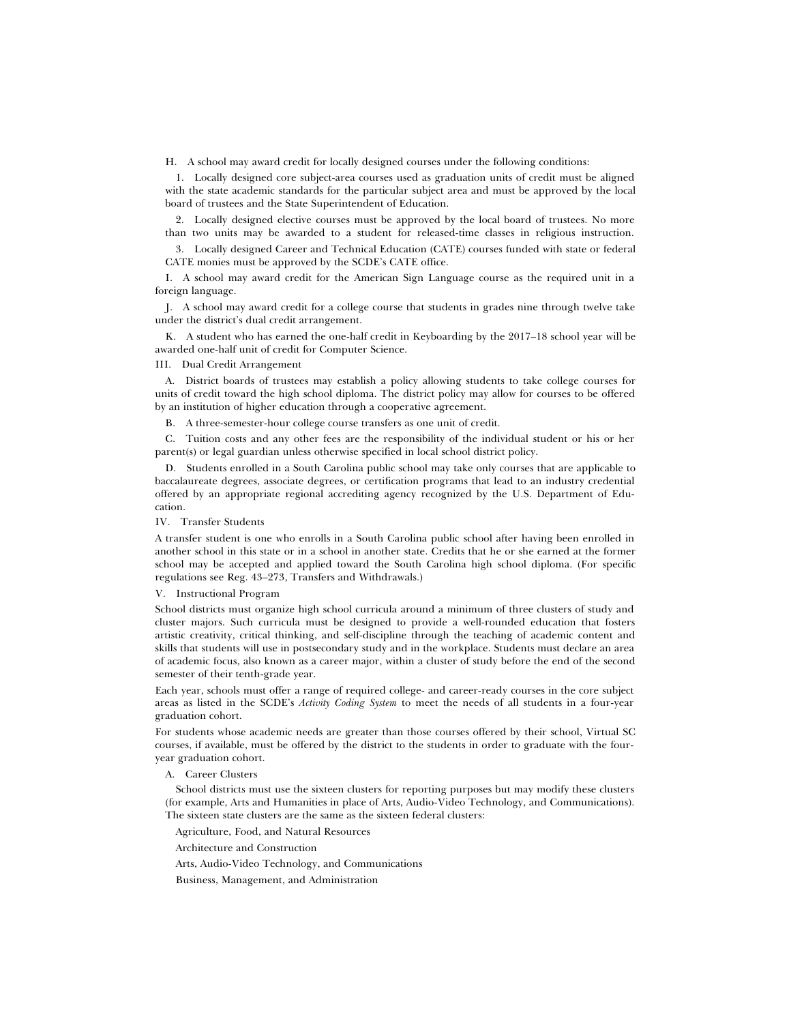H. A school may award credit for locally designed courses under the following conditions:

1. Locally designed core subject-area courses used as graduation units of credit must be aligned with the state academic standards for the particular subject area and must be approved by the local board of trustees and the State Superintendent of Education.

2. Locally designed elective courses must be approved by the local board of trustees. No more than two units may be awarded to a student for released-time classes in religious instruction.

3. Locally designed Career and Technical Education (CATE) courses funded with state or federal CATE monies must be approved by the SCDE's CATE office.

I. A school may award credit for the American Sign Language course as the required unit in a foreign language.

J. A school may award credit for a college course that students in grades nine through twelve take under the district's dual credit arrangement.

K. A student who has earned the one-half credit in Keyboarding by the 2017–18 school year will be awarded one-half unit of credit for Computer Science.

#### III. Dual Credit Arrangement

A. District boards of trustees may establish a policy allowing students to take college courses for units of credit toward the high school diploma. The district policy may allow for courses to be offered by an institution of higher education through a cooperative agreement.

B. A three-semester-hour college course transfers as one unit of credit.

C. Tuition costs and any other fees are the responsibility of the individual student or his or her parent(s) or legal guardian unless otherwise specified in local school district policy.

D. Students enrolled in a South Carolina public school may take only courses that are applicable to baccalaureate degrees, associate degrees, or certification programs that lead to an industry credential offered by an appropriate regional accrediting agency recognized by the U.S. Department of Education.

### IV. Transfer Students

A transfer student is one who enrolls in a South Carolina public school after having been enrolled in another school in this state or in a school in another state. Credits that he or she earned at the former school may be accepted and applied toward the South Carolina high school diploma. (For specific regulations see Reg. 43–273, Transfers and Withdrawals.)

#### V. Instructional Program

School districts must organize high school curricula around a minimum of three clusters of study and cluster majors. Such curricula must be designed to provide a well-rounded education that fosters artistic creativity, critical thinking, and self-discipline through the teaching of academic content and skills that students will use in postsecondary study and in the workplace. Students must declare an area of academic focus, also known as a career major, within a cluster of study before the end of the second semester of their tenth-grade year.

Each year, schools must offer a range of required college- and career-ready courses in the core subject areas as listed in the SCDE's *Activity Coding System* to meet the needs of all students in a four-year graduation cohort.

For students whose academic needs are greater than those courses offered by their school, Virtual SC courses, if available, must be offered by the district to the students in order to graduate with the fouryear graduation cohort.

### A. Career Clusters

School districts must use the sixteen clusters for reporting purposes but may modify these clusters (for example, Arts and Humanities in place of Arts, Audio-Video Technology, and Communications). The sixteen state clusters are the same as the sixteen federal clusters:

Agriculture, Food, and Natural Resources

Architecture and Construction

Arts, Audio-Video Technology, and Communications

Business, Management, and Administration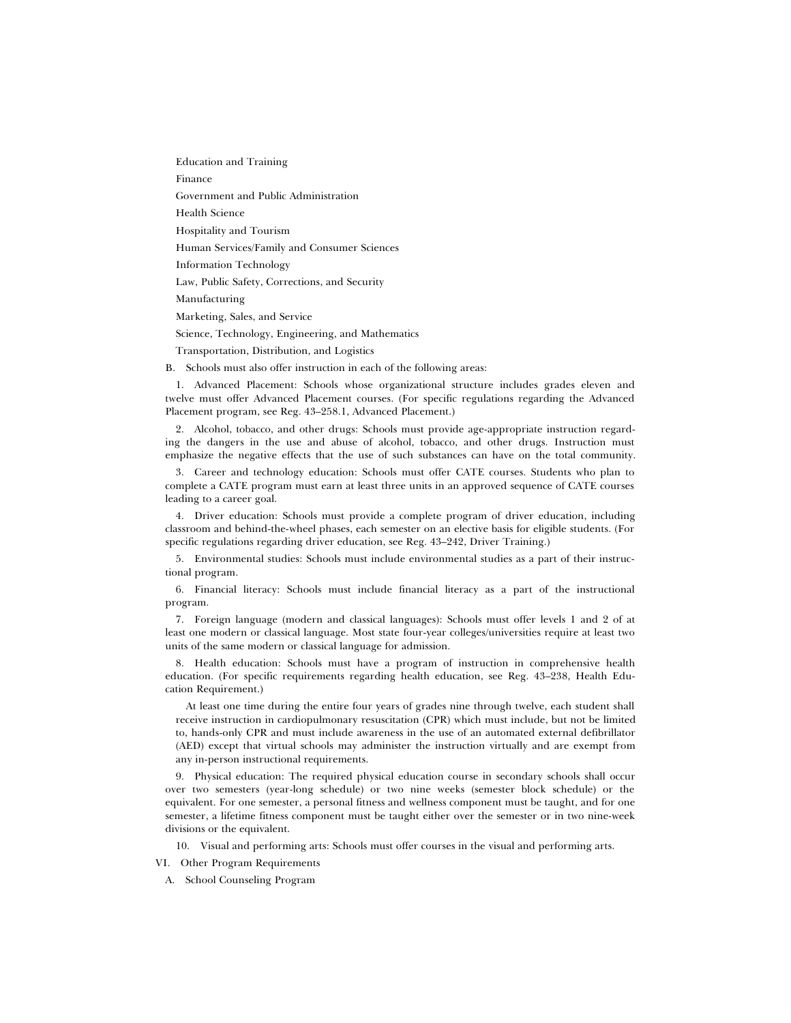Education and Training

Finance

Government and Public Administration

Health Science

Hospitality and Tourism

Human Services/Family and Consumer Sciences

Information Technology

Law, Public Safety, Corrections, and Security

Manufacturing

Marketing, Sales, and Service

Science, Technology, Engineering, and Mathematics

Transportation, Distribution, and Logistics

B. Schools must also offer instruction in each of the following areas:

1. Advanced Placement: Schools whose organizational structure includes grades eleven and twelve must offer Advanced Placement courses. (For specific regulations regarding the Advanced Placement program, see Reg. 43–258.1, Advanced Placement.)

2. Alcohol, tobacco, and other drugs: Schools must provide age-appropriate instruction regarding the dangers in the use and abuse of alcohol, tobacco, and other drugs. Instruction must emphasize the negative effects that the use of such substances can have on the total community.

3. Career and technology education: Schools must offer CATE courses. Students who plan to complete a CATE program must earn at least three units in an approved sequence of CATE courses leading to a career goal.

4. Driver education: Schools must provide a complete program of driver education, including classroom and behind-the-wheel phases, each semester on an elective basis for eligible students. (For specific regulations regarding driver education, see Reg. 43–242, Driver Training.)

5. Environmental studies: Schools must include environmental studies as a part of their instructional program.

6. Financial literacy: Schools must include financial literacy as a part of the instructional program.

7. Foreign language (modern and classical languages): Schools must offer levels 1 and 2 of at least one modern or classical language. Most state four-year colleges/universities require at least two units of the same modern or classical language for admission.

8. Health education: Schools must have a program of instruction in comprehensive health education. (For specific requirements regarding health education, see Reg. 43–238, Health Education Requirement.)

At least one time during the entire four years of grades nine through twelve, each student shall receive instruction in cardiopulmonary resuscitation (CPR) which must include, but not be limited to, hands-only CPR and must include awareness in the use of an automated external defibrillator (AED) except that virtual schools may administer the instruction virtually and are exempt from any in-person instructional requirements.

9. Physical education: The required physical education course in secondary schools shall occur over two semesters (year-long schedule) or two nine weeks (semester block schedule) or the equivalent. For one semester, a personal fitness and wellness component must be taught, and for one semester, a lifetime fitness component must be taught either over the semester or in two nine-week divisions or the equivalent.

10. Visual and performing arts: Schools must offer courses in the visual and performing arts.

VI. Other Program Requirements

A. School Counseling Program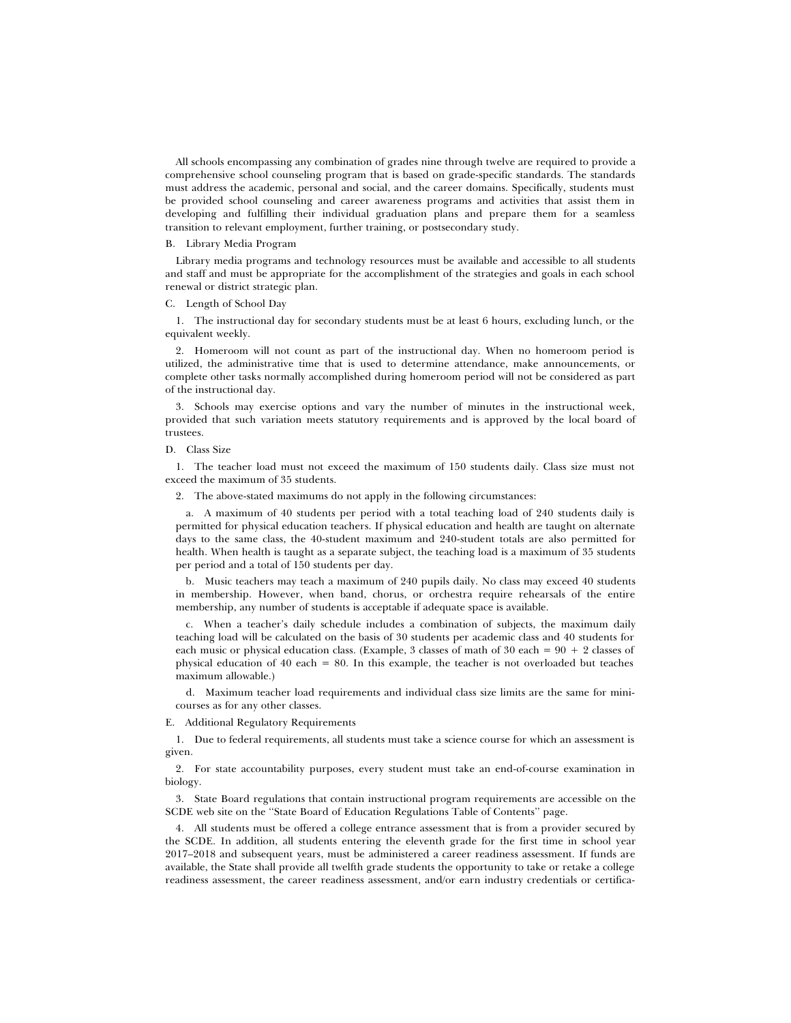All schools encompassing any combination of grades nine through twelve are required to provide a comprehensive school counseling program that is based on grade-specific standards. The standards must address the academic, personal and social, and the career domains. Specifically, students must be provided school counseling and career awareness programs and activities that assist them in developing and fulfilling their individual graduation plans and prepare them for a seamless transition to relevant employment, further training, or postsecondary study.

### B. Library Media Program

Library media programs and technology resources must be available and accessible to all students and staff and must be appropriate for the accomplishment of the strategies and goals in each school renewal or district strategic plan.

### C. Length of School Day

1. The instructional day for secondary students must be at least 6 hours, excluding lunch, or the equivalent weekly.

2. Homeroom will not count as part of the instructional day. When no homeroom period is utilized, the administrative time that is used to determine attendance, make announcements, or complete other tasks normally accomplished during homeroom period will not be considered as part of the instructional day.

3. Schools may exercise options and vary the number of minutes in the instructional week, provided that such variation meets statutory requirements and is approved by the local board of trustees.

### D. Class Size

1. The teacher load must not exceed the maximum of 150 students daily. Class size must not exceed the maximum of 35 students.

2. The above-stated maximums do not apply in the following circumstances:

a. A maximum of 40 students per period with a total teaching load of 240 students daily is permitted for physical education teachers. If physical education and health are taught on alternate days to the same class, the 40-student maximum and 240-student totals are also permitted for health. When health is taught as a separate subject, the teaching load is a maximum of 35 students per period and a total of 150 students per day.

b. Music teachers may teach a maximum of 240 pupils daily. No class may exceed 40 students in membership. However, when band, chorus, or orchestra require rehearsals of the entire membership, any number of students is acceptable if adequate space is available.

c. When a teacher's daily schedule includes a combination of subjects, the maximum daily teaching load will be calculated on the basis of 30 students per academic class and 40 students for each music or physical education class. (Example, 3 classes of math of 30 each =  $90 + 2$  classes of physical education of 40 each = 80. In this example, the teacher is not overloaded but teaches maximum allowable.)

d. Maximum teacher load requirements and individual class size limits are the same for minicourses as for any other classes.

E. Additional Regulatory Requirements

1. Due to federal requirements, all students must take a science course for which an assessment is given.

2. For state accountability purposes, every student must take an end-of-course examination in biology.

3. State Board regulations that contain instructional program requirements are accessible on the SCDE web site on the ''State Board of Education Regulations Table of Contents'' page.

4. All students must be offered a college entrance assessment that is from a provider secured by the SCDE. In addition, all students entering the eleventh grade for the first time in school year 2017–2018 and subsequent years, must be administered a career readiness assessment. If funds are available, the State shall provide all twelfth grade students the opportunity to take or retake a college readiness assessment, the career readiness assessment, and/or earn industry credentials or certifica-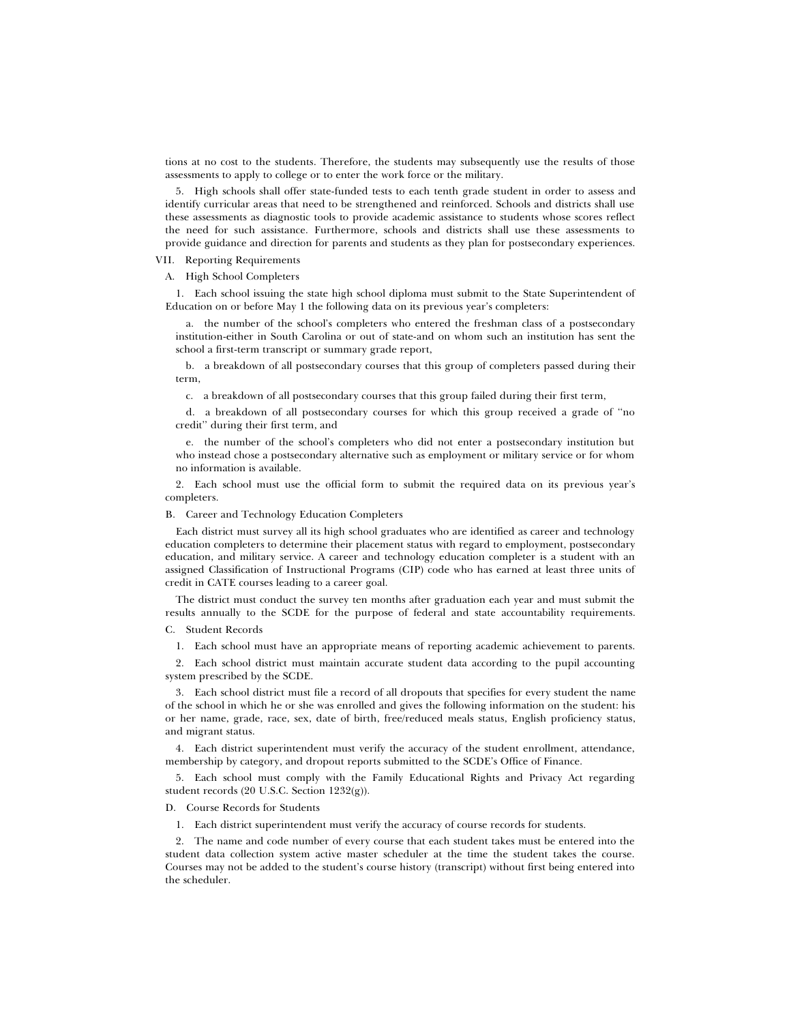tions at no cost to the students. Therefore, the students may subsequently use the results of those assessments to apply to college or to enter the work force or the military.

5. High schools shall offer state-funded tests to each tenth grade student in order to assess and identify curricular areas that need to be strengthened and reinforced. Schools and districts shall use these assessments as diagnostic tools to provide academic assistance to students whose scores reflect the need for such assistance. Furthermore, schools and districts shall use these assessments to provide guidance and direction for parents and students as they plan for postsecondary experiences.

VII. Reporting Requirements

A. High School Completers

1. Each school issuing the state high school diploma must submit to the State Superintendent of Education on or before May 1 the following data on its previous year's completers:

a. the number of the school's completers who entered the freshman class of a postsecondary institution-either in South Carolina or out of state-and on whom such an institution has sent the school a first-term transcript or summary grade report,

b. a breakdown of all postsecondary courses that this group of completers passed during their term,

c. a breakdown of all postsecondary courses that this group failed during their first term,

d. a breakdown of all postsecondary courses for which this group received a grade of ''no credit'' during their first term, and

e. the number of the school's completers who did not enter a postsecondary institution but who instead chose a postsecondary alternative such as employment or military service or for whom no information is available.

2. Each school must use the official form to submit the required data on its previous year's completers.

B. Career and Technology Education Completers

Each district must survey all its high school graduates who are identified as career and technology education completers to determine their placement status with regard to employment, postsecondary education, and military service. A career and technology education completer is a student with an assigned Classification of Instructional Programs (CIP) code who has earned at least three units of credit in CATE courses leading to a career goal.

The district must conduct the survey ten months after graduation each year and must submit the results annually to the SCDE for the purpose of federal and state accountability requirements.

C. Student Records

1. Each school must have an appropriate means of reporting academic achievement to parents.

2. Each school district must maintain accurate student data according to the pupil accounting system prescribed by the SCDE.

3. Each school district must file a record of all dropouts that specifies for every student the name of the school in which he or she was enrolled and gives the following information on the student: his or her name, grade, race, sex, date of birth, free/reduced meals status, English proficiency status, and migrant status.

4. Each district superintendent must verify the accuracy of the student enrollment, attendance, membership by category, and dropout reports submitted to the SCDE's Office of Finance.

5. Each school must comply with the Family Educational Rights and Privacy Act regarding student records (20 U.S.C. Section 1232(g)).

D. Course Records for Students

1. Each district superintendent must verify the accuracy of course records for students.

2. The name and code number of every course that each student takes must be entered into the student data collection system active master scheduler at the time the student takes the course. Courses may not be added to the student's course history (transcript) without first being entered into the scheduler.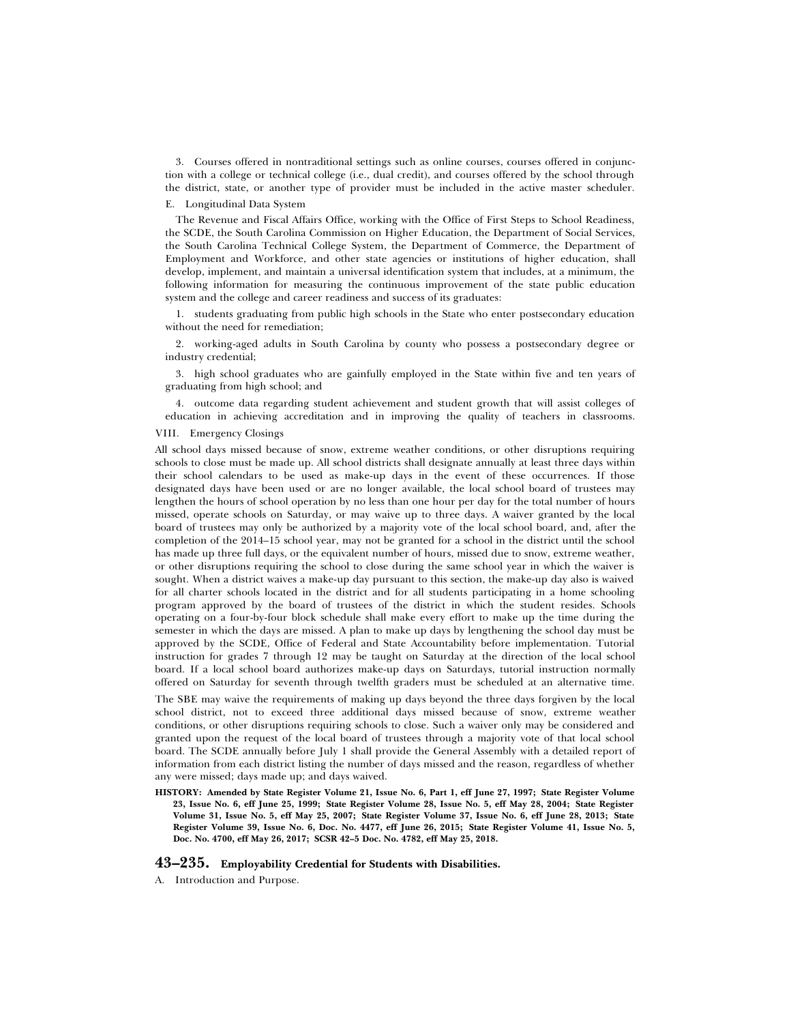3. Courses offered in nontraditional settings such as online courses, courses offered in conjunction with a college or technical college (i.e., dual credit), and courses offered by the school through the district, state, or another type of provider must be included in the active master scheduler.

### E. Longitudinal Data System

The Revenue and Fiscal Affairs Office, working with the Office of First Steps to School Readiness, the SCDE, the South Carolina Commission on Higher Education, the Department of Social Services, the South Carolina Technical College System, the Department of Commerce, the Department of Employment and Workforce, and other state agencies or institutions of higher education, shall develop, implement, and maintain a universal identification system that includes, at a minimum, the following information for measuring the continuous improvement of the state public education system and the college and career readiness and success of its graduates:

1. students graduating from public high schools in the State who enter postsecondary education without the need for remediation;

2. working-aged adults in South Carolina by county who possess a postsecondary degree or industry credential;

3. high school graduates who are gainfully employed in the State within five and ten years of graduating from high school; and

4. outcome data regarding student achievement and student growth that will assist colleges of education in achieving accreditation and in improving the quality of teachers in classrooms.

# VIII. Emergency Closings

All school days missed because of snow, extreme weather conditions, or other disruptions requiring schools to close must be made up. All school districts shall designate annually at least three days within their school calendars to be used as make-up days in the event of these occurrences. If those designated days have been used or are no longer available, the local school board of trustees may lengthen the hours of school operation by no less than one hour per day for the total number of hours missed, operate schools on Saturday, or may waive up to three days. A waiver granted by the local board of trustees may only be authorized by a majority vote of the local school board, and, after the completion of the 2014–15 school year, may not be granted for a school in the district until the school has made up three full days, or the equivalent number of hours, missed due to snow, extreme weather, or other disruptions requiring the school to close during the same school year in which the waiver is sought. When a district waives a make-up day pursuant to this section, the make-up day also is waived for all charter schools located in the district and for all students participating in a home schooling program approved by the board of trustees of the district in which the student resides. Schools operating on a four-by-four block schedule shall make every effort to make up the time during the semester in which the days are missed. A plan to make up days by lengthening the school day must be approved by the SCDE, Office of Federal and State Accountability before implementation. Tutorial instruction for grades 7 through 12 may be taught on Saturday at the direction of the local school board. If a local school board authorizes make-up days on Saturdays, tutorial instruction normally offered on Saturday for seventh through twelfth graders must be scheduled at an alternative time.

The SBE may waive the requirements of making up days beyond the three days forgiven by the local school district, not to exceed three additional days missed because of snow, extreme weather conditions, or other disruptions requiring schools to close. Such a waiver only may be considered and granted upon the request of the local board of trustees through a majority vote of that local school board. The SCDE annually before July 1 shall provide the General Assembly with a detailed report of information from each district listing the number of days missed and the reason, regardless of whether any were missed; days made up; and days waived.

**HISTORY: Amended by State Register Volume 21, Issue No. 6, Part 1, eff June 27, 1997; State Register Volume 23, Issue No. 6, eff June 25, 1999; State Register Volume 28, Issue No. 5, eff May 28, 2004; State Register Volume 31, Issue No. 5, eff May 25, 2007; State Register Volume 37, Issue No. 6, eff June 28, 2013; State Register Volume 39, Issue No. 6, Doc. No. 4477, eff June 26, 2015; State Register Volume 41, Issue No. 5, Doc. No. 4700, eff May 26, 2017; SCSR 42–5 Doc. No. 4782, eff May 25, 2018.**

# **43–235. Employability Credential for Students with Disabilities.**

A. Introduction and Purpose.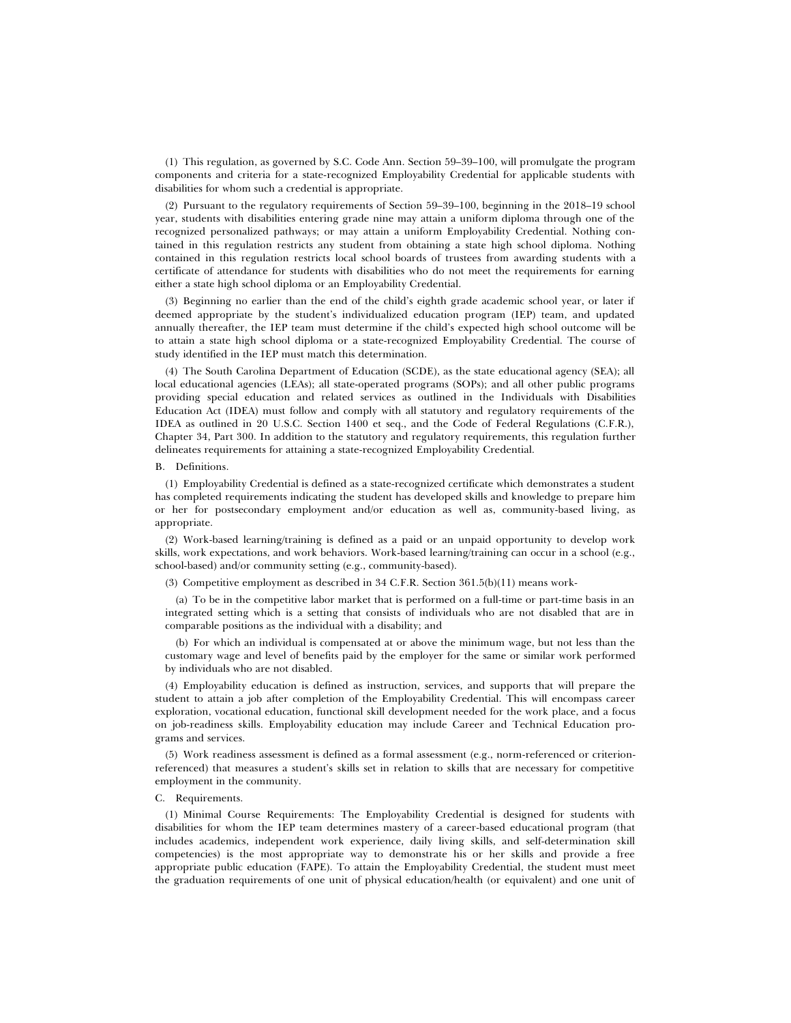(1) This regulation, as governed by S.C. Code Ann. Section 59–39–100, will promulgate the program components and criteria for a state-recognized Employability Credential for applicable students with disabilities for whom such a credential is appropriate.

(2) Pursuant to the regulatory requirements of Section 59–39–100, beginning in the 2018–19 school year, students with disabilities entering grade nine may attain a uniform diploma through one of the recognized personalized pathways; or may attain a uniform Employability Credential. Nothing contained in this regulation restricts any student from obtaining a state high school diploma. Nothing contained in this regulation restricts local school boards of trustees from awarding students with a certificate of attendance for students with disabilities who do not meet the requirements for earning either a state high school diploma or an Employability Credential.

(3) Beginning no earlier than the end of the child's eighth grade academic school year, or later if deemed appropriate by the student's individualized education program (IEP) team, and updated annually thereafter, the IEP team must determine if the child's expected high school outcome will be to attain a state high school diploma or a state-recognized Employability Credential. The course of study identified in the IEP must match this determination.

(4) The South Carolina Department of Education (SCDE), as the state educational agency (SEA); all local educational agencies (LEAs); all state-operated programs (SOPs); and all other public programs providing special education and related services as outlined in the Individuals with Disabilities Education Act (IDEA) must follow and comply with all statutory and regulatory requirements of the IDEA as outlined in 20 U.S.C. Section 1400 et seq., and the Code of Federal Regulations (C.F.R.), Chapter 34, Part 300. In addition to the statutory and regulatory requirements, this regulation further delineates requirements for attaining a state-recognized Employability Credential.

#### B. Definitions.

(1) Employability Credential is defined as a state-recognized certificate which demonstrates a student has completed requirements indicating the student has developed skills and knowledge to prepare him or her for postsecondary employment and/or education as well as, community-based living, as appropriate.

(2) Work-based learning/training is defined as a paid or an unpaid opportunity to develop work skills, work expectations, and work behaviors. Work-based learning/training can occur in a school (e.g., school-based) and/or community setting (e.g., community-based).

(3) Competitive employment as described in 34 C.F.R. Section 361.5(b)(11) means work-

(a) To be in the competitive labor market that is performed on a full-time or part-time basis in an integrated setting which is a setting that consists of individuals who are not disabled that are in comparable positions as the individual with a disability; and

(b) For which an individual is compensated at or above the minimum wage, but not less than the customary wage and level of benefits paid by the employer for the same or similar work performed by individuals who are not disabled.

(4) Employability education is defined as instruction, services, and supports that will prepare the student to attain a job after completion of the Employability Credential. This will encompass career exploration, vocational education, functional skill development needed for the work place, and a focus on job-readiness skills. Employability education may include Career and Technical Education programs and services.

(5) Work readiness assessment is defined as a formal assessment (e.g., norm-referenced or criterionreferenced) that measures a student's skills set in relation to skills that are necessary for competitive employment in the community.

### C. Requirements.

(1) Minimal Course Requirements: The Employability Credential is designed for students with disabilities for whom the IEP team determines mastery of a career-based educational program (that includes academics, independent work experience, daily living skills, and self-determination skill competencies) is the most appropriate way to demonstrate his or her skills and provide a free appropriate public education (FAPE). To attain the Employability Credential, the student must meet the graduation requirements of one unit of physical education/health (or equivalent) and one unit of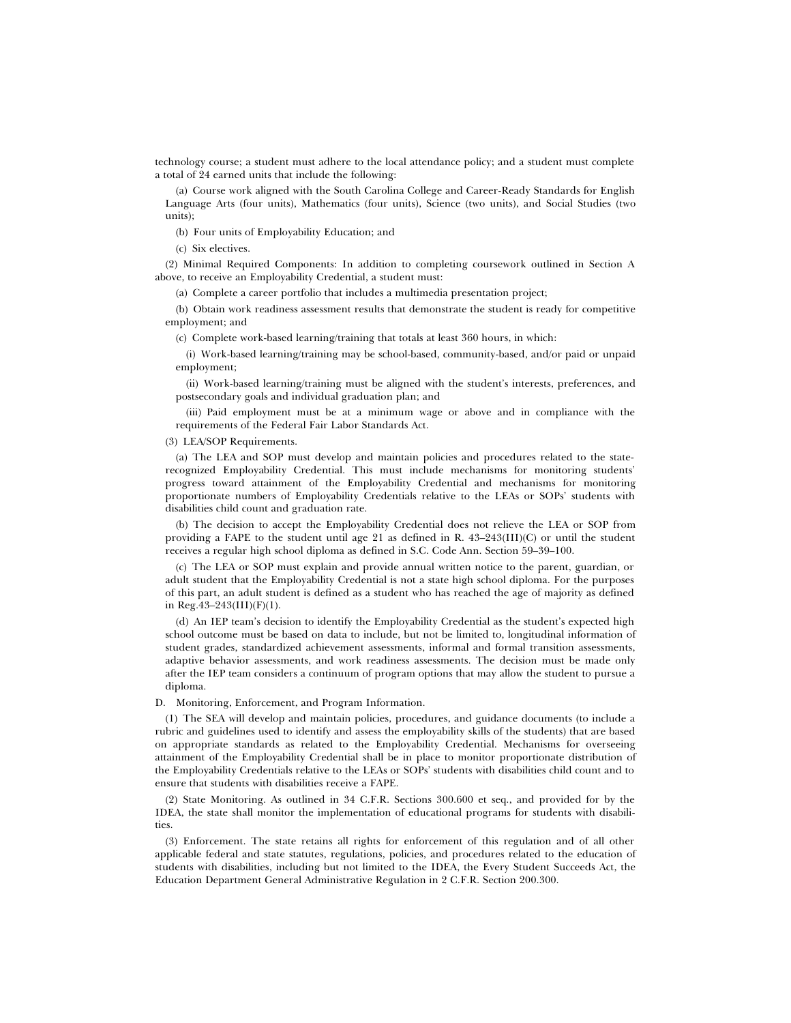technology course; a student must adhere to the local attendance policy; and a student must complete a total of 24 earned units that include the following:

(a) Course work aligned with the South Carolina College and Career-Ready Standards for English Language Arts (four units), Mathematics (four units), Science (two units), and Social Studies (two units);

(b) Four units of Employability Education; and

(c) Six electives.

(2) Minimal Required Components: In addition to completing coursework outlined in Section A above, to receive an Employability Credential, a student must:

(a) Complete a career portfolio that includes a multimedia presentation project;

(b) Obtain work readiness assessment results that demonstrate the student is ready for competitive employment; and

(c) Complete work-based learning/training that totals at least 360 hours, in which:

(i) Work-based learning/training may be school-based, community-based, and/or paid or unpaid employment;

(ii) Work-based learning/training must be aligned with the student's interests, preferences, and postsecondary goals and individual graduation plan; and

(iii) Paid employment must be at a minimum wage or above and in compliance with the requirements of the Federal Fair Labor Standards Act.

(3) LEA/SOP Requirements.

(a) The LEA and SOP must develop and maintain policies and procedures related to the staterecognized Employability Credential. This must include mechanisms for monitoring students' progress toward attainment of the Employability Credential and mechanisms for monitoring proportionate numbers of Employability Credentials relative to the LEAs or SOPs' students with disabilities child count and graduation rate.

(b) The decision to accept the Employability Credential does not relieve the LEA or SOP from providing a FAPE to the student until age 21 as defined in R. 43–243(III)(C) or until the student receives a regular high school diploma as defined in S.C. Code Ann. Section 59–39–100.

(c) The LEA or SOP must explain and provide annual written notice to the parent, guardian, or adult student that the Employability Credential is not a state high school diploma. For the purposes of this part, an adult student is defined as a student who has reached the age of majority as defined in Reg.43–243(III)(F)(1).

(d) An IEP team's decision to identify the Employability Credential as the student's expected high school outcome must be based on data to include, but not be limited to, longitudinal information of student grades, standardized achievement assessments, informal and formal transition assessments, adaptive behavior assessments, and work readiness assessments. The decision must be made only after the IEP team considers a continuum of program options that may allow the student to pursue a diploma.

D. Monitoring, Enforcement, and Program Information.

(1) The SEA will develop and maintain policies, procedures, and guidance documents (to include a rubric and guidelines used to identify and assess the employability skills of the students) that are based on appropriate standards as related to the Employability Credential. Mechanisms for overseeing attainment of the Employability Credential shall be in place to monitor proportionate distribution of the Employability Credentials relative to the LEAs or SOPs' students with disabilities child count and to ensure that students with disabilities receive a FAPE.

(2) State Monitoring. As outlined in 34 C.F.R. Sections 300.600 et seq., and provided for by the IDEA, the state shall monitor the implementation of educational programs for students with disabilities.

(3) Enforcement. The state retains all rights for enforcement of this regulation and of all other applicable federal and state statutes, regulations, policies, and procedures related to the education of students with disabilities, including but not limited to the IDEA, the Every Student Succeeds Act, the Education Department General Administrative Regulation in 2 C.F.R. Section 200.300.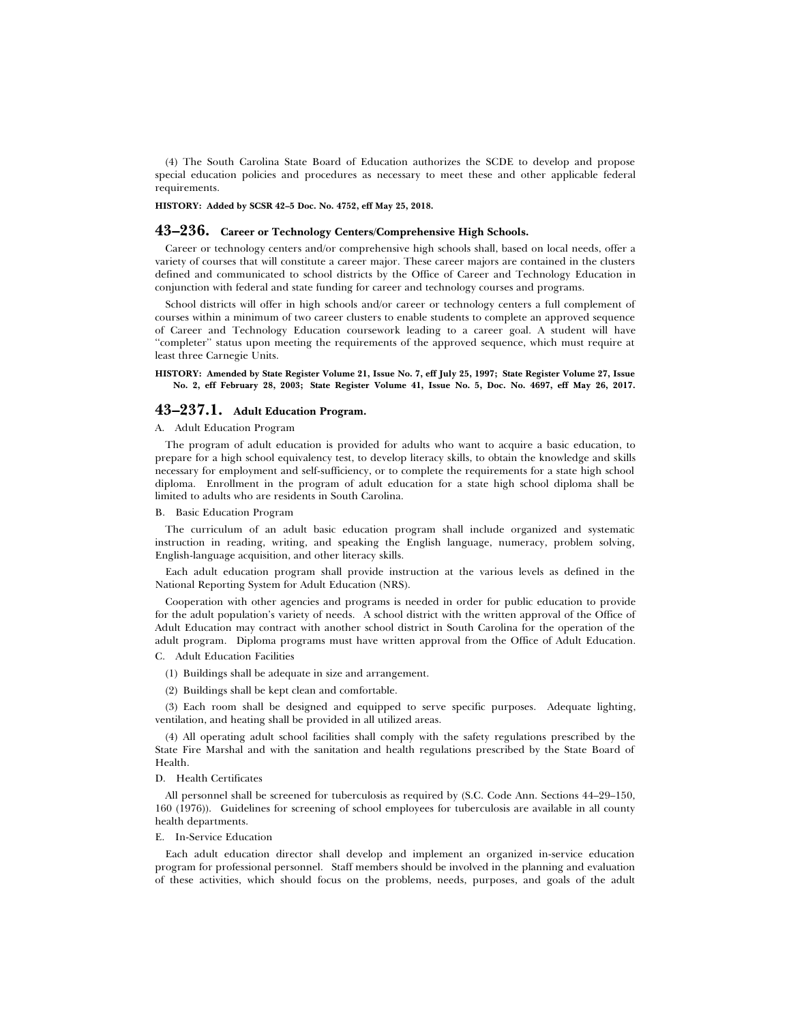(4) The South Carolina State Board of Education authorizes the SCDE to develop and propose special education policies and procedures as necessary to meet these and other applicable federal requirements.

**HISTORY: Added by SCSR 42–5 Doc. No. 4752, eff May 25, 2018.**

# **43–236. Career or Technology Centers/Comprehensive High Schools.**

Career or technology centers and/or comprehensive high schools shall, based on local needs, offer a variety of courses that will constitute a career major. These career majors are contained in the clusters defined and communicated to school districts by the Office of Career and Technology Education in conjunction with federal and state funding for career and technology courses and programs.

School districts will offer in high schools and/or career or technology centers a full complement of courses within a minimum of two career clusters to enable students to complete an approved sequence of Career and Technology Education coursework leading to a career goal. A student will have ''completer'' status upon meeting the requirements of the approved sequence, which must require at least three Carnegie Units.

### **HISTORY: Amended by State Register Volume 21, Issue No. 7, eff July 25, 1997; State Register Volume 27, Issue No. 2, eff February 28, 2003; State Register Volume 41, Issue No. 5, Doc. No. 4697, eff May 26, 2017.**

# **43–237.1. Adult Education Program.**

## A. Adult Education Program

The program of adult education is provided for adults who want to acquire a basic education, to prepare for a high school equivalency test, to develop literacy skills, to obtain the knowledge and skills necessary for employment and self-sufficiency, or to complete the requirements for a state high school diploma. Enrollment in the program of adult education for a state high school diploma shall be limited to adults who are residents in South Carolina.

# B. Basic Education Program

The curriculum of an adult basic education program shall include organized and systematic instruction in reading, writing, and speaking the English language, numeracy, problem solving, English-language acquisition, and other literacy skills.

Each adult education program shall provide instruction at the various levels as defined in the National Reporting System for Adult Education (NRS).

Cooperation with other agencies and programs is needed in order for public education to provide for the adult population's variety of needs. A school district with the written approval of the Office of Adult Education may contract with another school district in South Carolina for the operation of the adult program. Diploma programs must have written approval from the Office of Adult Education. C. Adult Education Facilities

- (1) Buildings shall be adequate in size and arrangement.
- (2) Buildings shall be kept clean and comfortable.

(3) Each room shall be designed and equipped to serve specific purposes. Adequate lighting, ventilation, and heating shall be provided in all utilized areas.

(4) All operating adult school facilities shall comply with the safety regulations prescribed by the State Fire Marshal and with the sanitation and health regulations prescribed by the State Board of Health.

### D. Health Certificates

All personnel shall be screened for tuberculosis as required by (S.C. Code Ann. Sections 44–29–150, 160 (1976)). Guidelines for screening of school employees for tuberculosis are available in all county health departments.

### E. In-Service Education

Each adult education director shall develop and implement an organized in-service education program for professional personnel. Staff members should be involved in the planning and evaluation of these activities, which should focus on the problems, needs, purposes, and goals of the adult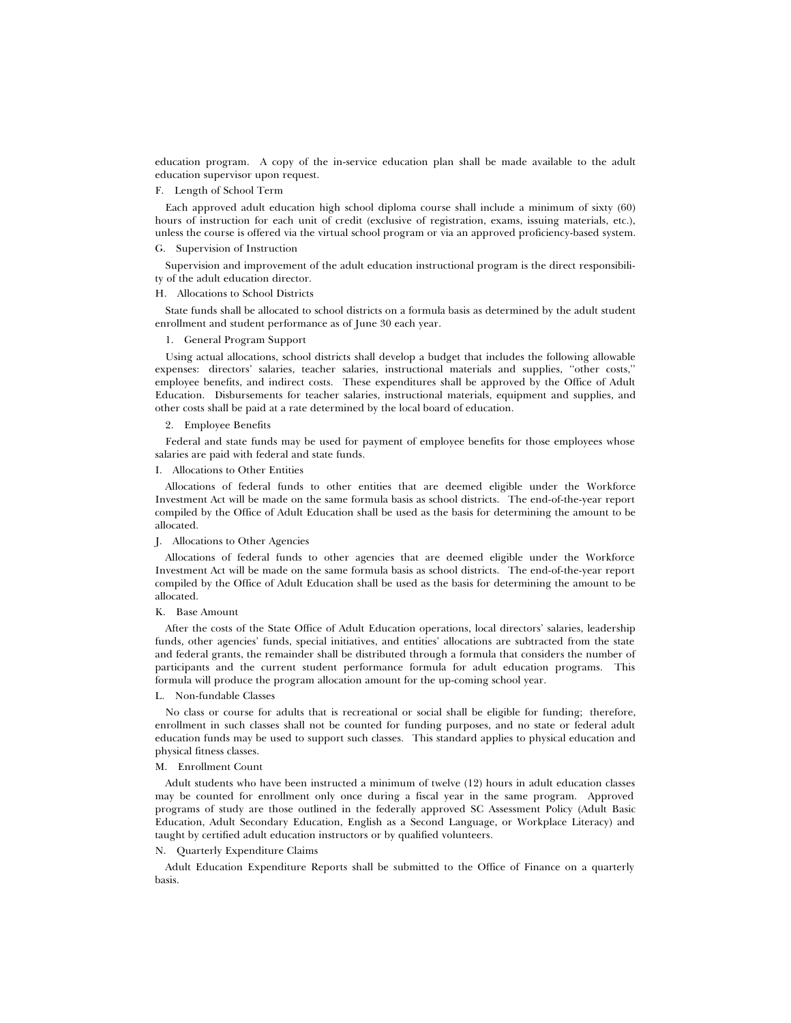education program. A copy of the in-service education plan shall be made available to the adult education supervisor upon request.

## F. Length of School Term

Each approved adult education high school diploma course shall include a minimum of sixty (60) hours of instruction for each unit of credit (exclusive of registration, exams, issuing materials, etc.), unless the course is offered via the virtual school program or via an approved proficiency-based system.

# G. Supervision of Instruction

Supervision and improvement of the adult education instructional program is the direct responsibility of the adult education director.

#### H. Allocations to School Districts

State funds shall be allocated to school districts on a formula basis as determined by the adult student enrollment and student performance as of June 30 each year.

### 1. General Program Support

Using actual allocations, school districts shall develop a budget that includes the following allowable expenses: directors' salaries, teacher salaries, instructional materials and supplies, ''other costs,'' employee benefits, and indirect costs. These expenditures shall be approved by the Office of Adult Education. Disbursements for teacher salaries, instructional materials, equipment and supplies, and other costs shall be paid at a rate determined by the local board of education.

# 2. Employee Benefits

Federal and state funds may be used for payment of employee benefits for those employees whose salaries are paid with federal and state funds.

### I. Allocations to Other Entities

Allocations of federal funds to other entities that are deemed eligible under the Workforce Investment Act will be made on the same formula basis as school districts. The end-of-the-year report compiled by the Office of Adult Education shall be used as the basis for determining the amount to be allocated.

### J. Allocations to Other Agencies

Allocations of federal funds to other agencies that are deemed eligible under the Workforce Investment Act will be made on the same formula basis as school districts. The end-of-the-year report compiled by the Office of Adult Education shall be used as the basis for determining the amount to be allocated.

### K. Base Amount

After the costs of the State Office of Adult Education operations, local directors' salaries, leadership funds, other agencies' funds, special initiatives, and entities' allocations are subtracted from the state and federal grants, the remainder shall be distributed through a formula that considers the number of participants and the current student performance formula for adult education programs. This formula will produce the program allocation amount for the up-coming school year.

#### L. Non-fundable Classes

No class or course for adults that is recreational or social shall be eligible for funding; therefore, enrollment in such classes shall not be counted for funding purposes, and no state or federal adult education funds may be used to support such classes. This standard applies to physical education and physical fitness classes.

### M. Enrollment Count

Adult students who have been instructed a minimum of twelve (12) hours in adult education classes may be counted for enrollment only once during a fiscal year in the same program. Approved programs of study are those outlined in the federally approved SC Assessment Policy (Adult Basic Education, Adult Secondary Education, English as a Second Language, or Workplace Literacy) and taught by certified adult education instructors or by qualified volunteers.

### N. Quarterly Expenditure Claims

Adult Education Expenditure Reports shall be submitted to the Office of Finance on a quarterly basis.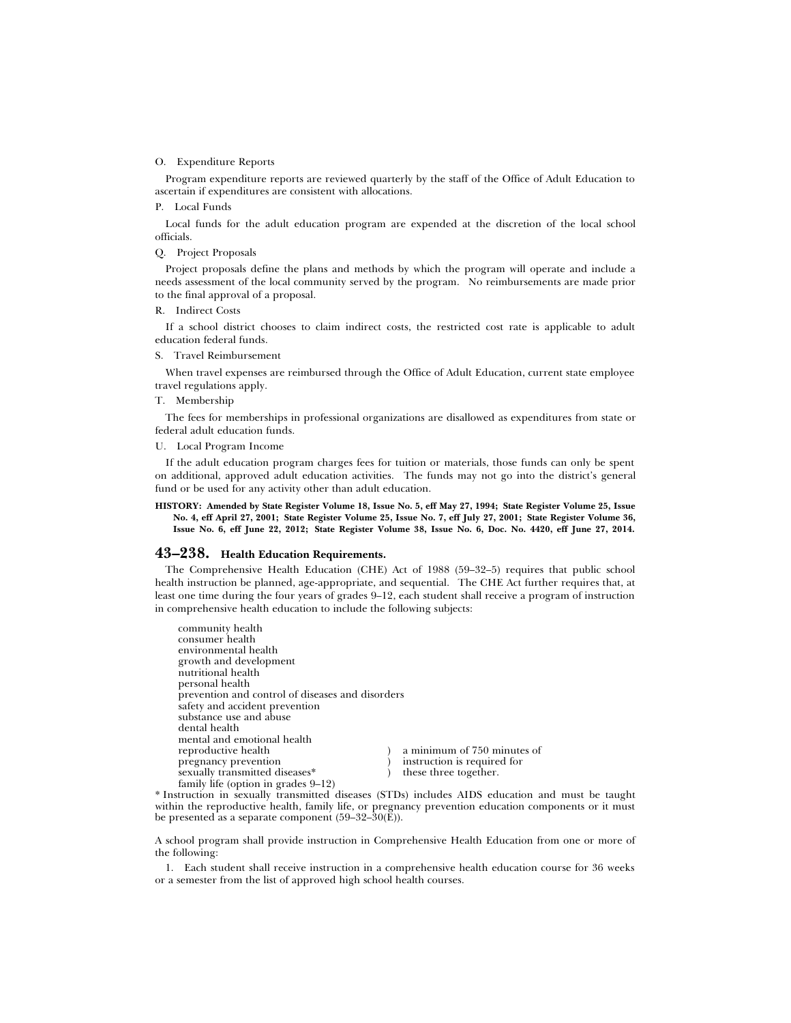### O. Expenditure Reports

Program expenditure reports are reviewed quarterly by the staff of the Office of Adult Education to ascertain if expenditures are consistent with allocations.

# P. Local Funds

Local funds for the adult education program are expended at the discretion of the local school officials.

# Q. Project Proposals

Project proposals define the plans and methods by which the program will operate and include a needs assessment of the local community served by the program. No reimbursements are made prior to the final approval of a proposal.

### R. Indirect Costs

If a school district chooses to claim indirect costs, the restricted cost rate is applicable to adult education federal funds.

### S. Travel Reimbursement

When travel expenses are reimbursed through the Office of Adult Education, current state employee travel regulations apply.

### T. Membership

The fees for memberships in professional organizations are disallowed as expenditures from state or federal adult education funds.

U. Local Program Income

If the adult education program charges fees for tuition or materials, those funds can only be spent on additional, approved adult education activities. The funds may not go into the district's general fund or be used for any activity other than adult education.

#### **HISTORY: Amended by State Register Volume 18, Issue No. 5, eff May 27, 1994; State Register Volume 25, Issue No. 4, eff April 27, 2001; State Register Volume 25, Issue No. 7, eff July 27, 2001; State Register Volume 36, Issue No. 6, eff June 22, 2012; State Register Volume 38, Issue No. 6, Doc. No. 4420, eff June 27, 2014.**

# **43–238. Health Education Requirements.**

The Comprehensive Health Education (CHE) Act of 1988 (59–32–5) requires that public school health instruction be planned, age-appropriate, and sequential. The CHE Act further requires that, at least one time during the four years of grades 9–12, each student shall receive a program of instruction in comprehensive health education to include the following subjects:

| community health                                 |                                                                                 |
|--------------------------------------------------|---------------------------------------------------------------------------------|
| consumer health                                  |                                                                                 |
| environmental health                             |                                                                                 |
| growth and development                           |                                                                                 |
| nutritional health                               |                                                                                 |
| personal health                                  |                                                                                 |
| prevention and control of diseases and disorders |                                                                                 |
| safety and accident prevention                   |                                                                                 |
| substance use and abuse                          |                                                                                 |
| dental health                                    |                                                                                 |
| mental and emotional health                      |                                                                                 |
| reproductive health                              | a minimum of 750 minutes of                                                     |
| pregnancy prevention                             | instruction is required for                                                     |
| sexually transmitted diseases*                   | these three together.                                                           |
| family life (option in grades $9-12$ )           |                                                                                 |
|                                                  | returning in correctly then without discosses (CTDs) includes AIDC advention of |

\* Instruction in sexually transmitted diseases (STDs) includes AIDS education and must be taught within the reproductive health, family life, or pregnancy prevention education components or it must be presented as a separate component  $(59-32-30(E)).$ 

A school program shall provide instruction in Comprehensive Health Education from one or more of the following:

1. Each student shall receive instruction in a comprehensive health education course for 36 weeks or a semester from the list of approved high school health courses.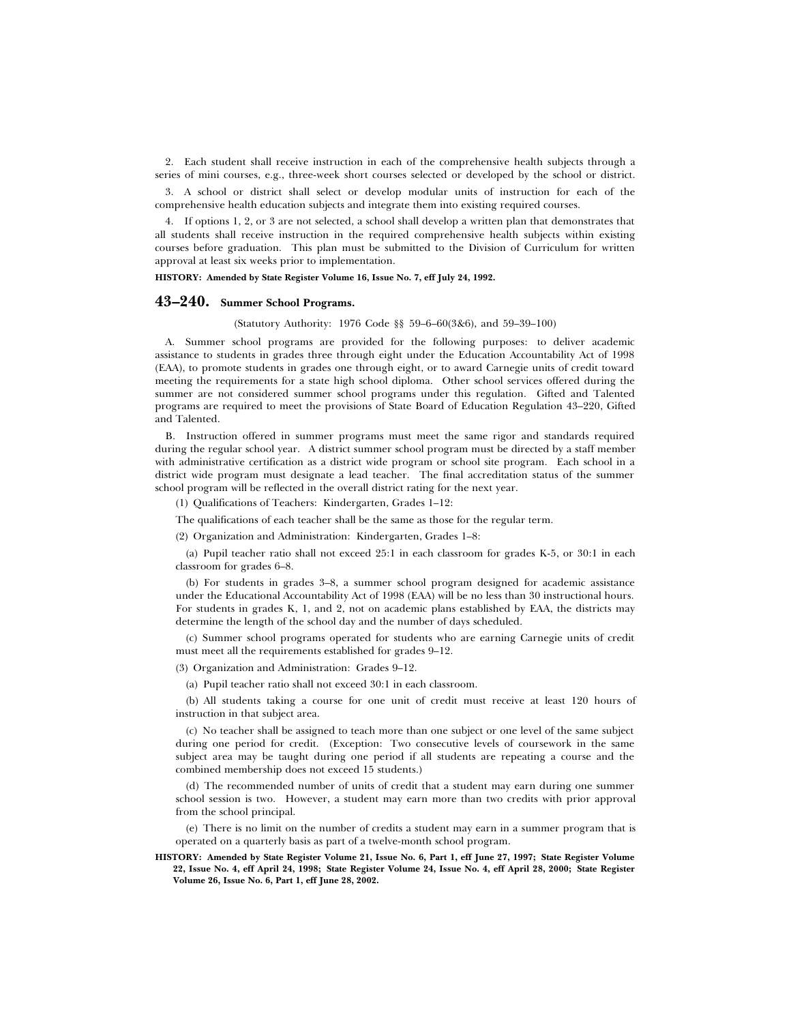2. Each student shall receive instruction in each of the comprehensive health subjects through a series of mini courses, e.g., three-week short courses selected or developed by the school or district.

3. A school or district shall select or develop modular units of instruction for each of the comprehensive health education subjects and integrate them into existing required courses.

4. If options 1, 2, or 3 are not selected, a school shall develop a written plan that demonstrates that all students shall receive instruction in the required comprehensive health subjects within existing courses before graduation. This plan must be submitted to the Division of Curriculum for written approval at least six weeks prior to implementation.

**HISTORY: Amended by State Register Volume 16, Issue No. 7, eff July 24, 1992.**

# **43–240. Summer School Programs.**

(Statutory Authority: 1976 Code §§ 59–6–60(3&6), and 59–39–100)

A. Summer school programs are provided for the following purposes: to deliver academic assistance to students in grades three through eight under the Education Accountability Act of 1998 (EAA), to promote students in grades one through eight, or to award Carnegie units of credit toward meeting the requirements for a state high school diploma. Other school services offered during the summer are not considered summer school programs under this regulation. Gifted and Talented programs are required to meet the provisions of State Board of Education Regulation 43–220, Gifted and Talented.

B. Instruction offered in summer programs must meet the same rigor and standards required during the regular school year. A district summer school program must be directed by a staff member with administrative certification as a district wide program or school site program. Each school in a district wide program must designate a lead teacher. The final accreditation status of the summer school program will be reflected in the overall district rating for the next year.

(1) Qualifications of Teachers: Kindergarten, Grades 1–12:

The qualifications of each teacher shall be the same as those for the regular term.

(2) Organization and Administration: Kindergarten, Grades 1–8:

(a) Pupil teacher ratio shall not exceed 25:1 in each classroom for grades K-5, or 30:1 in each classroom for grades 6–8.

(b) For students in grades 3–8, a summer school program designed for academic assistance under the Educational Accountability Act of 1998 (EAA) will be no less than 30 instructional hours. For students in grades K, 1, and 2, not on academic plans established by EAA, the districts may determine the length of the school day and the number of days scheduled.

(c) Summer school programs operated for students who are earning Carnegie units of credit must meet all the requirements established for grades 9–12.

(3) Organization and Administration: Grades 9–12.

(a) Pupil teacher ratio shall not exceed 30:1 in each classroom.

(b) All students taking a course for one unit of credit must receive at least 120 hours of instruction in that subject area.

(c) No teacher shall be assigned to teach more than one subject or one level of the same subject during one period for credit. (Exception: Two consecutive levels of coursework in the same subject area may be taught during one period if all students are repeating a course and the combined membership does not exceed 15 students.)

(d) The recommended number of units of credit that a student may earn during one summer school session is two. However, a student may earn more than two credits with prior approval from the school principal.

(e) There is no limit on the number of credits a student may earn in a summer program that is operated on a quarterly basis as part of a twelve-month school program.

**HISTORY: Amended by State Register Volume 21, Issue No. 6, Part 1, eff June 27, 1997; State Register Volume 22, Issue No. 4, eff April 24, 1998; State Register Volume 24, Issue No. 4, eff April 28, 2000; State Register Volume 26, Issue No. 6, Part 1, eff June 28, 2002.**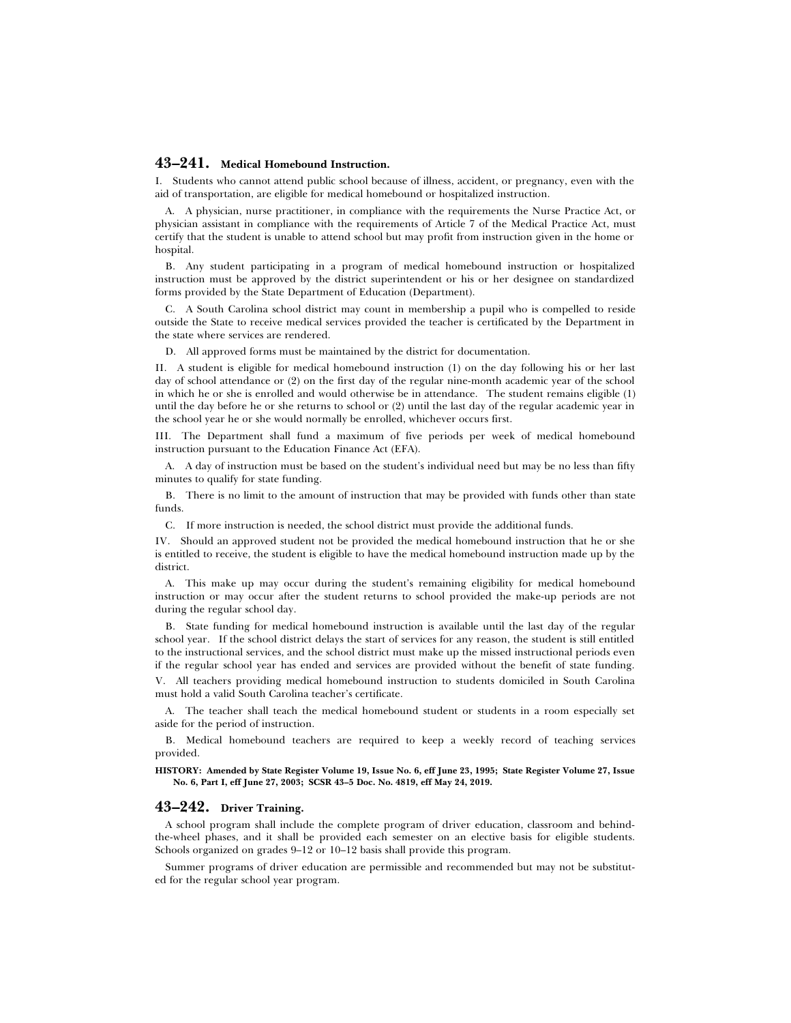# **43–241. Medical Homebound Instruction.**

I. Students who cannot attend public school because of illness, accident, or pregnancy, even with the aid of transportation, are eligible for medical homebound or hospitalized instruction.

A. A physician, nurse practitioner, in compliance with the requirements the Nurse Practice Act, or physician assistant in compliance with the requirements of Article 7 of the Medical Practice Act, must certify that the student is unable to attend school but may profit from instruction given in the home or hospital.

B. Any student participating in a program of medical homebound instruction or hospitalized instruction must be approved by the district superintendent or his or her designee on standardized forms provided by the State Department of Education (Department).

C. A South Carolina school district may count in membership a pupil who is compelled to reside outside the State to receive medical services provided the teacher is certificated by the Department in the state where services are rendered.

D. All approved forms must be maintained by the district for documentation.

II. A student is eligible for medical homebound instruction (1) on the day following his or her last day of school attendance or (2) on the first day of the regular nine-month academic year of the school in which he or she is enrolled and would otherwise be in attendance. The student remains eligible (1) until the day before he or she returns to school or (2) until the last day of the regular academic year in the school year he or she would normally be enrolled, whichever occurs first.

III. The Department shall fund a maximum of five periods per week of medical homebound instruction pursuant to the Education Finance Act (EFA).

A. A day of instruction must be based on the student's individual need but may be no less than fifty minutes to qualify for state funding.

B. There is no limit to the amount of instruction that may be provided with funds other than state funds.

C. If more instruction is needed, the school district must provide the additional funds.

IV. Should an approved student not be provided the medical homebound instruction that he or she is entitled to receive, the student is eligible to have the medical homebound instruction made up by the district.

A. This make up may occur during the student's remaining eligibility for medical homebound instruction or may occur after the student returns to school provided the make-up periods are not during the regular school day.

B. State funding for medical homebound instruction is available until the last day of the regular school year. If the school district delays the start of services for any reason, the student is still entitled to the instructional services, and the school district must make up the missed instructional periods even if the regular school year has ended and services are provided without the benefit of state funding.

V. All teachers providing medical homebound instruction to students domiciled in South Carolina must hold a valid South Carolina teacher's certificate.

A. The teacher shall teach the medical homebound student or students in a room especially set aside for the period of instruction.

B. Medical homebound teachers are required to keep a weekly record of teaching services provided.

**HISTORY: Amended by State Register Volume 19, Issue No. 6, eff June 23, 1995; State Register Volume 27, Issue No. 6, Part I, eff June 27, 2003; SCSR 43–5 Doc. No. 4819, eff May 24, 2019.**

### **43–242. Driver Training.**

A school program shall include the complete program of driver education, classroom and behindthe-wheel phases, and it shall be provided each semester on an elective basis for eligible students. Schools organized on grades 9–12 or 10–12 basis shall provide this program.

Summer programs of driver education are permissible and recommended but may not be substituted for the regular school year program.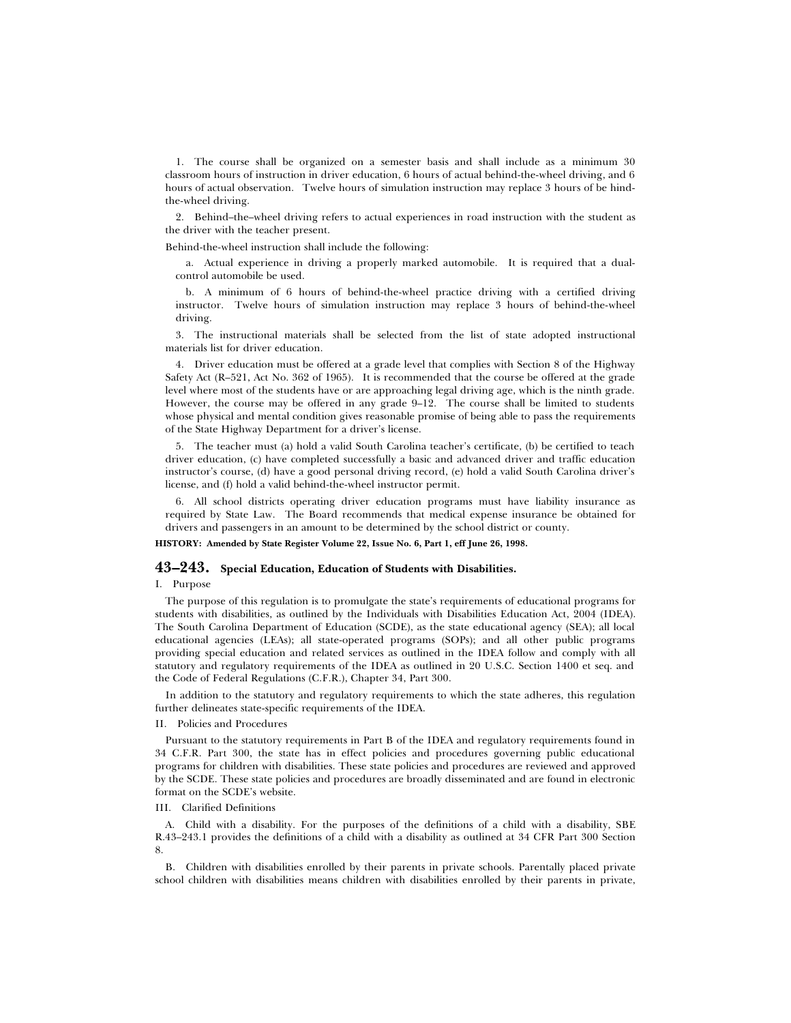1. The course shall be organized on a semester basis and shall include as a minimum 30 classroom hours of instruction in driver education, 6 hours of actual behind-the-wheel driving, and 6 hours of actual observation. Twelve hours of simulation instruction may replace 3 hours of be hindthe-wheel driving.

2. Behind–the–wheel driving refers to actual experiences in road instruction with the student as the driver with the teacher present.

### Behind-the-wheel instruction shall include the following:

a. Actual experience in driving a properly marked automobile. It is required that a dualcontrol automobile be used.

b. A minimum of 6 hours of behind-the-wheel practice driving with a certified driving instructor. Twelve hours of simulation instruction may replace 3 hours of behind-the-wheel driving.

3. The instructional materials shall be selected from the list of state adopted instructional materials list for driver education.

4. Driver education must be offered at a grade level that complies with Section 8 of the Highway Safety Act (R–521, Act No. 362 of 1965). It is recommended that the course be offered at the grade level where most of the students have or are approaching legal driving age, which is the ninth grade. However, the course may be offered in any grade 9–12. The course shall be limited to students whose physical and mental condition gives reasonable promise of being able to pass the requirements of the State Highway Department for a driver's license.

5. The teacher must (a) hold a valid South Carolina teacher's certificate, (b) be certified to teach driver education, (c) have completed successfully a basic and advanced driver and traffic education instructor's course, (d) have a good personal driving record, (e) hold a valid South Carolina driver's license, and (f) hold a valid behind-the-wheel instructor permit.

6. All school districts operating driver education programs must have liability insurance as required by State Law. The Board recommends that medical expense insurance be obtained for drivers and passengers in an amount to be determined by the school district or county.

### **HISTORY: Amended by State Register Volume 22, Issue No. 6, Part 1, eff June 26, 1998.**

# **43–243. Special Education, Education of Students with Disabilities.**

I. Purpose

The purpose of this regulation is to promulgate the state's requirements of educational programs for students with disabilities, as outlined by the Individuals with Disabilities Education Act, 2004 (IDEA). The South Carolina Department of Education (SCDE), as the state educational agency (SEA); all local educational agencies (LEAs); all state-operated programs (SOPs); and all other public programs providing special education and related services as outlined in the IDEA follow and comply with all statutory and regulatory requirements of the IDEA as outlined in 20 U.S.C. Section 1400 et seq. and the Code of Federal Regulations (C.F.R.), Chapter 34, Part 300.

In addition to the statutory and regulatory requirements to which the state adheres, this regulation further delineates state-specific requirements of the IDEA.

### II. Policies and Procedures

Pursuant to the statutory requirements in Part B of the IDEA and regulatory requirements found in 34 C.F.R. Part 300, the state has in effect policies and procedures governing public educational programs for children with disabilities. These state policies and procedures are reviewed and approved by the SCDE. These state policies and procedures are broadly disseminated and are found in electronic format on the SCDE's website.

# III. Clarified Definitions

A. Child with a disability. For the purposes of the definitions of a child with a disability, SBE R.43–243.1 provides the definitions of a child with a disability as outlined at 34 CFR Part 300 Section 8.

B. Children with disabilities enrolled by their parents in private schools. Parentally placed private school children with disabilities means children with disabilities enrolled by their parents in private,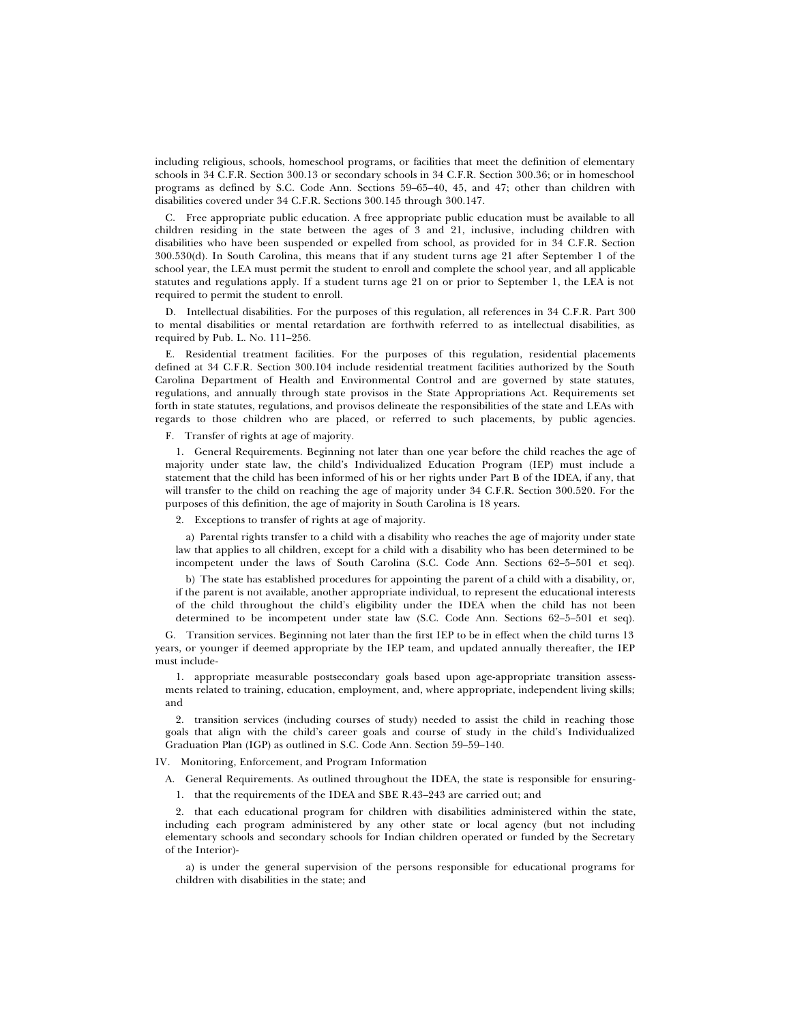including religious, schools, homeschool programs, or facilities that meet the definition of elementary schools in 34 C.F.R. Section 300.13 or secondary schools in 34 C.F.R. Section 300.36; or in homeschool programs as defined by S.C. Code Ann. Sections 59–65–40, 45, and 47; other than children with disabilities covered under 34 C.F.R. Sections 300.145 through 300.147.

C. Free appropriate public education. A free appropriate public education must be available to all children residing in the state between the ages of 3 and 21, inclusive, including children with disabilities who have been suspended or expelled from school, as provided for in 34 C.F.R. Section 300.530(d). In South Carolina, this means that if any student turns age 21 after September 1 of the school year, the LEA must permit the student to enroll and complete the school year, and all applicable statutes and regulations apply. If a student turns age 21 on or prior to September 1, the LEA is not required to permit the student to enroll.

D. Intellectual disabilities. For the purposes of this regulation, all references in 34 C.F.R. Part 300 to mental disabilities or mental retardation are forthwith referred to as intellectual disabilities, as required by Pub. L. No. 111–256.

E. Residential treatment facilities. For the purposes of this regulation, residential placements defined at 34 C.F.R. Section 300.104 include residential treatment facilities authorized by the South Carolina Department of Health and Environmental Control and are governed by state statutes, regulations, and annually through state provisos in the State Appropriations Act. Requirements set forth in state statutes, regulations, and provisos delineate the responsibilities of the state and LEAs with regards to those children who are placed, or referred to such placements, by public agencies.

F. Transfer of rights at age of majority.

1. General Requirements. Beginning not later than one year before the child reaches the age of majority under state law, the child's Individualized Education Program (IEP) must include a statement that the child has been informed of his or her rights under Part B of the IDEA, if any, that will transfer to the child on reaching the age of majority under 34 C.F.R. Section 300.520. For the purposes of this definition, the age of majority in South Carolina is 18 years.

2. Exceptions to transfer of rights at age of majority.

a) Parental rights transfer to a child with a disability who reaches the age of majority under state law that applies to all children, except for a child with a disability who has been determined to be incompetent under the laws of South Carolina (S.C. Code Ann. Sections 62–5–501 et seq).

b) The state has established procedures for appointing the parent of a child with a disability, or, if the parent is not available, another appropriate individual, to represent the educational interests of the child throughout the child's eligibility under the IDEA when the child has not been determined to be incompetent under state law (S.C. Code Ann. Sections 62–5–501 et seq).

G. Transition services. Beginning not later than the first IEP to be in effect when the child turns 13 years, or younger if deemed appropriate by the IEP team, and updated annually thereafter, the IEP must include-

1. appropriate measurable postsecondary goals based upon age-appropriate transition assessments related to training, education, employment, and, where appropriate, independent living skills; and

2. transition services (including courses of study) needed to assist the child in reaching those goals that align with the child's career goals and course of study in the child's Individualized Graduation Plan (IGP) as outlined in S.C. Code Ann. Section 59–59–140.

IV. Monitoring, Enforcement, and Program Information

A. General Requirements. As outlined throughout the IDEA, the state is responsible for ensuring-

1. that the requirements of the IDEA and SBE R.43–243 are carried out; and

2. that each educational program for children with disabilities administered within the state, including each program administered by any other state or local agency (but not including elementary schools and secondary schools for Indian children operated or funded by the Secretary of the Interior)-

a) is under the general supervision of the persons responsible for educational programs for children with disabilities in the state; and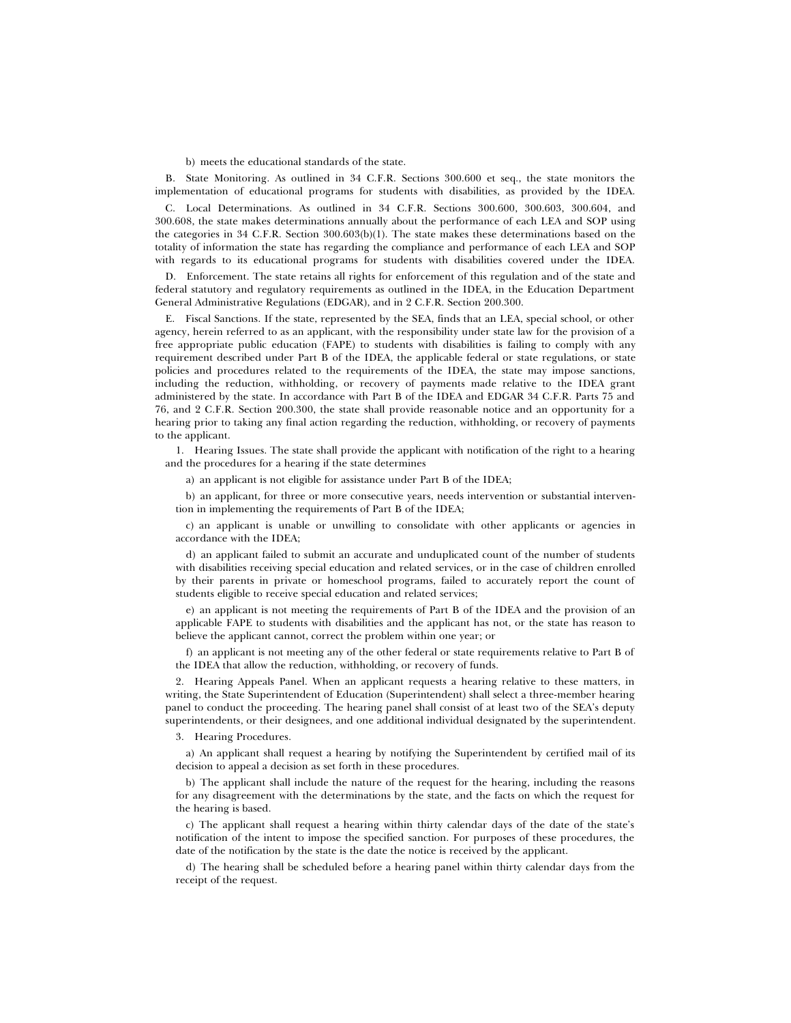b) meets the educational standards of the state.

B. State Monitoring. As outlined in 34 C.F.R. Sections 300.600 et seq., the state monitors the implementation of educational programs for students with disabilities, as provided by the IDEA.

C. Local Determinations. As outlined in 34 C.F.R. Sections 300.600, 300.603, 300.604, and 300.608, the state makes determinations annually about the performance of each LEA and SOP using the categories in 34 C.F.R. Section 300.603(b)(1). The state makes these determinations based on the totality of information the state has regarding the compliance and performance of each LEA and SOP with regards to its educational programs for students with disabilities covered under the IDEA.

D. Enforcement. The state retains all rights for enforcement of this regulation and of the state and federal statutory and regulatory requirements as outlined in the IDEA, in the Education Department General Administrative Regulations (EDGAR), and in 2 C.F.R. Section 200.300.

E. Fiscal Sanctions. If the state, represented by the SEA, finds that an LEA, special school, or other agency, herein referred to as an applicant, with the responsibility under state law for the provision of a free appropriate public education (FAPE) to students with disabilities is failing to comply with any requirement described under Part B of the IDEA, the applicable federal or state regulations, or state policies and procedures related to the requirements of the IDEA, the state may impose sanctions, including the reduction, withholding, or recovery of payments made relative to the IDEA grant administered by the state. In accordance with Part B of the IDEA and EDGAR 34 C.F.R. Parts 75 and 76, and 2 C.F.R. Section 200.300, the state shall provide reasonable notice and an opportunity for a hearing prior to taking any final action regarding the reduction, withholding, or recovery of payments to the applicant.

1. Hearing Issues. The state shall provide the applicant with notification of the right to a hearing and the procedures for a hearing if the state determines

a) an applicant is not eligible for assistance under Part B of the IDEA;

b) an applicant, for three or more consecutive years, needs intervention or substantial intervention in implementing the requirements of Part B of the IDEA;

c) an applicant is unable or unwilling to consolidate with other applicants or agencies in accordance with the IDEA;

d) an applicant failed to submit an accurate and unduplicated count of the number of students with disabilities receiving special education and related services, or in the case of children enrolled by their parents in private or homeschool programs, failed to accurately report the count of students eligible to receive special education and related services;

e) an applicant is not meeting the requirements of Part B of the IDEA and the provision of an applicable FAPE to students with disabilities and the applicant has not, or the state has reason to believe the applicant cannot, correct the problem within one year; or

f) an applicant is not meeting any of the other federal or state requirements relative to Part B of the IDEA that allow the reduction, withholding, or recovery of funds.

2. Hearing Appeals Panel. When an applicant requests a hearing relative to these matters, in writing, the State Superintendent of Education (Superintendent) shall select a three-member hearing panel to conduct the proceeding. The hearing panel shall consist of at least two of the SEA's deputy superintendents, or their designees, and one additional individual designated by the superintendent.

3. Hearing Procedures.

a) An applicant shall request a hearing by notifying the Superintendent by certified mail of its decision to appeal a decision as set forth in these procedures.

b) The applicant shall include the nature of the request for the hearing, including the reasons for any disagreement with the determinations by the state, and the facts on which the request for the hearing is based.

c) The applicant shall request a hearing within thirty calendar days of the date of the state's notification of the intent to impose the specified sanction. For purposes of these procedures, the date of the notification by the state is the date the notice is received by the applicant.

d) The hearing shall be scheduled before a hearing panel within thirty calendar days from the receipt of the request.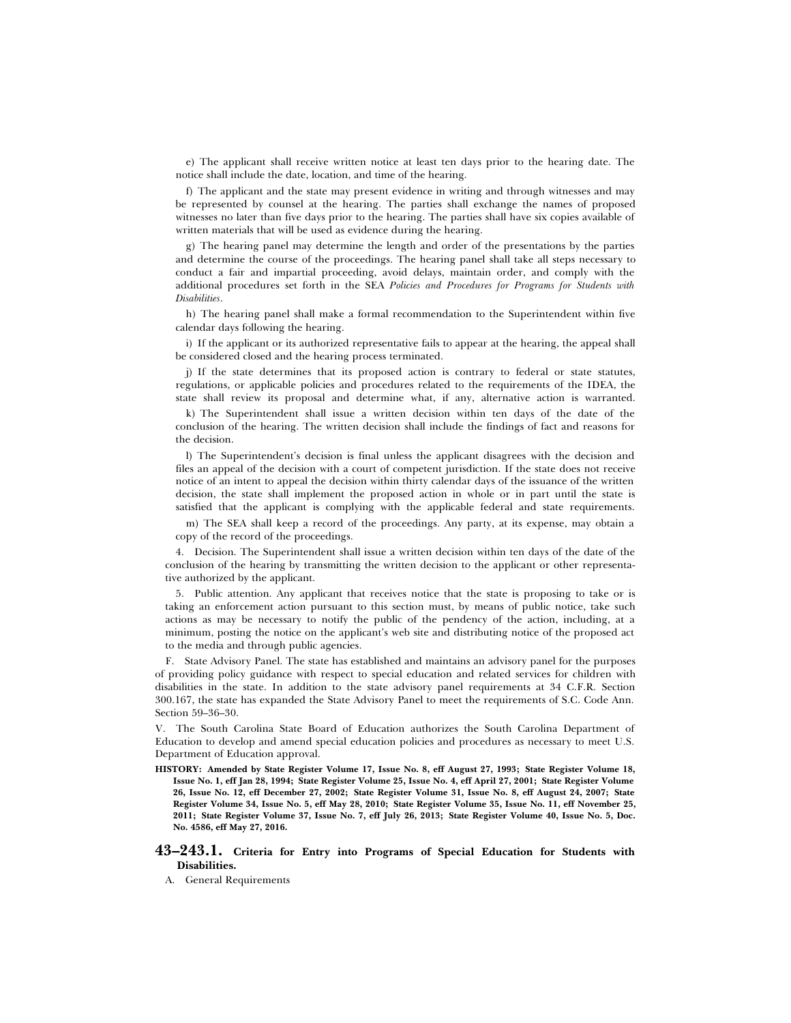e) The applicant shall receive written notice at least ten days prior to the hearing date. The notice shall include the date, location, and time of the hearing.

f) The applicant and the state may present evidence in writing and through witnesses and may be represented by counsel at the hearing. The parties shall exchange the names of proposed witnesses no later than five days prior to the hearing. The parties shall have six copies available of written materials that will be used as evidence during the hearing.

g) The hearing panel may determine the length and order of the presentations by the parties and determine the course of the proceedings. The hearing panel shall take all steps necessary to conduct a fair and impartial proceeding, avoid delays, maintain order, and comply with the additional procedures set forth in the SEA *Policies and Procedures for Programs for Students with Disabilities*.

h) The hearing panel shall make a formal recommendation to the Superintendent within five calendar days following the hearing.

i) If the applicant or its authorized representative fails to appear at the hearing, the appeal shall be considered closed and the hearing process terminated.

j) If the state determines that its proposed action is contrary to federal or state statutes, regulations, or applicable policies and procedures related to the requirements of the IDEA, the state shall review its proposal and determine what, if any, alternative action is warranted.

k) The Superintendent shall issue a written decision within ten days of the date of the conclusion of the hearing. The written decision shall include the findings of fact and reasons for the decision.

l) The Superintendent's decision is final unless the applicant disagrees with the decision and files an appeal of the decision with a court of competent jurisdiction. If the state does not receive notice of an intent to appeal the decision within thirty calendar days of the issuance of the written decision, the state shall implement the proposed action in whole or in part until the state is satisfied that the applicant is complying with the applicable federal and state requirements.

m) The SEA shall keep a record of the proceedings. Any party, at its expense, may obtain a copy of the record of the proceedings.

4. Decision. The Superintendent shall issue a written decision within ten days of the date of the conclusion of the hearing by transmitting the written decision to the applicant or other representative authorized by the applicant.

5. Public attention. Any applicant that receives notice that the state is proposing to take or is taking an enforcement action pursuant to this section must, by means of public notice, take such actions as may be necessary to notify the public of the pendency of the action, including, at a minimum, posting the notice on the applicant's web site and distributing notice of the proposed act to the media and through public agencies.

F. State Advisory Panel. The state has established and maintains an advisory panel for the purposes of providing policy guidance with respect to special education and related services for children with disabilities in the state. In addition to the state advisory panel requirements at 34 C.F.R. Section 300.167, the state has expanded the State Advisory Panel to meet the requirements of S.C. Code Ann. Section 59–36–30.

V. The South Carolina State Board of Education authorizes the South Carolina Department of Education to develop and amend special education policies and procedures as necessary to meet U.S. Department of Education approval.

**HISTORY: Amended by State Register Volume 17, Issue No. 8, eff August 27, 1993; State Register Volume 18, Issue No. 1, eff Jan 28, 1994; State Register Volume 25, Issue No. 4, eff April 27, 2001; State Register Volume 26, Issue No. 12, eff December 27, 2002; State Register Volume 31, Issue No. 8, eff August 24, 2007; State Register Volume 34, Issue No. 5, eff May 28, 2010; State Register Volume 35, Issue No. 11, eff November 25, 2011; State Register Volume 37, Issue No. 7, eff July 26, 2013; State Register Volume 40, Issue No. 5, Doc. No. 4586, eff May 27, 2016.**

# **43–243.1. Criteria for Entry into Programs of Special Education for Students with Disabilities.**

A. General Requirements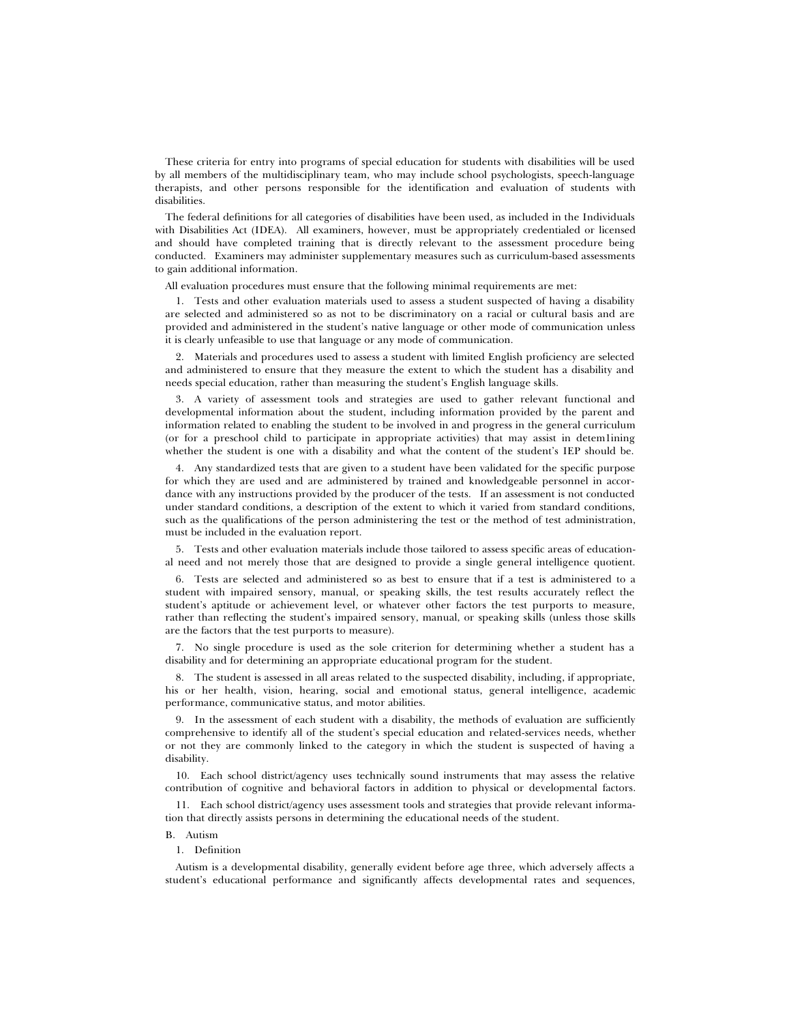These criteria for entry into programs of special education for students with disabilities will be used by all members of the multidisciplinary team, who may include school psychologists, speech-language therapists, and other persons responsible for the identification and evaluation of students with disabilities.

The federal definitions for all categories of disabilities have been used, as included in the Individuals with Disabilities Act (IDEA). All examiners, however, must be appropriately credentialed or licensed and should have completed training that is directly relevant to the assessment procedure being conducted. Examiners may administer supplementary measures such as curriculum-based assessments to gain additional information.

All evaluation procedures must ensure that the following minimal requirements are met:

1. Tests and other evaluation materials used to assess a student suspected of having a disability are selected and administered so as not to be discriminatory on a racial or cultural basis and are provided and administered in the student's native language or other mode of communication unless it is clearly unfeasible to use that language or any mode of communication.

2. Materials and procedures used to assess a student with limited English proficiency are selected and administered to ensure that they measure the extent to which the student has a disability and needs special education, rather than measuring the student's English language skills.

3. A variety of assessment tools and strategies are used to gather relevant functional and developmental information about the student, including information provided by the parent and information related to enabling the student to be involved in and progress in the general curriculum (or for a preschool child to participate in appropriate activities) that may assist in detem1ining whether the student is one with a disability and what the content of the student's IEP should be.

4. Any standardized tests that are given to a student have been validated for the specific purpose for which they are used and are administered by trained and knowledgeable personnel in accordance with any instructions provided by the producer of the tests. If an assessment is not conducted under standard conditions, a description of the extent to which it varied from standard conditions, such as the qualifications of the person administering the test or the method of test administration, must be included in the evaluation report.

5. Tests and other evaluation materials include those tailored to assess specific areas of educational need and not merely those that are designed to provide a single general intelligence quotient.

6. Tests are selected and administered so as best to ensure that if a test is administered to a student with impaired sensory, manual, or speaking skills, the test results accurately reflect the student's aptitude or achievement level, or whatever other factors the test purports to measure, rather than reflecting the student's impaired sensory, manual, or speaking skills (unless those skills are the factors that the test purports to measure).

7. No single procedure is used as the sole criterion for determining whether a student has a disability and for determining an appropriate educational program for the student.

8. The student is assessed in all areas related to the suspected disability, including, if appropriate, his or her health, vision, hearing, social and emotional status, general intelligence, academic performance, communicative status, and motor abilities.

9. In the assessment of each student with a disability, the methods of evaluation are sufficiently comprehensive to identify all of the student's special education and related-services needs, whether or not they are commonly linked to the category in which the student is suspected of having a disability.

10. Each school district/agency uses technically sound instruments that may assess the relative contribution of cognitive and behavioral factors in addition to physical or developmental factors.

11. Each school district/agency uses assessment tools and strategies that provide relevant information that directly assists persons in determining the educational needs of the student.

# B. Autism

# 1. Definition

Autism is a developmental disability, generally evident before age three, which adversely affects a student's educational performance and significantly affects developmental rates and sequences,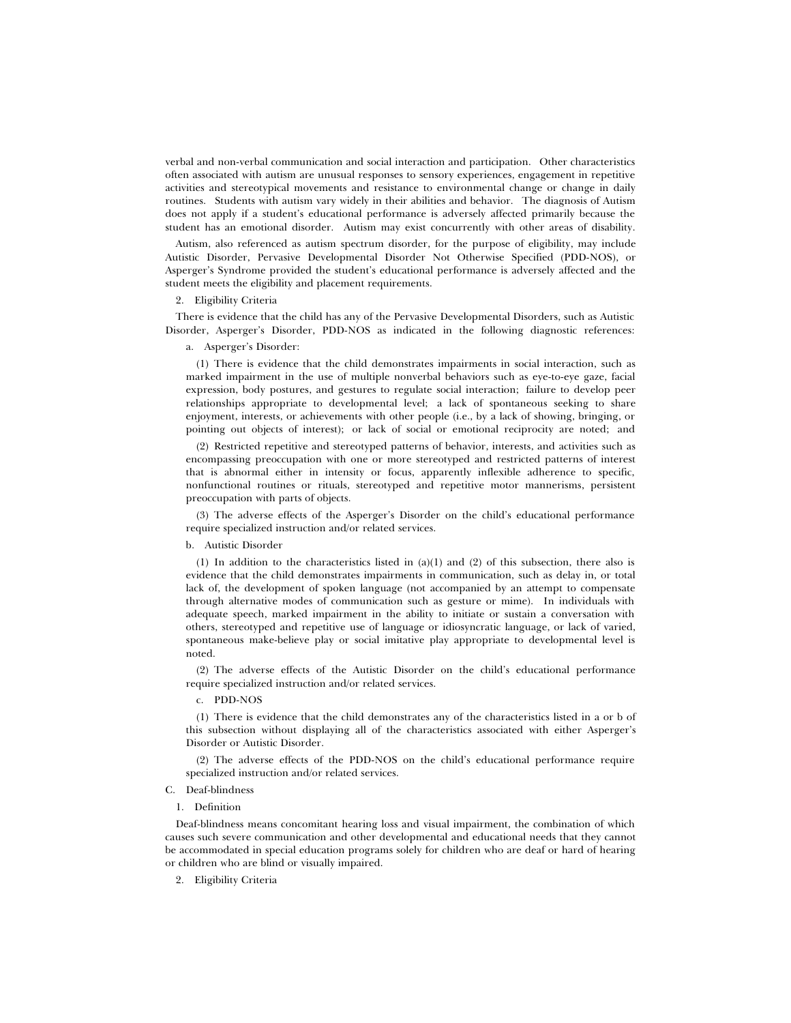verbal and non-verbal communication and social interaction and participation. Other characteristics often associated with autism are unusual responses to sensory experiences, engagement in repetitive activities and stereotypical movements and resistance to environmental change or change in daily routines. Students with autism vary widely in their abilities and behavior. The diagnosis of Autism does not apply if a student's educational performance is adversely affected primarily because the student has an emotional disorder. Autism may exist concurrently with other areas of disability.

Autism, also referenced as autism spectrum disorder, for the purpose of eligibility, may include Autistic Disorder, Pervasive Developmental Disorder Not Otherwise Specified (PDD-NOS), or Asperger's Syndrome provided the student's educational performance is adversely affected and the student meets the eligibility and placement requirements.

### 2. Eligibility Criteria

There is evidence that the child has any of the Pervasive Developmental Disorders, such as Autistic Disorder, Asperger's Disorder, PDD-NOS as indicated in the following diagnostic references:

### a. Asperger's Disorder:

(1) There is evidence that the child demonstrates impairments in social interaction, such as marked impairment in the use of multiple nonverbal behaviors such as eye-to-eye gaze, facial expression, body postures, and gestures to regulate social interaction; failure to develop peer relationships appropriate to developmental level; a lack of spontaneous seeking to share enjoyment, interests, or achievements with other people (i.e., by a lack of showing, bringing, or pointing out objects of interest); or lack of social or emotional reciprocity are noted; and

(2) Restricted repetitive and stereotyped patterns of behavior, interests, and activities such as encompassing preoccupation with one or more stereotyped and restricted patterns of interest that is abnormal either in intensity or focus, apparently inflexible adherence to specific, nonfunctional routines or rituals, stereotyped and repetitive motor mannerisms, persistent preoccupation with parts of objects.

(3) The adverse effects of the Asperger's Disorder on the child's educational performance require specialized instruction and/or related services.

### b. Autistic Disorder

(1) In addition to the characteristics listed in  $(a)(1)$  and (2) of this subsection, there also is evidence that the child demonstrates impairments in communication, such as delay in, or total lack of, the development of spoken language (not accompanied by an attempt to compensate through alternative modes of communication such as gesture or mime). In individuals with adequate speech, marked impairment in the ability to initiate or sustain a conversation with others, stereotyped and repetitive use of language or idiosyncratic language, or lack of varied, spontaneous make-believe play or social imitative play appropriate to developmental level is noted.

(2) The adverse effects of the Autistic Disorder on the child's educational performance require specialized instruction and/or related services.

c. PDD-NOS

(1) There is evidence that the child demonstrates any of the characteristics listed in a or b of this subsection without displaying all of the characteristics associated with either Asperger's Disorder or Autistic Disorder.

(2) The adverse effects of the PDD-NOS on the child's educational performance require specialized instruction and/or related services.

# C. Deaf-blindness

# 1. Definition

Deaf-blindness means concomitant hearing loss and visual impairment, the combination of which causes such severe communication and other developmental and educational needs that they cannot be accommodated in special education programs solely for children who are deaf or hard of hearing or children who are blind or visually impaired.

2. Eligibility Criteria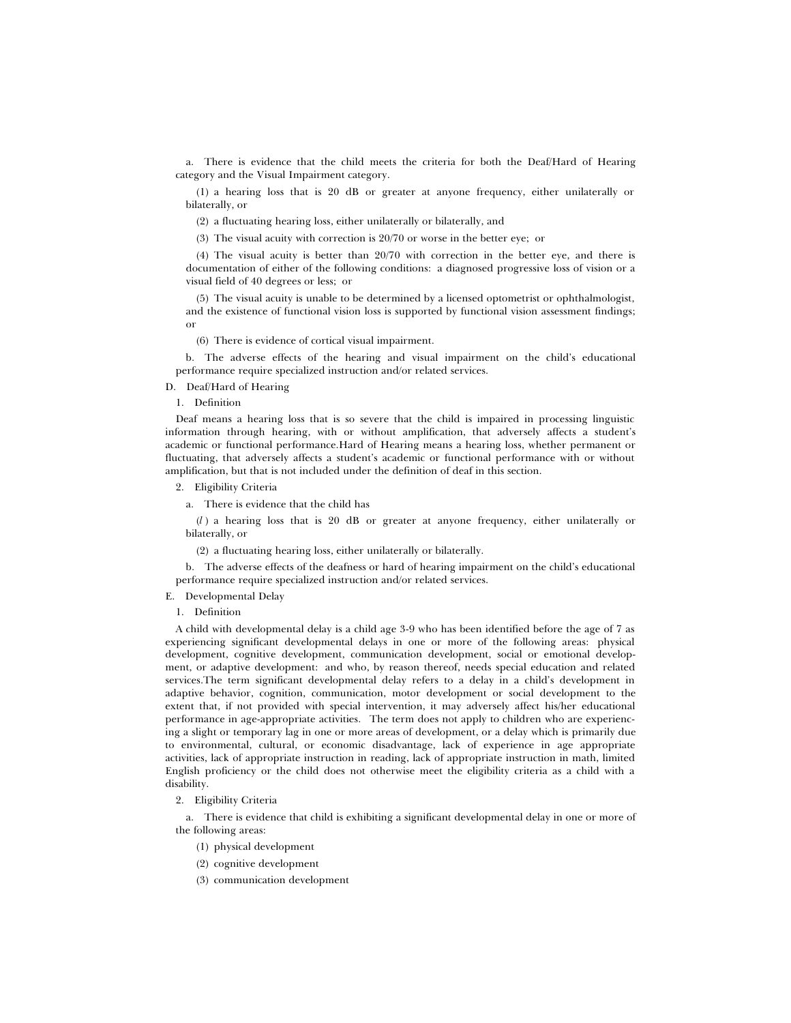a. There is evidence that the child meets the criteria for both the Deaf/Hard of Hearing category and the Visual Impairment category.

(1) a hearing loss that is 20 dB or greater at anyone frequency, either unilaterally or bilaterally, or

(2) a fluctuating hearing loss, either unilaterally or bilaterally, and

(3) The visual acuity with correction is 20/70 or worse in the better eye; or

(4) The visual acuity is better than 20/70 with correction in the better eye, and there is documentation of either of the following conditions: a diagnosed progressive loss of vision or a visual field of 40 degrees or less; or

(5) The visual acuity is unable to be determined by a licensed optometrist or ophthalmologist, and the existence of functional vision loss is supported by functional vision assessment findings; or

(6) There is evidence of cortical visual impairment.

b. The adverse effects of the hearing and visual impairment on the child's educational performance require specialized instruction and/or related services.

D. Deaf/Hard of Hearing

1. Definition

Deaf means a hearing loss that is so severe that the child is impaired in processing linguistic information through hearing, with or without amplification, that adversely affects a student's academic or functional performance.Hard of Hearing means a hearing loss, whether permanent or fluctuating, that adversely affects a student's academic or functional performance with or without amplification, but that is not included under the definition of deaf in this section.

2. Eligibility Criteria

a. There is evidence that the child has

(*l* ) a hearing loss that is 20 dB or greater at anyone frequency, either unilaterally or bilaterally, or

(2) a fluctuating hearing loss, either unilaterally or bilaterally.

b. The adverse effects of the deafness or hard of hearing impairment on the child's educational performance require specialized instruction and/or related services.

### E. Developmental Delay

# 1. Definition

A child with developmental delay is a child age 3-9 who has been identified before the age of 7 as experiencing significant developmental delays in one or more of the following areas: physical development, cognitive development, communication development, social or emotional development, or adaptive development: and who, by reason thereof, needs special education and related services.The term significant developmental delay refers to a delay in a child's development in adaptive behavior, cognition, communication, motor development or social development to the extent that, if not provided with special intervention, it may adversely affect his/her educational performance in age-appropriate activities. The term does not apply to children who are experiencing a slight or temporary lag in one or more areas of development, or a delay which is primarily due to environmental, cultural, or economic disadvantage, lack of experience in age appropriate activities, lack of appropriate instruction in reading, lack of appropriate instruction in math, limited English proficiency or the child does not otherwise meet the eligibility criteria as a child with a disability.

### 2. Eligibility Criteria

a. There is evidence that child is exhibiting a significant developmental delay in one or more of the following areas:

- (1) physical development
- (2) cognitive development
- (3) communication development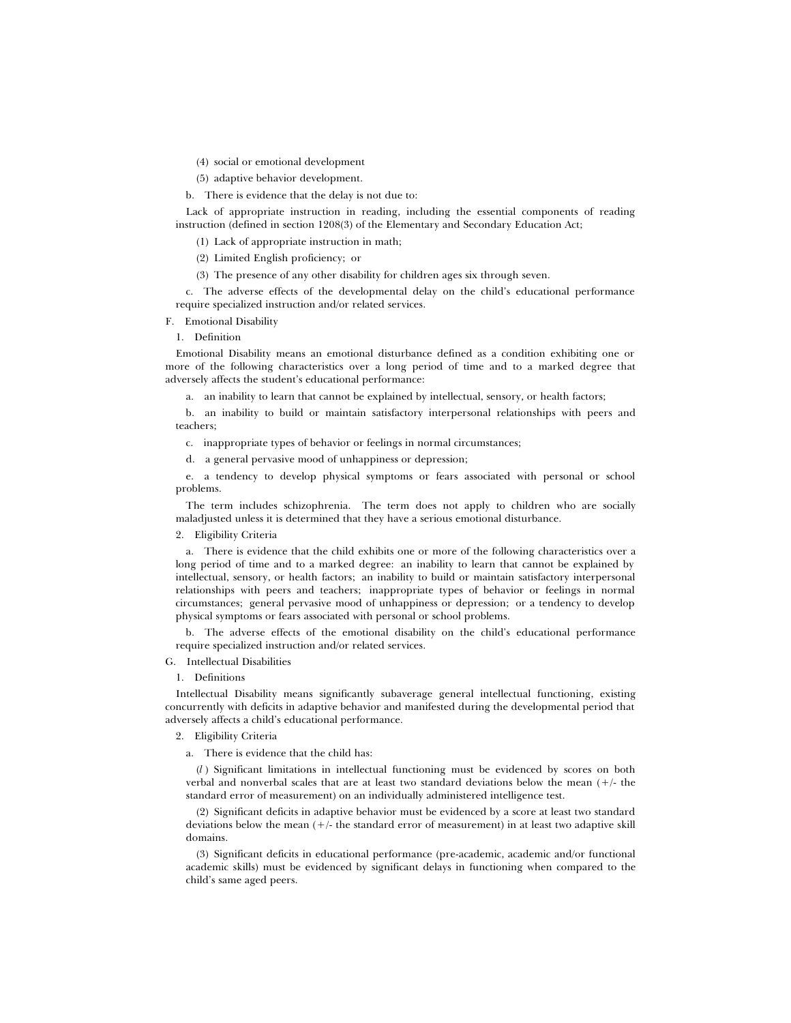(4) social or emotional development

(5) adaptive behavior development.

b. There is evidence that the delay is not due to:

Lack of appropriate instruction in reading, including the essential components of reading instruction (defined in section 1208(3) of the Elementary and Secondary Education Act;

(1) Lack of appropriate instruction in math;

(2) Limited English proficiency; or

(3) The presence of any other disability for children ages six through seven.

c. The adverse effects of the developmental delay on the child's educational performance require specialized instruction and/or related services.

F. Emotional Disability

1. Definition

Emotional Disability means an emotional disturbance defined as a condition exhibiting one or more of the following characteristics over a long period of time and to a marked degree that adversely affects the student's educational performance:

a. an inability to learn that cannot be explained by intellectual, sensory, or health factors;

b. an inability to build or maintain satisfactory interpersonal relationships with peers and teachers;

c. inappropriate types of behavior or feelings in normal circumstances;

d. a general pervasive mood of unhappiness or depression;

e. a tendency to develop physical symptoms or fears associated with personal or school problems.

The term includes schizophrenia. The term does not apply to children who are socially maladjusted unless it is determined that they have a serious emotional disturbance.

2. Eligibility Criteria

a. There is evidence that the child exhibits one or more of the following characteristics over a long period of time and to a marked degree: an inability to learn that cannot be explained by intellectual, sensory, or health factors; an inability to build or maintain satisfactory interpersonal relationships with peers and teachers; inappropriate types of behavior or feelings in normal circumstances; general pervasive mood of unhappiness or depression; or a tendency to develop physical symptoms or fears associated with personal or school problems.

b. The adverse effects of the emotional disability on the child's educational performance require specialized instruction and/or related services.

G. Intellectual Disabilities

1. Definitions

Intellectual Disability means significantly subaverage general intellectual functioning, existing concurrently with deficits in adaptive behavior and manifested during the developmental period that adversely affects a child's educational performance.

2. Eligibility Criteria

a. There is evidence that the child has:

(*l* ) Significant limitations in intellectual functioning must be evidenced by scores on both verbal and nonverbal scales that are at least two standard deviations below the mean  $(+/-$  the standard error of measurement) on an individually administered intelligence test.

(2) Significant deficits in adaptive behavior must be evidenced by a score at least two standard deviations below the mean  $(+/-$  the standard error of measurement) in at least two adaptive skill domains.

(3) Significant deficits in educational performance (pre-academic, academic and/or functional academic skills) must be evidenced by significant delays in functioning when compared to the child's same aged peers.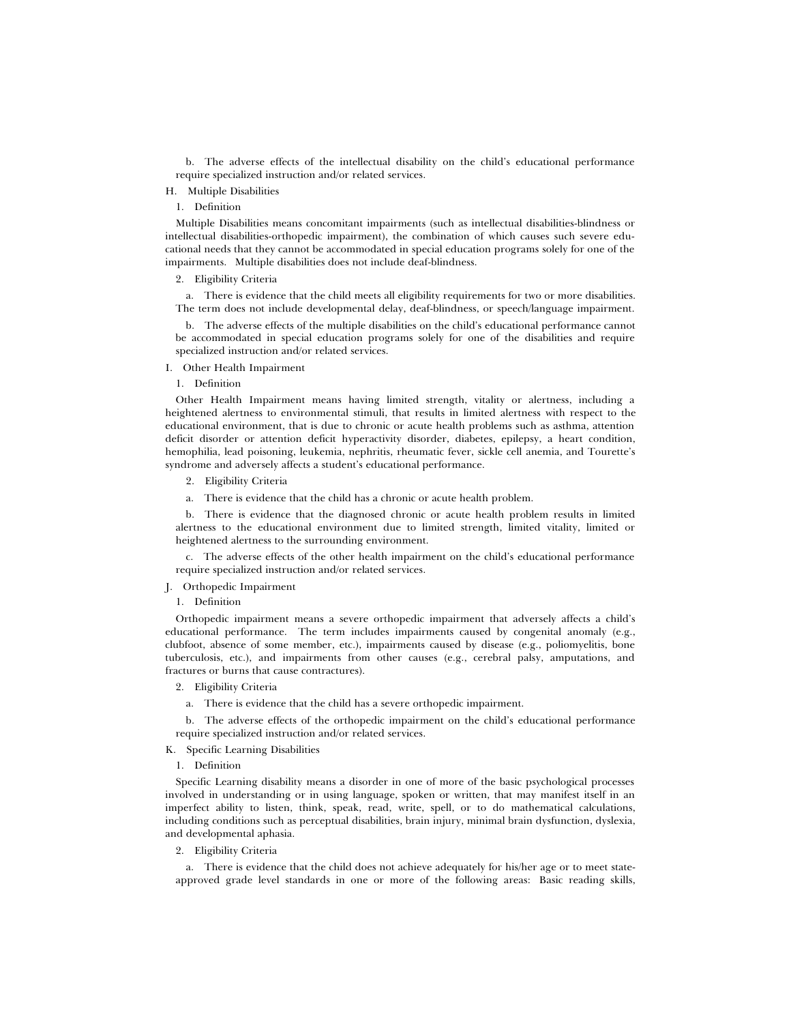b. The adverse effects of the intellectual disability on the child's educational performance require specialized instruction and/or related services.

# H. Multiple Disabilities

# 1. Definition

Multiple Disabilities means concomitant impairments (such as intellectual disabilities-blindness or intellectual disabilities-orthopedic impairment), the combination of which causes such severe educational needs that they cannot be accommodated in special education programs solely for one of the impairments. Multiple disabilities does not include deaf-blindness.

#### 2. Eligibility Criteria

a. There is evidence that the child meets all eligibility requirements for two or more disabilities. The term does not include developmental delay, deaf-blindness, or speech/language impairment.

b. The adverse effects of the multiple disabilities on the child's educational performance cannot be accommodated in special education programs solely for one of the disabilities and require specialized instruction and/or related services.

I. Other Health Impairment

1. Definition

Other Health Impairment means having limited strength, vitality or alertness, including a heightened alertness to environmental stimuli, that results in limited alertness with respect to the educational environment, that is due to chronic or acute health problems such as asthma, attention deficit disorder or attention deficit hyperactivity disorder, diabetes, epilepsy, a heart condition, hemophilia, lead poisoning, leukemia, nephritis, rheumatic fever, sickle cell anemia, and Tourette's syndrome and adversely affects a student's educational performance.

- 2. Eligibility Criteria
- a. There is evidence that the child has a chronic or acute health problem.

b. There is evidence that the diagnosed chronic or acute health problem results in limited alertness to the educational environment due to limited strength, limited vitality, limited or heightened alertness to the surrounding environment.

c. The adverse effects of the other health impairment on the child's educational performance require specialized instruction and/or related services.

J. Orthopedic Impairment

# 1. Definition

Orthopedic impairment means a severe orthopedic impairment that adversely affects a child's educational performance. The term includes impairments caused by congenital anomaly (e.g., clubfoot, absence of some member, etc.), impairments caused by disease (e.g., poliomyelitis, bone tuberculosis, etc.), and impairments from other causes (e.g., cerebral palsy, amputations, and fractures or burns that cause contractures).

2. Eligibility Criteria

a. There is evidence that the child has a severe orthopedic impairment.

b. The adverse effects of the orthopedic impairment on the child's educational performance require specialized instruction and/or related services.

# K. Specific Learning Disabilities

# 1. Definition

Specific Learning disability means a disorder in one of more of the basic psychological processes involved in understanding or in using language, spoken or written, that may manifest itself in an imperfect ability to listen, think, speak, read, write, spell, or to do mathematical calculations, including conditions such as perceptual disabilities, brain injury, minimal brain dysfunction, dyslexia, and developmental aphasia.

# 2. Eligibility Criteria

a. There is evidence that the child does not achieve adequately for his/her age or to meet stateapproved grade level standards in one or more of the following areas: Basic reading skills,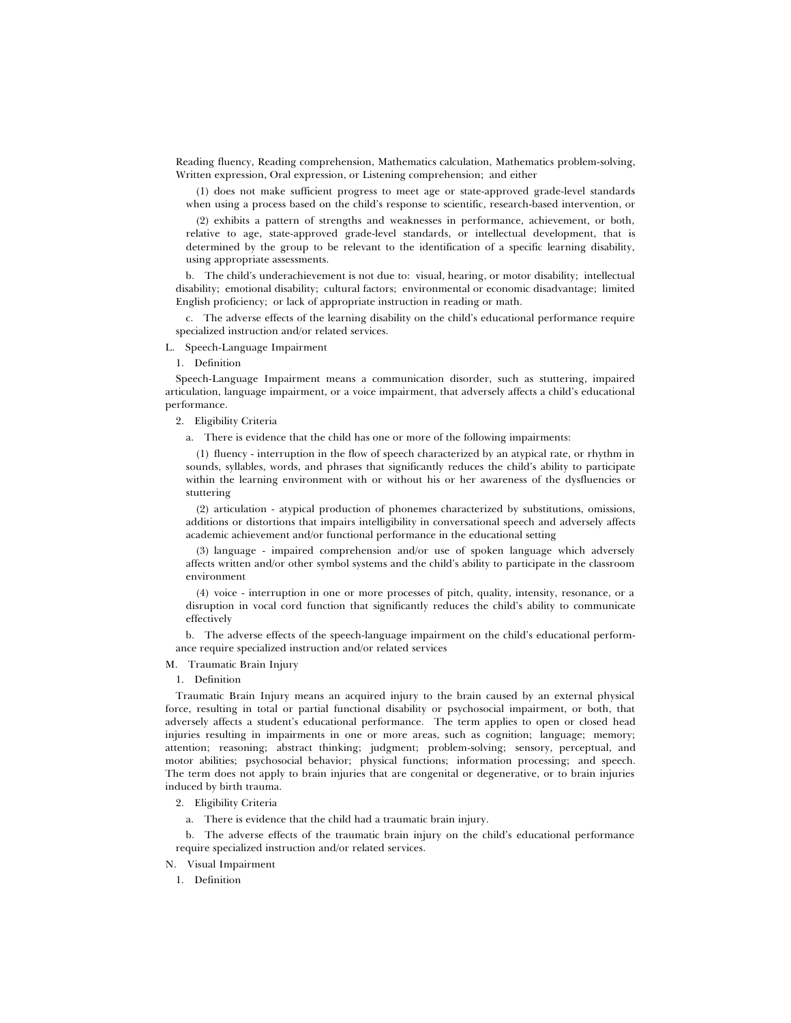Reading fluency, Reading comprehension, Mathematics calculation, Mathematics problem-solving, Written expression, Oral expression, or Listening comprehension; and either

(1) does not make sufficient progress to meet age or state-approved grade-level standards when using a process based on the child's response to scientific, research-based intervention, or

(2) exhibits a pattern of strengths and weaknesses in performance, achievement, or both, relative to age, state-approved grade-level standards, or intellectual development, that is determined by the group to be relevant to the identification of a specific learning disability, using appropriate assessments.

b. The child's underachievement is not due to: visual, hearing, or motor disability; intellectual disability; emotional disability; cultural factors; environmental or economic disadvantage; limited English proficiency; or lack of appropriate instruction in reading or math.

c. The adverse effects of the learning disability on the child's educational performance require specialized instruction and/or related services.

L. Speech-Language Impairment

1. Definition

Speech-Language Impairment means a communication disorder, such as stuttering, impaired articulation, language impairment, or a voice impairment, that adversely affects a child's educational performance.

2. Eligibility Criteria

a. There is evidence that the child has one or more of the following impairments:

(1) fluency - interruption in the flow of speech characterized by an atypical rate, or rhythm in sounds, syllables, words, and phrases that significantly reduces the child's ability to participate within the learning environment with or without his or her awareness of the dysfluencies or stuttering

(2) articulation - atypical production of phonemes characterized by substitutions, omissions, additions or distortions that impairs intelligibility in conversational speech and adversely affects academic achievement and/or functional performance in the educational setting

(3) language - impaired comprehension and/or use of spoken language which adversely affects written and/or other symbol systems and the child's ability to participate in the classroom environment

(4) voice - interruption in one or more processes of pitch, quality, intensity, resonance, or a disruption in vocal cord function that significantly reduces the child's ability to communicate effectively

b. The adverse effects of the speech-language impairment on the child's educational performance require specialized instruction and/or related services

M. Traumatic Brain Injury

1. Definition

Traumatic Brain Injury means an acquired injury to the brain caused by an external physical force, resulting in total or partial functional disability or psychosocial impairment, or both, that adversely affects a student's educational performance. The term applies to open or closed head injuries resulting in impairments in one or more areas, such as cognition; language; memory; attention; reasoning; abstract thinking; judgment; problem-solving; sensory, perceptual, and motor abilities; psychosocial behavior; physical functions; information processing; and speech. The term does not apply to brain injuries that are congenital or degenerative, or to brain injuries induced by birth trauma.

2. Eligibility Criteria

a. There is evidence that the child had a traumatic brain injury.

b. The adverse effects of the traumatic brain injury on the child's educational performance require specialized instruction and/or related services.

N. Visual Impairment

1. Definition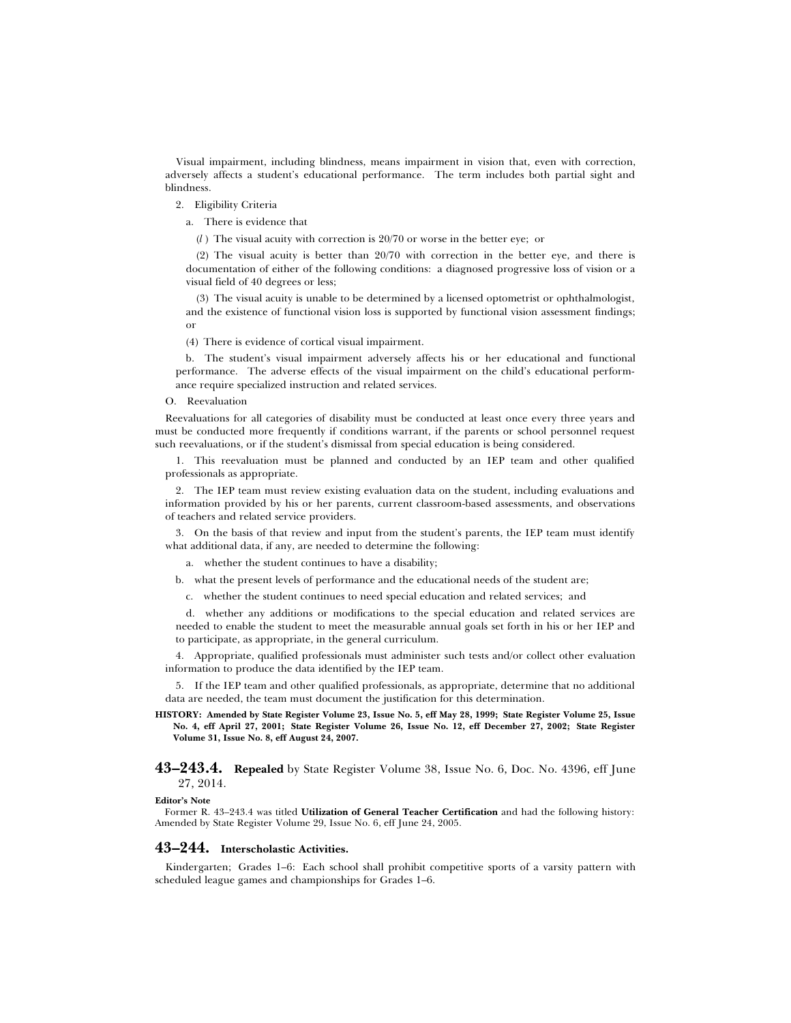Visual impairment, including blindness, means impairment in vision that, even with correction, adversely affects a student's educational performance. The term includes both partial sight and blindness.

- 2. Eligibility Criteria
	- a. There is evidence that
		- (*l* ) The visual acuity with correction is 20/70 or worse in the better eye; or

(2) The visual acuity is better than 20/70 with correction in the better eye, and there is documentation of either of the following conditions: a diagnosed progressive loss of vision or a visual field of 40 degrees or less;

(3) The visual acuity is unable to be determined by a licensed optometrist or ophthalmologist, and the existence of functional vision loss is supported by functional vision assessment findings; or

(4) There is evidence of cortical visual impairment.

b. The student's visual impairment adversely affects his or her educational and functional performance. The adverse effects of the visual impairment on the child's educational performance require specialized instruction and related services.

#### O. Reevaluation

Reevaluations for all categories of disability must be conducted at least once every three years and must be conducted more frequently if conditions warrant, if the parents or school personnel request such reevaluations, or if the student's dismissal from special education is being considered.

1. This reevaluation must be planned and conducted by an IEP team and other qualified professionals as appropriate.

2. The IEP team must review existing evaluation data on the student, including evaluations and information provided by his or her parents, current classroom-based assessments, and observations of teachers and related service providers.

3. On the basis of that review and input from the student's parents, the IEP team must identify what additional data, if any, are needed to determine the following:

a. whether the student continues to have a disability;

b. what the present levels of performance and the educational needs of the student are;

c. whether the student continues to need special education and related services; and

d. whether any additions or modifications to the special education and related services are needed to enable the student to meet the measurable annual goals set forth in his or her IEP and to participate, as appropriate, in the general curriculum.

4. Appropriate, qualified professionals must administer such tests and/or collect other evaluation information to produce the data identified by the IEP team.

5. If the IEP team and other qualified professionals, as appropriate, determine that no additional data are needed, the team must document the justification for this determination.

**HISTORY: Amended by State Register Volume 23, Issue No. 5, eff May 28, 1999; State Register Volume 25, Issue No. 4, eff April 27, 2001; State Register Volume 26, Issue No. 12, eff December 27, 2002; State Register Volume 31, Issue No. 8, eff August 24, 2007.**

**43–243.4. Repealed** by State Register Volume 38, Issue No. 6, Doc. No. 4396, eff June 27, 2014.

#### **Editor's Note**

Former R. 43–243.4 was titled **Utilization of General Teacher Certification** and had the following history: Amended by State Register Volume 29, Issue No. 6, eff June 24, 2005.

## **43–244. Interscholastic Activities.**

Kindergarten; Grades 1–6: Each school shall prohibit competitive sports of a varsity pattern with scheduled league games and championships for Grades 1–6.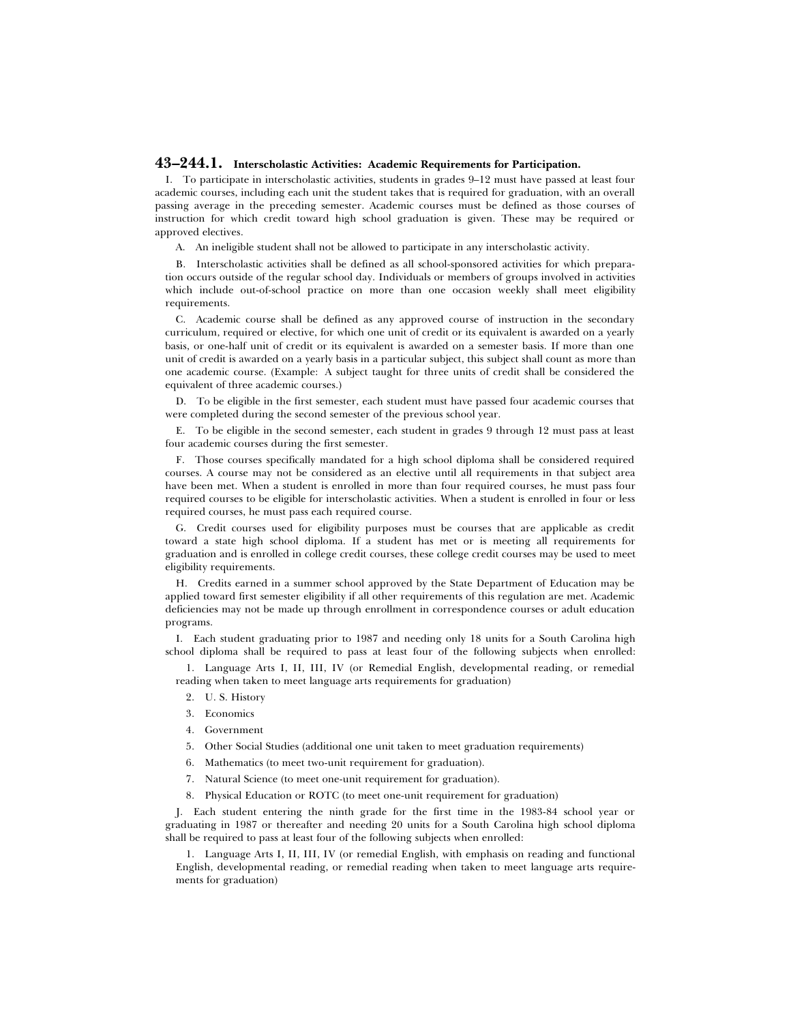# **43–244.1. Interscholastic Activities: Academic Requirements for Participation.**

I. To participate in interscholastic activities, students in grades 9–12 must have passed at least four academic courses, including each unit the student takes that is required for graduation, with an overall passing average in the preceding semester. Academic courses must be defined as those courses of instruction for which credit toward high school graduation is given. These may be required or approved electives.

A. An ineligible student shall not be allowed to participate in any interscholastic activity.

B. Interscholastic activities shall be defined as all school-sponsored activities for which preparation occurs outside of the regular school day. Individuals or members of groups involved in activities which include out-of-school practice on more than one occasion weekly shall meet eligibility requirements.

C. Academic course shall be defined as any approved course of instruction in the secondary curriculum, required or elective, for which one unit of credit or its equivalent is awarded on a yearly basis, or one-half unit of credit or its equivalent is awarded on a semester basis. If more than one unit of credit is awarded on a yearly basis in a particular subject, this subject shall count as more than one academic course. (Example: A subject taught for three units of credit shall be considered the equivalent of three academic courses.)

D. To be eligible in the first semester, each student must have passed four academic courses that were completed during the second semester of the previous school year.

E. To be eligible in the second semester, each student in grades 9 through 12 must pass at least four academic courses during the first semester.

F. Those courses specifically mandated for a high school diploma shall be considered required courses. A course may not be considered as an elective until all requirements in that subject area have been met. When a student is enrolled in more than four required courses, he must pass four required courses to be eligible for interscholastic activities. When a student is enrolled in four or less required courses, he must pass each required course.

G. Credit courses used for eligibility purposes must be courses that are applicable as credit toward a state high school diploma. If a student has met or is meeting all requirements for graduation and is enrolled in college credit courses, these college credit courses may be used to meet eligibility requirements.

H. Credits earned in a summer school approved by the State Department of Education may be applied toward first semester eligibility if all other requirements of this regulation are met. Academic deficiencies may not be made up through enrollment in correspondence courses or adult education programs.

I. Each student graduating prior to 1987 and needing only 18 units for a South Carolina high school diploma shall be required to pass at least four of the following subjects when enrolled:

1. Language Arts I, II, III, IV (or Remedial English, developmental reading, or remedial reading when taken to meet language arts requirements for graduation)

- 2. U. S. History
- 3. Economics
- 4. Government
- 5. Other Social Studies (additional one unit taken to meet graduation requirements)
- 6. Mathematics (to meet two-unit requirement for graduation).
- 7. Natural Science (to meet one-unit requirement for graduation).
- 8. Physical Education or ROTC (to meet one-unit requirement for graduation)

J. Each student entering the ninth grade for the first time in the 1983-84 school year or graduating in 1987 or thereafter and needing 20 units for a South Carolina high school diploma shall be required to pass at least four of the following subjects when enrolled:

1. Language Arts I, II, III, IV (or remedial English, with emphasis on reading and functional English, developmental reading, or remedial reading when taken to meet language arts requirements for graduation)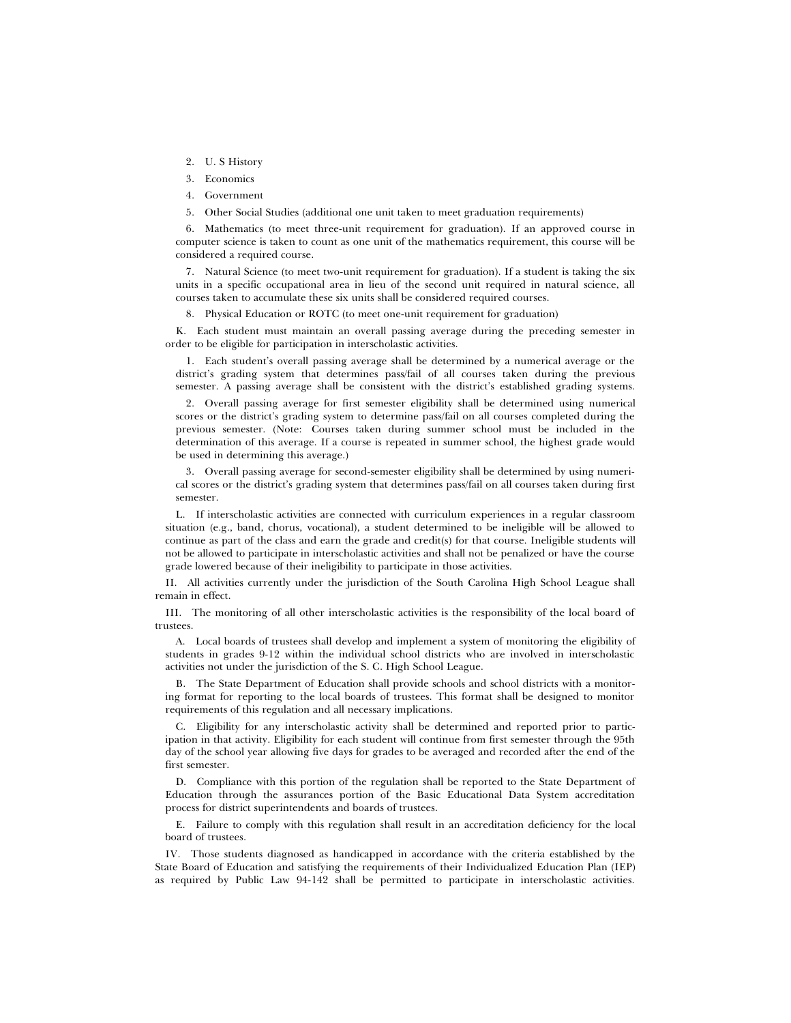- 2. U. S History
- 3. Economics
- 4. Government
- 5. Other Social Studies (additional one unit taken to meet graduation requirements)

6. Mathematics (to meet three-unit requirement for graduation). If an approved course in computer science is taken to count as one unit of the mathematics requirement, this course will be considered a required course.

7. Natural Science (to meet two-unit requirement for graduation). If a student is taking the six units in a specific occupational area in lieu of the second unit required in natural science, all courses taken to accumulate these six units shall be considered required courses.

8. Physical Education or ROTC (to meet one-unit requirement for graduation)

K. Each student must maintain an overall passing average during the preceding semester in order to be eligible for participation in interscholastic activities.

1. Each student's overall passing average shall be determined by a numerical average or the district's grading system that determines pass/fail of all courses taken during the previous semester. A passing average shall be consistent with the district's established grading systems.

2. Overall passing average for first semester eligibility shall be determined using numerical scores or the district's grading system to determine pass/fail on all courses completed during the previous semester. (Note: Courses taken during summer school must be included in the determination of this average. If a course is repeated in summer school, the highest grade would be used in determining this average.)

3. Overall passing average for second-semester eligibility shall be determined by using numerical scores or the district's grading system that determines pass/fail on all courses taken during first semester.

L. If interscholastic activities are connected with curriculum experiences in a regular classroom situation (e.g., band, chorus, vocational), a student determined to be ineligible will be allowed to continue as part of the class and earn the grade and credit(s) for that course. Ineligible students will not be allowed to participate in interscholastic activities and shall not be penalized or have the course grade lowered because of their ineligibility to participate in those activities.

II. All activities currently under the jurisdiction of the South Carolina High School League shall remain in effect.

III. The monitoring of all other interscholastic activities is the responsibility of the local board of trustees.

A. Local boards of trustees shall develop and implement a system of monitoring the eligibility of students in grades 9-12 within the individual school districts who are involved in interscholastic activities not under the jurisdiction of the S. C. High School League.

B. The State Department of Education shall provide schools and school districts with a monitoring format for reporting to the local boards of trustees. This format shall be designed to monitor requirements of this regulation and all necessary implications.

C. Eligibility for any interscholastic activity shall be determined and reported prior to participation in that activity. Eligibility for each student will continue from first semester through the 95th day of the school year allowing five days for grades to be averaged and recorded after the end of the first semester.

D. Compliance with this portion of the regulation shall be reported to the State Department of Education through the assurances portion of the Basic Educational Data System accreditation process for district superintendents and boards of trustees.

E. Failure to comply with this regulation shall result in an accreditation deficiency for the local board of trustees.

IV. Those students diagnosed as handicapped in accordance with the criteria established by the State Board of Education and satisfying the requirements of their Individualized Education Plan (IEP) as required by Public Law 94-142 shall be permitted to participate in interscholastic activities.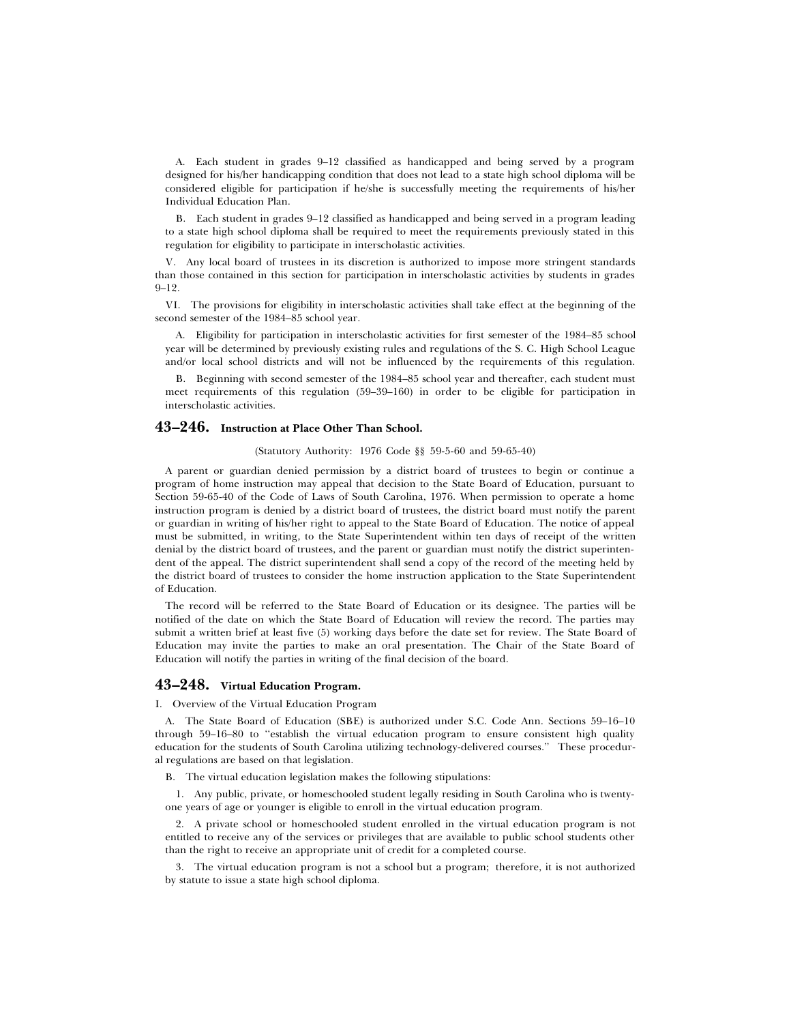A. Each student in grades 9–12 classified as handicapped and being served by a program designed for his/her handicapping condition that does not lead to a state high school diploma will be considered eligible for participation if he/she is successfully meeting the requirements of his/her Individual Education Plan.

B. Each student in grades 9–12 classified as handicapped and being served in a program leading to a state high school diploma shall be required to meet the requirements previously stated in this regulation for eligibility to participate in interscholastic activities.

V. Any local board of trustees in its discretion is authorized to impose more stringent standards than those contained in this section for participation in interscholastic activities by students in grades  $9 - 12$ .

VI. The provisions for eligibility in interscholastic activities shall take effect at the beginning of the second semester of the 1984–85 school year.

A. Eligibility for participation in interscholastic activities for first semester of the 1984–85 school year will be determined by previously existing rules and regulations of the S. C. High School League and/or local school districts and will not be influenced by the requirements of this regulation.

B. Beginning with second semester of the 1984–85 school year and thereafter, each student must meet requirements of this regulation (59–39–160) in order to be eligible for participation in interscholastic activities.

# **43–246. Instruction at Place Other Than School.**

(Statutory Authority: 1976 Code §§ 59-5-60 and 59-65-40)

A parent or guardian denied permission by a district board of trustees to begin or continue a program of home instruction may appeal that decision to the State Board of Education, pursuant to Section 59-65-40 of the Code of Laws of South Carolina, 1976. When permission to operate a home instruction program is denied by a district board of trustees, the district board must notify the parent or guardian in writing of his/her right to appeal to the State Board of Education. The notice of appeal must be submitted, in writing, to the State Superintendent within ten days of receipt of the written denial by the district board of trustees, and the parent or guardian must notify the district superintendent of the appeal. The district superintendent shall send a copy of the record of the meeting held by the district board of trustees to consider the home instruction application to the State Superintendent of Education.

The record will be referred to the State Board of Education or its designee. The parties will be notified of the date on which the State Board of Education will review the record. The parties may submit a written brief at least five (5) working days before the date set for review. The State Board of Education may invite the parties to make an oral presentation. The Chair of the State Board of Education will notify the parties in writing of the final decision of the board.

# **43–248. Virtual Education Program.**

I. Overview of the Virtual Education Program

A. The State Board of Education (SBE) is authorized under S.C. Code Ann. Sections 59–16–10 through 59–16–80 to "establish the virtual education program to ensure consistent high quality education for the students of South Carolina utilizing technology-delivered courses.'' These procedural regulations are based on that legislation.

B. The virtual education legislation makes the following stipulations:

1. Any public, private, or homeschooled student legally residing in South Carolina who is twentyone years of age or younger is eligible to enroll in the virtual education program.

2. A private school or homeschooled student enrolled in the virtual education program is not entitled to receive any of the services or privileges that are available to public school students other than the right to receive an appropriate unit of credit for a completed course.

3. The virtual education program is not a school but a program; therefore, it is not authorized by statute to issue a state high school diploma.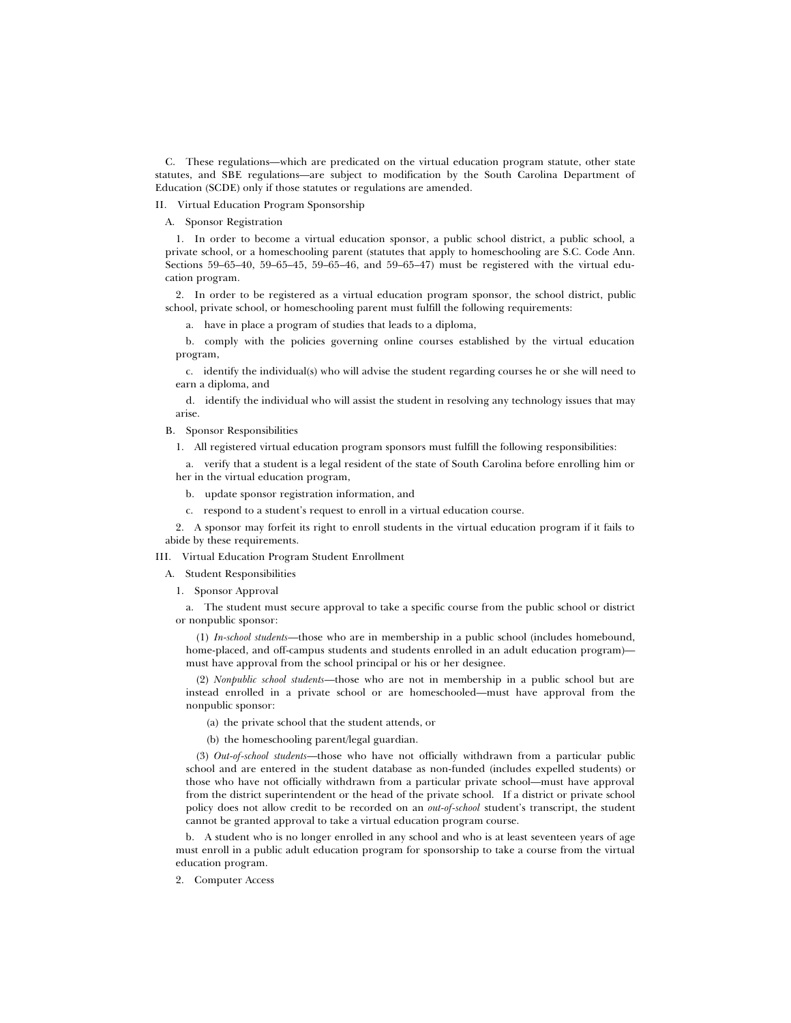C. These regulations—which are predicated on the virtual education program statute, other state statutes, and SBE regulations—are subject to modification by the South Carolina Department of Education (SCDE) only if those statutes or regulations are amended.

- II. Virtual Education Program Sponsorship
	- A. Sponsor Registration

1. In order to become a virtual education sponsor, a public school district, a public school, a private school, or a homeschooling parent (statutes that apply to homeschooling are S.C. Code Ann. Sections 59–65–40, 59–65–45, 59–65–46, and 59–65–47) must be registered with the virtual education program.

2. In order to be registered as a virtual education program sponsor, the school district, public school, private school, or homeschooling parent must fulfill the following requirements:

a. have in place a program of studies that leads to a diploma,

b. comply with the policies governing online courses established by the virtual education program,

c. identify the individual(s) who will advise the student regarding courses he or she will need to earn a diploma, and

d. identify the individual who will assist the student in resolving any technology issues that may arise.

B. Sponsor Responsibilities

1. All registered virtual education program sponsors must fulfill the following responsibilities:

a. verify that a student is a legal resident of the state of South Carolina before enrolling him or her in the virtual education program,

- b. update sponsor registration information, and
- c. respond to a student's request to enroll in a virtual education course.

2. A sponsor may forfeit its right to enroll students in the virtual education program if it fails to abide by these requirements.

III. Virtual Education Program Student Enrollment

A. Student Responsibilities

1. Sponsor Approval

a. The student must secure approval to take a specific course from the public school or district or nonpublic sponsor:

(1) *In-school students*—those who are in membership in a public school (includes homebound, home-placed, and off-campus students and students enrolled in an adult education program) must have approval from the school principal or his or her designee.

(2) *Nonpublic school students*—those who are not in membership in a public school but are instead enrolled in a private school or are homeschooled—must have approval from the nonpublic sponsor:

(a) the private school that the student attends, or

(b) the homeschooling parent/legal guardian.

(3) *Out-of-school students*—those who have not officially withdrawn from a particular public school and are entered in the student database as non-funded (includes expelled students) or those who have not officially withdrawn from a particular private school—must have approval from the district superintendent or the head of the private school. If a district or private school policy does not allow credit to be recorded on an *out-of-school* student's transcript, the student cannot be granted approval to take a virtual education program course.

b. A student who is no longer enrolled in any school and who is at least seventeen years of age must enroll in a public adult education program for sponsorship to take a course from the virtual education program.

2. Computer Access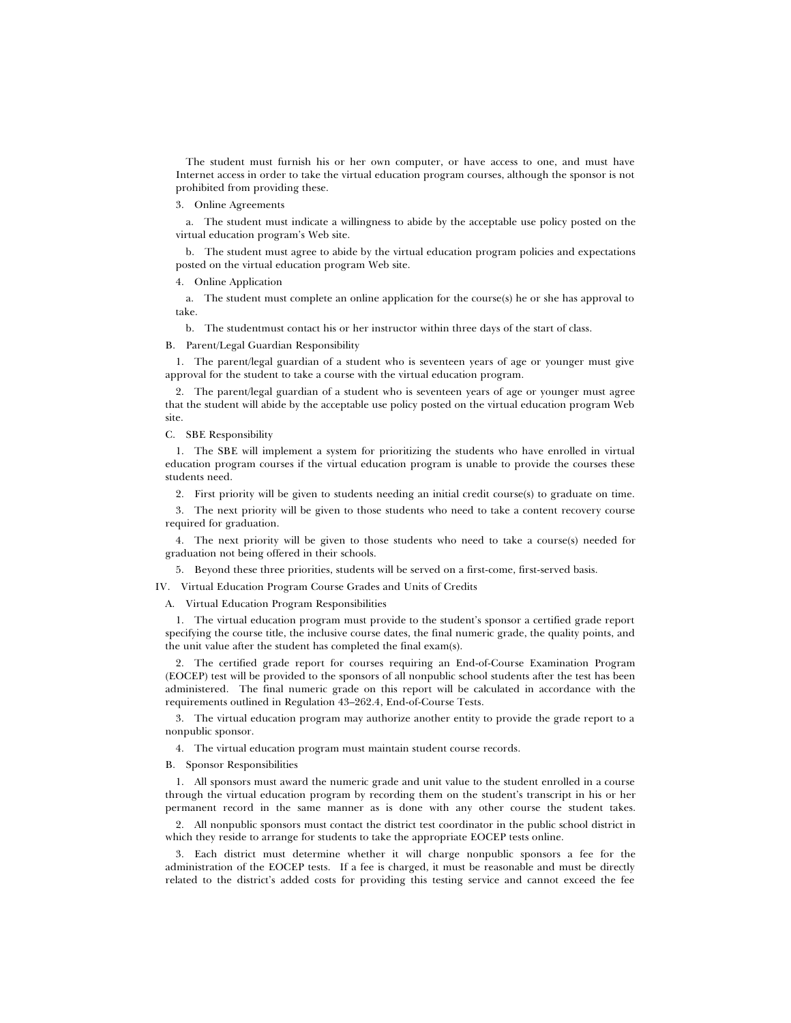The student must furnish his or her own computer, or have access to one, and must have Internet access in order to take the virtual education program courses, although the sponsor is not prohibited from providing these.

3. Online Agreements

a. The student must indicate a willingness to abide by the acceptable use policy posted on the virtual education program's Web site.

b. The student must agree to abide by the virtual education program policies and expectations posted on the virtual education program Web site.

4. Online Application

a. The student must complete an online application for the course(s) he or she has approval to take.

b. The studentmust contact his or her instructor within three days of the start of class.

B. Parent/Legal Guardian Responsibility

1. The parent/legal guardian of a student who is seventeen years of age or younger must give approval for the student to take a course with the virtual education program.

2. The parent/legal guardian of a student who is seventeen years of age or younger must agree that the student will abide by the acceptable use policy posted on the virtual education program Web site.

C. SBE Responsibility

1. The SBE will implement a system for prioritizing the students who have enrolled in virtual education program courses if the virtual education program is unable to provide the courses these students need.

2. First priority will be given to students needing an initial credit course(s) to graduate on time.

3. The next priority will be given to those students who need to take a content recovery course required for graduation.

4. The next priority will be given to those students who need to take a course(s) needed for graduation not being offered in their schools.

5. Beyond these three priorities, students will be served on a first-come, first-served basis.

IV. Virtual Education Program Course Grades and Units of Credits

A. Virtual Education Program Responsibilities

1. The virtual education program must provide to the student's sponsor a certified grade report specifying the course title, the inclusive course dates, the final numeric grade, the quality points, and the unit value after the student has completed the final exam(s).

2. The certified grade report for courses requiring an End-of-Course Examination Program (EOCEP) test will be provided to the sponsors of all nonpublic school students after the test has been administered. The final numeric grade on this report will be calculated in accordance with the requirements outlined in Regulation 43–262.4, End-of-Course Tests.

3. The virtual education program may authorize another entity to provide the grade report to a nonpublic sponsor.

4. The virtual education program must maintain student course records.

B. Sponsor Responsibilities

1. All sponsors must award the numeric grade and unit value to the student enrolled in a course through the virtual education program by recording them on the student's transcript in his or her permanent record in the same manner as is done with any other course the student takes.

2. All nonpublic sponsors must contact the district test coordinator in the public school district in which they reside to arrange for students to take the appropriate EOCEP tests online.

3. Each district must determine whether it will charge nonpublic sponsors a fee for the administration of the EOCEP tests. If a fee is charged, it must be reasonable and must be directly related to the district's added costs for providing this testing service and cannot exceed the fee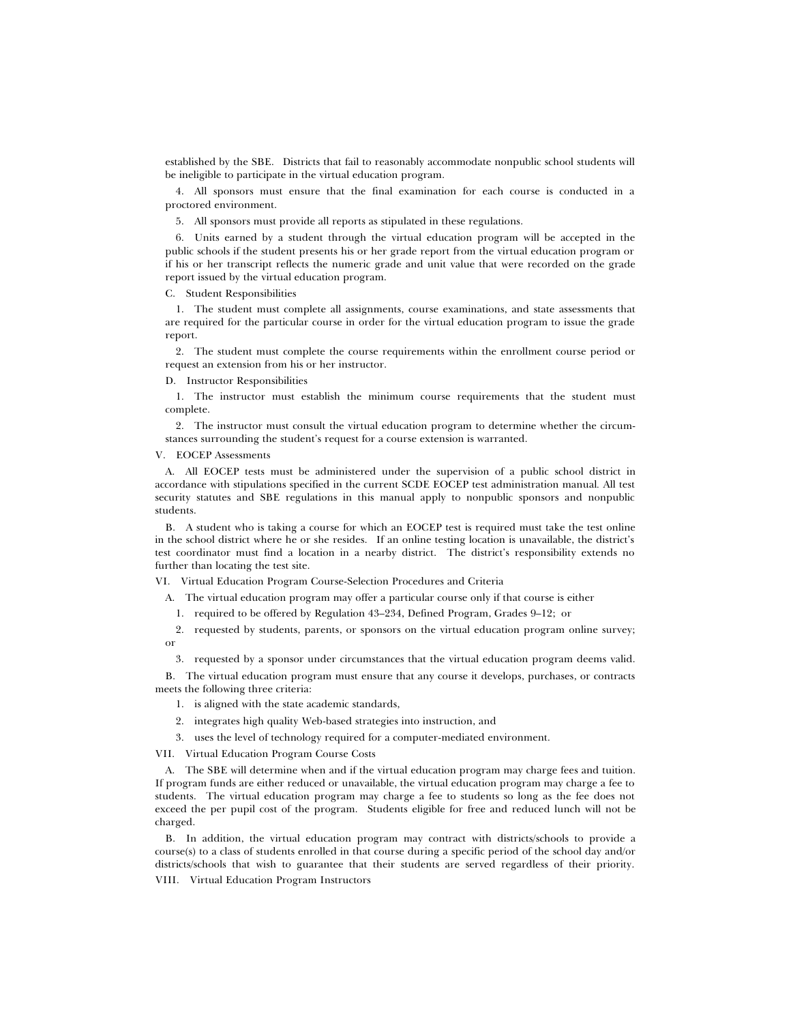established by the SBE. Districts that fail to reasonably accommodate nonpublic school students will be ineligible to participate in the virtual education program.

4. All sponsors must ensure that the final examination for each course is conducted in a proctored environment.

5. All sponsors must provide all reports as stipulated in these regulations.

6. Units earned by a student through the virtual education program will be accepted in the public schools if the student presents his or her grade report from the virtual education program or if his or her transcript reflects the numeric grade and unit value that were recorded on the grade report issued by the virtual education program.

C. Student Responsibilities

1. The student must complete all assignments, course examinations, and state assessments that are required for the particular course in order for the virtual education program to issue the grade report.

2. The student must complete the course requirements within the enrollment course period or request an extension from his or her instructor.

D. Instructor Responsibilities

1. The instructor must establish the minimum course requirements that the student must complete.

2. The instructor must consult the virtual education program to determine whether the circumstances surrounding the student's request for a course extension is warranted.

V. EOCEP Assessments

A. All EOCEP tests must be administered under the supervision of a public school district in accordance with stipulations specified in the current SCDE EOCEP test administration manual*.* All test security statutes and SBE regulations in this manual apply to nonpublic sponsors and nonpublic students.

B. A student who is taking a course for which an EOCEP test is required must take the test online in the school district where he or she resides. If an online testing location is unavailable, the district's test coordinator must find a location in a nearby district. The district's responsibility extends no further than locating the test site.

VI. Virtual Education Program Course-Selection Procedures and Criteria

A. The virtual education program may offer a particular course only if that course is either

1. required to be offered by Regulation 43–234, Defined Program, Grades 9–12; or

2. requested by students, parents, or sponsors on the virtual education program online survey; or

3. requested by a sponsor under circumstances that the virtual education program deems valid.

B. The virtual education program must ensure that any course it develops, purchases, or contracts meets the following three criteria:

- 1. is aligned with the state academic standards,
- 2. integrates high quality Web-based strategies into instruction, and
- 3. uses the level of technology required for a computer-mediated environment.

VII. Virtual Education Program Course Costs

A. The SBE will determine when and if the virtual education program may charge fees and tuition. If program funds are either reduced or unavailable, the virtual education program may charge a fee to students. The virtual education program may charge a fee to students so long as the fee does not exceed the per pupil cost of the program. Students eligible for free and reduced lunch will not be charged.

B. In addition, the virtual education program may contract with districts/schools to provide a course(s) to a class of students enrolled in that course during a specific period of the school day and/or districts/schools that wish to guarantee that their students are served regardless of their priority. VIII. Virtual Education Program Instructors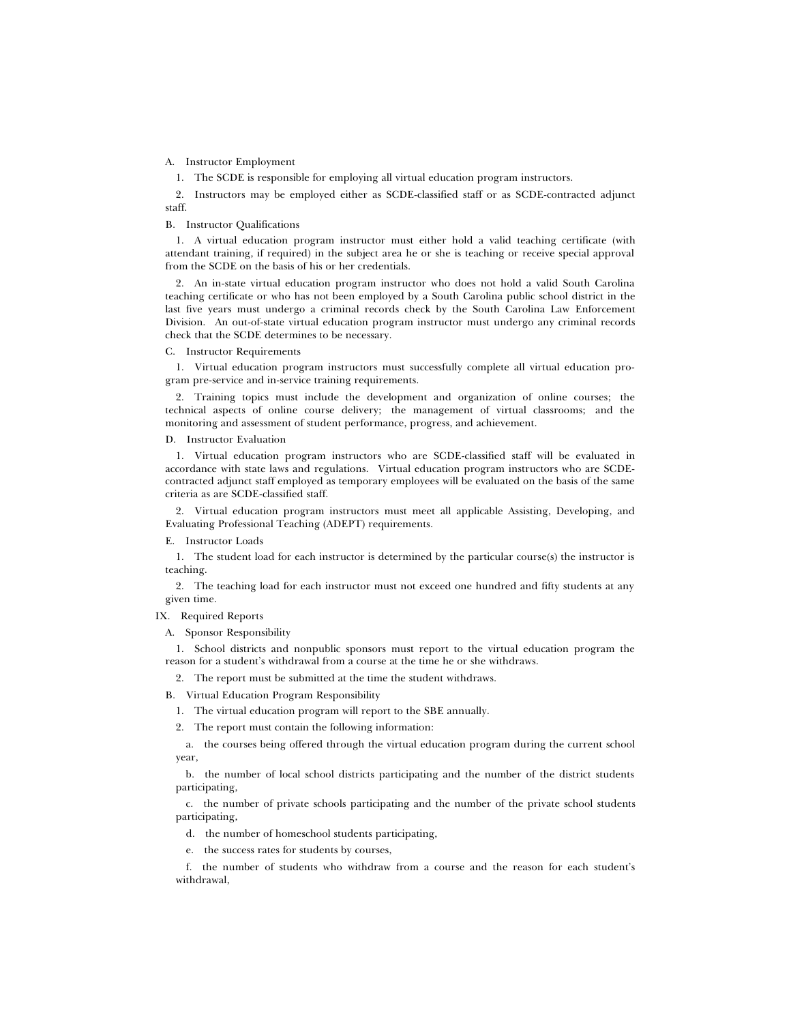A. Instructor Employment

1. The SCDE is responsible for employing all virtual education program instructors.

2. Instructors may be employed either as SCDE-classified staff or as SCDE-contracted adjunct staff.

#### B. Instructor Qualifications

1. A virtual education program instructor must either hold a valid teaching certificate (with attendant training, if required) in the subject area he or she is teaching or receive special approval from the SCDE on the basis of his or her credentials.

2. An in-state virtual education program instructor who does not hold a valid South Carolina teaching certificate or who has not been employed by a South Carolina public school district in the last five years must undergo a criminal records check by the South Carolina Law Enforcement Division. An out-of-state virtual education program instructor must undergo any criminal records check that the SCDE determines to be necessary.

C. Instructor Requirements

1. Virtual education program instructors must successfully complete all virtual education program pre-service and in-service training requirements.

2. Training topics must include the development and organization of online courses; the technical aspects of online course delivery; the management of virtual classrooms; and the monitoring and assessment of student performance, progress, and achievement.

D. Instructor Evaluation

1. Virtual education program instructors who are SCDE-classified staff will be evaluated in accordance with state laws and regulations. Virtual education program instructors who are SCDEcontracted adjunct staff employed as temporary employees will be evaluated on the basis of the same criteria as are SCDE-classified staff.

2. Virtual education program instructors must meet all applicable Assisting, Developing, and Evaluating Professional Teaching (ADEPT) requirements.

E. Instructor Loads

1. The student load for each instructor is determined by the particular course(s) the instructor is teaching.

2. The teaching load for each instructor must not exceed one hundred and fifty students at any given time.

# IX. Required Reports

A. Sponsor Responsibility

1. School districts and nonpublic sponsors must report to the virtual education program the reason for a student's withdrawal from a course at the time he or she withdraws.

2. The report must be submitted at the time the student withdraws.

B. Virtual Education Program Responsibility

1. The virtual education program will report to the SBE annually.

2. The report must contain the following information:

a. the courses being offered through the virtual education program during the current school year,

b. the number of local school districts participating and the number of the district students participating,

c. the number of private schools participating and the number of the private school students participating,

d. the number of homeschool students participating,

e. the success rates for students by courses,

f. the number of students who withdraw from a course and the reason for each student's withdrawal,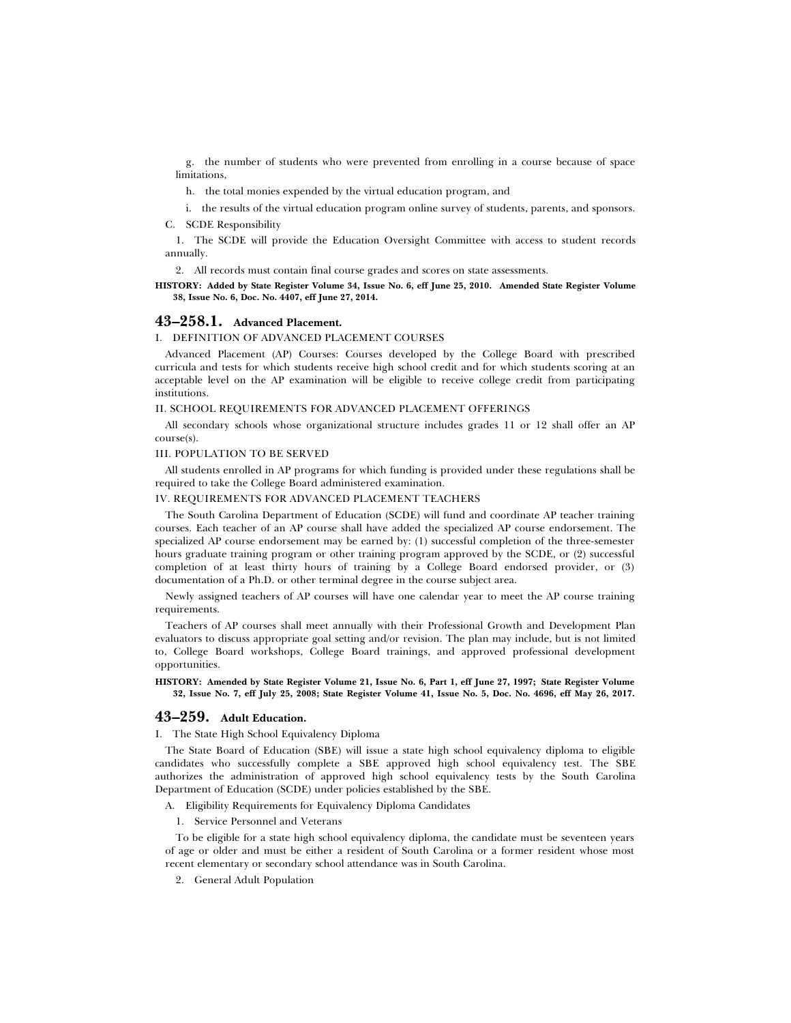g. the number of students who were prevented from enrolling in a course because of space limitations.

h. the total monies expended by the virtual education program, and

i. the results of the virtual education program online survey of students, parents, and sponsors. C. SCDE Responsibility

1. The SCDE will provide the Education Oversight Committee with access to student records annually.

2. All records must contain final course grades and scores on state assessments.

**HISTORY: Added by State Register Volume 34, Issue No. 6, eff June 25, 2010. Amended State Register Volume 38, Issue No. 6, Doc. No. 4407, eff June 27, 2014.**

# **43–258.1. Advanced Placement.**

I. DEFINITION OF ADVANCED PLACEMENT COURSES

Advanced Placement (AP) Courses: Courses developed by the College Board with prescribed curricula and tests for which students receive high school credit and for which students scoring at an acceptable level on the AP examination will be eligible to receive college credit from participating institutions.

### II. SCHOOL REQUIREMENTS FOR ADVANCED PLACEMENT OFFERINGS

All secondary schools whose organizational structure includes grades 11 or 12 shall offer an AP course(s).

### III. POPULATION TO BE SERVED

All students enrolled in AP programs for which funding is provided under these regulations shall be required to take the College Board administered examination.

# IV. REQUIREMENTS FOR ADVANCED PLACEMENT TEACHERS

The South Carolina Department of Education (SCDE) will fund and coordinate AP teacher training courses. Each teacher of an AP course shall have added the specialized AP course endorsement. The specialized AP course endorsement may be earned by: (1) successful completion of the three-semester hours graduate training program or other training program approved by the SCDE, or (2) successful completion of at least thirty hours of training by a College Board endorsed provider, or (3) documentation of a Ph.D. or other terminal degree in the course subject area.

Newly assigned teachers of AP courses will have one calendar year to meet the AP course training requirements.

Teachers of AP courses shall meet annually with their Professional Growth and Development Plan evaluators to discuss appropriate goal setting and/or revision. The plan may include, but is not limited to, College Board workshops, College Board trainings, and approved professional development opportunities.

**HISTORY: Amended by State Register Volume 21, Issue No. 6, Part 1, eff June 27, 1997; State Register Volume 32, Issue No. 7, eff July 25, 2008; State Register Volume 41, Issue No. 5, Doc. No. 4696, eff May 26, 2017.**

# **43–259. Adult Education.**

I. The State High School Equivalency Diploma

The State Board of Education (SBE) will issue a state high school equivalency diploma to eligible candidates who successfully complete a SBE approved high school equivalency test. The SBE authorizes the administration of approved high school equivalency tests by the South Carolina Department of Education (SCDE) under policies established by the SBE.

A. Eligibility Requirements for Equivalency Diploma Candidates

1. Service Personnel and Veterans

To be eligible for a state high school equivalency diploma, the candidate must be seventeen years of age or older and must be either a resident of South Carolina or a former resident whose most recent elementary or secondary school attendance was in South Carolina.

2. General Adult Population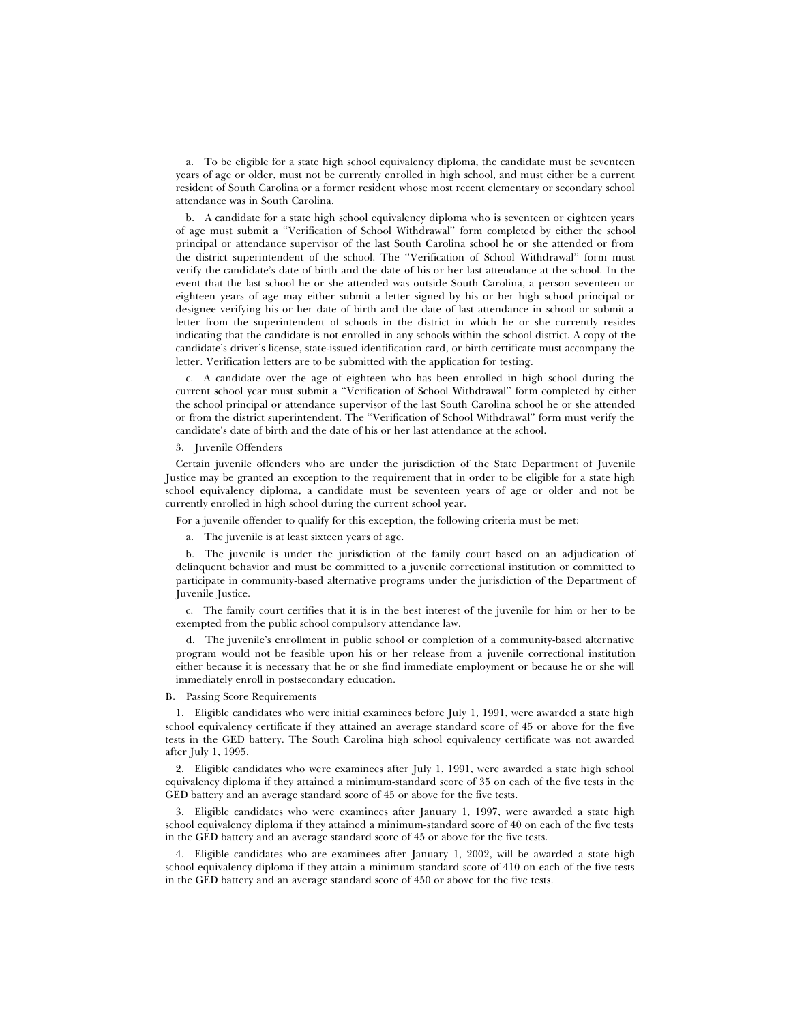a. To be eligible for a state high school equivalency diploma, the candidate must be seventeen years of age or older, must not be currently enrolled in high school, and must either be a current resident of South Carolina or a former resident whose most recent elementary or secondary school attendance was in South Carolina.

b. A candidate for a state high school equivalency diploma who is seventeen or eighteen years of age must submit a ''Verification of School Withdrawal'' form completed by either the school principal or attendance supervisor of the last South Carolina school he or she attended or from the district superintendent of the school. The ''Verification of School Withdrawal'' form must verify the candidate's date of birth and the date of his or her last attendance at the school. In the event that the last school he or she attended was outside South Carolina, a person seventeen or eighteen years of age may either submit a letter signed by his or her high school principal or designee verifying his or her date of birth and the date of last attendance in school or submit a letter from the superintendent of schools in the district in which he or she currently resides indicating that the candidate is not enrolled in any schools within the school district. A copy of the candidate's driver's license, state-issued identification card, or birth certificate must accompany the letter. Verification letters are to be submitted with the application for testing.

c. A candidate over the age of eighteen who has been enrolled in high school during the current school year must submit a ''Verification of School Withdrawal'' form completed by either the school principal or attendance supervisor of the last South Carolina school he or she attended or from the district superintendent. The ''Verification of School Withdrawal'' form must verify the candidate's date of birth and the date of his or her last attendance at the school.

3. Juvenile Offenders

Certain juvenile offenders who are under the jurisdiction of the State Department of Juvenile Justice may be granted an exception to the requirement that in order to be eligible for a state high school equivalency diploma, a candidate must be seventeen years of age or older and not be currently enrolled in high school during the current school year.

For a juvenile offender to qualify for this exception, the following criteria must be met:

a. The juvenile is at least sixteen years of age.

b. The juvenile is under the jurisdiction of the family court based on an adjudication of delinquent behavior and must be committed to a juvenile correctional institution or committed to participate in community-based alternative programs under the jurisdiction of the Department of Juvenile Justice.

c. The family court certifies that it is in the best interest of the juvenile for him or her to be exempted from the public school compulsory attendance law.

d. The juvenile's enrollment in public school or completion of a community-based alternative program would not be feasible upon his or her release from a juvenile correctional institution either because it is necessary that he or she find immediate employment or because he or she will immediately enroll in postsecondary education.

B. Passing Score Requirements

1. Eligible candidates who were initial examinees before July 1, 1991, were awarded a state high school equivalency certificate if they attained an average standard score of 45 or above for the five tests in the GED battery. The South Carolina high school equivalency certificate was not awarded after July 1, 1995.

2. Eligible candidates who were examinees after July 1, 1991, were awarded a state high school equivalency diploma if they attained a minimum-standard score of 35 on each of the five tests in the GED battery and an average standard score of 45 or above for the five tests.

3. Eligible candidates who were examinees after January 1, 1997, were awarded a state high school equivalency diploma if they attained a minimum-standard score of 40 on each of the five tests in the GED battery and an average standard score of 45 or above for the five tests.

4. Eligible candidates who are examinees after January 1, 2002, will be awarded a state high school equivalency diploma if they attain a minimum standard score of 410 on each of the five tests in the GED battery and an average standard score of 450 or above for the five tests.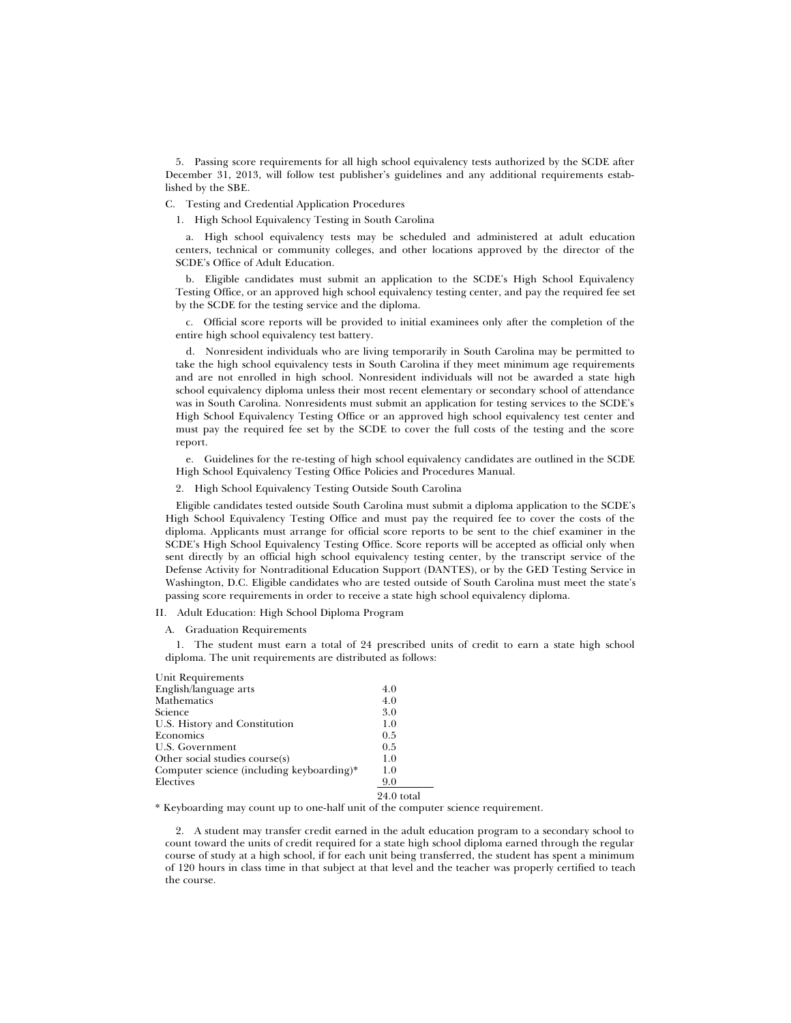5. Passing score requirements for all high school equivalency tests authorized by the SCDE after December 31, 2013, will follow test publisher's guidelines and any additional requirements established by the SBE.

C. Testing and Credential Application Procedures

1. High School Equivalency Testing in South Carolina

a. High school equivalency tests may be scheduled and administered at adult education centers, technical or community colleges, and other locations approved by the director of the SCDE's Office of Adult Education.

b. Eligible candidates must submit an application to the SCDE's High School Equivalency Testing Office, or an approved high school equivalency testing center, and pay the required fee set by the SCDE for the testing service and the diploma.

c. Official score reports will be provided to initial examinees only after the completion of the entire high school equivalency test battery.

d. Nonresident individuals who are living temporarily in South Carolina may be permitted to take the high school equivalency tests in South Carolina if they meet minimum age requirements and are not enrolled in high school. Nonresident individuals will not be awarded a state high school equivalency diploma unless their most recent elementary or secondary school of attendance was in South Carolina. Nonresidents must submit an application for testing services to the SCDE's High School Equivalency Testing Office or an approved high school equivalency test center and must pay the required fee set by the SCDE to cover the full costs of the testing and the score report.

e. Guidelines for the re-testing of high school equivalency candidates are outlined in the SCDE High School Equivalency Testing Office Policies and Procedures Manual.

2. High School Equivalency Testing Outside South Carolina

Eligible candidates tested outside South Carolina must submit a diploma application to the SCDE's High School Equivalency Testing Office and must pay the required fee to cover the costs of the diploma. Applicants must arrange for official score reports to be sent to the chief examiner in the SCDE's High School Equivalency Testing Office. Score reports will be accepted as official only when sent directly by an official high school equivalency testing center, by the transcript service of the Defense Activity for Nontraditional Education Support (DANTES), or by the GED Testing Service in Washington, D.C. Eligible candidates who are tested outside of South Carolina must meet the state's passing score requirements in order to receive a state high school equivalency diploma.

II. Adult Education: High School Diploma Program

A. Graduation Requirements

1. The student must earn a total of 24 prescribed units of credit to earn a state high school diploma. The unit requirements are distributed as follows:

| Unit Requirements                         |              |
|-------------------------------------------|--------------|
| English/language arts                     | 4.0          |
| Mathematics                               | 4.0          |
| Science                                   | 3.0          |
| U.S. History and Constitution             | 1.0          |
| Economics                                 | 0.5          |
| U.S. Government                           | 0.5          |
| Other social studies course(s)            | 1.0          |
| Computer science (including keyboarding)* | 1.0          |
| Electives                                 | 9.0          |
|                                           | $24.0$ total |

\* Keyboarding may count up to one-half unit of the computer science requirement.

2. A student may transfer credit earned in the adult education program to a secondary school to count toward the units of credit required for a state high school diploma earned through the regular course of study at a high school, if for each unit being transferred, the student has spent a minimum of 120 hours in class time in that subject at that level and the teacher was properly certified to teach the course.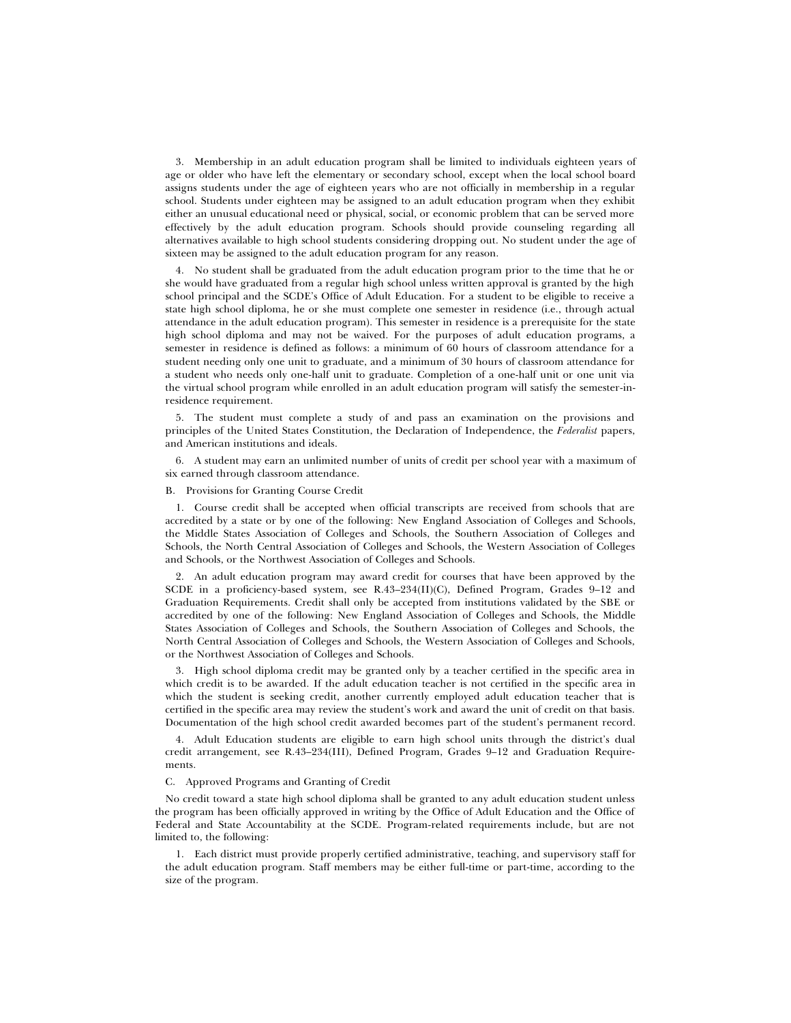3. Membership in an adult education program shall be limited to individuals eighteen years of age or older who have left the elementary or secondary school, except when the local school board assigns students under the age of eighteen years who are not officially in membership in a regular school. Students under eighteen may be assigned to an adult education program when they exhibit either an unusual educational need or physical, social, or economic problem that can be served more effectively by the adult education program. Schools should provide counseling regarding all alternatives available to high school students considering dropping out. No student under the age of sixteen may be assigned to the adult education program for any reason.

4. No student shall be graduated from the adult education program prior to the time that he or she would have graduated from a regular high school unless written approval is granted by the high school principal and the SCDE's Office of Adult Education. For a student to be eligible to receive a state high school diploma, he or she must complete one semester in residence (i.e., through actual attendance in the adult education program). This semester in residence is a prerequisite for the state high school diploma and may not be waived. For the purposes of adult education programs, a semester in residence is defined as follows: a minimum of 60 hours of classroom attendance for a student needing only one unit to graduate, and a minimum of 30 hours of classroom attendance for a student who needs only one-half unit to graduate. Completion of a one-half unit or one unit via the virtual school program while enrolled in an adult education program will satisfy the semester-inresidence requirement.

5. The student must complete a study of and pass an examination on the provisions and principles of the United States Constitution, the Declaration of Independence, the *Federalist* papers, and American institutions and ideals.

6. A student may earn an unlimited number of units of credit per school year with a maximum of six earned through classroom attendance.

#### B. Provisions for Granting Course Credit

1. Course credit shall be accepted when official transcripts are received from schools that are accredited by a state or by one of the following: New England Association of Colleges and Schools, the Middle States Association of Colleges and Schools, the Southern Association of Colleges and Schools, the North Central Association of Colleges and Schools, the Western Association of Colleges and Schools, or the Northwest Association of Colleges and Schools.

2. An adult education program may award credit for courses that have been approved by the SCDE in a proficiency-based system, see R.43–234(II)(C), Defined Program, Grades 9–12 and Graduation Requirements. Credit shall only be accepted from institutions validated by the SBE or accredited by one of the following: New England Association of Colleges and Schools, the Middle States Association of Colleges and Schools, the Southern Association of Colleges and Schools, the North Central Association of Colleges and Schools, the Western Association of Colleges and Schools, or the Northwest Association of Colleges and Schools.

3. High school diploma credit may be granted only by a teacher certified in the specific area in which credit is to be awarded. If the adult education teacher is not certified in the specific area in which the student is seeking credit, another currently employed adult education teacher that is certified in the specific area may review the student's work and award the unit of credit on that basis. Documentation of the high school credit awarded becomes part of the student's permanent record.

4. Adult Education students are eligible to earn high school units through the district's dual credit arrangement, see R.43–234(III), Defined Program, Grades 9–12 and Graduation Requirements.

#### C. Approved Programs and Granting of Credit

No credit toward a state high school diploma shall be granted to any adult education student unless the program has been officially approved in writing by the Office of Adult Education and the Office of Federal and State Accountability at the SCDE. Program-related requirements include, but are not limited to, the following:

1. Each district must provide properly certified administrative, teaching, and supervisory staff for the adult education program. Staff members may be either full-time or part-time, according to the size of the program.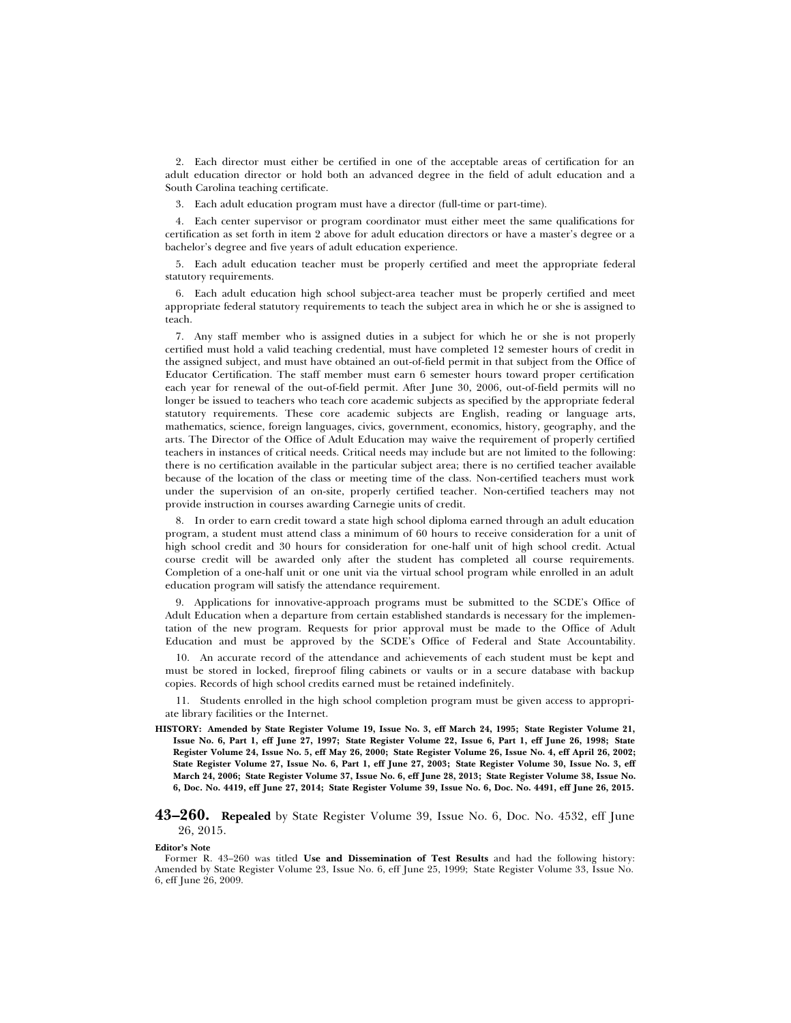2. Each director must either be certified in one of the acceptable areas of certification for an adult education director or hold both an advanced degree in the field of adult education and a South Carolina teaching certificate.

3. Each adult education program must have a director (full-time or part-time).

4. Each center supervisor or program coordinator must either meet the same qualifications for certification as set forth in item 2 above for adult education directors or have a master's degree or a bachelor's degree and five years of adult education experience.

5. Each adult education teacher must be properly certified and meet the appropriate federal statutory requirements.

6. Each adult education high school subject-area teacher must be properly certified and meet appropriate federal statutory requirements to teach the subject area in which he or she is assigned to teach.

7. Any staff member who is assigned duties in a subject for which he or she is not properly certified must hold a valid teaching credential, must have completed 12 semester hours of credit in the assigned subject, and must have obtained an out-of-field permit in that subject from the Office of Educator Certification. The staff member must earn 6 semester hours toward proper certification each year for renewal of the out-of-field permit. After June 30, 2006, out-of-field permits will no longer be issued to teachers who teach core academic subjects as specified by the appropriate federal statutory requirements. These core academic subjects are English, reading or language arts, mathematics, science, foreign languages, civics, government, economics, history, geography, and the arts. The Director of the Office of Adult Education may waive the requirement of properly certified teachers in instances of critical needs. Critical needs may include but are not limited to the following: there is no certification available in the particular subject area; there is no certified teacher available because of the location of the class or meeting time of the class. Non-certified teachers must work under the supervision of an on-site, properly certified teacher. Non-certified teachers may not provide instruction in courses awarding Carnegie units of credit.

8. In order to earn credit toward a state high school diploma earned through an adult education program, a student must attend class a minimum of 60 hours to receive consideration for a unit of high school credit and 30 hours for consideration for one-half unit of high school credit. Actual course credit will be awarded only after the student has completed all course requirements. Completion of a one-half unit or one unit via the virtual school program while enrolled in an adult education program will satisfy the attendance requirement.

9. Applications for innovative-approach programs must be submitted to the SCDE's Office of Adult Education when a departure from certain established standards is necessary for the implementation of the new program. Requests for prior approval must be made to the Office of Adult Education and must be approved by the SCDE's Office of Federal and State Accountability.

10. An accurate record of the attendance and achievements of each student must be kept and must be stored in locked, fireproof filing cabinets or vaults or in a secure database with backup copies. Records of high school credits earned must be retained indefinitely.

11. Students enrolled in the high school completion program must be given access to appropriate library facilities or the Internet.

**HISTORY: Amended by State Register Volume 19, Issue No. 3, eff March 24, 1995; State Register Volume 21, Issue No. 6, Part 1, eff June 27, 1997; State Register Volume 22, Issue 6, Part 1, eff June 26, 1998; State Register Volume 24, Issue No. 5, eff May 26, 2000; State Register Volume 26, Issue No. 4, eff April 26, 2002; State Register Volume 27, Issue No. 6, Part 1, eff June 27, 2003; State Register Volume 30, Issue No. 3, eff March 24, 2006; State Register Volume 37, Issue No. 6, eff June 28, 2013; State Register Volume 38, Issue No. 6, Doc. No. 4419, eff June 27, 2014; State Register Volume 39, Issue No. 6, Doc. No. 4491, eff June 26, 2015.**

# **43–260. Repealed** by State Register Volume 39, Issue No. 6, Doc. No. 4532, eff June 26, 2015.

**Editor's Note**

Former R. 43–260 was titled **Use and Dissemination of Test Results** and had the following history: Amended by State Register Volume 23, Issue No. 6, eff June 25, 1999; State Register Volume 33, Issue No. 6, eff June 26, 2009.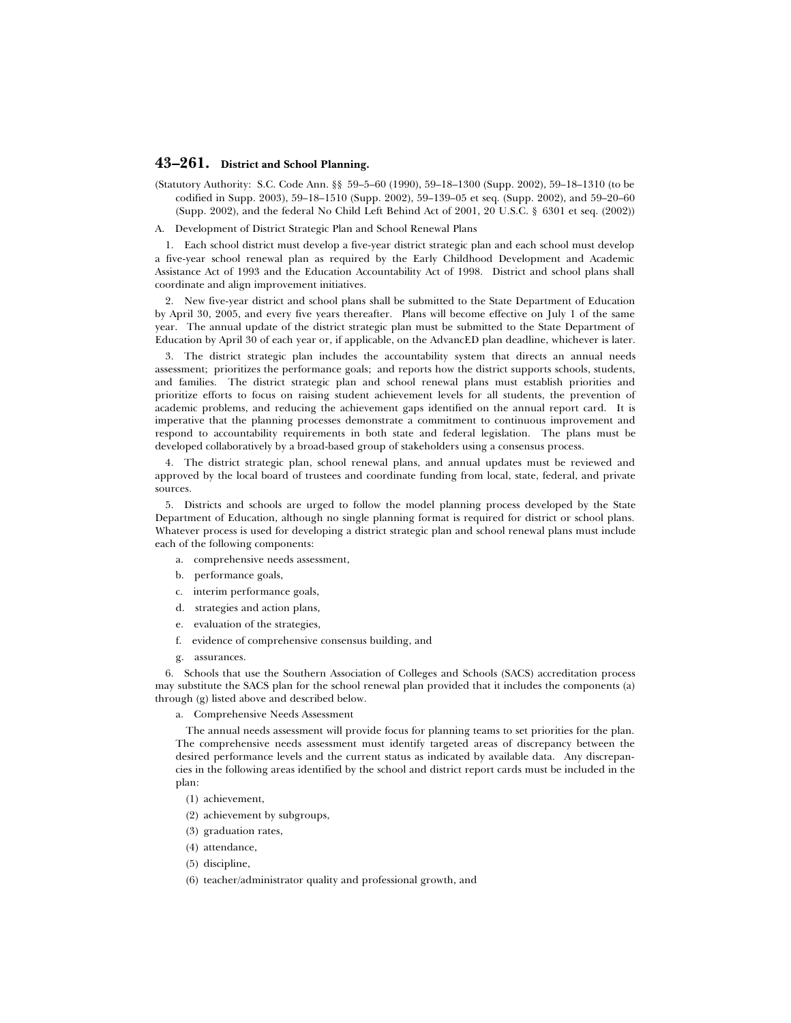# **43–261. District and School Planning.**

- (Statutory Authority: S.C. Code Ann. §§ 59–5–60 (1990), 59–18–1300 (Supp. 2002), 59–18–1310 (to be codified in Supp. 2003), 59–18–1510 (Supp. 2002), 59–139–05 et seq. (Supp. 2002), and 59–20–60 (Supp. 2002), and the federal No Child Left Behind Act of 2001, 20 U.S.C. § 6301 et seq. (2002))
- A. Development of District Strategic Plan and School Renewal Plans

1. Each school district must develop a five-year district strategic plan and each school must develop a five-year school renewal plan as required by the Early Childhood Development and Academic Assistance Act of 1993 and the Education Accountability Act of 1998. District and school plans shall coordinate and align improvement initiatives.

2. New five-year district and school plans shall be submitted to the State Department of Education by April 30, 2005, and every five years thereafter. Plans will become effective on July 1 of the same year. The annual update of the district strategic plan must be submitted to the State Department of Education by April 30 of each year or, if applicable, on the AdvancED plan deadline, whichever is later.

3. The district strategic plan includes the accountability system that directs an annual needs assessment; prioritizes the performance goals; and reports how the district supports schools, students, and families. The district strategic plan and school renewal plans must establish priorities and prioritize efforts to focus on raising student achievement levels for all students, the prevention of academic problems, and reducing the achievement gaps identified on the annual report card. It is imperative that the planning processes demonstrate a commitment to continuous improvement and respond to accountability requirements in both state and federal legislation. The plans must be developed collaboratively by a broad-based group of stakeholders using a consensus process.

4. The district strategic plan, school renewal plans, and annual updates must be reviewed and approved by the local board of trustees and coordinate funding from local, state, federal, and private sources.

5. Districts and schools are urged to follow the model planning process developed by the State Department of Education, although no single planning format is required for district or school plans. Whatever process is used for developing a district strategic plan and school renewal plans must include each of the following components:

- a. comprehensive needs assessment,
- b. performance goals,
- c. interim performance goals,
- d. strategies and action plans,
- e. evaluation of the strategies,
- f. evidence of comprehensive consensus building, and
- g. assurances.

6. Schools that use the Southern Association of Colleges and Schools (SACS) accreditation process may substitute the SACS plan for the school renewal plan provided that it includes the components (a) through (g) listed above and described below.

a. Comprehensive Needs Assessment

The annual needs assessment will provide focus for planning teams to set priorities for the plan. The comprehensive needs assessment must identify targeted areas of discrepancy between the desired performance levels and the current status as indicated by available data. Any discrepancies in the following areas identified by the school and district report cards must be included in the plan:

- (1) achievement,
- (2) achievement by subgroups,
- (3) graduation rates,
- (4) attendance,
- (5) discipline,
- (6) teacher/administrator quality and professional growth, and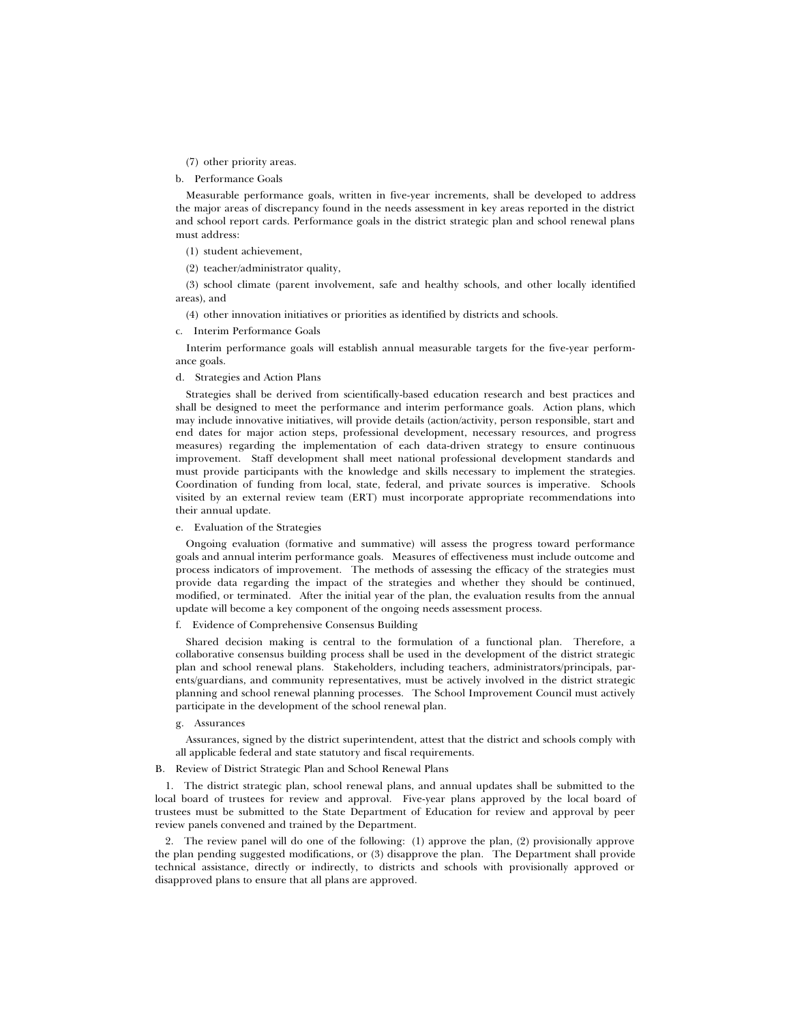(7) other priority areas.

b. Performance Goals

Measurable performance goals, written in five-year increments, shall be developed to address the major areas of discrepancy found in the needs assessment in key areas reported in the district and school report cards. Performance goals in the district strategic plan and school renewal plans must address:

(1) student achievement,

(2) teacher/administrator quality,

(3) school climate (parent involvement, safe and healthy schools, and other locally identified areas), and

(4) other innovation initiatives or priorities as identified by districts and schools.

# c. Interim Performance Goals

Interim performance goals will establish annual measurable targets for the five-year performance goals.

### d. Strategies and Action Plans

Strategies shall be derived from scientifically-based education research and best practices and shall be designed to meet the performance and interim performance goals. Action plans, which may include innovative initiatives, will provide details (action/activity, person responsible, start and end dates for major action steps, professional development, necessary resources, and progress measures) regarding the implementation of each data-driven strategy to ensure continuous improvement. Staff development shall meet national professional development standards and must provide participants with the knowledge and skills necessary to implement the strategies. Coordination of funding from local, state, federal, and private sources is imperative. Schools visited by an external review team (ERT) must incorporate appropriate recommendations into their annual update.

#### e. Evaluation of the Strategies

Ongoing evaluation (formative and summative) will assess the progress toward performance goals and annual interim performance goals. Measures of effectiveness must include outcome and process indicators of improvement. The methods of assessing the efficacy of the strategies must provide data regarding the impact of the strategies and whether they should be continued, modified, or terminated. After the initial year of the plan, the evaluation results from the annual update will become a key component of the ongoing needs assessment process.

# f. Evidence of Comprehensive Consensus Building

Shared decision making is central to the formulation of a functional plan. Therefore, a collaborative consensus building process shall be used in the development of the district strategic plan and school renewal plans. Stakeholders, including teachers, administrators/principals, parents/guardians, and community representatives, must be actively involved in the district strategic planning and school renewal planning processes. The School Improvement Council must actively participate in the development of the school renewal plan.

# g. Assurances

Assurances, signed by the district superintendent, attest that the district and schools comply with all applicable federal and state statutory and fiscal requirements.

#### B. Review of District Strategic Plan and School Renewal Plans

1. The district strategic plan, school renewal plans, and annual updates shall be submitted to the local board of trustees for review and approval. Five-year plans approved by the local board of trustees must be submitted to the State Department of Education for review and approval by peer review panels convened and trained by the Department.

2. The review panel will do one of the following: (1) approve the plan, (2) provisionally approve the plan pending suggested modifications, or (3) disapprove the plan. The Department shall provide technical assistance, directly or indirectly, to districts and schools with provisionally approved or disapproved plans to ensure that all plans are approved.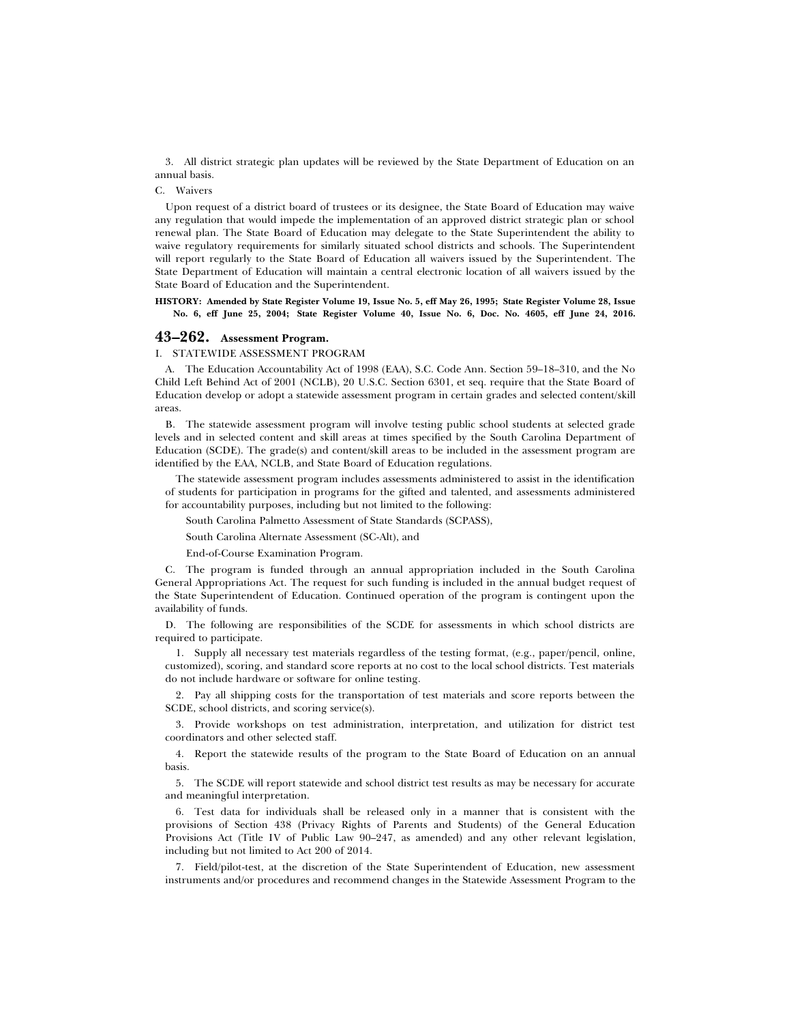3. All district strategic plan updates will be reviewed by the State Department of Education on an annual basis.

## C. Waivers

Upon request of a district board of trustees or its designee, the State Board of Education may waive any regulation that would impede the implementation of an approved district strategic plan or school renewal plan. The State Board of Education may delegate to the State Superintendent the ability to waive regulatory requirements for similarly situated school districts and schools. The Superintendent will report regularly to the State Board of Education all waivers issued by the Superintendent. The State Department of Education will maintain a central electronic location of all waivers issued by the State Board of Education and the Superintendent.

**HISTORY: Amended by State Register Volume 19, Issue No. 5, eff May 26, 1995; State Register Volume 28, Issue No. 6, eff June 25, 2004; State Register Volume 40, Issue No. 6, Doc. No. 4605, eff June 24, 2016.**

# **43–262. Assessment Program.**

I. STATEWIDE ASSESSMENT PROGRAM

A. The Education Accountability Act of 1998 (EAA), S.C. Code Ann. Section 59–18–310, and the No Child Left Behind Act of 2001 (NCLB), 20 U.S.C. Section 6301, et seq. require that the State Board of Education develop or adopt a statewide assessment program in certain grades and selected content/skill areas.

B. The statewide assessment program will involve testing public school students at selected grade levels and in selected content and skill areas at times specified by the South Carolina Department of Education (SCDE). The grade(s) and content/skill areas to be included in the assessment program are identified by the EAA, NCLB, and State Board of Education regulations.

The statewide assessment program includes assessments administered to assist in the identification of students for participation in programs for the gifted and talented, and assessments administered for accountability purposes, including but not limited to the following:

South Carolina Palmetto Assessment of State Standards (SCPASS),

South Carolina Alternate Assessment (SC-Alt), and

End-of-Course Examination Program.

C. The program is funded through an annual appropriation included in the South Carolina General Appropriations Act. The request for such funding is included in the annual budget request of the State Superintendent of Education. Continued operation of the program is contingent upon the availability of funds.

D. The following are responsibilities of the SCDE for assessments in which school districts are required to participate.

1. Supply all necessary test materials regardless of the testing format, (e.g., paper/pencil, online, customized), scoring, and standard score reports at no cost to the local school districts. Test materials do not include hardware or software for online testing.

2. Pay all shipping costs for the transportation of test materials and score reports between the SCDE, school districts, and scoring service(s).

3. Provide workshops on test administration, interpretation, and utilization for district test coordinators and other selected staff.

4. Report the statewide results of the program to the State Board of Education on an annual basis.

5. The SCDE will report statewide and school district test results as may be necessary for accurate and meaningful interpretation.

6. Test data for individuals shall be released only in a manner that is consistent with the provisions of Section 438 (Privacy Rights of Parents and Students) of the General Education Provisions Act (Title IV of Public Law 90–247, as amended) and any other relevant legislation, including but not limited to Act 200 of 2014.

7. Field/pilot-test, at the discretion of the State Superintendent of Education, new assessment instruments and/or procedures and recommend changes in the Statewide Assessment Program to the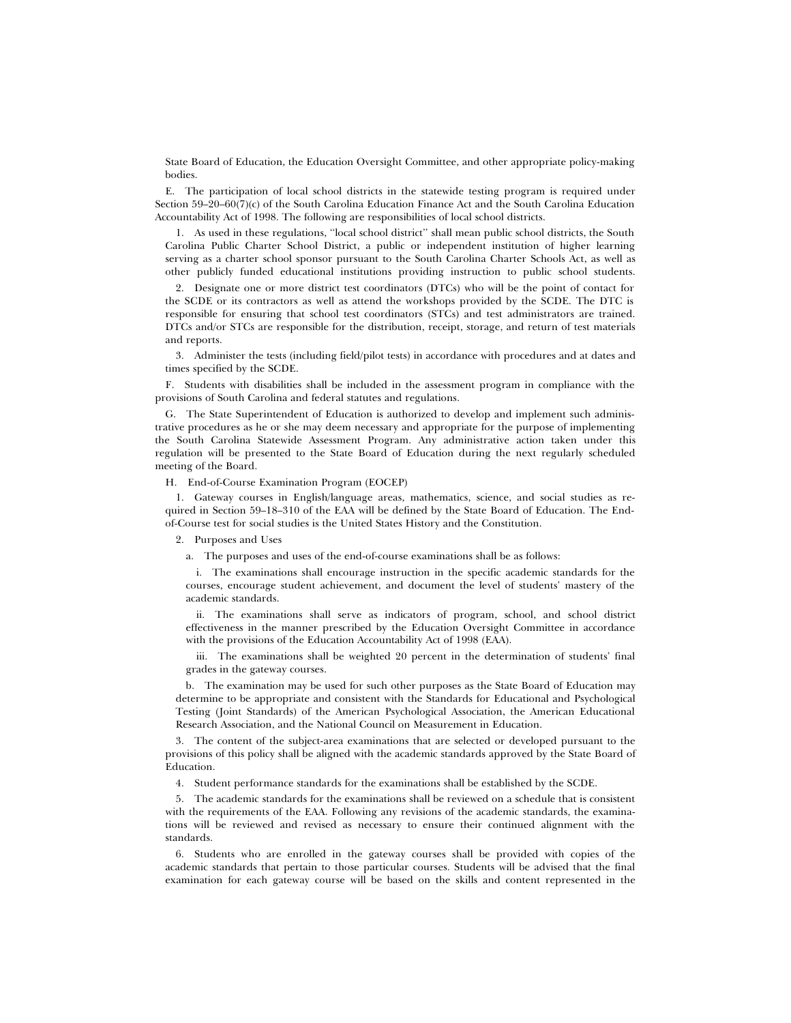State Board of Education, the Education Oversight Committee, and other appropriate policy-making bodies.

E. The participation of local school districts in the statewide testing program is required under Section 59–20–60(7)(c) of the South Carolina Education Finance Act and the South Carolina Education Accountability Act of 1998. The following are responsibilities of local school districts.

1. As used in these regulations, ''local school district'' shall mean public school districts, the South Carolina Public Charter School District, a public or independent institution of higher learning serving as a charter school sponsor pursuant to the South Carolina Charter Schools Act, as well as other publicly funded educational institutions providing instruction to public school students.

2. Designate one or more district test coordinators (DTCs) who will be the point of contact for the SCDE or its contractors as well as attend the workshops provided by the SCDE. The DTC is responsible for ensuring that school test coordinators (STCs) and test administrators are trained. DTCs and/or STCs are responsible for the distribution, receipt, storage, and return of test materials and reports.

3. Administer the tests (including field/pilot tests) in accordance with procedures and at dates and times specified by the SCDE.

F. Students with disabilities shall be included in the assessment program in compliance with the provisions of South Carolina and federal statutes and regulations.

G. The State Superintendent of Education is authorized to develop and implement such administrative procedures as he or she may deem necessary and appropriate for the purpose of implementing the South Carolina Statewide Assessment Program. Any administrative action taken under this regulation will be presented to the State Board of Education during the next regularly scheduled meeting of the Board.

H. End-of-Course Examination Program (EOCEP)

1. Gateway courses in English/language areas, mathematics, science, and social studies as required in Section 59–18–310 of the EAA will be defined by the State Board of Education. The Endof-Course test for social studies is the United States History and the Constitution.

2. Purposes and Uses

a. The purposes and uses of the end-of-course examinations shall be as follows:

i. The examinations shall encourage instruction in the specific academic standards for the courses, encourage student achievement, and document the level of students' mastery of the academic standards.

ii. The examinations shall serve as indicators of program, school, and school district effectiveness in the manner prescribed by the Education Oversight Committee in accordance with the provisions of the Education Accountability Act of 1998 (EAA).

iii. The examinations shall be weighted 20 percent in the determination of students' final grades in the gateway courses.

b. The examination may be used for such other purposes as the State Board of Education may determine to be appropriate and consistent with the Standards for Educational and Psychological Testing (Joint Standards) of the American Psychological Association, the American Educational Research Association, and the National Council on Measurement in Education.

3. The content of the subject-area examinations that are selected or developed pursuant to the provisions of this policy shall be aligned with the academic standards approved by the State Board of Education.

4. Student performance standards for the examinations shall be established by the SCDE.

5. The academic standards for the examinations shall be reviewed on a schedule that is consistent with the requirements of the EAA. Following any revisions of the academic standards, the examinations will be reviewed and revised as necessary to ensure their continued alignment with the standards.

6. Students who are enrolled in the gateway courses shall be provided with copies of the academic standards that pertain to those particular courses. Students will be advised that the final examination for each gateway course will be based on the skills and content represented in the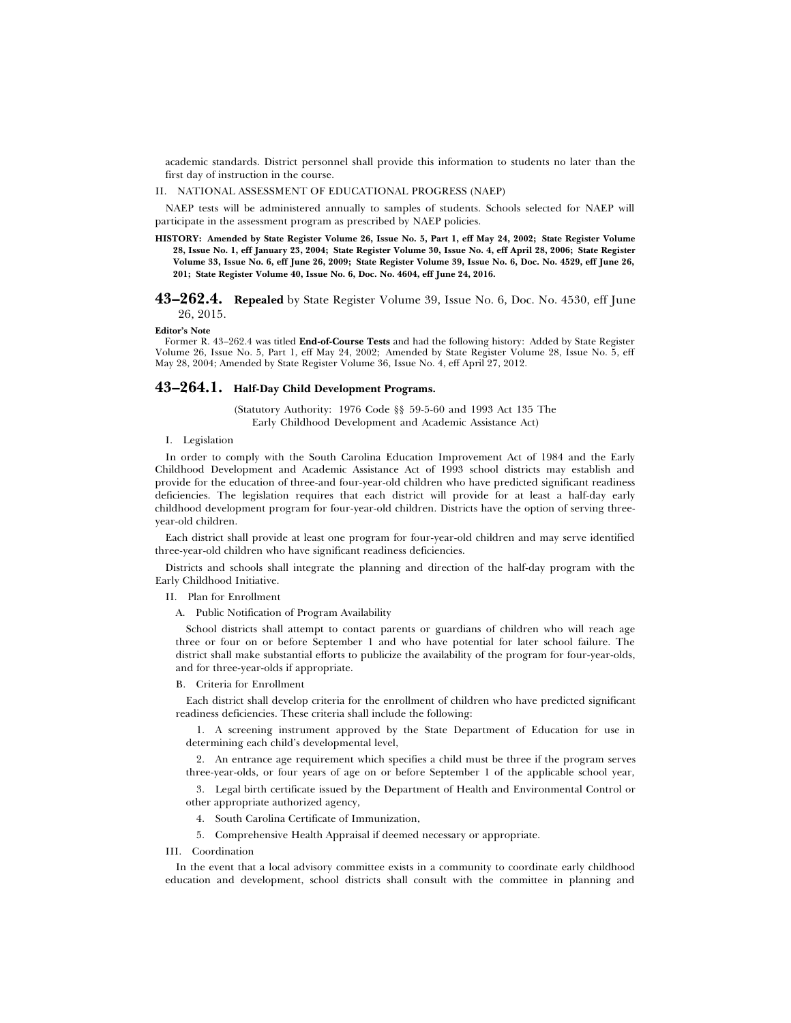academic standards. District personnel shall provide this information to students no later than the first day of instruction in the course.

#### II. NATIONAL ASSESSMENT OF EDUCATIONAL PROGRESS (NAEP)

NAEP tests will be administered annually to samples of students. Schools selected for NAEP will participate in the assessment program as prescribed by NAEP policies.

**HISTORY: Amended by State Register Volume 26, Issue No. 5, Part 1, eff May 24, 2002; State Register Volume 28, Issue No. 1, eff January 23, 2004; State Register Volume 30, Issue No. 4, eff April 28, 2006; State Register Volume 33, Issue No. 6, eff June 26, 2009; State Register Volume 39, Issue No. 6, Doc. No. 4529, eff June 26, 201; State Register Volume 40, Issue No. 6, Doc. No. 4604, eff June 24, 2016.**

# **43–262.4. Repealed** by State Register Volume 39, Issue No. 6, Doc. No. 4530, eff June 26, 2015.

**Editor's Note**

Former R. 43–262.4 was titled **End-of-Course Tests** and had the following history: Added by State Register Volume 26, Issue No. 5, Part 1, eff May 24, 2002; Amended by State Register Volume 28, Issue No. 5, eff May 28, 2004; Amended by State Register Volume 36, Issue No. 4, eff April 27, 2012.

# **43–264.1. Half-Day Child Development Programs.**

(Statutory Authority: 1976 Code §§ 59-5-60 and 1993 Act 135 The Early Childhood Development and Academic Assistance Act)

### I. Legislation

In order to comply with the South Carolina Education Improvement Act of 1984 and the Early Childhood Development and Academic Assistance Act of 1993 school districts may establish and provide for the education of three-and four-year-old children who have predicted significant readiness deficiencies. The legislation requires that each district will provide for at least a half-day early childhood development program for four-year-old children. Districts have the option of serving threeyear-old children.

Each district shall provide at least one program for four-year-old children and may serve identified three-year-old children who have significant readiness deficiencies.

Districts and schools shall integrate the planning and direction of the half-day program with the Early Childhood Initiative.

II. Plan for Enrollment

A. Public Notification of Program Availability

School districts shall attempt to contact parents or guardians of children who will reach age three or four on or before September 1 and who have potential for later school failure. The district shall make substantial efforts to publicize the availability of the program for four-year-olds, and for three-year-olds if appropriate.

#### B. Criteria for Enrollment

Each district shall develop criteria for the enrollment of children who have predicted significant readiness deficiencies. These criteria shall include the following:

1. A screening instrument approved by the State Department of Education for use in determining each child's developmental level,

2. An entrance age requirement which specifies a child must be three if the program serves three-year-olds, or four years of age on or before September 1 of the applicable school year,

3. Legal birth certificate issued by the Department of Health and Environmental Control or other appropriate authorized agency,

- 4. South Carolina Certificate of Immunization,
- 5. Comprehensive Health Appraisal if deemed necessary or appropriate.

#### III. Coordination

In the event that a local advisory committee exists in a community to coordinate early childhood education and development, school districts shall consult with the committee in planning and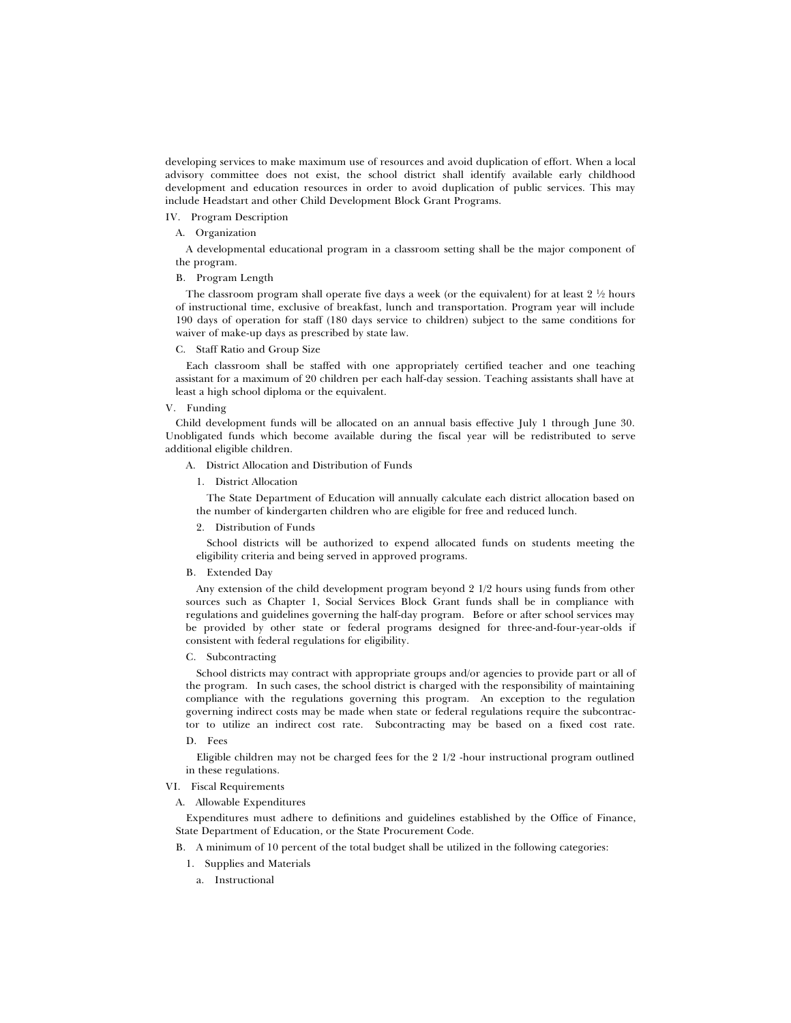developing services to make maximum use of resources and avoid duplication of effort. When a local advisory committee does not exist, the school district shall identify available early childhood development and education resources in order to avoid duplication of public services. This may include Headstart and other Child Development Block Grant Programs.

# IV. Program Description

# A. Organization

A developmental educational program in a classroom setting shall be the major component of the program.

### B. Program Length

The classroom program shall operate five days a week (or the equivalent) for at least  $2\frac{1}{2}$  hours of instructional time, exclusive of breakfast, lunch and transportation. Program year will include 190 days of operation for staff (180 days service to children) subject to the same conditions for waiver of make-up days as prescribed by state law.

# C. Staff Ratio and Group Size

Each classroom shall be staffed with one appropriately certified teacher and one teaching assistant for a maximum of 20 children per each half-day session. Teaching assistants shall have at least a high school diploma or the equivalent.

#### V. Funding

Child development funds will be allocated on an annual basis effective July 1 through June 30. Unobligated funds which become available during the fiscal year will be redistributed to serve additional eligible children.

A. District Allocation and Distribution of Funds

1. District Allocation

The State Department of Education will annually calculate each district allocation based on the number of kindergarten children who are eligible for free and reduced lunch.

2. Distribution of Funds

School districts will be authorized to expend allocated funds on students meeting the eligibility criteria and being served in approved programs.

B. Extended Day

Any extension of the child development program beyond 2 1/2 hours using funds from other sources such as Chapter 1, Social Services Block Grant funds shall be in compliance with regulations and guidelines governing the half-day program. Before or after school services may be provided by other state or federal programs designed for three-and-four-year-olds if consistent with federal regulations for eligibility.

#### C. Subcontracting

School districts may contract with appropriate groups and/or agencies to provide part or all of the program. In such cases, the school district is charged with the responsibility of maintaining compliance with the regulations governing this program. An exception to the regulation governing indirect costs may be made when state or federal regulations require the subcontractor to utilize an indirect cost rate. Subcontracting may be based on a fixed cost rate.

D. Fees

Eligible children may not be charged fees for the 2 1/2 -hour instructional program outlined in these regulations.

# VI. Fiscal Requirements

A. Allowable Expenditures

Expenditures must adhere to definitions and guidelines established by the Office of Finance, State Department of Education, or the State Procurement Code.

- B. A minimum of 10 percent of the total budget shall be utilized in the following categories:
	- 1. Supplies and Materials
		- a. Instructional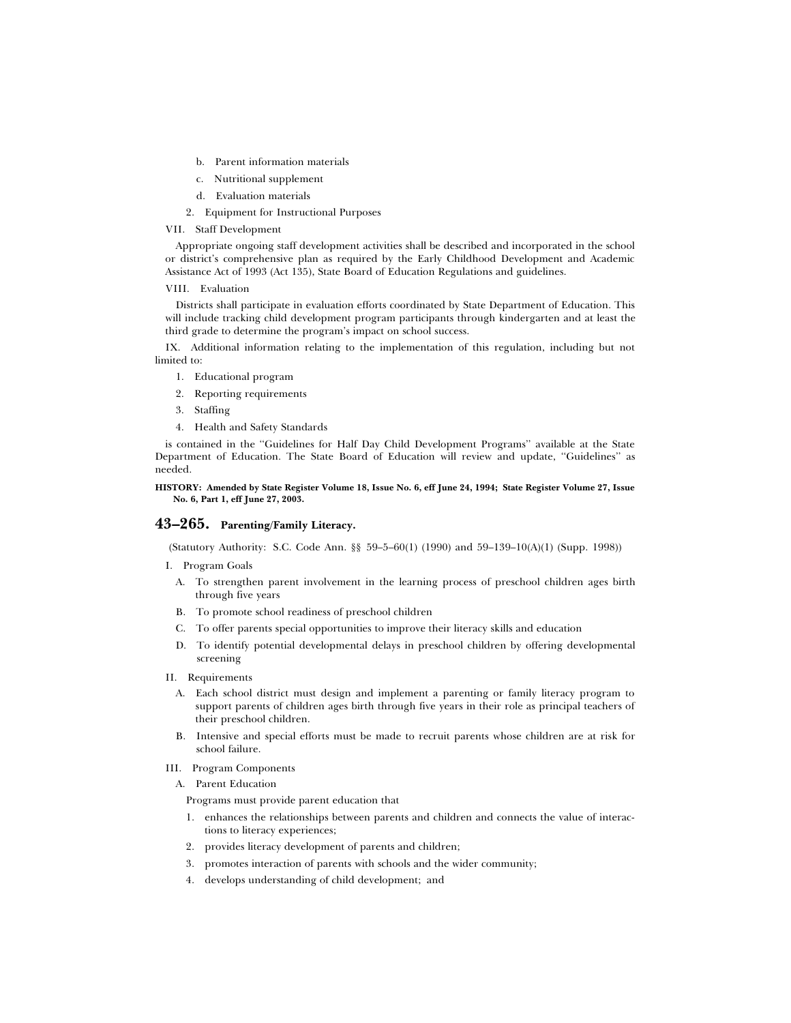- b. Parent information materials
- c. Nutritional supplement
- d. Evaluation materials
- 2. Equipment for Instructional Purposes

## VII. Staff Development

Appropriate ongoing staff development activities shall be described and incorporated in the school or district's comprehensive plan as required by the Early Childhood Development and Academic Assistance Act of 1993 (Act 135), State Board of Education Regulations and guidelines.

## VIII. Evaluation

Districts shall participate in evaluation efforts coordinated by State Department of Education. This will include tracking child development program participants through kindergarten and at least the third grade to determine the program's impact on school success.

IX. Additional information relating to the implementation of this regulation, including but not limited to:

- 1. Educational program
- 2. Reporting requirements
- 3. Staffing
- 4. Health and Safety Standards

is contained in the ''Guidelines for Half Day Child Development Programs'' available at the State Department of Education. The State Board of Education will review and update, ''Guidelines'' as needed.

## **HISTORY: Amended by State Register Volume 18, Issue No. 6, eff June 24, 1994; State Register Volume 27, Issue No. 6, Part 1, eff June 27, 2003.**

# **43–265. Parenting/Family Literacy.**

(Statutory Authority: S.C. Code Ann. §§ 59–5–60(1) (1990) and 59–139–10(A)(1) (Supp. 1998))

- I. Program Goals
	- A. To strengthen parent involvement in the learning process of preschool children ages birth through five years
	- B. To promote school readiness of preschool children
	- C. To offer parents special opportunities to improve their literacy skills and education
	- D. To identify potential developmental delays in preschool children by offering developmental screening
- II. Requirements
	- A. Each school district must design and implement a parenting or family literacy program to support parents of children ages birth through five years in their role as principal teachers of their preschool children.
	- B. Intensive and special efforts must be made to recruit parents whose children are at risk for school failure.
- III. Program Components
	- A. Parent Education

Programs must provide parent education that

- 1. enhances the relationships between parents and children and connects the value of interactions to literacy experiences;
- 2. provides literacy development of parents and children;
- 3. promotes interaction of parents with schools and the wider community;
- 4. develops understanding of child development; and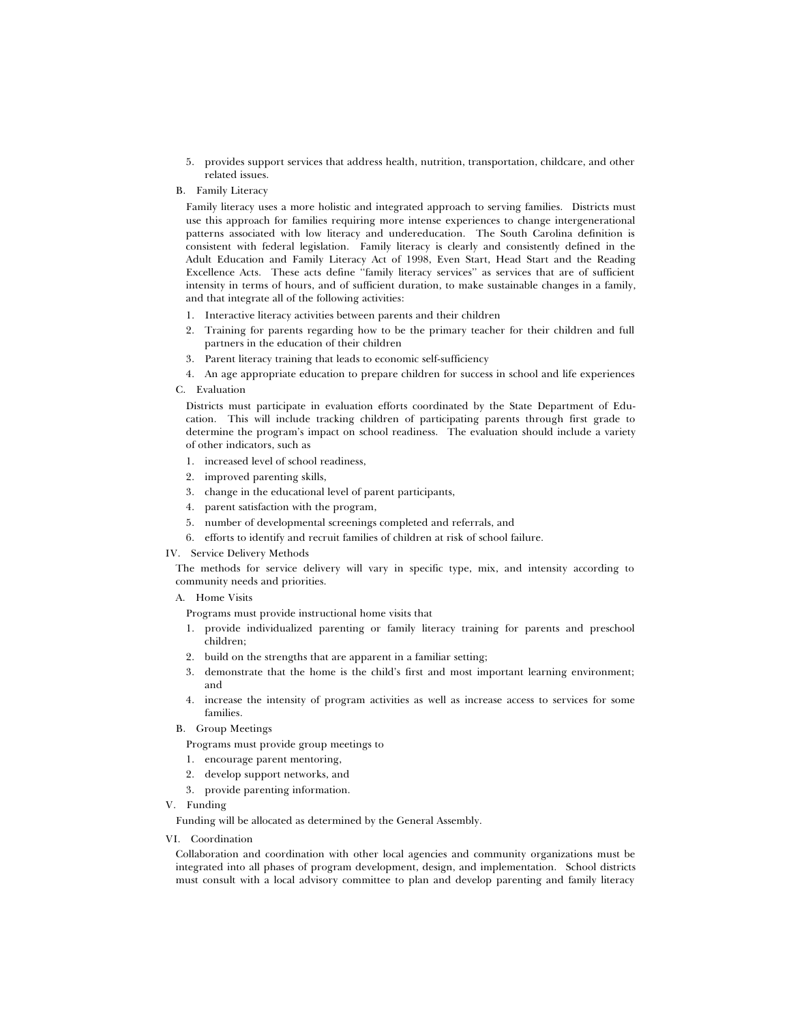- 5. provides support services that address health, nutrition, transportation, childcare, and other related issues.
- B. Family Literacy

Family literacy uses a more holistic and integrated approach to serving families. Districts must use this approach for families requiring more intense experiences to change intergenerational patterns associated with low literacy and undereducation. The South Carolina definition is consistent with federal legislation. Family literacy is clearly and consistently defined in the Adult Education and Family Literacy Act of 1998, Even Start, Head Start and the Reading Excellence Acts. These acts define ''family literacy services'' as services that are of sufficient intensity in terms of hours, and of sufficient duration, to make sustainable changes in a family, and that integrate all of the following activities:

- 1. Interactive literacy activities between parents and their children
- 2. Training for parents regarding how to be the primary teacher for their children and full partners in the education of their children
- 3. Parent literacy training that leads to economic self-sufficiency
- 4. An age appropriate education to prepare children for success in school and life experiences
- C. Evaluation

Districts must participate in evaluation efforts coordinated by the State Department of Education. This will include tracking children of participating parents through first grade to determine the program's impact on school readiness. The evaluation should include a variety of other indicators, such as

- 1. increased level of school readiness,
- 2. improved parenting skills,
- 3. change in the educational level of parent participants,
- 4. parent satisfaction with the program,
- 5. number of developmental screenings completed and referrals, and
- 6. efforts to identify and recruit families of children at risk of school failure.

IV. Service Delivery Methods

The methods for service delivery will vary in specific type, mix, and intensity according to community needs and priorities.

A. Home Visits

Programs must provide instructional home visits that

- 1. provide individualized parenting or family literacy training for parents and preschool children;
- 2. build on the strengths that are apparent in a familiar setting;
- 3. demonstrate that the home is the child's first and most important learning environment; and
- 4. increase the intensity of program activities as well as increase access to services for some families.
- B. Group Meetings
	- Programs must provide group meetings to
	- 1. encourage parent mentoring,
	- 2. develop support networks, and
	- 3. provide parenting information.
- V. Funding

Funding will be allocated as determined by the General Assembly.

VI. Coordination

Collaboration and coordination with other local agencies and community organizations must be integrated into all phases of program development, design, and implementation. School districts must consult with a local advisory committee to plan and develop parenting and family literacy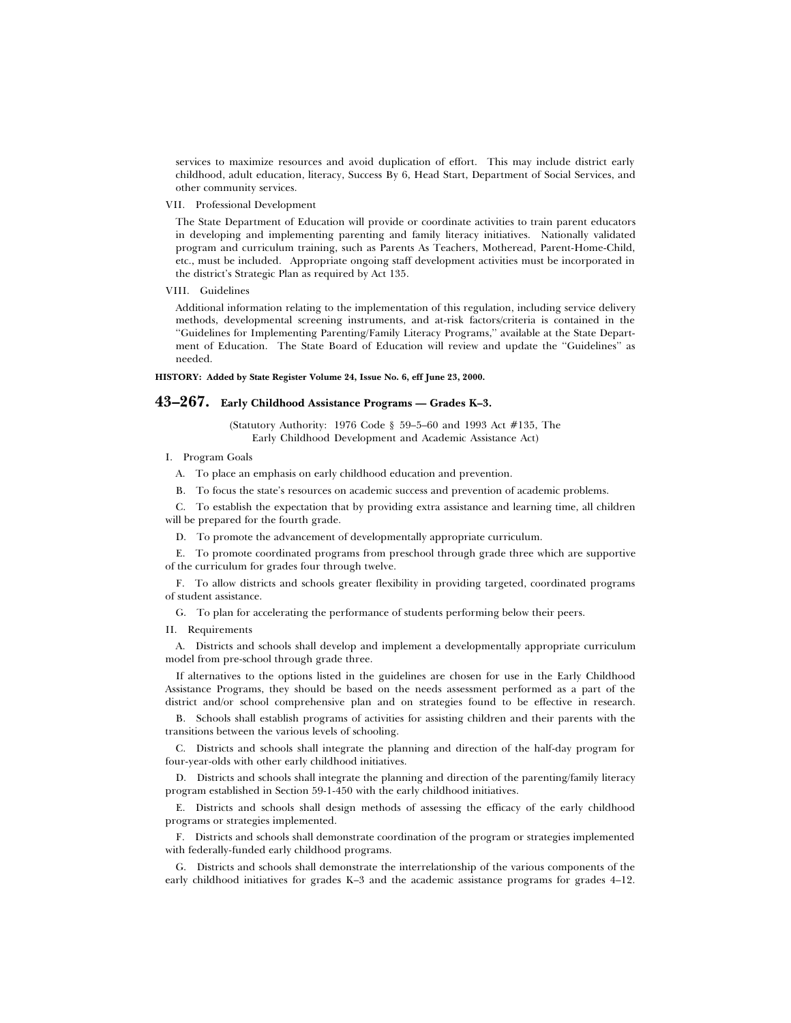services to maximize resources and avoid duplication of effort. This may include district early childhood, adult education, literacy, Success By 6, Head Start, Department of Social Services, and other community services.

VII. Professional Development

The State Department of Education will provide or coordinate activities to train parent educators in developing and implementing parenting and family literacy initiatives. Nationally validated program and curriculum training, such as Parents As Teachers, Motheread, Parent-Home-Child, etc., must be included. Appropriate ongoing staff development activities must be incorporated in the district's Strategic Plan as required by Act 135.

VIII. Guidelines

Additional information relating to the implementation of this regulation, including service delivery methods, developmental screening instruments, and at-risk factors/criteria is contained in the ''Guidelines for Implementing Parenting/Family Literacy Programs,'' available at the State Department of Education. The State Board of Education will review and update the ''Guidelines'' as needed.

## **HISTORY: Added by State Register Volume 24, Issue No. 6, eff June 23, 2000.**

# **43–267. Early Childhood Assistance Programs — Grades K–3.**

(Statutory Authority: 1976 Code § 59–5–60 and 1993 Act #135, The Early Childhood Development and Academic Assistance Act)

I. Program Goals

A. To place an emphasis on early childhood education and prevention.

B. To focus the state's resources on academic success and prevention of academic problems.

C. To establish the expectation that by providing extra assistance and learning time, all children will be prepared for the fourth grade.

D. To promote the advancement of developmentally appropriate curriculum.

E. To promote coordinated programs from preschool through grade three which are supportive of the curriculum for grades four through twelve.

F. To allow districts and schools greater flexibility in providing targeted, coordinated programs of student assistance.

G. To plan for accelerating the performance of students performing below their peers.

# II. Requirements

A. Districts and schools shall develop and implement a developmentally appropriate curriculum model from pre-school through grade three.

If alternatives to the options listed in the guidelines are chosen for use in the Early Childhood Assistance Programs, they should be based on the needs assessment performed as a part of the district and/or school comprehensive plan and on strategies found to be effective in research.

B. Schools shall establish programs of activities for assisting children and their parents with the transitions between the various levels of schooling.

C. Districts and schools shall integrate the planning and direction of the half-day program for four-year-olds with other early childhood initiatives.

D. Districts and schools shall integrate the planning and direction of the parenting/family literacy program established in Section 59-1-450 with the early childhood initiatives.

E. Districts and schools shall design methods of assessing the efficacy of the early childhood programs or strategies implemented.

F. Districts and schools shall demonstrate coordination of the program or strategies implemented with federally-funded early childhood programs.

G. Districts and schools shall demonstrate the interrelationship of the various components of the early childhood initiatives for grades K–3 and the academic assistance programs for grades 4–12.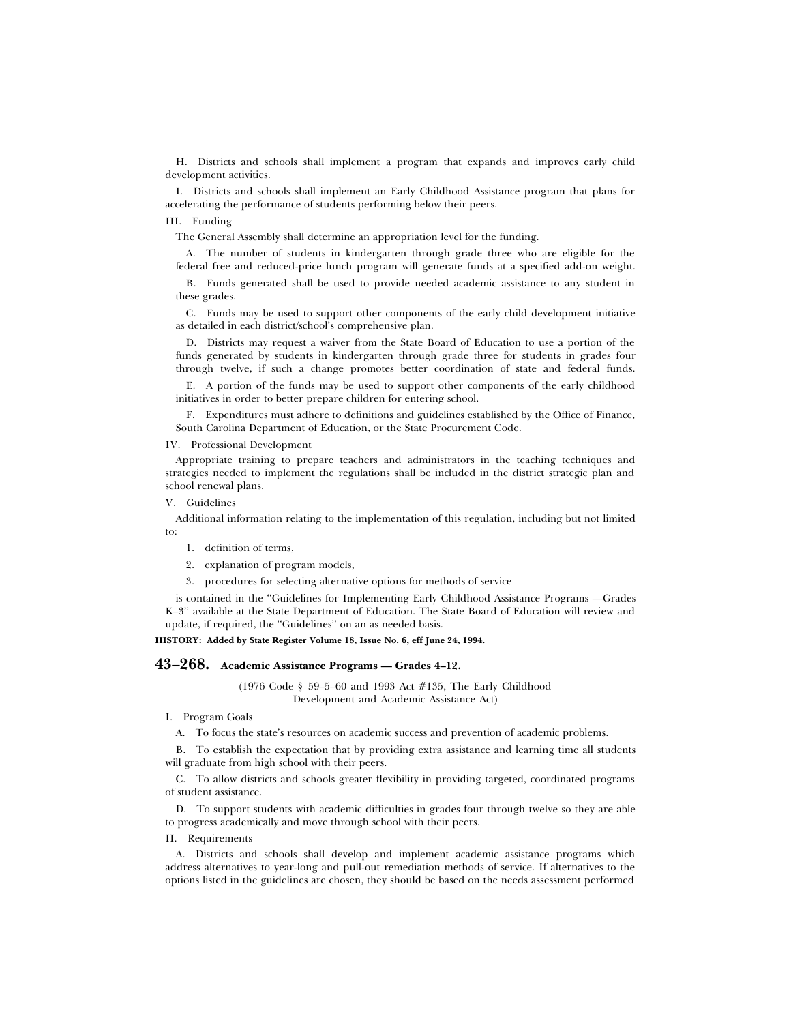H. Districts and schools shall implement a program that expands and improves early child development activities.

I. Districts and schools shall implement an Early Childhood Assistance program that plans for accelerating the performance of students performing below their peers.

# III. Funding

The General Assembly shall determine an appropriation level for the funding.

A. The number of students in kindergarten through grade three who are eligible for the federal free and reduced-price lunch program will generate funds at a specified add-on weight.

B. Funds generated shall be used to provide needed academic assistance to any student in these grades.

C. Funds may be used to support other components of the early child development initiative as detailed in each district/school's comprehensive plan.

D. Districts may request a waiver from the State Board of Education to use a portion of the funds generated by students in kindergarten through grade three for students in grades four through twelve, if such a change promotes better coordination of state and federal funds.

E. A portion of the funds may be used to support other components of the early childhood initiatives in order to better prepare children for entering school.

F. Expenditures must adhere to definitions and guidelines established by the Office of Finance, South Carolina Department of Education, or the State Procurement Code.

## IV. Professional Development

Appropriate training to prepare teachers and administrators in the teaching techniques and strategies needed to implement the regulations shall be included in the district strategic plan and school renewal plans.

V. Guidelines

Additional information relating to the implementation of this regulation, including but not limited to:

1. definition of terms,

2. explanation of program models,

3. procedures for selecting alternative options for methods of service

is contained in the ''Guidelines for Implementing Early Childhood Assistance Programs —Grades K–3'' available at the State Department of Education. The State Board of Education will review and update, if required, the ''Guidelines'' on an as needed basis.

**HISTORY: Added by State Register Volume 18, Issue No. 6, eff June 24, 1994.**

# **43–268. Academic Assistance Programs — Grades 4–12.**

(1976 Code § 59–5–60 and 1993 Act #135, The Early Childhood Development and Academic Assistance Act)

### I. Program Goals

A. To focus the state's resources on academic success and prevention of academic problems.

B. To establish the expectation that by providing extra assistance and learning time all students will graduate from high school with their peers.

C. To allow districts and schools greater flexibility in providing targeted, coordinated programs of student assistance.

D. To support students with academic difficulties in grades four through twelve so they are able to progress academically and move through school with their peers.

### II. Requirements

A. Districts and schools shall develop and implement academic assistance programs which address alternatives to year-long and pull-out remediation methods of service. If alternatives to the options listed in the guidelines are chosen, they should be based on the needs assessment performed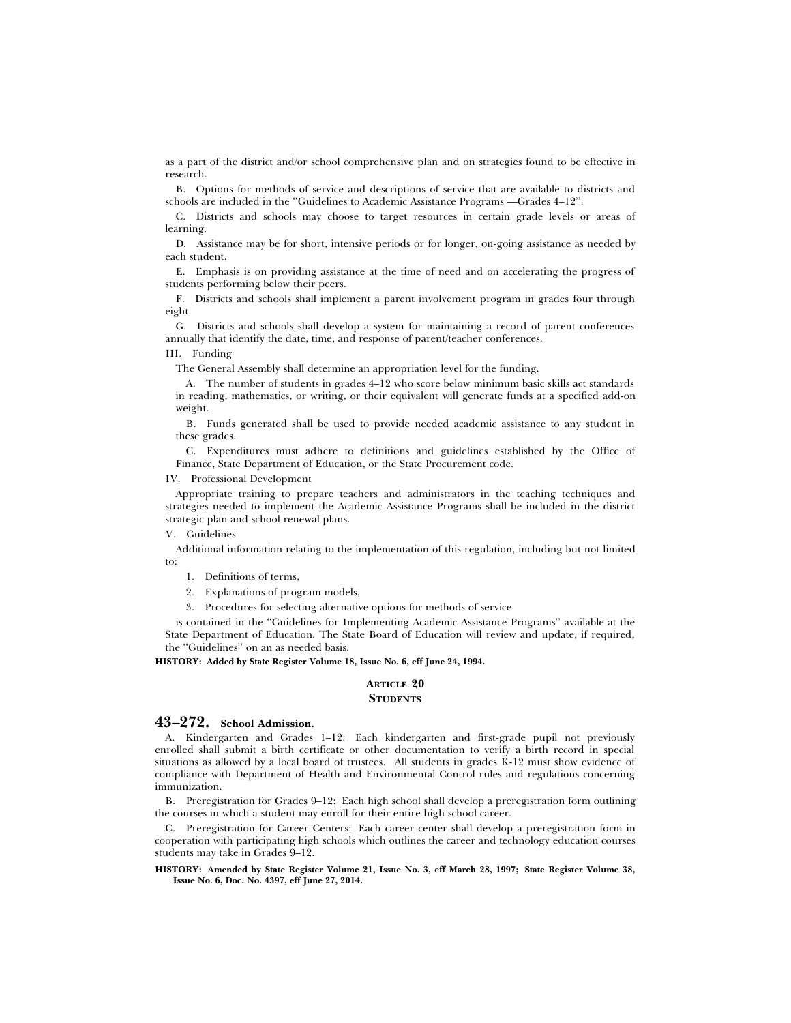as a part of the district and/or school comprehensive plan and on strategies found to be effective in research.

B. Options for methods of service and descriptions of service that are available to districts and schools are included in the ''Guidelines to Academic Assistance Programs —Grades 4–12''.

C. Districts and schools may choose to target resources in certain grade levels or areas of learning.

D. Assistance may be for short, intensive periods or for longer, on-going assistance as needed by each student.

E. Emphasis is on providing assistance at the time of need and on accelerating the progress of students performing below their peers.

F. Districts and schools shall implement a parent involvement program in grades four through eight.

G. Districts and schools shall develop a system for maintaining a record of parent conferences annually that identify the date, time, and response of parent/teacher conferences.

# III. Funding

The General Assembly shall determine an appropriation level for the funding.

A. The number of students in grades 4–12 who score below minimum basic skills act standards in reading, mathematics, or writing, or their equivalent will generate funds at a specified add-on weight.

B. Funds generated shall be used to provide needed academic assistance to any student in these grades.

C. Expenditures must adhere to definitions and guidelines established by the Office of Finance, State Department of Education, or the State Procurement code.

#### IV. Professional Development

Appropriate training to prepare teachers and administrators in the teaching techniques and strategies needed to implement the Academic Assistance Programs shall be included in the district strategic plan and school renewal plans.

### V. Guidelines

Additional information relating to the implementation of this regulation, including but not limited to:

- 1. Definitions of terms,
- 2. Explanations of program models,
- 3. Procedures for selecting alternative options for methods of service

is contained in the ''Guidelines for Implementing Academic Assistance Programs'' available at the State Department of Education. The State Board of Education will review and update, if required, the ''Guidelines'' on an as needed basis.

**HISTORY: Added by State Register Volume 18, Issue No. 6, eff June 24, 1994.**

# **ARTICLE 20 STUDENTS**

# **43–272. School Admission.**

A. Kindergarten and Grades 1–12: Each kindergarten and first-grade pupil not previously enrolled shall submit a birth certificate or other documentation to verify a birth record in special situations as allowed by a local board of trustees. All students in grades K-12 must show evidence of compliance with Department of Health and Environmental Control rules and regulations concerning immunization.

B. Preregistration for Grades 9–12: Each high school shall develop a preregistration form outlining the courses in which a student may enroll for their entire high school career.

C. Preregistration for Career Centers: Each career center shall develop a preregistration form in cooperation with participating high schools which outlines the career and technology education courses students may take in Grades 9–12.

**HISTORY: Amended by State Register Volume 21, Issue No. 3, eff March 28, 1997; State Register Volume 38, Issue No. 6, Doc. No. 4397, eff June 27, 2014.**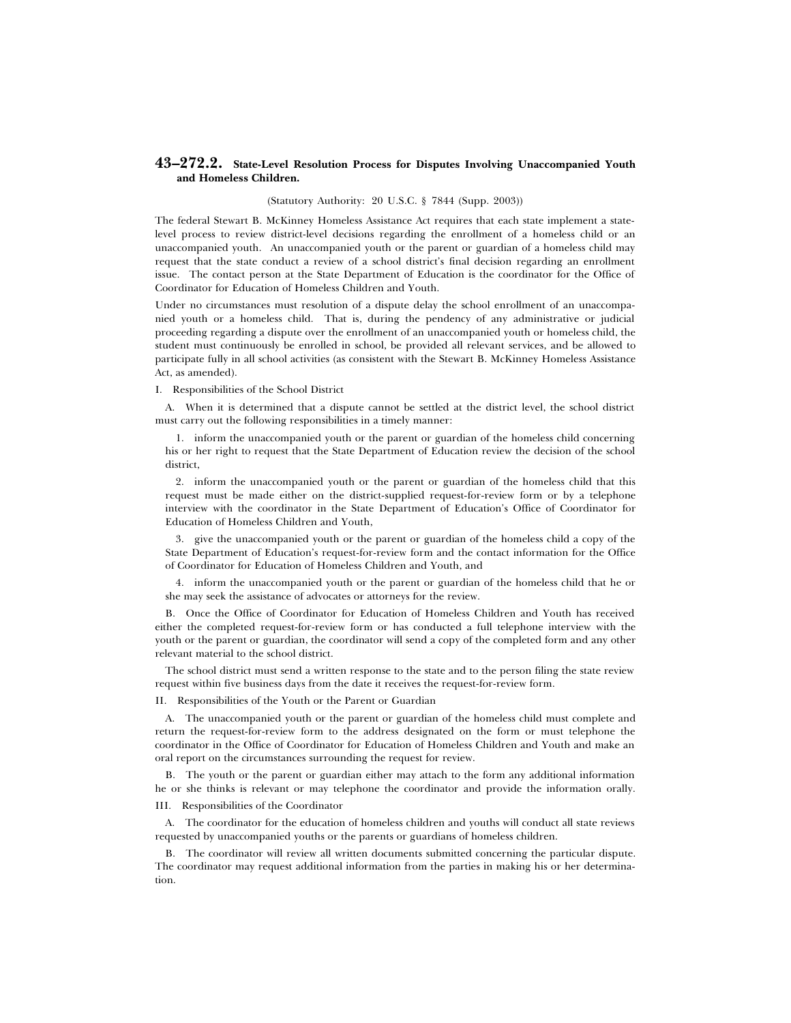# **43–272.2. State-Level Resolution Process for Disputes Involving Unaccompanied Youth and Homeless Children.**

#### (Statutory Authority: 20 U.S.C. § 7844 (Supp. 2003))

The federal Stewart B. McKinney Homeless Assistance Act requires that each state implement a statelevel process to review district-level decisions regarding the enrollment of a homeless child or an unaccompanied youth. An unaccompanied youth or the parent or guardian of a homeless child may request that the state conduct a review of a school district's final decision regarding an enrollment issue. The contact person at the State Department of Education is the coordinator for the Office of Coordinator for Education of Homeless Children and Youth.

Under no circumstances must resolution of a dispute delay the school enrollment of an unaccompanied youth or a homeless child. That is, during the pendency of any administrative or judicial proceeding regarding a dispute over the enrollment of an unaccompanied youth or homeless child, the student must continuously be enrolled in school, be provided all relevant services, and be allowed to participate fully in all school activities (as consistent with the Stewart B. McKinney Homeless Assistance Act, as amended).

# I. Responsibilities of the School District

A. When it is determined that a dispute cannot be settled at the district level, the school district must carry out the following responsibilities in a timely manner:

1. inform the unaccompanied youth or the parent or guardian of the homeless child concerning his or her right to request that the State Department of Education review the decision of the school district,

2. inform the unaccompanied youth or the parent or guardian of the homeless child that this request must be made either on the district-supplied request-for-review form or by a telephone interview with the coordinator in the State Department of Education's Office of Coordinator for Education of Homeless Children and Youth,

3. give the unaccompanied youth or the parent or guardian of the homeless child a copy of the State Department of Education's request-for-review form and the contact information for the Office of Coordinator for Education of Homeless Children and Youth, and

4. inform the unaccompanied youth or the parent or guardian of the homeless child that he or she may seek the assistance of advocates or attorneys for the review.

B. Once the Office of Coordinator for Education of Homeless Children and Youth has received either the completed request-for-review form or has conducted a full telephone interview with the youth or the parent or guardian, the coordinator will send a copy of the completed form and any other relevant material to the school district.

The school district must send a written response to the state and to the person filing the state review request within five business days from the date it receives the request-for-review form.

II. Responsibilities of the Youth or the Parent or Guardian

A. The unaccompanied youth or the parent or guardian of the homeless child must complete and return the request-for-review form to the address designated on the form or must telephone the coordinator in the Office of Coordinator for Education of Homeless Children and Youth and make an oral report on the circumstances surrounding the request for review.

B. The youth or the parent or guardian either may attach to the form any additional information he or she thinks is relevant or may telephone the coordinator and provide the information orally. III. Responsibilities of the Coordinator

A. The coordinator for the education of homeless children and youths will conduct all state reviews requested by unaccompanied youths or the parents or guardians of homeless children.

B. The coordinator will review all written documents submitted concerning the particular dispute. The coordinator may request additional information from the parties in making his or her determination.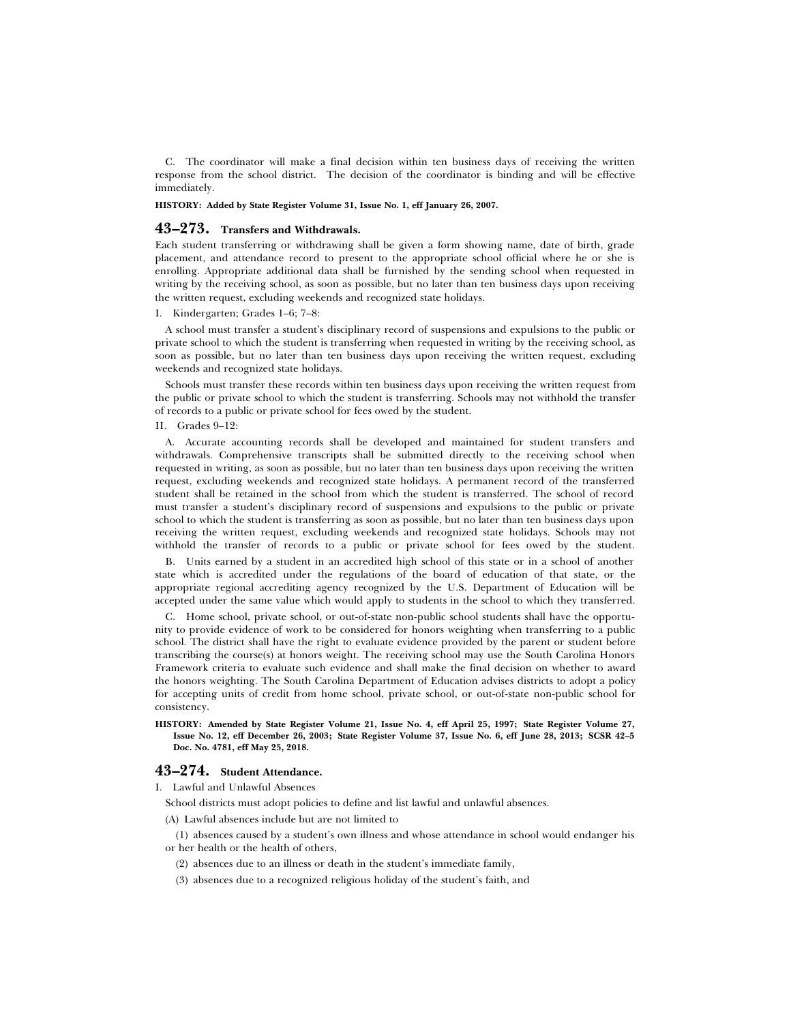C. The coordinator will make a final decision within ten business days of receiving the written response from the school district. The decision of the coordinator is binding and will be effective immediately.

# **HISTORY: Added by State Register Volume 31, Issue No. 1, eff January 26, 2007.**

### **43–273. Transfers and Withdrawals.**

Each student transferring or withdrawing shall be given a form showing name, date of birth, grade placement, and attendance record to present to the appropriate school official where he or she is enrolling. Appropriate additional data shall be furnished by the sending school when requested in writing by the receiving school, as soon as possible, but no later than ten business days upon receiving the written request, excluding weekends and recognized state holidays.

#### I. Kindergarten; Grades 1–6; 7–8:

A school must transfer a student's disciplinary record of suspensions and expulsions to the public or private school to which the student is transferring when requested in writing by the receiving school, as soon as possible, but no later than ten business days upon receiving the written request, excluding weekends and recognized state holidays.

Schools must transfer these records within ten business days upon receiving the written request from the public or private school to which the student is transferring. Schools may not withhold the transfer of records to a public or private school for fees owed by the student.

## II. Grades 9–12:

A. Accurate accounting records shall be developed and maintained for student transfers and withdrawals. Comprehensive transcripts shall be submitted directly to the receiving school when requested in writing, as soon as possible, but no later than ten business days upon receiving the written request, excluding weekends and recognized state holidays. A permanent record of the transferred student shall be retained in the school from which the student is transferred. The school of record must transfer a student's disciplinary record of suspensions and expulsions to the public or private school to which the student is transferring as soon as possible, but no later than ten business days upon receiving the written request, excluding weekends and recognized state holidays. Schools may not withhold the transfer of records to a public or private school for fees owed by the student.

B. Units earned by a student in an accredited high school of this state or in a school of another state which is accredited under the regulations of the board of education of that state, or the appropriate regional accrediting agency recognized by the U.S. Department of Education will be accepted under the same value which would apply to students in the school to which they transferred.

C. Home school, private school, or out-of-state non-public school students shall have the opportunity to provide evidence of work to be considered for honors weighting when transferring to a public school. The district shall have the right to evaluate evidence provided by the parent or student before transcribing the course(s) at honors weight. The receiving school may use the South Carolina Honors Framework criteria to evaluate such evidence and shall make the final decision on whether to award the honors weighting. The South Carolina Department of Education advises districts to adopt a policy for accepting units of credit from home school, private school, or out-of-state non-public school for consistency.

**HISTORY: Amended by State Register Volume 21, Issue No. 4, eff April 25, 1997; State Register Volume 27, Issue No. 12, eff December 26, 2003; State Register Volume 37, Issue No. 6, eff June 28, 2013; SCSR 42–5 Doc. No. 4781, eff May 25, 2018.**

# **43–274. Student Attendance.**

I. Lawful and Unlawful Absences

- School districts must adopt policies to define and list lawful and unlawful absences.
- (A) Lawful absences include but are not limited to

(1) absences caused by a student's own illness and whose attendance in school would endanger his or her health or the health of others,

- (2) absences due to an illness or death in the student's immediate family,
- (3) absences due to a recognized religious holiday of the student's faith, and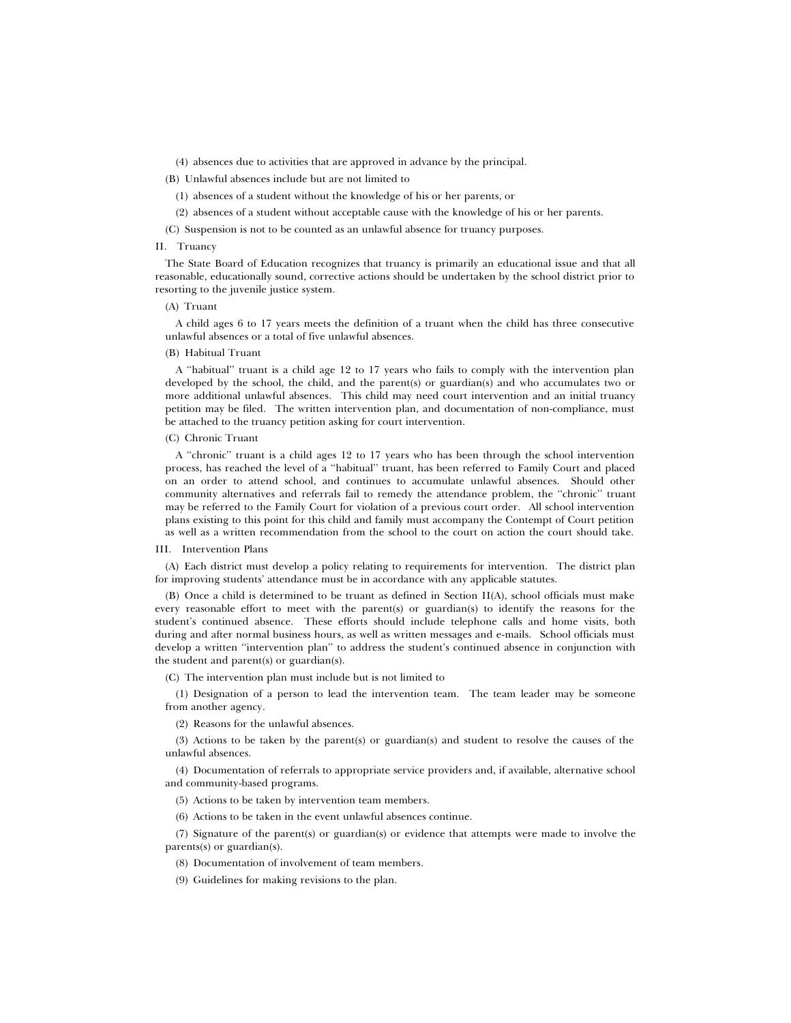(4) absences due to activities that are approved in advance by the principal.

(B) Unlawful absences include but are not limited to

(1) absences of a student without the knowledge of his or her parents, or

(2) absences of a student without acceptable cause with the knowledge of his or her parents.

(C) Suspension is not to be counted as an unlawful absence for truancy purposes.

# II. Truancy

The State Board of Education recognizes that truancy is primarily an educational issue and that all reasonable, educationally sound, corrective actions should be undertaken by the school district prior to resorting to the juvenile justice system.

# (A) Truant

A child ages 6 to 17 years meets the definition of a truant when the child has three consecutive unlawful absences or a total of five unlawful absences.

#### (B) Habitual Truant

A ''habitual'' truant is a child age 12 to 17 years who fails to comply with the intervention plan developed by the school, the child, and the parent(s) or guardian(s) and who accumulates two or more additional unlawful absences. This child may need court intervention and an initial truancy petition may be filed. The written intervention plan, and documentation of non-compliance, must be attached to the truancy petition asking for court intervention.

### (C) Chronic Truant

A ''chronic'' truant is a child ages 12 to 17 years who has been through the school intervention process, has reached the level of a ''habitual'' truant, has been referred to Family Court and placed on an order to attend school, and continues to accumulate unlawful absences. Should other community alternatives and referrals fail to remedy the attendance problem, the ''chronic'' truant may be referred to the Family Court for violation of a previous court order. All school intervention plans existing to this point for this child and family must accompany the Contempt of Court petition as well as a written recommendation from the school to the court on action the court should take.

#### III. Intervention Plans

(A) Each district must develop a policy relating to requirements for intervention. The district plan for improving students' attendance must be in accordance with any applicable statutes.

(B) Once a child is determined to be truant as defined in Section II(A), school officials must make every reasonable effort to meet with the parent(s) or guardian(s) to identify the reasons for the student's continued absence. These efforts should include telephone calls and home visits, both during and after normal business hours, as well as written messages and e-mails. School officials must develop a written ''intervention plan'' to address the student's continued absence in conjunction with the student and parent(s) or guardian(s).

(C) The intervention plan must include but is not limited to

(1) Designation of a person to lead the intervention team. The team leader may be someone from another agency.

(2) Reasons for the unlawful absences.

(3) Actions to be taken by the parent(s) or guardian(s) and student to resolve the causes of the unlawful absences.

(4) Documentation of referrals to appropriate service providers and, if available, alternative school and community-based programs.

(5) Actions to be taken by intervention team members.

(6) Actions to be taken in the event unlawful absences continue.

(7) Signature of the parent(s) or guardian(s) or evidence that attempts were made to involve the parents(s) or guardian(s).

(8) Documentation of involvement of team members.

(9) Guidelines for making revisions to the plan.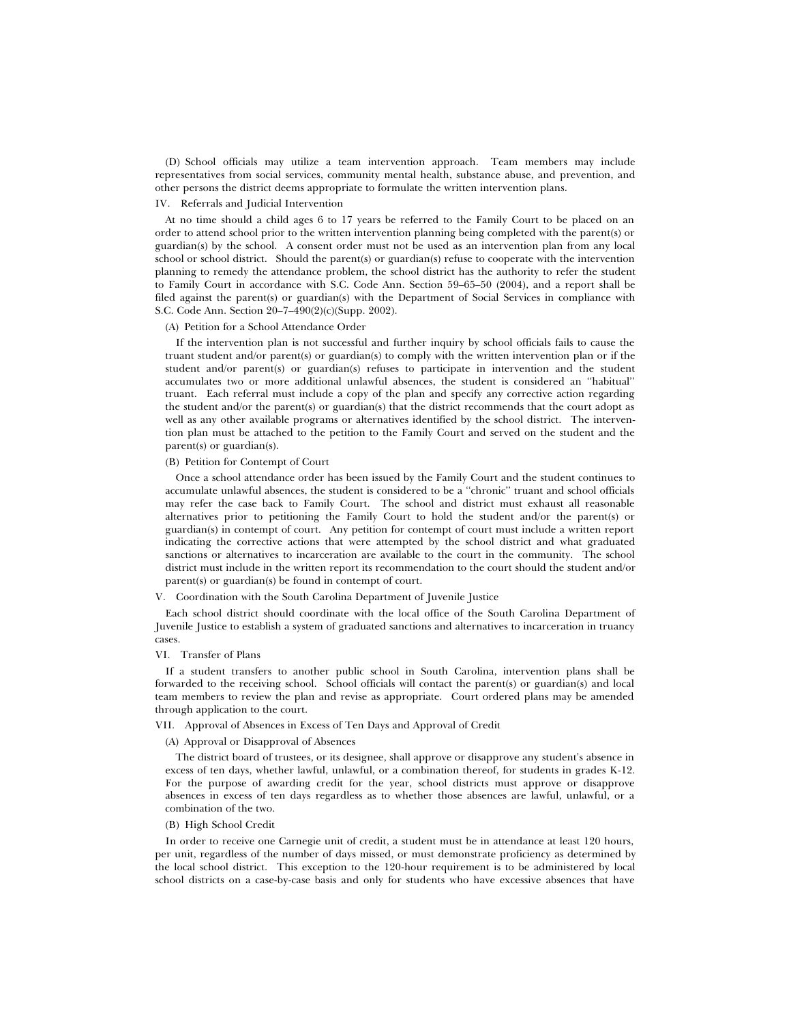(D) School officials may utilize a team intervention approach. Team members may include representatives from social services, community mental health, substance abuse, and prevention, and other persons the district deems appropriate to formulate the written intervention plans.

# IV. Referrals and Judicial Intervention

At no time should a child ages 6 to 17 years be referred to the Family Court to be placed on an order to attend school prior to the written intervention planning being completed with the parent(s) or guardian(s) by the school. A consent order must not be used as an intervention plan from any local school or school district. Should the parent(s) or guardian(s) refuse to cooperate with the intervention planning to remedy the attendance problem, the school district has the authority to refer the student to Family Court in accordance with S.C. Code Ann. Section 59–65–50 (2004), and a report shall be filed against the parent(s) or guardian(s) with the Department of Social Services in compliance with S.C. Code Ann. Section 20–7–490(2)(c)(Supp. 2002).

#### (A) Petition for a School Attendance Order

If the intervention plan is not successful and further inquiry by school officials fails to cause the truant student and/or parent(s) or guardian(s) to comply with the written intervention plan or if the student and/or parent(s) or guardian(s) refuses to participate in intervention and the student accumulates two or more additional unlawful absences, the student is considered an ''habitual'' truant. Each referral must include a copy of the plan and specify any corrective action regarding the student and/or the parent(s) or guardian(s) that the district recommends that the court adopt as well as any other available programs or alternatives identified by the school district. The intervention plan must be attached to the petition to the Family Court and served on the student and the parent(s) or guardian(s).

#### (B) Petition for Contempt of Court

Once a school attendance order has been issued by the Family Court and the student continues to accumulate unlawful absences, the student is considered to be a ''chronic'' truant and school officials may refer the case back to Family Court. The school and district must exhaust all reasonable alternatives prior to petitioning the Family Court to hold the student and/or the parent(s) or guardian(s) in contempt of court. Any petition for contempt of court must include a written report indicating the corrective actions that were attempted by the school district and what graduated sanctions or alternatives to incarceration are available to the court in the community. The school district must include in the written report its recommendation to the court should the student and/or parent(s) or guardian(s) be found in contempt of court.

### V. Coordination with the South Carolina Department of Juvenile Justice

Each school district should coordinate with the local office of the South Carolina Department of Juvenile Justice to establish a system of graduated sanctions and alternatives to incarceration in truancy cases.

#### VI. Transfer of Plans

If a student transfers to another public school in South Carolina, intervention plans shall be forwarded to the receiving school. School officials will contact the parent(s) or guardian(s) and local team members to review the plan and revise as appropriate. Court ordered plans may be amended through application to the court.

## VII. Approval of Absences in Excess of Ten Days and Approval of Credit

# (A) Approval or Disapproval of Absences

The district board of trustees, or its designee, shall approve or disapprove any student's absence in excess of ten days, whether lawful, unlawful, or a combination thereof, for students in grades K-12. For the purpose of awarding credit for the year, school districts must approve or disapprove absences in excess of ten days regardless as to whether those absences are lawful, unlawful, or a combination of the two.

#### (B) High School Credit

In order to receive one Carnegie unit of credit, a student must be in attendance at least 120 hours, per unit, regardless of the number of days missed, or must demonstrate proficiency as determined by the local school district. This exception to the 120-hour requirement is to be administered by local school districts on a case-by-case basis and only for students who have excessive absences that have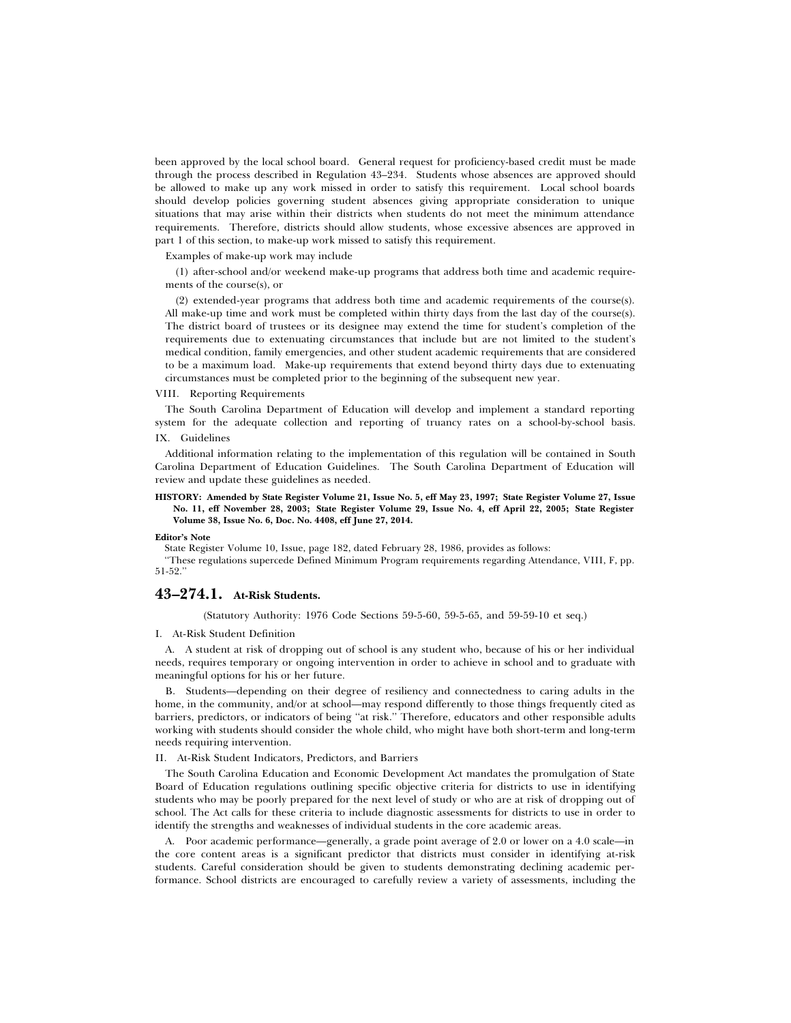been approved by the local school board. General request for proficiency-based credit must be made through the process described in Regulation 43–234. Students whose absences are approved should be allowed to make up any work missed in order to satisfy this requirement. Local school boards should develop policies governing student absences giving appropriate consideration to unique situations that may arise within their districts when students do not meet the minimum attendance requirements. Therefore, districts should allow students, whose excessive absences are approved in part 1 of this section, to make-up work missed to satisfy this requirement.

#### Examples of make-up work may include

(1) after-school and/or weekend make-up programs that address both time and academic requirements of the course(s), or

(2) extended-year programs that address both time and academic requirements of the course(s). All make-up time and work must be completed within thirty days from the last day of the course(s). The district board of trustees or its designee may extend the time for student's completion of the requirements due to extenuating circumstances that include but are not limited to the student's medical condition, family emergencies, and other student academic requirements that are considered to be a maximum load. Make-up requirements that extend beyond thirty days due to extenuating circumstances must be completed prior to the beginning of the subsequent new year.

### VIII. Reporting Requirements

The South Carolina Department of Education will develop and implement a standard reporting system for the adequate collection and reporting of truancy rates on a school-by-school basis. IX. Guidelines

Additional information relating to the implementation of this regulation will be contained in South Carolina Department of Education Guidelines. The South Carolina Department of Education will review and update these guidelines as needed.

#### **HISTORY: Amended by State Register Volume 21, Issue No. 5, eff May 23, 1997; State Register Volume 27, Issue No. 11, eff November 28, 2003; State Register Volume 29, Issue No. 4, eff April 22, 2005; State Register Volume 38, Issue No. 6, Doc. No. 4408, eff June 27, 2014.**

#### **Editor's Note**

State Register Volume 10, Issue, page 182, dated February 28, 1986, provides as follows:

''These regulations supercede Defined Minimum Program requirements regarding Attendance, VIII, F, pp. 51-52.''

# **43–274.1. At-Risk Students.**

(Statutory Authority: 1976 Code Sections 59-5-60, 59-5-65, and 59-59-10 et seq.)

#### I. At-Risk Student Definition

A. A student at risk of dropping out of school is any student who, because of his or her individual needs, requires temporary or ongoing intervention in order to achieve in school and to graduate with meaningful options for his or her future.

B. Students—depending on their degree of resiliency and connectedness to caring adults in the home, in the community, and/or at school—may respond differently to those things frequently cited as barriers, predictors, or indicators of being ''at risk.'' Therefore, educators and other responsible adults working with students should consider the whole child, who might have both short-term and long-term needs requiring intervention.

### II. At-Risk Student Indicators, Predictors, and Barriers

The South Carolina Education and Economic Development Act mandates the promulgation of State Board of Education regulations outlining specific objective criteria for districts to use in identifying students who may be poorly prepared for the next level of study or who are at risk of dropping out of school. The Act calls for these criteria to include diagnostic assessments for districts to use in order to identify the strengths and weaknesses of individual students in the core academic areas.

A. Poor academic performance—generally, a grade point average of 2.0 or lower on a 4.0 scale—in the core content areas is a significant predictor that districts must consider in identifying at-risk students. Careful consideration should be given to students demonstrating declining academic performance. School districts are encouraged to carefully review a variety of assessments, including the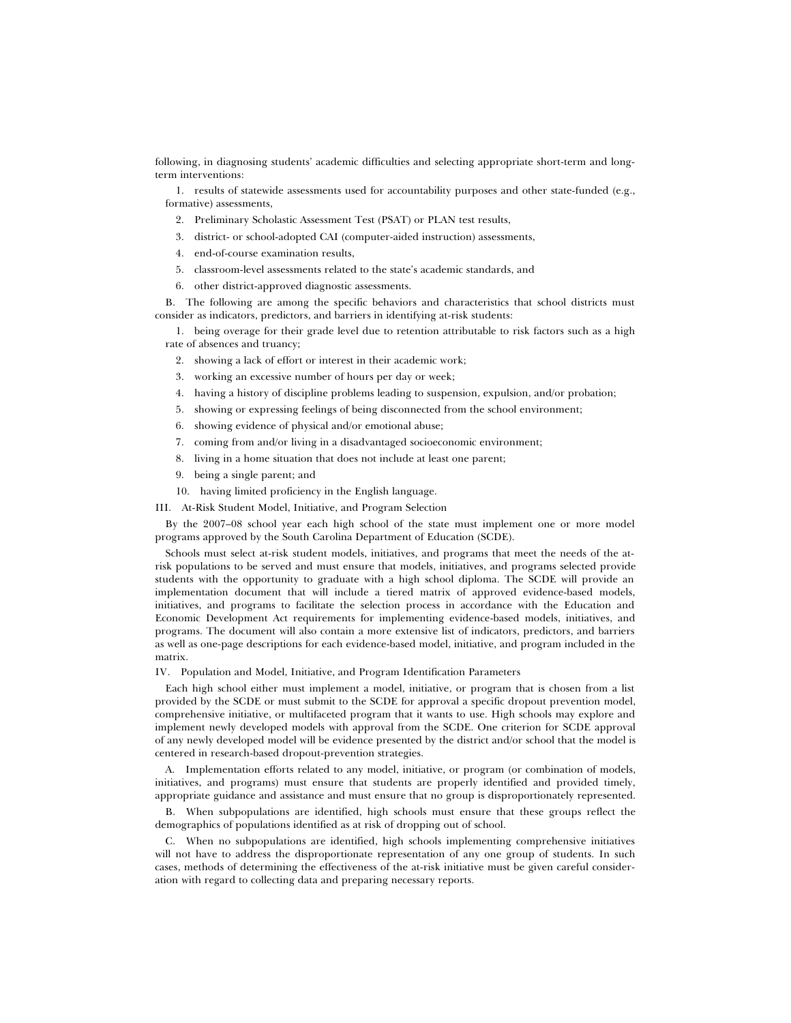following, in diagnosing students' academic difficulties and selecting appropriate short-term and longterm interventions:

1. results of statewide assessments used for accountability purposes and other state-funded (e.g., formative) assessments,

- 2. Preliminary Scholastic Assessment Test (PSAT) or PLAN test results,
- 3. district- or school-adopted CAI (computer-aided instruction) assessments,
- 4. end-of-course examination results,
- 5. classroom-level assessments related to the state's academic standards, and
- 6. other district-approved diagnostic assessments.

B. The following are among the specific behaviors and characteristics that school districts must consider as indicators, predictors, and barriers in identifying at-risk students:

- 1. being overage for their grade level due to retention attributable to risk factors such as a high rate of absences and truancy;
	- 2. showing a lack of effort or interest in their academic work;
	- 3. working an excessive number of hours per day or week;
	- 4. having a history of discipline problems leading to suspension, expulsion, and/or probation;
	- 5. showing or expressing feelings of being disconnected from the school environment;
	- 6. showing evidence of physical and/or emotional abuse;
	- 7. coming from and/or living in a disadvantaged socioeconomic environment;
	- 8. living in a home situation that does not include at least one parent;
	- 9. being a single parent; and
- 10. having limited proficiency in the English language.
- III. At-Risk Student Model, Initiative, and Program Selection

By the 2007–08 school year each high school of the state must implement one or more model programs approved by the South Carolina Department of Education (SCDE).

Schools must select at-risk student models, initiatives, and programs that meet the needs of the atrisk populations to be served and must ensure that models, initiatives, and programs selected provide students with the opportunity to graduate with a high school diploma. The SCDE will provide an implementation document that will include a tiered matrix of approved evidence-based models, initiatives, and programs to facilitate the selection process in accordance with the Education and Economic Development Act requirements for implementing evidence-based models, initiatives, and programs. The document will also contain a more extensive list of indicators, predictors, and barriers as well as one-page descriptions for each evidence-based model, initiative, and program included in the matrix.

IV. Population and Model, Initiative, and Program Identification Parameters

Each high school either must implement a model, initiative, or program that is chosen from a list provided by the SCDE or must submit to the SCDE for approval a specific dropout prevention model, comprehensive initiative, or multifaceted program that it wants to use. High schools may explore and implement newly developed models with approval from the SCDE. One criterion for SCDE approval of any newly developed model will be evidence presented by the district and/or school that the model is centered in research-based dropout-prevention strategies.

A. Implementation efforts related to any model, initiative, or program (or combination of models, initiatives, and programs) must ensure that students are properly identified and provided timely, appropriate guidance and assistance and must ensure that no group is disproportionately represented.

B. When subpopulations are identified, high schools must ensure that these groups reflect the demographics of populations identified as at risk of dropping out of school.

C. When no subpopulations are identified, high schools implementing comprehensive initiatives will not have to address the disproportionate representation of any one group of students. In such cases, methods of determining the effectiveness of the at-risk initiative must be given careful consideration with regard to collecting data and preparing necessary reports.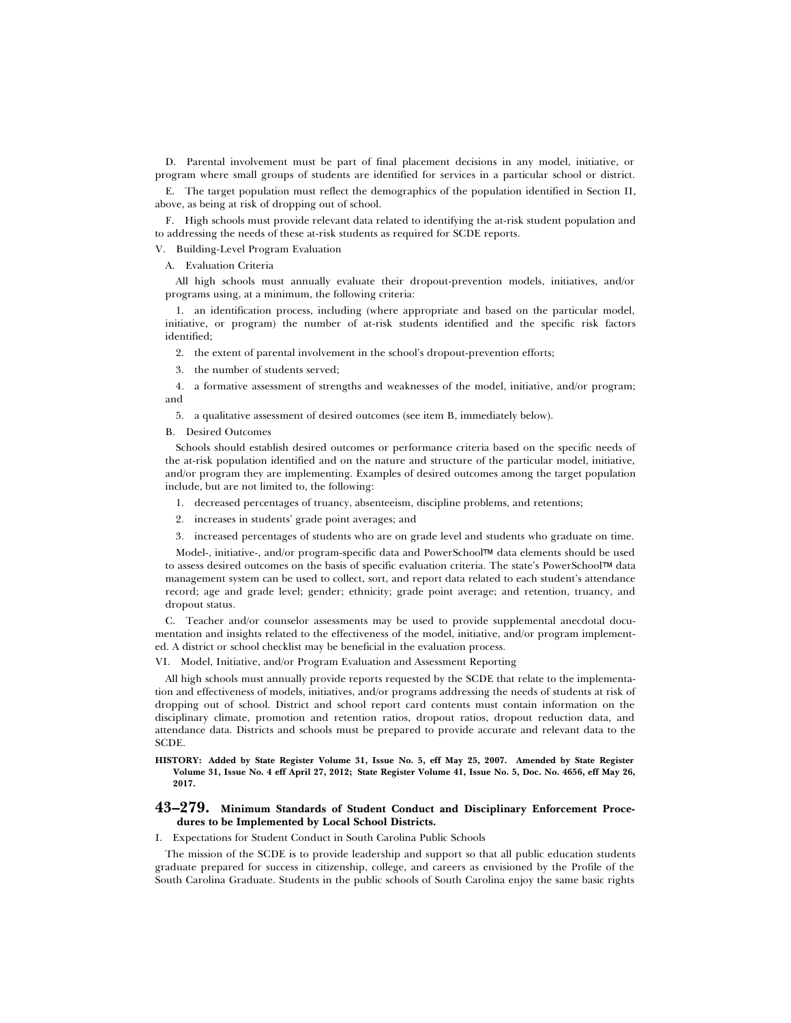D. Parental involvement must be part of final placement decisions in any model, initiative, or program where small groups of students are identified for services in a particular school or district.

E. The target population must reflect the demographics of the population identified in Section II, above, as being at risk of dropping out of school.

F. High schools must provide relevant data related to identifying the at-risk student population and to addressing the needs of these at-risk students as required for SCDE reports.

V. Building-Level Program Evaluation

#### A. Evaluation Criteria

All high schools must annually evaluate their dropout-prevention models, initiatives, and/or programs using, at a minimum, the following criteria:

1. an identification process, including (where appropriate and based on the particular model, initiative, or program) the number of at-risk students identified and the specific risk factors identified;

2. the extent of parental involvement in the school's dropout-prevention efforts;

3. the number of students served;

4. a formative assessment of strengths and weaknesses of the model, initiative, and/or program; and

5. a qualitative assessment of desired outcomes (see item B, immediately below).

B. Desired Outcomes

Schools should establish desired outcomes or performance criteria based on the specific needs of the at-risk population identified and on the nature and structure of the particular model, initiative, and/or program they are implementing. Examples of desired outcomes among the target population include, but are not limited to, the following:

- 1. decreased percentages of truancy, absenteeism, discipline problems, and retentions;
- 2. increases in students' grade point averages; and
- 3. increased percentages of students who are on grade level and students who graduate on time.

Model-, initiative-, and/or program-specific data and PowerSchool™ data elements should be used to assess desired outcomes on the basis of specific evaluation criteria. The state's PowerSchool™ data management system can be used to collect, sort, and report data related to each student's attendance record; age and grade level; gender; ethnicity; grade point average; and retention, truancy, and dropout status.

C. Teacher and/or counselor assessments may be used to provide supplemental anecdotal documentation and insights related to the effectiveness of the model, initiative, and/or program implemented. A district or school checklist may be beneficial in the evaluation process.

VI. Model, Initiative, and/or Program Evaluation and Assessment Reporting

All high schools must annually provide reports requested by the SCDE that relate to the implementation and effectiveness of models, initiatives, and/or programs addressing the needs of students at risk of dropping out of school. District and school report card contents must contain information on the disciplinary climate, promotion and retention ratios, dropout ratios, dropout reduction data, and attendance data. Districts and schools must be prepared to provide accurate and relevant data to the SCDE.

**HISTORY: Added by State Register Volume 31, Issue No. 5, eff May 25, 2007. Amended by State Register Volume 31, Issue No. 4 eff April 27, 2012; State Register Volume 41, Issue No. 5, Doc. No. 4656, eff May 26, 2017.**

# **43–279. Minimum Standards of Student Conduct and Disciplinary Enforcement Procedures to be Implemented by Local School Districts.**

I. Expectations for Student Conduct in South Carolina Public Schools

The mission of the SCDE is to provide leadership and support so that all public education students graduate prepared for success in citizenship, college, and careers as envisioned by the Profile of the South Carolina Graduate. Students in the public schools of South Carolina enjoy the same basic rights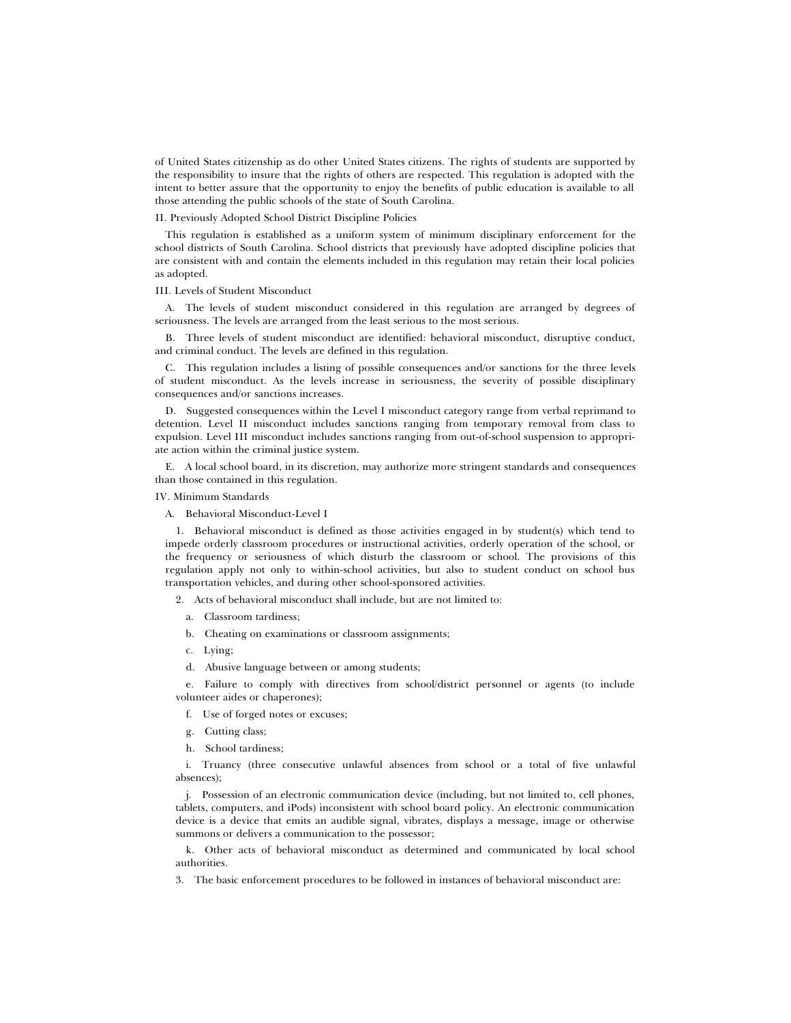of United States citizenship as do other United States citizens. The rights of students are supported by the responsibility to insure that the rights of others are respected. This regulation is adopted with the intent to better assure that the opportunity to enjoy the benefits of public education is available to all those attending the public schools of the state of South Carolina.

# II. Previously Adopted School District Discipline Policies

This regulation is established as a uniform system of minimum disciplinary enforcement for the school districts of South Carolina. School districts that previously have adopted discipline policies that are consistent with and contain the elements included in this regulation may retain their local policies as adopted.

### III. Levels of Student Misconduct

A. The levels of student misconduct considered in this regulation are arranged by degrees of seriousness. The levels are arranged from the least serious to the most serious.

B. Three levels of student misconduct are identified: behavioral misconduct, disruptive conduct, and criminal conduct. The levels are defined in this regulation.

C. This regulation includes a listing of possible consequences and/or sanctions for the three levels of student misconduct. As the levels increase in seriousness, the severity of possible disciplinary consequences and/or sanctions increases.

D. Suggested consequences within the Level I misconduct category range from verbal reprimand to detention. Level II misconduct includes sanctions ranging from temporary removal from class to expulsion. Level III misconduct includes sanctions ranging from out-of-school suspension to appropriate action within the criminal justice system.

E. A local school board, in its discretion, may authorize more stringent standards and consequences than those contained in this regulation.

IV. Minimum Standards

A. Behavioral Misconduct-Level I

1. Behavioral misconduct is defined as those activities engaged in by student(s) which tend to impede orderly classroom procedures or instructional activities, orderly operation of the school, or the frequency or seriousness of which disturb the classroom or school. The provisions of this regulation apply not only to within-school activities, but also to student conduct on school bus transportation vehicles, and during other school-sponsored activities.

2. Acts of behavioral misconduct shall include, but are not limited to:

- a. Classroom tardiness;
- b. Cheating on examinations or classroom assignments;
- c. Lying;
- d. Abusive language between or among students;

e. Failure to comply with directives from school/district personnel or agents (to include volunteer aides or chaperones);

- f. Use of forged notes or excuses;
- g. Cutting class;
- h. School tardiness;

i. Truancy (three consecutive unlawful absences from school or a total of five unlawful absences);

j. Possession of an electronic communication device (including, but not limited to, cell phones, tablets, computers, and iPods) inconsistent with school board policy. An electronic communication device is a device that emits an audible signal, vibrates, displays a message, image or otherwise summons or delivers a communication to the possessor;

k. Other acts of behavioral misconduct as determined and communicated by local school authorities.

3. The basic enforcement procedures to be followed in instances of behavioral misconduct are: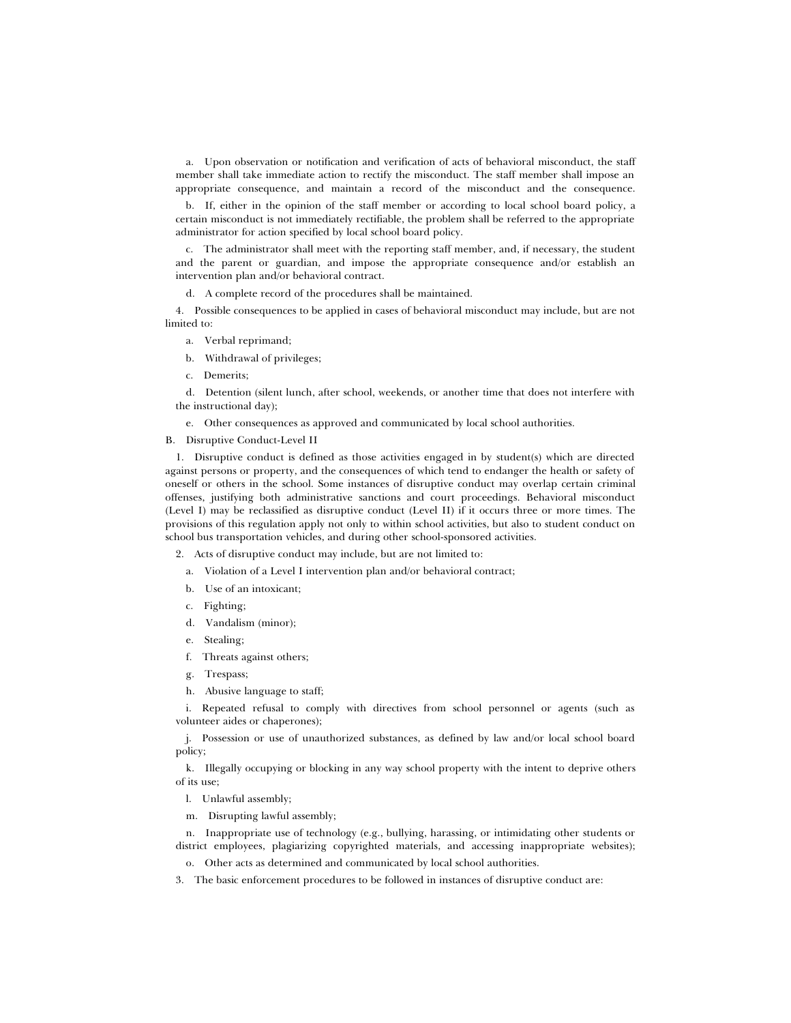a. Upon observation or notification and verification of acts of behavioral misconduct, the staff member shall take immediate action to rectify the misconduct. The staff member shall impose an appropriate consequence, and maintain a record of the misconduct and the consequence.

b. If, either in the opinion of the staff member or according to local school board policy, a certain misconduct is not immediately rectifiable, the problem shall be referred to the appropriate administrator for action specified by local school board policy.

c. The administrator shall meet with the reporting staff member, and, if necessary, the student and the parent or guardian, and impose the appropriate consequence and/or establish an intervention plan and/or behavioral contract.

d. A complete record of the procedures shall be maintained.

4. Possible consequences to be applied in cases of behavioral misconduct may include, but are not limited to:

- a. Verbal reprimand;
- b. Withdrawal of privileges;
- c. Demerits;

d. Detention (silent lunch, after school, weekends, or another time that does not interfere with the instructional day);

e. Other consequences as approved and communicated by local school authorities.

## B. Disruptive Conduct-Level II

1. Disruptive conduct is defined as those activities engaged in by student(s) which are directed against persons or property, and the consequences of which tend to endanger the health or safety of oneself or others in the school. Some instances of disruptive conduct may overlap certain criminal offenses, justifying both administrative sanctions and court proceedings. Behavioral misconduct (Level I) may be reclassified as disruptive conduct (Level II) if it occurs three or more times. The provisions of this regulation apply not only to within school activities, but also to student conduct on school bus transportation vehicles, and during other school-sponsored activities.

2. Acts of disruptive conduct may include, but are not limited to:

a. Violation of a Level I intervention plan and/or behavioral contract;

- b. Use of an intoxicant;
- c. Fighting;
- d. Vandalism (minor);
- e. Stealing;
- f. Threats against others;
- g. Trespass;
- h. Abusive language to staff;

i. Repeated refusal to comply with directives from school personnel or agents (such as volunteer aides or chaperones);

j. Possession or use of unauthorized substances, as defined by law and/or local school board policy;

k. Illegally occupying or blocking in any way school property with the intent to deprive others of its use;

l. Unlawful assembly;

m. Disrupting lawful assembly;

n. Inappropriate use of technology (e.g., bullying, harassing, or intimidating other students or district employees, plagiarizing copyrighted materials, and accessing inappropriate websites);

o. Other acts as determined and communicated by local school authorities.

3. The basic enforcement procedures to be followed in instances of disruptive conduct are: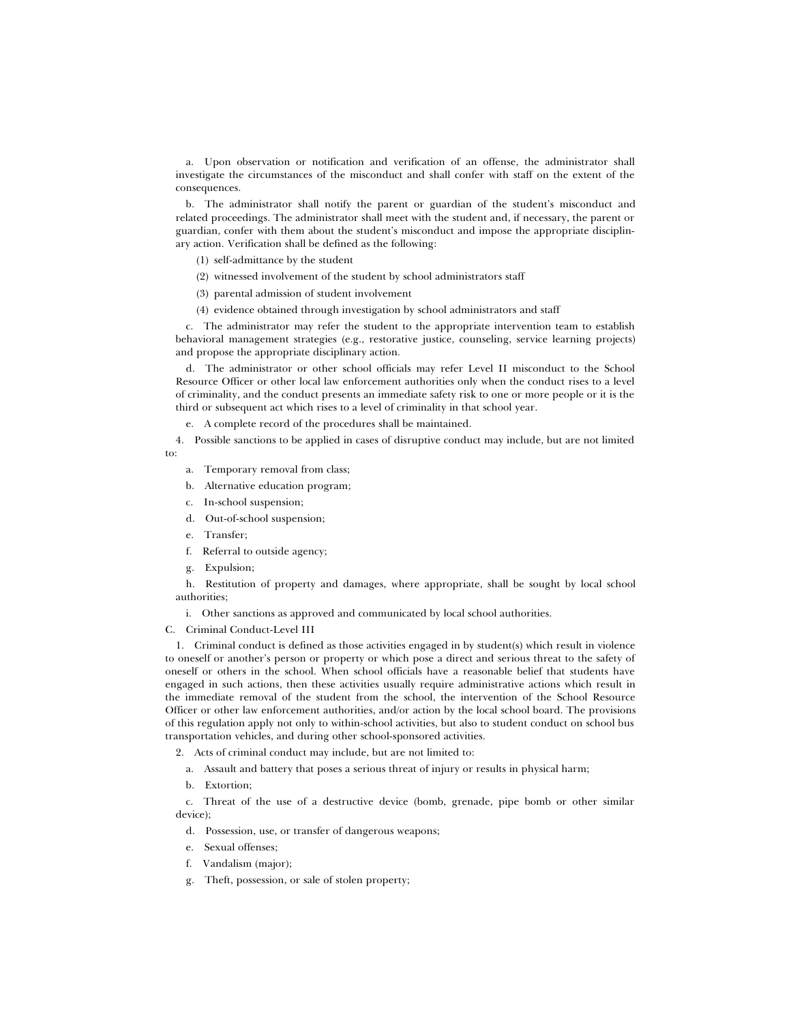a. Upon observation or notification and verification of an offense, the administrator shall investigate the circumstances of the misconduct and shall confer with staff on the extent of the consequences.

b. The administrator shall notify the parent or guardian of the student's misconduct and related proceedings. The administrator shall meet with the student and, if necessary, the parent or guardian, confer with them about the student's misconduct and impose the appropriate disciplinary action. Verification shall be defined as the following:

- (1) self-admittance by the student
- (2) witnessed involvement of the student by school administrators staff
- (3) parental admission of student involvement
- (4) evidence obtained through investigation by school administrators and staff

c. The administrator may refer the student to the appropriate intervention team to establish behavioral management strategies (e.g., restorative justice, counseling, service learning projects) and propose the appropriate disciplinary action.

d. The administrator or other school officials may refer Level II misconduct to the School Resource Officer or other local law enforcement authorities only when the conduct rises to a level of criminality, and the conduct presents an immediate safety risk to one or more people or it is the third or subsequent act which rises to a level of criminality in that school year.

e. A complete record of the procedures shall be maintained.

4. Possible sanctions to be applied in cases of disruptive conduct may include, but are not limited to:

- a. Temporary removal from class;
- b. Alternative education program;
- c. In-school suspension;
- d. Out-of-school suspension;
- e. Transfer;
- f. Referral to outside agency;
- g. Expulsion;

h. Restitution of property and damages, where appropriate, shall be sought by local school authorities;

i. Other sanctions as approved and communicated by local school authorities.

C. Criminal Conduct-Level III

1. Criminal conduct is defined as those activities engaged in by student(s) which result in violence to oneself or another's person or property or which pose a direct and serious threat to the safety of oneself or others in the school. When school officials have a reasonable belief that students have engaged in such actions, then these activities usually require administrative actions which result in the immediate removal of the student from the school, the intervention of the School Resource Officer or other law enforcement authorities, and/or action by the local school board. The provisions of this regulation apply not only to within-school activities, but also to student conduct on school bus transportation vehicles, and during other school-sponsored activities.

2. Acts of criminal conduct may include, but are not limited to:

- a. Assault and battery that poses a serious threat of injury or results in physical harm;
- b. Extortion;

c. Threat of the use of a destructive device (bomb, grenade, pipe bomb or other similar device);

- d. Possession, use, or transfer of dangerous weapons;
- e. Sexual offenses;
- f. Vandalism (major);
- g. Theft, possession, or sale of stolen property;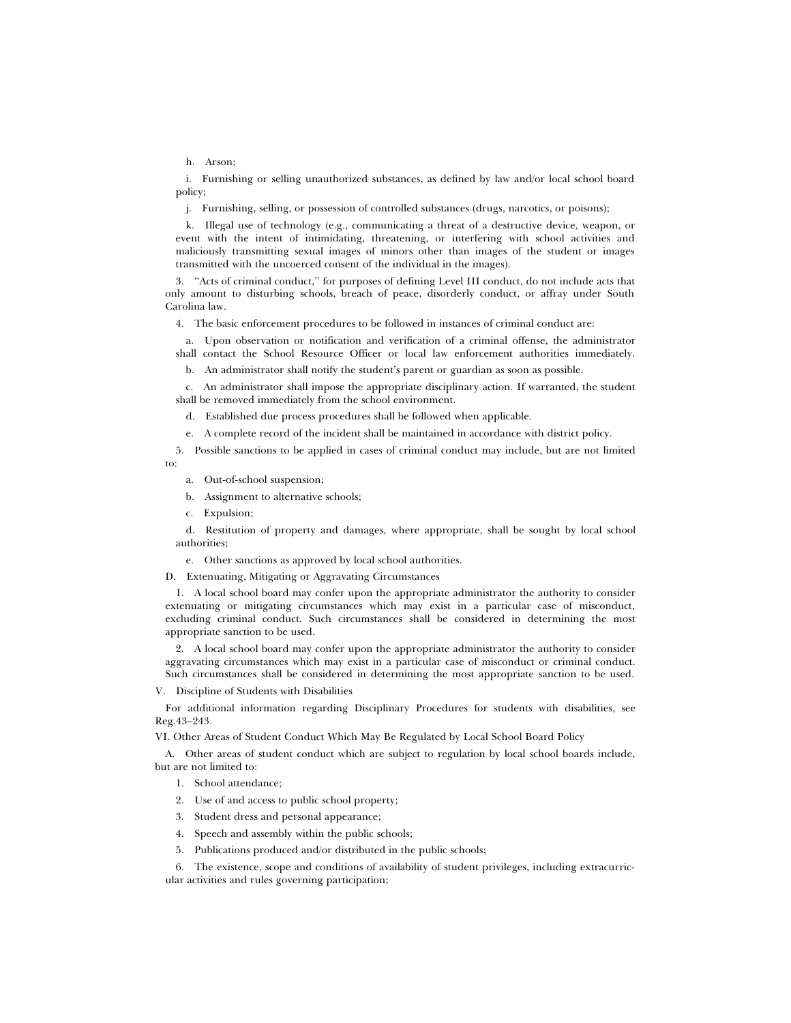h. Arson;

i. Furnishing or selling unauthorized substances, as defined by law and/or local school board policy;

j. Furnishing, selling, or possession of controlled substances (drugs, narcotics, or poisons);

k. Illegal use of technology (e.g., communicating a threat of a destructive device, weapon, or event with the intent of intimidating, threatening, or interfering with school activities and maliciously transmitting sexual images of minors other than images of the student or images transmitted with the uncoerced consent of the individual in the images).

3. ''Acts of criminal conduct,'' for purposes of defining Level III conduct, do not include acts that only amount to disturbing schools, breach of peace, disorderly conduct, or affray under South Carolina law.

4. The basic enforcement procedures to be followed in instances of criminal conduct are:

a. Upon observation or notification and verification of a criminal offense, the administrator shall contact the School Resource Officer or local law enforcement authorities immediately.

b. An administrator shall notify the student's parent or guardian as soon as possible.

c. An administrator shall impose the appropriate disciplinary action. If warranted, the student shall be removed immediately from the school environment.

d. Established due process procedures shall be followed when applicable.

e. A complete record of the incident shall be maintained in accordance with district policy.

5. Possible sanctions to be applied in cases of criminal conduct may include, but are not limited to:

- a. Out-of-school suspension;
- b. Assignment to alternative schools;
- c. Expulsion;

d. Restitution of property and damages, where appropriate, shall be sought by local school authorities;

e. Other sanctions as approved by local school authorities.

D. Extenuating, Mitigating or Aggravating Circumstances

1. A local school board may confer upon the appropriate administrator the authority to consider extenuating or mitigating circumstances which may exist in a particular case of misconduct, excluding criminal conduct. Such circumstances shall be considered in determining the most appropriate sanction to be used.

2. A local school board may confer upon the appropriate administrator the authority to consider aggravating circumstances which may exist in a particular case of misconduct or criminal conduct. Such circumstances shall be considered in determining the most appropriate sanction to be used.

V. Discipline of Students with Disabilities

For additional information regarding Disciplinary Procedures for students with disabilities, see Reg.43–243.

VI. Other Areas of Student Conduct Which May Be Regulated by Local School Board Policy

A. Other areas of student conduct which are subject to regulation by local school boards include, but are not limited to:

1. School attendance;

2. Use of and access to public school property;

- 3. Student dress and personal appearance;
- 4. Speech and assembly within the public schools;
- 5. Publications produced and/or distributed in the public schools;

6. The existence, scope and conditions of availability of student privileges, including extracurricular activities and rules governing participation;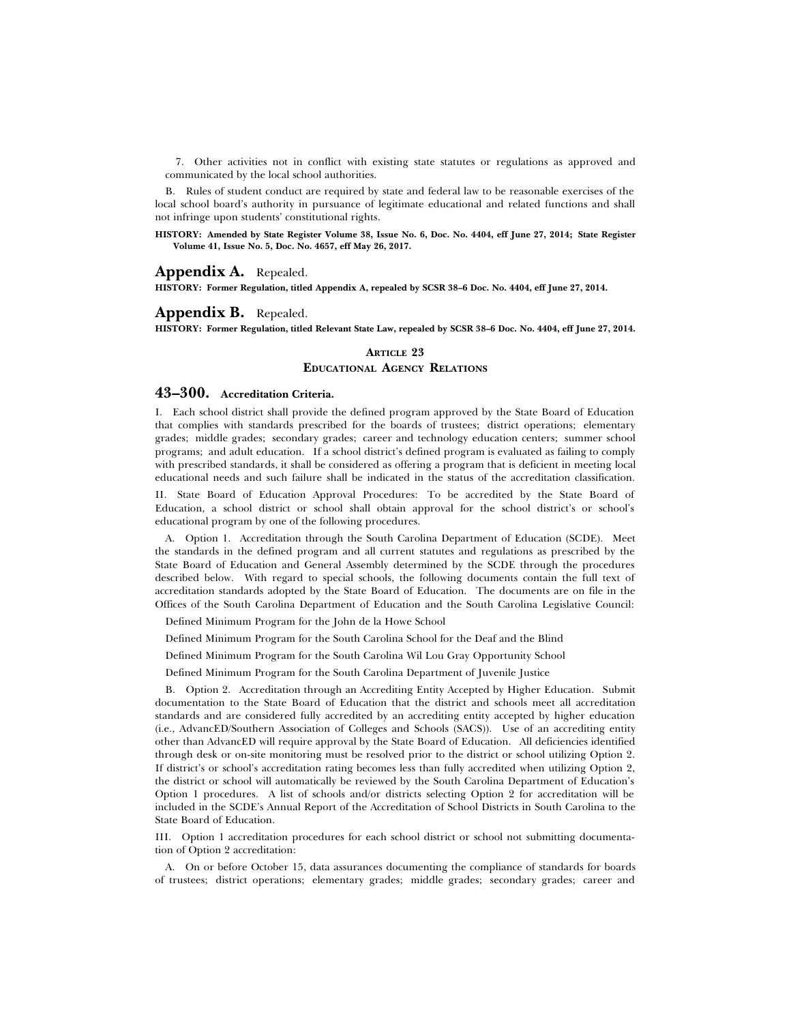7. Other activities not in conflict with existing state statutes or regulations as approved and communicated by the local school authorities.

B. Rules of student conduct are required by state and federal law to be reasonable exercises of the local school board's authority in pursuance of legitimate educational and related functions and shall not infringe upon students' constitutional rights.

**HISTORY: Amended by State Register Volume 38, Issue No. 6, Doc. No. 4404, eff June 27, 2014; State Register Volume 41, Issue No. 5, Doc. No. 4657, eff May 26, 2017.**

#### **Appendix A.** Repealed.

**HISTORY: Former Regulation, titled Appendix A, repealed by SCSR 38–6 Doc. No. 4404, eff June 27, 2014.**

#### **Appendix B.** Repealed.

**HISTORY: Former Regulation, titled Relevant State Law, repealed by SCSR 38–6 Doc. No. 4404, eff June 27, 2014.**

## **ARTICLE 23 EDUCATIONAL AGENCY RELATIONS**

# **43–300. Accreditation Criteria.**

I. Each school district shall provide the defined program approved by the State Board of Education that complies with standards prescribed for the boards of trustees; district operations; elementary grades; middle grades; secondary grades; career and technology education centers; summer school programs; and adult education. If a school district's defined program is evaluated as failing to comply with prescribed standards, it shall be considered as offering a program that is deficient in meeting local educational needs and such failure shall be indicated in the status of the accreditation classification.

II. State Board of Education Approval Procedures: To be accredited by the State Board of Education, a school district or school shall obtain approval for the school district's or school's educational program by one of the following procedures.

A. Option 1. Accreditation through the South Carolina Department of Education (SCDE). Meet the standards in the defined program and all current statutes and regulations as prescribed by the State Board of Education and General Assembly determined by the SCDE through the procedures described below. With regard to special schools, the following documents contain the full text of accreditation standards adopted by the State Board of Education. The documents are on file in the Offices of the South Carolina Department of Education and the South Carolina Legislative Council:

Defined Minimum Program for the John de la Howe School

Defined Minimum Program for the South Carolina School for the Deaf and the Blind

Defined Minimum Program for the South Carolina Wil Lou Gray Opportunity School

Defined Minimum Program for the South Carolina Department of Juvenile Justice

B. Option 2. Accreditation through an Accrediting Entity Accepted by Higher Education. Submit documentation to the State Board of Education that the district and schools meet all accreditation standards and are considered fully accredited by an accrediting entity accepted by higher education (i.e., AdvancED/Southern Association of Colleges and Schools (SACS)). Use of an accrediting entity other than AdvancED will require approval by the State Board of Education. All deficiencies identified through desk or on-site monitoring must be resolved prior to the district or school utilizing Option 2. If district's or school's accreditation rating becomes less than fully accredited when utilizing Option 2, the district or school will automatically be reviewed by the South Carolina Department of Education's Option 1 procedures. A list of schools and/or districts selecting Option 2 for accreditation will be included in the SCDE's Annual Report of the Accreditation of School Districts in South Carolina to the State Board of Education.

III. Option 1 accreditation procedures for each school district or school not submitting documentation of Option 2 accreditation:

A. On or before October 15, data assurances documenting the compliance of standards for boards of trustees; district operations; elementary grades; middle grades; secondary grades; career and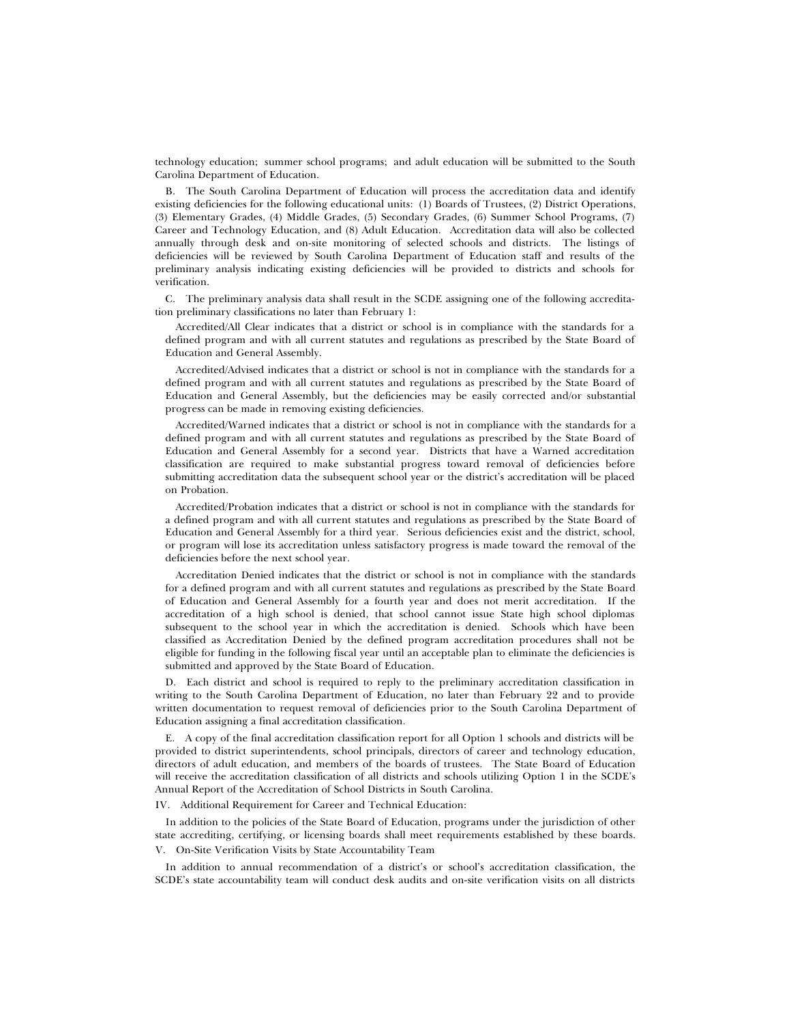technology education; summer school programs; and adult education will be submitted to the South Carolina Department of Education.

B. The South Carolina Department of Education will process the accreditation data and identify existing deficiencies for the following educational units: (1) Boards of Trustees, (2) District Operations, (3) Elementary Grades, (4) Middle Grades, (5) Secondary Grades, (6) Summer School Programs, (7) Career and Technology Education, and (8) Adult Education. Accreditation data will also be collected annually through desk and on-site monitoring of selected schools and districts. The listings of deficiencies will be reviewed by South Carolina Department of Education staff and results of the preliminary analysis indicating existing deficiencies will be provided to districts and schools for verification.

C. The preliminary analysis data shall result in the SCDE assigning one of the following accreditation preliminary classifications no later than February 1:

Accredited/All Clear indicates that a district or school is in compliance with the standards for a defined program and with all current statutes and regulations as prescribed by the State Board of Education and General Assembly.

Accredited/Advised indicates that a district or school is not in compliance with the standards for a defined program and with all current statutes and regulations as prescribed by the State Board of Education and General Assembly, but the deficiencies may be easily corrected and/or substantial progress can be made in removing existing deficiencies.

Accredited/Warned indicates that a district or school is not in compliance with the standards for a defined program and with all current statutes and regulations as prescribed by the State Board of Education and General Assembly for a second year. Districts that have a Warned accreditation classification are required to make substantial progress toward removal of deficiencies before submitting accreditation data the subsequent school year or the district's accreditation will be placed on Probation.

Accredited/Probation indicates that a district or school is not in compliance with the standards for a defined program and with all current statutes and regulations as prescribed by the State Board of Education and General Assembly for a third year. Serious deficiencies exist and the district, school, or program will lose its accreditation unless satisfactory progress is made toward the removal of the deficiencies before the next school year.

Accreditation Denied indicates that the district or school is not in compliance with the standards for a defined program and with all current statutes and regulations as prescribed by the State Board of Education and General Assembly for a fourth year and does not merit accreditation. If the accreditation of a high school is denied, that school cannot issue State high school diplomas subsequent to the school year in which the accreditation is denied. Schools which have been classified as Accreditation Denied by the defined program accreditation procedures shall not be eligible for funding in the following fiscal year until an acceptable plan to eliminate the deficiencies is submitted and approved by the State Board of Education.

D. Each district and school is required to reply to the preliminary accreditation classification in writing to the South Carolina Department of Education, no later than February 22 and to provide written documentation to request removal of deficiencies prior to the South Carolina Department of Education assigning a final accreditation classification.

E. A copy of the final accreditation classification report for all Option 1 schools and districts will be provided to district superintendents, school principals, directors of career and technology education, directors of adult education, and members of the boards of trustees. The State Board of Education will receive the accreditation classification of all districts and schools utilizing Option 1 in the SCDE's Annual Report of the Accreditation of School Districts in South Carolina.

IV. Additional Requirement for Career and Technical Education:

In addition to the policies of the State Board of Education, programs under the jurisdiction of other state accrediting, certifying, or licensing boards shall meet requirements established by these boards. V. On-Site Verification Visits by State Accountability Team

In addition to annual recommendation of a district's or school's accreditation classification, the SCDE's state accountability team will conduct desk audits and on-site verification visits on all districts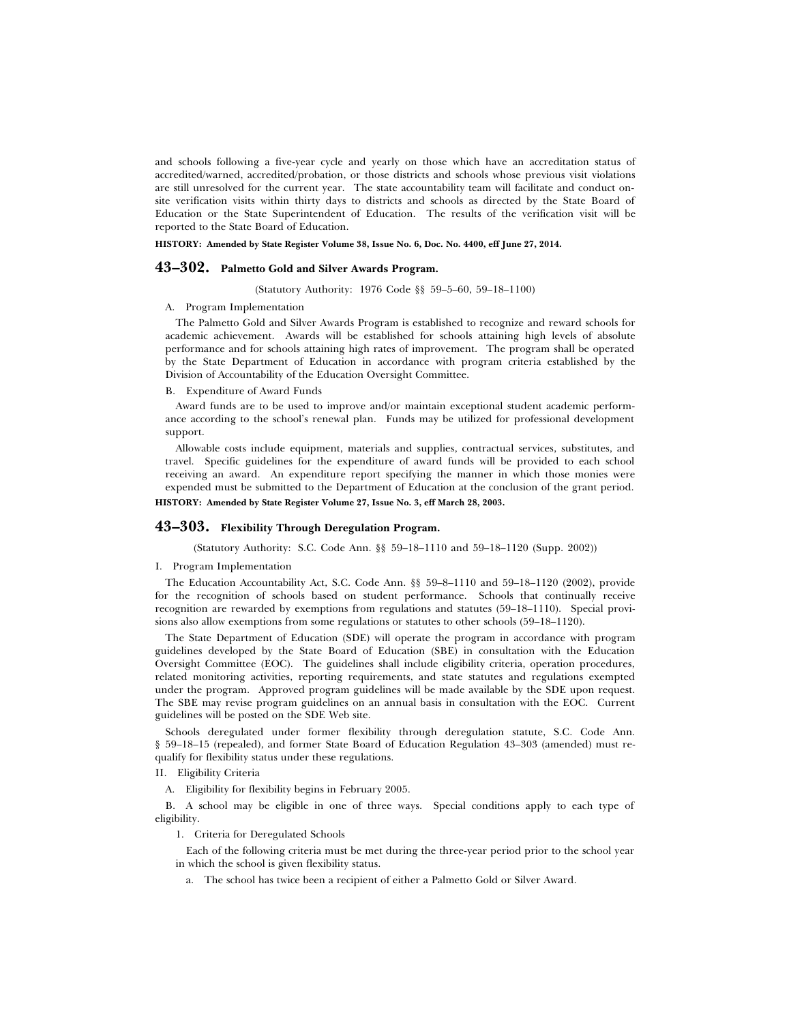and schools following a five-year cycle and yearly on those which have an accreditation status of accredited/warned, accredited/probation, or those districts and schools whose previous visit violations are still unresolved for the current year. The state accountability team will facilitate and conduct onsite verification visits within thirty days to districts and schools as directed by the State Board of Education or the State Superintendent of Education. The results of the verification visit will be reported to the State Board of Education.

**HISTORY: Amended by State Register Volume 38, Issue No. 6, Doc. No. 4400, eff June 27, 2014.**

# **43–302. Palmetto Gold and Silver Awards Program.**

(Statutory Authority: 1976 Code §§ 59–5–60, 59–18–1100)

#### A. Program Implementation

The Palmetto Gold and Silver Awards Program is established to recognize and reward schools for academic achievement. Awards will be established for schools attaining high levels of absolute performance and for schools attaining high rates of improvement. The program shall be operated by the State Department of Education in accordance with program criteria established by the Division of Accountability of the Education Oversight Committee.

B. Expenditure of Award Funds

Award funds are to be used to improve and/or maintain exceptional student academic performance according to the school's renewal plan. Funds may be utilized for professional development support.

Allowable costs include equipment, materials and supplies, contractual services, substitutes, and travel. Specific guidelines for the expenditure of award funds will be provided to each school receiving an award. An expenditure report specifying the manner in which those monies were expended must be submitted to the Department of Education at the conclusion of the grant period. **HISTORY: Amended by State Register Volume 27, Issue No. 3, eff March 28, 2003.**

### **43–303. Flexibility Through Deregulation Program.**

(Statutory Authority: S.C. Code Ann. §§ 59–18–1110 and 59–18–1120 (Supp. 2002))

#### I. Program Implementation

The Education Accountability Act, S.C. Code Ann. §§ 59–8–1110 and 59–18–1120 (2002), provide for the recognition of schools based on student performance. Schools that continually receive recognition are rewarded by exemptions from regulations and statutes (59–18–1110). Special provisions also allow exemptions from some regulations or statutes to other schools (59–18–1120).

The State Department of Education (SDE) will operate the program in accordance with program guidelines developed by the State Board of Education (SBE) in consultation with the Education Oversight Committee (EOC). The guidelines shall include eligibility criteria, operation procedures, related monitoring activities, reporting requirements, and state statutes and regulations exempted under the program. Approved program guidelines will be made available by the SDE upon request. The SBE may revise program guidelines on an annual basis in consultation with the EOC. Current guidelines will be posted on the SDE Web site.

Schools deregulated under former flexibility through deregulation statute, S.C. Code Ann. § 59–18–15 (repealed), and former State Board of Education Regulation 43–303 (amended) must requalify for flexibility status under these regulations.

II. Eligibility Criteria

A. Eligibility for flexibility begins in February 2005.

B. A school may be eligible in one of three ways. Special conditions apply to each type of eligibility.

1. Criteria for Deregulated Schools

Each of the following criteria must be met during the three-year period prior to the school year in which the school is given flexibility status.

a. The school has twice been a recipient of either a Palmetto Gold or Silver Award.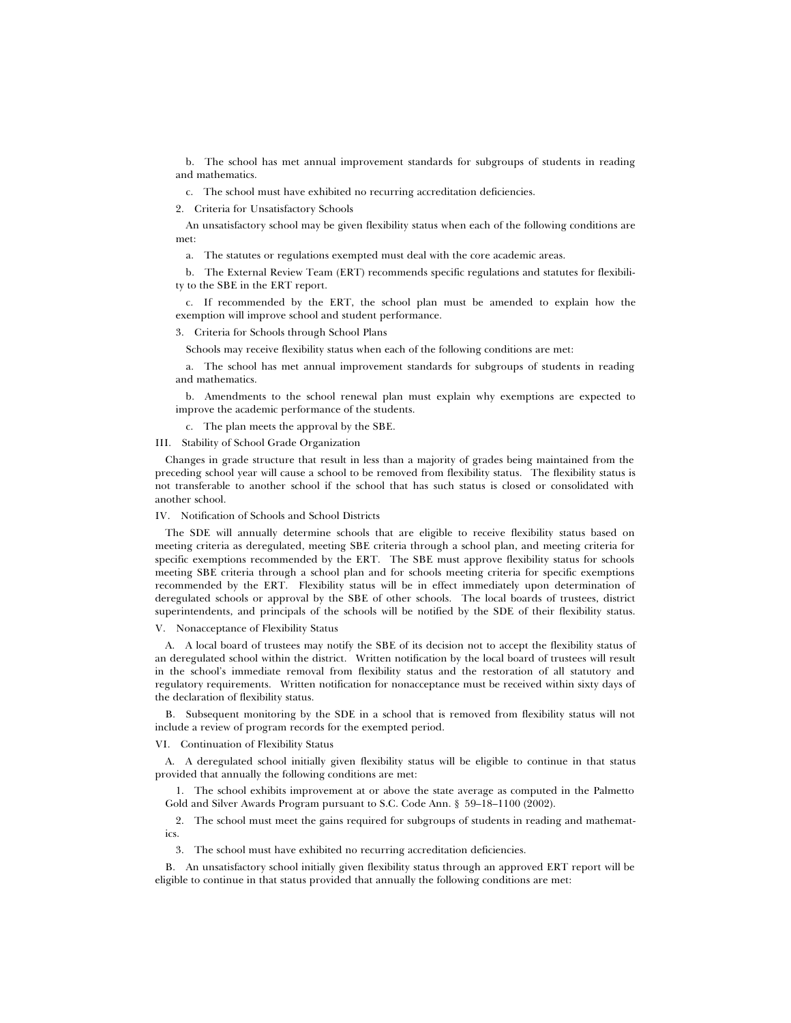b. The school has met annual improvement standards for subgroups of students in reading and mathematics.

c. The school must have exhibited no recurring accreditation deficiencies.

2. Criteria for Unsatisfactory Schools

An unsatisfactory school may be given flexibility status when each of the following conditions are met:

a. The statutes or regulations exempted must deal with the core academic areas.

b. The External Review Team (ERT) recommends specific regulations and statutes for flexibility to the SBE in the ERT report.

c. If recommended by the ERT, the school plan must be amended to explain how the exemption will improve school and student performance.

3. Criteria for Schools through School Plans

Schools may receive flexibility status when each of the following conditions are met:

a. The school has met annual improvement standards for subgroups of students in reading and mathematics.

b. Amendments to the school renewal plan must explain why exemptions are expected to improve the academic performance of the students.

c. The plan meets the approval by the SBE.

III. Stability of School Grade Organization

Changes in grade structure that result in less than a majority of grades being maintained from the preceding school year will cause a school to be removed from flexibility status. The flexibility status is not transferable to another school if the school that has such status is closed or consolidated with another school.

#### IV. Notification of Schools and School Districts

The SDE will annually determine schools that are eligible to receive flexibility status based on meeting criteria as deregulated, meeting SBE criteria through a school plan, and meeting criteria for specific exemptions recommended by the ERT. The SBE must approve flexibility status for schools meeting SBE criteria through a school plan and for schools meeting criteria for specific exemptions recommended by the ERT. Flexibility status will be in effect immediately upon determination of deregulated schools or approval by the SBE of other schools. The local boards of trustees, district superintendents, and principals of the schools will be notified by the SDE of their flexibility status.

V. Nonacceptance of Flexibility Status

A. A local board of trustees may notify the SBE of its decision not to accept the flexibility status of an deregulated school within the district. Written notification by the local board of trustees will result in the school's immediate removal from flexibility status and the restoration of all statutory and regulatory requirements. Written notification for nonacceptance must be received within sixty days of the declaration of flexibility status.

B. Subsequent monitoring by the SDE in a school that is removed from flexibility status will not include a review of program records for the exempted period.

VI. Continuation of Flexibility Status

A. A deregulated school initially given flexibility status will be eligible to continue in that status provided that annually the following conditions are met:

1. The school exhibits improvement at or above the state average as computed in the Palmetto Gold and Silver Awards Program pursuant to S.C. Code Ann. § 59–18–1100 (2002).

2. The school must meet the gains required for subgroups of students in reading and mathematics.

3. The school must have exhibited no recurring accreditation deficiencies.

B. An unsatisfactory school initially given flexibility status through an approved ERT report will be eligible to continue in that status provided that annually the following conditions are met: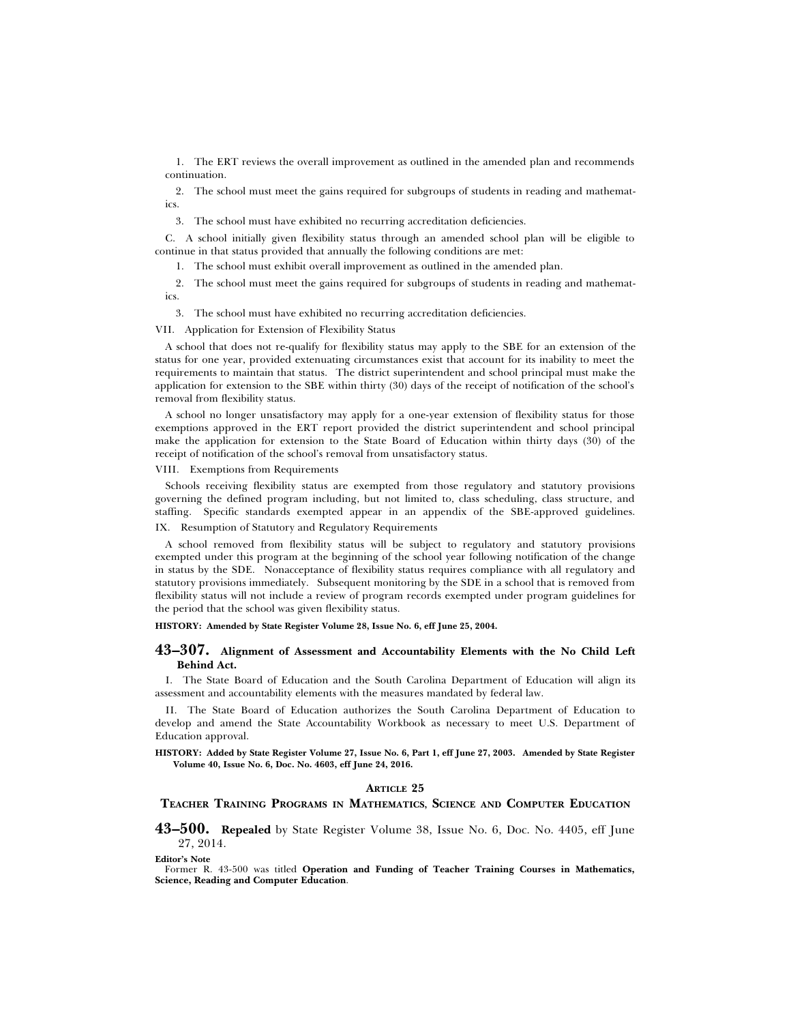1. The ERT reviews the overall improvement as outlined in the amended plan and recommends continuation.

2. The school must meet the gains required for subgroups of students in reading and mathematics.

3. The school must have exhibited no recurring accreditation deficiencies.

C. A school initially given flexibility status through an amended school plan will be eligible to continue in that status provided that annually the following conditions are met:

1. The school must exhibit overall improvement as outlined in the amended plan.

2. The school must meet the gains required for subgroups of students in reading and mathematics.

3. The school must have exhibited no recurring accreditation deficiencies.

VII. Application for Extension of Flexibility Status

A school that does not re-qualify for flexibility status may apply to the SBE for an extension of the status for one year, provided extenuating circumstances exist that account for its inability to meet the requirements to maintain that status. The district superintendent and school principal must make the application for extension to the SBE within thirty (30) days of the receipt of notification of the school's removal from flexibility status.

A school no longer unsatisfactory may apply for a one-year extension of flexibility status for those exemptions approved in the ERT report provided the district superintendent and school principal make the application for extension to the State Board of Education within thirty days (30) of the receipt of notification of the school's removal from unsatisfactory status.

#### VIII. Exemptions from Requirements

Schools receiving flexibility status are exempted from those regulatory and statutory provisions governing the defined program including, but not limited to, class scheduling, class structure, and staffing. Specific standards exempted appear in an appendix of the SBE-approved guidelines. IX. Resumption of Statutory and Regulatory Requirements

A school removed from flexibility status will be subject to regulatory and statutory provisions exempted under this program at the beginning of the school year following notification of the change in status by the SDE. Nonacceptance of flexibility status requires compliance with all regulatory and statutory provisions immediately. Subsequent monitoring by the SDE in a school that is removed from flexibility status will not include a review of program records exempted under program guidelines for the period that the school was given flexibility status.

**HISTORY: Amended by State Register Volume 28, Issue No. 6, eff June 25, 2004.**

#### **43–307. Alignment of Assessment and Accountability Elements with the No Child Left Behind Act.**

I. The State Board of Education and the South Carolina Department of Education will align its assessment and accountability elements with the measures mandated by federal law.

II. The State Board of Education authorizes the South Carolina Department of Education to develop and amend the State Accountability Workbook as necessary to meet U.S. Department of Education approval.

**HISTORY: Added by State Register Volume 27, Issue No. 6, Part 1, eff June 27, 2003. Amended by State Register Volume 40, Issue No. 6, Doc. No. 4603, eff June 24, 2016.**

#### **ARTICLE 25**

#### **TEACHER TRAINING PROGRAMS IN MATHEMATICS, SCIENCE AND COMPUTER EDUCATION**

**43–500. Repealed** by State Register Volume 38, Issue No. 6, Doc. No. 4405, eff June 27, 2014.

**Editor's Note**

Former R. 43-500 was titled **Operation and Funding of Teacher Training Courses in Mathematics, Science, Reading and Computer Education**.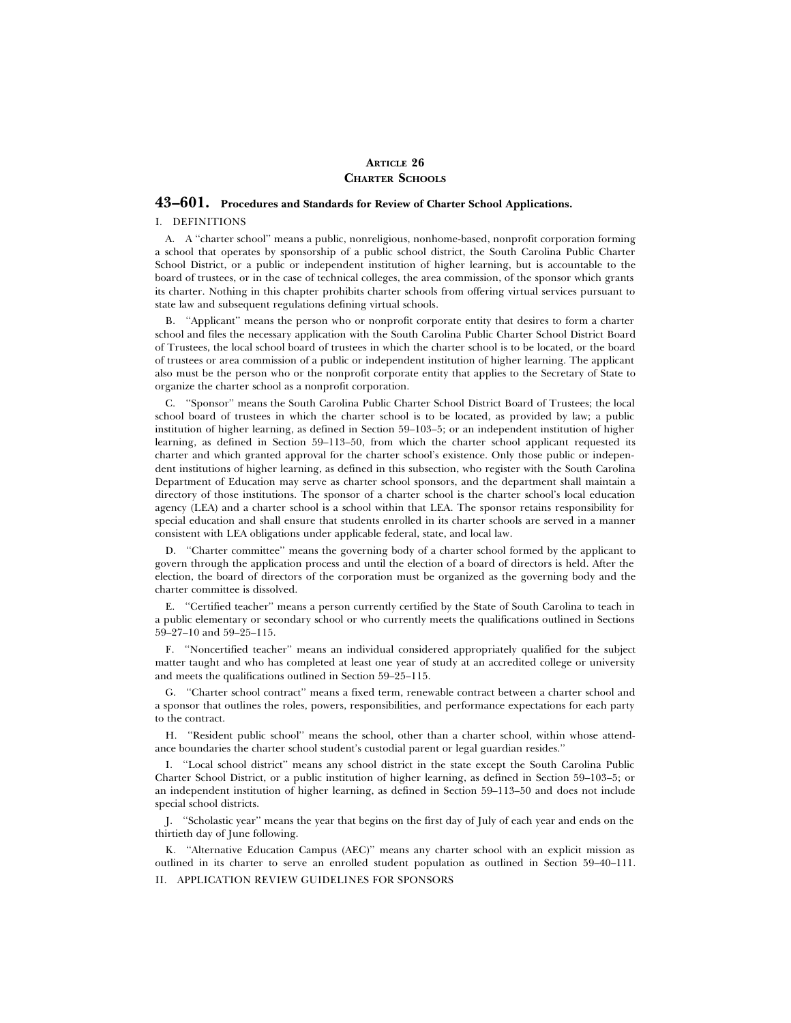# **ARTICLE 26 CHARTER SCHOOLS**

# **43–601. Procedures and Standards for Review of Charter School Applications.**

#### I. DEFINITIONS

A. A ''charter school'' means a public, nonreligious, nonhome-based, nonprofit corporation forming a school that operates by sponsorship of a public school district, the South Carolina Public Charter School District, or a public or independent institution of higher learning, but is accountable to the board of trustees, or in the case of technical colleges, the area commission, of the sponsor which grants its charter. Nothing in this chapter prohibits charter schools from offering virtual services pursuant to state law and subsequent regulations defining virtual schools.

B. ''Applicant'' means the person who or nonprofit corporate entity that desires to form a charter school and files the necessary application with the South Carolina Public Charter School District Board of Trustees, the local school board of trustees in which the charter school is to be located, or the board of trustees or area commission of a public or independent institution of higher learning. The applicant also must be the person who or the nonprofit corporate entity that applies to the Secretary of State to organize the charter school as a nonprofit corporation.

C. ''Sponsor'' means the South Carolina Public Charter School District Board of Trustees; the local school board of trustees in which the charter school is to be located, as provided by law; a public institution of higher learning, as defined in Section 59–103–5; or an independent institution of higher learning, as defined in Section 59–113–50, from which the charter school applicant requested its charter and which granted approval for the charter school's existence. Only those public or independent institutions of higher learning, as defined in this subsection, who register with the South Carolina Department of Education may serve as charter school sponsors, and the department shall maintain a directory of those institutions. The sponsor of a charter school is the charter school's local education agency (LEA) and a charter school is a school within that LEA. The sponsor retains responsibility for special education and shall ensure that students enrolled in its charter schools are served in a manner consistent with LEA obligations under applicable federal, state, and local law.

D. ''Charter committee'' means the governing body of a charter school formed by the applicant to govern through the application process and until the election of a board of directors is held. After the election, the board of directors of the corporation must be organized as the governing body and the charter committee is dissolved.

E. ''Certified teacher'' means a person currently certified by the State of South Carolina to teach in a public elementary or secondary school or who currently meets the qualifications outlined in Sections 59–27–10 and 59–25–115.

F. ''Noncertified teacher'' means an individual considered appropriately qualified for the subject matter taught and who has completed at least one year of study at an accredited college or university and meets the qualifications outlined in Section 59–25–115.

G. ''Charter school contract'' means a fixed term, renewable contract between a charter school and a sponsor that outlines the roles, powers, responsibilities, and performance expectations for each party to the contract.

"Resident public school" means the school, other than a charter school, within whose attendance boundaries the charter school student's custodial parent or legal guardian resides.''

I. ''Local school district'' means any school district in the state except the South Carolina Public Charter School District, or a public institution of higher learning, as defined in Section 59–103–5; or an independent institution of higher learning, as defined in Section 59–113–50 and does not include special school districts.

J. ''Scholastic year'' means the year that begins on the first day of July of each year and ends on the thirtieth day of June following.

K. ''Alternative Education Campus (AEC)'' means any charter school with an explicit mission as outlined in its charter to serve an enrolled student population as outlined in Section 59–40–111. II. APPLICATION REVIEW GUIDELINES FOR SPONSORS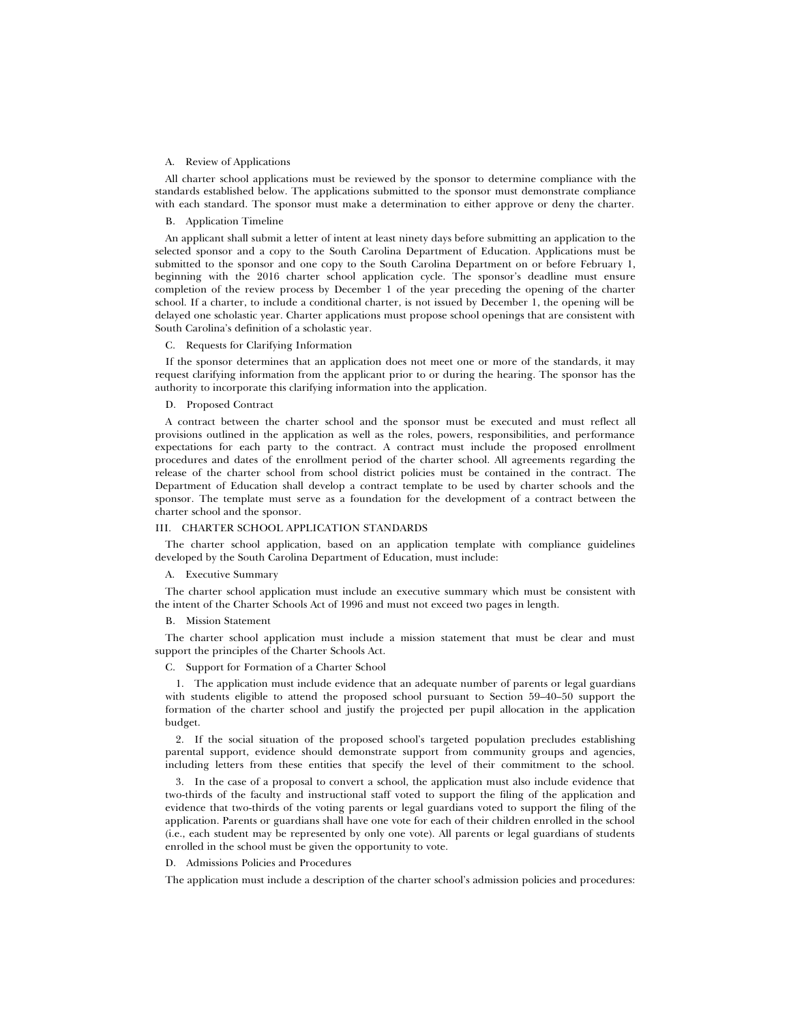#### A. Review of Applications

All charter school applications must be reviewed by the sponsor to determine compliance with the standards established below. The applications submitted to the sponsor must demonstrate compliance with each standard. The sponsor must make a determination to either approve or deny the charter.

## B. Application Timeline

An applicant shall submit a letter of intent at least ninety days before submitting an application to the selected sponsor and a copy to the South Carolina Department of Education. Applications must be submitted to the sponsor and one copy to the South Carolina Department on or before February 1, beginning with the 2016 charter school application cycle. The sponsor's deadline must ensure completion of the review process by December 1 of the year preceding the opening of the charter school. If a charter, to include a conditional charter, is not issued by December 1, the opening will be delayed one scholastic year. Charter applications must propose school openings that are consistent with South Carolina's definition of a scholastic year.

#### C. Requests for Clarifying Information

If the sponsor determines that an application does not meet one or more of the standards, it may request clarifying information from the applicant prior to or during the hearing. The sponsor has the authority to incorporate this clarifying information into the application.

#### D. Proposed Contract

A contract between the charter school and the sponsor must be executed and must reflect all provisions outlined in the application as well as the roles, powers, responsibilities, and performance expectations for each party to the contract. A contract must include the proposed enrollment procedures and dates of the enrollment period of the charter school. All agreements regarding the release of the charter school from school district policies must be contained in the contract. The Department of Education shall develop a contract template to be used by charter schools and the sponsor. The template must serve as a foundation for the development of a contract between the charter school and the sponsor.

#### III. CHARTER SCHOOL APPLICATION STANDARDS

The charter school application, based on an application template with compliance guidelines developed by the South Carolina Department of Education, must include:

#### A. Executive Summary

The charter school application must include an executive summary which must be consistent with the intent of the Charter Schools Act of 1996 and must not exceed two pages in length.

#### B. Mission Statement

The charter school application must include a mission statement that must be clear and must support the principles of the Charter Schools Act.

C. Support for Formation of a Charter School

1. The application must include evidence that an adequate number of parents or legal guardians with students eligible to attend the proposed school pursuant to Section 59–40–50 support the formation of the charter school and justify the projected per pupil allocation in the application budget.

2. If the social situation of the proposed school's targeted population precludes establishing parental support, evidence should demonstrate support from community groups and agencies, including letters from these entities that specify the level of their commitment to the school.

3. In the case of a proposal to convert a school, the application must also include evidence that two-thirds of the faculty and instructional staff voted to support the filing of the application and evidence that two-thirds of the voting parents or legal guardians voted to support the filing of the application. Parents or guardians shall have one vote for each of their children enrolled in the school (i.e., each student may be represented by only one vote). All parents or legal guardians of students enrolled in the school must be given the opportunity to vote.

#### D. Admissions Policies and Procedures

The application must include a description of the charter school's admission policies and procedures: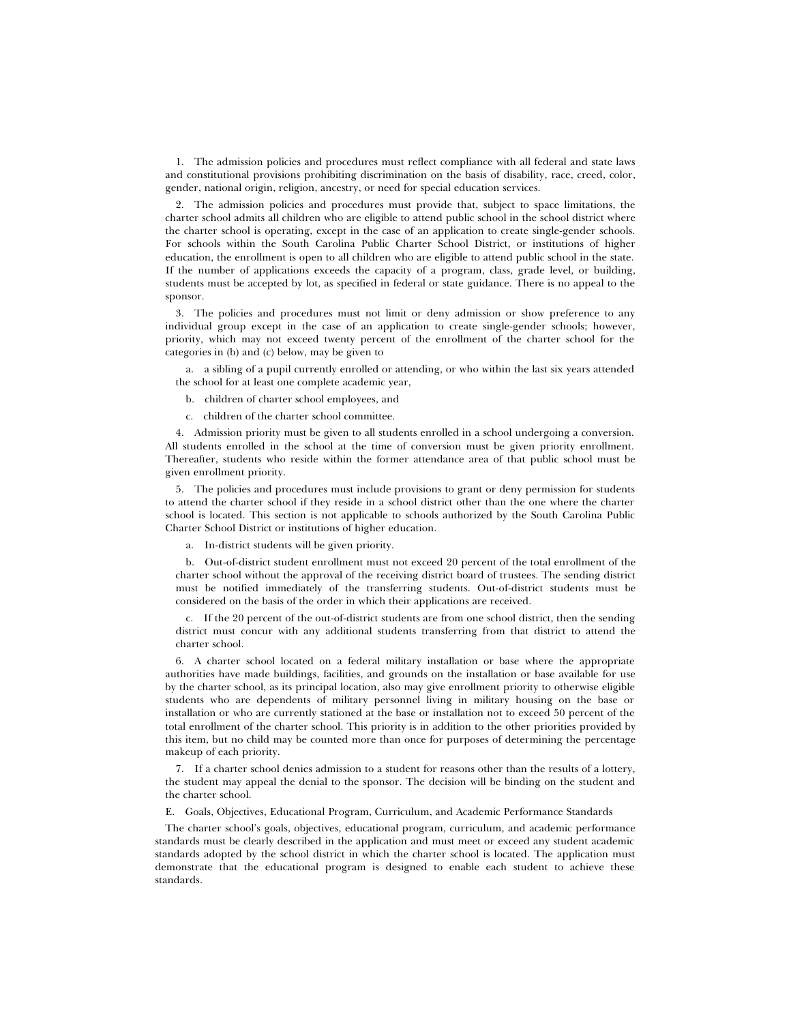1. The admission policies and procedures must reflect compliance with all federal and state laws and constitutional provisions prohibiting discrimination on the basis of disability, race, creed, color, gender, national origin, religion, ancestry, or need for special education services.

2. The admission policies and procedures must provide that, subject to space limitations, the charter school admits all children who are eligible to attend public school in the school district where the charter school is operating, except in the case of an application to create single-gender schools. For schools within the South Carolina Public Charter School District, or institutions of higher education, the enrollment is open to all children who are eligible to attend public school in the state. If the number of applications exceeds the capacity of a program, class, grade level, or building, students must be accepted by lot, as specified in federal or state guidance. There is no appeal to the sponsor.

3. The policies and procedures must not limit or deny admission or show preference to any individual group except in the case of an application to create single-gender schools; however, priority, which may not exceed twenty percent of the enrollment of the charter school for the categories in (b) and (c) below, may be given to

a. a sibling of a pupil currently enrolled or attending, or who within the last six years attended the school for at least one complete academic year,

b. children of charter school employees, and

c. children of the charter school committee.

4. Admission priority must be given to all students enrolled in a school undergoing a conversion. All students enrolled in the school at the time of conversion must be given priority enrollment. Thereafter, students who reside within the former attendance area of that public school must be given enrollment priority.

5. The policies and procedures must include provisions to grant or deny permission for students to attend the charter school if they reside in a school district other than the one where the charter school is located. This section is not applicable to schools authorized by the South Carolina Public Charter School District or institutions of higher education.

a. In-district students will be given priority.

b. Out-of-district student enrollment must not exceed 20 percent of the total enrollment of the charter school without the approval of the receiving district board of trustees. The sending district must be notified immediately of the transferring students. Out-of-district students must be considered on the basis of the order in which their applications are received.

c. If the 20 percent of the out-of-district students are from one school district, then the sending district must concur with any additional students transferring from that district to attend the charter school.

6. A charter school located on a federal military installation or base where the appropriate authorities have made buildings, facilities, and grounds on the installation or base available for use by the charter school, as its principal location, also may give enrollment priority to otherwise eligible students who are dependents of military personnel living in military housing on the base or installation or who are currently stationed at the base or installation not to exceed 50 percent of the total enrollment of the charter school. This priority is in addition to the other priorities provided by this item, but no child may be counted more than once for purposes of determining the percentage makeup of each priority.

7. If a charter school denies admission to a student for reasons other than the results of a lottery, the student may appeal the denial to the sponsor. The decision will be binding on the student and the charter school.

E. Goals, Objectives, Educational Program, Curriculum, and Academic Performance Standards

The charter school's goals, objectives, educational program, curriculum, and academic performance standards must be clearly described in the application and must meet or exceed any student academic standards adopted by the school district in which the charter school is located. The application must demonstrate that the educational program is designed to enable each student to achieve these standards.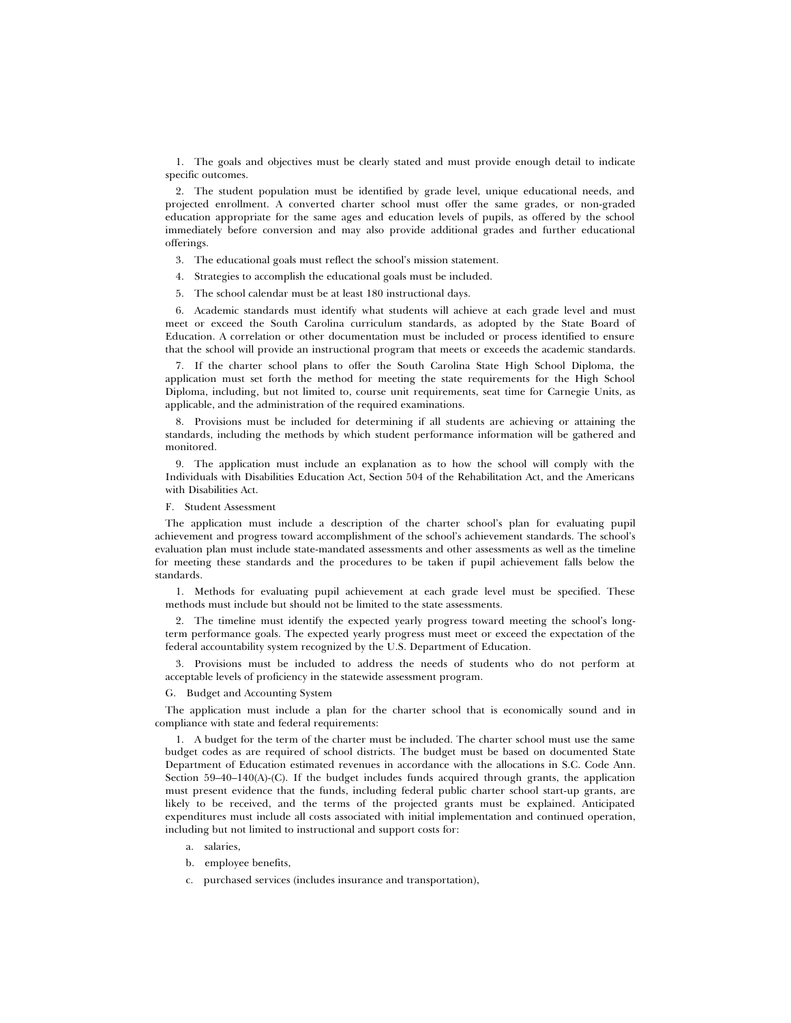1. The goals and objectives must be clearly stated and must provide enough detail to indicate specific outcomes.

2. The student population must be identified by grade level, unique educational needs, and projected enrollment. A converted charter school must offer the same grades, or non-graded education appropriate for the same ages and education levels of pupils, as offered by the school immediately before conversion and may also provide additional grades and further educational offerings.

- 3. The educational goals must reflect the school's mission statement.
- 4. Strategies to accomplish the educational goals must be included.
- 5. The school calendar must be at least 180 instructional days.

6. Academic standards must identify what students will achieve at each grade level and must meet or exceed the South Carolina curriculum standards, as adopted by the State Board of Education. A correlation or other documentation must be included or process identified to ensure that the school will provide an instructional program that meets or exceeds the academic standards.

7. If the charter school plans to offer the South Carolina State High School Diploma, the application must set forth the method for meeting the state requirements for the High School Diploma, including, but not limited to, course unit requirements, seat time for Carnegie Units, as applicable, and the administration of the required examinations.

8. Provisions must be included for determining if all students are achieving or attaining the standards, including the methods by which student performance information will be gathered and monitored.

9. The application must include an explanation as to how the school will comply with the Individuals with Disabilities Education Act, Section 504 of the Rehabilitation Act, and the Americans with Disabilities Act.

#### F. Student Assessment

The application must include a description of the charter school's plan for evaluating pupil achievement and progress toward accomplishment of the school's achievement standards. The school's evaluation plan must include state-mandated assessments and other assessments as well as the timeline for meeting these standards and the procedures to be taken if pupil achievement falls below the standards.

1. Methods for evaluating pupil achievement at each grade level must be specified. These methods must include but should not be limited to the state assessments.

2. The timeline must identify the expected yearly progress toward meeting the school's longterm performance goals. The expected yearly progress must meet or exceed the expectation of the federal accountability system recognized by the U.S. Department of Education.

3. Provisions must be included to address the needs of students who do not perform at acceptable levels of proficiency in the statewide assessment program.

G. Budget and Accounting System

The application must include a plan for the charter school that is economically sound and in compliance with state and federal requirements:

1. A budget for the term of the charter must be included. The charter school must use the same budget codes as are required of school districts. The budget must be based on documented State Department of Education estimated revenues in accordance with the allocations in S.C. Code Ann. Section 59–40–140(A)-(C). If the budget includes funds acquired through grants, the application must present evidence that the funds, including federal public charter school start-up grants, are likely to be received, and the terms of the projected grants must be explained. Anticipated expenditures must include all costs associated with initial implementation and continued operation, including but not limited to instructional and support costs for:

- a. salaries,
- b. employee benefits,
- c. purchased services (includes insurance and transportation),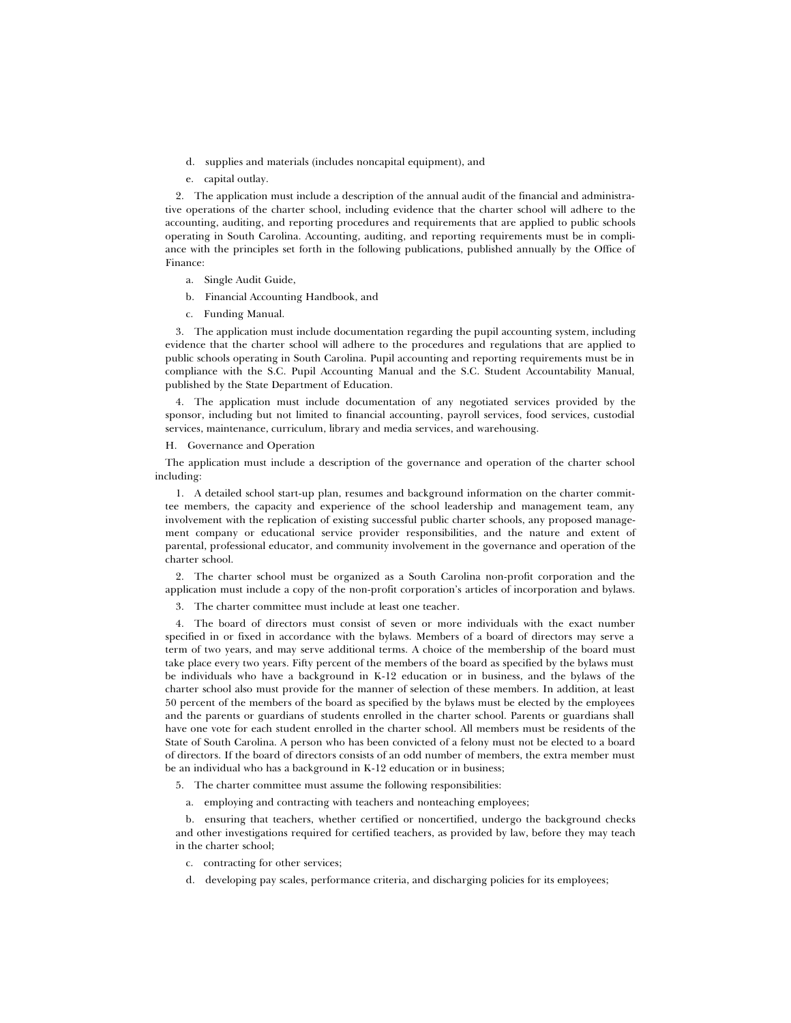- d. supplies and materials (includes noncapital equipment), and
- e. capital outlay.

2. The application must include a description of the annual audit of the financial and administrative operations of the charter school, including evidence that the charter school will adhere to the accounting, auditing, and reporting procedures and requirements that are applied to public schools operating in South Carolina. Accounting, auditing, and reporting requirements must be in compliance with the principles set forth in the following publications, published annually by the Office of Finance:

- a. Single Audit Guide,
- b. Financial Accounting Handbook, and
- c. Funding Manual.

3. The application must include documentation regarding the pupil accounting system, including evidence that the charter school will adhere to the procedures and regulations that are applied to public schools operating in South Carolina. Pupil accounting and reporting requirements must be in compliance with the S.C. Pupil Accounting Manual and the S.C. Student Accountability Manual, published by the State Department of Education.

4. The application must include documentation of any negotiated services provided by the sponsor, including but not limited to financial accounting, payroll services, food services, custodial services, maintenance, curriculum, library and media services, and warehousing.

H. Governance and Operation

The application must include a description of the governance and operation of the charter school including:

1. A detailed school start-up plan, resumes and background information on the charter committee members, the capacity and experience of the school leadership and management team, any involvement with the replication of existing successful public charter schools, any proposed management company or educational service provider responsibilities, and the nature and extent of parental, professional educator, and community involvement in the governance and operation of the charter school.

2. The charter school must be organized as a South Carolina non-profit corporation and the application must include a copy of the non-profit corporation's articles of incorporation and bylaws.

3. The charter committee must include at least one teacher.

4. The board of directors must consist of seven or more individuals with the exact number specified in or fixed in accordance with the bylaws. Members of a board of directors may serve a term of two years, and may serve additional terms. A choice of the membership of the board must take place every two years. Fifty percent of the members of the board as specified by the bylaws must be individuals who have a background in K-12 education or in business, and the bylaws of the charter school also must provide for the manner of selection of these members. In addition, at least 50 percent of the members of the board as specified by the bylaws must be elected by the employees and the parents or guardians of students enrolled in the charter school. Parents or guardians shall have one vote for each student enrolled in the charter school. All members must be residents of the State of South Carolina. A person who has been convicted of a felony must not be elected to a board of directors. If the board of directors consists of an odd number of members, the extra member must be an individual who has a background in K-12 education or in business;

5. The charter committee must assume the following responsibilities:

a. employing and contracting with teachers and nonteaching employees;

b. ensuring that teachers, whether certified or noncertified, undergo the background checks and other investigations required for certified teachers, as provided by law, before they may teach in the charter school;

- c. contracting for other services;
- d. developing pay scales, performance criteria, and discharging policies for its employees;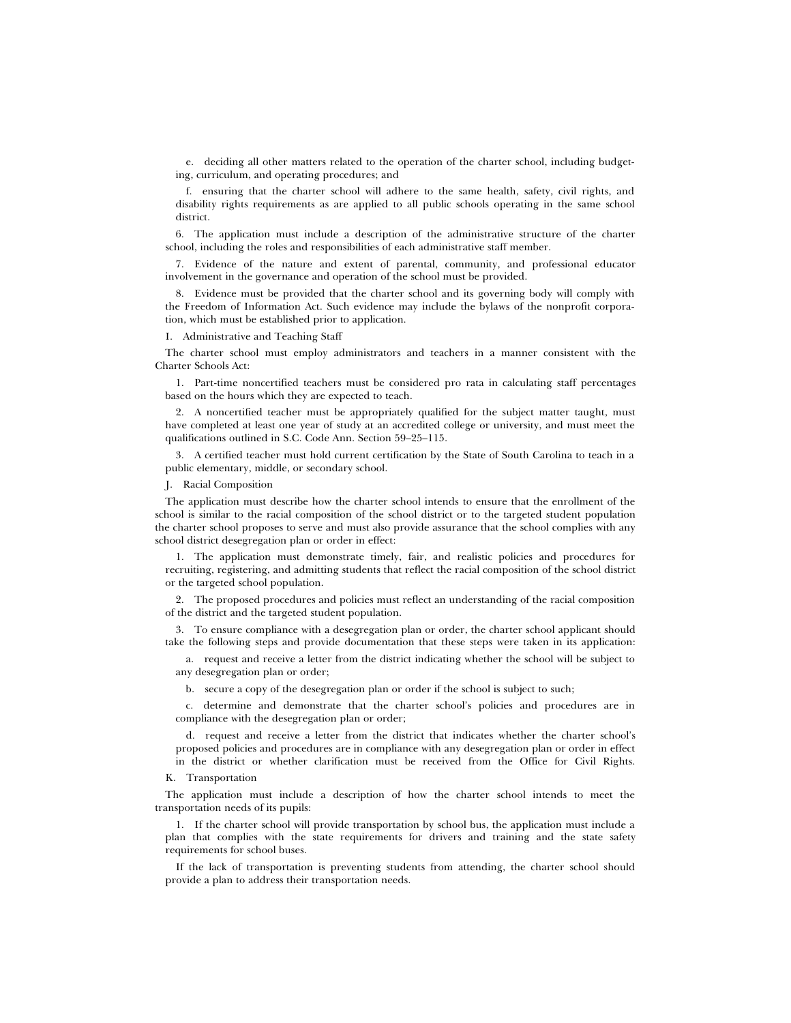e. deciding all other matters related to the operation of the charter school, including budgeting, curriculum, and operating procedures; and

f. ensuring that the charter school will adhere to the same health, safety, civil rights, and disability rights requirements as are applied to all public schools operating in the same school district.

6. The application must include a description of the administrative structure of the charter school, including the roles and responsibilities of each administrative staff member.

7. Evidence of the nature and extent of parental, community, and professional educator involvement in the governance and operation of the school must be provided.

8. Evidence must be provided that the charter school and its governing body will comply with the Freedom of Information Act. Such evidence may include the bylaws of the nonprofit corporation, which must be established prior to application.

I. Administrative and Teaching Staff

The charter school must employ administrators and teachers in a manner consistent with the Charter Schools Act:

1. Part-time noncertified teachers must be considered pro rata in calculating staff percentages based on the hours which they are expected to teach.

2. A noncertified teacher must be appropriately qualified for the subject matter taught, must have completed at least one year of study at an accredited college or university, and must meet the qualifications outlined in S.C. Code Ann. Section 59–25–115.

3. A certified teacher must hold current certification by the State of South Carolina to teach in a public elementary, middle, or secondary school.

J. Racial Composition

The application must describe how the charter school intends to ensure that the enrollment of the school is similar to the racial composition of the school district or to the targeted student population the charter school proposes to serve and must also provide assurance that the school complies with any school district desegregation plan or order in effect:

1. The application must demonstrate timely, fair, and realistic policies and procedures for recruiting, registering, and admitting students that reflect the racial composition of the school district or the targeted school population.

2. The proposed procedures and policies must reflect an understanding of the racial composition of the district and the targeted student population.

3. To ensure compliance with a desegregation plan or order, the charter school applicant should take the following steps and provide documentation that these steps were taken in its application:

a. request and receive a letter from the district indicating whether the school will be subject to any desegregation plan or order;

b. secure a copy of the desegregation plan or order if the school is subject to such;

c. determine and demonstrate that the charter school's policies and procedures are in compliance with the desegregation plan or order;

d. request and receive a letter from the district that indicates whether the charter school's proposed policies and procedures are in compliance with any desegregation plan or order in effect in the district or whether clarification must be received from the Office for Civil Rights.

K. Transportation

The application must include a description of how the charter school intends to meet the transportation needs of its pupils:

1. If the charter school will provide transportation by school bus, the application must include a plan that complies with the state requirements for drivers and training and the state safety requirements for school buses.

If the lack of transportation is preventing students from attending, the charter school should provide a plan to address their transportation needs.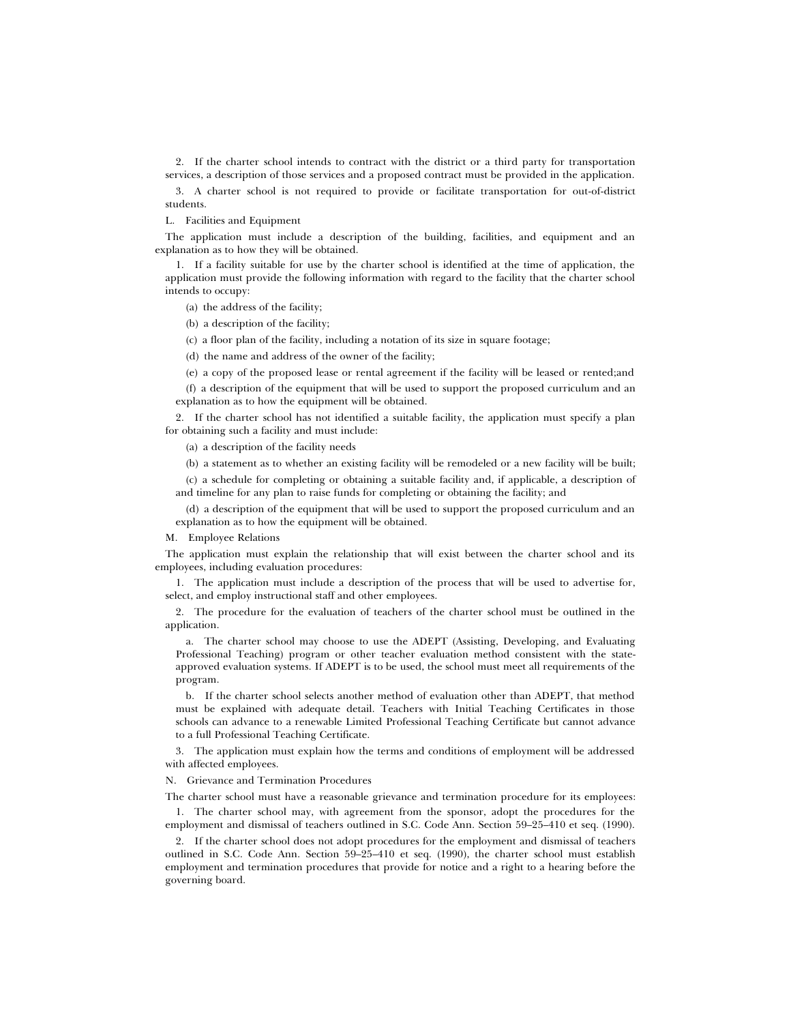2. If the charter school intends to contract with the district or a third party for transportation services, a description of those services and a proposed contract must be provided in the application.

3. A charter school is not required to provide or facilitate transportation for out-of-district students.

L. Facilities and Equipment

The application must include a description of the building, facilities, and equipment and an explanation as to how they will be obtained.

1. If a facility suitable for use by the charter school is identified at the time of application, the application must provide the following information with regard to the facility that the charter school intends to occupy:

(a) the address of the facility;

(b) a description of the facility;

(c) a floor plan of the facility, including a notation of its size in square footage;

(d) the name and address of the owner of the facility;

(e) a copy of the proposed lease or rental agreement if the facility will be leased or rented;and

(f) a description of the equipment that will be used to support the proposed curriculum and an explanation as to how the equipment will be obtained.

2. If the charter school has not identified a suitable facility, the application must specify a plan for obtaining such a facility and must include:

(a) a description of the facility needs

(b) a statement as to whether an existing facility will be remodeled or a new facility will be built;

(c) a schedule for completing or obtaining a suitable facility and, if applicable, a description of and timeline for any plan to raise funds for completing or obtaining the facility; and

(d) a description of the equipment that will be used to support the proposed curriculum and an explanation as to how the equipment will be obtained.

M. Employee Relations

The application must explain the relationship that will exist between the charter school and its employees, including evaluation procedures:

1. The application must include a description of the process that will be used to advertise for, select, and employ instructional staff and other employees.

2. The procedure for the evaluation of teachers of the charter school must be outlined in the application.

a. The charter school may choose to use the ADEPT (Assisting, Developing, and Evaluating Professional Teaching) program or other teacher evaluation method consistent with the stateapproved evaluation systems. If ADEPT is to be used, the school must meet all requirements of the program.

b. If the charter school selects another method of evaluation other than ADEPT, that method must be explained with adequate detail. Teachers with Initial Teaching Certificates in those schools can advance to a renewable Limited Professional Teaching Certificate but cannot advance to a full Professional Teaching Certificate.

3. The application must explain how the terms and conditions of employment will be addressed with affected employees.

N. Grievance and Termination Procedures

The charter school must have a reasonable grievance and termination procedure for its employees:

1. The charter school may, with agreement from the sponsor, adopt the procedures for the employment and dismissal of teachers outlined in S.C. Code Ann. Section 59–25–410 et seq. (1990).

2. If the charter school does not adopt procedures for the employment and dismissal of teachers outlined in S.C. Code Ann. Section 59–25–410 et seq. (1990), the charter school must establish employment and termination procedures that provide for notice and a right to a hearing before the governing board.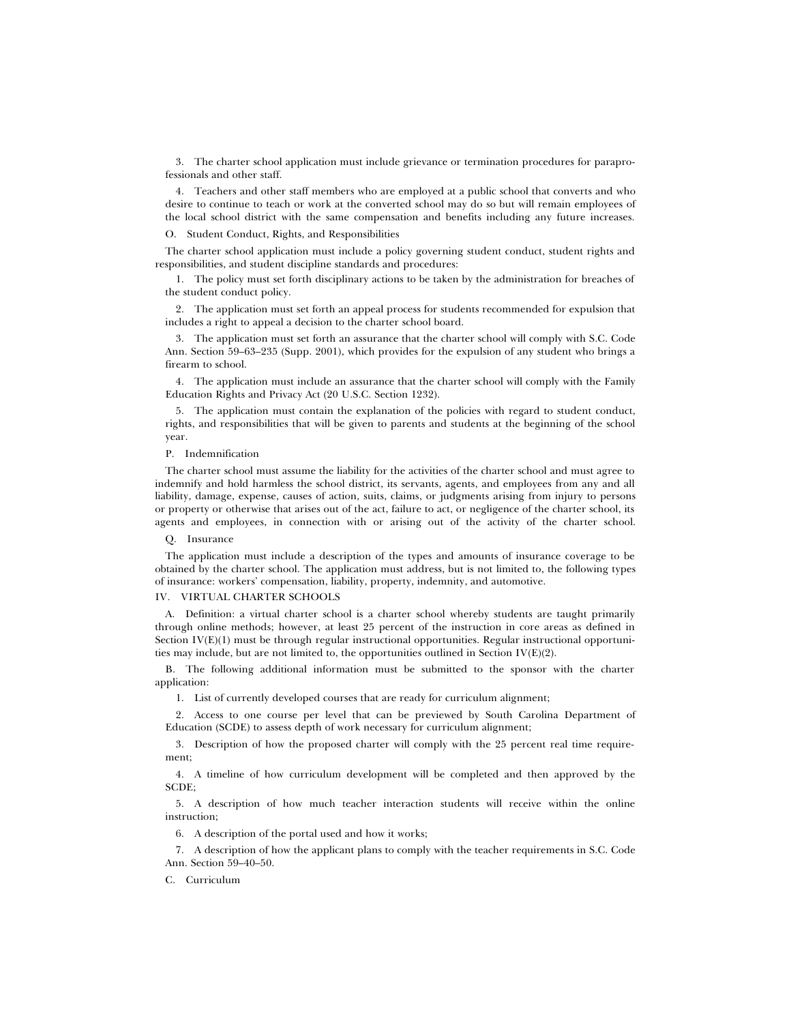3. The charter school application must include grievance or termination procedures for paraprofessionals and other staff.

4. Teachers and other staff members who are employed at a public school that converts and who desire to continue to teach or work at the converted school may do so but will remain employees of the local school district with the same compensation and benefits including any future increases.

O. Student Conduct, Rights, and Responsibilities

The charter school application must include a policy governing student conduct, student rights and responsibilities, and student discipline standards and procedures:

1. The policy must set forth disciplinary actions to be taken by the administration for breaches of the student conduct policy.

2. The application must set forth an appeal process for students recommended for expulsion that includes a right to appeal a decision to the charter school board.

3. The application must set forth an assurance that the charter school will comply with S.C. Code Ann. Section 59–63–235 (Supp. 2001), which provides for the expulsion of any student who brings a firearm to school.

4. The application must include an assurance that the charter school will comply with the Family Education Rights and Privacy Act (20 U.S.C. Section 1232).

5. The application must contain the explanation of the policies with regard to student conduct, rights, and responsibilities that will be given to parents and students at the beginning of the school year.

P. Indemnification

The charter school must assume the liability for the activities of the charter school and must agree to indemnify and hold harmless the school district, its servants, agents, and employees from any and all liability, damage, expense, causes of action, suits, claims, or judgments arising from injury to persons or property or otherwise that arises out of the act, failure to act, or negligence of the charter school, its agents and employees, in connection with or arising out of the activity of the charter school.

Q. Insurance

The application must include a description of the types and amounts of insurance coverage to be obtained by the charter school. The application must address, but is not limited to, the following types of insurance: workers' compensation, liability, property, indemnity, and automotive.

## IV. VIRTUAL CHARTER SCHOOLS

A. Definition: a virtual charter school is a charter school whereby students are taught primarily through online methods; however, at least 25 percent of the instruction in core areas as defined in Section IV(E)(1) must be through regular instructional opportunities. Regular instructional opportunities may include, but are not limited to, the opportunities outlined in Section IV(E)(2).

B. The following additional information must be submitted to the sponsor with the charter application:

1. List of currently developed courses that are ready for curriculum alignment;

2. Access to one course per level that can be previewed by South Carolina Department of Education (SCDE) to assess depth of work necessary for curriculum alignment;

3. Description of how the proposed charter will comply with the 25 percent real time requirement;

4. A timeline of how curriculum development will be completed and then approved by the SCDE;

5. A description of how much teacher interaction students will receive within the online instruction;

6. A description of the portal used and how it works;

7. A description of how the applicant plans to comply with the teacher requirements in S.C. Code Ann. Section 59–40–50.

C. Curriculum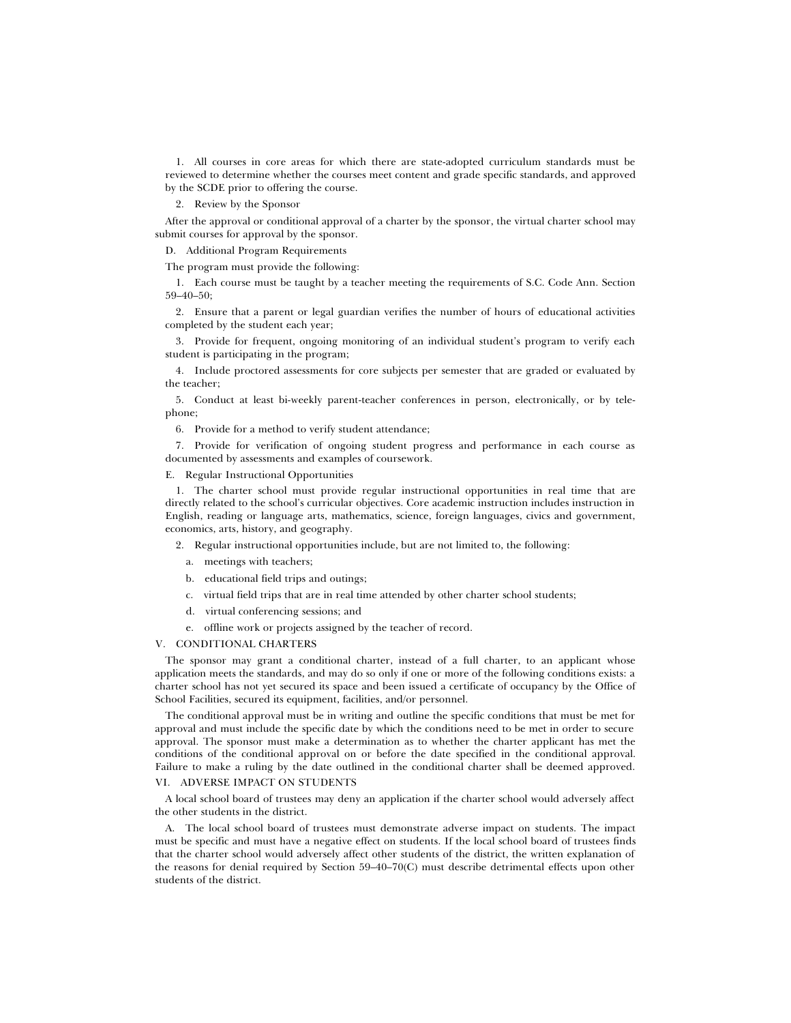1. All courses in core areas for which there are state-adopted curriculum standards must be reviewed to determine whether the courses meet content and grade specific standards, and approved by the SCDE prior to offering the course.

2. Review by the Sponsor

After the approval or conditional approval of a charter by the sponsor, the virtual charter school may submit courses for approval by the sponsor.

D. Additional Program Requirements

The program must provide the following:

1. Each course must be taught by a teacher meeting the requirements of S.C. Code Ann. Section 59–40–50;

2. Ensure that a parent or legal guardian verifies the number of hours of educational activities completed by the student each year;

3. Provide for frequent, ongoing monitoring of an individual student's program to verify each student is participating in the program;

4. Include proctored assessments for core subjects per semester that are graded or evaluated by the teacher;

5. Conduct at least bi-weekly parent-teacher conferences in person, electronically, or by telephone;

6. Provide for a method to verify student attendance;

7. Provide for verification of ongoing student progress and performance in each course as documented by assessments and examples of coursework.

## E. Regular Instructional Opportunities

1. The charter school must provide regular instructional opportunities in real time that are directly related to the school's curricular objectives. Core academic instruction includes instruction in English, reading or language arts, mathematics, science, foreign languages, civics and government, economics, arts, history, and geography.

- 2. Regular instructional opportunities include, but are not limited to, the following:
	- a. meetings with teachers;
	- b. educational field trips and outings;
	- c. virtual field trips that are in real time attended by other charter school students;
	- d. virtual conferencing sessions; and
	- e. offline work or projects assigned by the teacher of record.

#### V. CONDITIONAL CHARTERS

The sponsor may grant a conditional charter, instead of a full charter, to an applicant whose application meets the standards, and may do so only if one or more of the following conditions exists: a charter school has not yet secured its space and been issued a certificate of occupancy by the Office of School Facilities, secured its equipment, facilities, and/or personnel.

The conditional approval must be in writing and outline the specific conditions that must be met for approval and must include the specific date by which the conditions need to be met in order to secure approval. The sponsor must make a determination as to whether the charter applicant has met the conditions of the conditional approval on or before the date specified in the conditional approval. Failure to make a ruling by the date outlined in the conditional charter shall be deemed approved. VI. ADVERSE IMPACT ON STUDENTS

A local school board of trustees may deny an application if the charter school would adversely affect the other students in the district.

A. The local school board of trustees must demonstrate adverse impact on students. The impact must be specific and must have a negative effect on students. If the local school board of trustees finds that the charter school would adversely affect other students of the district, the written explanation of the reasons for denial required by Section 59–40–70(C) must describe detrimental effects upon other students of the district.